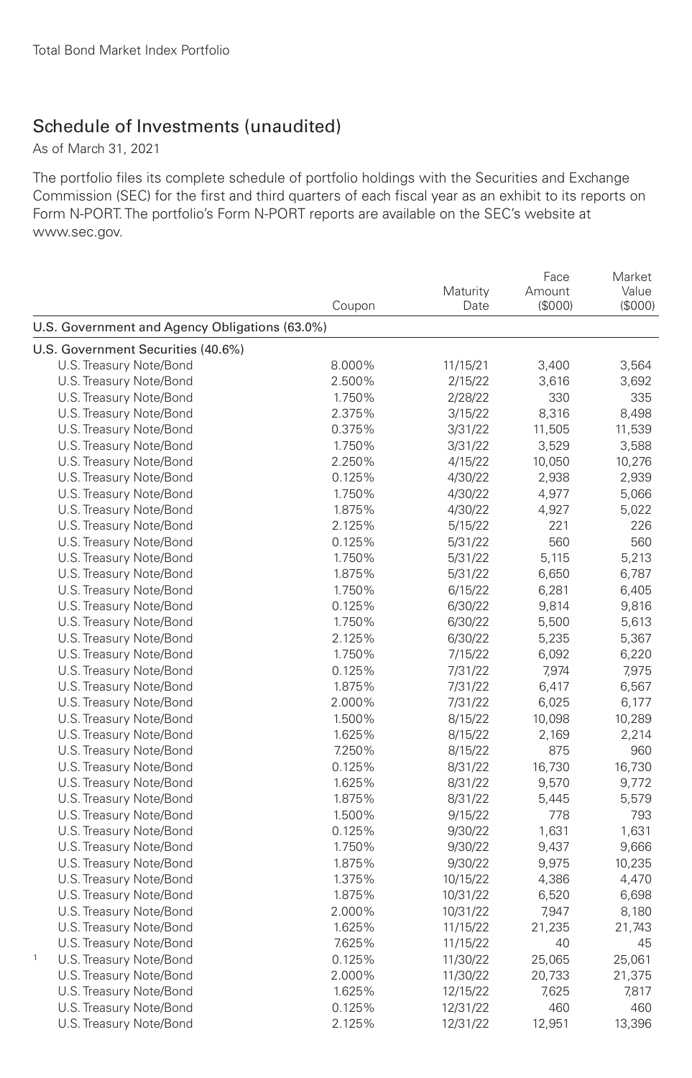## Schedule of Investments (unaudited)

As of March 31, 2021

The portfolio files its complete schedule of portfolio holdings with the Securities and Exchange Commission (SEC) for the first and third quarters of each fiscal year as an exhibit to its reports on Form N-PORT. The portfolio's Form N-PORT reports are available on the SEC's website at www.sec.gov.

|                                                | Coupon | Maturity<br>Date | Face<br>Amount<br>(\$000) | Market<br>Value<br>(\$000) |
|------------------------------------------------|--------|------------------|---------------------------|----------------------------|
| U.S. Government and Agency Obligations (63.0%) |        |                  |                           |                            |
| U.S. Government Securities (40.6%)             |        |                  |                           |                            |
| U.S. Treasury Note/Bond                        | 8.000% | 11/15/21         | 3,400                     | 3,564                      |
| U.S. Treasury Note/Bond                        | 2.500% | 2/15/22          | 3,616                     | 3,692                      |
| U.S. Treasury Note/Bond                        | 1.750% | 2/28/22          | 330                       | 335                        |
| U.S. Treasury Note/Bond                        | 2.375% | 3/15/22          | 8,316                     | 8,498                      |
| U.S. Treasury Note/Bond                        | 0.375% | 3/31/22          | 11,505                    | 11,539                     |
| U.S. Treasury Note/Bond                        | 1.750% | 3/31/22          | 3,529                     | 3,588                      |
| U.S. Treasury Note/Bond                        | 2.250% | 4/15/22          | 10,050                    | 10,276                     |
| U.S. Treasury Note/Bond                        | 0.125% | 4/30/22          | 2,938                     | 2,939                      |
| U.S. Treasury Note/Bond                        | 1.750% | 4/30/22          | 4,977                     | 5,066                      |
| U.S. Treasury Note/Bond                        | 1.875% | 4/30/22          | 4,927                     | 5,022                      |
| U.S. Treasury Note/Bond                        | 2.125% | 5/15/22          | 221                       | 226                        |
| U.S. Treasury Note/Bond                        | 0.125% | 5/31/22          | 560                       | 560                        |
| U.S. Treasury Note/Bond                        | 1.750% | 5/31/22          | 5,115                     | 5,213                      |
| U.S. Treasury Note/Bond                        | 1.875% | 5/31/22          | 6,650                     | 6,787                      |
| U.S. Treasury Note/Bond                        | 1.750% | 6/15/22          | 6,281                     | 6,405                      |
| U.S. Treasury Note/Bond                        | 0.125% | 6/30/22          | 9,814                     | 9,816                      |
| U.S. Treasury Note/Bond                        | 1.750% | 6/30/22          | 5,500                     | 5,613                      |
| U.S. Treasury Note/Bond                        | 2.125% | 6/30/22          | 5,235                     | 5,367                      |
| U.S. Treasury Note/Bond                        | 1.750% | 7/15/22          | 6,092                     | 6,220                      |
| U.S. Treasury Note/Bond                        | 0.125% | 7/31/22          | 7,974                     | 7,975                      |
| U.S. Treasury Note/Bond                        | 1.875% | 7/31/22          | 6,417                     | 6,567                      |
| U.S. Treasury Note/Bond                        | 2.000% | 7/31/22          | 6,025                     | 6,177                      |
| U.S. Treasury Note/Bond                        | 1.500% | 8/15/22          | 10,098                    | 10,289                     |
| U.S. Treasury Note/Bond                        | 1.625% | 8/15/22          | 2,169                     | 2,214                      |
| U.S. Treasury Note/Bond                        | 7.250% | 8/15/22          | 875                       | 960                        |
| U.S. Treasury Note/Bond                        | 0.125% | 8/31/22          | 16,730                    | 16,730                     |
| U.S. Treasury Note/Bond                        | 1.625% | 8/31/22          | 9,570                     | 9,772                      |
| U.S. Treasury Note/Bond                        | 1.875% | 8/31/22          | 5,445                     | 5,579                      |
| U.S. Treasury Note/Bond                        | 1.500% | 9/15/22          | 778                       | 793                        |
| U.S. Treasury Note/Bond                        | 0.125% | 9/30/22          | 1,631                     | 1,631                      |
| U.S. Treasury Note/Bond                        | 1.750% | 9/30/22          | 9,437                     | 9,666                      |
| U.S. Treasury Note/Bond                        | 1.875% | 9/30/22          | 9,975                     | 10,235                     |
| U.S. Treasury Note/Bond                        | 1.375% | 10/15/22         | 4,386                     | 4,470                      |
| U.S. Treasury Note/Bond                        | 1.875% | 10/31/22         | 6,520                     | 6,698                      |
| U.S. Treasury Note/Bond                        | 2.000% | 10/31/22         | 7,947                     | 8,180                      |
| U.S. Treasury Note/Bond                        | 1.625% | 11/15/22         | 21,235                    | 21,743                     |
| U.S. Treasury Note/Bond                        | 7.625% | 11/15/22         | 40                        | 45                         |
| $\mathbf{1}$<br>U.S. Treasury Note/Bond        | 0.125% | 11/30/22         | 25,065                    | 25,061                     |
| U.S. Treasury Note/Bond                        | 2.000% | 11/30/22         | 20,733                    | 21,375                     |
| U.S. Treasury Note/Bond                        | 1.625% | 12/15/22         | 7,625                     | 7,817                      |
| U.S. Treasury Note/Bond                        | 0.125% | 12/31/22         | 460                       | 460                        |
| U.S. Treasury Note/Bond                        | 2.125% | 12/31/22         | 12,951                    | 13,396                     |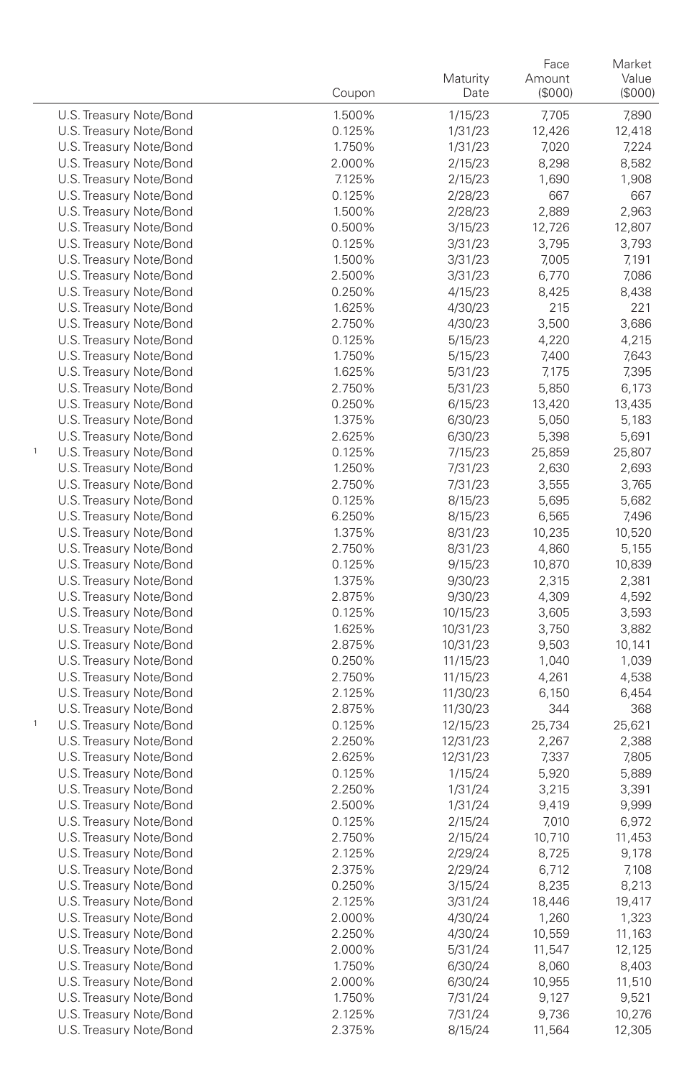|                                                    | Coupon           | Maturity<br>Date   | Face<br>Amount<br>(\$000) | Market<br>Value<br>(\$000) |
|----------------------------------------------------|------------------|--------------------|---------------------------|----------------------------|
| U.S. Treasury Note/Bond                            | 1.500%           | 1/15/23            | 7,705                     | 7,890                      |
| U.S. Treasury Note/Bond                            | 0.125%           | 1/31/23            | 12,426                    | 12,418                     |
| U.S. Treasury Note/Bond                            | 1.750%           | 1/31/23            | 7,020                     | 7,224                      |
| U.S. Treasury Note/Bond                            | 2.000%           | 2/15/23            | 8,298                     | 8,582                      |
| U.S. Treasury Note/Bond                            | 7.125%           | 2/15/23            | 1,690                     | 1,908                      |
| U.S. Treasury Note/Bond                            | 0.125%           | 2/28/23            | 667                       | 667                        |
| U.S. Treasury Note/Bond                            | 1.500%           | 2/28/23            | 2,889                     | 2,963                      |
| U.S. Treasury Note/Bond                            | 0.500%           | 3/15/23            | 12,726                    | 12,807                     |
| U.S. Treasury Note/Bond                            | 0.125%           | 3/31/23            | 3,795                     | 3,793                      |
| U.S. Treasury Note/Bond                            | 1.500%           | 3/31/23            | 7,005                     | 7,191                      |
| U.S. Treasury Note/Bond                            | 2.500%           | 3/31/23            | 6,770                     | 7,086                      |
| U.S. Treasury Note/Bond                            | 0.250%           | 4/15/23            | 8,425                     | 8,438                      |
| U.S. Treasury Note/Bond                            | 1.625%           | 4/30/23            | 215                       | 221                        |
| U.S. Treasury Note/Bond                            | 2.750%           | 4/30/23            | 3,500                     | 3,686                      |
| U.S. Treasury Note/Bond                            | 0.125%           | 5/15/23            | 4,220                     | 4,215                      |
| U.S. Treasury Note/Bond                            | 1.750%           | 5/15/23            | 7,400                     | 7,643                      |
| U.S. Treasury Note/Bond                            | 1.625%           | 5/31/23            | 7,175                     | 7,395                      |
| U.S. Treasury Note/Bond                            | 2.750%           | 5/31/23            | 5,850                     | 6,173                      |
| U.S. Treasury Note/Bond                            | 0.250%           | 6/15/23            | 13,420                    | 13,435                     |
| U.S. Treasury Note/Bond                            | 1.375%           | 6/30/23            | 5,050                     | 5,183                      |
| U.S. Treasury Note/Bond<br>1                       | 2.625%           | 6/30/23            | 5,398                     | 5,691<br>25,807            |
| U.S. Treasury Note/Bond<br>U.S. Treasury Note/Bond | 0.125%<br>1.250% | 7/15/23<br>7/31/23 | 25,859<br>2,630           | 2,693                      |
| U.S. Treasury Note/Bond                            | 2.750%           | 7/31/23            | 3,555                     | 3,765                      |
| U.S. Treasury Note/Bond                            | 0.125%           | 8/15/23            | 5,695                     | 5,682                      |
| U.S. Treasury Note/Bond                            | 6.250%           | 8/15/23            | 6,565                     | 7,496                      |
| U.S. Treasury Note/Bond                            | 1.375%           | 8/31/23            | 10,235                    | 10,520                     |
| U.S. Treasury Note/Bond                            | 2.750%           | 8/31/23            | 4,860                     | 5,155                      |
| U.S. Treasury Note/Bond                            | 0.125%           | 9/15/23            | 10,870                    | 10,839                     |
| U.S. Treasury Note/Bond                            | 1.375%           | 9/30/23            | 2,315                     | 2,381                      |
| U.S. Treasury Note/Bond                            | 2.875%           | 9/30/23            | 4,309                     | 4,592                      |
| U.S. Treasury Note/Bond                            | 0.125%           | 10/15/23           | 3,605                     | 3,593                      |
| U.S. Treasury Note/Bond                            | 1.625%           | 10/31/23           | 3,750                     | 3,882                      |
| U.S. Treasury Note/Bond                            | 2.875%           | 10/31/23           | 9,503                     | 10,141                     |
| U.S. Treasury Note/Bond                            | 0.250%           | 11/15/23           | 1,040                     | 1,039                      |
| U.S. Treasury Note/Bond                            | 2.750%           | 11/15/23           | 4,261                     | 4,538                      |
| U.S. Treasury Note/Bond                            | 2.125%           | 11/30/23           | 6,150                     | 6,454                      |
| U.S. Treasury Note/Bond                            | 2.875%           | 11/30/23           | 344                       | 368                        |
| 1<br>U.S. Treasury Note/Bond                       | 0.125%           | 12/15/23           | 25,734                    | 25,621                     |
| U.S. Treasury Note/Bond                            | 2.250%           | 12/31/23           | 2,267                     | 2,388                      |
| U.S. Treasury Note/Bond                            | 2.625%           | 12/31/23           | 7,337                     | 7,805                      |
| U.S. Treasury Note/Bond                            | 0.125%           | 1/15/24            | 5,920                     | 5,889                      |
| U.S. Treasury Note/Bond                            | 2.250%           | 1/31/24            | 3,215                     | 3,391                      |
| U.S. Treasury Note/Bond                            | 2.500%<br>0.125% | 1/31/24            | 9,419<br>7,010            | 9,999                      |
| U.S. Treasury Note/Bond                            | 2.750%           | 2/15/24            | 10,710                    | 6,972<br>11,453            |
| U.S. Treasury Note/Bond<br>U.S. Treasury Note/Bond | 2.125%           | 2/15/24<br>2/29/24 | 8,725                     | 9,178                      |
| U.S. Treasury Note/Bond                            | 2.375%           | 2/29/24            | 6,712                     | 7,108                      |
| U.S. Treasury Note/Bond                            | 0.250%           | 3/15/24            | 8,235                     | 8,213                      |
| U.S. Treasury Note/Bond                            | 2.125%           | 3/31/24            | 18,446                    | 19,417                     |
| U.S. Treasury Note/Bond                            | 2.000%           | 4/30/24            | 1,260                     | 1,323                      |
| U.S. Treasury Note/Bond                            | 2.250%           | 4/30/24            | 10,559                    | 11,163                     |
| U.S. Treasury Note/Bond                            | 2.000%           | 5/31/24            | 11,547                    | 12,125                     |
| U.S. Treasury Note/Bond                            | 1.750%           | 6/30/24            | 8,060                     | 8,403                      |
| U.S. Treasury Note/Bond                            | 2.000%           | 6/30/24            | 10,955                    | 11,510                     |
| U.S. Treasury Note/Bond                            | 1.750%           | 7/31/24            | 9,127                     | 9,521                      |
| U.S. Treasury Note/Bond                            | 2.125%           | 7/31/24            | 9,736                     | 10,276                     |
| U.S. Treasury Note/Bond                            | 2.375%           | 8/15/24            | 11,564                    | 12,305                     |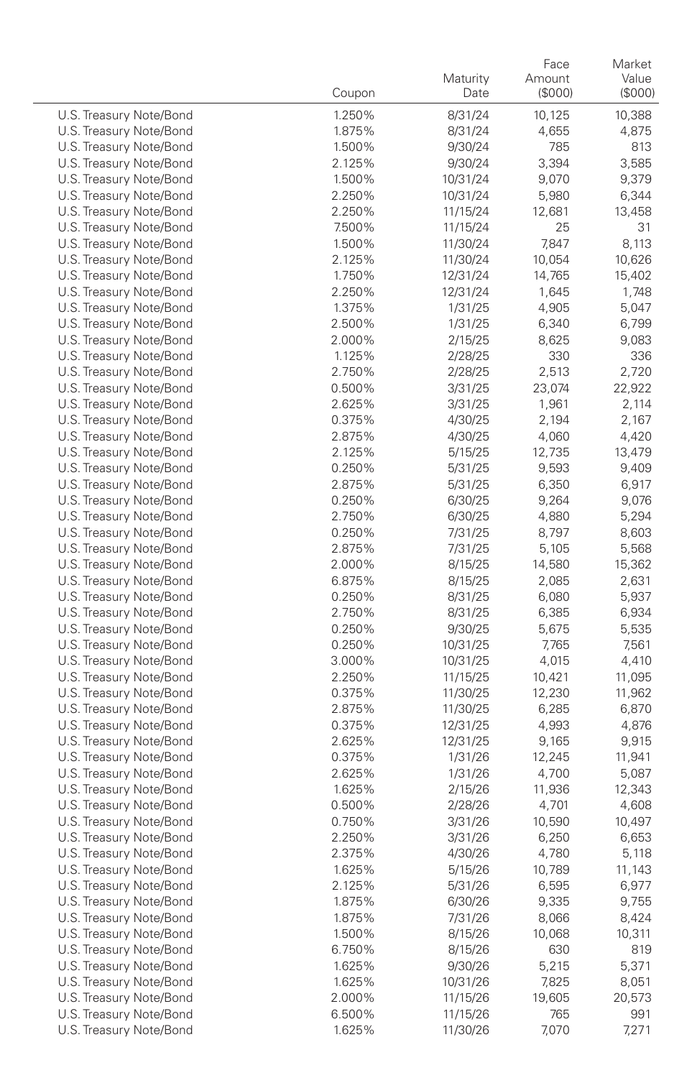|                                                    | Coupon           | Maturity<br>Date     | Face<br>Amount<br>(\$000) | Market<br>Value<br>(\$000) |
|----------------------------------------------------|------------------|----------------------|---------------------------|----------------------------|
| U.S. Treasury Note/Bond                            |                  |                      |                           |                            |
| U.S. Treasury Note/Bond                            | 1.250%<br>1.875% | 8/31/24              | 10,125                    | 10,388<br>4,875            |
| U.S. Treasury Note/Bond                            | 1.500%           | 8/31/24<br>9/30/24   | 4,655<br>785              | 813                        |
| U.S. Treasury Note/Bond                            | 2.125%           | 9/30/24              | 3,394                     | 3,585                      |
| U.S. Treasury Note/Bond                            | 1.500%           | 10/31/24             | 9,070                     | 9,379                      |
| U.S. Treasury Note/Bond                            | 2.250%           | 10/31/24             | 5,980                     | 6,344                      |
| U.S. Treasury Note/Bond                            | 2.250%           | 11/15/24             | 12,681                    | 13,458                     |
| U.S. Treasury Note/Bond                            | 7.500%           | 11/15/24             | 25                        | 31                         |
| U.S. Treasury Note/Bond                            | 1.500%           | 11/30/24             | 7,847                     | 8,113                      |
| U.S. Treasury Note/Bond                            | 2.125%           | 11/30/24             | 10,054                    | 10,626                     |
| U.S. Treasury Note/Bond                            | 1.750%           | 12/31/24             | 14,765                    | 15,402                     |
| U.S. Treasury Note/Bond                            | 2.250%           | 12/31/24             | 1,645                     | 1,748                      |
| U.S. Treasury Note/Bond                            | 1.375%           | 1/31/25              | 4,905                     | 5,047                      |
| U.S. Treasury Note/Bond                            | 2.500%           | 1/31/25              | 6,340                     | 6,799                      |
| U.S. Treasury Note/Bond                            | 2.000%           | 2/15/25              | 8,625                     | 9,083                      |
| U.S. Treasury Note/Bond                            | 1.125%           | 2/28/25              | 330                       | 336                        |
| U.S. Treasury Note/Bond                            | 2.750%           | 2/28/25              | 2,513                     | 2,720                      |
| U.S. Treasury Note/Bond                            | 0.500%           | 3/31/25              | 23,074                    | 22,922                     |
| U.S. Treasury Note/Bond                            | 2.625%           | 3/31/25              | 1,961                     | 2,114                      |
| U.S. Treasury Note/Bond                            | 0.375%           | 4/30/25              | 2,194                     | 2,167                      |
| U.S. Treasury Note/Bond                            | 2.875%           | 4/30/25              | 4,060                     | 4,420                      |
| U.S. Treasury Note/Bond                            | 2.125%           | 5/15/25              | 12,735                    | 13,479                     |
| U.S. Treasury Note/Bond                            | 0.250%           | 5/31/25              | 9,593                     | 9,409                      |
| U.S. Treasury Note/Bond                            | 2.875%           | 5/31/25              | 6,350                     | 6,917                      |
| U.S. Treasury Note/Bond                            | 0.250%           | 6/30/25              | 9,264                     | 9,076                      |
| U.S. Treasury Note/Bond                            | 2.750%           | 6/30/25              | 4,880                     | 5,294                      |
| U.S. Treasury Note/Bond                            | 0.250%           | 7/31/25              | 8,797                     | 8,603                      |
| U.S. Treasury Note/Bond                            | 2.875%           | 7/31/25              | 5,105                     | 5,568                      |
| U.S. Treasury Note/Bond                            | 2.000%           | 8/15/25              | 14,580                    | 15,362                     |
| U.S. Treasury Note/Bond                            | 6.875%           | 8/15/25              | 2,085                     | 2,631                      |
| U.S. Treasury Note/Bond                            | 0.250%           | 8/31/25              | 6,080                     | 5,937                      |
| U.S. Treasury Note/Bond                            | 2.750%           | 8/31/25              | 6,385                     | 6,934                      |
| U.S. Treasury Note/Bond                            | 0.250%           | 9/30/25              | 5,675                     | 5,535                      |
| U.S. Treasury Note/Bond                            | 0.250%           | 10/31/25             | 7,765                     | 7,561                      |
| U.S. Treasury Note/Bond                            | 3.000%           | 10/31/25             | 4,015                     | 4,410                      |
| U.S. Treasury Note/Bond                            | 2.250%           | 11/15/25             | 10,421                    | 11,095                     |
| U.S. Treasury Note/Bond                            | 0.375%           | 11/30/25             | 12,230                    | 11,962                     |
| U.S. Treasury Note/Bond                            | 2.875%           | 11/30/25             | 6,285                     | 6,870                      |
| U.S. Treasury Note/Bond                            | 0.375%           | 12/31/25             | 4,993                     | 4,876                      |
| U.S. Treasury Note/Bond                            | 2.625%           | 12/31/25             | 9,165                     | 9,915                      |
| U.S. Treasury Note/Bond                            | 0.375%           | 1/31/26              | 12,245                    | 11,941                     |
| U.S. Treasury Note/Bond                            | 2.625%           | 1/31/26              | 4,700                     | 5,087                      |
| U.S. Treasury Note/Bond                            | 1.625%           | 2/15/26              | 11,936                    | 12,343                     |
| U.S. Treasury Note/Bond                            | 0.500%           | 2/28/26              | 4,701                     | 4,608                      |
| U.S. Treasury Note/Bond                            | 0.750%           | 3/31/26              | 10,590                    | 10,497                     |
| U.S. Treasury Note/Bond                            | 2.250%           | 3/31/26              | 6,250                     | 6,653                      |
| U.S. Treasury Note/Bond                            | 2.375%           | 4/30/26              | 4,780                     | 5,118                      |
| U.S. Treasury Note/Bond                            | 1.625%           | 5/15/26              | 10,789                    | 11,143                     |
| U.S. Treasury Note/Bond                            | 2.125%           | 5/31/26              | 6,595                     | 6,977                      |
| U.S. Treasury Note/Bond                            | 1.875%           | 6/30/26              | 9,335                     | 9,755                      |
| U.S. Treasury Note/Bond                            | 1.875%           | 7/31/26              | 8,066                     | 8,424                      |
| U.S. Treasury Note/Bond                            | 1.500%           | 8/15/26              | 10,068                    | 10,311                     |
| U.S. Treasury Note/Bond                            | 6.750%<br>1.625% | 8/15/26              | 630                       | 819                        |
| U.S. Treasury Note/Bond<br>U.S. Treasury Note/Bond |                  | 9/30/26              | 5,215                     | 5,371                      |
| U.S. Treasury Note/Bond                            | 1.625%           | 10/31/26             | 7,825                     | 8,051                      |
| U.S. Treasury Note/Bond                            | 2.000%<br>6.500% | 11/15/26<br>11/15/26 | 19,605<br>765             | 20,573<br>991              |
| U.S. Treasury Note/Bond                            | 1.625%           |                      | 7,070                     |                            |
|                                                    |                  | 11/30/26             |                           | 7,271                      |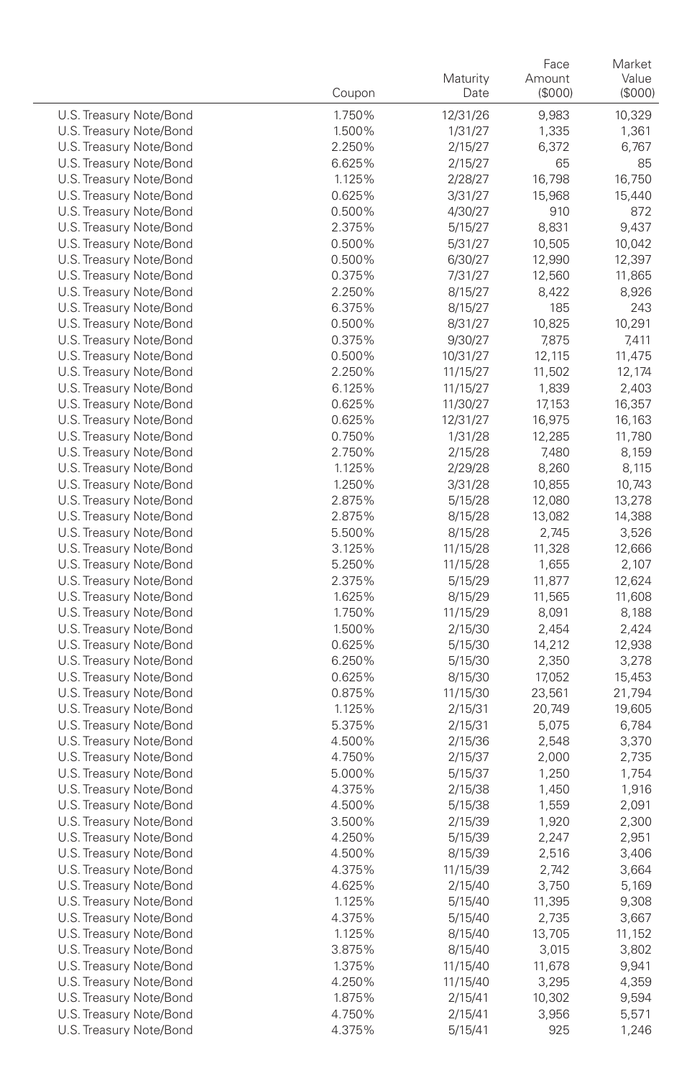|                                                    | Coupon           | Maturity<br>Date   | Face<br>Amount<br>(\$000) | Market<br>Value<br>(\$000) |
|----------------------------------------------------|------------------|--------------------|---------------------------|----------------------------|
|                                                    |                  |                    |                           |                            |
| U.S. Treasury Note/Bond                            | 1.750%           | 12/31/26           | 9,983                     | 10,329                     |
| U.S. Treasury Note/Bond                            | 1.500%           | 1/31/27            | 1,335                     | 1,361                      |
| U.S. Treasury Note/Bond                            | 2.250%           | 2/15/27            | 6,372                     | 6,767                      |
| U.S. Treasury Note/Bond                            | 6.625%           | 2/15/27            | 65                        | 85                         |
| U.S. Treasury Note/Bond                            | 1.125%           | 2/28/27            | 16,798                    | 16,750                     |
| U.S. Treasury Note/Bond<br>U.S. Treasury Note/Bond | 0.625%<br>0.500% | 3/31/27            | 15,968<br>910             | 15,440<br>872              |
| U.S. Treasury Note/Bond                            | 2.375%           | 4/30/27            | 8,831                     | 9,437                      |
| U.S. Treasury Note/Bond                            | 0.500%           | 5/15/27            | 10,505                    | 10,042                     |
| U.S. Treasury Note/Bond                            | 0.500%           | 5/31/27<br>6/30/27 | 12,990                    | 12,397                     |
| U.S. Treasury Note/Bond                            | 0.375%           | 7/31/27            | 12,560                    | 11,865                     |
| U.S. Treasury Note/Bond                            | 2.250%           | 8/15/27            | 8,422                     | 8,926                      |
| U.S. Treasury Note/Bond                            | 6.375%           | 8/15/27            | 185                       | 243                        |
| U.S. Treasury Note/Bond                            | 0.500%           | 8/31/27            | 10,825                    | 10,291                     |
| U.S. Treasury Note/Bond                            | 0.375%           | 9/30/27            | 7,875                     | 7,411                      |
| U.S. Treasury Note/Bond                            | 0.500%           | 10/31/27           | 12,115                    | 11,475                     |
| U.S. Treasury Note/Bond                            | 2.250%           | 11/15/27           | 11,502                    | 12,174                     |
| U.S. Treasury Note/Bond                            | 6.125%           | 11/15/27           | 1,839                     | 2,403                      |
| U.S. Treasury Note/Bond                            | 0.625%           | 11/30/27           | 17,153                    | 16,357                     |
| U.S. Treasury Note/Bond                            | 0.625%           | 12/31/27           | 16,975                    | 16,163                     |
| U.S. Treasury Note/Bond                            | 0.750%           | 1/31/28            | 12,285                    | 11,780                     |
| U.S. Treasury Note/Bond                            | 2.750%           | 2/15/28            | 7,480                     | 8,159                      |
| U.S. Treasury Note/Bond                            | 1.125%           | 2/29/28            | 8,260                     | 8,115                      |
| U.S. Treasury Note/Bond                            | 1.250%           | 3/31/28            | 10,855                    | 10,743                     |
| U.S. Treasury Note/Bond                            | 2.875%           | 5/15/28            | 12,080                    | 13,278                     |
| U.S. Treasury Note/Bond                            | 2.875%           | 8/15/28            | 13,082                    | 14,388                     |
| U.S. Treasury Note/Bond                            | 5.500%           | 8/15/28            | 2,745                     | 3,526                      |
| U.S. Treasury Note/Bond                            | 3.125%           | 11/15/28           | 11,328                    | 12,666                     |
| U.S. Treasury Note/Bond                            | 5.250%           | 11/15/28           | 1,655                     | 2,107                      |
| U.S. Treasury Note/Bond                            | 2.375%           | 5/15/29            | 11,877                    | 12,624                     |
| U.S. Treasury Note/Bond                            | 1.625%           | 8/15/29            | 11,565                    | 11,608                     |
| U.S. Treasury Note/Bond                            | 1.750%           | 11/15/29           | 8,091                     | 8,188                      |
| U.S. Treasury Note/Bond                            | 1.500%           | 2/15/30            | 2,454                     | 2,424                      |
| U.S. Treasury Note/Bond                            | 0.625%           | 5/15/30            | 14,212                    | 12,938                     |
| U.S. Treasury Note/Bond                            | 6.250%           | 5/15/30            | 2,350                     | 3,278                      |
| U.S. Treasury Note/Bond                            | 0.625%           | 8/15/30            | 17,052                    | 15,453                     |
| U.S. Treasury Note/Bond                            | 0.875%           | 11/15/30           | 23,561                    | 21,794                     |
| U.S. Treasury Note/Bond                            | 1.125%           | 2/15/31            | 20,749                    | 19,605                     |
| U.S. Treasury Note/Bond                            | 5.375%           | 2/15/31            | 5,075                     | 6,784                      |
| U.S. Treasury Note/Bond                            | 4.500%           | 2/15/36            | 2,548                     | 3,370                      |
| U.S. Treasury Note/Bond                            | 4.750%           | 2/15/37            | 2,000                     | 2,735                      |
| U.S. Treasury Note/Bond                            | 5.000%           | 5/15/37            | 1,250                     | 1,754                      |
| U.S. Treasury Note/Bond                            | 4.375%           | 2/15/38            | 1,450                     | 1,916                      |
| U.S. Treasury Note/Bond                            | 4.500%           | 5/15/38            | 1,559                     | 2,091                      |
| U.S. Treasury Note/Bond                            | 3.500%           | 2/15/39            | 1,920                     | 2,300                      |
| U.S. Treasury Note/Bond                            | 4.250%           | 5/15/39            | 2,247                     | 2,951                      |
| U.S. Treasury Note/Bond                            | 4.500%           | 8/15/39            | 2,516                     | 3,406                      |
| U.S. Treasury Note/Bond                            | 4.375%           | 11/15/39           | 2,742                     | 3,664                      |
| U.S. Treasury Note/Bond                            | 4.625%           | 2/15/40            | 3,750                     | 5,169                      |
| U.S. Treasury Note/Bond                            | 1.125%           | 5/15/40            | 11,395                    | 9,308                      |
| U.S. Treasury Note/Bond                            | 4.375%           | 5/15/40            | 2,735                     | 3,667                      |
| U.S. Treasury Note/Bond                            | 1.125%           | 8/15/40            | 13,705                    | 11,152                     |
| U.S. Treasury Note/Bond                            | 3.875%           | 8/15/40            | 3,015                     | 3,802                      |
| U.S. Treasury Note/Bond                            | 1.375%           | 11/15/40           | 11,678                    | 9,941                      |
| U.S. Treasury Note/Bond                            | 4.250%           | 11/15/40           | 3,295                     | 4,359                      |
| U.S. Treasury Note/Bond                            | 1.875%           | 2/15/41            | 10,302                    | 9,594                      |
| U.S. Treasury Note/Bond                            | 4.750%           | 2/15/41            | 3,956                     | 5,571                      |
| U.S. Treasury Note/Bond                            | 4.375%           | 5/15/41            | 925                       | 1,246                      |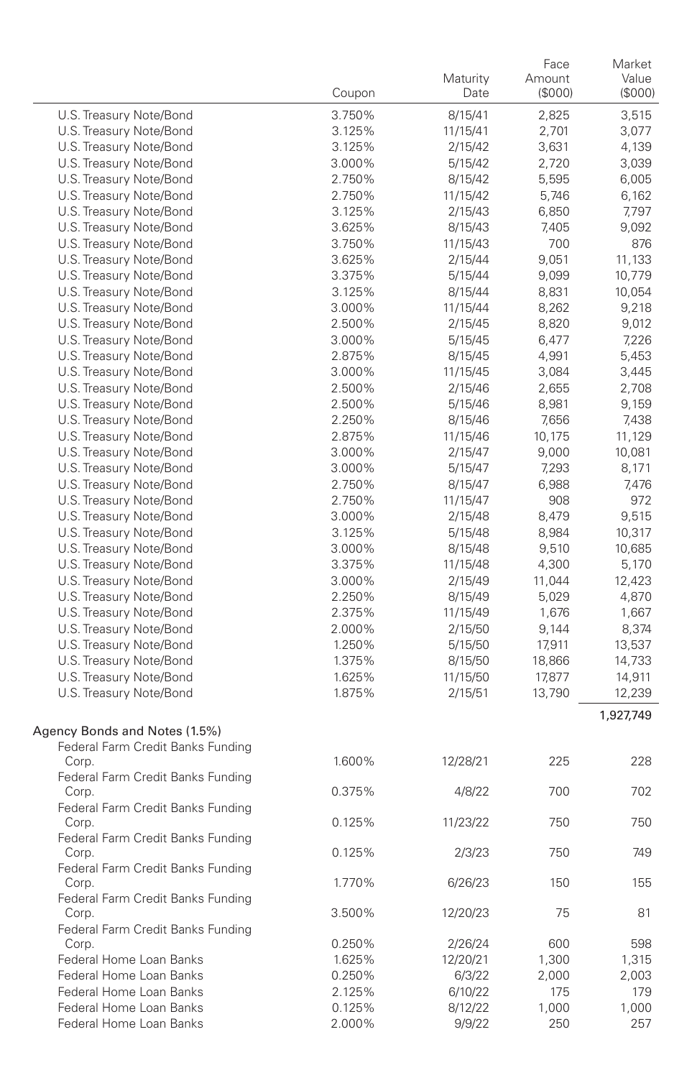|                                   |        | Maturity | Face<br>Amount | Market<br>Value |
|-----------------------------------|--------|----------|----------------|-----------------|
|                                   | Coupon | Date     | (\$000)        | (\$000)         |
| U.S. Treasury Note/Bond           | 3.750% | 8/15/41  | 2,825          | 3,515           |
| U.S. Treasury Note/Bond           | 3.125% | 11/15/41 | 2,701          | 3,077           |
| U.S. Treasury Note/Bond           | 3.125% | 2/15/42  | 3,631          | 4,139           |
| U.S. Treasury Note/Bond           | 3.000% | 5/15/42  | 2,720          | 3,039           |
| U.S. Treasury Note/Bond           | 2.750% | 8/15/42  | 5,595          | 6,005           |
| U.S. Treasury Note/Bond           | 2.750% | 11/15/42 | 5,746          | 6,162           |
| U.S. Treasury Note/Bond           | 3.125% | 2/15/43  | 6,850          | 7,797           |
| U.S. Treasury Note/Bond           | 3.625% | 8/15/43  | 7,405          | 9,092           |
| U.S. Treasury Note/Bond           | 3.750% | 11/15/43 | 700            | 876             |
| U.S. Treasury Note/Bond           | 3.625% | 2/15/44  | 9,051          | 11,133          |
| U.S. Treasury Note/Bond           | 3.375% | 5/15/44  | 9,099          | 10,779          |
| U.S. Treasury Note/Bond           | 3.125% | 8/15/44  | 8,831          | 10,054          |
| U.S. Treasury Note/Bond           | 3.000% | 11/15/44 | 8,262          | 9,218           |
| U.S. Treasury Note/Bond           | 2.500% | 2/15/45  | 8,820          | 9,012           |
| U.S. Treasury Note/Bond           | 3.000% | 5/15/45  | 6,477          | 7,226           |
| U.S. Treasury Note/Bond           | 2.875% | 8/15/45  | 4,991          | 5,453           |
| U.S. Treasury Note/Bond           | 3.000% | 11/15/45 | 3,084          | 3,445           |
| U.S. Treasury Note/Bond           | 2.500% | 2/15/46  | 2,655          | 2,708           |
| U.S. Treasury Note/Bond           | 2.500% | 5/15/46  | 8,981          | 9,159           |
| U.S. Treasury Note/Bond           | 2.250% | 8/15/46  | 7,656          | 7,438           |
| U.S. Treasury Note/Bond           | 2.875% | 11/15/46 | 10,175         | 11,129          |
| U.S. Treasury Note/Bond           | 3.000% | 2/15/47  | 9,000          | 10,081          |
| U.S. Treasury Note/Bond           | 3.000% | 5/15/47  | 7,293          | 8,171           |
| U.S. Treasury Note/Bond           | 2.750% | 8/15/47  | 6,988          | 7,476           |
| U.S. Treasury Note/Bond           | 2.750% | 11/15/47 | 908            | 972             |
| U.S. Treasury Note/Bond           | 3.000% | 2/15/48  | 8,479          | 9,515           |
| U.S. Treasury Note/Bond           | 3.125% | 5/15/48  | 8,984          | 10,317          |
| U.S. Treasury Note/Bond           | 3.000% | 8/15/48  | 9,510          | 10,685          |
| U.S. Treasury Note/Bond           | 3.375% | 11/15/48 | 4,300          | 5,170           |
| U.S. Treasury Note/Bond           | 3.000% | 2/15/49  | 11,044         | 12,423          |
| U.S. Treasury Note/Bond           | 2.250% | 8/15/49  | 5,029          | 4,870           |
| U.S. Treasury Note/Bond           | 2.375% | 11/15/49 | 1,676          | 1,667           |
| U.S. Treasury Note/Bond           | 2.000% | 2/15/50  | 9,144          | 8,374           |
| U.S. Treasury Note/Bond           | 1.250% | 5/15/50  | 17,911         | 13,537          |
| U.S. Treasury Note/Bond           | 1.375% | 8/15/50  | 18,866         | 14,733          |
| U.S. Treasury Note/Bond           | 1.625% | 11/15/50 | 17,877         | 14,911          |
| U.S. Treasury Note/Bond           | 1.875% | 2/15/51  | 13,790         | 12,239          |
|                                   |        |          |                | 1,927,749       |
| Agency Bonds and Notes (1.5%)     |        |          |                |                 |
| Federal Farm Credit Banks Funding |        |          |                |                 |
| Corp.                             | 1.600% | 12/28/21 | 225            | 228             |
| Federal Farm Credit Banks Funding |        |          |                |                 |
| Corp.                             | 0.375% | 4/8/22   | 700            | 702             |
| Federal Farm Credit Banks Funding |        |          |                |                 |
| Corp.                             | 0.125% | 11/23/22 | 750            | 750             |
| Federal Farm Credit Banks Funding |        |          |                |                 |
| Corp.                             | 0.125% | 2/3/23   | 750            | 749             |
| Federal Farm Credit Banks Funding |        |          |                |                 |
| Corp.                             | 1.770% | 6/26/23  | 150            | 155             |
| Federal Farm Credit Banks Funding |        |          |                |                 |
| Corp.                             | 3.500% | 12/20/23 | 75             | 81              |
| Federal Farm Credit Banks Funding |        |          |                |                 |
| Corp.                             | 0.250% | 2/26/24  | 600            | 598             |
| Federal Home Loan Banks           | 1.625% | 12/20/21 | 1,300          | 1,315           |
| Federal Home Loan Banks           | 0.250% | 6/3/22   | 2,000          | 2,003           |
| Federal Home Loan Banks           | 2.125% | 6/10/22  | 175            | 179             |
| Federal Home Loan Banks           | 0.125% | 8/12/22  | 1,000          | 1,000           |
| Federal Home Loan Banks           | 2.000% | 9/9/22   | 250            | 257             |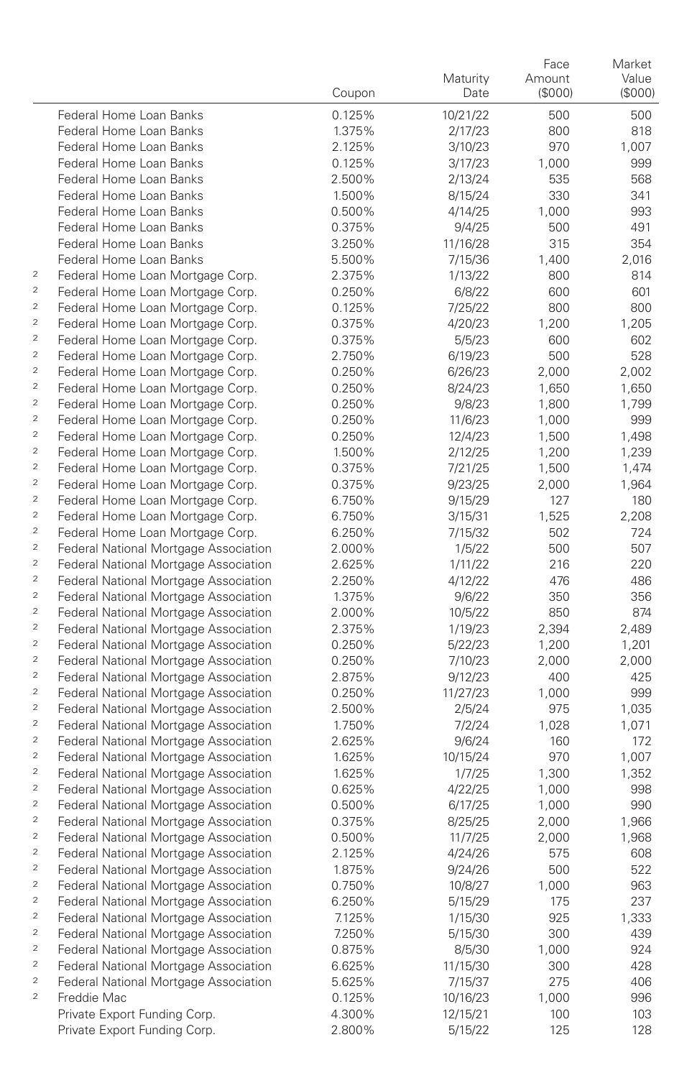|                                                                                                                    |                                                                                |                  |                    | Face         | Market         |
|--------------------------------------------------------------------------------------------------------------------|--------------------------------------------------------------------------------|------------------|--------------------|--------------|----------------|
|                                                                                                                    |                                                                                |                  | Maturity           | Amount       | Value          |
|                                                                                                                    |                                                                                | Coupon           | Date               | (\$000)      | (\$000)        |
|                                                                                                                    | Federal Home Loan Banks                                                        | 0.125%           | 10/21/22           | 500          | 500            |
|                                                                                                                    | Federal Home Loan Banks                                                        | 1.375%           | 2/17/23            | 800          | 818            |
|                                                                                                                    | Federal Home Loan Banks                                                        | 2.125%           | 3/10/23            | 970          | 1,007          |
|                                                                                                                    | Federal Home Loan Banks                                                        | 0.125%           | 3/17/23            | 1,000        | 999            |
|                                                                                                                    | Federal Home Loan Banks                                                        | 2.500%           | 2/13/24            | 535          | 568            |
|                                                                                                                    | Federal Home Loan Banks                                                        | 1.500%           | 8/15/24            | 330          | 341            |
|                                                                                                                    | Federal Home Loan Banks                                                        | 0.500%           | 4/14/25            | 1,000        | 993            |
|                                                                                                                    | Federal Home Loan Banks                                                        | 0.375%           | 9/4/25             | 500          | 491            |
|                                                                                                                    | Federal Home Loan Banks                                                        | 3.250%           | 11/16/28           | 315          | 354            |
|                                                                                                                    | Federal Home Loan Banks                                                        | 5.500%           | 7/15/36            | 1,400        | 2,016          |
| $\overline{\mathbf{c}}$                                                                                            | Federal Home Loan Mortgage Corp.                                               | 2.375%           | 1/13/22            | 800          | 814            |
| $\overline{2}$                                                                                                     | Federal Home Loan Mortgage Corp.                                               | 0.250%           | 6/8/22             | 600          | 601            |
| $\mathfrak 2$                                                                                                      | Federal Home Loan Mortgage Corp.                                               | 0.125%           | 7/25/22            | 800          | 800            |
| $\overline{2}$                                                                                                     | Federal Home Loan Mortgage Corp.                                               | 0.375%           | 4/20/23            | 1,200        | 1,205          |
| $\overline{2}$                                                                                                     | Federal Home Loan Mortgage Corp.                                               | 0.375%           | 5/5/23             | 600          | 602            |
| $\overline{2}$                                                                                                     | Federal Home Loan Mortgage Corp.                                               | 2.750%           | 6/19/23            | 500          | 528            |
| $\overline{c}$                                                                                                     | Federal Home Loan Mortgage Corp.                                               | 0.250%           | 6/26/23            | 2,000        | 2,002          |
| $\overline{2}$                                                                                                     | Federal Home Loan Mortgage Corp.                                               | 0.250%           | 8/24/23            | 1,650        | 1,650          |
| $\overline{c}$                                                                                                     | Federal Home Loan Mortgage Corp.                                               | 0.250%           | 9/8/23             | 1,800        | 1,799          |
| $\overline{2}$                                                                                                     | Federal Home Loan Mortgage Corp.                                               | 0.250%           | 11/6/23            | 1,000        | 999            |
| $\overline{c}$                                                                                                     | Federal Home Loan Mortgage Corp.                                               | 0.250%           | 12/4/23            | 1,500        | 1,498          |
| $\overline{2}$                                                                                                     | Federal Home Loan Mortgage Corp.                                               | 1.500%           | 2/12/25            | 1,200        | 1,239          |
| $\overline{c}$<br>$\overline{c}$                                                                                   | Federal Home Loan Mortgage Corp.                                               | 0.375%           | 7/21/25            | 1,500        | 1,474          |
| $\overline{c}$                                                                                                     | Federal Home Loan Mortgage Corp.                                               | 0.375%           | 9/23/25            | 2,000        | 1,964          |
| $\overline{c}$                                                                                                     | Federal Home Loan Mortgage Corp.                                               | 6.750%           | 9/15/29            | 127          | 180            |
| $\overline{c}$                                                                                                     | Federal Home Loan Mortgage Corp.                                               | 6.750%           | 3/15/31            | 1,525        | 2,208          |
| $\overline{c}$                                                                                                     | Federal Home Loan Mortgage Corp.                                               | 6.250%           | 7/15/32            | 502          | 724            |
| $\overline{c}$                                                                                                     | Federal National Mortgage Association                                          | 2.000%           | 1/5/22             | 500          | 507            |
| $\overline{c}$                                                                                                     | Federal National Mortgage Association                                          | 2.625%           | 1/11/22            | 216          | 220            |
| $\overline{c}$                                                                                                     | Federal National Mortgage Association                                          | 2.250%           | 4/12/22            | 476          | 486            |
| $\overline{c}$                                                                                                     | Federal National Mortgage Association                                          | 1.375%           | 9/6/22             | 350          | 356            |
| $\overline{c}$                                                                                                     | Federal National Mortgage Association                                          | 2.000%           | 10/5/22            | 850          | 874            |
| $\overline{c}$                                                                                                     | Federal National Mortgage Association                                          | 2.375%           | 1/19/23            | 2,394        | 2,489          |
| $\overline{c}$                                                                                                     | Federal National Mortgage Association                                          | 0.250%           | 5/22/23            | 1,200        | 1,201<br>2,000 |
| $\overline{c}$                                                                                                     | Federal National Mortgage Association<br>Federal National Mortgage Association | 0.250%<br>2.875% | 7/10/23<br>9/12/23 | 2,000<br>400 | 425            |
| $\overline{c}$                                                                                                     | Federal National Mortgage Association                                          | 0.250%           | 11/27/23           | 1,000        | 999            |
| $\overline{c}$                                                                                                     | Federal National Mortgage Association                                          | 2.500%           | 2/5/24             | 975          | 1,035          |
| $\overline{c}$                                                                                                     | Federal National Mortgage Association                                          | 1.750%           | 7/2/24             | 1,028        | 1,071          |
| $\overline{c}$                                                                                                     | Federal National Mortgage Association                                          | 2.625%           | 9/6/24             | 160          | 172            |
| $\overline{c}$                                                                                                     | Federal National Mortgage Association                                          | 1.625%           | 10/15/24           | 970          | 1,007          |
| $\sqrt{2}$                                                                                                         | Federal National Mortgage Association                                          | 1.625%           | 1/7/25             | 1,300        | 1,352          |
| $\overline{c}$                                                                                                     | Federal National Mortgage Association                                          | 0.625%           | 4/22/25            | 1,000        | 998            |
| $\overline{2}$                                                                                                     | Federal National Mortgage Association                                          | 0.500%           | 6/17/25            | 1,000        | 990            |
| $\overline{c}$                                                                                                     | Federal National Mortgage Association                                          | 0.375%           | 8/25/25            | 2,000        | 1,966          |
| $\bar{2}$                                                                                                          | Federal National Mortgage Association                                          | 0.500%           | 11/7/25            | 2,000        | 1,968          |
| $\overline{c}$                                                                                                     | Federal National Mortgage Association                                          | 2.125%           | 4/24/26            | 575          | 608            |
| $\mathfrak{2}% _{T}=\mathfrak{2}_{T}\!\left( a,b\right) ,\ \mathfrak{2}_{T}=\mathfrak{2}_{T}\!\left( a,b\right) ,$ | Federal National Mortgage Association                                          | 1.875%           | 9/24/26            | 500          | 522            |
| $\mathfrak{2}% _{T}=\mathfrak{2}_{T}\!\left( a,b\right) ,\ \mathfrak{2}_{T}=\mathfrak{2}_{T}\!\left( a,b\right) ,$ | Federal National Mortgage Association                                          | 0.750%           | 10/8/27            | 1,000        | 963            |
| $\mathfrak 2$                                                                                                      | Federal National Mortgage Association                                          | 6.250%           | 5/15/29            | 175          | 237            |
| $\mathfrak 2$                                                                                                      | Federal National Mortgage Association                                          | 7.125%           | 1/15/30            | 925          | 1,333          |
| $\mathfrak 2$                                                                                                      | Federal National Mortgage Association                                          | 7.250%           | 5/15/30            | 300          | 439            |
| $\bar{2}$                                                                                                          | Federal National Mortgage Association                                          | 0.875%           | 8/5/30             | 1,000        | 924            |
| $\mathfrak z$                                                                                                      | Federal National Mortgage Association                                          | 6.625%           | 11/15/30           | 300          | 428            |
| $\mathfrak z$                                                                                                      | Federal National Mortgage Association                                          | 5.625%           | 7/15/37            | 275          | 406            |
| $\mathbf 2$                                                                                                        | Freddie Mac                                                                    | 0.125%           | 10/16/23           | 1,000        | 996            |
|                                                                                                                    | Private Export Funding Corp.                                                   | 4.300%           | 12/15/21           | 100          | 103            |
|                                                                                                                    | Private Export Funding Corp.                                                   | 2.800%           | 5/15/22            | 125          | 128            |
|                                                                                                                    |                                                                                |                  |                    |              |                |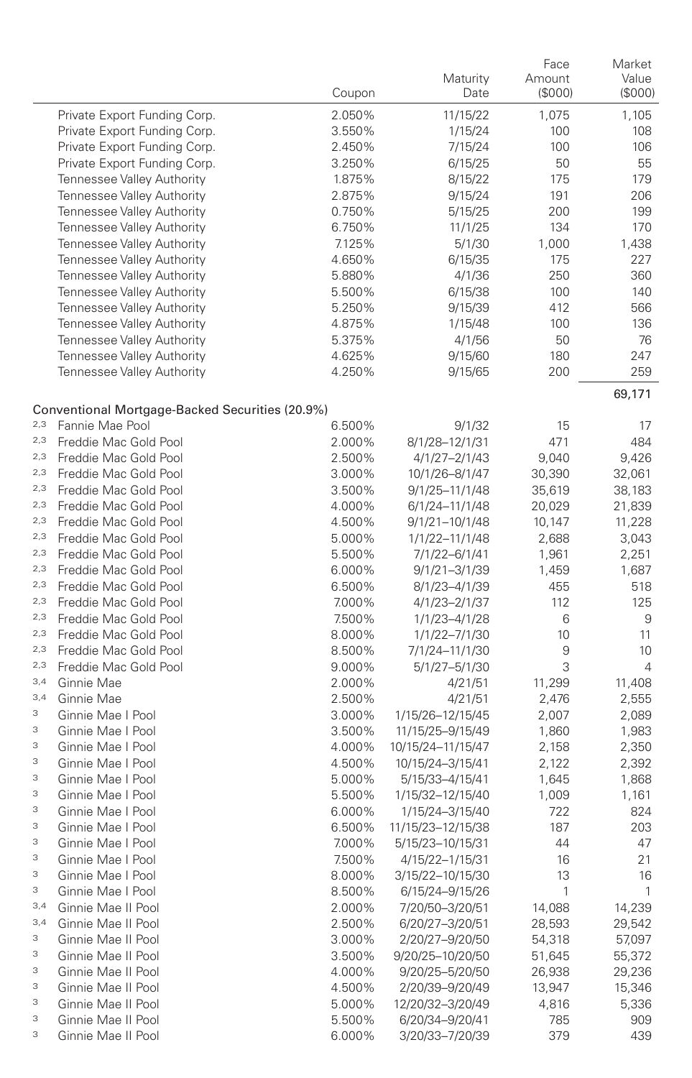|     |                                                 | Coupon | Maturity<br>Date  | Face<br>Amount<br>(\$000) | Market<br>Value<br>(\$000) |
|-----|-------------------------------------------------|--------|-------------------|---------------------------|----------------------------|
|     | Private Export Funding Corp.                    | 2.050% | 11/15/22          | 1,075                     | 1,105                      |
|     | Private Export Funding Corp.                    | 3.550% | 1/15/24           | 100                       | 108                        |
|     | Private Export Funding Corp.                    | 2.450% | 7/15/24           | 100                       | 106                        |
|     | Private Export Funding Corp.                    | 3.250% | 6/15/25           | 50                        | 55                         |
|     | Tennessee Valley Authority                      | 1.875% | 8/15/22           | 175                       | 179                        |
|     | Tennessee Valley Authority                      | 2.875% | 9/15/24           | 191                       | 206                        |
|     | Tennessee Valley Authority                      | 0.750% | 5/15/25           | 200                       | 199                        |
|     | Tennessee Valley Authority                      | 6.750% | 11/1/25           | 134                       | 170                        |
|     | Tennessee Valley Authority                      | 7.125% | 5/1/30            | 1,000                     | 1,438                      |
|     | Tennessee Valley Authority                      | 4.650% | 6/15/35           | 175                       | 227                        |
|     | Tennessee Valley Authority                      | 5.880% | 4/1/36            | 250                       | 360                        |
|     | Tennessee Valley Authority                      | 5.500% | 6/15/38           | 100                       | 140                        |
|     | Tennessee Valley Authority                      | 5.250% | 9/15/39           | 412                       | 566                        |
|     | Tennessee Valley Authority                      | 4.875% | 1/15/48           | 100                       | 136                        |
|     | Tennessee Valley Authority                      | 5.375% | 4/1/56            | 50                        | 76                         |
|     | Tennessee Valley Authority                      | 4.625% | 9/15/60           | 180                       | 247                        |
|     | Tennessee Valley Authority                      | 4.250% | 9/15/65           | 200                       | 259                        |
|     | Conventional Mortgage-Backed Securities (20.9%) |        |                   |                           | 69,171                     |
| 2,3 | Fannie Mae Pool                                 | 6.500% | 9/1/32            | 15                        | 17                         |
| 2,3 | Freddie Mac Gold Pool                           | 2.000% | 8/1/28-12/1/31    | 471                       | 484                        |
| 2,3 | Freddie Mac Gold Pool                           | 2.500% | 4/1/27-2/1/43     | 9,040                     | 9,426                      |
| 2,3 | Freddie Mac Gold Pool                           | 3.000% | 10/1/26-8/1/47    | 30,390                    | 32,061                     |
| 2,3 | Freddie Mac Gold Pool                           | 3.500% | 9/1/25-11/1/48    | 35,619                    | 38,183                     |
| 2,3 | Freddie Mac Gold Pool                           | 4.000% | 6/1/24-11/1/48    | 20,029                    | 21,839                     |
| 2,3 | Freddie Mac Gold Pool                           | 4.500% | 9/1/21-10/1/48    | 10,147                    | 11,228                     |
| 2,3 | Freddie Mac Gold Pool                           | 5.000% | 1/1/22-11/1/48    | 2,688                     | 3,043                      |
| 2,3 | Freddie Mac Gold Pool                           | 5.500% | 7/1/22-6/1/41     | 1,961                     | 2,251                      |
| 2,3 | Freddie Mac Gold Pool                           | 6.000% | $9/1/21 - 3/1/39$ | 1,459                     | 1,687                      |
| 2,3 | Freddie Mac Gold Pool                           | 6.500% | 8/1/23-4/1/39     | 455                       | 518                        |
| 2,3 | Freddie Mac Gold Pool                           | 7.000% | 4/1/23-2/1/37     | 112                       | 125                        |
| 2,3 | Freddie Mac Gold Pool                           | 7.500% | 1/1/23-4/1/28     | 6                         | 9                          |
| 2,3 | Freddie Mac Gold Pool                           | 8.000% | 1/1/22-7/1/30     | 10                        | 11                         |
| 2,3 | Freddie Mac Gold Pool                           | 8.500% | 7/1/24-11/1/30    | 9                         | 10                         |
| 2,3 | Freddie Mac Gold Pool                           | 9.000% | 5/1/27-5/1/30     | 3                         | $\overline{4}$             |
| 3,4 | Ginnie Mae                                      | 2.000% | 4/21/51           | 11,299                    | 11,408                     |
| 3,4 | Ginnie Mae                                      | 2.500% | 4/21/51           | 2,476                     | 2,555                      |
| 3   | Ginnie Mae I Pool                               | 3.000% | 1/15/26-12/15/45  | 2,007                     | 2,089                      |
| 3   | Ginnie Mae I Pool                               | 3.500% | 11/15/25-9/15/49  | 1,860                     | 1,983                      |
| 3   | Ginnie Mae I Pool                               | 4.000% | 10/15/24-11/15/47 | 2,158                     | 2,350                      |
| 3   | Ginnie Mae I Pool                               | 4.500% | 10/15/24-3/15/41  | 2,122                     | 2,392                      |
| 3   | Ginnie Mae I Pool                               | 5.000% | 5/15/33-4/15/41   | 1,645                     | 1,868                      |
| 3   | Ginnie Mae I Pool                               | 5.500% | 1/15/32-12/15/40  | 1,009                     | 1,161                      |
| 3   | Ginnie Mae I Pool                               | 6.000% | 1/15/24-3/15/40   | 722                       | 824                        |
| 3   | Ginnie Mae I Pool                               | 6.500% | 11/15/23-12/15/38 | 187                       | 203                        |
| 3   | Ginnie Mae I Pool                               | 7.000% | 5/15/23-10/15/31  | 44                        | 47                         |
| З   | Ginnie Mae I Pool                               | 7.500% | 4/15/22-1/15/31   | 16                        | 21                         |
| 3   | Ginnie Mae I Pool                               | 8.000% | 3/15/22-10/15/30  | 13                        | 16                         |
| 3   | Ginnie Mae I Pool                               | 8.500% | 6/15/24-9/15/26   | 1                         | $\mathbf{1}$               |
| 3,4 | Ginnie Mae II Pool                              | 2.000% | 7/20/50-3/20/51   | 14,088                    | 14,239                     |
| 3,4 | Ginnie Mae II Pool                              | 2.500% | 6/20/27-3/20/51   | 28,593                    | 29,542                     |
| 3   | Ginnie Mae II Pool                              | 3.000% | 2/20/27-9/20/50   | 54,318                    | 57,097                     |
| 3   | Ginnie Mae II Pool                              | 3.500% | 9/20/25-10/20/50  | 51,645                    | 55,372                     |
| 3   | Ginnie Mae II Pool                              | 4.000% | 9/20/25-5/20/50   | 26,938                    | 29,236                     |
| 3   | Ginnie Mae II Pool                              | 4.500% | 2/20/39-9/20/49   | 13,947                    | 15,346                     |
| 3   | Ginnie Mae II Pool                              | 5.000% | 12/20/32-3/20/49  | 4,816                     | 5,336                      |
| 3   | Ginnie Mae II Pool                              | 5.500% | 6/20/34-9/20/41   | 785                       | 909                        |
| 3   | Ginnie Mae II Pool                              | 6.000% | 3/20/33-7/20/39   | 379                       | 439                        |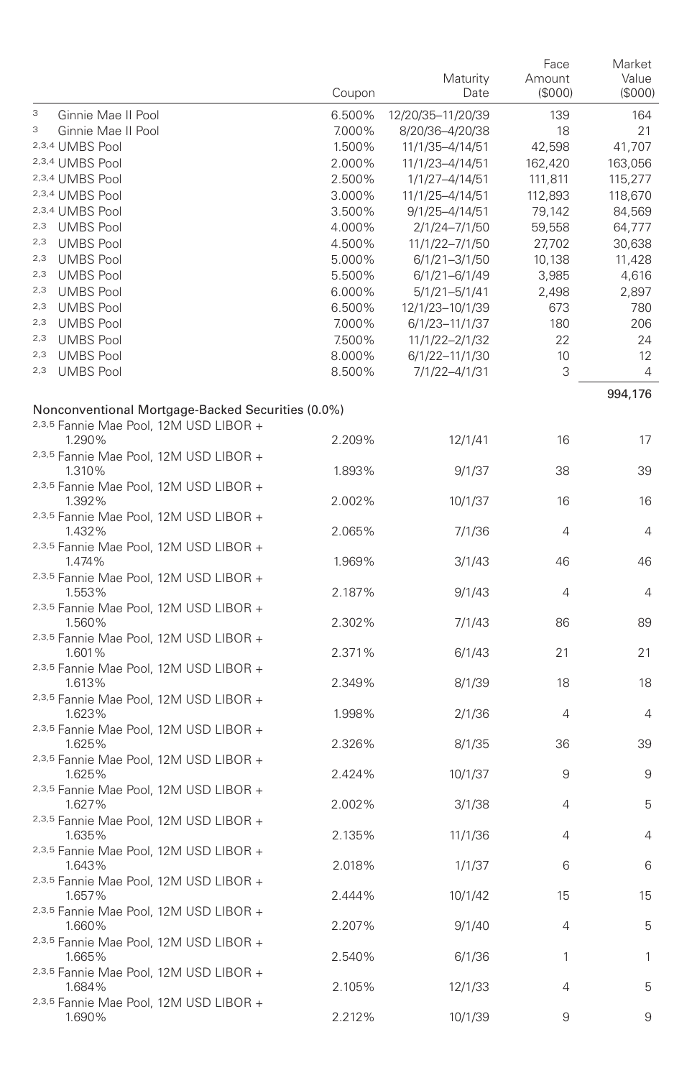|                                                             | Coupon | Maturity<br>Date  | Face<br>Amount<br>(\$000) | Market<br>Value<br>(\$000) |
|-------------------------------------------------------------|--------|-------------------|---------------------------|----------------------------|
| 3<br>Ginnie Mae II Pool                                     | 6.500% | 12/20/35-11/20/39 | 139                       | 164                        |
| З<br>Ginnie Mae II Pool                                     | 7.000% | 8/20/36-4/20/38   | 18                        | 21                         |
| 2,3,4 UMBS Pool                                             | 1.500% | 11/1/35-4/14/51   | 42,598                    | 41,707                     |
| 2,3,4 UMBS Pool                                             | 2.000% | 11/1/23-4/14/51   | 162,420                   | 163,056                    |
| 2,3,4 UMBS Pool                                             | 2.500% | 1/1/27-4/14/51    | 111,811                   | 115,277                    |
| 2,3,4 UMBS Pool                                             | 3.000% | 11/1/25-4/14/51   | 112,893                   | 118,670                    |
| 2,3,4 UMBS Pool                                             | 3.500% | 9/1/25-4/14/51    | 79,142                    | 84,569                     |
| 2,3 UMBS Pool                                               | 4.000% | 2/1/24-7/1/50     | 59,558                    | 64,777                     |
| 2,3 UMBS Pool                                               | 4.500% | 11/1/22-7/1/50    | 27,702                    | 30,638                     |
| 2,3 UMBS Pool                                               | 5.000% | $6/1/21 - 3/1/50$ | 10,138                    | 11,428                     |
| 2,3 UMBS Pool                                               | 5.500% | 6/1/21-6/1/49     | 3,985                     | 4,616                      |
| 2,3 UMBS Pool                                               | 6.000% | $5/1/21 - 5/1/41$ | 2,498                     | 2,897                      |
| 2,3 UMBS Pool                                               | 6.500% | 12/1/23-10/1/39   | 673                       | 780                        |
| 2,3 UMBS Pool                                               | 7.000% | 6/1/23-11/1/37    | 180                       | 206                        |
| 2,3 UMBS Pool                                               | 7.500% | 11/1/22-2/1/32    | 22                        | 24                         |
| 2,3 UMBS Pool                                               | 8.000% | 6/1/22-11/1/30    | 10                        | 12                         |
| 2,3 UMBS Pool                                               | 8.500% | 7/1/22-4/1/31     | 3                         | 4                          |
| Nonconventional Mortgage-Backed Securities (0.0%)           |        |                   |                           | 994,176                    |
| 2,3,5 Fannie Mae Pool, 12M USD LIBOR +<br>1.290%            | 2.209% | 12/1/41           | 16                        | 17                         |
| 2,3,5 Fannie Mae Pool, 12M USD LIBOR +<br>1.310%            | 1.893% | 9/1/37            | 38                        | 39                         |
| <sup>2,3,5</sup> Fannie Mae Pool, 12M USD LIBOR +<br>1.392% | 2.002% | 10/1/37           | 16                        | 16                         |
| <sup>2,3,5</sup> Fannie Mae Pool, 12M USD LIBOR +<br>1.432% | 2.065% | 7/1/36            | 4                         | $\overline{4}$             |
| 2,3,5 Fannie Mae Pool, 12M USD LIBOR +<br>1.474%            | 1.969% | 3/1/43            | 46                        | 46                         |
| <sup>2,3,5</sup> Fannie Mae Pool, 12M USD LIBOR +<br>1.553% | 2.187% | 9/1/43            | 4                         | $\overline{4}$             |
| <sup>2,3,5</sup> Fannie Mae Pool, 12M USD LIBOR +<br>1.560% | 2.302% | 7/1/43            | 86                        | 89                         |
| <sup>2,3,5</sup> Fannie Mae Pool, 12M USD LIBOR +<br>1.601% | 2.371% | 6/1/43            | 21                        | 21                         |
| 2,3,5 Fannie Mae Pool, 12M USD LIBOR +<br>1.613%            | 2.349% | 8/1/39            | 18                        | 18                         |
| <sup>2,3,5</sup> Fannie Mae Pool, 12M USD LIBOR +<br>1.623% | 1.998% | 2/1/36            | 4                         | $\overline{4}$             |
| <sup>2,3,5</sup> Fannie Mae Pool, 12M USD LIBOR +<br>1.625% | 2.326% | 8/1/35            | 36                        | 39                         |
| 2,3,5 Fannie Mae Pool, 12M USD LIBOR +<br>1.625%            | 2.424% | 10/1/37           | 9                         | 9                          |
| <sup>2,3,5</sup> Fannie Mae Pool, 12M USD LIBOR +<br>1.627% | 2.002% | 3/1/38            | 4                         | 5                          |
| 2,3,5 Fannie Mae Pool, 12M USD LIBOR +<br>1.635%            | 2.135% | 11/1/36           | 4                         | $\overline{4}$             |
| 2,3,5 Fannie Mae Pool, 12M USD LIBOR +<br>1.643%            | 2.018% | 1/1/37            | 6                         | 6                          |
| 2,3,5 Fannie Mae Pool, 12M USD LIBOR +<br>1.657%            | 2.444% | 10/1/42           | 15                        | 15                         |
| <sup>2,3,5</sup> Fannie Mae Pool, 12M USD LIBOR +<br>1.660% | 2.207% | 9/1/40            | 4                         | 5                          |
| <sup>2,3,5</sup> Fannie Mae Pool, 12M USD LIBOR +<br>1.665% | 2.540% | 6/1/36            | 1                         | 1                          |
| 2,3,5 Fannie Mae Pool, 12M USD LIBOR +<br>1.684%            | 2.105% | 12/1/33           | 4                         | 5                          |
| <sup>2,3,5</sup> Fannie Mae Pool, 12M USD LIBOR +<br>1.690% | 2.212% | 10/1/39           | 9                         | 9                          |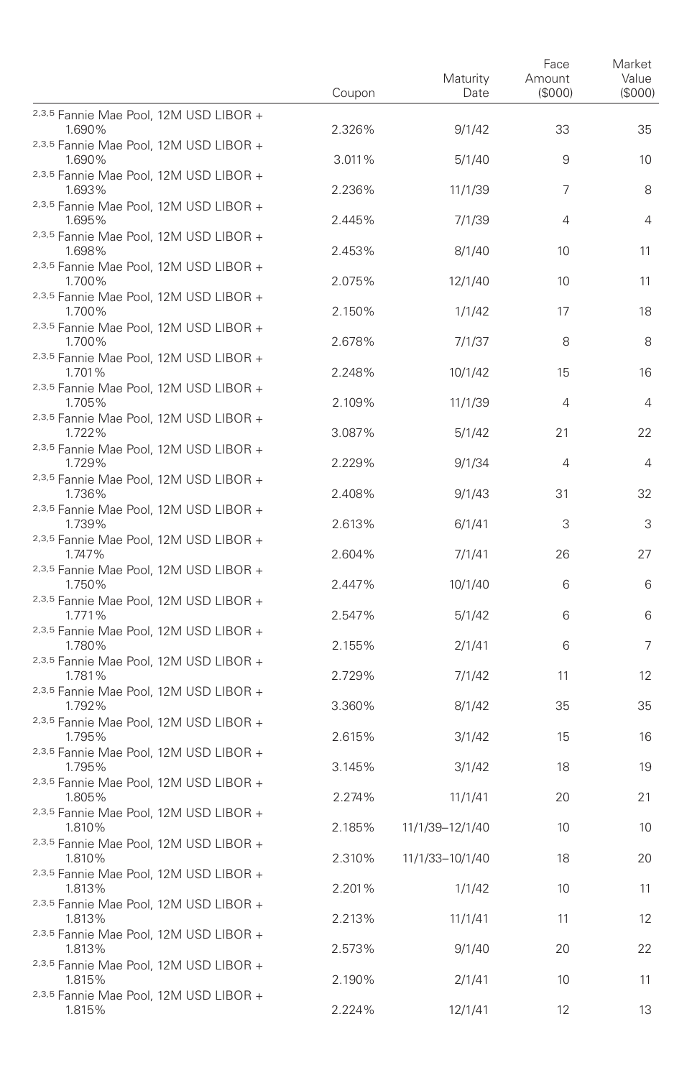|                                                                                                       | Coupon | Maturity<br>Date | Face<br>Amount<br>(S000) | Market<br>Value<br>(S000) |
|-------------------------------------------------------------------------------------------------------|--------|------------------|--------------------------|---------------------------|
| 2,3,5 Fannie Mae Pool, 12M USD LIBOR +<br>1.690%                                                      | 2.326% | 9/1/42           | 33                       | 35                        |
| <sup>2,3,5</sup> Fannie Mae Pool, 12M USD LIBOR +<br>1.690%                                           | 3.011% | 5/1/40           | 9                        | 10                        |
| <sup>2,3,5</sup> Fannie Mae Pool, 12M USD LIBOR +<br>1.693%                                           | 2.236% | 11/1/39          | 7                        | 8                         |
| 2,3,5 Fannie Mae Pool, 12M USD LIBOR +<br>1.695%                                                      | 2.445% | 7/1/39           | 4                        | $\overline{4}$            |
| 2,3,5 Fannie Mae Pool, 12M USD LIBOR +<br>1.698%                                                      | 2.453% | 8/1/40           | 10                       | 11                        |
| <sup>2,3,5</sup> Fannie Mae Pool, 12M USD LIBOR +<br>1.700%                                           | 2.075% | 12/1/40          | 10                       | 11                        |
| <sup>2,3,5</sup> Fannie Mae Pool, 12M USD LIBOR +<br>1.700%                                           | 2.150% | 1/1/42           | 17                       | 18                        |
| 2,3,5 Fannie Mae Pool, 12M USD LIBOR +<br>1.700%                                                      | 2.678% | 7/1/37           | 8                        | 8                         |
| <sup>2,3,5</sup> Fannie Mae Pool, 12M USD LIBOR +<br>1.701%                                           | 2.248% | 10/1/42          | 15                       | 16                        |
| 2,3,5 Fannie Mae Pool, 12M USD LIBOR +<br>1.705%                                                      | 2.109% | 11/1/39          | 4                        | $\overline{4}$            |
| 2,3,5 Fannie Mae Pool, 12M USD LIBOR +<br>1.722%                                                      | 3.087% | 5/1/42           | 21                       | 22                        |
| 2,3,5 Fannie Mae Pool, 12M USD LIBOR +<br>1.729%                                                      | 2.229% | 9/1/34           | 4                        | $\overline{4}$            |
| 2,3,5 Fannie Mae Pool, 12M USD LIBOR +<br>1.736%                                                      | 2.408% | 9/1/43           | 31                       | 32                        |
| <sup>2,3,5</sup> Fannie Mae Pool, 12M USD LIBOR +<br>1.739%                                           | 2.613% | 6/1/41           | 3                        | 3                         |
| 2,3,5 Fannie Mae Pool, 12M USD LIBOR +<br>1.747%                                                      | 2.604% | 7/1/41           | 26                       | 27                        |
| <sup>2,3,5</sup> Fannie Mae Pool, 12M USD LIBOR +<br>1.750%                                           | 2.447% | 10/1/40          | 6                        | 6                         |
| 2,3,5 Fannie Mae Pool, 12M USD LIBOR +<br>1.771%                                                      | 2.547% | 5/1/42           | 6                        | 6                         |
| 2,3,5 Fannie Mae Pool, 12M USD LIBOR +<br>1.780%                                                      | 2.155% | 2/1/41           | 6                        | 7                         |
| 2,3,5 Fannie Mae Pool, 12M USD LIBOR +<br>1.781%                                                      | 2.729% | 7/1/42           | 11                       | 12                        |
| 2,3,5 Fannie Mae Pool, 12M USD LIBOR +<br>1.792%                                                      | 3.360% | 8/1/42           | 35                       | 35                        |
| <sup>2,3,5</sup> Fannie Mae Pool, 12M USD LIBOR +<br>1.795%                                           | 2.615% | 3/1/42           | 15                       | 16                        |
| 2,3,5 Fannie Mae Pool, 12M USD LIBOR +<br>1.795%                                                      | 3.145% | 3/1/42           | 18                       | 19                        |
| 2,3,5 Fannie Mae Pool, 12M USD LIBOR +<br>1.805%                                                      | 2.274% | 11/1/41          | 20                       | 21                        |
| <sup>2,3,5</sup> Fannie Mae Pool, 12M USD LIBOR +<br>1.810%<br>2,3,5 Fannie Mae Pool, 12M USD LIBOR + | 2.185% | 11/1/39-12/1/40  | 10                       | 10                        |
| 1.810%<br>2,3,5 Fannie Mae Pool, 12M USD LIBOR +                                                      | 2.310% | 11/1/33-10/1/40  | 18                       | 20                        |
| 1.813%<br><sup>2,3,5</sup> Fannie Mae Pool, 12M USD LIBOR +                                           | 2.201% | 1/1/42           | 10                       | 11                        |
| 1.813%<br><sup>2,3,5</sup> Fannie Mae Pool, 12M USD LIBOR +                                           | 2.213% | 11/1/41          | 11                       | 12                        |
| 1.813%<br>2,3,5 Fannie Mae Pool, 12M USD LIBOR +                                                      | 2.573% | 9/1/40           | 20                       | 22                        |
| 1.815%<br><sup>2,3,5</sup> Fannie Mae Pool, 12M USD LIBOR +                                           | 2.190% | 2/1/41           | 10                       | 11                        |
| 1.815%                                                                                                | 2.224% | 12/1/41          | 12                       | 13                        |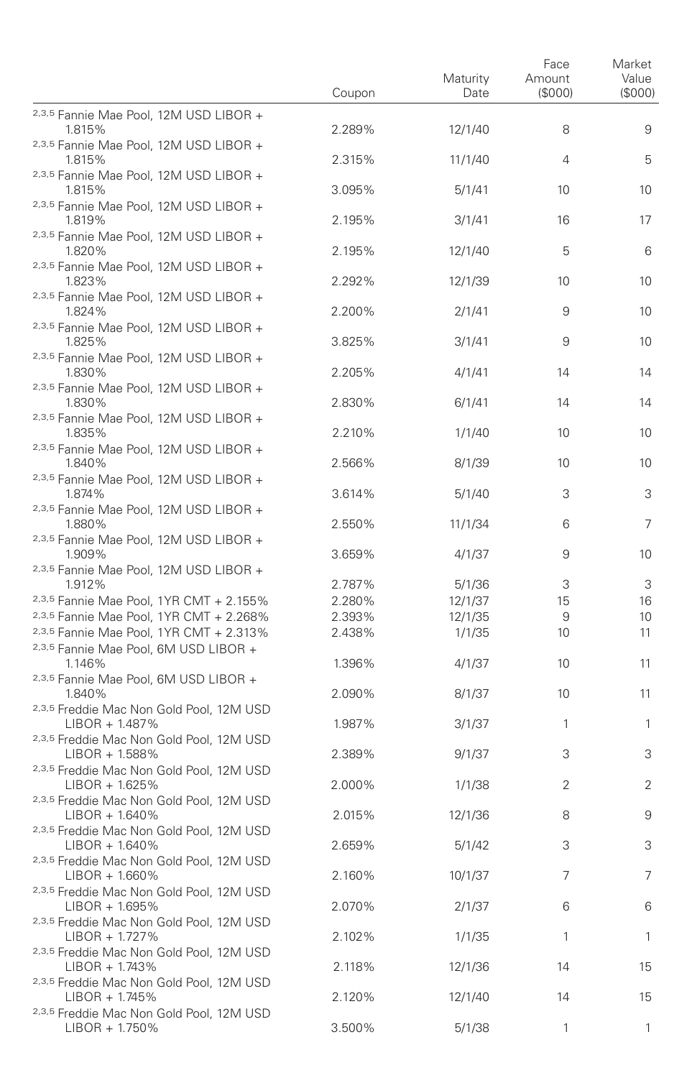|                                                                                            | Coupon | Maturity<br>Date | Face<br>Amount<br>(\$000) | Market<br>Value<br>(S000) |
|--------------------------------------------------------------------------------------------|--------|------------------|---------------------------|---------------------------|
| 2,3,5 Fannie Mae Pool, 12M USD LIBOR +<br>1.815%                                           | 2.289% | 12/1/40          | 8                         | 9                         |
| <sup>2,3,5</sup> Fannie Mae Pool, 12M USD LIBOR +<br>1.815%                                | 2.315% | 11/1/40          | 4                         | 5                         |
| 2,3,5 Fannie Mae Pool, 12M USD LIBOR +<br>1.815%                                           | 3.095% | 5/1/41           | 10                        | 10                        |
| 2,3,5 Fannie Mae Pool, 12M USD LIBOR +<br>1.819%                                           | 2.195% | 3/1/41           | 16                        | 17                        |
| 2,3,5 Fannie Mae Pool, 12M USD LIBOR +<br>1.820%                                           | 2.195% | 12/1/40          | 5                         | 6                         |
| 2,3,5 Fannie Mae Pool, 12M USD LIBOR +<br>1.823%                                           | 2.292% | 12/1/39          | 10                        | 10                        |
| <sup>2,3,5</sup> Fannie Mae Pool, 12M USD LIBOR +<br>1.824%                                | 2.200% | 2/1/41           | 9                         | 10                        |
| 2,3,5 Fannie Mae Pool, 12M USD LIBOR +<br>1.825%                                           | 3.825% | 3/1/41           | 9                         | 10                        |
| 2,3,5 Fannie Mae Pool, 12M USD LIBOR +<br>1.830%                                           | 2.205% | 4/1/41           | 14                        | 14                        |
| 2,3,5 Fannie Mae Pool, 12M USD LIBOR +<br>1.830%                                           | 2.830% | 6/1/41           | 14                        | 14                        |
| 2,3,5 Fannie Mae Pool, 12M USD LIBOR +<br>1.835%<br>2,3,5 Fannie Mae Pool, 12M USD LIBOR + | 2.210% | 1/1/40           | 10                        | 10                        |
| 1.840%<br><sup>2,3,5</sup> Fannie Mae Pool, 12M USD LIBOR +                                | 2.566% | 8/1/39           | 10                        | 10                        |
| 1.874%<br>2,3,5 Fannie Mae Pool, 12M USD LIBOR +                                           | 3.614% | 5/1/40           | 3                         | 3                         |
| 1.880%<br>2,3,5 Fannie Mae Pool, 12M USD LIBOR +                                           | 2.550% | 11/1/34          | 6                         | 7                         |
| 1.909%<br>2,3,5 Fannie Mae Pool, 12M USD LIBOR +                                           | 3.659% | 4/1/37           | 9                         | 10                        |
| 1.912%                                                                                     | 2.787% | 5/1/36           | 3                         | 3                         |
| 2,3,5 Fannie Mae Pool, 1YR CMT + 2.155%                                                    | 2.280% | 12/1/37          | 15                        | 16                        |
| 2,3,5 Fannie Mae Pool, 1YR CMT + 2.268%                                                    | 2.393% | 12/1/35          | 9                         | 10                        |
| 2,3,5 Fannie Mae Pool, 1YR CMT + 2.313%                                                    | 2.438% | 1/1/35           | 10                        | 11                        |
| 2,3,5 Fannie Mae Pool, 6M USD LIBOR +<br>1.146%<br>2,3,5 Fannie Mae Pool, 6M USD LIBOR +   | 1.396% | 4/1/37           | 10                        | 11                        |
| 1.840%<br>2,3,5 Freddie Mac Non Gold Pool, 12M USD                                         | 2.090% | 8/1/37           | 10                        | 11                        |
| $LIBOR + 1.487%$<br>2,3,5 Freddie Mac Non Gold Pool, 12M USD                               | 1.987% | 3/1/37           | 1                         | $\mathbf{1}$              |
| $LIBOR + 1.588%$<br>2,3,5 Freddie Mac Non Gold Pool, 12M USD                               | 2.389% | 9/1/37           | 3                         | 3                         |
| $LIBOR + 1.625%$<br>2,3,5 Freddie Mac Non Gold Pool, 12M USD                               | 2.000% | 1/1/38           | 2                         | 2                         |
| $LIBOR + 1.640\%$<br>2,3,5 Freddie Mac Non Gold Pool, 12M USD                              | 2.015% | 12/1/36          | 8                         | 9                         |
| $LIBOR + 1.640\%$<br>2,3,5 Freddie Mac Non Gold Pool, 12M USD                              | 2.659% | 5/1/42           | 3                         | 3                         |
| $LIBOR + 1.660\%$<br>2,3,5 Freddie Mac Non Gold Pool, 12M USD                              | 2.160% | 10/1/37          | 7                         | 7                         |
| $LIBOR + 1.695\%$<br>2,3,5 Freddie Mac Non Gold Pool, 12M USD                              | 2.070% | 2/1/37           | 6                         | 6                         |
| LIBOR + 1.727%<br>2,3,5 Freddie Mac Non Gold Pool, 12M USD                                 | 2.102% | 1/1/35           | 1                         | 1                         |
| LIBOR + 1.743%<br>2,3,5 Freddie Mac Non Gold Pool, 12M USD                                 | 2.118% | 12/1/36          | 14                        | 15                        |
| LIBOR + 1.745%<br>2,3,5 Freddie Mac Non Gold Pool, 12M USD                                 | 2.120% | 12/1/40          | 14                        | 15                        |
| LIBOR + 1.750%                                                                             | 3.500% | 5/1/38           | 1                         | $\mathbf{1}$              |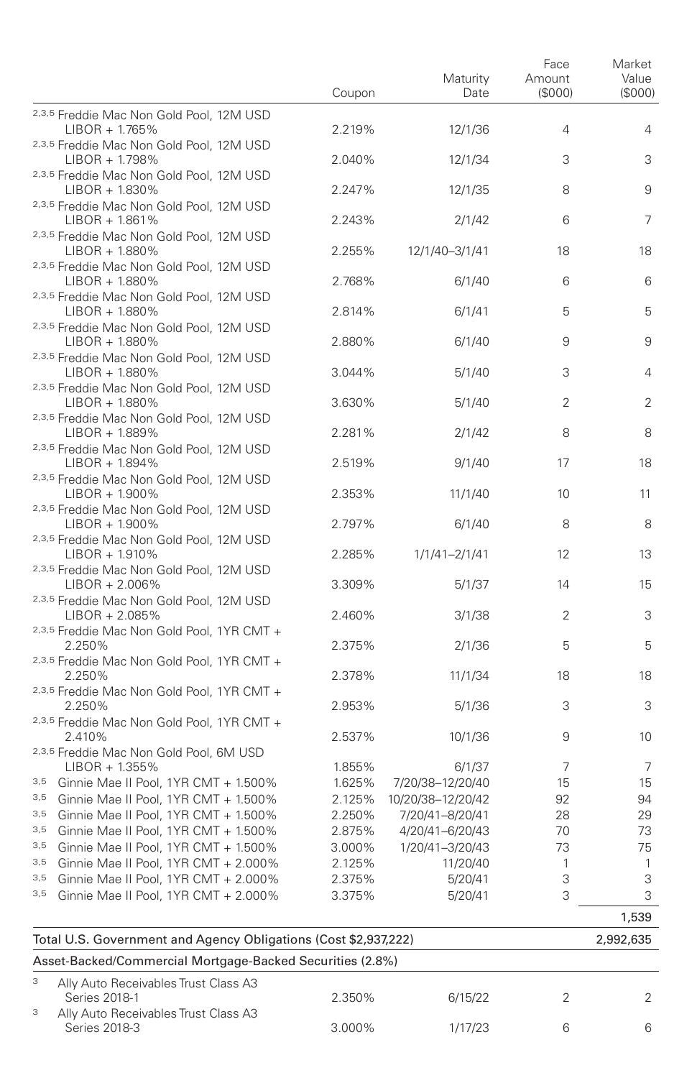|     |                                                                                                        | Coupon           | Maturity<br>Date  | Face<br>Amount<br>(\$000) | Market<br>Value<br>(\$000) |  |
|-----|--------------------------------------------------------------------------------------------------------|------------------|-------------------|---------------------------|----------------------------|--|
|     | 2,3,5 Freddie Mac Non Gold Pool, 12M USD<br>$LIBOR + 1.765\%$                                          | 2.219%           | 12/1/36           | 4                         | 4                          |  |
|     | 2,3,5 Freddie Mac Non Gold Pool, 12M USD<br>LIBOR + 1.798%                                             | 2.040%           | 12/1/34           | 3                         | 3                          |  |
|     | 2,3,5 Freddie Mac Non Gold Pool, 12M USD<br>LIBOR + 1.830%                                             | 2.247%           | 12/1/35           | 8                         | 9                          |  |
|     | 2,3,5 Freddie Mac Non Gold Pool, 12M USD<br>LIBOR + 1.861%                                             | 2.243%           | 2/1/42            | 6                         | 7                          |  |
|     | 2,3,5 Freddie Mac Non Gold Pool, 12M USD<br>LIBOR + 1.880%                                             | 2.255%           | 12/1/40-3/1/41    | 18                        | 18                         |  |
|     | 2,3,5 Freddie Mac Non Gold Pool, 12M USD<br>LIBOR + 1.880%                                             | 2.768%           | 6/1/40            | 6                         | 6                          |  |
|     | 2,3,5 Freddie Mac Non Gold Pool, 12M USD<br>LIBOR + 1.880%                                             | 2.814%           | 6/1/41            | 5                         | 5                          |  |
|     | 2,3,5 Freddie Mac Non Gold Pool, 12M USD<br>LIBOR + 1.880%                                             | 2.880%           | 6/1/40            | 9                         | 9                          |  |
|     | 2,3,5 Freddie Mac Non Gold Pool, 12M USD<br>LIBOR + 1.880%                                             | 3.044%           | 5/1/40            | 3                         | 4                          |  |
|     | 2,3,5 Freddie Mac Non Gold Pool, 12M USD<br>LIBOR + 1.880%<br>2,3,5 Freddie Mac Non Gold Pool, 12M USD | 3.630%           | 5/1/40            | 2                         | 2                          |  |
|     | $LIBOR + 1.889%$<br>2,3,5 Freddie Mac Non Gold Pool, 12M USD                                           | 2.281%           | 2/1/42            | 8                         | 8                          |  |
|     | LIBOR + 1.894%<br>2,3,5 Freddie Mac Non Gold Pool, 12M USD                                             | 2.519%           | 9/1/40            | 17                        | 18                         |  |
|     | LIBOR + 1.900%<br>2,3,5 Freddie Mac Non Gold Pool, 12M USD                                             | 2.353%           | 11/1/40           | 10                        | 11                         |  |
|     | LIBOR + 1.900%<br>2,3,5 Freddie Mac Non Gold Pool, 12M USD                                             | 2.797%           | 6/1/40            | 8                         | 8                          |  |
|     | LIBOR + 1.910%<br>2,3,5 Freddie Mac Non Gold Pool, 12M USD                                             | 2.285%           | 1/1/41-2/1/41     | 12                        | 13                         |  |
|     | $LIBOR + 2.006\%$<br>2,3,5 Freddie Mac Non Gold Pool, 12M USD                                          | 3.309%           | 5/1/37            | 14                        | 15                         |  |
|     | $LIBOR + 2.085%$<br>2,3,5 Freddie Mac Non Gold Pool, 1YR CMT +                                         | 2.460%           | 3/1/38            | 2                         | 3                          |  |
|     | 2.250%<br>2,3,5 Freddie Mac Non Gold Pool, 1YR CMT +                                                   | 2.375%           | 2/1/36            | 5                         | 5                          |  |
|     | 2.250%<br>2,3,5 Freddie Mac Non Gold Pool, 1YR CMT +                                                   | 2.378%           | 11/1/34           | 18                        | 18                         |  |
|     | 2.250%<br>2,3,5 Freddie Mac Non Gold Pool, 1YR CMT +<br>2.410%                                         | 2.953%<br>2.537% | 5/1/36<br>10/1/36 | 3<br>9                    | 3<br>10                    |  |
|     | 2,3,5 Freddie Mac Non Gold Pool, 6M USD<br>LIBOR + 1.355%                                              | 1.855%           | 6/1/37            | 7                         | 7                          |  |
|     | 3,5 Ginnie Mae II Pool, 1YR CMT + 1.500%                                                               | 1.625%           | 7/20/38-12/20/40  | 15                        | 15                         |  |
|     | 3,5 Ginnie Mae II Pool, 1YR CMT + 1.500%                                                               | 2.125%           | 10/20/38-12/20/42 | 92                        | 94                         |  |
|     | 3,5 Ginnie Mae II Pool, 1YR CMT + 1.500%                                                               | 2.250%           | 7/20/41-8/20/41   | 28                        | 29                         |  |
|     | 3,5 Ginnie Mae II Pool, 1YR CMT + 1.500%                                                               | 2.875%           | 4/20/41-6/20/43   | 70                        | 73                         |  |
|     | 3,5 Ginnie Mae II Pool, 1YR CMT + 1.500%                                                               | 3.000%           | 1/20/41-3/20/43   | 73                        | 75                         |  |
|     | 3,5 Ginnie Mae II Pool, 1YR CMT + 2.000%                                                               | 2.125%           | 11/20/40          | $\mathbf{1}$              | 1                          |  |
|     | 3,5 Ginnie Mae II Pool, 1YR CMT + 2.000%                                                               | 2.375%           | 5/20/41           | 3                         | 3                          |  |
| 3,5 | Ginnie Mae II Pool, 1YR CMT + 2.000%                                                                   | 3.375%           | 5/20/41           | 3                         | 3                          |  |
|     |                                                                                                        |                  |                   |                           | 1,539                      |  |
|     | Total U.S. Government and Agency Obligations (Cost \$2,937,222)                                        |                  |                   |                           |                            |  |
|     | Asset-Backed/Commercial Mortgage-Backed Securities (2.8%)                                              |                  |                   |                           | 2,992,635                  |  |
| 3   | Ally Auto Receivables Trust Class A3<br>Series 2018-1                                                  | 2.350%           | 6/15/22           | 2                         | 2                          |  |
| 3   | Ally Auto Receivables Trust Class A3                                                                   |                  |                   |                           |                            |  |

Series 2018-3 3.000% 1/17/23 6 6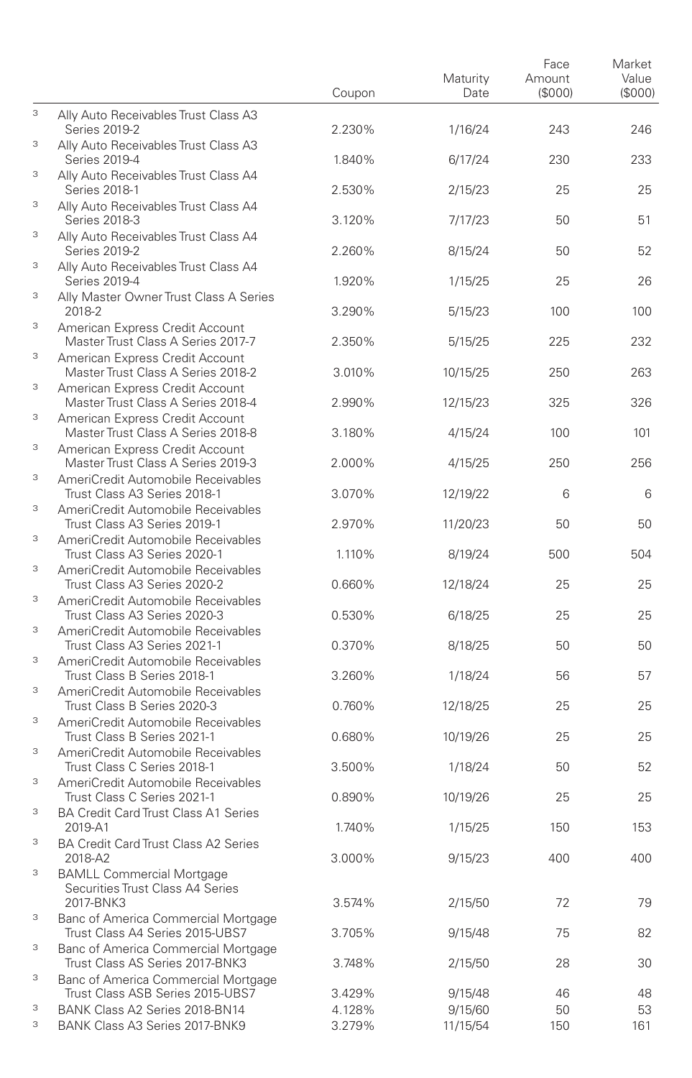|   |                                                                          | Coupon | Maturity<br>Date | Face<br>Amount<br>(\$000) | Market<br>Value<br>(SOOO) |
|---|--------------------------------------------------------------------------|--------|------------------|---------------------------|---------------------------|
| 3 | Ally Auto Receivables Trust Class A3<br>Series 2019-2                    | 2.230% | 1/16/24          | 243                       | 246                       |
| 3 | Ally Auto Receivables Trust Class A3<br>Series 2019-4                    | 1.840% | 6/17/24          | 230                       | 233                       |
| 3 | Ally Auto Receivables Trust Class A4<br>Series 2018-1                    | 2.530% | 2/15/23          | 25                        | 25                        |
| 3 | Ally Auto Receivables Trust Class A4<br>Series 2018-3                    | 3.120% | 7/17/23          | 50                        | 51                        |
| 3 | Ally Auto Receivables Trust Class A4<br>Series 2019-2                    | 2.260% | 8/15/24          | 50                        | 52                        |
| 3 | Ally Auto Receivables Trust Class A4<br>Series 2019-4                    | 1.920% | 1/15/25          | 25                        | 26                        |
| 3 | Ally Master Owner Trust Class A Series<br>2018-2                         | 3.290% | 5/15/23          | 100                       | 100                       |
| 3 | American Express Credit Account<br>Master Trust Class A Series 2017-7    | 2.350% |                  | 225                       | 232                       |
| 3 | American Express Credit Account                                          |        | 5/15/25          |                           |                           |
| 3 | Master Trust Class A Series 2018-2<br>American Express Credit Account    | 3.010% | 10/15/25         | 250                       | 263                       |
| 3 | Master Trust Class A Series 2018-4<br>American Express Credit Account    | 2.990% | 12/15/23         | 325                       | 326                       |
| 3 | Master Trust Class A Series 2018-8<br>American Express Credit Account    | 3.180% | 4/15/24          | 100                       | 101                       |
| 3 | Master Trust Class A Series 2019-3<br>AmeriCredit Automobile Receivables | 2.000% | 4/15/25          | 250                       | 256                       |
| 3 | Trust Class A3 Series 2018-1<br>AmeriCredit Automobile Receivables       | 3.070% | 12/19/22         | 6                         | 6                         |
| 3 | Trust Class A3 Series 2019-1<br>AmeriCredit Automobile Receivables       | 2.970% | 11/20/23         | 50                        | 50                        |
| 3 | Trust Class A3 Series 2020-1<br>AmeriCredit Automobile Receivables       | 1.110% | 8/19/24          | 500                       | 504                       |
| 3 | Trust Class A3 Series 2020-2<br>AmeriCredit Automobile Receivables       | 0.660% | 12/18/24         | 25                        | 25                        |
| 3 | Trust Class A3 Series 2020-3<br>AmeriCredit Automobile Receivables       | 0.530% | 6/18/25          | 25                        | 25                        |
| 3 | Trust Class A3 Series 2021-1<br>AmeriCredit Automobile Receivables       | 0.370% | 8/18/25          | 50                        | 50                        |
| 3 | Trust Class B Series 2018-1<br>AmeriCredit Automobile Receivables        | 3.260% | 1/18/24          | 56                        | 57                        |
| 3 | Trust Class B Series 2020-3<br>AmeriCredit Automobile Receivables        | 0.760% | 12/18/25         | 25                        | 25                        |
| 3 | Trust Class B Series 2021-1<br>AmeriCredit Automobile Receivables        | 0.680% | 10/19/26         | 25                        | 25                        |
| 3 | Trust Class C Series 2018-1<br>AmeriCredit Automobile Receivables        | 3.500% | 1/18/24          | 50                        | 52                        |
| 3 | Trust Class C Series 2021-1<br>BA Credit Card Trust Class A1 Series      | 0.890% | 10/19/26         | 25                        | 25                        |
| 3 | 2019-A1<br>BA Credit Card Trust Class A2 Series                          | 1.740% | 1/15/25          | 150                       | 153                       |
| 3 | 2018-A2<br><b>BAMLL Commercial Mortgage</b>                              | 3.000% | 9/15/23          | 400                       | 400                       |
|   | Securities Trust Class A4 Series<br>2017-BNK3                            | 3.574% | 2/15/50          | 72                        | 79                        |
| 3 | Banc of America Commercial Mortgage<br>Trust Class A4 Series 2015-UBS7   | 3.705% | 9/15/48          | 75                        | 82                        |
| 3 | Banc of America Commercial Mortgage<br>Trust Class AS Series 2017-BNK3   | 3.748% | 2/15/50          | 28                        | 30                        |
| 3 | Banc of America Commercial Mortgage<br>Trust Class ASB Series 2015-UBS7  | 3.429% | 9/15/48          | 46                        | 48                        |
| 3 | BANK Class A2 Series 2018-BN14                                           | 4.128% | 9/15/60          | 50                        | 53                        |
| 3 | BANK Class A3 Series 2017-BNK9                                           | 3.279% | 11/15/54         | 150                       | 161                       |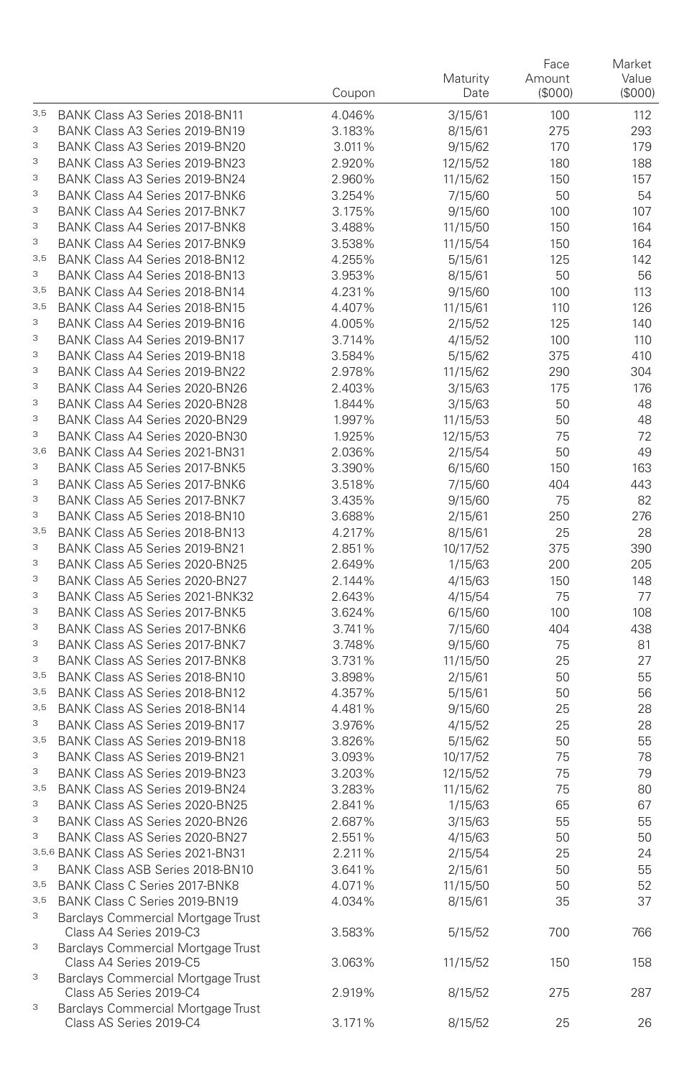|                           |                                                                      | Coupon           | Maturity<br>Date    | Face<br>Amount<br>(\$000) | Market<br>Value<br>(\$000) |
|---------------------------|----------------------------------------------------------------------|------------------|---------------------|---------------------------|----------------------------|
| 3,5                       | BANK Class A3 Series 2018-BN11                                       | 4.046%           | 3/15/61             | 100                       | 112                        |
| 3                         | BANK Class A3 Series 2019-BN19                                       | 3.183%           | 8/15/61             | 275                       | 293                        |
| 3                         | BANK Class A3 Series 2019-BN20                                       | 3.011%           | 9/15/62             | 170                       | 179                        |
| 3                         | BANK Class A3 Series 2019-BN23                                       | 2.920%           | 12/15/52            | 180                       | 188                        |
| 3                         | BANK Class A3 Series 2019-BN24                                       | 2.960%           | 11/15/62            | 150                       | 157                        |
| 3                         | BANK Class A4 Series 2017-BNK6                                       | 3.254%           | 7/15/60             | 50                        | 54                         |
| 3<br>3                    | BANK Class A4 Series 2017-BNK7                                       | 3.175%           | 9/15/60             | 100                       | 107                        |
| 3                         | BANK Class A4 Series 2017-BNK8                                       | 3.488%           | 11/15/50            | 150                       | 164                        |
| 3,5                       | BANK Class A4 Series 2017-BNK9<br>BANK Class A4 Series 2018-BN12     | 3.538%<br>4.255% | 11/15/54            | 150                       | 164                        |
| 3                         | BANK Class A4 Series 2018-BN13                                       | 3.953%           | 5/15/61<br>8/15/61  | 125<br>50                 | 142<br>56                  |
| 3,5                       | BANK Class A4 Series 2018-BN14                                       | 4.231%           | 9/15/60             | 100                       | 113                        |
| 3,5                       | BANK Class A4 Series 2018-BN15                                       | 4.407%           | 11/15/61            | 110                       | 126                        |
| 3                         | BANK Class A4 Series 2019-BN16                                       | 4.005%           | 2/15/52             | 125                       | 140                        |
| 3                         | BANK Class A4 Series 2019-BN17                                       | 3.714%           | 4/15/52             | 100                       | 110                        |
| 3                         | BANK Class A4 Series 2019-BN18                                       | 3.584%           | 5/15/62             | 375                       | 410                        |
| 3                         | BANK Class A4 Series 2019-BN22                                       | 2.978%           | 11/15/62            | 290                       | 304                        |
| 3                         | BANK Class A4 Series 2020-BN26                                       | 2.403%           | 3/15/63             | 175                       | 176                        |
| 3                         | BANK Class A4 Series 2020-BN28                                       | 1.844%           | 3/15/63             | 50                        | 48                         |
| 3                         | BANK Class A4 Series 2020-BN29                                       | 1.997%           | 11/15/53            | 50                        | 48                         |
| 3                         | BANK Class A4 Series 2020-BN30                                       | 1.925%           | 12/15/53            | 75                        | 72                         |
| 3,6                       | BANK Class A4 Series 2021-BN31                                       | 2.036%           | 2/15/54             | 50                        | 49                         |
| 3                         | BANK Class A5 Series 2017-BNK5                                       | 3.390%           | 6/15/60             | 150                       | 163                        |
| 3                         | BANK Class A5 Series 2017-BNK6                                       | 3.518%           | 7/15/60             | 404                       | 443                        |
| 3                         | BANK Class A5 Series 2017-BNK7                                       | 3.435%           | 9/15/60             | 75                        | 82                         |
| 3                         | BANK Class A5 Series 2018-BN10                                       | 3.688%           | 2/15/61             | 250                       | 276                        |
| 3,5                       | BANK Class A5 Series 2018-BN13                                       | 4.217%           | 8/15/61             | 25                        | 28                         |
| 3                         | BANK Class A5 Series 2019-BN21                                       | 2.851%           | 10/17/52            | 375                       | 390                        |
| 3                         | BANK Class A5 Series 2020-BN25                                       | 2.649%           | 1/15/63             | 200                       | 205                        |
| 3                         | BANK Class A5 Series 2020-BN27                                       | 2.144%           | 4/15/63             | 150                       | 148                        |
| 3                         | BANK Class A5 Series 2021-BNK32                                      | 2.643%           | 4/15/54             | 75                        | 77                         |
| 3<br>3                    | BANK Class AS Series 2017-BNK5                                       | 3.624%           | 6/15/60             | 100                       | 108                        |
| 3                         | BANK Class AS Series 2017-BNK6<br>BANK Class AS Series 2017-BNK7     | 3.741%           | 7/15/60             | 404                       | 438                        |
| 3                         | <b>BANK Class AS Series 2017-BNK8</b>                                | 3.748%<br>3.731% | 9/15/60<br>11/15/50 | 75<br>25                  | 81<br>27                   |
| 3,5                       | BANK Class AS Series 2018-BN10                                       | 3.898%           | 2/15/61             | 50                        | 55                         |
| 3,5                       | BANK Class AS Series 2018-BN12                                       | 4.357%           | 5/15/61             | 50                        | 56                         |
| 3,5                       | BANK Class AS Series 2018-BN14                                       | 4.481%           | 9/15/60             | 25                        | 28                         |
| 3                         | BANK Class AS Series 2019-BN17                                       | 3.976%           | 4/15/52             | 25                        | 28                         |
| 3,5                       | BANK Class AS Series 2019-BN18                                       | 3.826%           | 5/15/62             | 50                        | 55                         |
| 3                         | BANK Class AS Series 2019-BN21                                       | 3.093%           | 10/17/52            | 75                        | 78                         |
| 3                         | BANK Class AS Series 2019-BN23                                       | 3.203%           | 12/15/52            | 75                        | 79                         |
| 3,5                       | BANK Class AS Series 2019-BN24                                       | 3.283%           | 11/15/62            | 75                        | 80                         |
| 3                         | BANK Class AS Series 2020-BN25                                       | 2.841%           | 1/15/63             | 65                        | 67                         |
| 3                         | BANK Class AS Series 2020-BN26                                       | 2.687%           | 3/15/63             | 55                        | 55                         |
| 3                         | BANK Class AS Series 2020-BN27                                       | 2.551%           | 4/15/63             | 50                        | 50                         |
|                           | 3,5,6 BANK Class AS Series 2021-BN31                                 | 2.211%           | 2/15/54             | 25                        | 24                         |
| 3                         | BANK Class ASB Series 2018-BN10                                      | 3.641%           | 2/15/61             | 50                        | 55                         |
| 3,5                       | BANK Class C Series 2017-BNK8                                        | 4.071%           | 11/15/50            | 50                        | 52                         |
| 3,5                       | BANK Class C Series 2019-BN19                                        | 4.034%           | 8/15/61             | 35                        | 37                         |
| $\ensuremath{\mathsf{3}}$ | Barclays Commercial Mortgage Trust<br>Class A4 Series 2019-C3        | 3.583%           | 5/15/52             | 700                       | 766                        |
| 3                         | <b>Barclays Commercial Mortgage Trust</b><br>Class A4 Series 2019-C5 | 3.063%           | 11/15/52            | 150                       | 158                        |
| 3                         | Barclays Commercial Mortgage Trust<br>Class A5 Series 2019-C4        | 2.919%           | 8/15/52             | 275                       | 287                        |
| 3                         | Barclays Commercial Mortgage Trust<br>Class AS Series 2019-C4        | 3.171%           | 8/15/52             | 25                        | 26                         |
|                           |                                                                      |                  |                     |                           |                            |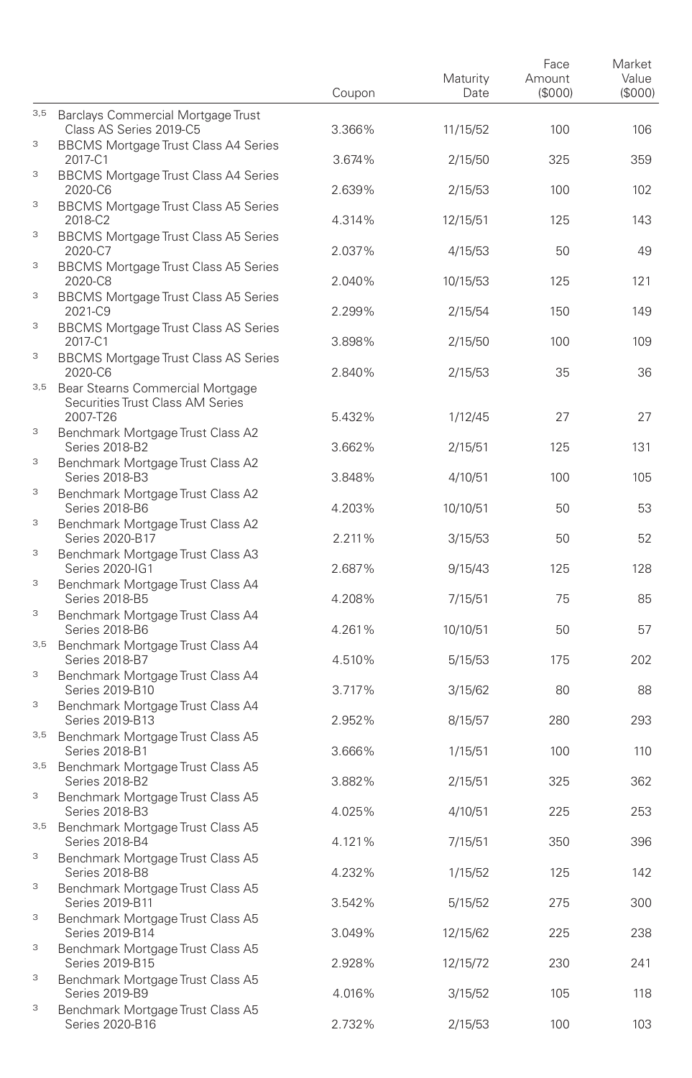|     |                                                                          | Coupon | Maturity<br>Date | Face<br>Amount<br>(\$000) | Market<br>Value<br>(\$000) |
|-----|--------------------------------------------------------------------------|--------|------------------|---------------------------|----------------------------|
| 3,5 | Barclays Commercial Mortgage Trust<br>Class AS Series 2019-C5            | 3.366% | 11/15/52         | 100                       | 106                        |
| 3   | <b>BBCMS Mortgage Trust Class A4 Series</b><br>2017-C1                   | 3.674% | 2/15/50          | 325                       | 359                        |
| 3   | <b>BBCMS Mortgage Trust Class A4 Series</b><br>2020-C6                   | 2.639% | 2/15/53          | 100                       | 102                        |
| 3   | <b>BBCMS Mortgage Trust Class A5 Series</b><br>2018-C2                   | 4.314% | 12/15/51         | 125                       | 143                        |
| 3   | <b>BBCMS Mortgage Trust Class A5 Series</b><br>2020-C7                   | 2.037% | 4/15/53          | 50                        | 49                         |
| 3   | <b>BBCMS Mortgage Trust Class A5 Series</b><br>2020-C8                   | 2.040% | 10/15/53         | 125                       | 121                        |
| 3   | <b>BBCMS Mortgage Trust Class A5 Series</b><br>2021-C9                   | 2.299% | 2/15/54          | 150                       | 149                        |
| 3   | <b>BBCMS Mortgage Trust Class AS Series</b><br>2017-C1                   | 3.898% | 2/15/50          | 100                       | 109                        |
| 3   | <b>BBCMS Mortgage Trust Class AS Series</b><br>2020-C6                   | 2.840% | 2/15/53          | 35                        | 36                         |
|     | 3,5 Bear Stearns Commercial Mortgage<br>Securities Trust Class AM Series |        |                  |                           |                            |
| 3   | 2007-T26<br>Benchmark Mortgage Trust Class A2                            | 5.432% | 1/12/45          | 27                        | 27                         |
| 3   | Series 2018-B2<br>Benchmark Mortgage Trust Class A2                      | 3.662% | 2/15/51          | 125                       | 131                        |
| 3   | <b>Series 2018-B3</b>                                                    | 3.848% | 4/10/51          | 100                       | 105                        |
|     | Benchmark Mortgage Trust Class A2<br>Series 2018-B6                      | 4.203% | 10/10/51         | 50                        | 53                         |
| 3   | Benchmark Mortgage Trust Class A2<br>Series 2020-B17                     | 2.211% | 3/15/53          | 50                        | 52                         |
| 3   | Benchmark Mortgage Trust Class A3<br>Series 2020-IG1                     | 2.687% | 9/15/43          | 125                       | 128                        |
| 3   | Benchmark Mortgage Trust Class A4<br>Series 2018-B5                      | 4.208% | 7/15/51          | 75                        | 85                         |
| 3   | Benchmark Mortgage Trust Class A4<br>Series 2018-B6                      | 4.261% | 10/10/51         | 50                        | 57                         |
| 3,5 | Benchmark Mortgage Trust Class A4<br>Series 2018-B7                      | 4.510% | 5/15/53          | 175                       | 202                        |
| 3   | Benchmark Mortgage Trust Class A4<br>Series 2019-B10                     | 3.717% | 3/15/62          | 80                        | 88                         |
| 3   | Benchmark Mortgage Trust Class A4<br>Series 2019-B13                     | 2.952% | 8/15/57          | 280                       | 293                        |
|     | 3,5 Benchmark Mortgage Trust Class A5<br>Series 2018-B1                  | 3.666% | 1/15/51          | 100                       | 110                        |
| 3,5 | Benchmark Mortgage Trust Class A5<br>Series 2018-B2                      | 3.882% | 2/15/51          | 325                       | 362                        |
| 3   | Benchmark Mortgage Trust Class A5<br>Series 2018-B3                      | 4.025% | 4/10/51          | 225                       | 253                        |
| 3,5 | Benchmark Mortgage Trust Class A5<br><b>Series 2018-B4</b>               | 4.121% | 7/15/51          | 350                       | 396                        |
| 3   | Benchmark Mortgage Trust Class A5<br>Series 2018-B8                      | 4.232% | 1/15/52          | 125                       | 142                        |
| 3   | Benchmark Mortgage Trust Class A5<br>Series 2019-B11                     | 3.542% | 5/15/52          | 275                       | 300                        |
| 3   | Benchmark Mortgage Trust Class A5<br>Series 2019-B14                     | 3.049% | 12/15/62         | 225                       | 238                        |
| 3   | Benchmark Mortgage Trust Class A5<br>Series 2019-B15                     | 2.928% | 12/15/72         | 230                       | 241                        |
| 3   | Benchmark Mortgage Trust Class A5<br>Series 2019-B9                      | 4.016% | 3/15/52          | 105                       | 118                        |
| 3   | Benchmark Mortgage Trust Class A5<br>Series 2020-B16                     | 2.732% | 2/15/53          | 100                       | 103                        |
|     |                                                                          |        |                  |                           |                            |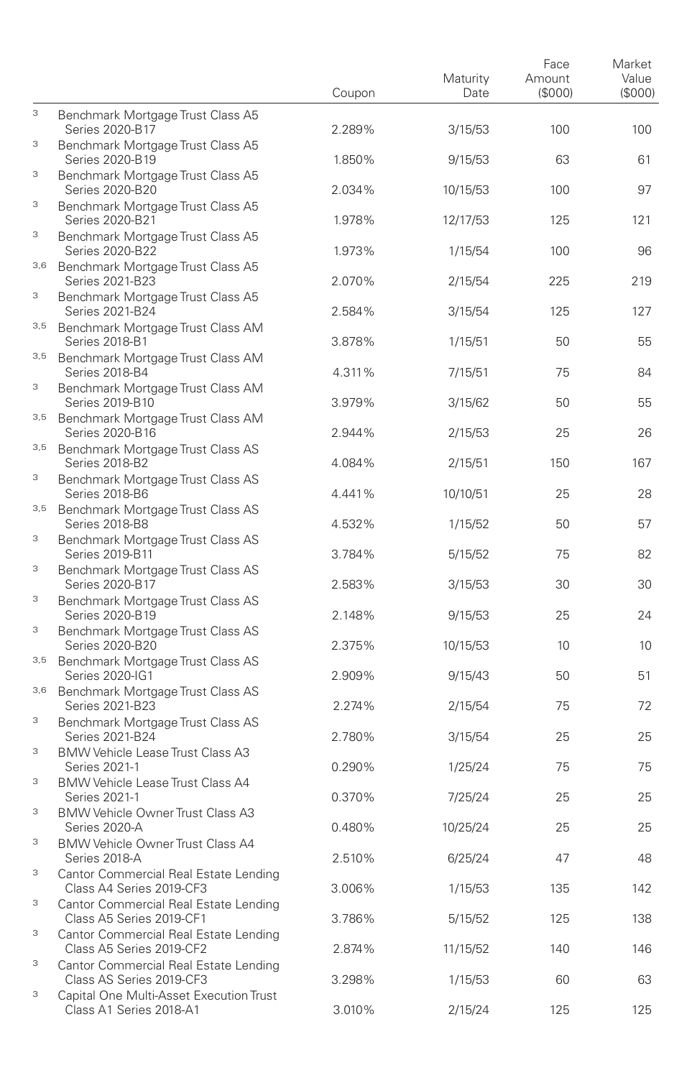|        |                                                                                                 | Coupon | Maturity<br>Date | Face<br>Amount<br>(\$000) | Market<br>Value<br>(S000) |
|--------|-------------------------------------------------------------------------------------------------|--------|------------------|---------------------------|---------------------------|
| 3      | Benchmark Mortgage Trust Class A5<br>Series 2020-B17                                            | 2.289% | 3/15/53          | 100                       | 100                       |
| 3      | Benchmark Mortgage Trust Class A5<br>Series 2020-B19                                            | 1.850% | 9/15/53          | 63                        | 61                        |
| 3      | Benchmark Mortgage Trust Class A5<br>Series 2020-B20                                            | 2.034% | 10/15/53         | 100                       | 97                        |
| 3      | Benchmark Mortgage Trust Class A5<br>Series 2020-B21                                            | 1.978% | 12/17/53         | 125                       | 121                       |
| 3      | Benchmark Mortgage Trust Class A5<br>Series 2020-B22                                            | 1.973% | 1/15/54          | 100                       | 96                        |
| 3,6    | Benchmark Mortgage Trust Class A5<br>Series 2021-B23                                            | 2.070% | 2/15/54          | 225                       | 219                       |
| 3      | Benchmark Mortgage Trust Class A5<br>Series 2021-B24                                            | 2.584% | 3/15/54          | 125                       | 127                       |
|        | 3,5 Benchmark Mortgage Trust Class AM<br>Series 2018-B1                                         | 3.878% | 1/15/51          | 50                        | 55                        |
| 3,5    | Benchmark Mortgage Trust Class AM<br>Series 2018-B4                                             | 4.311% | 7/15/51          | 75                        | 84                        |
| 3      | Benchmark Mortgage Trust Class AM<br>Series 2019-B10                                            | 3.979% | 3/15/62          | 50                        | 55                        |
| 3,5    | Benchmark Mortgage Trust Class AM<br>Series 2020-B16                                            | 2.944% | 2/15/53          | 25                        | 26                        |
| 3,5    | Benchmark Mortgage Trust Class AS<br>Series 2018-B2                                             | 4.084% | 2/15/51          | 150                       | 167                       |
| 3      | Benchmark Mortgage Trust Class AS<br><b>Series 2018-B6</b>                                      | 4.441% | 10/10/51         | 25                        | 28                        |
| 3,5    | Benchmark Mortgage Trust Class AS<br>Series 2018-B8                                             | 4.532% | 1/15/52          | 50                        | 57                        |
| 3<br>3 | Benchmark Mortgage Trust Class AS<br>Series 2019-B11                                            | 3.784% | 5/15/52          | 75                        | 82                        |
| 3      | Benchmark Mortgage Trust Class AS<br>Series 2020-B17                                            | 2.583% | 3/15/53          | 30                        | 30                        |
| 3      | Benchmark Mortgage Trust Class AS<br>Series 2020-B19                                            | 2.148% | 9/15/53          | 25                        | 24                        |
| 3,5    | Benchmark Mortgage Trust Class AS<br>Series 2020-B20                                            | 2.375% | 10/15/53         | 10                        | 10                        |
| 3,6    | Benchmark Mortgage Trust Class AS<br>Series 2020-IG1                                            | 2.909% | 9/15/43          | 50                        | 51                        |
| 3      | Benchmark Mortgage Trust Class AS<br>Series 2021-B23                                            | 2.274% | 2/15/54          | 75                        | 72                        |
| 3      | Benchmark Mortgage Trust Class AS<br>Series 2021-B24<br><b>BMW Vehicle Lease Trust Class A3</b> | 2.780% | 3/15/54          | 25                        | 25                        |
| 3      | Series 2021-1<br><b>BMW Vehicle Lease Trust Class A4</b>                                        | 0.290% | 1/25/24          | 75                        | 75                        |
| 3      | Series 2021-1<br><b>BMW Vehicle Owner Trust Class A3</b>                                        | 0.370% | 7/25/24          | 25                        | 25                        |
| 3      | Series 2020-A<br><b>BMW Vehicle Owner Trust Class A4</b>                                        | 0.480% | 10/25/24         | 25                        | 25                        |
| 3      | Series 2018-A<br>Cantor Commercial Real Estate Lending                                          | 2.510% | 6/25/24          | 47                        | 48                        |
| 3      | Class A4 Series 2019-CF3<br>Cantor Commercial Real Estate Lending                               | 3.006% | 1/15/53          | 135                       | 142                       |
| 3      | Class A5 Series 2019-CF1<br>Cantor Commercial Real Estate Lending                               | 3.786% | 5/15/52          | 125                       | 138                       |
| 3      | Class A5 Series 2019-CF2<br>Cantor Commercial Real Estate Lending                               | 2.874% | 11/15/52         | 140                       | 146                       |
| 3      | Class AS Series 2019-CF3<br>Capital One Multi-Asset Execution Trust                             | 3.298% | 1/15/53          | 60                        | 63                        |
|        | Class A1 Series 2018-A1                                                                         | 3.010% | 2/15/24          | 125                       | 125                       |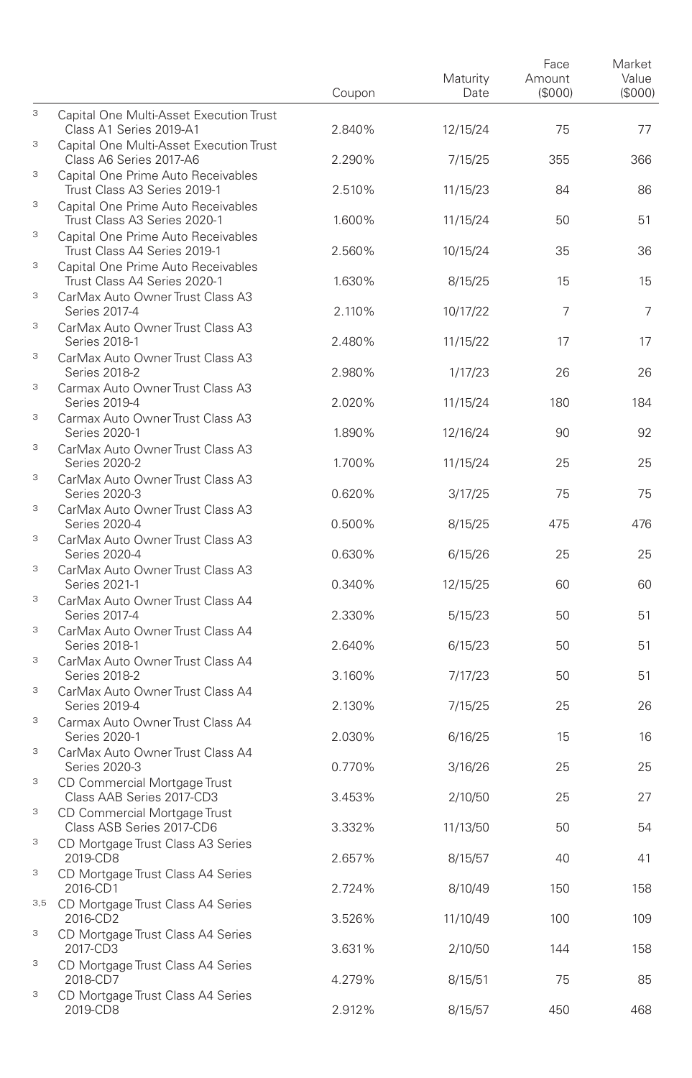|        |                                                                                           | Coupon | Maturity<br>Date | Face<br>Amount<br>(\$000) | Market<br>Value<br>(\$000) |
|--------|-------------------------------------------------------------------------------------------|--------|------------------|---------------------------|----------------------------|
| 3      | Capital One Multi-Asset Execution Trust<br>Class A1 Series 2019-A1                        | 2.840% | 12/15/24         | 75                        | 77                         |
| 3      | Capital One Multi-Asset Execution Trust<br>Class A6 Series 2017-A6                        | 2.290% | 7/15/25          | 355                       | 366                        |
| 3      | Capital One Prime Auto Receivables<br>Trust Class A3 Series 2019-1                        | 2.510% | 11/15/23         | 84                        | 86                         |
| 3      | Capital One Prime Auto Receivables<br>Trust Class A3 Series 2020-1                        | 1.600% | 11/15/24         | 50                        | 51                         |
| 3      | Capital One Prime Auto Receivables<br>Trust Class A4 Series 2019-1                        | 2.560% | 10/15/24         | 35                        | 36                         |
| 3      | Capital One Prime Auto Receivables<br>Trust Class A4 Series 2020-1                        | 1.630% | 8/15/25          | 15                        | 15                         |
| 3      | CarMax Auto Owner Trust Class A3<br>Series 2017-4                                         | 2.110% | 10/17/22         | 7                         | 7                          |
| 3      | CarMax Auto Owner Trust Class A3<br>Series 2018-1                                         | 2.480% | 11/15/22         | 17                        | 17                         |
| 3      | CarMax Auto Owner Trust Class A3<br>Series 2018-2                                         | 2.980% | 1/17/23          | 26                        | 26                         |
| 3      | Carmax Auto Owner Trust Class A3<br>Series 2019-4                                         | 2.020% | 11/15/24         | 180                       | 184                        |
| 3      | Carmax Auto Owner Trust Class A3<br>Series 2020-1                                         | 1.890% | 12/16/24         | 90                        | 92                         |
| 3      | CarMax Auto Owner Trust Class A3<br>Series 2020-2                                         | 1.700% | 11/15/24         | 25                        | 25                         |
| 3      | CarMax Auto Owner Trust Class A3<br>Series 2020-3                                         | 0.620% | 3/17/25          | 75                        | 75                         |
| 3      | CarMax Auto Owner Trust Class A3<br>Series 2020-4                                         | 0.500% | 8/15/25          | 475                       | 476                        |
| 3      | CarMax Auto Owner Trust Class A3<br>Series 2020-4                                         | 0.630% | 6/15/26          | 25                        | 25                         |
| 3      | CarMax Auto Owner Trust Class A3<br>Series 2021-1                                         | 0.340% | 12/15/25         | 60                        | 60                         |
| 3<br>3 | CarMax Auto Owner Trust Class A4<br>Series 2017-4                                         | 2.330% | 5/15/23          | 50                        | 51                         |
| 3      | CarMax Auto Owner Trust Class A4<br>Series 2018-1                                         | 2.640% | 6/15/23          | 50                        | 51                         |
| 3      | CarMax Auto Owner Trust Class A4<br>Series 2018-2                                         | 3.160% | 7/17/23          | 50                        | 51                         |
| 3      | CarMax Auto Owner Trust Class A4<br>Series 2019-4<br>Carmax Auto Owner Trust Class A4     | 2.130% | 7/15/25          | 25                        | 26                         |
| 3      | Series 2020-1<br>CarMax Auto Owner Trust Class A4                                         | 2.030% | 6/16/25          | 15                        | 16                         |
| 3      | Series 2020-3                                                                             | 0.770% | 3/16/26          | 25                        | 25                         |
| 3      | CD Commercial Mortgage Trust<br>Class AAB Series 2017-CD3<br>CD Commercial Mortgage Trust | 3.453% | 2/10/50          | 25                        | 27                         |
| 3      | Class ASB Series 2017-CD6<br>CD Mortgage Trust Class A3 Series                            | 3.332% | 11/13/50         | 50                        | 54                         |
| 3      | 2019-CD8<br>CD Mortgage Trust Class A4 Series                                             | 2.657% | 8/15/57          | 40                        | 41                         |
| 3,5    | 2016-CD1<br>CD Mortgage Trust Class A4 Series                                             | 2.724% | 8/10/49          | 150                       | 158                        |
| 3      | 2016-CD2<br>CD Mortgage Trust Class A4 Series                                             | 3.526% | 11/10/49         | 100                       | 109                        |
| 3      | 2017-CD3<br>CD Mortgage Trust Class A4 Series                                             | 3.631% | 2/10/50          | 144                       | 158                        |
| 3      | 2018-CD7<br>CD Mortgage Trust Class A4 Series                                             | 4.279% | 8/15/51          | 75                        | 85                         |
|        | 2019-CD8                                                                                  | 2.912% | 8/15/57          | 450                       | 468                        |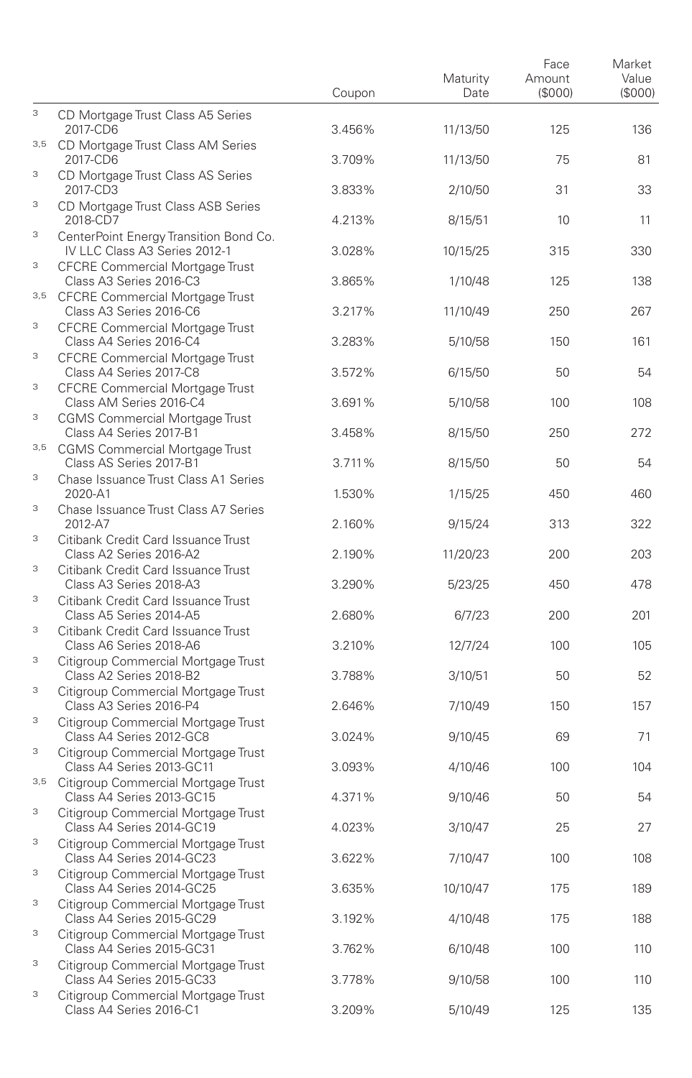|                           |                                                                                                            | Coupon | Maturity<br>Date | Face<br>Amount<br>(\$000) | Market<br>Value<br>(S000) |
|---------------------------|------------------------------------------------------------------------------------------------------------|--------|------------------|---------------------------|---------------------------|
| 3                         | CD Mortgage Trust Class A5 Series<br>2017-CD6                                                              | 3.456% | 11/13/50         | 125                       | 136                       |
| 3,5                       | CD Mortgage Trust Class AM Series<br>2017-CD6                                                              | 3.709% | 11/13/50         | 75                        | 81                        |
| 3                         | CD Mortgage Trust Class AS Series<br>2017-CD3                                                              | 3.833% | 2/10/50          | 31                        | 33                        |
| 3                         | CD Mortgage Trust Class ASB Series<br>2018-CD7                                                             | 4.213% | 8/15/51          | 10                        | 11                        |
| 3                         | CenterPoint Energy Transition Bond Co.<br>IV LLC Class A3 Series 2012-1                                    | 3.028% | 10/15/25         | 315                       | 330                       |
| 3                         | <b>CFCRE Commercial Mortgage Trust</b><br>Class A3 Series 2016-C3                                          | 3.865% | 1/10/48          | 125                       | 138                       |
| 3,5                       | <b>CFCRE Commercial Mortgage Trust</b><br>Class A3 Series 2016-C6                                          | 3.217% | 11/10/49         | 250                       | 267                       |
| 3                         | CFCRE Commercial Mortgage Trust<br>Class A4 Series 2016-C4                                                 | 3.283% | 5/10/58          | 150                       | 161                       |
| 3<br>3                    | <b>CFCRE Commercial Mortgage Trust</b><br>Class A4 Series 2017-C8                                          | 3.572% | 6/15/50          | 50                        | 54                        |
| 3                         | <b>CFCRE Commercial Mortgage Trust</b><br>Class AM Series 2016-C4<br><b>CGMS Commercial Mortgage Trust</b> | 3.691% | 5/10/58          | 100                       | 108                       |
| 3,5                       | Class A4 Series 2017-B1<br><b>CGMS Commercial Mortgage Trust</b>                                           | 3.458% | 8/15/50          | 250                       | 272                       |
| 3                         | Class AS Series 2017-B1<br>Chase Issuance Trust Class A1 Series                                            | 3.711% | 8/15/50          | 50                        | 54                        |
| 3                         | 2020-A1                                                                                                    | 1.530% | 1/15/25          | 450                       | 460                       |
| 3                         | Chase Issuance Trust Class A7 Series<br>2012-A7                                                            | 2.160% | 9/15/24          | 313                       | 322                       |
| 3                         | Citibank Credit Card Issuance Trust<br>Class A2 Series 2016-A2<br>Citibank Credit Card Issuance Trust      | 2.190% | 11/20/23         | 200                       | 203                       |
| 3                         | Class A3 Series 2018-A3<br>Citibank Credit Card Issuance Trust                                             | 3.290% | 5/23/25          | 450                       | 478                       |
| 3                         | Class A5 Series 2014-A5<br>Citibank Credit Card Issuance Trust                                             | 2.680% | 6/7/23           | 200                       | 201                       |
| 3                         | Class A6 Series 2018-A6<br>Citigroup Commercial Mortgage Trust                                             | 3.210% | 12/7/24          | 100                       | 105                       |
| 3                         | Class A2 Series 2018-B2<br>Citigroup Commercial Mortgage Trust                                             | 3.788% | 3/10/51          | 50                        | 52                        |
| 3                         | Class A3 Series 2016-P4<br>Citigroup Commercial Mortgage Trust                                             | 2.646% | 7/10/49          | 150                       | 157                       |
| 3                         | Class A4 Series 2012-GC8<br>Citigroup Commercial Mortgage Trust                                            | 3.024% | 9/10/45          | 69                        | 71                        |
| 3,5                       | Class A4 Series 2013-GC11<br>Citigroup Commercial Mortgage Trust                                           | 3.093% | 4/10/46          | 100                       | 104                       |
| 3                         | Class A4 Series 2013-GC15<br>Citigroup Commercial Mortgage Trust                                           | 4.371% | 9/10/46          | 50                        | 54                        |
| 3                         | Class A4 Series 2014-GC19<br>Citigroup Commercial Mortgage Trust                                           | 4.023% | 3/10/47          | 25                        | 27                        |
| 3                         | Class A4 Series 2014-GC23<br>Citigroup Commercial Mortgage Trust                                           | 3.622% | 7/10/47          | 100                       | 108                       |
| 3                         | Class A4 Series 2014-GC25<br>Citigroup Commercial Mortgage Trust                                           | 3.635% | 10/10/47         | 175                       | 189                       |
| 3                         | Class A4 Series 2015-GC29<br>Citigroup Commercial Mortgage Trust                                           | 3.192% | 4/10/48          | 175                       | 188                       |
| $\ensuremath{\mathsf{3}}$ | Class A4 Series 2015-GC31<br>Citigroup Commercial Mortgage Trust                                           | 3.762% | 6/10/48          | 100                       | 110                       |
| 3                         | Class A4 Series 2015-GC33<br>Citigroup Commercial Mortgage Trust                                           | 3.778% | 9/10/58          | 100                       | 110                       |
|                           | Class A4 Series 2016-C1                                                                                    | 3.209% | 5/10/49          | 125                       | 135                       |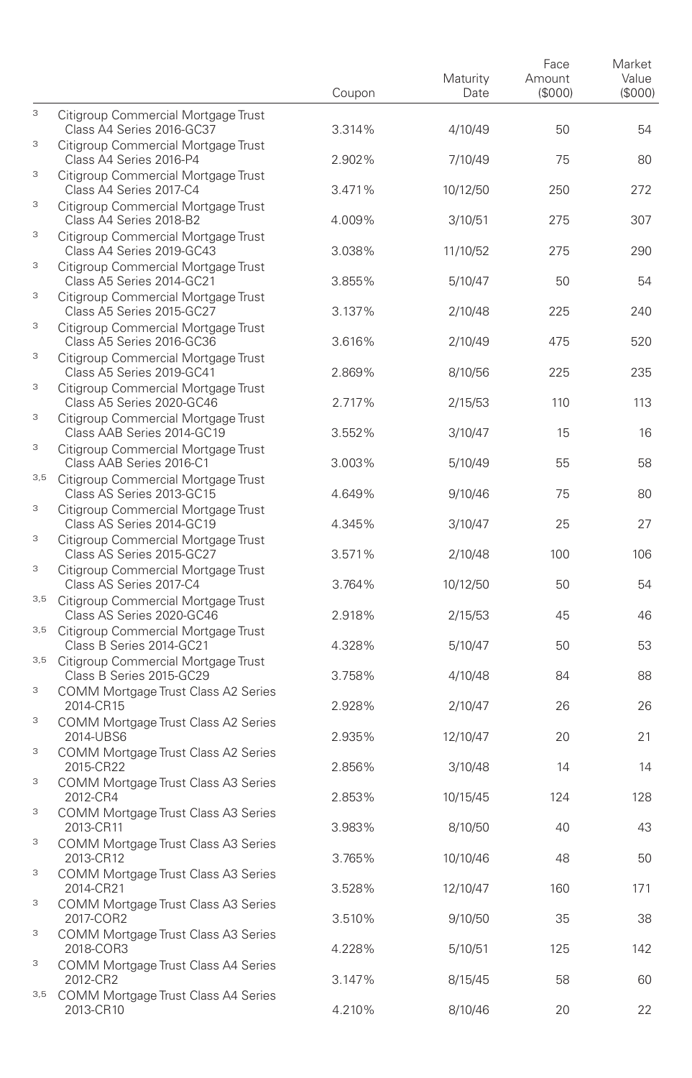|          |                                                                                                       | Coupon | Maturity<br>Date | Face<br>Amount<br>(\$000) | Market<br>Value<br>(S000) |
|----------|-------------------------------------------------------------------------------------------------------|--------|------------------|---------------------------|---------------------------|
| 3        | Citigroup Commercial Mortgage Trust<br>Class A4 Series 2016-GC37                                      | 3.314% | 4/10/49          | 50                        | 54                        |
| 3        | Citigroup Commercial Mortgage Trust<br>Class A4 Series 2016-P4                                        | 2.902% | 7/10/49          | 75                        | 80                        |
| 3        | Citigroup Commercial Mortgage Trust<br>Class A4 Series 2017-C4                                        | 3.471% | 10/12/50         | 250                       | 272                       |
| 3        | Citigroup Commercial Mortgage Trust<br>Class A4 Series 2018-B2                                        | 4.009% | 3/10/51          | 275                       | 307                       |
| 3        | Citigroup Commercial Mortgage Trust<br>Class A4 Series 2019-GC43                                      | 3.038% | 11/10/52         | 275                       | 290                       |
| 3        | Citigroup Commercial Mortgage Trust<br>Class A5 Series 2014-GC21                                      | 3.855% | 5/10/47          | 50                        | 54                        |
| 3        | Citigroup Commercial Mortgage Trust<br>Class A5 Series 2015-GC27                                      | 3.137% | 2/10/48          | 225                       | 240                       |
| 3        | Citigroup Commercial Mortgage Trust<br>Class A5 Series 2016-GC36                                      | 3.616% | 2/10/49          | 475                       | 520                       |
| 3        | Citigroup Commercial Mortgage Trust<br>Class A5 Series 2019-GC41                                      | 2.869% | 8/10/56          | 225                       | 235                       |
| 3        | Citigroup Commercial Mortgage Trust<br>Class A5 Series 2020-GC46                                      | 2.717% | 2/15/53          | 110                       | 113                       |
| 3        | Citigroup Commercial Mortgage Trust<br>Class AAB Series 2014-GC19                                     | 3.552% | 3/10/47          | 15                        | 16                        |
| 3        | Citigroup Commercial Mortgage Trust<br>Class AAB Series 2016-C1                                       | 3.003% | 5/10/49          | 55                        | 58                        |
| 3,5<br>3 | Citigroup Commercial Mortgage Trust<br>Class AS Series 2013-GC15                                      | 4.649% | 9/10/46          | 75                        | 80                        |
|          | Citigroup Commercial Mortgage Trust<br>Class AS Series 2014-GC19                                      | 4.345% | 3/10/47          | 25                        | 27                        |
| 3<br>3   | Citigroup Commercial Mortgage Trust<br>Class AS Series 2015-GC27                                      | 3.571% | 2/10/48          | 100                       | 106                       |
| 3,5      | Citigroup Commercial Mortgage Trust<br>Class AS Series 2017-C4<br>Citigroup Commercial Mortgage Trust | 3.764% | 10/12/50         | 50                        | 54                        |
|          | Class AS Series 2020-GC46<br>3,5 Citigroup Commercial Mortgage Trust                                  | 2.918% | 2/15/53          | 45                        | 46                        |
| 3,5      | Class B Series 2014-GC21<br>Citigroup Commercial Mortgage Trust                                       | 4.328% | 5/10/47          | 50                        | 53                        |
| 3        | Class B Series 2015-GC29<br>COMM Mortgage Trust Class A2 Series                                       | 3.758% | 4/10/48          | 84                        | 88                        |
| 3        | 2014-CR15<br>COMM Mortgage Trust Class A2 Series                                                      | 2.928% | 2/10/47          | 26                        | 26                        |
| 3        | 2014-UBS6<br>COMM Mortgage Trust Class A2 Series                                                      | 2.935% | 12/10/47         | 20                        | 21                        |
| 3        | 2015-CR22<br>COMM Mortgage Trust Class A3 Series                                                      | 2.856% | 3/10/48          | 14                        | 14                        |
| 3        | 2012-CR4<br>COMM Mortgage Trust Class A3 Series                                                       | 2.853% | 10/15/45         | 124                       | 128                       |
| 3        | 2013-CR11<br>COMM Mortgage Trust Class A3 Series                                                      | 3.983% | 8/10/50          | 40                        | 43                        |
| 3        | 2013-CR12<br>COMM Mortgage Trust Class A3 Series                                                      | 3.765% | 10/10/46         | 48                        | 50                        |
| 3        | 2014-CR21<br>COMM Mortgage Trust Class A3 Series                                                      | 3.528% | 12/10/47         | 160                       | 171                       |
| 3        | 2017-COR2<br>COMM Mortgage Trust Class A3 Series                                                      | 3.510% | 9/10/50          | 35                        | 38                        |
| 3        | 2018-COR3<br><b>COMM Mortgage Trust Class A4 Series</b>                                               | 4.228% | 5/10/51          | 125                       | 142                       |
| 3,5      | 2012-CR2<br>COMM Mortgage Trust Class A4 Series                                                       | 3.147% | 8/15/45          | 58                        | 60                        |
|          | 2013-CR10                                                                                             | 4.210% | 8/10/46          | 20                        | 22                        |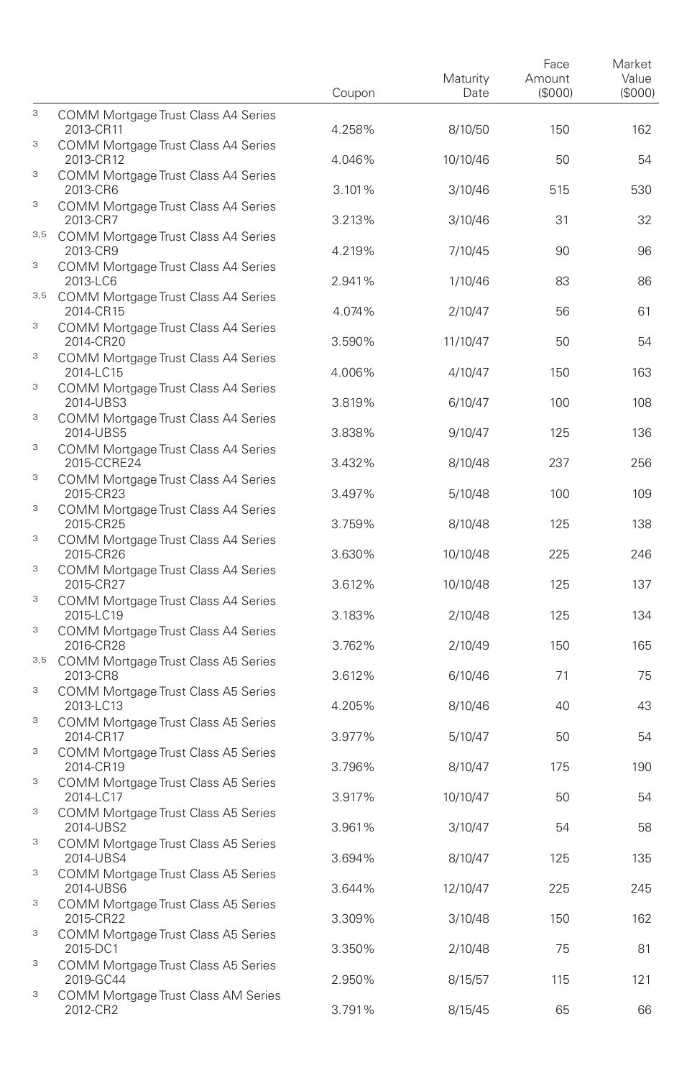|     |                                                     | Coupon | Maturity<br>Date | Face<br>Amount<br>(\$000) | Market<br>Value<br>(S000) |
|-----|-----------------------------------------------------|--------|------------------|---------------------------|---------------------------|
| 3   | COMM Mortgage Trust Class A4 Series<br>2013-CR11    | 4.258% | 8/10/50          | 150                       | 162                       |
| 3   | COMM Mortgage Trust Class A4 Series<br>2013-CR12    | 4.046% | 10/10/46         | 50                        | 54                        |
| 3   | COMM Mortgage Trust Class A4 Series<br>2013-CR6     | 3.101% | 3/10/46          | 515                       | 530                       |
| 3   | COMM Mortgage Trust Class A4 Series<br>2013-CR7     | 3.213% | 3/10/46          | 31                        | 32                        |
|     | 3,5 COMM Mortgage Trust Class A4 Series<br>2013-CR9 | 4.219% | 7/10/45          | 90                        | 96                        |
| 3   | COMM Mortgage Trust Class A4 Series<br>2013-LC6     | 2.941% | 1/10/46          | 83                        | 86                        |
| 3,5 | COMM Mortgage Trust Class A4 Series<br>2014-CR15    | 4.074% | 2/10/47          | 56                        | 61                        |
| 3   | COMM Mortgage Trust Class A4 Series<br>2014-CR20    | 3.590% | 11/10/47         | 50                        | 54                        |
| 3   | COMM Mortgage Trust Class A4 Series<br>2014-LC15    | 4.006% | 4/10/47          | 150                       | 163                       |
| 3   | COMM Mortgage Trust Class A4 Series<br>2014-UBS3    | 3.819% | 6/10/47          | 100                       | 108                       |
| 3   | COMM Mortgage Trust Class A4 Series<br>2014-UBS5    | 3.838% | 9/10/47          | 125                       | 136                       |
| 3   | COMM Mortgage Trust Class A4 Series<br>2015-CCRE24  | 3.432% | 8/10/48          | 237                       | 256                       |
| 3   | COMM Mortgage Trust Class A4 Series<br>2015-CR23    | 3.497% | 5/10/48          | 100                       | 109                       |
| 3   | COMM Mortgage Trust Class A4 Series<br>2015-CR25    | 3.759% | 8/10/48          | 125                       | 138                       |
| 3   | COMM Mortgage Trust Class A4 Series<br>2015-CR26    | 3.630% | 10/10/48         | 225                       | 246                       |
| 3   | COMM Mortgage Trust Class A4 Series<br>2015-CR27    | 3.612% | 10/10/48         | 125                       | 137                       |
| 3   | COMM Mortgage Trust Class A4 Series<br>2015-LC19    | 3.183% | 2/10/48          | 125                       | 134                       |
| 3   | COMM Mortgage Trust Class A4 Series<br>2016-CR28    | 3.762% | 2/10/49          | 150                       | 165                       |
|     | 3,5 COMM Mortgage Trust Class A5 Series<br>2013-CR8 | 3.612% | 6/10/46          | 71                        | 75                        |
| 3   | COMM Mortgage Trust Class A5 Series<br>2013-LC13    | 4.205% | 8/10/46          | 40                        | 43                        |
| 3   | COMM Mortgage Trust Class A5 Series<br>2014-CR17    | 3.977% | 5/10/47          | 50                        | 54                        |
| 3   | COMM Mortgage Trust Class A5 Series<br>2014-CR19    | 3.796% | 8/10/47          | 175                       | 190                       |
| 3   | COMM Mortgage Trust Class A5 Series<br>2014-LC17    | 3.917% | 10/10/47         | 50                        | 54                        |
| 3   | COMM Mortgage Trust Class A5 Series<br>2014-UBS2    | 3.961% | 3/10/47          | 54                        | 58                        |
| 3   | COMM Mortgage Trust Class A5 Series<br>2014-UBS4    | 3.694% | 8/10/47          | 125                       | 135                       |
| 3   | COMM Mortgage Trust Class A5 Series<br>2014-UBS6    | 3.644% | 12/10/47         | 225                       | 245                       |
| 3   | COMM Mortgage Trust Class A5 Series<br>2015-CR22    | 3.309% | 3/10/48          | 150                       | 162                       |
| 3   | COMM Mortgage Trust Class A5 Series<br>2015-DC1     | 3.350% | 2/10/48          | 75                        | 81                        |
| 3   | COMM Mortgage Trust Class A5 Series<br>2019-GC44    | 2.950% | 8/15/57          | 115                       | 121                       |
| 3   | COMM Mortgage Trust Class AM Series<br>2012-CR2     | 3.791% | 8/15/45          | 65                        | 66                        |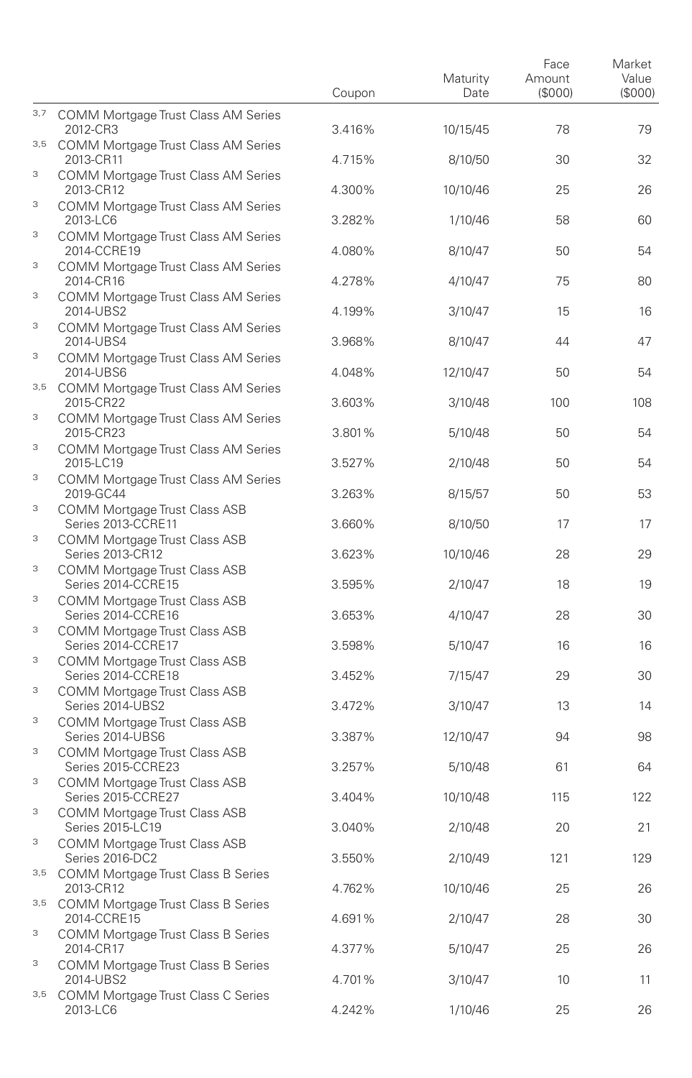|        |                                                                                      | Coupon | Maturity<br>Date | Face<br>Amount<br>(\$000) | Market<br>Value<br>(S000) |
|--------|--------------------------------------------------------------------------------------|--------|------------------|---------------------------|---------------------------|
| 3,7    | <b>COMM Mortgage Trust Class AM Series</b><br>2012-CR3                               | 3.416% | 10/15/45         | 78                        | 79                        |
| 3,5    | COMM Mortgage Trust Class AM Series<br>2013-CR11                                     | 4.715% | 8/10/50          | 30                        | 32                        |
| 3      | <b>COMM Mortgage Trust Class AM Series</b><br>2013-CR12                              | 4.300% | 10/10/46         | 25                        | 26                        |
| 3      | <b>COMM Mortgage Trust Class AM Series</b><br>2013-LC6                               | 3.282% | 1/10/46          | 58                        | 60                        |
| 3      | <b>COMM Mortgage Trust Class AM Series</b><br>2014-CCRE19                            | 4.080% | 8/10/47          | 50                        | 54                        |
| 3      | <b>COMM Mortgage Trust Class AM Series</b><br>2014-CR16                              | 4.278% | 4/10/47          | 75                        | 80                        |
| 3      | <b>COMM Mortgage Trust Class AM Series</b><br>2014-UBS2                              | 4.199% | 3/10/47          | 15                        | 16                        |
| 3      | <b>COMM Mortgage Trust Class AM Series</b><br>2014-UBS4                              | 3.968% | 8/10/47          | 44                        | 47                        |
| 3      | <b>COMM Mortgage Trust Class AM Series</b><br>2014-UBS6                              | 4.048% | 12/10/47         | 50                        | 54                        |
|        | 3,5 COMM Mortgage Trust Class AM Series<br>2015-CR22                                 | 3.603% | 3/10/48          | 100                       | 108                       |
| 3      | COMM Mortgage Trust Class AM Series<br>2015-CR23                                     | 3.801% | 5/10/48          | 50                        | 54                        |
| 3<br>3 | <b>COMM Mortgage Trust Class AM Series</b><br>2015-LC19                              | 3.527% | 2/10/48          | 50                        | 54                        |
| 3      | <b>COMM Mortgage Trust Class AM Series</b><br>2019-GC44                              | 3.263% | 8/15/57          | 50                        | 53                        |
| 3      | COMM Mortgage Trust Class ASB<br>Series 2013-CCRE11                                  | 3.660% | 8/10/50          | 17                        | 17                        |
| 3      | COMM Mortgage Trust Class ASB<br>Series 2013-CR12                                    | 3.623% | 10/10/46         | 28                        | 29                        |
| 3      | COMM Mortgage Trust Class ASB<br>Series 2014-CCRE15<br>COMM Mortgage Trust Class ASB | 3.595% | 2/10/47          | 18                        | 19                        |
| 3      | Series 2014-CCRE16<br>COMM Mortgage Trust Class ASB                                  | 3.653% | 4/10/47          | 28                        | 30                        |
| 3      | Series 2014-CCRE17<br>COMM Mortgage Trust Class ASB                                  | 3.598% | 5/10/47          | 16                        | 16                        |
| 3      | Series 2014-CCRE18<br>COMM Mortgage Trust Class ASB                                  | 3.452% | 7/15/47          | 29                        | 30                        |
| 3      | Series 2014-UBS2<br>COMM Mortgage Trust Class ASB                                    | 3.472% | 3/10/47          | 13                        | 14                        |
| 3      | Series 2014-UBS6<br>COMM Mortgage Trust Class ASB                                    | 3.387% | 12/10/47         | 94                        | 98                        |
| 3      | Series 2015-CCRE23<br>COMM Mortgage Trust Class ASB                                  | 3.257% | 5/10/48          | 61                        | 64                        |
| 3      | Series 2015-CCRE27<br><b>COMM Mortgage Trust Class ASB</b>                           | 3.404% | 10/10/48         | 115                       | 122                       |
| 3      | Series 2015-LC19<br>COMM Mortgage Trust Class ASB                                    | 3.040% | 2/10/48          | 20                        | 21                        |
|        | Series 2016-DC2<br>3,5 COMM Mortgage Trust Class B Series                            | 3.550% | 2/10/49          | 121                       | 129                       |
|        | 2013-CR12<br>3,5 COMM Mortgage Trust Class B Series                                  | 4.762% | 10/10/46         | 25                        | 26                        |
| 3      | 2014-CCRE15<br>COMM Mortgage Trust Class B Series                                    | 4.691% | 2/10/47          | 28                        | 30                        |
| 3      | 2014-CR17<br><b>COMM Mortgage Trust Class B Series</b>                               | 4.377% | 5/10/47          | 25                        | 26                        |
| 3,5    | 2014-UBS2<br>COMM Mortgage Trust Class C Series                                      | 4.701% | 3/10/47          | 10                        | 11                        |
|        | 2013-LC6                                                                             | 4.242% | 1/10/46          | 25                        | 26                        |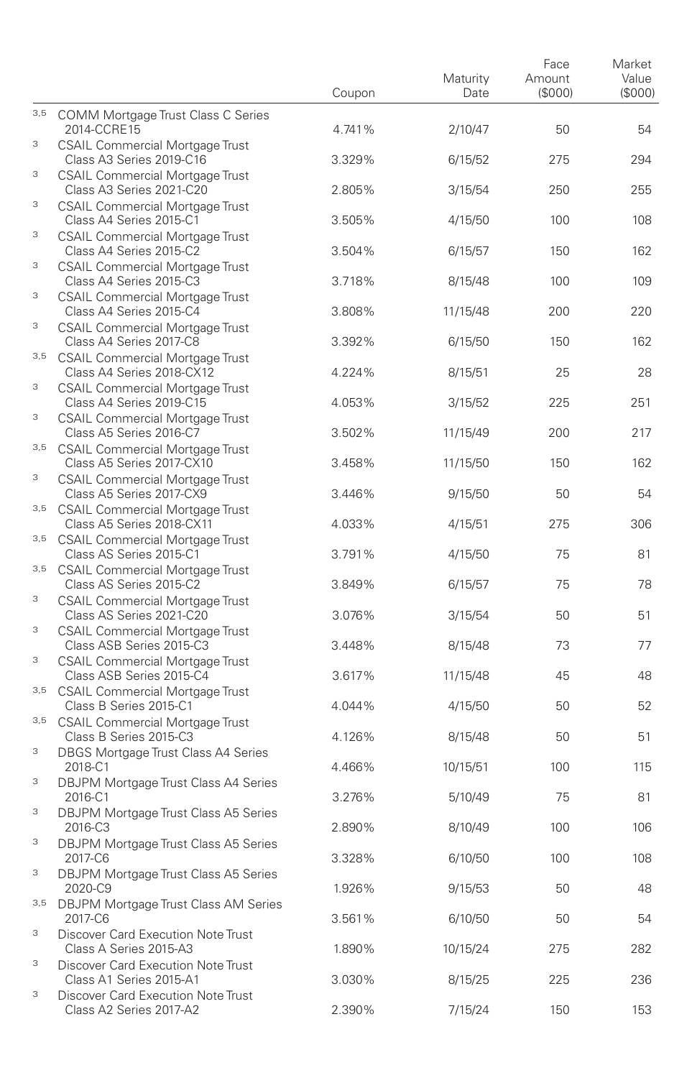|          |                                                                                                              | Coupon           | Maturity<br>Date   | Face<br>Amount<br>(S000) | Market<br>Value<br>(\$000) |
|----------|--------------------------------------------------------------------------------------------------------------|------------------|--------------------|--------------------------|----------------------------|
| 3,5      | COMM Mortgage Trust Class C Series<br>2014-CCRE15                                                            | 4.741%           | 2/10/47            | 50                       | 54                         |
| 3        | CSAIL Commercial Mortgage Trust<br>Class A3 Series 2019-C16                                                  | 3.329%           | 6/15/52            | 275                      | 294                        |
| 3        | <b>CSAIL Commercial Mortgage Trust</b><br>Class A3 Series 2021-C20                                           | 2.805%           | 3/15/54            | 250                      | 255                        |
| 3        | <b>CSAIL Commercial Mortgage Trust</b><br>Class A4 Series 2015-C1                                            | 3.505%           | 4/15/50            | 100                      | 108                        |
| 3        | <b>CSAIL Commercial Mortgage Trust</b><br>Class A4 Series 2015-C2                                            | 3.504%           | 6/15/57            | 150                      | 162                        |
| 3        | <b>CSAIL Commercial Mortgage Trust</b><br>Class A4 Series 2015-C3                                            | 3.718%           | 8/15/48            | 100                      | 109                        |
| 3        | <b>CSAIL Commercial Mortgage Trust</b><br>Class A4 Series 2015-C4                                            | 3.808%           | 11/15/48           | 200                      | 220                        |
| 3<br>3,5 | <b>CSAIL Commercial Mortgage Trust</b><br>Class A4 Series 2017-C8                                            | 3.392%           | 6/15/50            | 150                      | 162                        |
| 3        | <b>CSAIL Commercial Mortgage Trust</b><br>Class A4 Series 2018-CX12                                          | 4.224%           | 8/15/51            | 25                       | 28                         |
| 3        | <b>CSAIL Commercial Mortgage Trust</b><br>Class A4 Series 2019-C15<br><b>CSAIL Commercial Mortgage Trust</b> | 4.053%           | 3/15/52            | 225                      | 251                        |
|          | Class A5 Series 2016-C7<br>3,5 CSAIL Commercial Mortgage Trust                                               | 3.502%           | 11/15/49           | 200                      | 217                        |
| 3        | Class A5 Series 2017-CX10<br><b>CSAIL Commercial Mortgage Trust</b>                                          | 3.458%           | 11/15/50           | 150                      | 162                        |
| $3,5$    | Class A5 Series 2017-CX9<br><b>CSAIL Commercial Mortgage Trust</b>                                           | 3.446%           | 9/15/50            | 50                       | 54                         |
| 3,5      | Class A5 Series 2018-CX11<br><b>CSAIL Commercial Mortgage Trust</b>                                          | 4.033%           | 4/15/51            | 275                      | 306                        |
| 3,5      | Class AS Series 2015-C1<br><b>CSAIL Commercial Mortgage Trust</b>                                            | 3.791%           | 4/15/50            | 75                       | 81                         |
| 3        | Class AS Series 2015-C2<br><b>CSAIL Commercial Mortgage Trust</b>                                            | 3.849%           | 6/15/57            | 75                       | 78                         |
| 3        | Class AS Series 2021-C20<br><b>CSAIL Commercial Mortgage Trust</b>                                           | 3.076%           | 3/15/54            | 50                       | 51                         |
| 3        | Class ASB Series 2015-C3<br><b>CSAIL Commercial Mortgage Trust</b>                                           | 3.448%           | 8/15/48            | 73                       | 77                         |
| $3,5$    | Class ASB Series 2015-C4<br><b>CSAIL Commercial Mortgage Trust</b>                                           | 3.617%           | 11/15/48           | 45                       | 48                         |
| 3,5      | Class B Series 2015-C1<br><b>CSAIL Commercial Mortgage Trust</b>                                             | 4.044%           | 4/15/50            | 50                       | 52                         |
| 3        | Class B Series 2015-C3<br>DBGS Mortgage Trust Class A4 Series                                                | 4.126%           | 8/15/48            | 50                       | 51                         |
| 3        | 2018-C1<br>DBJPM Mortgage Trust Class A4 Series                                                              | 4.466%           | 10/15/51           | 100                      | 115                        |
| 3        | 2016-C1<br>DBJPM Mortgage Trust Class A5 Series                                                              | 3.276%           | 5/10/49            | 75                       | 81                         |
| 3        | 2016-C3<br>DBJPM Mortgage Trust Class A5 Series                                                              | 2.890%           | 8/10/49            | 100                      | 106                        |
| 3        | 2017-C6<br>DBJPM Mortgage Trust Class A5 Series                                                              | 3.328%           | 6/10/50            | 100                      | 108                        |
| 3,5      | 2020-C9<br><b>DBJPM Mortgage Trust Class AM Series</b><br>2017-C6                                            | 1.926%<br>3.561% | 9/15/53<br>6/10/50 | 50<br>50                 | 48<br>54                   |
| 3        | Discover Card Execution Note Trust<br>Class A Series 2015-A3                                                 | 1.890%           | 10/15/24           | 275                      | 282                        |
| 3        | Discover Card Execution Note Trust<br>Class A1 Series 2015-A1                                                | 3.030%           | 8/15/25            | 225                      | 236                        |
| 3        | Discover Card Execution Note Trust<br>Class A2 Series 2017-A2                                                | 2.390%           | 7/15/24            | 150                      | 153                        |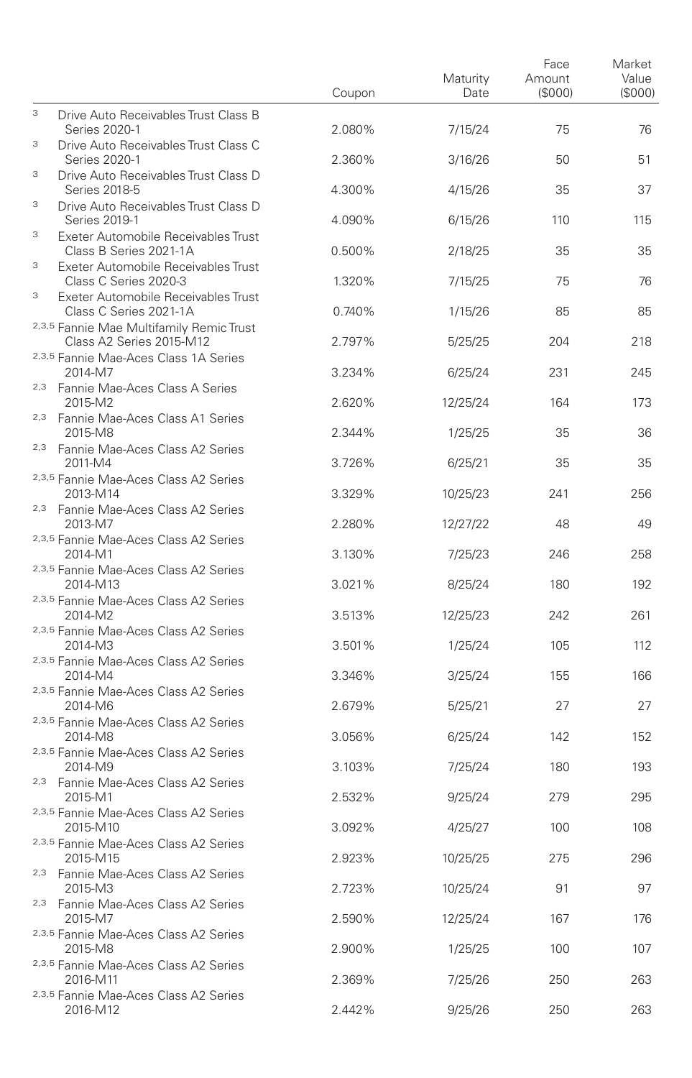|     |                                                                                          | Coupon | Maturity<br>Date | Face<br>Amount<br>(\$000) | Market<br>Value<br>(\$000) |
|-----|------------------------------------------------------------------------------------------|--------|------------------|---------------------------|----------------------------|
| 3   | Drive Auto Receivables Trust Class B<br>Series 2020-1                                    | 2.080% | 7/15/24          | 75                        | 76                         |
| 3   | Drive Auto Receivables Trust Class C<br>Series 2020-1                                    | 2.360% | 3/16/26          | 50                        | 51                         |
| 3   | Drive Auto Receivables Trust Class D<br>Series 2018-5                                    | 4.300% | 4/15/26          | 35                        | 37                         |
| 3   | Drive Auto Receivables Trust Class D<br>Series 2019-1                                    | 4.090% | 6/15/26          | 110                       | 115                        |
| 3   | Exeter Automobile Receivables Trust<br>Class B Series 2021-1A                            | 0.500% | 2/18/25          | 35                        | 35                         |
| 3   | Exeter Automobile Receivables Trust<br>Class C Series 2020-3                             | 1.320% | 7/15/25          | 75                        | 76                         |
| 3   | Exeter Automobile Receivables Trust<br>Class C Series 2021-1A                            | 0.740% | 1/15/26          | 85                        | 85                         |
|     | 2,3,5 Fannie Mae Multifamily Remic Trust<br>Class A2 Series 2015-M12                     | 2.797% | 5/25/25          | 204                       | 218                        |
|     | 2,3,5 Fannie Mae-Aces Class 1A Series<br>2014-M7                                         | 3.234% | 6/25/24          | 231                       | 245                        |
|     | <sup>2,3</sup> Fannie Mae-Aces Class A Series<br>2015-M2                                 | 2.620% | 12/25/24         | 164                       | 173                        |
|     | 2,3 Fannie Mae-Aces Class A1 Series<br>2015-M8                                           | 2.344% | 1/25/25          | 35                        | 36                         |
|     | 2,3 Fannie Mae-Aces Class A2 Series<br>2011-M4                                           | 3.726% | 6/25/21          | 35                        | 35                         |
|     | 2,3,5 Fannie Mae-Aces Class A2 Series<br>2013-M14<br>2,3 Fannie Mae-Aces Class A2 Series | 3.329% | 10/25/23         | 241                       | 256                        |
|     | 2013-M7<br>2,3,5 Fannie Mae-Aces Class A2 Series                                         | 2.280% | 12/27/22         | 48                        | 49                         |
|     | 2014-M1<br>2,3,5 Fannie Mae-Aces Class A2 Series                                         | 3.130% | 7/25/23          | 246                       | 258                        |
|     | 2014-M13<br>2,3,5 Fannie Mae-Aces Class A2 Series                                        | 3.021% | 8/25/24          | 180                       | 192                        |
|     | 2014-M2<br>2,3,5 Fannie Mae-Aces Class A2 Series                                         | 3.513% | 12/25/23         | 242                       | 261                        |
|     | 2014-M3<br>2,3,5 Fannie Mae-Aces Class A2 Series                                         | 3.501% | 1/25/24          | 105                       | 112                        |
|     | 2014-M4<br>2,3,5 Fannie Mae-Aces Class A2 Series                                         | 3.346% | 3/25/24          | 155                       | 166                        |
|     | 2014-M6<br>2,3,5 Fannie Mae-Aces Class A2 Series                                         | 2.679% | 5/25/21          | 27                        | 27                         |
|     | 2014-M8<br>2,3,5 Fannie Mae-Aces Class A2 Series                                         | 3.056% | 6/25/24          | 142                       | 152                        |
|     | 2014-M9<br><sup>2,3</sup> Fannie Mae-Aces Class A2 Series                                | 3.103% | 7/25/24          | 180                       | 193                        |
|     | 2015-M1<br>2,3,5 Fannie Mae-Aces Class A2 Series                                         | 2.532% | 9/25/24          | 279                       | 295                        |
|     | 2015-M10<br>2,3,5 Fannie Mae-Aces Class A2 Series                                        | 3.092% | 4/25/27          | 100                       | 108                        |
|     | 2015-M15<br>2,3 Fannie Mae-Aces Class A2 Series                                          | 2.923% | 10/25/25         | 275                       | 296                        |
| 2,3 | 2015-M3<br>Fannie Mae-Aces Class A2 Series                                               | 2.723% | 10/25/24         | 91                        | 97                         |
|     | 2015-M7<br>2,3,5 Fannie Mae-Aces Class A2 Series                                         | 2.590% | 12/25/24         | 167                       | 176                        |
|     | 2015-M8<br>2,3,5 Fannie Mae-Aces Class A2 Series                                         | 2.900% | 1/25/25          | 100                       | 107                        |
|     | 2016-M11<br>2,3,5 Fannie Mae-Aces Class A2 Series                                        | 2.369% | 7/25/26          | 250                       | 263                        |
|     | 2016-M12                                                                                 | 2.442% | 9/25/26          | 250                       | 263                        |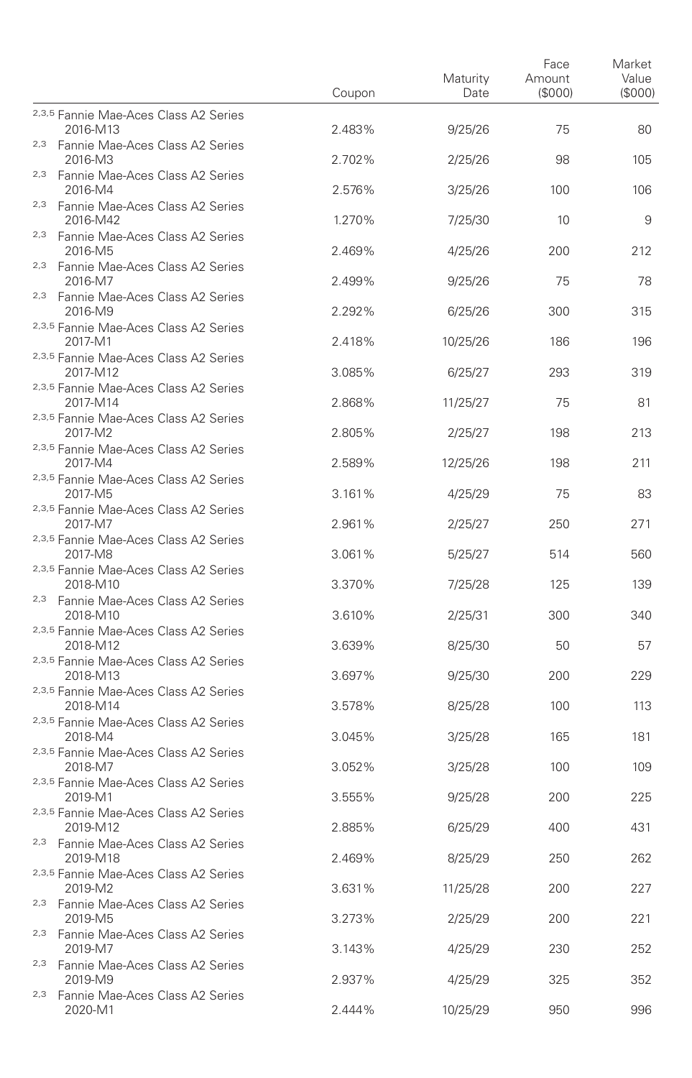|                                                            | Coupon | Maturity<br>Date | Face<br>Amount<br>(\$000) | Market<br>Value<br>(\$000) |
|------------------------------------------------------------|--------|------------------|---------------------------|----------------------------|
| 2,3,5 Fannie Mae-Aces Class A2 Series<br>2016-M13          | 2.483% |                  |                           |                            |
| <sup>2,3</sup> Fannie Mae-Aces Class A2 Series             |        | 9/25/26          | 75                        | 80                         |
| 2016-M3<br>2,3 Fannie Mae-Aces Class A2 Series             | 2.702% | 2/25/26          | 98                        | 105                        |
| 2016-M4                                                    | 2.576% | 3/25/26          | 100                       | 106                        |
| <sup>2,3</sup> Fannie Mae-Aces Class A2 Series<br>2016-M42 | 1.270% | 7/25/30          | 10                        | 9                          |
| 2,3 Fannie Mae-Aces Class A2 Series<br>2016-M5             | 2.469% | 4/25/26          | 200                       | 212                        |
| <sup>2,3</sup> Fannie Mae-Aces Class A2 Series<br>2016-M7  | 2.499% | 9/25/26          | 75                        | 78                         |
| <sup>2,3</sup> Fannie Mae-Aces Class A2 Series<br>2016-M9  | 2.292% | 6/25/26          | 300                       | 315                        |
| 2,3,5 Fannie Mae-Aces Class A2 Series<br>2017-M1           | 2.418% | 10/25/26         | 186                       | 196                        |
| 2,3,5 Fannie Mae-Aces Class A2 Series                      |        |                  |                           |                            |
| 2017-M12<br>2,3,5 Fannie Mae-Aces Class A2 Series          | 3.085% | 6/25/27          | 293                       | 319                        |
| 2017-M14<br>2,3,5 Fannie Mae-Aces Class A2 Series          | 2.868% | 11/25/27         | 75                        | 81                         |
| 2017-M2                                                    | 2.805% | 2/25/27          | 198                       | 213                        |
| 2,3,5 Fannie Mae-Aces Class A2 Series<br>2017-M4           | 2.589% | 12/25/26         | 198                       | 211                        |
| 2,3,5 Fannie Mae-Aces Class A2 Series<br>2017-M5           | 3.161% | 4/25/29          | 75                        | 83                         |
| 2,3,5 Fannie Mae-Aces Class A2 Series<br>2017-M7           | 2.961% | 2/25/27          | 250                       | 271                        |
| 2,3,5 Fannie Mae-Aces Class A2 Series<br>2017-M8           | 3.061% | 5/25/27          | 514                       | 560                        |
| 2,3,5 Fannie Mae-Aces Class A2 Series<br>2018-M10          | 3.370% | 7/25/28          | 125                       | 139                        |
| <sup>2,3</sup> Fannie Mae-Aces Class A2 Series<br>2018-M10 | 3.610% | 2/25/31          | 300                       | 340                        |
| 2,3,5 Fannie Mae-Aces Class A2 Series<br>2018-M12          | 3.639% | 8/25/30          | 50                        | 57                         |
| 2,3,5 Fannie Mae-Aces Class A2 Series<br>2018-M13          | 3.697% | 9/25/30          | 200                       | 229                        |
| 2,3,5 Fannie Mae-Aces Class A2 Series<br>2018-M14          | 3.578% | 8/25/28          | 100                       | 113                        |
| 2,3,5 Fannie Mae-Aces Class A2 Series<br>2018-M4           | 3.045% | 3/25/28          | 165                       | 181                        |
| 2,3,5 Fannie Mae-Aces Class A2 Series<br>2018-M7           | 3.052% | 3/25/28          | 100                       | 109                        |
| 2,3,5 Fannie Mae-Aces Class A2 Series<br>2019-M1           | 3.555% | 9/25/28          | 200                       | 225                        |
| 2,3,5 Fannie Mae-Aces Class A2 Series<br>2019-M12          | 2.885% | 6/25/29          | 400                       | 431                        |
| 2,3 Fannie Mae-Aces Class A2 Series<br>2019-M18            | 2.469% | 8/25/29          | 250                       | 262                        |
| 2,3,5 Fannie Mae-Aces Class A2 Series<br>2019-M2           | 3.631% | 11/25/28         | 200                       | 227                        |
| <sup>2,3</sup> Fannie Mae-Aces Class A2 Series<br>2019-M5  | 3.273% | 2/25/29          | 200                       | 221                        |
| 2,3 Fannie Mae-Aces Class A2 Series<br>2019-M7             |        |                  | 230                       | 252                        |
| 2,3 Fannie Mae-Aces Class A2 Series                        | 3.143% | 4/25/29          |                           |                            |
| 2019-M9<br><sup>2,3</sup> Fannie Mae-Aces Class A2 Series  | 2.937% | 4/25/29          | 325                       | 352                        |
| 2020-M1                                                    | 2.444% | 10/25/29         | 950                       | 996                        |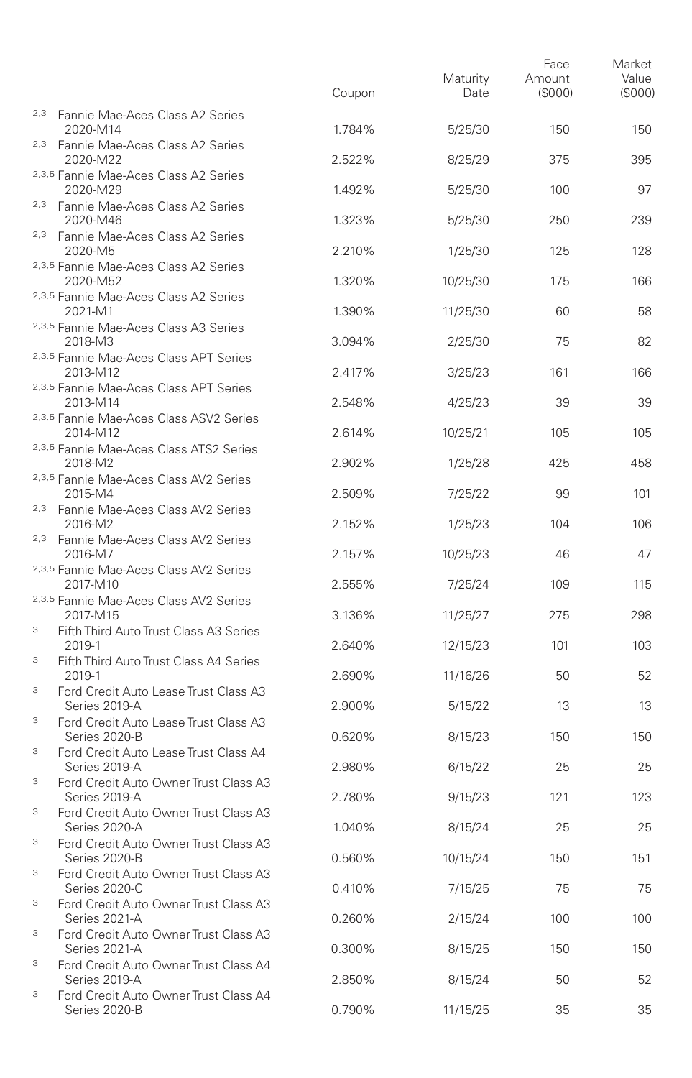|        |                                                                                                 | Coupon | Maturity<br>Date | Face<br>Amount<br>(S000) | Market<br>Value<br>(\$000) |
|--------|-------------------------------------------------------------------------------------------------|--------|------------------|--------------------------|----------------------------|
|        | 2,3 Fannie Mae-Aces Class A2 Series<br>2020-M14                                                 | 1.784% | 5/25/30          | 150                      | 150                        |
|        | <sup>2,3</sup> Fannie Mae-Aces Class A2 Series<br>2020-M22                                      | 2.522% | 8/25/29          | 375                      | 395                        |
|        | 2,3,5 Fannie Mae-Aces Class A2 Series<br>2020-M29                                               | 1.492% | 5/25/30          | 100                      | 97                         |
|        | <sup>2,3</sup> Fannie Mae-Aces Class A2 Series<br>2020-M46                                      | 1.323% | 5/25/30          | 250                      | 239                        |
|        | 2,3 Fannie Mae-Aces Class A2 Series<br>2020-M5                                                  | 2.210% | 1/25/30          | 125                      | 128                        |
|        | 2,3,5 Fannie Mae-Aces Class A2 Series<br>2020-M52                                               | 1.320% | 10/25/30         | 175                      | 166                        |
|        | 2,3,5 Fannie Mae-Aces Class A2 Series<br>2021-M1                                                | 1.390% | 11/25/30         | 60                       | 58                         |
|        | 2,3,5 Fannie Mae-Aces Class A3 Series<br>2018-M3                                                | 3.094% | 2/25/30          | 75                       | 82                         |
|        | 2,3,5 Fannie Mae-Aces Class APT Series<br>2013-M12                                              | 2.417% | 3/25/23          | 161                      | 166                        |
|        | 2,3,5 Fannie Mae-Aces Class APT Series<br>2013-M14                                              | 2.548% | 4/25/23          | 39                       | 39                         |
|        | 2,3,5 Fannie Mae-Aces Class ASV2 Series<br>2014-M12                                             | 2.614% | 10/25/21         | 105                      | 105                        |
|        | 2,3,5 Fannie Mae-Aces Class ATS2 Series<br>2018-M2                                              | 2.902% | 1/25/28          | 425                      | 458                        |
|        | 2,3,5 Fannie Mae-Aces Class AV2 Series<br>2015-M4                                               | 2.509% | 7/25/22          | 99                       | 101                        |
|        | <sup>2,3</sup> Fannie Mae-Aces Class AV2 Series<br>2016-M2                                      | 2.152% | 1/25/23          | 104                      | 106                        |
|        | 2,3 Fannie Mae-Aces Class AV2 Series<br>2016-M7                                                 | 2.157% | 10/25/23         | 46                       | 47                         |
|        | 2,3,5 Fannie Mae-Aces Class AV2 Series<br>2017-M10                                              | 2.555% | 7/25/24          | 109                      | 115                        |
|        | 2,3,5 Fannie Mae-Aces Class AV2 Series<br>2017-M15                                              | 3.136% | 11/25/27         | 275                      | 298                        |
| 3      | Fifth Third Auto Trust Class A3 Series<br>2019-1                                                | 2.640% | 12/15/23         | 101                      | 103                        |
| 3<br>3 | Fifth Third Auto Trust Class A4 Series<br>2019-1                                                | 2.690% | 11/16/26         | 50                       | 52                         |
| 3      | Ford Credit Auto Lease Trust Class A3<br>Series 2019-A                                          | 2.900% | 5/15/22          | 13                       | 13                         |
| 3      | Ford Credit Auto Lease Trust Class A3<br>Series 2020-B<br>Ford Credit Auto Lease Trust Class A4 | 0.620% | 8/15/23          | 150                      | 150                        |
| 3      | Series 2019-A<br>Ford Credit Auto Owner Trust Class A3                                          | 2.980% | 6/15/22          | 25                       | 25                         |
| 3      | Series 2019-A<br>Ford Credit Auto Owner Trust Class A3                                          | 2.780% | 9/15/23          | 121                      | 123                        |
| 3      | Series 2020-A<br>Ford Credit Auto Owner Trust Class A3                                          | 1.040% | 8/15/24          | 25                       | 25                         |
| 3      | Series 2020-B<br>Ford Credit Auto Owner Trust Class A3                                          | 0.560% | 10/15/24         | 150                      | 151                        |
| 3      | Series 2020-C<br>Ford Credit Auto Owner Trust Class A3                                          | 0.410% | 7/15/25          | 75                       | 75                         |
| 3      | Series 2021-A<br>Ford Credit Auto Owner Trust Class A3                                          | 0.260% | 2/15/24          | 100                      | 100                        |
| 3      | Series 2021-A<br>Ford Credit Auto Owner Trust Class A4                                          | 0.300% | 8/15/25          | 150                      | 150                        |
| 3      | Series 2019-A<br>Ford Credit Auto Owner Trust Class A4                                          | 2.850% | 8/15/24          | 50                       | 52                         |
|        | Series 2020-B                                                                                   | 0.790% | 11/15/25         | 35                       | 35                         |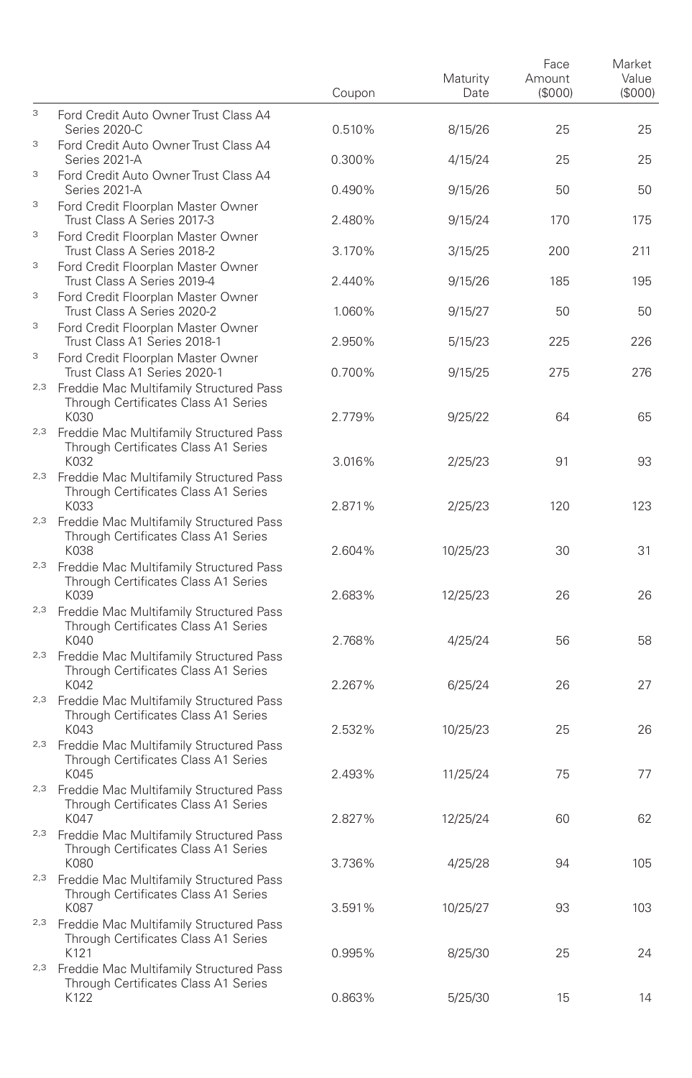|     |                                                                                                        | Coupon | Maturity<br>Date | Face<br>Amount<br>(\$000) | Market<br>Value<br>(S000) |
|-----|--------------------------------------------------------------------------------------------------------|--------|------------------|---------------------------|---------------------------|
| 3   | Ford Credit Auto Owner Trust Class A4<br>Series 2020-C                                                 | 0.510% | 8/15/26          | 25                        | 25                        |
| 3   | Ford Credit Auto Owner Trust Class A4<br>Series 2021-A                                                 | 0.300% | 4/15/24          | 25                        | 25                        |
| 3   | Ford Credit Auto Owner Trust Class A4<br>Series 2021-A                                                 | 0.490% | 9/15/26          | 50                        | 50                        |
| 3   | Ford Credit Floorplan Master Owner<br>Trust Class A Series 2017-3                                      | 2.480% | 9/15/24          | 170                       | 175                       |
| 3   | Ford Credit Floorplan Master Owner<br>Trust Class A Series 2018-2                                      | 3.170% | 3/15/25          | 200                       | 211                       |
| 3   | Ford Credit Floorplan Master Owner<br>Trust Class A Series 2019-4                                      | 2.440% | 9/15/26          | 185                       | 195                       |
| 3   | Ford Credit Floorplan Master Owner<br>Trust Class A Series 2020-2                                      | 1.060% | 9/15/27          | 50                        | 50                        |
| 3   | Ford Credit Floorplan Master Owner<br>Trust Class A1 Series 2018-1                                     | 2.950% | 5/15/23          | 225                       | 226                       |
| 3   | Ford Credit Floorplan Master Owner<br>Trust Class A1 Series 2020-1                                     | 0.700% | 9/15/25          | 275                       | 276                       |
|     | <sup>2,3</sup> Freddie Mac Multifamily Structured Pass<br>Through Certificates Class A1 Series         |        |                  |                           |                           |
|     | K030<br>2,3 Freddie Mac Multifamily Structured Pass<br>Through Certificates Class A1 Series            | 2.779% | 9/25/22          | 64                        | 65                        |
|     | K032<br><sup>2,3</sup> Freddie Mac Multifamily Structured Pass                                         | 3.016% | 2/25/23          | 91                        | 93                        |
|     | Through Certificates Class A1 Series<br>K033                                                           | 2.871% | 2/25/23          | 120                       | 123                       |
| 2,3 | Freddie Mac Multifamily Structured Pass<br>Through Certificates Class A1 Series<br>K038                | 2.604% | 10/25/23         | 30                        | 31                        |
|     | 2,3 Freddie Mac Multifamily Structured Pass<br>Through Certificates Class A1 Series<br>K039            | 2.683% | 12/25/23         | 26                        | 26                        |
|     | <sup>2,3</sup> Freddie Mac Multifamily Structured Pass<br>Through Certificates Class A1 Series         |        |                  |                           |                           |
|     | K040<br><sup>2,3</sup> Freddie Mac Multifamily Structured Pass                                         | 2.768% | 4/25/24          | 56                        | 58                        |
|     | Through Certificates Class A1 Series<br>K042                                                           | 2.267% | 6/25/24          | 26                        | 27                        |
|     | 2,3 Freddie Mac Multifamily Structured Pass<br>Through Certificates Class A1 Series                    |        |                  |                           |                           |
|     | K043<br><sup>2,3</sup> Freddie Mac Multifamily Structured Pass<br>Through Certificates Class A1 Series | 2.532% | 10/25/23         | 25                        | 26                        |
|     | K045<br><sup>2,3</sup> Freddie Mac Multifamily Structured Pass                                         | 2.493% | 11/25/24         | 75                        | 77                        |
|     | Through Certificates Class A1 Series<br>K047                                                           | 2.827% | 12/25/24         | 60                        | 62                        |
|     | <sup>2,3</sup> Freddie Mac Multifamily Structured Pass<br>Through Certificates Class A1 Series<br>K080 | 3.736% | 4/25/28          | 94                        | 105                       |
|     | <sup>2,3</sup> Freddie Mac Multifamily Structured Pass<br>Through Certificates Class A1 Series         |        |                  |                           |                           |
| 2,3 | K087<br>Freddie Mac Multifamily Structured Pass                                                        | 3.591% | 10/25/27         | 93                        | 103                       |
|     | Through Certificates Class A1 Series<br>K121                                                           | 0.995% | 8/25/30          | 25                        | 24                        |
| 2,3 | Freddie Mac Multifamily Structured Pass<br>Through Certificates Class A1 Series<br>K122                | 0.863% | 5/25/30          | 15                        | 14                        |
|     |                                                                                                        |        |                  |                           |                           |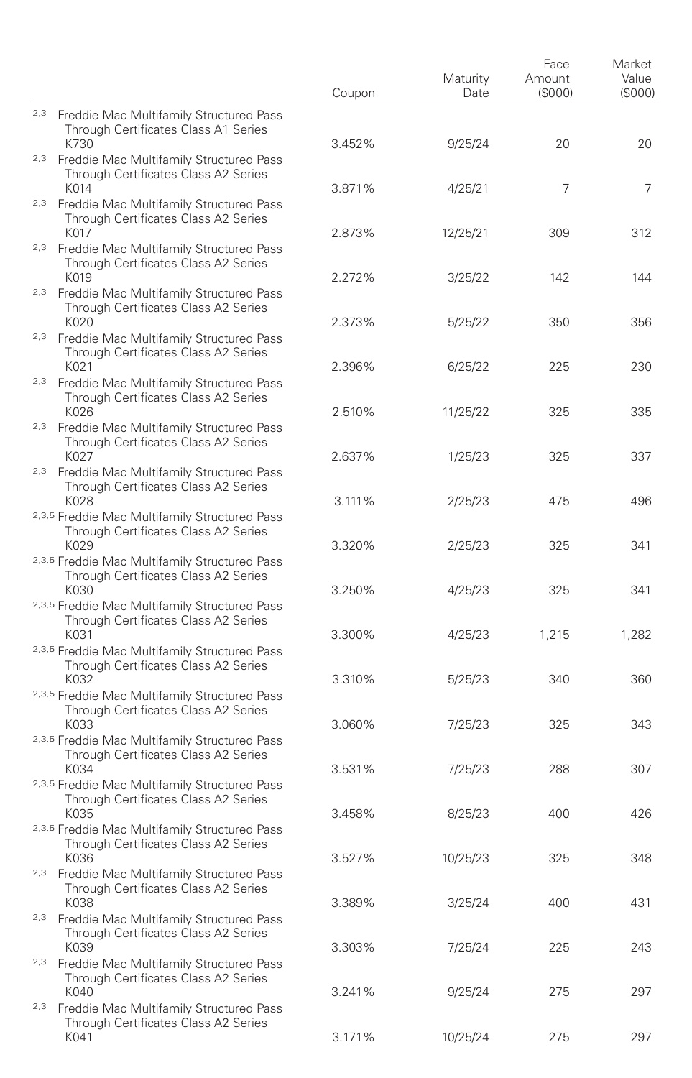|                                                                                                                | Coupon           | Maturity<br>Date | Face<br>Amount<br>(\$000) | Market<br>Value<br>(S000) |
|----------------------------------------------------------------------------------------------------------------|------------------|------------------|---------------------------|---------------------------|
| 2,3 Freddie Mac Multifamily Structured Pass<br>Through Certificates Class A1 Series<br>K730                    |                  |                  | 20                        | 20                        |
| <sup>2,3</sup> Freddie Mac Multifamily Structured Pass<br>Through Certificates Class A2 Series                 | 3.452%           | 9/25/24          |                           |                           |
| K014<br><sup>2,3</sup> Freddie Mac Multifamily Structured Pass<br>Through Certificates Class A2 Series         | 3.871%           | 4/25/21          | 7                         | 7                         |
| K017<br>2,3 Freddie Mac Multifamily Structured Pass<br>Through Certificates Class A2 Series                    | 2.873%           | 12/25/21         | 309                       | 312                       |
| K019<br><sup>2,3</sup> Freddie Mac Multifamily Structured Pass<br>Through Certificates Class A2 Series<br>K020 | 2.272%<br>2.373% | 3/25/22          | 142                       | 144<br>356                |
| <sup>2,3</sup> Freddie Mac Multifamily Structured Pass<br>Through Certificates Class A2 Series                 |                  | 5/25/22          | 350                       |                           |
| K021<br><sup>2,3</sup> Freddie Mac Multifamily Structured Pass<br>Through Certificates Class A2 Series         | 2.396%           | 6/25/22          | 225                       | 230                       |
| K026<br><sup>2,3</sup> Freddie Mac Multifamily Structured Pass<br>Through Certificates Class A2 Series         | 2.510%           | 11/25/22         | 325                       | 335                       |
| K027<br>2,3 Freddie Mac Multifamily Structured Pass<br>Through Certificates Class A2 Series                    | 2.637%           | 1/25/23          | 325                       | 337                       |
| K028<br>2,3,5 Freddie Mac Multifamily Structured Pass<br>Through Certificates Class A2 Series                  | 3.111%           | 2/25/23          | 475                       | 496                       |
| K029<br>2,3,5 Freddie Mac Multifamily Structured Pass<br>Through Certificates Class A2 Series                  | 3.320%           | 2/25/23          | 325                       | 341                       |
| K030<br>2,3,5 Freddie Mac Multifamily Structured Pass<br>Through Certificates Class A2 Series                  | 3.250%           | 4/25/23          | 325                       | 341                       |
| K031<br>2,3,5 Freddie Mac Multifamily Structured Pass<br>Through Certificates Class A2 Series                  | 3.300%           | 4/25/23          | 1,215                     | 1,282                     |
| K032<br>2,3,5 Freddie Mac Multifamily Structured Pass<br>Through Certificates Class A2 Series                  | 3.310%           | 5/25/23          | 340                       | 360                       |
| K033<br>2,3,5 Freddie Mac Multifamily Structured Pass<br>Through Certificates Class A2 Series                  | 3.060%           | 7/25/23          | 325                       | 343                       |
| K034<br>2,3,5 Freddie Mac Multifamily Structured Pass<br>Through Certificates Class A2 Series                  | 3.531%           | 7/25/23          | 288                       | 307                       |
| K035<br>2,3,5 Freddie Mac Multifamily Structured Pass<br>Through Certificates Class A2 Series                  | 3.458%           | 8/25/23          | 400                       | 426                       |
| K036<br><sup>2,3</sup> Freddie Mac Multifamily Structured Pass<br>Through Certificates Class A2 Series         | 3.527%           | 10/25/23         | 325                       | 348                       |
| K038<br><sup>2,3</sup> Freddie Mac Multifamily Structured Pass<br>Through Certificates Class A2 Series         | 3.389%           | 3/25/24          | 400                       | 431                       |
| K039<br>2,3 Freddie Mac Multifamily Structured Pass<br>Through Certificates Class A2 Series                    | 3.303%           | 7/25/24          | 225                       | 243                       |
| K040<br><sup>2,3</sup> Freddie Mac Multifamily Structured Pass<br>Through Certificates Class A2 Series         | 3.241%           | 9/25/24          | 275                       | 297                       |
| K041                                                                                                           | 3.171%           | 10/25/24         | 275                       | 297                       |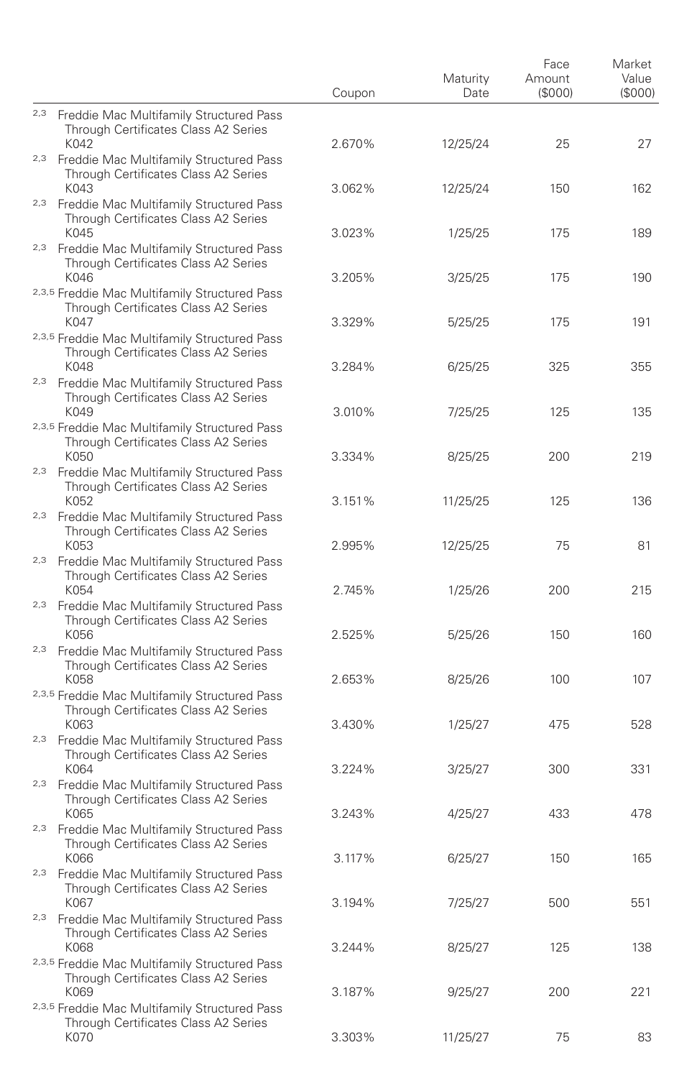|                                                                                                        | Coupon | Maturity<br>Date   | Face<br>Amount<br>(S000) | Market<br>Value<br>(S000) |
|--------------------------------------------------------------------------------------------------------|--------|--------------------|--------------------------|---------------------------|
| 2,3 Freddie Mac Multifamily Structured Pass<br>Through Certificates Class A2 Series<br>K042            | 2.670% | 12/25/24           | 25                       | 27                        |
| <sup>2,3</sup> Freddie Mac Multifamily Structured Pass<br>Through Certificates Class A2 Series<br>K043 | 3.062% |                    |                          |                           |
| <sup>2,3</sup> Freddie Mac Multifamily Structured Pass<br>Through Certificates Class A2 Series<br>K045 | 3.023% | 12/25/24           | 150                      | 162                       |
| 2,3 Freddie Mac Multifamily Structured Pass<br>Through Certificates Class A2 Series<br>K046            | 3.205% | 1/25/25            | 175<br>175               | 189<br>190                |
| 2,3,5 Freddie Mac Multifamily Structured Pass<br>Through Certificates Class A2 Series<br>K047          | 3.329% | 3/25/25<br>5/25/25 | 175                      | 191                       |
| 2,3,5 Freddie Mac Multifamily Structured Pass<br>Through Certificates Class A2 Series<br>K048          | 3.284% |                    | 325                      | 355                       |
| <sup>2,3</sup> Freddie Mac Multifamily Structured Pass<br>Through Certificates Class A2 Series         |        | 6/25/25            |                          |                           |
| K049<br>2,3,5 Freddie Mac Multifamily Structured Pass<br>Through Certificates Class A2 Series          | 3.010% | 7/25/25            | 125                      | 135                       |
| K050<br>2,3 Freddie Mac Multifamily Structured Pass<br>Through Certificates Class A2 Series            | 3.334% | 8/25/25            | 200                      | 219                       |
| K052<br><sup>2,3</sup> Freddie Mac Multifamily Structured Pass<br>Through Certificates Class A2 Series | 3.151% | 11/25/25           | 125                      | 136                       |
| K053<br><sup>2,3</sup> Freddie Mac Multifamily Structured Pass<br>Through Certificates Class A2 Series | 2.995% | 12/25/25           | 75                       | 81                        |
| K054<br>2,3 Freddie Mac Multifamily Structured Pass<br>Through Certificates Class A2 Series            | 2.745% | 1/25/26            | 200                      | 215                       |
| K056<br><sup>2,3</sup> Freddie Mac Multifamily Structured Pass<br>Through Certificates Class A2 Series | 2.525% | 5/25/26            | 150                      | 160                       |
| K058<br>2,3,5 Freddie Mac Multifamily Structured Pass<br>Through Certificates Class A2 Series          | 2.653% | 8/25/26            | 100                      | 107                       |
| K063<br><sup>2,3</sup> Freddie Mac Multifamily Structured Pass<br>Through Certificates Class A2 Series | 3.430% | 1/25/27            | 475                      | 528                       |
| K064<br><sup>2,3</sup> Freddie Mac Multifamily Structured Pass<br>Through Certificates Class A2 Series | 3.224% | 3/25/27            | 300                      | 331                       |
| K065<br><sup>2,3</sup> Freddie Mac Multifamily Structured Pass<br>Through Certificates Class A2 Series | 3.243% | 4/25/27            | 433                      | 478                       |
| K066<br><sup>2,3</sup> Freddie Mac Multifamily Structured Pass<br>Through Certificates Class A2 Series | 3.117% | 6/25/27            | 150                      | 165                       |
| K067<br><sup>2,3</sup> Freddie Mac Multifamily Structured Pass<br>Through Certificates Class A2 Series | 3.194% | 7/25/27            | 500                      | 551                       |
| K068<br>2,3,5 Freddie Mac Multifamily Structured Pass<br>Through Certificates Class A2 Series          | 3.244% | 8/25/27            | 125                      | 138                       |
| K069<br>2,3,5 Freddie Mac Multifamily Structured Pass<br>Through Certificates Class A2 Series          | 3.187% | 9/25/27            | 200                      | 221                       |
| K070                                                                                                   | 3.303% | 11/25/27           | 75                       | 83                        |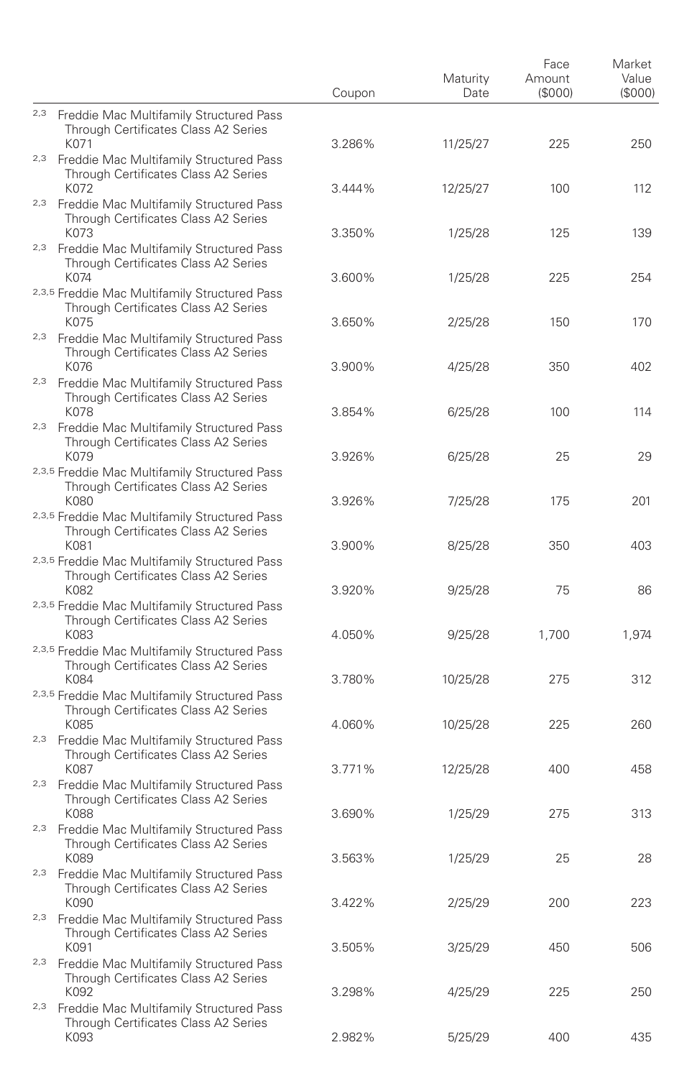|     |                                                                                                                | Coupon           | Maturity<br>Date | Face<br>Amount<br>(S000) | Market<br>Value<br>(S000) |
|-----|----------------------------------------------------------------------------------------------------------------|------------------|------------------|--------------------------|---------------------------|
|     | 2,3 Freddie Mac Multifamily Structured Pass<br>Through Certificates Class A2 Series<br>K071                    | 3.286%           |                  | 225                      | 250                       |
|     | <sup>2,3</sup> Freddie Mac Multifamily Structured Pass<br>Through Certificates Class A2 Series                 |                  | 11/25/27         |                          |                           |
|     | K072<br><sup>2,3</sup> Freddie Mac Multifamily Structured Pass<br>Through Certificates Class A2 Series<br>K073 | 3.444%           | 12/25/27         | 100                      | 112                       |
|     | 2,3 Freddie Mac Multifamily Structured Pass<br>Through Certificates Class A2 Series<br>K074                    | 3.350%<br>3.600% | 1/25/28          | 125                      | 139                       |
|     | 2,3,5 Freddie Mac Multifamily Structured Pass<br>Through Certificates Class A2 Series<br>K075                  |                  | 1/25/28          | 225<br>150               | 254<br>170                |
|     | <sup>2,3</sup> Freddie Mac Multifamily Structured Pass<br>Through Certificates Class A2 Series                 | 3.650%           | 2/25/28          |                          |                           |
|     | K076<br><sup>2,3</sup> Freddie Mac Multifamily Structured Pass<br>Through Certificates Class A2 Series         | 3.900%           | 4/25/28          | 350                      | 402                       |
|     | K078<br><sup>2,3</sup> Freddie Mac Multifamily Structured Pass<br>Through Certificates Class A2 Series         | 3.854%           | 6/25/28          | 100                      | 114                       |
|     | K079<br>2,3,5 Freddie Mac Multifamily Structured Pass<br>Through Certificates Class A2 Series                  | 3.926%           | 6/25/28          | 25                       | 29                        |
|     | K080<br>2,3,5 Freddie Mac Multifamily Structured Pass<br>Through Certificates Class A2 Series                  | 3.926%           | 7/25/28          | 175                      | 201                       |
|     | K081<br>2,3,5 Freddie Mac Multifamily Structured Pass<br>Through Certificates Class A2 Series                  | 3.900%           | 8/25/28          | 350                      | 403                       |
|     | K082<br>2,3,5 Freddie Mac Multifamily Structured Pass<br>Through Certificates Class A2 Series                  | 3.920%           | 9/25/28          | 75                       | 86                        |
|     | K083<br>2,3,5 Freddie Mac Multifamily Structured Pass<br>Through Certificates Class A2 Series                  | 4.050%           | 9/25/28          | 1,700                    | 1,974                     |
|     | K084<br>2,3,5 Freddie Mac Multifamily Structured Pass<br>Through Certificates Class A2 Series                  | 3.780%           | 10/25/28         | 275                      | 312                       |
|     | K085<br><sup>2,3</sup> Freddie Mac Multifamily Structured Pass<br>Through Certificates Class A2 Series         | 4.060%           | 10/25/28         | 225                      | 260                       |
|     | K087<br><sup>2,3</sup> Freddie Mac Multifamily Structured Pass<br>Through Certificates Class A2 Series         | 3.771%           | 12/25/28         | 400                      | 458                       |
|     | K088<br><sup>2,3</sup> Freddie Mac Multifamily Structured Pass<br>Through Certificates Class A2 Series         | 3.690%           | 1/25/29          | 275                      | 313                       |
|     | K089<br><sup>2,3</sup> Freddie Mac Multifamily Structured Pass<br>Through Certificates Class A2 Series         | 3.563%           | 1/25/29          | 25                       | 28                        |
|     | K090<br><sup>2,3</sup> Freddie Mac Multifamily Structured Pass<br>Through Certificates Class A2 Series         | 3.422%           | 2/25/29          | 200                      | 223                       |
|     | K091<br>2,3 Freddie Mac Multifamily Structured Pass<br>Through Certificates Class A2 Series                    | 3.505%           | 3/25/29          | 450                      | 506                       |
| 2,3 | K092<br>Freddie Mac Multifamily Structured Pass<br>Through Certificates Class A2 Series                        | 3.298%           | 4/25/29          | 225                      | 250                       |
|     | K093                                                                                                           | 2.982%           | 5/25/29          | 400                      | 435                       |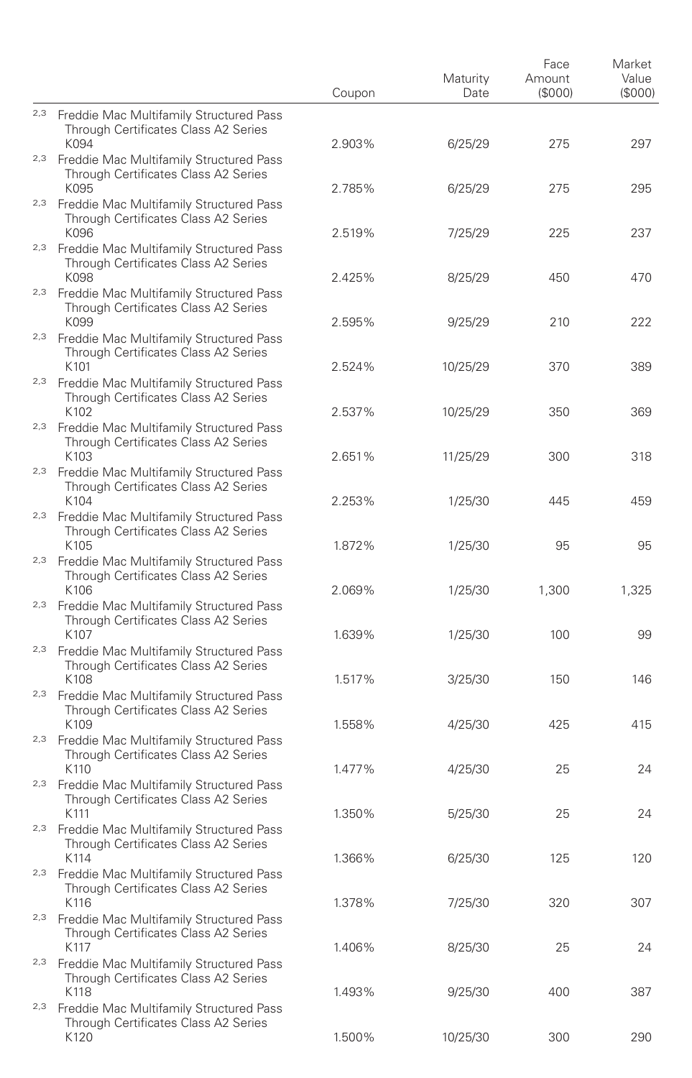|     |                                                                                                                | Coupon           | Maturity<br>Date | Face<br>Amount<br>(\$000) | Market<br>Value<br>(S000) |
|-----|----------------------------------------------------------------------------------------------------------------|------------------|------------------|---------------------------|---------------------------|
|     | 2,3 Freddie Mac Multifamily Structured Pass<br>Through Certificates Class A2 Series                            |                  |                  |                           |                           |
|     | K094<br><sup>2,3</sup> Freddie Mac Multifamily Structured Pass<br>Through Certificates Class A2 Series         | 2.903%           | 6/25/29          | 275                       | 297                       |
|     | K095<br><sup>2,3</sup> Freddie Mac Multifamily Structured Pass<br>Through Certificates Class A2 Series<br>K096 | 2.785%<br>2.519% | 6/25/29          | 275<br>225                | 295<br>237                |
|     | 2,3 Freddie Mac Multifamily Structured Pass<br>Through Certificates Class A2 Series                            |                  | 7/25/29          |                           |                           |
|     | K098<br><sup>2,3</sup> Freddie Mac Multifamily Structured Pass<br>Through Certificates Class A2 Series         | 2.425%           | 8/25/29          | 450                       | 470                       |
|     | K099<br>2,3 Freddie Mac Multifamily Structured Pass<br>Through Certificates Class A2 Series                    | 2.595%           | 9/25/29          | 210                       | 222                       |
|     | K101<br><sup>2,3</sup> Freddie Mac Multifamily Structured Pass<br>Through Certificates Class A2 Series         | 2.524%           | 10/25/29         | 370                       | 389                       |
|     | K102<br><sup>2,3</sup> Freddie Mac Multifamily Structured Pass<br>Through Certificates Class A2 Series         | 2.537%           | 10/25/29         | 350                       | 369                       |
|     | K103<br>2,3 Freddie Mac Multifamily Structured Pass                                                            | 2.651%           | 11/25/29         | 300                       | 318                       |
|     | Through Certificates Class A2 Series<br>K104<br><sup>2,3</sup> Freddie Mac Multifamily Structured Pass         | 2.253%           | 1/25/30          | 445                       | 459                       |
|     | Through Certificates Class A2 Series<br>K105<br><sup>2,3</sup> Freddie Mac Multifamily Structured Pass         | 1.872%           | 1/25/30          | 95                        | 95                        |
|     | Through Certificates Class A2 Series<br>K106<br>2,3 Freddie Mac Multifamily Structured Pass                    | 2.069%           | 1/25/30          | 1,300                     | 1,325                     |
|     | Through Certificates Class A2 Series<br>K107                                                                   | 1.639%           | 1/25/30          | 100                       | 99                        |
|     | <sup>2,3</sup> Freddie Mac Multifamily Structured Pass<br>Through Certificates Class A2 Series<br>K108         | 1.517%           | 3/25/30          | 150                       | 146                       |
|     | 2,3 Freddie Mac Multifamily Structured Pass<br>Through Certificates Class A2 Series<br>K109                    | 1.558%           | 4/25/30          | 425                       | 415                       |
|     | <sup>2,3</sup> Freddie Mac Multifamily Structured Pass<br>Through Certificates Class A2 Series<br>K110         | 1.477%           | 4/25/30          | 25                        | 24                        |
|     | <sup>2,3</sup> Freddie Mac Multifamily Structured Pass<br>Through Certificates Class A2 Series<br>K111         | 1.350%           |                  | 25                        | 24                        |
|     | 2,3 Freddie Mac Multifamily Structured Pass<br>Through Certificates Class A2 Series                            |                  | 5/25/30          |                           |                           |
|     | K114<br><sup>2,3</sup> Freddie Mac Multifamily Structured Pass<br>Through Certificates Class A2 Series         | 1.366%           | 6/25/30          | 125                       | 120                       |
|     | K116<br><sup>2,3</sup> Freddie Mac Multifamily Structured Pass<br>Through Certificates Class A2 Series         | 1.378%           | 7/25/30          | 320                       | 307                       |
| 2,3 | K117<br>Freddie Mac Multifamily Structured Pass<br>Through Certificates Class A2 Series                        | 1.406%           | 8/25/30          | 25                        | 24                        |
| 2,3 | K118<br>Freddie Mac Multifamily Structured Pass                                                                | 1.493%           | 9/25/30          | 400                       | 387                       |
|     | Through Certificates Class A2 Series<br>K120                                                                   | 1.500%           | 10/25/30         | 300                       | 290                       |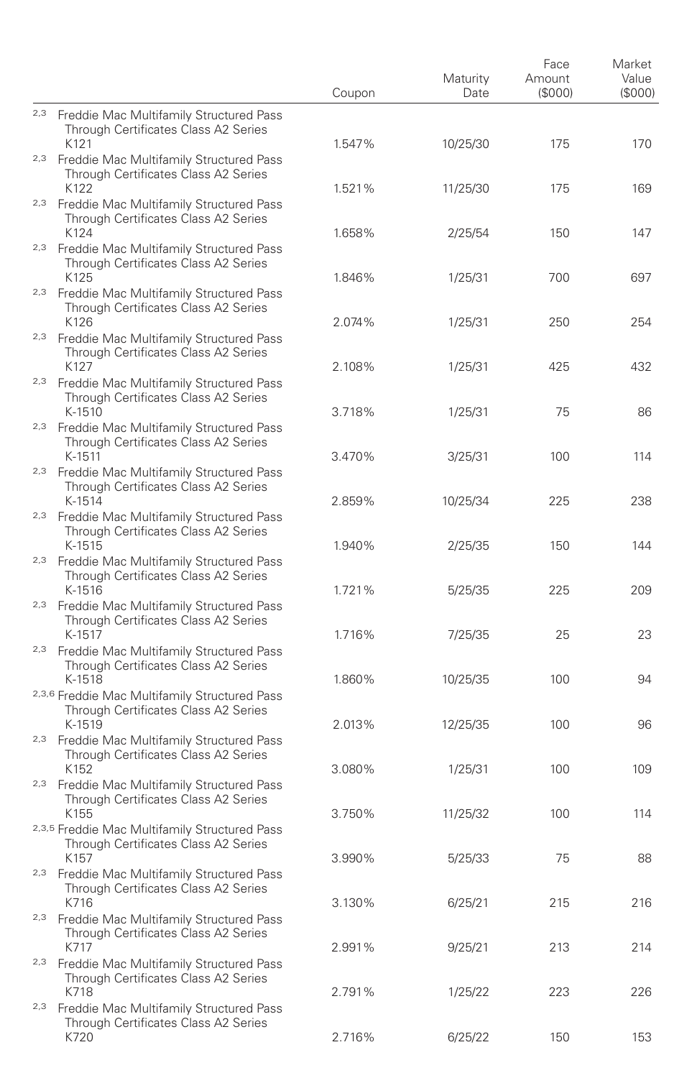|     |                                                                                                          | Coupon | Maturity<br>Date | Face<br>Amount<br>(S000) | Market<br>Value<br>(S000) |
|-----|----------------------------------------------------------------------------------------------------------|--------|------------------|--------------------------|---------------------------|
|     | 2,3 Freddie Mac Multifamily Structured Pass<br>Through Certificates Class A2 Series<br>K121              | 1.547% | 10/25/30         | 175                      | 170                       |
|     | <sup>2,3</sup> Freddie Mac Multifamily Structured Pass<br>Through Certificates Class A2 Series           |        |                  |                          |                           |
|     | K122<br><sup>2,3</sup> Freddie Mac Multifamily Structured Pass<br>Through Certificates Class A2 Series   | 1.521% | 11/25/30         | 175                      | 169                       |
|     | K124<br>2,3 Freddie Mac Multifamily Structured Pass<br>Through Certificates Class A2 Series              | 1.658% | 2/25/54          | 150                      | 147                       |
|     | K125<br><sup>2,3</sup> Freddie Mac Multifamily Structured Pass<br>Through Certificates Class A2 Series   | 1.846% | 1/25/31          | 700                      | 697                       |
|     | K126<br>2,3 Freddie Mac Multifamily Structured Pass<br>Through Certificates Class A2 Series              | 2.074% | 1/25/31          | 250                      | 254                       |
|     | K127<br><sup>2,3</sup> Freddie Mac Multifamily Structured Pass<br>Through Certificates Class A2 Series   | 2.108% | 1/25/31          | 425                      | 432                       |
|     | K-1510<br><sup>2,3</sup> Freddie Mac Multifamily Structured Pass<br>Through Certificates Class A2 Series | 3.718% | 1/25/31          | 75                       | 86                        |
|     | K-1511<br>2,3 Freddie Mac Multifamily Structured Pass<br>Through Certificates Class A2 Series            | 3.470% | 3/25/31          | 100                      | 114                       |
|     | K-1514<br><sup>2,3</sup> Freddie Mac Multifamily Structured Pass                                         | 2.859% | 10/25/34         | 225                      | 238                       |
|     | Through Certificates Class A2 Series<br>K-1515<br><sup>2,3</sup> Freddie Mac Multifamily Structured Pass | 1.940% | 2/25/35          | 150                      | 144                       |
|     | Through Certificates Class A2 Series<br>K-1516<br>2,3 Freddie Mac Multifamily Structured Pass            | 1.721% | 5/25/35          | 225                      | 209                       |
|     | Through Certificates Class A2 Series<br>K-1517<br><sup>2,3</sup> Freddie Mac Multifamily Structured Pass | 1.716% | 7/25/35          | 25                       | 23                        |
|     | Through Certificates Class A2 Series<br>K-1518<br>2,3,6 Freddie Mac Multifamily Structured Pass          | 1.860% | 10/25/35         | 100                      | 94                        |
|     | Through Certificates Class A2 Series<br>K-1519                                                           | 2.013% | 12/25/35         | 100                      | 96                        |
|     | <sup>2,3</sup> Freddie Mac Multifamily Structured Pass<br>Through Certificates Class A2 Series<br>K152   | 3.080% | 1/25/31          | 100                      | 109                       |
|     | <sup>2,3</sup> Freddie Mac Multifamily Structured Pass<br>Through Certificates Class A2 Series<br>K155   | 3.750% | 11/25/32         | 100                      | 114                       |
|     | 2,3,5 Freddie Mac Multifamily Structured Pass<br>Through Certificates Class A2 Series<br>K157            | 3.990% | 5/25/33          | 75                       | 88                        |
|     | <sup>2,3</sup> Freddie Mac Multifamily Structured Pass<br>Through Certificates Class A2 Series<br>K716   | 3.130% | 6/25/21          | 215                      | 216                       |
| 2,3 | Freddie Mac Multifamily Structured Pass<br>Through Certificates Class A2 Series<br>K717                  | 2.991% | 9/25/21          | 213                      | 214                       |
|     | 2,3 Freddie Mac Multifamily Structured Pass<br>Through Certificates Class A2 Series<br>K718              | 2.791% |                  | 223                      | 226                       |
|     | <sup>2,3</sup> Freddie Mac Multifamily Structured Pass<br>Through Certificates Class A2 Series           |        | 1/25/22          |                          |                           |
|     | K720                                                                                                     | 2.716% | 6/25/22          | 150                      | 153                       |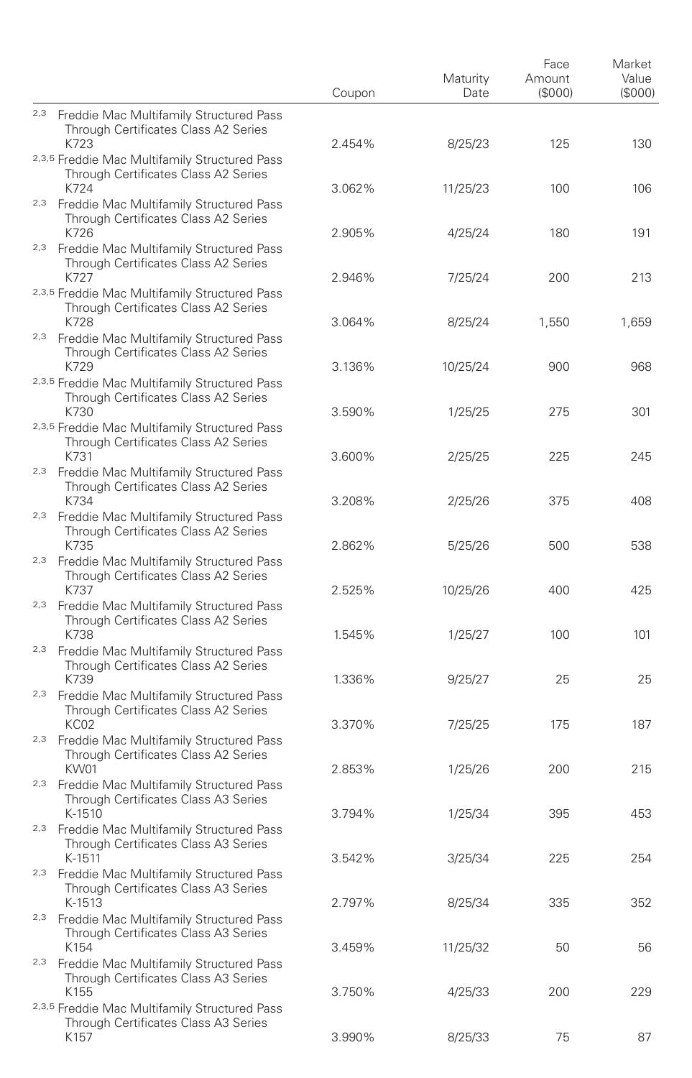|                                                                                                          | Coupon           | Maturity<br>Date | Face<br>Amount<br>(S000) | Market<br>Value<br>(S000) |
|----------------------------------------------------------------------------------------------------------|------------------|------------------|--------------------------|---------------------------|
| 2,3 Freddie Mac Multifamily Structured Pass<br>Through Certificates Class A2 Series                      |                  |                  |                          |                           |
| K723<br>2,3,5 Freddie Mac Multifamily Structured Pass<br>Through Certificates Class A2 Series            | 2.454%           | 8/25/23          | 125                      | 130                       |
| K724<br><sup>2,3</sup> Freddie Mac Multifamily Structured Pass<br>Through Certificates Class A2 Series   | 3.062%           | 11/25/23         | 100                      | 106                       |
| K726<br>2,3 Freddie Mac Multifamily Structured Pass<br>Through Certificates Class A2 Series              | 2.905%           | 4/25/24          | 180                      | 191                       |
| K727<br>2,3,5 Freddie Mac Multifamily Structured Pass<br>Through Certificates Class A2 Series<br>K728    | 2.946%<br>3.064% | 7/25/24          | 200                      | 213                       |
| 2,3 Freddie Mac Multifamily Structured Pass<br>Through Certificates Class A2 Series                      |                  | 8/25/24          | 1,550                    | 1,659                     |
| K729<br>2,3,5 Freddie Mac Multifamily Structured Pass<br>Through Certificates Class A2 Series            | 3.136%           | 10/25/24         | 900                      | 968                       |
| K730<br>2,3,5 Freddie Mac Multifamily Structured Pass<br>Through Certificates Class A2 Series            | 3.590%           | 1/25/25          | 275                      | 301                       |
| K731<br>2,3 Freddie Mac Multifamily Structured Pass<br>Through Certificates Class A2 Series              | 3.600%           | 2/25/25          | 225                      | 245                       |
| K734<br><sup>2,3</sup> Freddie Mac Multifamily Structured Pass<br>Through Certificates Class A2 Series   | 3.208%           | 2/25/26          | 375                      | 408                       |
| K735<br><sup>2,3</sup> Freddie Mac Multifamily Structured Pass<br>Through Certificates Class A2 Series   | 2.862%           | 5/25/26          | 500                      | 538                       |
| K737<br>2,3 Freddie Mac Multifamily Structured Pass<br>Through Certificates Class A2 Series              | 2.525%           | 10/25/26         | 400                      | 425                       |
| K738<br><sup>2,3</sup> Freddie Mac Multifamily Structured Pass<br>Through Certificates Class A2 Series   | 1.545%           | 1/25/27          | 100                      | 101                       |
| K739<br>2,3 Freddie Mac Multifamily Structured Pass<br>Through Certificates Class A2 Series              | 1.336%           | 9/25/27          | 25                       | 25                        |
| KC02<br><sup>2,3</sup> Freddie Mac Multifamily Structured Pass<br>Through Certificates Class A2 Series   | 3.370%           | 7/25/25          | 175                      | 187                       |
| KW01<br><sup>2,3</sup> Freddie Mac Multifamily Structured Pass<br>Through Certificates Class A3 Series   | 2.853%           | 1/25/26          | 200                      | 215                       |
| K-1510<br>2,3 Freddie Mac Multifamily Structured Pass<br>Through Certificates Class A3 Series            | 3.794%           | 1/25/34          | 395                      | 453                       |
| K-1511<br><sup>2,3</sup> Freddie Mac Multifamily Structured Pass<br>Through Certificates Class A3 Series | 3.542%           | 3/25/34          | 225                      | 254                       |
| K-1513<br><sup>2,3</sup> Freddie Mac Multifamily Structured Pass                                         | 2.797%           | 8/25/34          | 335                      | 352                       |
| Through Certificates Class A3 Series<br>K154<br>2,3 Freddie Mac Multifamily Structured Pass              | 3.459%           | 11/25/32         | 50                       | 56                        |
| Through Certificates Class A3 Series<br>K155<br>2,3,5 Freddie Mac Multifamily Structured Pass            | 3.750%           | 4/25/33          | 200                      | 229                       |
| Through Certificates Class A3 Series<br>K157                                                             | 3.990%           | 8/25/33          | 75                       | 87                        |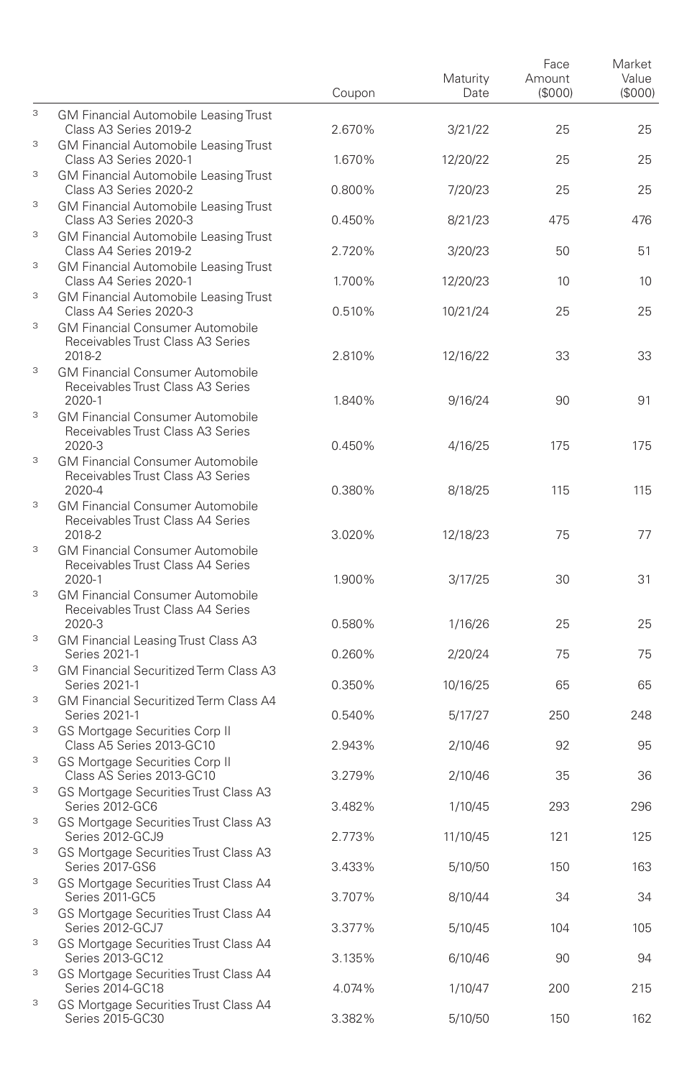|   |                                                                                        | Coupon | Maturity<br>Date | Face<br>Amount<br>(S000) | Market<br>Value<br>(\$000) |
|---|----------------------------------------------------------------------------------------|--------|------------------|--------------------------|----------------------------|
| 3 | <b>GM Financial Automobile Leasing Trust</b><br>Class A3 Series 2019-2                 | 2.670% | 3/21/22          | 25                       | 25                         |
| 3 | <b>GM Financial Automobile Leasing Trust</b><br>Class A3 Series 2020-1                 | 1.670% | 12/20/22         | 25                       | 25                         |
| 3 | <b>GM Financial Automobile Leasing Trust</b><br>Class A3 Series 2020-2                 | 0.800% | 7/20/23          | 25                       | 25                         |
| 3 | <b>GM Financial Automobile Leasing Trust</b>                                           |        |                  |                          |                            |
| 3 | Class A3 Series 2020-3<br><b>GM Financial Automobile Leasing Trust</b>                 | 0.450% | 8/21/23          | 475                      | 476                        |
| 3 | Class A4 Series 2019-2<br><b>GM Financial Automobile Leasing Trust</b>                 | 2.720% | 3/20/23          | 50                       | 51                         |
| 3 | Class A4 Series 2020-1<br>GM Financial Automobile Leasing Trust                        | 1.700% | 12/20/23         | 10                       | 10                         |
| 3 | Class A4 Series 2020-3<br><b>GM Financial Consumer Automobile</b>                      | 0.510% | 10/21/24         | 25                       | 25                         |
|   | Receivables Trust Class A3 Series<br>2018-2                                            | 2.810% | 12/16/22         | 33                       | 33                         |
| 3 | <b>GM Financial Consumer Automobile</b><br>Receivables Trust Class A3 Series           |        |                  |                          |                            |
| 3 | 2020-1<br><b>GM Financial Consumer Automobile</b>                                      | 1.840% | 9/16/24          | 90                       | 91                         |
|   | Receivables Trust Class A3 Series<br>2020-3                                            | 0.450% | 4/16/25          | 175                      | 175                        |
| 3 | <b>GM Financial Consumer Automobile</b><br>Receivables Trust Class A3 Series           |        |                  |                          |                            |
| 3 | 2020-4<br><b>GM Financial Consumer Automobile</b>                                      | 0.380% | 8/18/25          | 115                      | 115                        |
|   | Receivables Trust Class A4 Series<br>2018-2                                            | 3.020% | 12/18/23         | 75                       | 77                         |
| 3 | <b>GM Financial Consumer Automobile</b><br>Receivables Trust Class A4 Series<br>2020-1 | 1.900% | 3/17/25          | 30                       | 31                         |
| 3 | <b>GM Financial Consumer Automobile</b><br>Receivables Trust Class A4 Series           |        |                  |                          |                            |
| 3 | 2020-3<br>GM Financial Leasing Trust Class A3                                          | 0.580% | 1/16/26          | 25                       | 25                         |
| 3 | Series 2021-1<br>GM Financial Securitized Term Class A3                                | 0.260% | 2/20/24          | 75                       | 75                         |
| 3 | Series 2021-1<br>GM Financial Securitized Term Class A4                                | 0.350% | 10/16/25         | 65                       | 65                         |
| 3 | Series 2021-1                                                                          | 0.540% | 5/17/27          | 250                      | 248                        |
| 3 | GS Mortgage Securities Corp II<br>Class A5 Series 2013-GC10                            | 2.943% | 2/10/46          | 92                       | 95                         |
|   | GS Mortgage Securities Corp II<br>Class AS Series 2013-GC10                            | 3.279% | 2/10/46          | 35                       | 36                         |
| 3 | GS Mortgage Securities Trust Class A3<br>Series 2012-GC6                               | 3.482% | 1/10/45          | 293                      | 296                        |
| 3 | GS Mortgage Securities Trust Class A3<br>Series 2012-GCJ9                              | 2.773% | 11/10/45         | 121                      | 125                        |
| 3 | GS Mortgage Securities Trust Class A3<br>Series 2017-GS6                               | 3.433% | 5/10/50          | 150                      | 163                        |
| 3 | GS Mortgage Securities Trust Class A4<br>Series 2011-GC5                               | 3.707% | 8/10/44          | 34                       | 34                         |
| 3 | GS Mortgage Securities Trust Class A4<br>Series 2012-GCJ7                              | 3.377% | 5/10/45          | 104                      | 105                        |
| 3 | GS Mortgage Securities Trust Class A4<br>Series 2013-GC12                              | 3.135% | 6/10/46          | 90                       | 94                         |
| 3 | GS Mortgage Securities Trust Class A4<br>Series 2014-GC18                              | 4.074% | 1/10/47          | 200                      | 215                        |
| 3 | GS Mortgage Securities Trust Class A4<br>Series 2015-GC30                              | 3.382% | 5/10/50          | 150                      | 162                        |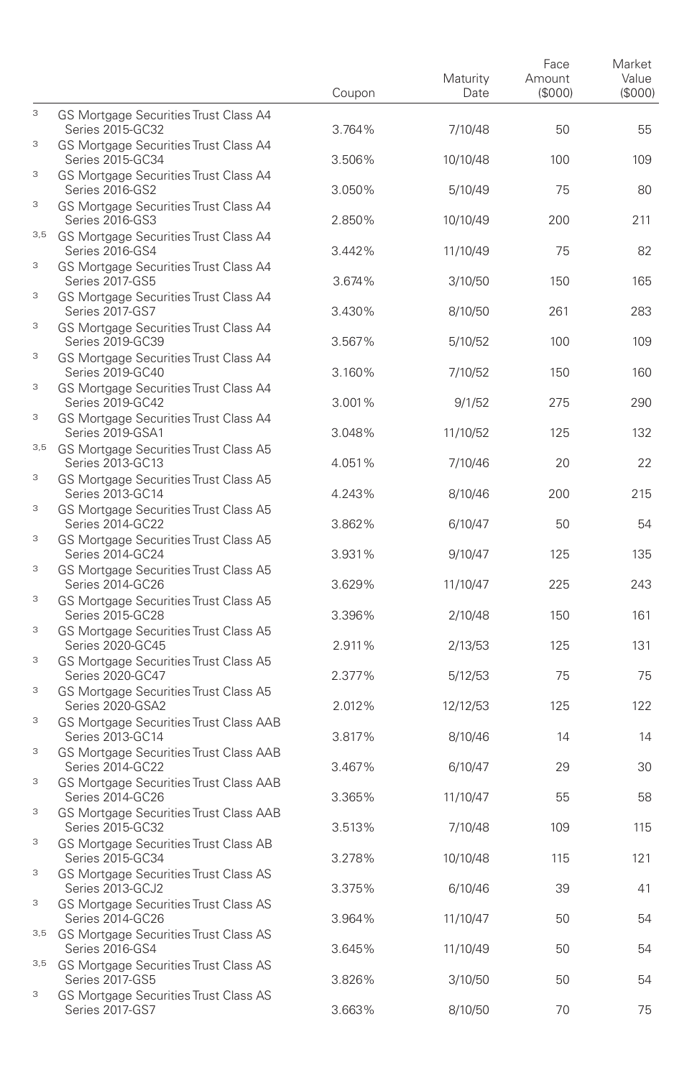|        |                                                                                                      | Coupon | Maturity<br>Date | Face<br>Amount<br>(\$000) | Market<br>Value<br>(S000) |
|--------|------------------------------------------------------------------------------------------------------|--------|------------------|---------------------------|---------------------------|
| 3      | GS Mortgage Securities Trust Class A4<br>Series 2015-GC32                                            | 3.764% | 7/10/48          | 50                        | 55                        |
| 3      | GS Mortgage Securities Trust Class A4<br>Series 2015-GC34                                            | 3.506% | 10/10/48         | 100                       | 109                       |
| 3      | GS Mortgage Securities Trust Class A4<br>Series 2016-GS2                                             | 3.050% | 5/10/49          | 75                        | 80                        |
| 3      | GS Mortgage Securities Trust Class A4<br>Series 2016-GS3                                             | 2.850% | 10/10/49         | 200                       | 211                       |
|        | 3,5 GS Mortgage Securities Trust Class A4<br>Series 2016-GS4                                         | 3.442% | 11/10/49         | 75                        | 82                        |
| 3      | GS Mortgage Securities Trust Class A4<br>Series 2017-GS5                                             | 3.674% | 3/10/50          | 150                       | 165                       |
| 3      | GS Mortgage Securities Trust Class A4<br><b>Series 2017-GS7</b>                                      | 3.430% | 8/10/50          | 261                       | 283                       |
| 3      | GS Mortgage Securities Trust Class A4<br>Series 2019-GC39                                            | 3.567% | 5/10/52          | 100                       | 109                       |
| 3      | GS Mortgage Securities Trust Class A4<br>Series 2019-GC40                                            | 3.160% | 7/10/52          | 150                       | 160                       |
| 3      | GS Mortgage Securities Trust Class A4<br>Series 2019-GC42                                            | 3.001% | 9/1/52           | 275                       | 290                       |
| 3      | GS Mortgage Securities Trust Class A4<br>Series 2019-GSA1                                            | 3.048% | 11/10/52         | 125                       | 132                       |
| 3,5    | GS Mortgage Securities Trust Class A5<br>Series 2013-GC13                                            | 4.051% | 7/10/46          | 20                        | 22                        |
| 3      | GS Mortgage Securities Trust Class A5<br>Series 2013-GC14                                            | 4.243% | 8/10/46          | 200                       | 215                       |
| 3      | GS Mortgage Securities Trust Class A5<br>Series 2014-GC22                                            | 3.862% | 6/10/47          | 50                        | 54                        |
| 3      | GS Mortgage Securities Trust Class A5<br>Series 2014-GC24                                            | 3.931% | 9/10/47          | 125                       | 135                       |
| 3      | GS Mortgage Securities Trust Class A5<br>Series 2014-GC26                                            | 3.629% | 11/10/47         | 225                       | 243                       |
| 3      | GS Mortgage Securities Trust Class A5<br>Series 2015-GC28                                            | 3.396% | 2/10/48          | 150                       | 161                       |
| 3      | GS Mortgage Securities Trust Class A5<br>Series 2020-GC45                                            | 2.911% | 2/13/53          | 125                       | 131                       |
| 3<br>3 | GS Mortgage Securities Trust Class A5<br>Series 2020-GC47                                            | 2.377% | 5/12/53          | 75                        | 75                        |
| 3      | GS Mortgage Securities Trust Class A5<br>Series 2020-GSA2                                            | 2.012% | 12/12/53         | 125                       | 122                       |
| 3      | GS Mortgage Securities Trust Class AAB<br>Series 2013-GC14<br>GS Mortgage Securities Trust Class AAB | 3.817% | 8/10/46          | 14                        | 14                        |
| 3      | Series 2014-GC22<br>GS Mortgage Securities Trust Class AAB                                           | 3.467% | 6/10/47          | 29                        | 30                        |
| 3      | Series 2014-GC26<br>GS Mortgage Securities Trust Class AAB                                           | 3.365% | 11/10/47         | 55                        | 58                        |
| 3      | Series 2015-GC32<br>GS Mortgage Securities Trust Class AB                                            | 3.513% | 7/10/48          | 109                       | 115                       |
| 3      | Series 2015-GC34<br>GS Mortgage Securities Trust Class AS                                            | 3.278% | 10/10/48         | 115                       | 121                       |
| 3      | Series 2013-GCJ2<br>GS Mortgage Securities Trust Class AS                                            | 3.375% | 6/10/46          | 39                        | 41                        |
| 3,5    | Series 2014-GC26<br>GS Mortgage Securities Trust Class AS                                            | 3.964% | 11/10/47         | 50                        | 54                        |
|        | Series 2016-GS4<br>3,5 GS Mortgage Securities Trust Class AS                                         | 3.645% | 11/10/49         | 50                        | 54                        |
| 3      | Series 2017-GS5<br>GS Mortgage Securities Trust Class AS                                             | 3.826% | 3/10/50          | 50                        | 54                        |
|        | Series 2017-GS7                                                                                      | 3.663% | 8/10/50          | 70                        | 75                        |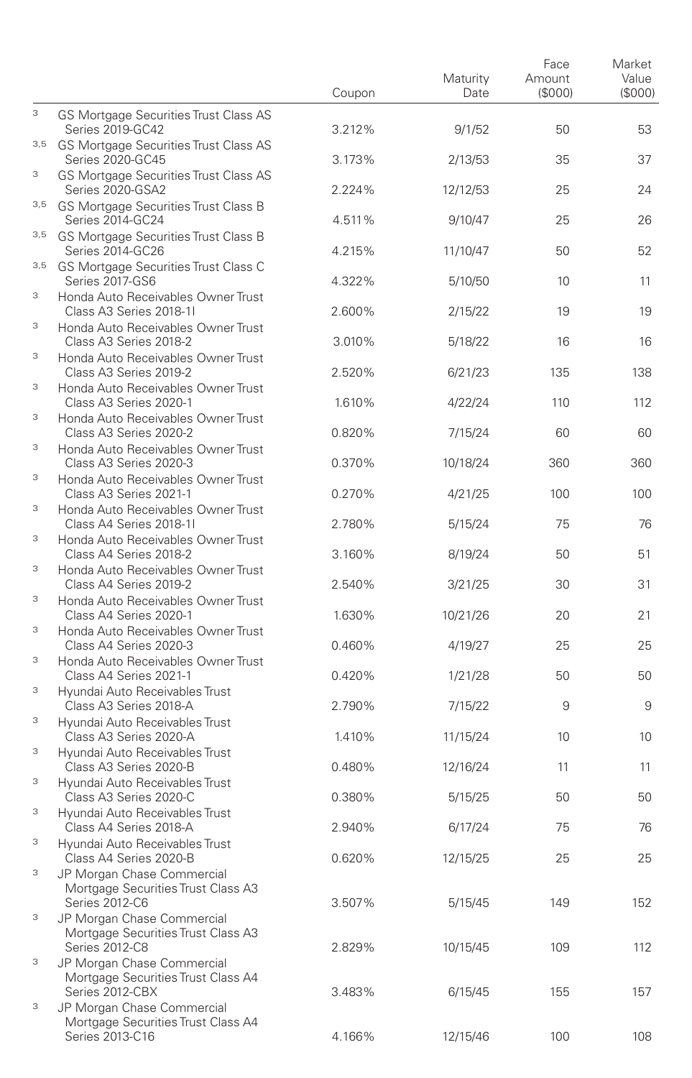|     |                                                                                     | Coupon | Maturity<br>Date | Face<br>Amount<br>(\$000) | Market<br>Value<br>(\$000) |
|-----|-------------------------------------------------------------------------------------|--------|------------------|---------------------------|----------------------------|
| 3   | GS Mortgage Securities Trust Class AS<br>Series 2019-GC42                           | 3.212% | 9/1/52           | 50                        | 53                         |
| 3,5 | GS Mortgage Securities Trust Class AS<br>Series 2020-GC45                           | 3.173% | 2/13/53          | 35                        | 37                         |
| 3   | <b>GS Mortgage Securities Trust Class AS</b><br>Series 2020-GSA2                    | 2.224% | 12/12/53         | 25                        | 24                         |
| 3,5 | GS Mortgage Securities Trust Class B<br>Series 2014-GC24                            | 4.511% | 9/10/47          | 25                        | 26                         |
| 3,5 | GS Mortgage Securities Trust Class B<br>Series 2014-GC26                            | 4.215% | 11/10/47         | 50                        | 52                         |
|     | 3,5 GS Mortgage Securities Trust Class C<br>Series 2017-GS6                         | 4.322% | 5/10/50          | 10                        | 11                         |
| 3   | Honda Auto Receivables Owner Trust<br>Class A3 Series 2018-11                       | 2.600% | 2/15/22          | 19                        | 19                         |
| 3   | Honda Auto Receivables Owner Trust<br>Class A3 Series 2018-2                        | 3.010% | 5/18/22          | 16                        | 16                         |
| 3   | Honda Auto Receivables Owner Trust<br>Class A3 Series 2019-2                        | 2.520% | 6/21/23          | 135                       | 138                        |
| 3   | Honda Auto Receivables Owner Trust<br>Class A3 Series 2020-1                        | 1.610% | 4/22/24          | 110                       | 112                        |
| 3   | Honda Auto Receivables Owner Trust                                                  |        |                  |                           |                            |
| 3   | Class A3 Series 2020-2<br>Honda Auto Receivables Owner Trust                        | 0.820% | 7/15/24          | 60                        | 60                         |
| 3   | Class A3 Series 2020-3<br>Honda Auto Receivables Owner Trust                        | 0.370% | 10/18/24         | 360                       | 360                        |
| 3   | Class A3 Series 2021-1<br>Honda Auto Receivables Owner Trust                        | 0.270% | 4/21/25          | 100                       | 100                        |
| 3   | Class A4 Series 2018-11<br>Honda Auto Receivables Owner Trust                       | 2.780% | 5/15/24          | 75                        | 76                         |
| 3   | Class A4 Series 2018-2<br>Honda Auto Receivables Owner Trust                        | 3.160% | 8/19/24          | 50                        | 51                         |
| 3   | Class A4 Series 2019-2<br>Honda Auto Receivables Owner Trust                        | 2.540% | 3/21/25          | 30                        | 31                         |
| 3   | Class A4 Series 2020-1<br>Honda Auto Receivables Owner Trust                        | 1.630% | 10/21/26         | 20                        | 21                         |
| 3   | Class A4 Series 2020-3<br>Honda Auto Receivables Owner Trust                        | 0.460% | 4/19/27          | 25                        | 25                         |
| 3   | Class A4 Series 2021-1<br>Hyundai Auto Receivables Trust                            | 0.420% | 1/21/28          | 50                        | 50                         |
| 3   | Class A3 Series 2018-A                                                              | 2.790% | 7/15/22          | 9                         | 9                          |
|     | Hyundai Auto Receivables Trust<br>Class A3 Series 2020-A                            | 1.410% | 11/15/24         | 10                        | 10                         |
| 3   | Hyundai Auto Receivables Trust<br>Class A3 Series 2020-B                            | 0.480% | 12/16/24         | 11                        | 11                         |
| 3   | Hyundai Auto Receivables Trust<br>Class A3 Series 2020-C                            | 0.380% | 5/15/25          | 50                        | 50                         |
| 3   | Hyundai Auto Receivables Trust<br>Class A4 Series 2018-A                            | 2.940% | 6/17/24          | 75                        | 76                         |
| 3   | Hyundai Auto Receivables Trust<br>Class A4 Series 2020-B                            | 0.620% | 12/15/25         | 25                        | 25                         |
| 3   | JP Morgan Chase Commercial<br>Mortgage Securities Trust Class A3<br>Series 2012-C6  | 3.507% | 5/15/45          | 149                       | 152                        |
| 3   | JP Morgan Chase Commercial<br>Mortgage Securities Trust Class A3<br>Series 2012-C8  | 2.829% | 10/15/45         | 109                       | 112                        |
| 3   | JP Morgan Chase Commercial<br>Mortgage Securities Trust Class A4<br>Series 2012-CBX | 3.483% | 6/15/45          | 155                       | 157                        |
| 3   | JP Morgan Chase Commercial<br>Mortgage Securities Trust Class A4<br>Series 2013-C16 | 4.166% | 12/15/46         | 100                       | 108                        |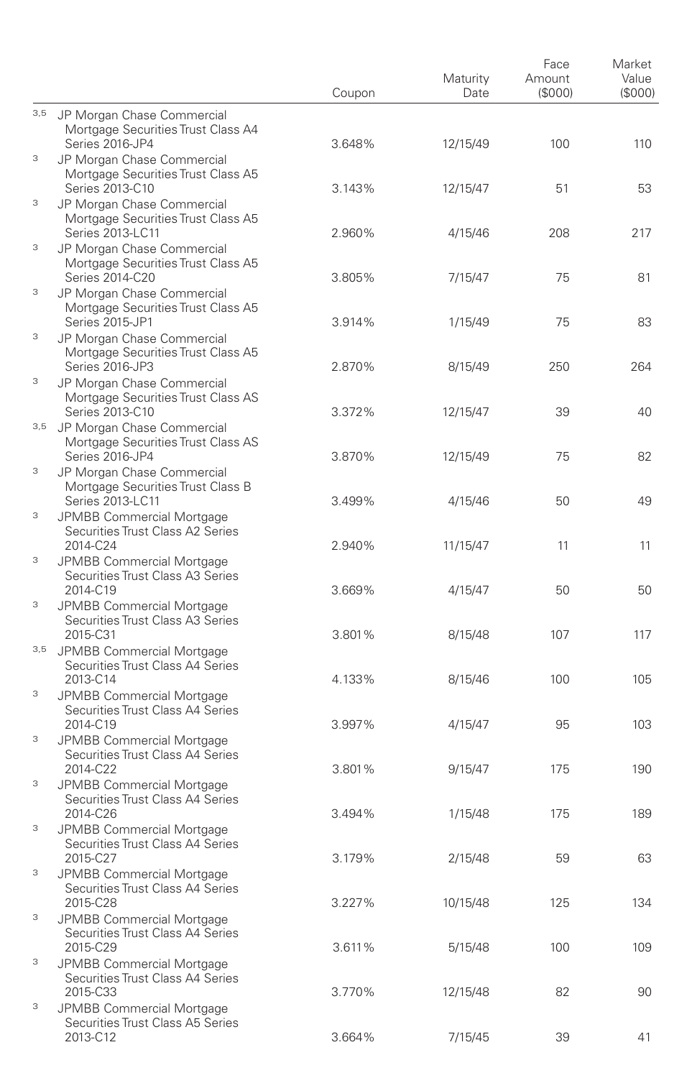|        |                                                                                         | Coupon | Maturity<br>Date | Face<br>Amount<br>(\$000) | Market<br>Value<br>(S000) |
|--------|-----------------------------------------------------------------------------------------|--------|------------------|---------------------------|---------------------------|
| 3,5    | JP Morgan Chase Commercial<br>Mortgage Securities Trust Class A4                        |        |                  |                           |                           |
| 3      | Series 2016-JP4<br>JP Morgan Chase Commercial<br>Mortgage Securities Trust Class A5     | 3.648% | 12/15/49         | 100                       | 110                       |
| 3      | Series 2013-C10<br>JP Morgan Chase Commercial<br>Mortgage Securities Trust Class A5     | 3.143% | 12/15/47         | 51                        | 53                        |
| 3      | Series 2013-LC11<br>JP Morgan Chase Commercial<br>Mortgage Securities Trust Class A5    | 2.960% | 4/15/46          | 208                       | 217                       |
| 3      | Series 2014-C20<br>JP Morgan Chase Commercial                                           | 3.805% | 7/15/47          | 75                        | 81                        |
| 3      | Mortgage Securities Trust Class A5<br>Series 2015-JP1<br>JP Morgan Chase Commercial     | 3.914% | 1/15/49          | 75                        | 83                        |
| 3      | Mortgage Securities Trust Class A5<br>Series 2016-JP3<br>JP Morgan Chase Commercial     | 2.870% | 8/15/49          | 250                       | 264                       |
|        | Mortgage Securities Trust Class AS<br>Series 2013-C10                                   | 3.372% | 12/15/47         | 39                        | 40                        |
|        | 3,5 JP Morgan Chase Commercial<br>Mortgage Securities Trust Class AS<br>Series 2016-JP4 | 3.870% | 12/15/49         | 75                        | 82                        |
| 3      | JP Morgan Chase Commercial<br>Mortgage Securities Trust Class B<br>Series 2013-LC11     | 3.499% | 4/15/46          | 50                        | 49                        |
| 3      | JPMBB Commercial Mortgage<br>Securities Trust Class A2 Series<br>2014-C24               | 2.940% | 11/15/47         | 11                        | 11                        |
| 3      | JPMBB Commercial Mortgage<br>Securities Trust Class A3 Series<br>2014-C19               | 3.669% | 4/15/47          | 50                        | 50                        |
| 3      | JPMBB Commercial Mortgage<br>Securities Trust Class A3 Series                           |        |                  |                           | 117                       |
| 3,5    | 2015-C31<br>JPMBB Commercial Mortgage<br>Securities Trust Class A4 Series               | 3.801% | 8/15/48          | 107                       |                           |
| 3      | 2013-C14<br>JPMBB Commercial Mortgage<br>Securities Trust Class A4 Series               | 4.133% | 8/15/46          | 100                       | 105                       |
| 3      | 2014-C19<br>JPMBB Commercial Mortgage<br>Securities Trust Class A4 Series               | 3.997% | 4/15/47          | 95                        | 103                       |
| 3      | 2014-C22<br>JPMBB Commercial Mortgage                                                   | 3.801% | 9/15/47          | 175                       | 190                       |
| 3      | Securities Trust Class A4 Series<br>2014-C26<br>JPMBB Commercial Mortgage               | 3.494% | 1/15/48          | 175                       | 189                       |
| 3      | Securities Trust Class A4 Series<br>2015-C27<br>JPMBB Commercial Mortgage               | 3.179% | 2/15/48          | 59                        | 63                        |
| 3      | Securities Trust Class A4 Series<br>2015-C28<br>JPMBB Commercial Mortgage               | 3.227% | 10/15/48         | 125                       | 134                       |
|        | Securities Trust Class A4 Series<br>2015-C29                                            | 3.611% | 5/15/48          | 100                       | 109                       |
| 3<br>3 | JPMBB Commercial Mortgage<br>Securities Trust Class A4 Series<br>2015-C33               | 3.770% | 12/15/48         | 82                        | 90                        |
|        | JPMBB Commercial Mortgage<br>Securities Trust Class A5 Series<br>2013-C12               | 3.664% | 7/15/45          | 39                        | 41                        |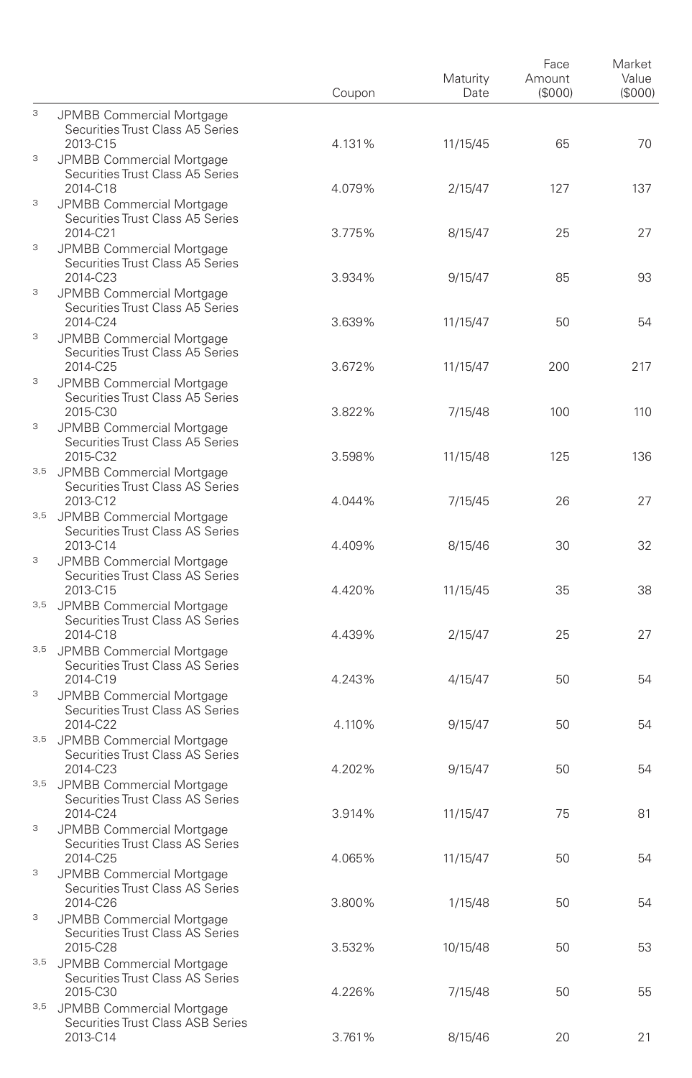|   |                                                                               | Coupon | Maturity<br>Date | Face<br>Amount<br>(S000) | Market<br>Value<br>(\$000) |
|---|-------------------------------------------------------------------------------|--------|------------------|--------------------------|----------------------------|
| 3 | JPMBB Commercial Mortgage<br>Securities Trust Class A5 Series                 |        |                  |                          |                            |
| 3 | 2013-C15<br>JPMBB Commercial Mortgage<br>Securities Trust Class A5 Series     | 4.131% | 11/15/45         | 65                       | 70                         |
| 3 | 2014-C18<br>JPMBB Commercial Mortgage                                         | 4.079% | 2/15/47          | 127                      | 137                        |
|   | Securities Trust Class A5 Series<br>2014-C21                                  | 3.775% | 8/15/47          | 25                       | 27                         |
| 3 | JPMBB Commercial Mortgage<br>Securities Trust Class A5 Series<br>2014-C23     | 3.934% | 9/15/47          | 85                       | 93                         |
| 3 | JPMBB Commercial Mortgage<br>Securities Trust Class A5 Series                 |        |                  |                          |                            |
| 3 | 2014-C24<br>JPMBB Commercial Mortgage<br>Securities Trust Class A5 Series     | 3.639% | 11/15/47         | 50                       | 54                         |
| 3 | 2014-C25<br>JPMBB Commercial Mortgage                                         | 3.672% | 11/15/47         | 200                      | 217                        |
| 3 | Securities Trust Class A5 Series<br>2015-C30<br>JPMBB Commercial Mortgage     | 3.822% | 7/15/48          | 100                      | 110                        |
|   | Securities Trust Class A5 Series<br>2015-C32                                  | 3.598% | 11/15/48         | 125                      | 136                        |
|   | 3,5 JPMBB Commercial Mortgage<br>Securities Trust Class AS Series<br>2013-C12 | 4.044% | 7/15/45          | 26                       | 27                         |
|   | 3,5 JPMBB Commercial Mortgage<br>Securities Trust Class AS Series             |        |                  |                          |                            |
| 3 | 2013-C14<br>JPMBB Commercial Mortgage<br>Securities Trust Class AS Series     | 4.409% | 8/15/46          | 30                       | 32                         |
|   | 2013-C15<br>3,5 JPMBB Commercial Mortgage                                     | 4.420% | 11/15/45         | 35                       | 38                         |
|   | Securities Trust Class AS Series<br>2014-C18                                  | 4.439% | 2/15/47          | 25                       | 27                         |
|   | 3,5 JPMBB Commercial Mortgage<br>Securities Trust Class AS Series<br>2014-C19 | 4.243% | 4/15/47          | 50                       | 54                         |
| 3 | JPMBB Commercial Mortgage<br>Securities Trust Class AS Series<br>2014-C22     | 4.110% |                  | 50                       | 54                         |
|   | 3,5 JPMBB Commercial Mortgage<br>Securities Trust Class AS Series             |        | 9/15/47          |                          |                            |
|   | 2014-C23<br>3,5 JPMBB Commercial Mortgage<br>Securities Trust Class AS Series | 4.202% | 9/15/47          | 50                       | 54                         |
| 3 | 2014-C24<br>JPMBB Commercial Mortgage                                         | 3.914% | 11/15/47         | 75                       | 81                         |
| 3 | Securities Trust Class AS Series<br>2014-C25                                  | 4.065% | 11/15/47         | 50                       | 54                         |
|   | JPMBB Commercial Mortgage<br>Securities Trust Class AS Series<br>2014-C26     | 3.800% | 1/15/48          | 50                       | 54                         |
| 3 | JPMBB Commercial Mortgage<br>Securities Trust Class AS Series                 |        |                  |                          |                            |
|   | 2015-C28<br>3,5 JPMBB Commercial Mortgage<br>Securities Trust Class AS Series | 3.532% | 10/15/48         | 50                       | 53                         |
|   | 2015-C30<br>3,5 JPMBB Commercial Mortgage                                     | 4.226% | 7/15/48          | 50                       | 55                         |
|   | Securities Trust Class ASB Series<br>2013-C14                                 | 3.761% | 8/15/46          | 20                       | 21                         |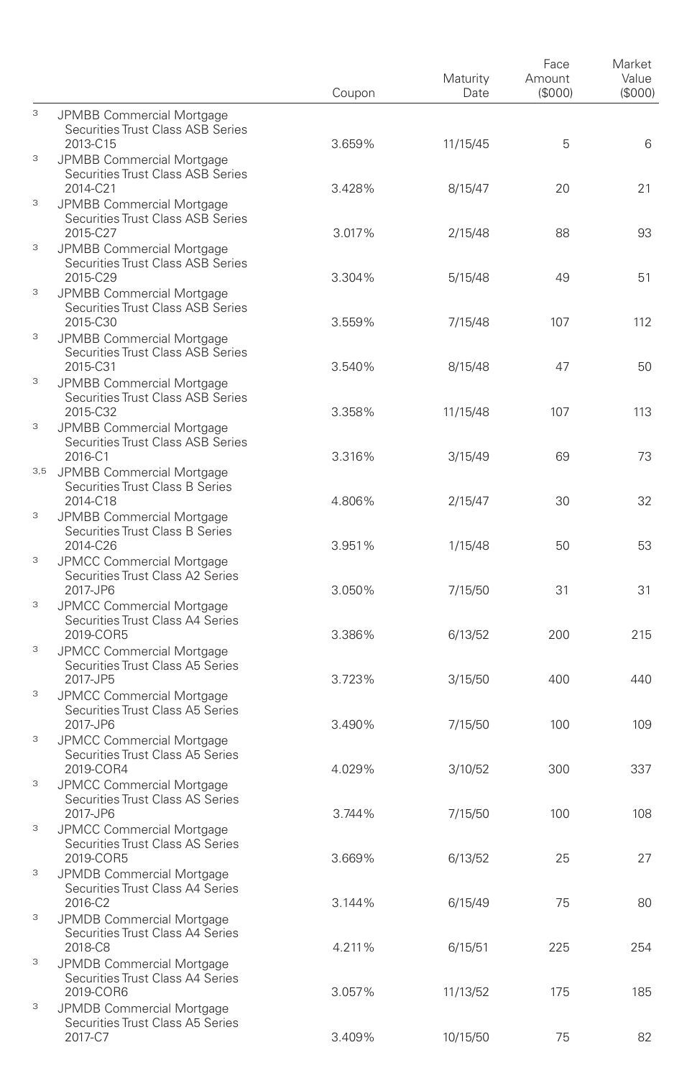|   |                                                                                   | Coupon | Maturity<br>Date | Face<br>Amount<br>(\$000) | Market<br>Value<br>(S000) |
|---|-----------------------------------------------------------------------------------|--------|------------------|---------------------------|---------------------------|
| 3 | JPMBB Commercial Mortgage<br>Securities Trust Class ASB Series                    |        |                  |                           |                           |
| 3 | 2013-C15<br>JPMBB Commercial Mortgage<br>Securities Trust Class ASB Series        | 3.659% | 11/15/45         | 5                         | 6                         |
| 3 | 2014-C21<br>JPMBB Commercial Mortgage<br>Securities Trust Class ASB Series        | 3.428% | 8/15/47          | 20                        | 21                        |
| 3 | 2015-C27<br>JPMBB Commercial Mortgage                                             | 3.017% | 2/15/48          | 88                        | 93                        |
| 3 | Securities Trust Class ASB Series<br>2015-C29<br>JPMBB Commercial Mortgage        | 3.304% | 5/15/48          | 49                        | 51                        |
|   | Securities Trust Class ASB Series<br>2015-C30                                     | 3.559% | 7/15/48          | 107                       | 112                       |
| 3 | JPMBB Commercial Mortgage<br>Securities Trust Class ASB Series<br>2015-C31        | 3.540% | 8/15/48          | 47                        | 50                        |
| 3 | JPMBB Commercial Mortgage<br>Securities Trust Class ASB Series                    |        |                  |                           |                           |
| 3 | 2015-C32<br>JPMBB Commercial Mortgage<br>Securities Trust Class ASB Series        | 3.358% | 11/15/48         | 107                       | 113                       |
|   | 2016-C1<br>3,5 JPMBB Commercial Mortgage                                          | 3.316% | 3/15/49          | 69                        | 73                        |
| 3 | Securities Trust Class B Series<br>2014-C18<br>JPMBB Commercial Mortgage          | 4.806% | 2/15/47          | 30                        | 32                        |
| 3 | Securities Trust Class B Series<br>2014-C26                                       | 3.951% | 1/15/48          | 50                        | 53                        |
|   | <b>JPMCC Commercial Mortgage</b><br>Securities Trust Class A2 Series<br>2017-JP6  | 3.050% | 7/15/50          | 31                        | 31                        |
| 3 | <b>JPMCC Commercial Mortgage</b><br>Securities Trust Class A4 Series<br>2019-COR5 | 3.386% | 6/13/52          | 200                       | 215                       |
| 3 | <b>JPMCC Commercial Mortgage</b><br>Securities Trust Class A5 Series              |        |                  |                           |                           |
| 3 | 2017-JP5<br>JPMCC Commercial Mortgage<br>Securities Trust Class A5 Series         | 3.723% | 3/15/50          | 400                       | 440                       |
| 3 | 2017-JP6<br>JPMCC Commercial Mortgage                                             | 3.490% | 7/15/50          | 100                       | 109                       |
| 3 | Securities Trust Class A5 Series<br>2019-COR4<br><b>JPMCC Commercial Mortgage</b> | 4.029% | 3/10/52          | 300                       | 337                       |
| 3 | Securities Trust Class AS Series<br>2017-JP6                                      | 3.744% | 7/15/50          | 100                       | 108                       |
|   | JPMCC Commercial Mortgage<br>Securities Trust Class AS Series<br>2019-COR5        | 3.669% | 6/13/52          | 25                        | 27                        |
| 3 | JPMDB Commercial Mortgage<br>Securities Trust Class A4 Series<br>2016-C2          | 3.144% | 6/15/49          | 75                        | 80                        |
| 3 | JPMDB Commercial Mortgage<br>Securities Trust Class A4 Series                     |        |                  |                           |                           |
| 3 | 2018-C8<br>JPMDB Commercial Mortgage<br>Securities Trust Class A4 Series          | 4.211% | 6/15/51          | 225                       | 254                       |
| 3 | 2019-COR6<br>JPMDB Commercial Mortgage                                            | 3.057% | 11/13/52         | 175                       | 185                       |
|   | Securities Trust Class A5 Series<br>2017-C7                                       | 3.409% | 10/15/50         | 75                        | 82                        |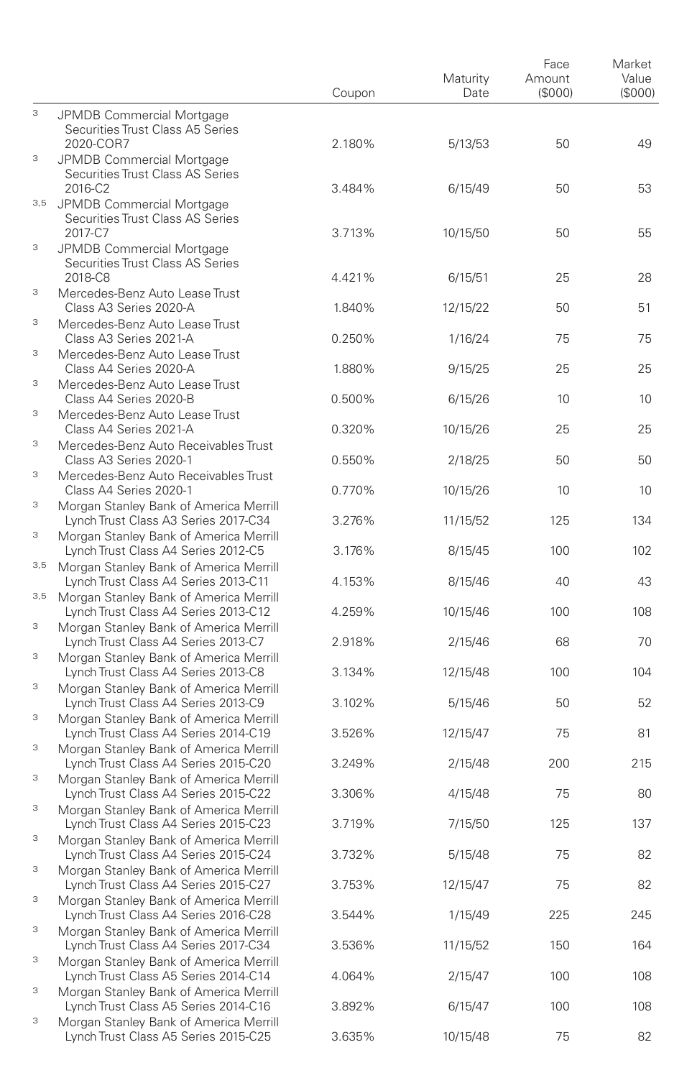|                                |                                                                                                                          | Coupon           | Maturity<br>Date    | Face<br>Amount<br>(\$000) | Market<br>Value<br>(S000) |
|--------------------------------|--------------------------------------------------------------------------------------------------------------------------|------------------|---------------------|---------------------------|---------------------------|
| 3                              | JPMDB Commercial Mortgage<br>Securities Trust Class A5 Series<br>2020-COR7                                               | 2.180%           | 5/13/53             | 50                        | 49                        |
| 3                              | <b>JPMDB Commercial Mortgage</b><br>Securities Trust Class AS Series<br>2016-C2                                          | 3.484%           | 6/15/49             | 50                        | 53                        |
| 3,5                            | JPMDB Commercial Mortgage<br>Securities Trust Class AS Series<br>2017-C7                                                 | 3.713%           | 10/15/50            | 50                        | 55                        |
| 3                              | JPMDB Commercial Mortgage<br>Securities Trust Class AS Series                                                            |                  |                     |                           |                           |
| 3                              | 2018-C8<br>Mercedes-Benz Auto Lease Trust<br>Class A3 Series 2020-A                                                      | 4.421%<br>1.840% | 6/15/51<br>12/15/22 | 25<br>50                  | 28<br>51                  |
| 3                              | Mercedes-Benz Auto Lease Trust<br>Class A3 Series 2021-A                                                                 | 0.250%           | 1/16/24             | 75                        | 75                        |
| 3                              | Mercedes-Benz Auto Lease Trust<br>Class A4 Series 2020-A                                                                 | 1.880%           | 9/15/25             | 25                        | 25                        |
| 3                              | Mercedes-Benz Auto Lease Trust<br>Class A4 Series 2020-B                                                                 | 0.500%           | 6/15/26             | 10                        | 10                        |
| 3                              | Mercedes-Benz Auto Lease Trust<br>Class A4 Series 2021-A                                                                 | 0.320%           | 10/15/26            | 25                        | 25                        |
| 3                              | Mercedes-Benz Auto Receivables Trust<br>Class A3 Series 2020-1                                                           | 0.550%           | 2/18/25             | 50                        | 50                        |
| 3<br>$\ensuremath{\mathsf{3}}$ | Mercedes-Benz Auto Receivables Trust<br>Class A4 Series 2020-1<br>Morgan Stanley Bank of America Merrill                 | 0.770%           | 10/15/26            | 10                        | 10                        |
| $\ensuremath{\mathsf{3}}$      | Lynch Trust Class A3 Series 2017-C34<br>Morgan Stanley Bank of America Merrill                                           | 3.276%           | 11/15/52            | 125                       | 134                       |
| 3,5                            | Lynch Trust Class A4 Series 2012-C5<br>Morgan Stanley Bank of America Merrill                                            | 3.176%           | 8/15/45             | 100                       | 102                       |
| 3,5                            | Lynch Trust Class A4 Series 2013-C11<br>Morgan Stanley Bank of America Merrill                                           | 4.153%           | 8/15/46             | 40                        | 43                        |
| $\ensuremath{\mathsf{3}}$      | Lynch Trust Class A4 Series 2013-C12<br>Morgan Stanley Bank of America Merrill                                           | 4.259%           | 10/15/46            | 100                       | 108                       |
| 3                              | Lynch Trust Class A4 Series 2013-C7<br>Morgan Stanley Bank of America Merrill<br>Lynch Trust Class A4 Series 2013-C8     | 2.918%<br>3.134% | 2/15/46<br>12/15/48 | 68<br>100                 | 70<br>104                 |
| 3                              | Morgan Stanley Bank of America Merrill<br>Lynch Trust Class A4 Series 2013-C9                                            | 3.102%           | 5/15/46             | 50                        | 52                        |
| $\ensuremath{\mathsf{3}}$      | Morgan Stanley Bank of America Merrill<br>Lynch Trust Class A4 Series 2014-C19                                           | 3.526%           | 12/15/47            | 75                        | 81                        |
| 3                              | Morgan Stanley Bank of America Merrill<br>Lynch Trust Class A4 Series 2015-C20                                           | 3.249%           | 2/15/48             | 200                       | 215                       |
| 3<br>3                         | Morgan Stanley Bank of America Merrill<br>Lynch Trust Class A4 Series 2015-C22                                           | 3.306%           | 4/15/48             | 75                        | 80                        |
| 3                              | Morgan Stanley Bank of America Merrill<br>Lynch Trust Class A4 Series 2015-C23<br>Morgan Stanley Bank of America Merrill | 3.719%           | 7/15/50             | 125                       | 137                       |
| $\ensuremath{\mathsf{3}}$      | Lynch Trust Class A4 Series 2015-C24<br>Morgan Stanley Bank of America Merrill                                           | 3.732%           | 5/15/48             | 75                        | 82                        |
| $\ensuremath{\mathsf{3}}$      | Lynch Trust Class A4 Series 2015-C27<br>Morgan Stanley Bank of America Merrill                                           | 3.753%           | 12/15/47            | 75                        | 82                        |
| $\ensuremath{\mathsf{3}}$      | Lynch Trust Class A4 Series 2016-C28<br>Morgan Stanley Bank of America Merrill                                           | 3.544%           | 1/15/49             | 225                       | 245                       |
| $\ensuremath{\mathsf{3}}$      | Lynch Trust Class A4 Series 2017-C34<br>Morgan Stanley Bank of America Merrill                                           | 3.536%           | 11/15/52            | 150                       | 164                       |
| $\ensuremath{\mathsf{3}}$      | Lynch Trust Class A5 Series 2014-C14<br>Morgan Stanley Bank of America Merrill<br>Lynch Trust Class A5 Series 2014-C16   | 4.064%<br>3.892% | 2/15/47<br>6/15/47  | 100<br>100                | 108<br>108                |
| 3                              | Morgan Stanley Bank of America Merrill<br>Lynch Trust Class A5 Series 2015-C25                                           | 3.635%           | 10/15/48            | 75                        | 82                        |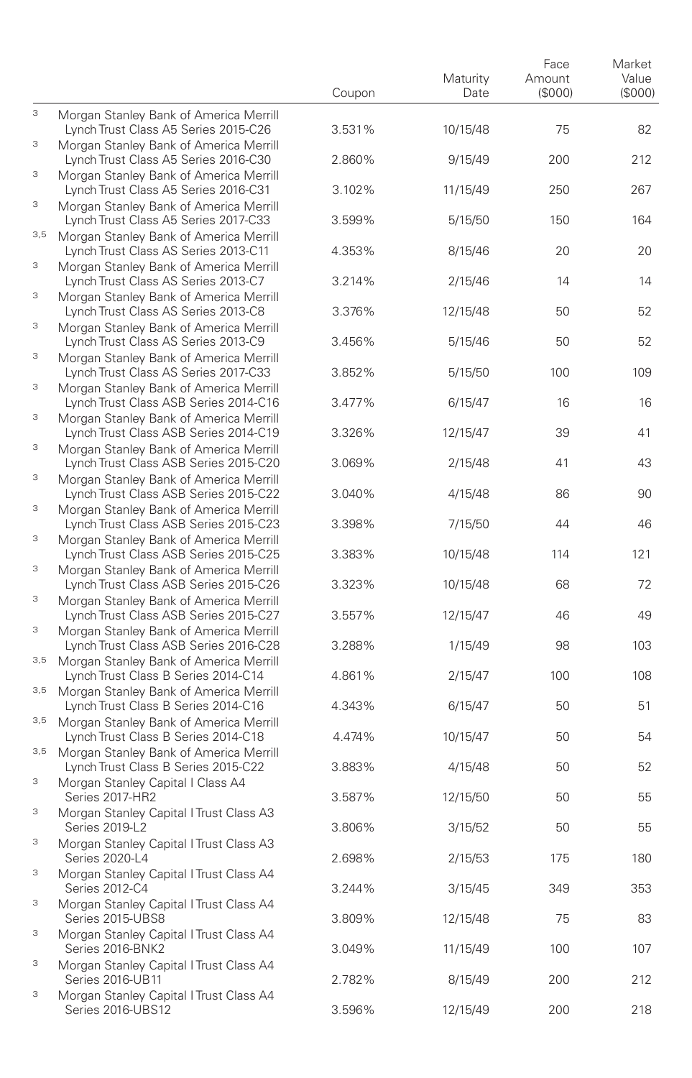|                           |                                                                                                                         | Coupon           | Maturity<br>Date    | Face<br>Amount<br>(\$000) | Market<br>Value<br>(S000) |
|---------------------------|-------------------------------------------------------------------------------------------------------------------------|------------------|---------------------|---------------------------|---------------------------|
| 3                         | Morgan Stanley Bank of America Merrill<br>Lynch Trust Class A5 Series 2015-C26                                          | 3.531%           | 10/15/48            | 75                        | 82                        |
| 3                         | Morgan Stanley Bank of America Merrill<br>Lynch Trust Class A5 Series 2016-C30                                          | 2.860%           | 9/15/49             | 200                       | 212                       |
| 3                         | Morgan Stanley Bank of America Merrill<br>Lynch Trust Class A5 Series 2016-C31                                          | 3.102%           | 11/15/49            | 250                       | 267                       |
| $\ensuremath{\mathsf{3}}$ | Morgan Stanley Bank of America Merrill<br>Lynch Trust Class A5 Series 2017-C33                                          | 3.599%           | 5/15/50             | 150                       | 164                       |
| 3,5<br>З                  | Morgan Stanley Bank of America Merrill<br>Lynch Trust Class AS Series 2013-C11                                          | 4.353%           | 8/15/46             | 20                        | 20                        |
| 3                         | Morgan Stanley Bank of America Merrill<br>Lynch Trust Class AS Series 2013-C7<br>Morgan Stanley Bank of America Merrill | 3.214%           | 2/15/46             | 14                        | 14                        |
| 3                         | Lynch Trust Class AS Series 2013-C8<br>Morgan Stanley Bank of America Merrill                                           | 3.376%           | 12/15/48            | 50                        | 52                        |
| 3                         | Lynch Trust Class AS Series 2013-C9<br>Morgan Stanley Bank of America Merrill                                           | 3.456%           | 5/15/46             | 50                        | 52                        |
| 3                         | Lynch Trust Class AS Series 2017-C33<br>Morgan Stanley Bank of America Merrill                                          | 3.852%           | 5/15/50             | 100                       | 109                       |
| $\ensuremath{\mathsf{3}}$ | Lynch Trust Class ASB Series 2014-C16<br>Morgan Stanley Bank of America Merrill                                         | 3.477%           | 6/15/47             | 16                        | 16                        |
| 3                         | Lynch Trust Class ASB Series 2014-C19<br>Morgan Stanley Bank of America Merrill                                         | 3.326%           | 12/15/47            | 39                        | 41                        |
| 3                         | Lynch Trust Class ASB Series 2015-C20<br>Morgan Stanley Bank of America Merrill                                         | 3.069%           | 2/15/48             | 41                        | 43                        |
| 3                         | Lynch Trust Class ASB Series 2015-C22<br>Morgan Stanley Bank of America Merrill                                         | 3.040%           | 4/15/48             | 86                        | 90                        |
| 3                         | Lynch Trust Class ASB Series 2015-C23<br>Morgan Stanley Bank of America Merrill                                         | 3.398%           | 7/15/50             | 44                        | 46                        |
| 3                         | Lynch Trust Class ASB Series 2015-C25<br>Morgan Stanley Bank of America Merrill                                         | 3.383%           | 10/15/48            | 114                       | 121                       |
| 3                         | Lynch Trust Class ASB Series 2015-C26<br>Morgan Stanley Bank of America Merrill                                         | 3.323%           | 10/15/48            | 68                        | 72                        |
| 3                         | Lynch Trust Class ASB Series 2015-C27<br>Morgan Stanley Bank of America Merrill                                         | 3.557%           | 12/15/47            | 46                        | 49                        |
| 3,5                       | Lynch Trust Class ASB Series 2016-C28<br>Morgan Stanley Bank of America Merrill                                         | 3.288%           | 1/15/49             | 98                        | 103                       |
| 3,5                       | Lynch Trust Class B Series 2014-C14<br>Morgan Stanley Bank of America Merrill                                           | 4.861%           | 2/15/47             | 100                       | 108                       |
| 3,5                       | Lynch Trust Class B Series 2014-C16<br>Morgan Stanley Bank of America Merrill                                           | 4.343%<br>4.474% | 6/15/47             | 50<br>50                  | 51<br>54                  |
| 3,5                       | Lynch Trust Class B Series 2014-C18<br>Morgan Stanley Bank of America Merrill<br>Lynch Trust Class B Series 2015-C22    | 3.883%           | 10/15/47<br>4/15/48 | 50                        | 52                        |
| $\ensuremath{\mathsf{3}}$ | Morgan Stanley Capital   Class A4<br>Series 2017-HR2                                                                    | 3.587%           | 12/15/50            | 50                        | 55                        |
| 3                         | Morgan Stanley Capital I Trust Class A3<br>Series 2019-L2                                                               | 3.806%           | 3/15/52             | 50                        | 55                        |
| 3                         | Morgan Stanley Capital I Trust Class A3<br>Series 2020-L4                                                               | 2.698%           | 2/15/53             | 175                       | 180                       |
| 3                         | Morgan Stanley Capital I Trust Class A4<br>Series 2012-C4                                                               | 3.244%           | 3/15/45             | 349                       | 353                       |
| $\ensuremath{\mathsf{3}}$ | Morgan Stanley Capital   Trust Class A4<br>Series 2015-UBS8                                                             | 3.809%           | 12/15/48            | 75                        | 83                        |
| 3                         | Morgan Stanley Capital   Trust Class A4<br>Series 2016-BNK2                                                             | 3.049%           | 11/15/49            | 100                       | 107                       |
| 3                         | Morgan Stanley Capital I Trust Class A4<br>Series 2016-UB11                                                             | 2.782%           | 8/15/49             | 200                       | 212                       |
| 3                         | Morgan Stanley Capital I Trust Class A4<br>Series 2016-UBS12                                                            | 3.596%           | 12/15/49            | 200                       | 218                       |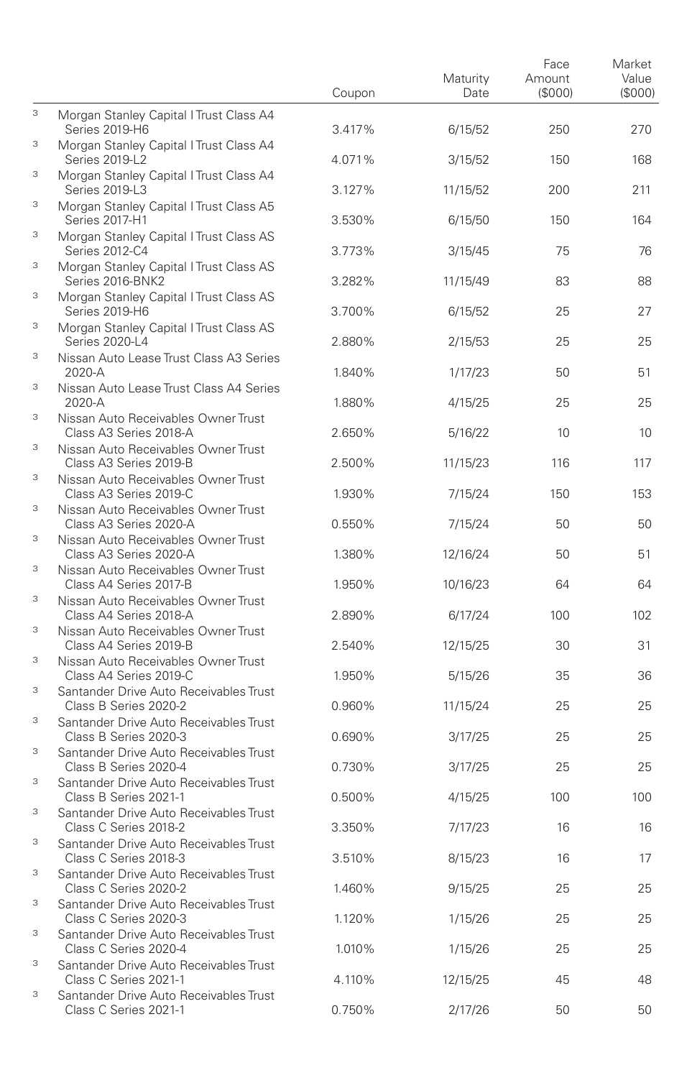|   |                                                                 | Coupon | Maturity<br>Date | Face<br>Amount<br>(\$000) | Market<br>Value<br>(S000) |
|---|-----------------------------------------------------------------|--------|------------------|---------------------------|---------------------------|
| 3 | Morgan Stanley Capital I Trust Class A4<br>Series 2019-H6       | 3.417% | 6/15/52          | 250                       | 270                       |
| 3 | Morgan Stanley Capital I Trust Class A4<br>Series 2019-L2       | 4.071% | 3/15/52          | 150                       | 168                       |
| 3 | Morgan Stanley Capital I Trust Class A4<br>Series 2019-L3       | 3.127% | 11/15/52         | 200                       | 211                       |
| 3 | Morgan Stanley Capital   Trust Class A5<br>Series 2017-H1       | 3.530% | 6/15/50          | 150                       | 164                       |
| 3 | Morgan Stanley Capital I Trust Class AS<br>Series 2012-C4       | 3.773% | 3/15/45          | 75                        | 76                        |
| 3 | Morgan Stanley Capital I Trust Class AS<br>Series 2016-BNK2     | 3.282% | 11/15/49         | 83                        | 88                        |
| 3 | Morgan Stanley Capital I Trust Class AS<br>Series 2019-H6       | 3.700% | 6/15/52          | 25                        | 27                        |
| 3 | Morgan Stanley Capital I Trust Class AS<br>Series 2020-L4       | 2.880% | 2/15/53          | 25                        | 25                        |
| 3 | Nissan Auto Lease Trust Class A3 Series<br>2020-A               | 1.840% | 1/17/23          | 50                        | 51                        |
| 3 | Nissan Auto Lease Trust Class A4 Series<br>2020-A               | 1.880% | 4/15/25          | 25                        | 25                        |
| 3 | Nissan Auto Receivables Owner Trust<br>Class A3 Series 2018-A   | 2.650% | 5/16/22          | 10                        | 10                        |
| 3 | Nissan Auto Receivables Owner Trust<br>Class A3 Series 2019-B   | 2.500% | 11/15/23         | 116                       | 117                       |
| 3 | Nissan Auto Receivables Owner Trust<br>Class A3 Series 2019-C   | 1.930% | 7/15/24          | 150                       | 153                       |
| 3 | Nissan Auto Receivables Owner Trust<br>Class A3 Series 2020-A   | 0.550% | 7/15/24          | 50                        | 50                        |
| 3 | Nissan Auto Receivables Owner Trust<br>Class A3 Series 2020-A   | 1.380% | 12/16/24         | 50                        | 51                        |
| 3 | Nissan Auto Receivables Owner Trust<br>Class A4 Series 2017-B   | 1.950% | 10/16/23         | 64                        | 64                        |
| 3 | Nissan Auto Receivables Owner Trust<br>Class A4 Series 2018-A   | 2.890% | 6/17/24          | 100                       | 102                       |
| 3 | Nissan Auto Receivables Owner Trust<br>Class A4 Series 2019-B   | 2.540% | 12/15/25         | 30                        | 31                        |
| 3 | Nissan Auto Receivables Owner Trust<br>Class A4 Series 2019-C   | 1.950% | 5/15/26          | 35                        | 36                        |
| 3 | Santander Drive Auto Receivables Trust<br>Class B Series 2020-2 | 0.960% | 11/15/24         | 25                        | 25                        |
| 3 | Santander Drive Auto Receivables Trust<br>Class B Series 2020-3 | 0.690% | 3/17/25          | 25                        | 25                        |
| 3 | Santander Drive Auto Receivables Trust<br>Class B Series 2020-4 | 0.730% | 3/17/25          | 25                        | 25                        |
| 3 | Santander Drive Auto Receivables Trust<br>Class B Series 2021-1 | 0.500% | 4/15/25          | 100                       | 100                       |
| 3 | Santander Drive Auto Receivables Trust<br>Class C Series 2018-2 | 3.350% | 7/17/23          | 16                        | 16                        |
| 3 | Santander Drive Auto Receivables Trust<br>Class C Series 2018-3 | 3.510% | 8/15/23          | 16                        | 17                        |
| 3 | Santander Drive Auto Receivables Trust<br>Class C Series 2020-2 | 1.460% | 9/15/25          | 25                        | 25                        |
| 3 | Santander Drive Auto Receivables Trust<br>Class C Series 2020-3 | 1.120% | 1/15/26          | 25                        | 25                        |
| 3 | Santander Drive Auto Receivables Trust<br>Class C Series 2020-4 | 1.010% | 1/15/26          | 25                        | 25                        |
| 3 | Santander Drive Auto Receivables Trust<br>Class C Series 2021-1 | 4.110% | 12/15/25         | 45                        | 48                        |
| 3 | Santander Drive Auto Receivables Trust<br>Class C Series 2021-1 | 0.750% | 2/17/26          | 50                        | 50                        |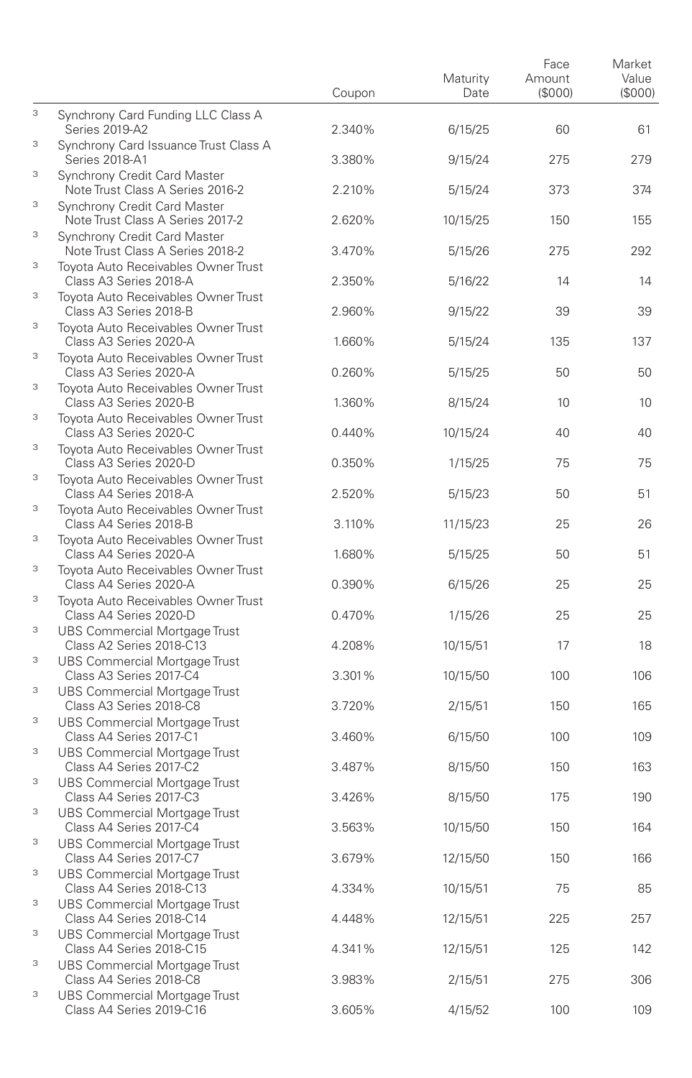|   |                                                                  | Coupon | Maturity<br>Date | Face<br>Amount<br>(\$000) | Market<br>Value<br>(S000) |
|---|------------------------------------------------------------------|--------|------------------|---------------------------|---------------------------|
| 3 | Synchrony Card Funding LLC Class A<br>Series 2019-A2             | 2.340% | 6/15/25          | 60                        | 61                        |
| 3 | Synchrony Card Issuance Trust Class A<br>Series 2018-A1          | 3.380% | 9/15/24          | 275                       | 279                       |
| 3 | Synchrony Credit Card Master<br>Note Trust Class A Series 2016-2 | 2.210% | 5/15/24          | 373                       | 374                       |
| 3 | Synchrony Credit Card Master<br>Note Trust Class A Series 2017-2 | 2.620% | 10/15/25         | 150                       | 155                       |
| 3 | Synchrony Credit Card Master<br>Note Trust Class A Series 2018-2 | 3.470% | 5/15/26          | 275                       | 292                       |
| 3 | Tovota Auto Receivables Owner Trust<br>Class A3 Series 2018-A    | 2.350% | 5/16/22          | 14                        | 14                        |
| 3 | Toyota Auto Receivables Owner Trust<br>Class A3 Series 2018-B    | 2.960% | 9/15/22          | 39                        | 39                        |
| 3 | Toyota Auto Receivables Owner Trust<br>Class A3 Series 2020-A    | 1.660% | 5/15/24          | 135                       | 137                       |
| 3 | Toyota Auto Receivables Owner Trust<br>Class A3 Series 2020-A    | 0.260% | 5/15/25          | 50                        | 50                        |
| 3 | Toyota Auto Receivables Owner Trust<br>Class A3 Series 2020-B    | 1.360% | 8/15/24          | 10                        | 10                        |
| 3 | Toyota Auto Receivables Owner Trust<br>Class A3 Series 2020-C    | 0.440% | 10/15/24         | 40                        | 40                        |
| 3 | Toyota Auto Receivables Owner Trust<br>Class A3 Series 2020-D    | 0.350% | 1/15/25          | 75                        | 75                        |
| 3 | Toyota Auto Receivables Owner Trust<br>Class A4 Series 2018-A    | 2.520% | 5/15/23          | 50                        | 51                        |
| 3 | Toyota Auto Receivables Owner Trust<br>Class A4 Series 2018-B    | 3.110% | 11/15/23         | 25                        | 26                        |
| 3 | Toyota Auto Receivables Owner Trust<br>Class A4 Series 2020-A    | 1.680% | 5/15/25          | 50                        | 51                        |
| 3 | Toyota Auto Receivables Owner Trust<br>Class A4 Series 2020-A    | 0.390% | 6/15/26          | 25                        | 25                        |
| 3 | Toyota Auto Receivables Owner Trust<br>Class A4 Series 2020-D    | 0.470% | 1/15/26          | 25                        | 25                        |
| 3 | UBS Commercial Mortgage Trust<br>Class A2 Series 2018-C13        | 4.208% | 10/15/51         | 17                        | 18                        |
| 3 | UBS Commercial Mortgage Trust<br>Class A3 Series 2017-C4         | 3.301% | 10/15/50         | 100                       | 106                       |
| 3 | UBS Commercial Mortgage Trust<br>Class A3 Series 2018-C8         | 3.720% | 2/15/51          | 150                       | 165                       |
| 3 | UBS Commercial Mortgage Trust<br>Class A4 Series 2017-C1         | 3.460% | 6/15/50          | 100                       | 109                       |
| 3 | UBS Commercial Mortgage Trust<br>Class A4 Series 2017-C2         | 3.487% | 8/15/50          | 150                       | 163                       |
| 3 | <b>UBS Commercial Mortgage Trust</b><br>Class A4 Series 2017-C3  | 3.426% | 8/15/50          | 175                       | 190                       |
| 3 | <b>UBS Commercial Mortgage Trust</b><br>Class A4 Series 2017-C4  | 3.563% | 10/15/50         | 150                       | 164                       |
| 3 | UBS Commercial Mortgage Trust<br>Class A4 Series 2017-C7         | 3.679% | 12/15/50         | 150                       | 166                       |
| 3 | UBS Commercial Mortgage Trust<br>Class A4 Series 2018-C13        | 4.334% | 10/15/51         | 75                        | 85                        |
| 3 | <b>UBS Commercial Mortgage Trust</b><br>Class A4 Series 2018-C14 | 4.448% | 12/15/51         | 225                       | 257                       |
| 3 | <b>UBS Commercial Mortgage Trust</b><br>Class A4 Series 2018-C15 | 4.341% | 12/15/51         | 125                       | 142                       |
| 3 | UBS Commercial Mortgage Trust<br>Class A4 Series 2018-C8         | 3.983% | 2/15/51          | 275                       | 306                       |
| 3 | UBS Commercial Mortgage Trust<br>Class A4 Series 2019-C16        | 3.605% | 4/15/52          | 100                       | 109                       |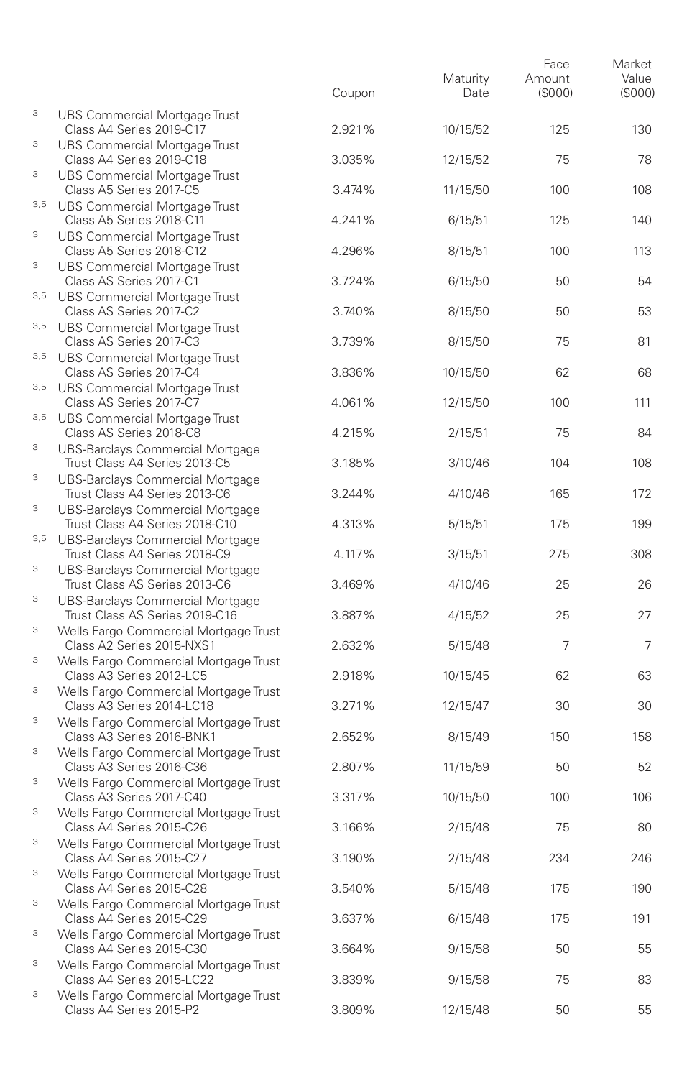|                           |                                                                                                             | Coupon | Maturity<br>Date | Face<br>Amount<br>(\$000) | Market<br>Value<br>(S000) |
|---------------------------|-------------------------------------------------------------------------------------------------------------|--------|------------------|---------------------------|---------------------------|
| 3                         | UBS Commercial Mortgage Trust<br>Class A4 Series 2019-C17                                                   | 2.921% | 10/15/52         | 125                       | 130                       |
| 3                         | <b>UBS Commercial Mortgage Trust</b><br>Class A4 Series 2019-C18                                            | 3.035% | 12/15/52         | 75                        | 78                        |
| 3                         | UBS Commercial Mortgage Trust<br>Class A5 Series 2017-C5                                                    | 3.474% | 11/15/50         | 100                       | 108                       |
| 3,5                       | UBS Commercial Mortgage Trust<br>Class A5 Series 2018-C11                                                   | 4.241% | 6/15/51          | 125                       | 140                       |
| 3                         | UBS Commercial Mortgage Trust<br>Class A5 Series 2018-C12                                                   | 4.296% | 8/15/51          | 100                       | 113                       |
| 3                         | UBS Commercial Mortgage Trust<br>Class AS Series 2017-C1                                                    | 3.724% | 6/15/50          | 50                        | 54                        |
| 3,5                       | UBS Commercial Mortgage Trust<br>Class AS Series 2017-C2                                                    | 3.740% | 8/15/50          | 50                        | 53                        |
| 3,5                       | UBS Commercial Mortgage Trust<br>Class AS Series 2017-C3                                                    | 3.739% | 8/15/50          | 75                        | 81                        |
| 3,5                       | UBS Commercial Mortgage Trust<br>Class AS Series 2017-C4                                                    | 3.836% | 10/15/50         | 62                        | 68                        |
| 3,5                       | UBS Commercial Mortgage Trust<br>Class AS Series 2017-C7                                                    | 4.061% | 12/15/50         | 100                       | 111                       |
|                           | 3,5 UBS Commercial Mortgage Trust<br>Class AS Series 2018-C8                                                | 4.215% | 2/15/51          | 75                        | 84                        |
| 3                         | UBS-Barclays Commercial Mortgage<br>Trust Class A4 Series 2013-C5                                           | 3.185% | 3/10/46          | 104                       | 108                       |
| 3<br>3                    | UBS-Barclays Commercial Mortgage<br>Trust Class A4 Series 2013-C6                                           | 3.244% | 4/10/46          | 165                       | 172                       |
| 3,5                       | UBS-Barclays Commercial Mortgage<br>Trust Class A4 Series 2018-C10                                          | 4.313% | 5/15/51          | 175                       | 199                       |
| 3                         | UBS-Barclays Commercial Mortgage<br>Trust Class A4 Series 2018-C9                                           | 4.117% | 3/15/51          | 275                       | 308                       |
| 3                         | UBS-Barclays Commercial Mortgage<br>Trust Class AS Series 2013-C6                                           | 3.469% | 4/10/46          | 25                        | 26                        |
| 3                         | UBS-Barclays Commercial Mortgage<br>Trust Class AS Series 2019-C16<br>Wells Fargo Commercial Mortgage Trust | 3.887% | 4/15/52          | 25                        | 27                        |
| 3                         | Class A2 Series 2015-NXS1<br>Wells Fargo Commercial Mortgage Trust                                          | 2.632% | 5/15/48          | 7                         | 7                         |
| 3                         | Class A3 Series 2012-LC5<br>Wells Fargo Commercial Mortgage Trust                                           | 2.918% | 10/15/45         | 62                        | 63                        |
| 3                         | Class A3 Series 2014-LC18<br>Wells Fargo Commercial Mortgage Trust                                          | 3.271% | 12/15/47         | 30                        | 30                        |
| 3                         | Class A3 Series 2016-BNK1<br>Wells Fargo Commercial Mortgage Trust                                          | 2.652% | 8/15/49          | 150                       | 158                       |
| 3                         | Class A3 Series 2016-C36<br>Wells Fargo Commercial Mortgage Trust                                           | 2.807% | 11/15/59         | 50                        | 52                        |
| 3                         | Class A3 Series 2017-C40<br>Wells Fargo Commercial Mortgage Trust                                           | 3.317% | 10/15/50         | 100                       | 106                       |
| 3                         | Class A4 Series 2015-C26<br>Wells Fargo Commercial Mortgage Trust                                           | 3.166% | 2/15/48          | 75                        | 80                        |
| 3                         | Class A4 Series 2015-C27<br>Wells Fargo Commercial Mortgage Trust                                           | 3.190% | 2/15/48          | 234                       | 246                       |
| $\ensuremath{\mathsf{3}}$ | Class A4 Series 2015-C28<br>Wells Fargo Commercial Mortgage Trust                                           | 3.540% | 5/15/48          | 175                       | 190                       |
| 3                         | Class A4 Series 2015-C29<br>Wells Fargo Commercial Mortgage Trust                                           | 3.637% | 6/15/48          | 175                       | 191                       |
| $\ensuremath{\mathsf{3}}$ | Class A4 Series 2015-C30<br>Wells Fargo Commercial Mortgage Trust                                           | 3.664% | 9/15/58          | 50                        | 55                        |
| $\ensuremath{\mathsf{3}}$ | Class A4 Series 2015-LC22<br>Wells Fargo Commercial Mortgage Trust                                          | 3.839% | 9/15/58          | 75                        | 83                        |
|                           | Class A4 Series 2015-P2                                                                                     | 3.809% | 12/15/48         | 50                        | 55                        |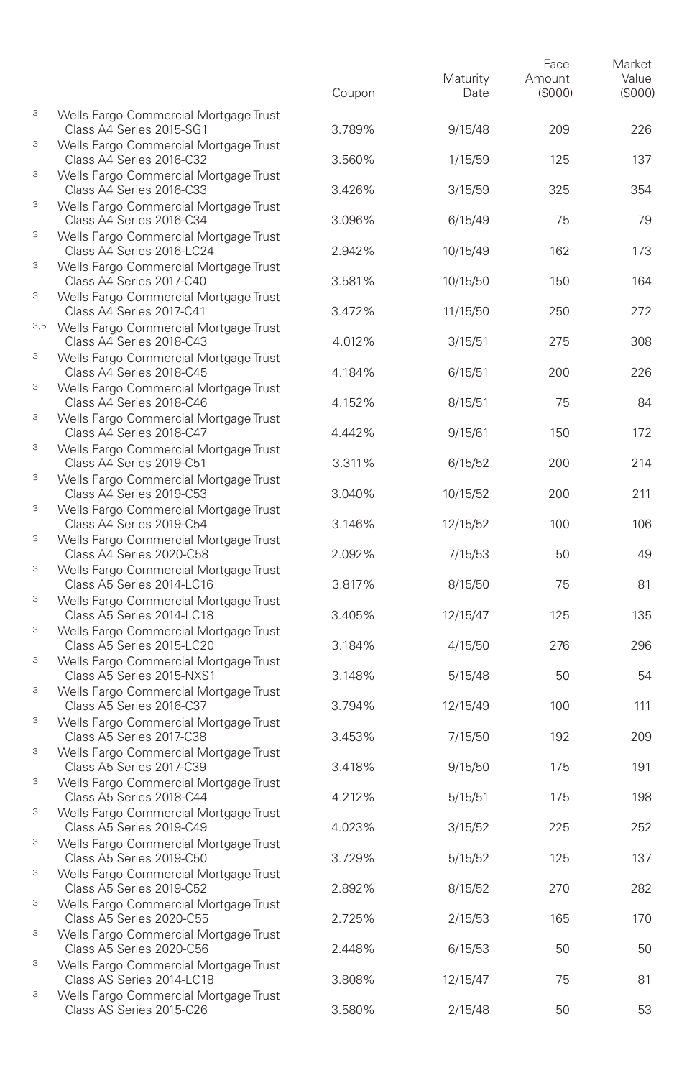|        |                                                                                                            | Coupon | Maturity<br>Date | Face<br>Amount<br>(\$000) | Market<br>Value<br>(S000) |
|--------|------------------------------------------------------------------------------------------------------------|--------|------------------|---------------------------|---------------------------|
| 3      | Wells Fargo Commercial Mortgage Trust<br>Class A4 Series 2015-SG1                                          | 3.789% | 9/15/48          | 209                       | 226                       |
| 3      | Wells Fargo Commercial Mortgage Trust<br>Class A4 Series 2016-C32                                          | 3.560% | 1/15/59          | 125                       | 137                       |
| 3      | Wells Fargo Commercial Mortgage Trust<br>Class A4 Series 2016-C33                                          | 3.426% | 3/15/59          | 325                       | 354                       |
| 3      | Wells Fargo Commercial Mortgage Trust<br>Class A4 Series 2016-C34                                          | 3.096% | 6/15/49          | 75                        | 79                        |
| 3      | Wells Fargo Commercial Mortgage Trust<br>Class A4 Series 2016-LC24                                         | 2.942% | 10/15/49         | 162                       | 173                       |
| 3      | Wells Fargo Commercial Mortgage Trust<br>Class A4 Series 2017-C40                                          | 3.581% | 10/15/50         | 150                       | 164                       |
| 3      | Wells Fargo Commercial Mortgage Trust<br>Class A4 Series 2017-C41                                          | 3.472% | 11/15/50         | 250                       | 272                       |
|        | 3,5 Wells Fargo Commercial Mortgage Trust<br>Class A4 Series 2018-C43                                      | 4.012% | 3/15/51          | 275                       | 308                       |
| 3      | Wells Fargo Commercial Mortgage Trust<br>Class A4 Series 2018-C45                                          | 4.184% | 6/15/51          | 200                       | 226                       |
| 3      | Wells Fargo Commercial Mortgage Trust<br>Class A4 Series 2018-C46                                          | 4.152% | 8/15/51          | 75                        | 84                        |
| 3      | Wells Fargo Commercial Mortgage Trust<br>Class A4 Series 2018-C47                                          | 4.442% | 9/15/61          | 150                       | 172                       |
| 3      | Wells Fargo Commercial Mortgage Trust<br>Class A4 Series 2019-C51                                          | 3.311% | 6/15/52          | 200                       | 214                       |
| 3      | Wells Fargo Commercial Mortgage Trust<br>Class A4 Series 2019-C53                                          | 3.040% | 10/15/52         | 200                       | 211                       |
| 3      | Wells Fargo Commercial Mortgage Trust<br>Class A4 Series 2019-C54                                          | 3.146% | 12/15/52         | 100                       | 106                       |
| 3      | Wells Fargo Commercial Mortgage Trust<br>Class A4 Series 2020-C58                                          | 2.092% | 7/15/53          | 50                        | 49                        |
| 3<br>3 | Wells Fargo Commercial Mortgage Trust<br>Class A5 Series 2014-LC16                                         | 3.817% | 8/15/50          | 75                        | 81                        |
| 3      | Wells Fargo Commercial Mortgage Trust<br>Class A5 Series 2014-LC18                                         | 3.405% | 12/15/47         | 125                       | 135                       |
| 3      | Wells Fargo Commercial Mortgage Trust<br>Class A5 Series 2015-LC20                                         | 3.184% | 4/15/50          | 276                       | 296                       |
| 3      | Wells Fargo Commercial Mortgage Trust<br>Class A5 Series 2015-NXS1                                         | 3.148% | 5/15/48          | 50                        | 54                        |
| 3      | Wells Fargo Commercial Mortgage Trust<br>Class A5 Series 2016-C37                                          | 3.794% | 12/15/49         | 100                       | 111                       |
| 3      | Wells Fargo Commercial Mortgage Trust<br>Class A5 Series 2017-C38<br>Wells Fargo Commercial Mortgage Trust | 3.453% | 7/15/50          | 192                       | 209                       |
| 3      | Class A5 Series 2017-C39<br>Wells Fargo Commercial Mortgage Trust                                          | 3.418% | 9/15/50          | 175                       | 191                       |
| 3      | Class A5 Series 2018-C44<br>Wells Fargo Commercial Mortgage Trust                                          | 4.212% | 5/15/51          | 175                       | 198                       |
| 3      | Class A5 Series 2019-C49<br>Wells Fargo Commercial Mortgage Trust                                          | 4.023% | 3/15/52          | 225                       | 252                       |
| 3      | Class A5 Series 2019-C50<br>Wells Fargo Commercial Mortgage Trust                                          | 3.729% | 5/15/52          | 125                       | 137                       |
| 3      | Class A5 Series 2019-C52<br>Wells Fargo Commercial Mortgage Trust                                          | 2.892% | 8/15/52          | 270                       | 282                       |
| 3      | Class A5 Series 2020-C55<br>Wells Fargo Commercial Mortgage Trust                                          | 2.725% | 2/15/53          | 165                       | 170                       |
| 3      | Class A5 Series 2020-C56<br>Wells Fargo Commercial Mortgage Trust                                          | 2.448% | 6/15/53          | 50                        | 50                        |
| 3      | Class AS Series 2014-LC18<br>Wells Fargo Commercial Mortgage Trust                                         | 3.808% | 12/15/47         | 75                        | 81                        |
|        | Class AS Series 2015-C26                                                                                   | 3.580% | 2/15/48          | 50                        | 53                        |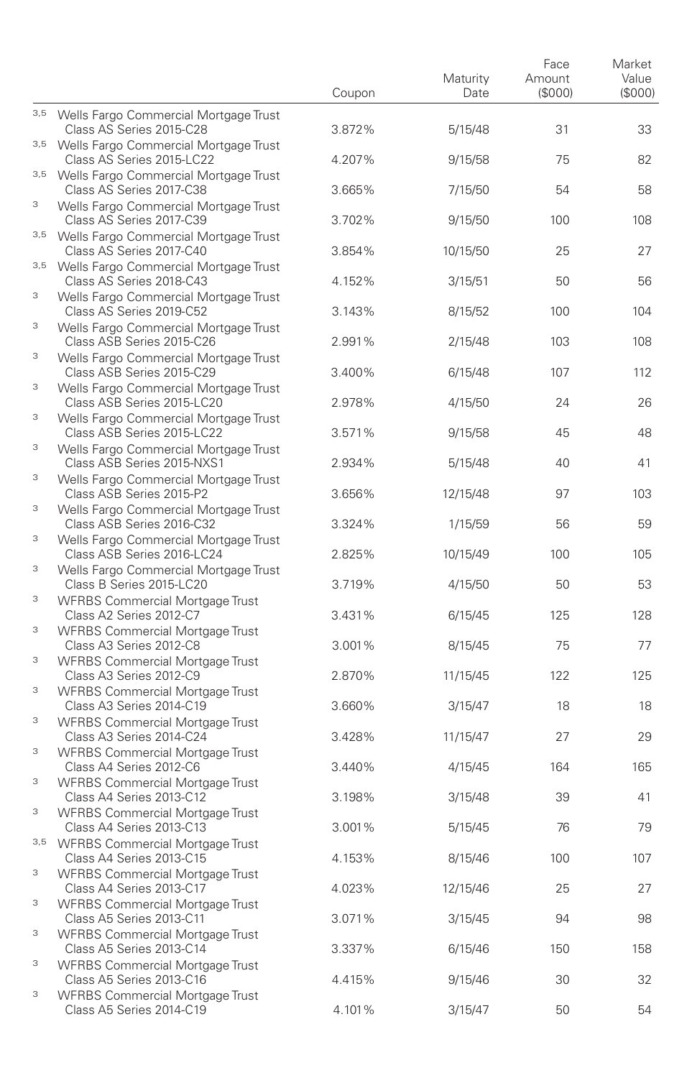|        |                                                                                                             | Coupon | Maturity<br>Date | Face<br>Amount<br>(\$000) | Market<br>Value<br>(\$000) |
|--------|-------------------------------------------------------------------------------------------------------------|--------|------------------|---------------------------|----------------------------|
|        | 3,5 Wells Fargo Commercial Mortgage Trust<br>Class AS Series 2015-C28                                       | 3.872% | 5/15/48          | 31                        | 33                         |
|        | 3,5 Wells Fargo Commercial Mortgage Trust<br>Class AS Series 2015-LC22                                      | 4.207% | 9/15/58          | 75                        | 82                         |
|        | 3,5 Wells Fargo Commercial Mortgage Trust<br>Class AS Series 2017-C38                                       | 3.665% | 7/15/50          | 54                        | 58                         |
| 3      | Wells Fargo Commercial Mortgage Trust<br>Class AS Series 2017-C39                                           | 3.702% | 9/15/50          | 100                       | 108                        |
|        | 3,5 Wells Fargo Commercial Mortgage Trust<br>Class AS Series 2017-C40                                       | 3.854% | 10/15/50         | 25                        | 27                         |
|        | 3,5 Wells Fargo Commercial Mortgage Trust<br>Class AS Series 2018-C43                                       | 4.152% | 3/15/51          | 50                        | 56                         |
| 3      | Wells Fargo Commercial Mortgage Trust<br>Class AS Series 2019-C52                                           | 3.143% | 8/15/52          | 100                       | 104                        |
| 3      | Wells Fargo Commercial Mortgage Trust<br>Class ASB Series 2015-C26                                          | 2.991% | 2/15/48          | 103                       | 108                        |
| 3      | Wells Fargo Commercial Mortgage Trust<br>Class ASB Series 2015-C29                                          | 3.400% | 6/15/48          | 107                       | 112                        |
| 3      | Wells Fargo Commercial Mortgage Trust<br>Class ASB Series 2015-LC20                                         | 2.978% | 4/15/50          | 24                        | 26                         |
| 3      | Wells Fargo Commercial Mortgage Trust<br>Class ASB Series 2015-LC22                                         | 3.571% | 9/15/58          | 45                        | 48                         |
| 3      | Wells Fargo Commercial Mortgage Trust<br>Class ASB Series 2015-NXS1                                         | 2.934% | 5/15/48          | 40                        | 41                         |
| 3<br>3 | Wells Fargo Commercial Mortgage Trust<br>Class ASB Series 2015-P2                                           | 3.656% | 12/15/48         | 97                        | 103                        |
| 3      | Wells Fargo Commercial Mortgage Trust<br>Class ASB Series 2016-C32                                          | 3.324% | 1/15/59          | 56                        | 59                         |
| 3      | Wells Fargo Commercial Mortgage Trust<br>Class ASB Series 2016-LC24                                         | 2.825% | 10/15/49         | 100                       | 105                        |
| 3      | Wells Fargo Commercial Mortgage Trust<br>Class B Series 2015-LC20<br><b>WFRBS Commercial Mortgage Trust</b> | 3.719% | 4/15/50          | 50                        | 53                         |
| 3      | Class A2 Series 2012-C7<br><b>WFRBS Commercial Mortgage Trust</b>                                           | 3.431% | 6/15/45          | 125                       | 128                        |
| 3      | Class A3 Series 2012-C8<br><b>WFRBS Commercial Mortgage Trust</b>                                           | 3.001% | 8/15/45          | 75                        | 77                         |
| 3      | Class A3 Series 2012-C9<br><b>WFRBS Commercial Mortgage Trust</b>                                           | 2.870% | 11/15/45         | 122                       | 125                        |
| 3      | Class A3 Series 2014-C19<br><b>WFRBS Commercial Mortgage Trust</b>                                          | 3.660% | 3/15/47          | 18                        | 18                         |
| 3      | Class A3 Series 2014-C24<br><b>WFRBS Commercial Mortgage Trust</b>                                          | 3.428% | 11/15/47         | 27                        | 29                         |
| 3      | Class A4 Series 2012-C6<br><b>WFRBS Commercial Mortgage Trust</b>                                           | 3.440% | 4/15/45          | 164                       | 165                        |
| 3      | Class A4 Series 2013-C12<br><b>WFRBS Commercial Mortgage Trust</b>                                          | 3.198% | 3/15/48          | 39                        | 41                         |
|        | Class A4 Series 2013-C13<br>3,5 WFRBS Commercial Mortgage Trust                                             | 3.001% | 5/15/45          | 76                        | 79                         |
| 3      | Class A4 Series 2013-C15<br><b>WFRBS Commercial Mortgage Trust</b>                                          | 4.153% | 8/15/46          | 100                       | 107                        |
| 3      | Class A4 Series 2013-C17<br><b>WFRBS Commercial Mortgage Trust</b>                                          | 4.023% | 12/15/46         | 25                        | 27                         |
| 3      | Class A5 Series 2013-C11<br><b>WFRBS Commercial Mortgage Trust</b>                                          | 3.071% | 3/15/45          | 94                        | 98                         |
| 3      | Class A5 Series 2013-C14<br><b>WFRBS Commercial Mortgage Trust</b>                                          | 3.337% | 6/15/46          | 150                       | 158                        |
| 3      | Class A5 Series 2013-C16<br><b>WFRBS Commercial Mortgage Trust</b>                                          | 4.415% | 9/15/46          | 30                        | 32                         |
|        | Class A5 Series 2014-C19                                                                                    | 4.101% | 3/15/47          | 50                        | 54                         |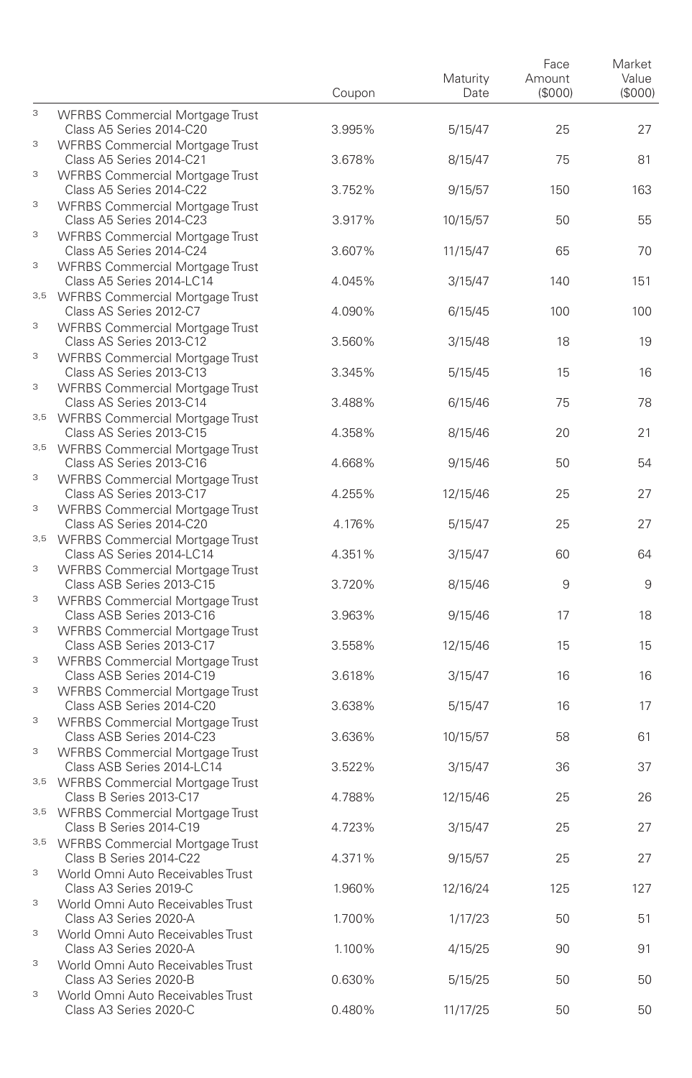|     |                                                                                                           | Coupon | Maturity<br>Date | Face<br>Amount<br>(\$000) | Market<br>Value<br>(\$000) |
|-----|-----------------------------------------------------------------------------------------------------------|--------|------------------|---------------------------|----------------------------|
| 3   | <b>WFRBS Commercial Mortgage Trust</b><br>Class A5 Series 2014-C20                                        | 3.995% | 5/15/47          | 25                        | 27                         |
| 3   | <b>WFRBS Commercial Mortgage Trust</b><br>Class A5 Series 2014-C21                                        | 3.678% | 8/15/47          | 75                        | 81                         |
| 3   | <b>WFRBS Commercial Mortgage Trust</b><br>Class A5 Series 2014-C22                                        | 3.752% | 9/15/57          | 150                       | 163                        |
| 3   | <b>WFRBS Commercial Mortgage Trust</b><br>Class A5 Series 2014-C23                                        | 3.917% | 10/15/57         | 50                        | 55                         |
| 3   | <b>WFRBS Commercial Mortgage Trust</b><br>Class A5 Series 2014-C24                                        | 3.607% | 11/15/47         | 65                        | 70                         |
| 3   | <b>WFRBS Commercial Mortgage Trust</b><br>Class A5 Series 2014-LC14                                       | 4.045% | 3/15/47          | 140                       | 151                        |
| 3,5 | <b>WFRBS Commercial Mortgage Trust</b><br>Class AS Series 2012-C7                                         | 4.090% | 6/15/45          | 100                       | 100                        |
| 3   | <b>WFRBS Commercial Mortgage Trust</b><br>Class AS Series 2013-C12                                        | 3.560% | 3/15/48          | 18                        | 19                         |
| 3   | <b>WFRBS Commercial Mortgage Trust</b><br>Class AS Series 2013-C13                                        | 3.345% | 5/15/45          | 15                        | 16                         |
| 3   | <b>WFRBS Commercial Mortgage Trust</b><br>Class AS Series 2013-C14                                        | 3.488% | 6/15/46          | 75                        | 78                         |
|     | 3,5 WFRBS Commercial Mortgage Trust<br>Class AS Series 2013-C15                                           | 4.358% | 8/15/46          | 20                        | 21                         |
| 3   | 3,5 WFRBS Commercial Mortgage Trust<br>Class AS Series 2013-C16<br><b>WFRBS Commercial Mortgage Trust</b> | 4.668% | 9/15/46          | 50                        | 54                         |
| 3   | Class AS Series 2013-C17<br><b>WFRBS Commercial Mortgage Trust</b>                                        | 4.255% | 12/15/46         | 25                        | 27                         |
|     | Class AS Series 2014-C20<br>3,5 WFRBS Commercial Mortgage Trust                                           | 4.176% | 5/15/47          | 25                        | 27                         |
| 3   | Class AS Series 2014-LC14<br><b>WFRBS Commercial Mortgage Trust</b>                                       | 4.351% | 3/15/47          | 60                        | 64                         |
| 3   | Class ASB Series 2013-C15<br><b>WFRBS Commercial Mortgage Trust</b>                                       | 3.720% | 8/15/46          | 9                         | 9                          |
| 3   | Class ASB Series 2013-C16<br><b>WFRBS Commercial Mortgage Trust</b>                                       | 3.963% | 9/15/46          | 17                        | 18                         |
| 3   | Class ASB Series 2013-C17<br><b>WFRBS Commercial Mortgage Trust</b>                                       | 3.558% | 12/15/46         | 15                        | 15                         |
| 3   | Class ASB Series 2014-C19<br>WFRBS Commercial Mortgage Trust                                              | 3.618% | 3/15/47          | 16                        | 16                         |
| 3   | Class ASB Series 2014-C20<br><b>WFRBS Commercial Mortgage Trust</b>                                       | 3.638% | 5/15/47          | 16                        | 17                         |
| 3   | Class ASB Series 2014-C23<br><b>WFRBS Commercial Mortgage Trust</b>                                       | 3.636% | 10/15/57         | 58                        | 61                         |
|     | Class ASB Series 2014-LC14<br>3,5 WFRBS Commercial Mortgage Trust                                         | 3.522% | 3/15/47          | 36                        | 37                         |
|     | Class B Series 2013-C17<br>3,5 WFRBS Commercial Mortgage Trust                                            | 4.788% | 12/15/46         | 25                        | 26                         |
|     | Class B Series 2014-C19<br>3,5 WFRBS Commercial Mortgage Trust                                            | 4.723% | 3/15/47          | 25                        | 27                         |
| 3   | Class B Series 2014-C22<br>World Omni Auto Receivables Trust                                              | 4.371% | 9/15/57          | 25                        | 27                         |
| 3   | Class A3 Series 2019-C<br>World Omni Auto Receivables Trust                                               | 1.960% | 12/16/24         | 125                       | 127                        |
| 3   | Class A3 Series 2020-A<br>World Omni Auto Receivables Trust                                               | 1.700% | 1/17/23          | 50                        | 51                         |
| 3   | Class A3 Series 2020-A<br>World Omni Auto Receivables Trust                                               | 1.100% | 4/15/25          | 90                        | 91                         |
| 3   | Class A3 Series 2020-B<br>World Omni Auto Receivables Trust                                               | 0.630% | 5/15/25          | 50                        | 50                         |
|     | Class A3 Series 2020-C                                                                                    | 0.480% | 11/17/25         | 50                        | 50                         |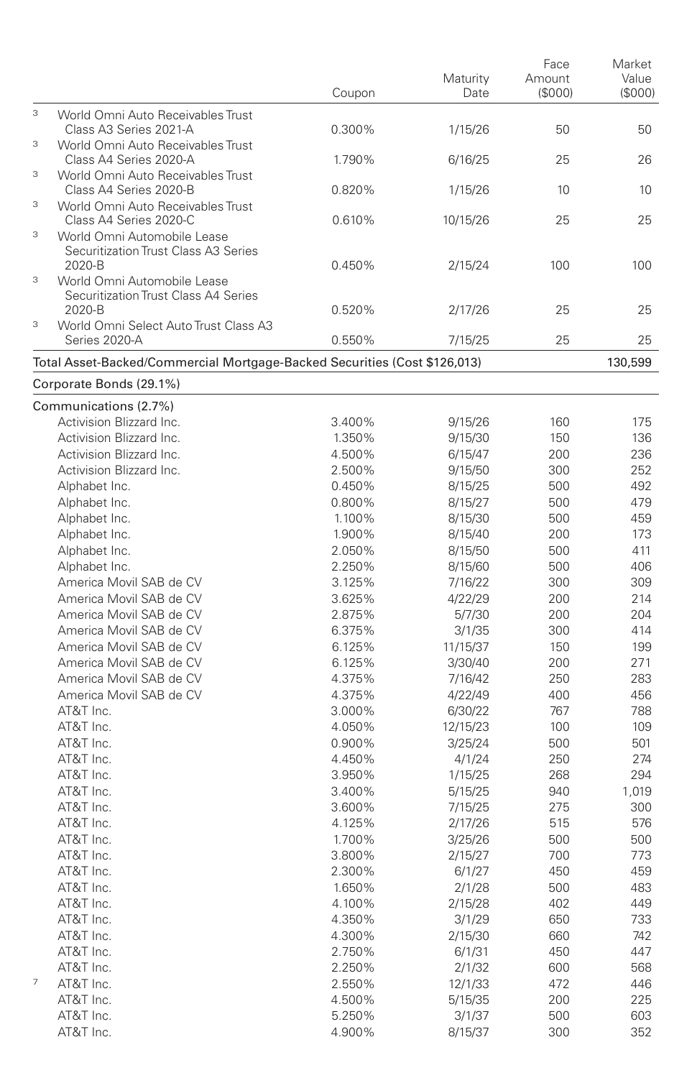|                                                                                          | Coupon | Maturity<br>Date | Face<br>Amount<br>(\$000) | Market<br>Value<br>(\$000) |
|------------------------------------------------------------------------------------------|--------|------------------|---------------------------|----------------------------|
| 3<br>World Omni Auto Receivables Trust<br>Class A3 Series 2021-A                         | 0.300% | 1/15/26          | 50                        | 50                         |
| 3<br>World Omni Auto Receivables Trust<br>Class A4 Series 2020-A                         | 1.790% | 6/16/25          | 25                        | 26                         |
| $\ensuremath{\mathsf{3}}$<br>World Omni Auto Receivables Trust<br>Class A4 Series 2020-B | 0.820% | 1/15/26          | 10                        | 10                         |
| $\ensuremath{\mathsf{3}}$<br>World Omni Auto Receivables Trust<br>Class A4 Series 2020-C | 0.610% | 10/15/26         | 25                        | 25                         |
| 3<br>World Omni Automobile Lease<br>Securitization Trust Class A3 Series<br>2020-B<br>3  | 0.450% | 2/15/24          | 100                       | 100                        |
| World Omni Automobile Lease<br>Securitization Trust Class A4 Series<br>2020-B            | 0.520% | 2/17/26          | 25                        | 25                         |
| 3<br>World Omni Select Auto Trust Class A3<br>Series 2020-A                              | 0.550% | 7/15/25          | 25                        | 25                         |
| Total Asset-Backed/Commercial Mortgage-Backed Securities (Cost \$126,013)                |        |                  |                           | 130,599                    |
| Corporate Bonds (29.1%)                                                                  |        |                  |                           |                            |
| Communications (2.7%)                                                                    |        |                  |                           |                            |
| Activision Blizzard Inc.                                                                 | 3.400% | 9/15/26          | 160                       | 175                        |
| Activision Blizzard Inc.                                                                 | 1.350% | 9/15/30          | 150                       | 136                        |
| Activision Blizzard Inc.                                                                 | 4.500% | 6/15/47          | 200                       | 236                        |
| Activision Blizzard Inc.                                                                 | 2.500% | 9/15/50          | 300                       | 252                        |
| Alphabet Inc.                                                                            | 0.450% | 8/15/25          | 500                       | 492                        |
| Alphabet Inc.                                                                            | 0.800% | 8/15/27          | 500                       | 479                        |
| Alphabet Inc.                                                                            | 1.100% | 8/15/30          | 500                       | 459                        |
| Alphabet Inc.                                                                            | 1.900% | 8/15/40          | 200                       | 173                        |
| Alphabet Inc.                                                                            | 2.050% | 8/15/50          | 500                       | 411                        |
| Alphabet Inc.                                                                            | 2.250% | 8/15/60          | 500                       | 406                        |
| America Movil SAB de CV                                                                  | 3.125% | 7/16/22          | 300                       | 309                        |
| America Movil SAB de CV                                                                  | 3.625% | 4/22/29          | 200                       | 214                        |
| America Movil SAB de CV                                                                  | 2.875% | 5/7/30           | 200                       | 204                        |
| America Movil SAB de CV                                                                  | 6.375% | 3/1/35           | 300                       | 414                        |
| America Movil SAB de CV                                                                  | 6.125% | 11/15/37         | 150                       | 199                        |
| America Movil SAB de CV                                                                  | 6.125% | 3/30/40          | 200                       | 271                        |
| America Movil SAB de CV                                                                  | 4.375% | 7/16/42          | 250                       | 283                        |
| America Movil SAB de CV                                                                  | 4.375% | 4/22/49          | 400                       | 456                        |
| AT&T Inc.                                                                                | 3.000% | 6/30/22          | 767                       | 788                        |
| AT&T Inc.                                                                                | 4.050% | 12/15/23         | 100                       | 109                        |
| AT&T Inc.                                                                                | 0.900% | 3/25/24          | 500                       | 501                        |
| AT&T Inc.                                                                                | 4.450% | 4/1/24           | 250                       | 274                        |
| AT&T Inc.                                                                                | 3.950% | 1/15/25          | 268                       | 294                        |
| AT&T Inc.                                                                                | 3.400% | 5/15/25          | 940                       | 1,019                      |
| AT&T Inc.                                                                                | 3.600% | 7/15/25          | 275                       | 300                        |
| AT&T Inc.                                                                                | 4.125% | 2/17/26          | 515                       | 576                        |
| AT&T Inc.                                                                                | 1.700% | 3/25/26          | 500                       | 500                        |
| AT&T Inc.                                                                                | 3.800% | 2/15/27          | 700                       | 773                        |
| AT&T Inc.                                                                                | 2.300% | 6/1/27           | 450                       | 459                        |
| AT&T Inc.                                                                                | 1.650% | 2/1/28           | 500                       | 483                        |
| AT&T Inc.                                                                                | 4.100% | 2/15/28          | 402                       | 449                        |
| AT&T Inc.                                                                                | 4.350% | 3/1/29           | 650                       | 733                        |
| AT&T Inc.                                                                                | 4.300% | 2/15/30          | 660                       | 742                        |
| AT&T Inc.                                                                                | 2.750% | 6/1/31           | 450                       | 447                        |
| AT&T Inc.                                                                                | 2.250% | 2/1/32           | 600                       | 568                        |
| 7<br>AT&T Inc.                                                                           | 2.550% | 12/1/33          | 472                       | 446                        |
| AT&T Inc.                                                                                | 4.500% | 5/15/35          | 200                       | 225                        |
| AT&T Inc.                                                                                | 5.250% | 3/1/37           | 500                       | 603                        |
| AT&T Inc.                                                                                | 4.900% | 8/15/37          | 300                       | 352                        |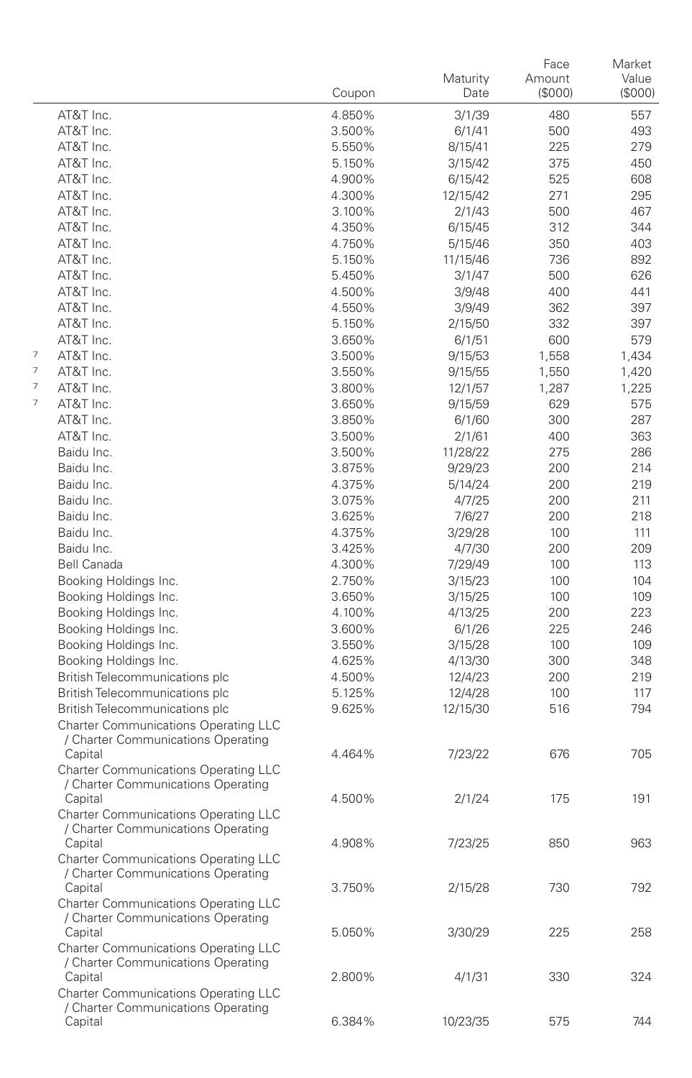|        |                                                                                              | Coupon           | Maturity<br>Date    | Face<br>Amount<br>(\$000) | Market<br>Value<br>(S000) |
|--------|----------------------------------------------------------------------------------------------|------------------|---------------------|---------------------------|---------------------------|
|        | AT&T Inc.                                                                                    | 4.850%           | 3/1/39              | 480                       | 557                       |
|        | AT&T Inc.                                                                                    | 3.500%           | 6/1/41              | 500                       | 493                       |
|        | AT&T Inc.                                                                                    | 5.550%           | 8/15/41             | 225                       | 279                       |
|        | AT&T Inc.                                                                                    | 5.150%           | 3/15/42             | 375                       | 450                       |
|        | AT&T Inc.                                                                                    | 4.900%           | 6/15/42             | 525                       | 608                       |
|        | AT&T Inc.                                                                                    | 4.300%           | 12/15/42            | 271                       | 295                       |
|        | AT&T Inc.                                                                                    | 3.100%           | 2/1/43              | 500                       | 467                       |
|        | AT&T Inc.                                                                                    | 4.350%           | 6/15/45             | 312                       | 344                       |
|        | AT&T Inc.                                                                                    | 4.750%           | 5/15/46             | 350                       | 403                       |
|        | AT&T Inc.                                                                                    | 5.150%           | 11/15/46            | 736                       | 892                       |
|        | AT&T Inc.                                                                                    | 5.450%           | 3/1/47              | 500                       | 626                       |
|        | AT&T Inc.                                                                                    | 4.500%           | 3/9/48              | 400                       | 441                       |
|        | AT&T Inc.                                                                                    | 4.550%           | 3/9/49              | 362                       | 397                       |
|        | AT&T Inc.                                                                                    | 5.150%           | 2/15/50             | 332                       | 397                       |
|        | AT&T Inc.                                                                                    | 3.650%           | 6/1/51              | 600                       | 579                       |
| 7      | AT&T Inc.                                                                                    | 3.500%           | 9/15/53             | 1,558                     | 1,434                     |
| 7      | AT&T Inc.                                                                                    | 3.550%           | 9/15/55             | 1,550                     | 1,420                     |
| 7<br>7 | AT&T Inc.                                                                                    | 3.800%           | 12/1/57             | 1,287                     | 1,225                     |
|        | AT&T Inc.                                                                                    | 3.650%           | 9/15/59             | 629                       | 575                       |
|        | AT&T Inc.<br>AT&T Inc.                                                                       | 3.850%           | 6/1/60              | 300                       | 287                       |
|        | Baidu Inc.                                                                                   | 3.500%<br>3.500% | 2/1/61              | 400<br>275                | 363<br>286                |
|        | Baidu Inc.                                                                                   | 3.875%           | 11/28/22<br>9/29/23 | 200                       | 214                       |
|        | Baidu Inc.                                                                                   | 4.375%           | 5/14/24             | 200                       | 219                       |
|        | Baidu Inc.                                                                                   | 3.075%           | 4/7/25              | 200                       | 211                       |
|        | Baidu Inc.                                                                                   | 3.625%           | 7/6/27              | 200                       | 218                       |
|        | Baidu Inc.                                                                                   | 4.375%           | 3/29/28             | 100                       | 111                       |
|        | Baidu Inc.                                                                                   | 3.425%           | 4/7/30              | 200                       | 209                       |
|        | <b>Bell Canada</b>                                                                           | 4.300%           | 7/29/49             | 100                       | 113                       |
|        | Booking Holdings Inc.                                                                        | 2.750%           | 3/15/23             | 100                       | 104                       |
|        | Booking Holdings Inc.                                                                        | 3.650%           | 3/15/25             | 100                       | 109                       |
|        | Booking Holdings Inc.                                                                        | 4.100%           | 4/13/25             | 200                       | 223                       |
|        | Booking Holdings Inc.                                                                        | 3.600%           | 6/1/26              | 225                       | 246                       |
|        | Booking Holdings Inc.                                                                        | 3.550%           | 3/15/28             | 100                       | 109                       |
|        | Booking Holdings Inc.                                                                        | 4.625%           | 4/13/30             | 300                       | 348                       |
|        | British Telecommunications plc                                                               | 4.500%           | 12/4/23             | 200                       | 219                       |
|        | British Telecommunications plc                                                               | 5.125%           | 12/4/28             | 100                       | 117                       |
|        | British Telecommunications plc<br><b>Charter Communications Operating LLC</b>                | 9.625%           | 12/15/30            | 516                       | 794                       |
|        | / Charter Communications Operating<br>Capital                                                | 4.464%           | 7/23/22             | 676                       | 705                       |
|        | <b>Charter Communications Operating LLC</b><br>/ Charter Communications Operating            |                  |                     |                           |                           |
|        | Capital<br><b>Charter Communications Operating LLC</b>                                       | 4.500%           | 2/1/24              | 175                       | 191                       |
|        | / Charter Communications Operating<br>Capital<br>Charter Communications Operating LLC        | 4.908%           | 7/23/25             | 850                       | 963                       |
|        | / Charter Communications Operating<br>Capital                                                | 3.750%           | 2/15/28             | 730                       | 792                       |
|        | Charter Communications Operating LLC<br>/ Charter Communications Operating                   |                  |                     | 225                       |                           |
|        | Capital<br><b>Charter Communications Operating LLC</b><br>/ Charter Communications Operating | 5.050%           | 3/30/29             |                           | 258                       |
|        | Capital<br>Charter Communications Operating LLC                                              | 2.800%           | 4/1/31              | 330                       | 324                       |
|        | / Charter Communications Operating<br>Capital                                                | 6.384%           | 10/23/35            | 575                       | 744                       |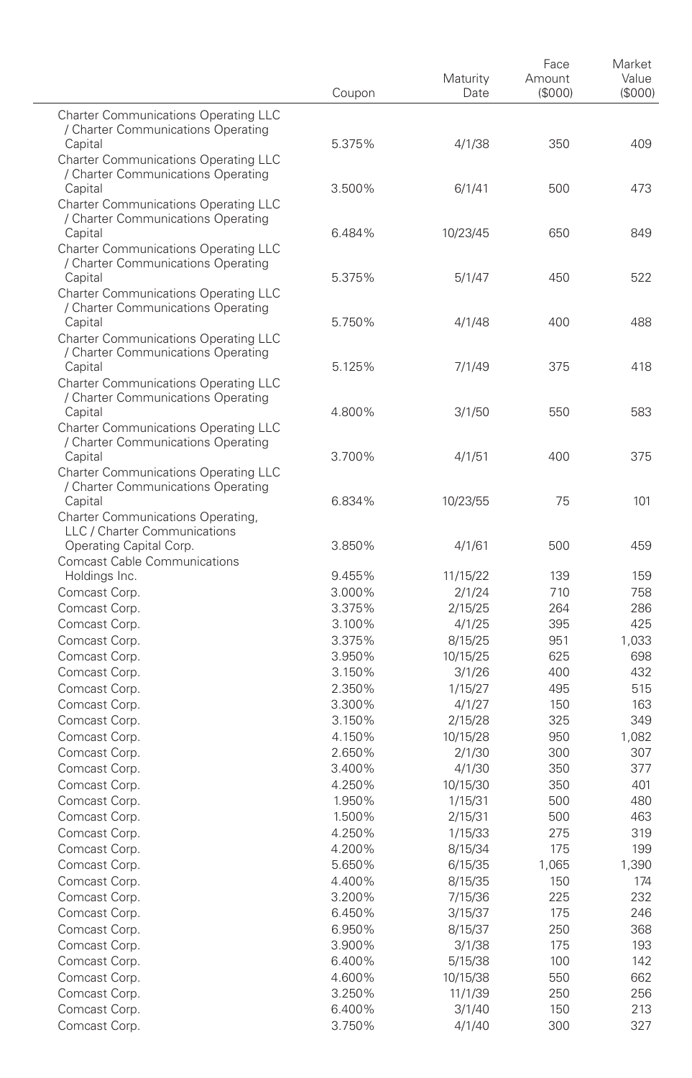|                                                                                              | Coupon           | Maturity<br>Date    | Face<br>Amount<br>(\$000) | Market<br>Value<br>(S000) |
|----------------------------------------------------------------------------------------------|------------------|---------------------|---------------------------|---------------------------|
| <b>Charter Communications Operating LLC</b><br>/ Charter Communications Operating            |                  |                     |                           |                           |
| Capital<br><b>Charter Communications Operating LLC</b>                                       | 5.375%           | 4/1/38              | 350                       | 409                       |
| / Charter Communications Operating<br>Capital<br><b>Charter Communications Operating LLC</b> | 3.500%           | 6/1/41              | 500                       | 473                       |
| / Charter Communications Operating<br>Capital                                                | 6.484%           | 10/23/45            | 650                       | 849                       |
| <b>Charter Communications Operating LLC</b><br>/ Charter Communications Operating<br>Capital | 5.375%           | 5/1/47              | 450                       | 522                       |
| Charter Communications Operating LLC<br>/ Charter Communications Operating                   |                  |                     |                           |                           |
| Capital<br><b>Charter Communications Operating LLC</b><br>/ Charter Communications Operating | 5.750%           | 4/1/48              | 400                       | 488                       |
| Capital<br><b>Charter Communications Operating LLC</b>                                       | 5.125%           | 7/1/49              | 375                       | 418                       |
| / Charter Communications Operating<br>Capital<br><b>Charter Communications Operating LLC</b> | 4.800%           | 3/1/50              | 550                       | 583                       |
| / Charter Communications Operating<br>Capital                                                | 3.700%           | 4/1/51              | 400                       | 375                       |
| Charter Communications Operating LLC<br>/ Charter Communications Operating<br>Capital        | 6.834%           | 10/23/55            | 75                        | 101                       |
| Charter Communications Operating,<br>LLC / Charter Communications                            |                  |                     |                           |                           |
| Operating Capital Corp.<br><b>Comcast Cable Communications</b>                               | 3.850%           | 4/1/61              | 500                       | 459                       |
| Holdings Inc.                                                                                | 9.455%           | 11/15/22            | 139                       | 159                       |
| Comcast Corp.                                                                                | 3.000%           | 2/1/24              | 710                       | 758                       |
| Comcast Corp.                                                                                | 3.375%           | 2/15/25             | 264                       | 286                       |
| Comcast Corp.                                                                                | 3.100%           | 4/1/25              | 395                       | 425                       |
| Comcast Corp.                                                                                | 3.375%           | 8/15/25             | 951                       | 1,033                     |
| Comcast Corp.                                                                                | 3.950%           | 10/15/25            | 625                       | 698                       |
| Comcast Corp.                                                                                | 3.150%           | 3/1/26              | 400                       | 432                       |
| Comcast Corp.                                                                                | 2.350%           | 1/15/27             | 495                       | 515                       |
| Comcast Corp.                                                                                | 3.300%<br>3.150% | 4/1/27              | 150                       | 163<br>349                |
| Comcast Corp.<br>Comcast Corp.                                                               | 4.150%           | 2/15/28<br>10/15/28 | 325<br>950                | 1,082                     |
| Comcast Corp.                                                                                | 2.650%           | 2/1/30              | 300                       | 307                       |
| Comcast Corp.                                                                                | 3.400%           | 4/1/30              | 350                       | 377                       |
| Comcast Corp.                                                                                | 4.250%           | 10/15/30            | 350                       | 401                       |
| Comcast Corp.                                                                                | 1.950%           | 1/15/31             | 500                       | 480                       |
| Comcast Corp.                                                                                | 1.500%           | 2/15/31             | 500                       | 463                       |
| Comcast Corp.                                                                                | 4.250%           | 1/15/33             | 275                       | 319                       |
| Comcast Corp.                                                                                | 4.200%           | 8/15/34             | 175                       | 199                       |
| Comcast Corp.                                                                                | 5.650%           | 6/15/35             | 1,065                     | 1,390                     |
| Comcast Corp.                                                                                | 4.400%           | 8/15/35             | 150                       | 174                       |
| Comcast Corp.                                                                                | 3.200%           | 7/15/36             | 225                       | 232                       |
| Comcast Corp.                                                                                | 6.450%           | 3/15/37             | 175                       | 246                       |
| Comcast Corp.                                                                                | 6.950%           | 8/15/37             | 250                       | 368                       |
| Comcast Corp.                                                                                | 3.900%           | 3/1/38              | 175                       | 193                       |
| Comcast Corp.                                                                                | 6.400%           | 5/15/38             | 100                       | 142                       |
| Comcast Corp.                                                                                | 4.600%           | 10/15/38            | 550                       | 662                       |
| Comcast Corp.                                                                                | 3.250%           | 11/1/39             | 250                       | 256                       |
| Comcast Corp.                                                                                | 6.400%           | 3/1/40              | 150                       | 213                       |
| Comcast Corp.                                                                                | 3.750%           | 4/1/40              | 300                       | 327                       |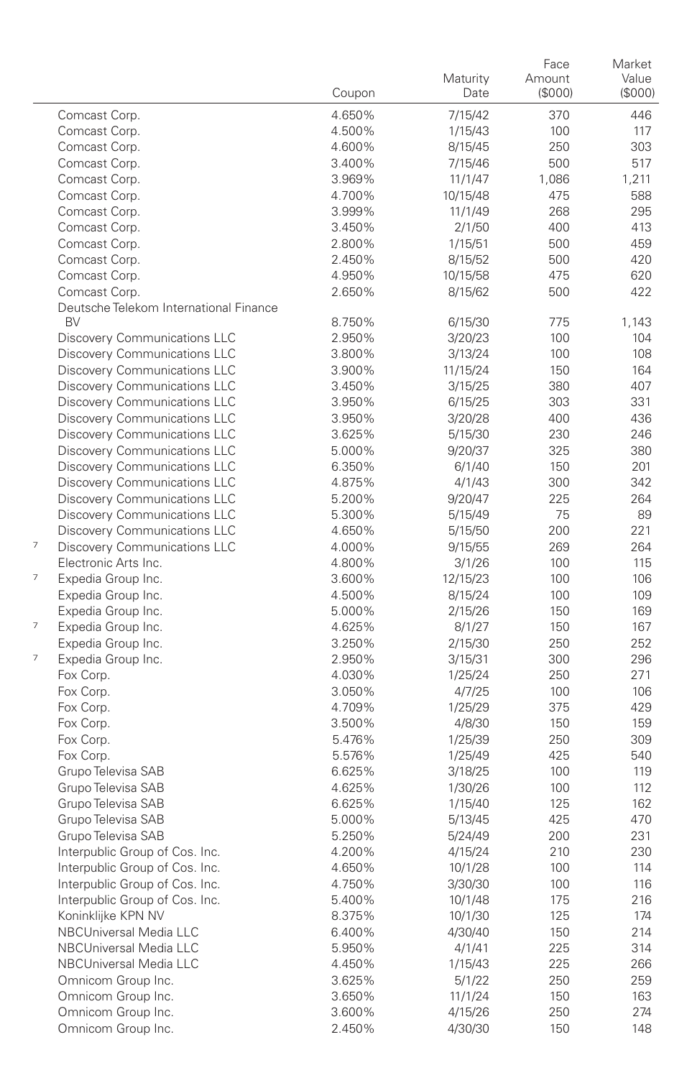|   |                                        | Coupon           | Maturity<br>Date   | Face<br>Amount<br>(\$000) | Market<br>Value<br>$($ \$000 $)$ |
|---|----------------------------------------|------------------|--------------------|---------------------------|----------------------------------|
|   | Comcast Corp.                          | 4.650%           | 7/15/42            | 370                       | 446                              |
|   | Comcast Corp.                          | 4.500%           | 1/15/43            | 100                       | 117                              |
|   | Comcast Corp.                          | 4.600%           | 8/15/45            | 250                       | 303                              |
|   | Comcast Corp.                          | 3.400%           | 7/15/46            | 500                       | 517                              |
|   | Comcast Corp.                          | 3.969%           | 11/1/47            | 1,086                     | 1,211                            |
|   | Comcast Corp.                          | 4.700%           | 10/15/48           | 475                       | 588                              |
|   | Comcast Corp.                          | 3.999%           | 11/1/49            | 268                       | 295                              |
|   | Comcast Corp.                          | 3.450%           | 2/1/50             | 400                       | 413                              |
|   | Comcast Corp.                          | 2.800%           | 1/15/51            | 500                       | 459                              |
|   | Comcast Corp.                          | 2.450%           | 8/15/52            | 500                       | 420                              |
|   | Comcast Corp.                          | 4.950%           | 10/15/58           | 475                       | 620                              |
|   | Comcast Corp.                          | 2.650%           | 8/15/62            | 500                       | 422                              |
|   | Deutsche Telekom International Finance |                  |                    |                           |                                  |
|   | BV                                     | 8.750%           | 6/15/30            | 775                       | 1,143                            |
|   | Discovery Communications LLC           | 2.950%           | 3/20/23            | 100                       | 104                              |
|   | Discovery Communications LLC           | 3.800%           | 3/13/24            | 100                       | 108                              |
|   | Discovery Communications LLC           | 3.900%           | 11/15/24           | 150                       | 164                              |
|   | Discovery Communications LLC           | 3.450%           | 3/15/25            | 380                       | 407                              |
|   | Discovery Communications LLC           | 3.950%           | 6/15/25            | 303                       | 331                              |
|   | Discovery Communications LLC           | 3.950%           | 3/20/28            | 400                       | 436                              |
|   | <b>Discovery Communications LLC</b>    | 3.625%           | 5/15/30            | 230                       | 246                              |
|   | Discovery Communications LLC           | 5.000%           | 9/20/37            | 325                       | 380                              |
|   | Discovery Communications LLC           | 6.350%           | 6/1/40             | 150                       | 201                              |
|   | <b>Discovery Communications LLC</b>    | 4.875%           | 4/1/43             | 300                       | 342                              |
|   | Discovery Communications LLC           | 5.200%           | 9/20/47            | 225                       | 264                              |
|   | Discovery Communications LLC           | 5.300%           | 5/15/49            | 75                        | 89                               |
| 7 | Discovery Communications LLC           | 4.650%           | 5/15/50            | 200                       | 221                              |
|   | Discovery Communications LLC           | 4.000%           | 9/15/55            | 269                       | 264                              |
| 7 | Electronic Arts Inc.                   | 4.800%           | 3/1/26             | 100                       | 115                              |
|   | Expedia Group Inc.                     | 3.600%           | 12/15/23           | 100                       | 106                              |
|   | Expedia Group Inc.                     | 4.500%           | 8/15/24            | 100                       | 109<br>169                       |
| 7 | Expedia Group Inc.                     | 5.000%           | 2/15/26            | 150                       | 167                              |
|   | Expedia Group Inc.                     | 4.625%<br>3.250% | 8/1/27             | 150<br>250                | 252                              |
| 7 | Expedia Group Inc.                     | 2.950%           | 2/15/30            | 300                       | 296                              |
|   | Expedia Group Inc.<br>Fox Corp.        | 4.030%           | 3/15/31<br>1/25/24 | 250                       | 271                              |
|   | Fox Corp.                              | 3.050%           | 4/7/25             | 100                       | 106                              |
|   | Fox Corp.                              | 4.709%           | 1/25/29            | 375                       | 429                              |
|   | Fox Corp.                              | 3.500%           | 4/8/30             | 150                       | 159                              |
|   | Fox Corp.                              | 5.476%           | 1/25/39            | 250                       | 309                              |
|   | Fox Corp.                              | 5.576%           | 1/25/49            | 425                       | 540                              |
|   | Grupo Televisa SAB                     | 6.625%           | 3/18/25            | 100                       | 119                              |
|   | Grupo Televisa SAB                     | 4.625%           | 1/30/26            | 100                       | 112                              |
|   | Grupo Televisa SAB                     | 6.625%           | 1/15/40            | 125                       | 162                              |
|   | Grupo Televisa SAB                     | 5.000%           | 5/13/45            | 425                       | 470                              |
|   | Grupo Televisa SAB                     | 5.250%           | 5/24/49            | 200                       | 231                              |
|   | Interpublic Group of Cos. Inc.         | 4.200%           | 4/15/24            | 210                       | 230                              |
|   | Interpublic Group of Cos. Inc.         | 4.650%           | 10/1/28            | 100                       | 114                              |
|   | Interpublic Group of Cos. Inc.         | 4.750%           | 3/30/30            | 100                       | 116                              |
|   | Interpublic Group of Cos. Inc.         | 5.400%           | 10/1/48            | 175                       | 216                              |
|   | Koninklijke KPN NV                     | 8.375%           | 10/1/30            | 125                       | 174                              |
|   | NBCUniversal Media LLC                 | 6.400%           | 4/30/40            | 150                       | 214                              |
|   | NBCUniversal Media LLC                 | 5.950%           | 4/1/41             | 225                       | 314                              |
|   | NBCUniversal Media LLC                 | 4.450%           | 1/15/43            | 225                       | 266                              |
|   | Omnicom Group Inc.                     | 3.625%           | 5/1/22             | 250                       | 259                              |
|   | Omnicom Group Inc.                     | 3.650%           | 11/1/24            | 150                       | 163                              |
|   | Omnicom Group Inc.                     | 3.600%           | 4/15/26            | 250                       | 274                              |
|   | Omnicom Group Inc.                     | 2.450%           | 4/30/30            | 150                       | 148                              |
|   |                                        |                  |                    |                           |                                  |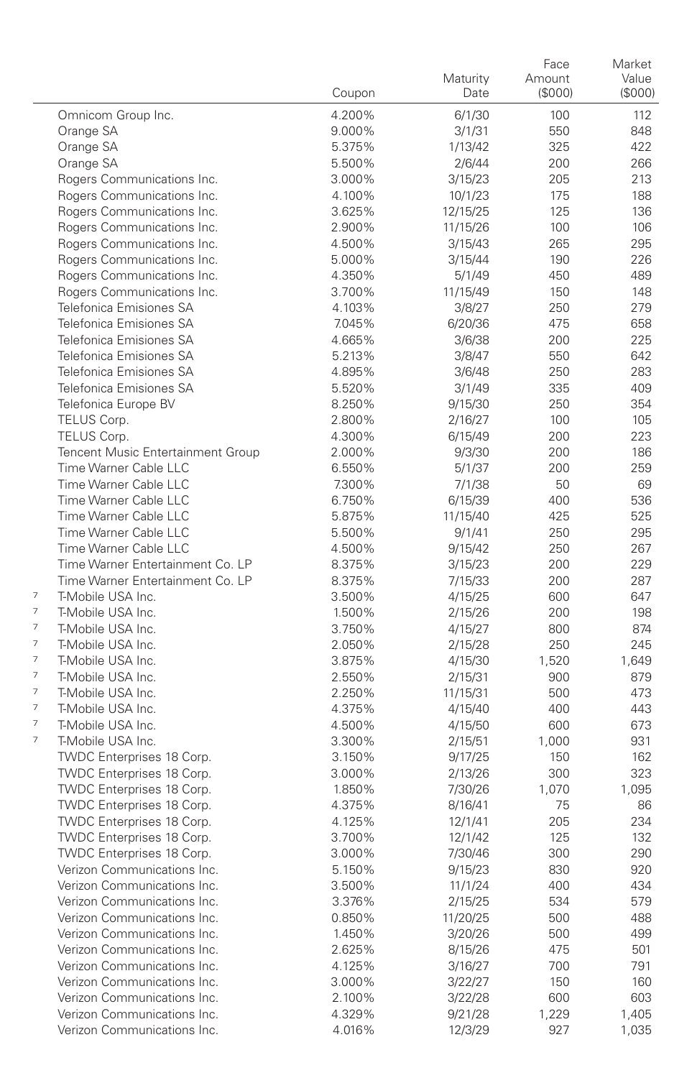|   |                                        | Coupon           | Maturity<br>Date   | Face<br>Amount<br>(\$000) | Market<br>Value<br>(\$000) |
|---|----------------------------------------|------------------|--------------------|---------------------------|----------------------------|
|   | Omnicom Group Inc.                     | 4.200%           | 6/1/30             | 100                       | 112                        |
|   | Orange SA                              | 9.000%           | 3/1/31             | 550                       | 848                        |
|   | Orange SA                              | 5.375%           | 1/13/42            | 325                       | 422                        |
|   | Orange SA                              | 5.500%           | 2/6/44             | 200                       | 266                        |
|   | Rogers Communications Inc.             | 3.000%           | 3/15/23            | 205                       | 213                        |
|   | Rogers Communications Inc.             | 4.100%           | 10/1/23            | 175                       | 188                        |
|   | Rogers Communications Inc.             | 3.625%           | 12/15/25           | 125                       | 136                        |
|   | Rogers Communications Inc.             | 2.900%           | 11/15/26           | 100                       | 106                        |
|   | Rogers Communications Inc.             | 4.500%           | 3/15/43            | 265                       | 295                        |
|   | Rogers Communications Inc.             | 5.000%           | 3/15/44            | 190                       | 226                        |
|   | Rogers Communications Inc.             | 4.350%           | 5/1/49             | 450                       | 489                        |
|   | Rogers Communications Inc.             | 3.700%           | 11/15/49           | 150                       | 148                        |
|   | Telefonica Emisiones SA                | 4.103%           | 3/8/27             | 250                       | 279                        |
|   | Telefonica Emisiones SA                | 7.045%           | 6/20/36            | 475                       | 658                        |
|   | Telefonica Emisiones SA                | 4.665%           | 3/6/38             | 200                       | 225                        |
|   | Telefonica Emisiones SA                | 5.213%           | 3/8/47             | 550                       | 642                        |
|   | Telefonica Emisiones SA                | 4.895%           | 3/6/48             | 250                       | 283                        |
|   | Telefonica Emisiones SA                | 5.520%           | 3/1/49             | 335                       | 409                        |
|   | Telefonica Europe BV                   | 8.250%           | 9/15/30            | 250                       | 354                        |
|   | TELUS Corp.                            | 2.800%           | 2/16/27            | 100                       | 105                        |
|   | TELUS Corp.                            | 4.300%           | 6/15/49            | 200                       | 223                        |
|   | Tencent Music Entertainment Group      | 2.000%           | 9/3/30             | 200                       | 186                        |
|   | Time Warner Cable LLC                  | 6.550%           | 5/1/37             | 200                       | 259                        |
|   | Time Warner Cable LLC                  | 7.300%           | 7/1/38             | 50                        | 69                         |
|   | Time Warner Cable LLC                  | 6.750%           | 6/15/39            | 400                       | 536                        |
|   | Time Warner Cable LLC                  | 5.875%           | 11/15/40           | 425                       | 525                        |
|   | Time Warner Cable LLC                  | 5.500%           | 9/1/41             | 250                       | 295                        |
|   | Time Warner Cable LLC                  | 4.500%           | 9/15/42            | 250                       | 267                        |
|   | Time Warner Entertainment Co. LP       | 8.375%           | 3/15/23            | 200                       | 229                        |
| 7 | Time Warner Entertainment Co. LP       | 8.375%           | 7/15/33            | 200                       | 287                        |
| 7 | T-Mobile USA Inc.                      | 3.500%           | 4/15/25            | 600                       | 647                        |
| 7 | T-Mobile USA Inc.                      | 1.500%           | 2/15/26            | 200                       | 198                        |
| 7 | T-Mobile USA Inc.<br>T-Mobile USA Inc. | 3.750%           | 4/15/27            | 800                       | 874<br>245                 |
| 7 | T-Mobile USA Inc.                      | 2.050%<br>3.875% | 2/15/28<br>4/15/30 | 250<br>1,520              | 1,649                      |
| 7 | T-Mobile USA Inc.                      | 2.550%           | 2/15/31            | 900                       | 879                        |
| 7 | T-Mobile USA Inc.                      | 2.250%           | 11/15/31           | 500                       | 473                        |
| 7 | T-Mobile USA Inc.                      | 4.375%           | 4/15/40            | 400                       | 443                        |
| 7 | T-Mobile USA Inc.                      | 4.500%           | 4/15/50            | 600                       | 673                        |
| 7 | T-Mobile USA Inc.                      | 3.300%           | 2/15/51            | 1,000                     | 931                        |
|   | TWDC Enterprises 18 Corp.              | 3.150%           | 9/17/25            | 150                       | 162                        |
|   | TWDC Enterprises 18 Corp.              | 3.000%           | 2/13/26            | 300                       | 323                        |
|   | TWDC Enterprises 18 Corp.              | 1.850%           | 7/30/26            | 1,070                     | 1,095                      |
|   | TWDC Enterprises 18 Corp.              | 4.375%           | 8/16/41            | 75                        | 86                         |
|   | TWDC Enterprises 18 Corp.              | 4.125%           | 12/1/41            | 205                       | 234                        |
|   | TWDC Enterprises 18 Corp.              | 3.700%           | 12/1/42            | 125                       | 132                        |
|   | TWDC Enterprises 18 Corp.              | 3.000%           | 7/30/46            | 300                       | 290                        |
|   | Verizon Communications Inc.            | 5.150%           | 9/15/23            | 830                       | 920                        |
|   | Verizon Communications Inc.            | 3.500%           | 11/1/24            | 400                       | 434                        |
|   | Verizon Communications Inc.            | 3.376%           | 2/15/25            | 534                       | 579                        |
|   | Verizon Communications Inc.            | 0.850%           | 11/20/25           | 500                       | 488                        |
|   | Verizon Communications Inc.            | 1.450%           | 3/20/26            | 500                       | 499                        |
|   | Verizon Communications Inc.            | 2.625%           | 8/15/26            | 475                       | 501                        |
|   | Verizon Communications Inc.            | 4.125%           | 3/16/27            | 700                       | 791                        |
|   | Verizon Communications Inc.            | 3.000%           | 3/22/27            | 150                       | 160                        |
|   | Verizon Communications Inc.            | 2.100%           | 3/22/28            | 600                       | 603                        |
|   | Verizon Communications Inc.            | 4.329%           | 9/21/28            | 1,229                     | 1,405                      |
|   | Verizon Communications Inc.            | 4.016%           | 12/3/29            | 927                       | 1,035                      |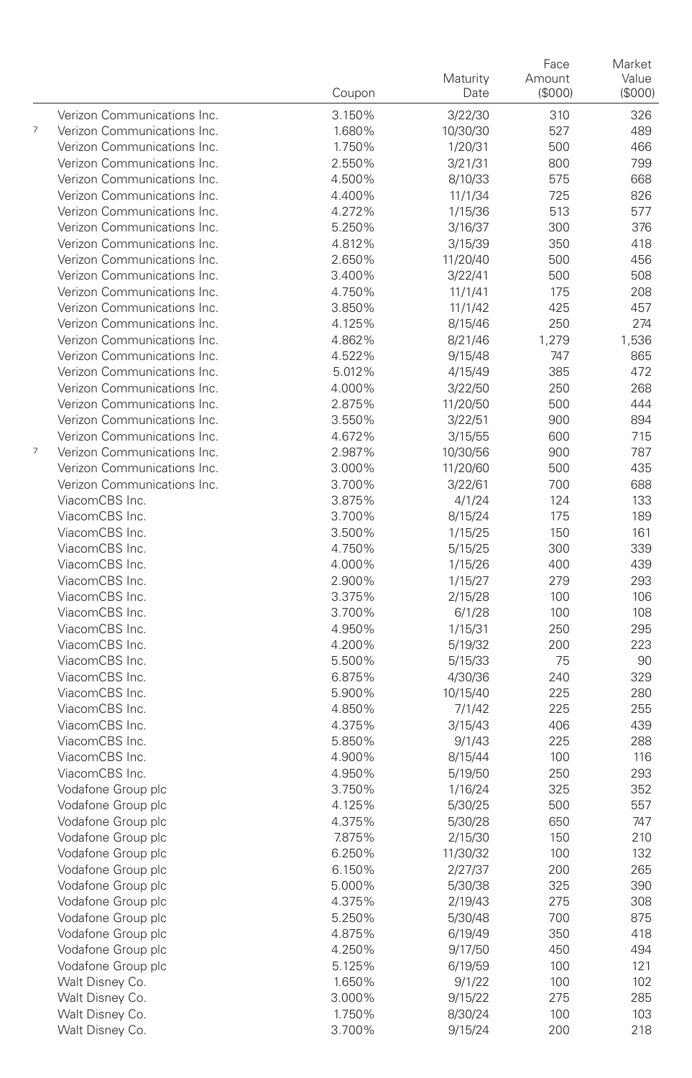|                |                                  | Coupon           | Maturity<br>Date   | Face<br>Amount<br>(\$000) | Market<br>Value<br>(S000) |
|----------------|----------------------------------|------------------|--------------------|---------------------------|---------------------------|
|                | Verizon Communications Inc.      | 3.150%           | 3/22/30            | 310                       | 326                       |
| $\overline{7}$ | Verizon Communications Inc.      | 1.680%           | 10/30/30           | 527                       | 489                       |
|                | Verizon Communications Inc.      | 1.750%           | 1/20/31            | 500                       | 466                       |
|                | Verizon Communications Inc.      | 2.550%           | 3/21/31            | 800                       | 799                       |
|                | Verizon Communications Inc.      | 4.500%           | 8/10/33            | 575                       | 668                       |
|                | Verizon Communications Inc.      | 4.400%           | 11/1/34            | 725                       | 826                       |
|                | Verizon Communications Inc.      | 4.272%           | 1/15/36            | 513                       | 577                       |
|                | Verizon Communications Inc.      | 5.250%           | 3/16/37            | 300                       | 376                       |
|                | Verizon Communications Inc.      | 4.812%           | 3/15/39            | 350                       | 418                       |
|                | Verizon Communications Inc.      | 2.650%           | 11/20/40           | 500                       | 456                       |
|                | Verizon Communications Inc.      | 3.400%           | 3/22/41            | 500                       | 508                       |
|                | Verizon Communications Inc.      | 4.750%           | 11/1/41            | 175                       | 208                       |
|                | Verizon Communications Inc.      | 3.850%           | 11/1/42            | 425                       | 457                       |
|                | Verizon Communications Inc.      | 4.125%           | 8/15/46            | 250                       | 274                       |
|                | Verizon Communications Inc.      | 4.862%           | 8/21/46            | 1,279                     | 1,536                     |
|                | Verizon Communications Inc.      | 4.522%           | 9/15/48            | 747                       | 865                       |
|                | Verizon Communications Inc.      | 5.012%           | 4/15/49            | 385                       | 472                       |
|                | Verizon Communications Inc.      | 4.000%           | 3/22/50            | 250                       | 268                       |
|                | Verizon Communications Inc.      | 2.875%           | 11/20/50           | 500                       | 444                       |
|                | Verizon Communications Inc.      | 3.550%           | 3/22/51            | 900                       | 894                       |
|                | Verizon Communications Inc.      | 4.672%           | 3/15/55            | 600                       | 715                       |
| $\overline{7}$ | Verizon Communications Inc.      | 2.987%           | 10/30/56           | 900                       | 787                       |
|                | Verizon Communications Inc.      | 3.000%           | 11/20/60           | 500                       | 435                       |
|                | Verizon Communications Inc.      | 3.700%           | 3/22/61            | 700                       | 688                       |
|                | ViacomCBS Inc.                   | 3.875%           | 4/1/24             | 124                       | 133                       |
|                | ViacomCBS Inc.                   | 3.700%           | 8/15/24            | 175                       | 189                       |
|                | ViacomCBS Inc.                   | 3.500%           | 1/15/25            | 150                       | 161                       |
|                | ViacomCBS Inc.                   | 4.750%           | 5/15/25            | 300                       | 339                       |
|                | ViacomCBS Inc.                   | 4.000%           | 1/15/26            | 400                       | 439                       |
|                | ViacomCBS Inc.                   | 2.900%           | 1/15/27            | 279                       | 293                       |
|                | ViacomCBS Inc.                   | 3.375%           | 2/15/28            | 100                       | 106                       |
|                | ViacomCBS Inc.                   | 3.700%           | 6/1/28             | 100                       | 108                       |
|                | ViacomCBS Inc.                   | 4.950%           | 1/15/31            | 250                       | 295                       |
|                | ViacomCBS Inc.                   | 4.200%           | 5/19/32            | 200                       | 223                       |
|                | ViacomCBS Inc.                   | 5.500%           | 5/15/33            | 75                        | 90                        |
|                | ViacomCBS Inc.                   | 6.875%           | 4/30/36            | 240                       | 329                       |
|                | ViacomCBS Inc.                   | 5.900%           | 10/15/40           | 225                       | 280                       |
|                | ViacomCBS Inc.                   | 4.850%           | 7/1/42             | 225                       | 255                       |
|                | ViacomCBS Inc.<br>ViacomCBS Inc. | 4.375%           | 3/15/43            | 406                       | 439                       |
|                | ViacomCBS Inc.                   | 5.850%<br>4.900% | 9/1/43             | 225                       | 288                       |
|                | ViacomCBS Inc.                   | 4.950%           | 8/15/44            | 100<br>250                | 116<br>293                |
|                | Vodafone Group plc               | 3.750%           | 5/19/50<br>1/16/24 | 325                       | 352                       |
|                | Vodafone Group plc               | 4.125%           | 5/30/25            | 500                       | 557                       |
|                | Vodafone Group plc               | 4.375%           | 5/30/28            | 650                       | 747                       |
|                | Vodafone Group plc               | 7.875%           | 2/15/30            | 150                       | 210                       |
|                | Vodafone Group plc               | 6.250%           | 11/30/32           | 100                       | 132                       |
|                | Vodafone Group plc               | 6.150%           | 2/27/37            | 200                       | 265                       |
|                | Vodafone Group plc               | 5.000%           | 5/30/38            | 325                       | 390                       |
|                | Vodafone Group plc               | 4.375%           | 2/19/43            | 275                       | 308                       |
|                | Vodafone Group plc               | 5.250%           | 5/30/48            | 700                       | 875                       |
|                | Vodafone Group plc               | 4.875%           | 6/19/49            | 350                       | 418                       |
|                | Vodafone Group plc               | 4.250%           | 9/17/50            | 450                       | 494                       |
|                | Vodafone Group plc               | 5.125%           | 6/19/59            | 100                       | 121                       |
|                | Walt Disney Co.                  | 1.650%           | 9/1/22             | 100                       | 102                       |
|                | Walt Disney Co.                  | 3.000%           | 9/15/22            | 275                       | 285                       |
|                | Walt Disney Co.                  | 1.750%           | 8/30/24            | 100                       | 103                       |
|                | Walt Disney Co.                  | 3.700%           | 9/15/24            | 200                       | 218                       |
|                |                                  |                  |                    |                           |                           |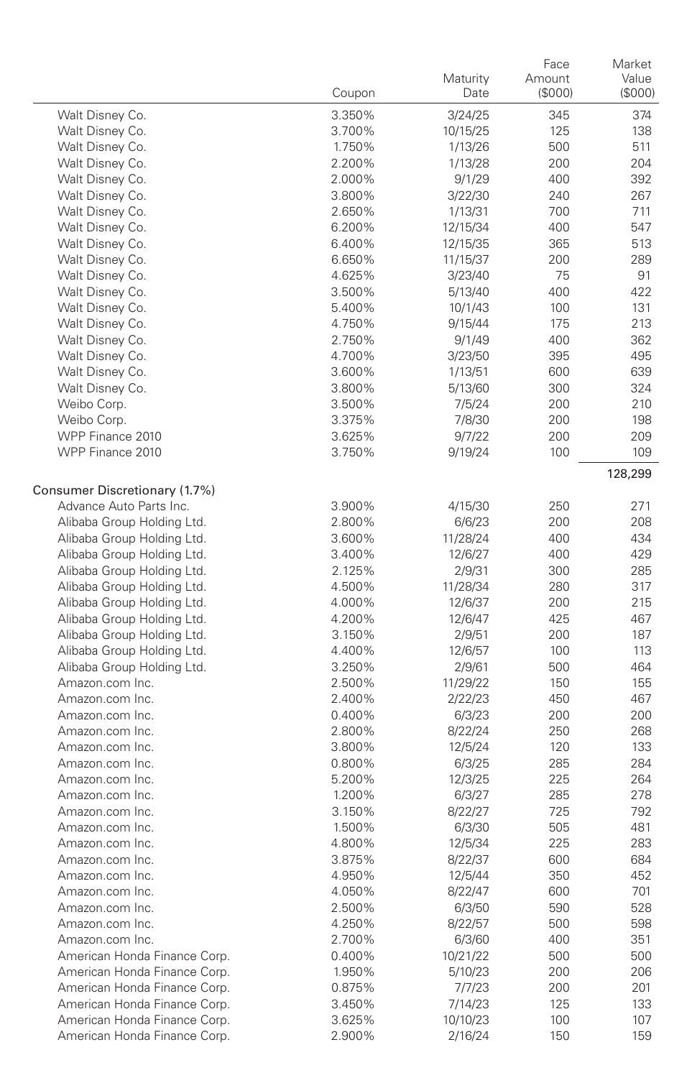|                               | Coupon | Maturity<br>Date | Face<br>Amount<br>(\$000) | Market<br>Value<br>$($ \$000 $)$ |
|-------------------------------|--------|------------------|---------------------------|----------------------------------|
| Walt Disney Co.               | 3.350% | 3/24/25          | 345                       | 374                              |
| Walt Disney Co.               | 3.700% | 10/15/25         | 125                       | 138                              |
| Walt Disney Co.               | 1.750% | 1/13/26          | 500                       | 511                              |
| Walt Disney Co.               | 2.200% | 1/13/28          | 200                       | 204                              |
| Walt Disney Co.               | 2.000% | 9/1/29           | 400                       | 392                              |
| Walt Disney Co.               | 3.800% | 3/22/30          | 240                       | 267                              |
| Walt Disney Co.               | 2.650% | 1/13/31          | 700                       | 711                              |
| Walt Disney Co.               | 6.200% | 12/15/34         | 400                       | 547                              |
| Walt Disney Co.               | 6.400% | 12/15/35         | 365                       | 513                              |
| Walt Disney Co.               | 6.650% | 11/15/37         | 200                       | 289                              |
| Walt Disney Co.               | 4.625% | 3/23/40          | 75                        | 91                               |
| Walt Disney Co.               | 3.500% | 5/13/40          | 400                       | 422                              |
| Walt Disney Co.               | 5.400% | 10/1/43          | 100                       | 131                              |
| Walt Disney Co.               | 4.750% | 9/15/44          | 175                       | 213                              |
| Walt Disney Co.               | 2.750% | 9/1/49           | 400                       | 362                              |
| Walt Disney Co.               | 4.700% | 3/23/50          | 395                       | 495                              |
| Walt Disney Co.               | 3.600% | 1/13/51          | 600                       | 639                              |
| Walt Disney Co.               | 3.800% | 5/13/60          | 300                       | 324                              |
| Weibo Corp.                   | 3.500% | 7/5/24           | 200                       | 210                              |
| Weibo Corp.                   | 3.375% | 7/8/30           | 200                       | 198                              |
| WPP Finance 2010              | 3.625% | 9/7/22           | 200                       | 209                              |
| WPP Finance 2010              | 3.750% | 9/19/24          | 100                       | 109                              |
|                               |        |                  |                           | 128,299                          |
| Consumer Discretionary (1.7%) |        |                  |                           |                                  |
| Advance Auto Parts Inc.       | 3.900% | 4/15/30          | 250                       | 271                              |
| Alibaba Group Holding Ltd.    | 2.800% | 6/6/23           | 200                       | 208                              |
| Alibaba Group Holding Ltd.    | 3.600% | 11/28/24         | 400                       | 434                              |
| Alibaba Group Holding Ltd.    | 3.400% | 12/6/27          | 400                       | 429                              |
| Alibaba Group Holding Ltd.    | 2.125% | 2/9/31           | 300                       | 285                              |
| Alibaba Group Holding Ltd.    | 4.500% | 11/28/34         | 280                       | 317                              |
| Alibaba Group Holding Ltd.    | 4.000% | 12/6/37          | 200                       | 215                              |
| Alibaba Group Holding Ltd.    | 4.200% | 12/6/47          | 425                       | 467                              |
| Alibaba Group Holding Ltd.    | 3.150% | 2/9/51           | 200                       | 187                              |
| Alibaba Group Holding Ltd.    | 4.400% | 12/6/57          | 100                       | 113                              |
| Alibaba Group Holding Ltd.    | 3.250% | 2/9/61           | 500                       | 464                              |
| Amazon.com Inc.               | 2.500% | 11/29/22         | 150                       | 155                              |
| Amazon.com Inc.               | 2.400% | 2/22/23          | 450                       | 467                              |
| Amazon.com Inc.               | 0.400% | 6/3/23           | 200                       | 200                              |
| Amazon.com Inc.               | 2.800% | 8/22/24          | 250                       | 268                              |
| Amazon.com Inc.               | 3.800% | 12/5/24          | 120                       | 133                              |
| Amazon.com Inc.               | 0.800% | 6/3/25           | 285                       | 284                              |
| Amazon.com Inc.               | 5.200% | 12/3/25          | 225                       | 264                              |
| Amazon.com Inc.               | 1.200% | 6/3/27           | 285                       | 278                              |
| Amazon.com Inc.               | 3.150% | 8/22/27          | 725                       | 792                              |
| Amazon.com Inc.               | 1.500% | 6/3/30           | 505                       | 481                              |
| Amazon.com Inc.               | 4.800% | 12/5/34          | 225                       | 283                              |
| Amazon.com Inc.               | 3.875% | 8/22/37          | 600                       | 684                              |
| Amazon.com Inc.               | 4.950% | 12/5/44          | 350                       | 452                              |
| Amazon.com Inc.               | 4.050% | 8/22/47          | 600                       | 701                              |
| Amazon.com Inc.               | 2.500% | 6/3/50           | 590                       | 528                              |
| Amazon.com Inc.               | 4.250% | 8/22/57          | 500                       | 598                              |
| Amazon.com Inc.               | 2.700% | 6/3/60           | 400                       | 351                              |
| American Honda Finance Corp.  | 0.400% | 10/21/22         | 500                       | 500                              |
| American Honda Finance Corp.  | 1.950% | 5/10/23          | 200                       | 206                              |
| American Honda Finance Corp.  | 0.875% | 7/7/23           | 200                       | 201                              |
| American Honda Finance Corp.  | 3.450% | 7/14/23          | 125                       | 133                              |
| American Honda Finance Corp.  | 3.625% | 10/10/23         | 100                       | 107                              |
| American Honda Finance Corp.  | 2.900% | 2/16/24          | 150                       | 159                              |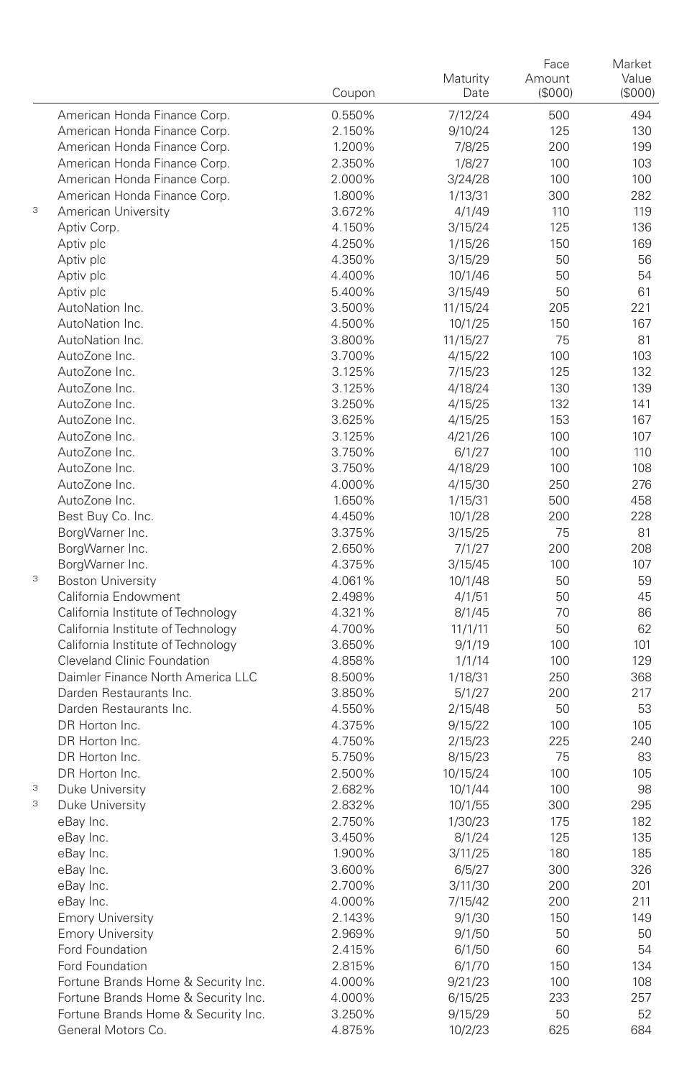|   |                                                                  | Coupon           | Maturity<br>Date   | Face<br>Amount<br>(\$000) | Market<br>Value<br>(\$000) |
|---|------------------------------------------------------------------|------------------|--------------------|---------------------------|----------------------------|
|   | American Honda Finance Corp.                                     | 0.550%           | 7/12/24            | 500                       | 494                        |
|   | American Honda Finance Corp.                                     | 2.150%           | 9/10/24            | 125                       | 130                        |
|   | American Honda Finance Corp.                                     | 1.200%           | 7/8/25             | 200                       | 199                        |
|   | American Honda Finance Corp.                                     | 2.350%           | 1/8/27             | 100                       | 103                        |
|   | American Honda Finance Corp.                                     | 2.000%           | 3/24/28            | 100                       | 100                        |
|   | American Honda Finance Corp.                                     | 1.800%           | 1/13/31            | 300                       | 282                        |
| 3 | American University                                              | 3.672%           | 4/1/49             | 110                       | 119                        |
|   | Aptiv Corp.                                                      | 4.150%           | 3/15/24            | 125                       | 136                        |
|   | Aptiv plc                                                        | 4.250%           | 1/15/26            | 150                       | 169                        |
|   | Aptiv plc                                                        | 4.350%           | 3/15/29            | 50                        | 56                         |
|   | Aptiv plc                                                        | 4.400%           | 10/1/46            | 50                        | 54                         |
|   | Aptiv plc                                                        | 5.400%           | 3/15/49            | 50                        | 61                         |
|   | AutoNation Inc.                                                  | 3.500%           | 11/15/24           | 205                       | 221                        |
|   | AutoNation Inc.                                                  | 4.500%           | 10/1/25            | 150                       | 167                        |
|   | AutoNation Inc.<br>AutoZone Inc.                                 | 3.800%<br>3.700% | 11/15/27           | 75<br>100                 | 81                         |
|   | AutoZone Inc.                                                    | 3.125%           | 4/15/22<br>7/15/23 | 125                       | 103<br>132                 |
|   | AutoZone Inc.                                                    | 3.125%           | 4/18/24            | 130                       | 139                        |
|   | AutoZone Inc.                                                    | 3.250%           | 4/15/25            | 132                       | 141                        |
|   | AutoZone Inc.                                                    | 3.625%           | 4/15/25            | 153                       | 167                        |
|   | AutoZone Inc.                                                    | 3.125%           | 4/21/26            | 100                       | 107                        |
|   | AutoZone Inc.                                                    | 3.750%           | 6/1/27             | 100                       | 110                        |
|   | AutoZone Inc.                                                    | 3.750%           | 4/18/29            | 100                       | 108                        |
|   | AutoZone Inc.                                                    | 4.000%           | 4/15/30            | 250                       | 276                        |
|   | AutoZone Inc.                                                    | 1.650%           | 1/15/31            | 500                       | 458                        |
|   | Best Buy Co. Inc.                                                | 4.450%           | 10/1/28            | 200                       | 228                        |
|   | BorgWarner Inc.                                                  | 3.375%           | 3/15/25            | 75                        | 81                         |
|   | BorgWarner Inc.                                                  | 2.650%           | 7/1/27             | 200                       | 208                        |
|   | BorgWarner Inc.                                                  | 4.375%           | 3/15/45            | 100                       | 107                        |
| 3 | <b>Boston University</b>                                         | 4.061%           | 10/1/48            | 50                        | 59                         |
|   | California Endowment                                             | 2.498%           | 4/1/51             | 50                        | 45                         |
|   | California Institute of Technology                               | 4.321%           | 8/1/45             | 70                        | 86                         |
|   | California Institute of Technology                               | 4.700%           | 11/1/11            | 50                        | 62                         |
|   | California Institute of Technology                               | 3.650%           | 9/1/19             | 100                       | 101                        |
|   | Cleveland Clinic Foundation<br>Daimler Finance North America LLC | 4.858%           | 1/1/14             | 100                       | 129                        |
|   | Darden Restaurants Inc.                                          | 8.500%<br>3.850% | 1/18/31            | 250<br>200                | 368<br>217                 |
|   | Darden Restaurants Inc.                                          | 4.550%           | 5/1/27<br>2/15/48  | 50                        | 53                         |
|   | DR Horton Inc.                                                   | 4.375%           | 9/15/22            | 100                       | 105                        |
|   | DR Horton Inc.                                                   | 4.750%           | 2/15/23            | 225                       | 240                        |
|   | DR Horton Inc.                                                   | 5.750%           | 8/15/23            | 75                        | 83                         |
|   | DR Horton Inc.                                                   | 2.500%           | 10/15/24           | 100                       | 105                        |
| 3 | Duke University                                                  | 2.682%           | 10/1/44            | 100                       | 98                         |
| 3 | Duke University                                                  | 2.832%           | 10/1/55            | 300                       | 295                        |
|   | eBay Inc.                                                        | 2.750%           | 1/30/23            | 175                       | 182                        |
|   | eBay Inc.                                                        | 3.450%           | 8/1/24             | 125                       | 135                        |
|   | eBay Inc.                                                        | 1.900%           | 3/11/25            | 180                       | 185                        |
|   | eBay Inc.                                                        | 3.600%           | 6/5/27             | 300                       | 326                        |
|   | eBay Inc.                                                        | 2.700%           | 3/11/30            | 200                       | 201                        |
|   | eBay Inc.                                                        | 4.000%           | 7/15/42            | 200                       | 211                        |
|   | <b>Emory University</b>                                          | 2.143%           | 9/1/30             | 150                       | 149                        |
|   | <b>Emory University</b>                                          | 2.969%           | 9/1/50             | 50                        | 50                         |
|   | Ford Foundation                                                  | 2.415%           | 6/1/50             | 60                        | 54                         |
|   | Ford Foundation                                                  | 2.815%           | 6/1/70             | 150                       | 134                        |
|   | Fortune Brands Home & Security Inc.                              | 4.000%           | 9/21/23            | 100                       | 108                        |
|   | Fortune Brands Home & Security Inc.                              | 4.000%           | 6/15/25            | 233                       | 257                        |
|   | Fortune Brands Home & Security Inc.                              | 3.250%           | 9/15/29            | 50                        | 52                         |
|   | General Motors Co.                                               | 4.875%           | 10/2/23            | 625                       | 684                        |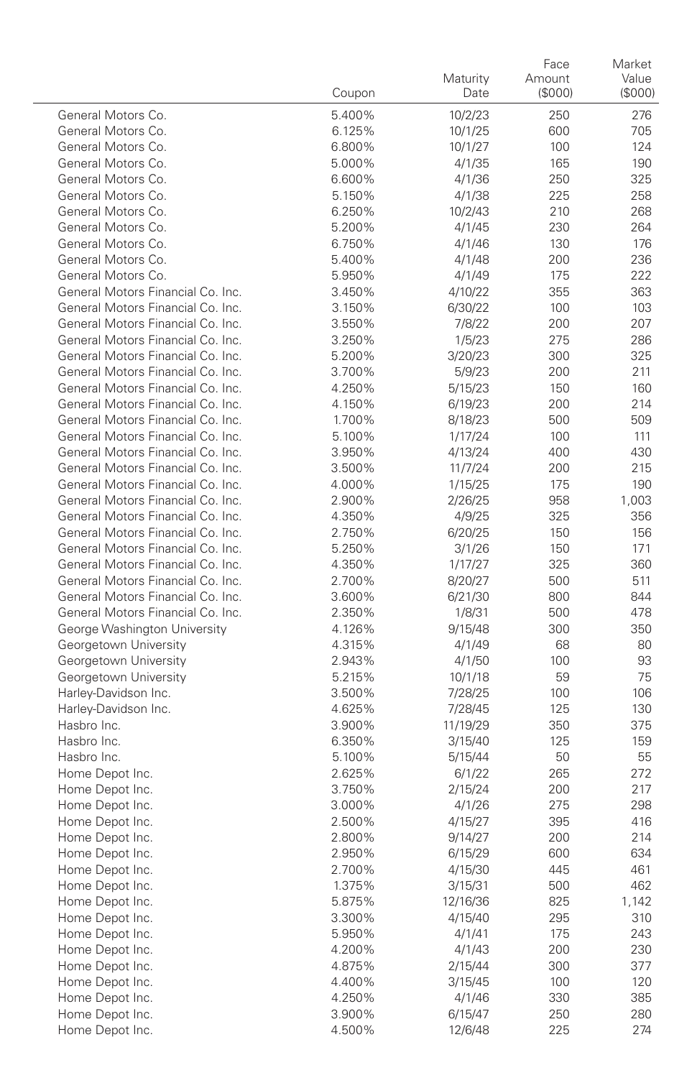|                                              | Coupon           | Maturity<br>Date    | Face<br>Amount<br>(\$000) | Market<br>Value<br>(\$000) |
|----------------------------------------------|------------------|---------------------|---------------------------|----------------------------|
| General Motors Co.                           | 5.400%           | 10/2/23             | 250                       | 276                        |
| General Motors Co.                           | 6.125%           | 10/1/25             | 600                       | 705                        |
| General Motors Co.                           | 6.800%           | 10/1/27             | 100                       | 124                        |
| General Motors Co.                           | 5.000%           | 4/1/35              | 165                       | 190                        |
| General Motors Co.                           | 6.600%           | 4/1/36              | 250                       | 325                        |
| General Motors Co.                           | 5.150%           | 4/1/38              | 225                       | 258                        |
| General Motors Co.                           | 6.250%           | 10/2/43             | 210                       | 268                        |
| General Motors Co.                           | 5.200%           | 4/1/45              | 230                       | 264                        |
| General Motors Co.                           | 6.750%           | 4/1/46              | 130                       | 176                        |
| General Motors Co.                           | 5.400%           | 4/1/48              | 200                       | 236                        |
| General Motors Co.                           | 5.950%           | 4/1/49              | 175                       | 222                        |
| General Motors Financial Co. Inc.            | 3.450%           | 4/10/22             | 355                       | 363                        |
| General Motors Financial Co. Inc.            | 3.150%           | 6/30/22             | 100                       | 103                        |
| General Motors Financial Co. Inc.            | 3.550%           | 7/8/22              | 200                       | 207                        |
| General Motors Financial Co. Inc.            | 3.250%           | 1/5/23              | 275                       | 286                        |
| General Motors Financial Co. Inc.            | 5.200%           | 3/20/23             | 300                       | 325                        |
| General Motors Financial Co. Inc.            | 3.700%           | 5/9/23              | 200                       | 211                        |
| General Motors Financial Co. Inc.            | 4.250%           | 5/15/23             | 150                       | 160                        |
| General Motors Financial Co. Inc.            | 4.150%           | 6/19/23             | 200                       | 214                        |
| General Motors Financial Co. Inc.            | 1.700%           | 8/18/23             | 500                       | 509                        |
| General Motors Financial Co. Inc.            | 5.100%           | 1/17/24             | 100                       | 111                        |
| General Motors Financial Co. Inc.            | 3.950%           | 4/13/24             | 400                       | 430                        |
| General Motors Financial Co. Inc.            | 3.500%           | 11/7/24             | 200                       | 215                        |
| General Motors Financial Co. Inc.            | 4.000%           | 1/15/25             | 175                       | 190                        |
| General Motors Financial Co. Inc.            | 2.900%           | 2/26/25             | 958                       | 1,003                      |
| General Motors Financial Co. Inc.            | 4.350%           | 4/9/25              | 325                       | 356                        |
| General Motors Financial Co. Inc.            | 2.750%           | 6/20/25             | 150                       | 156                        |
| General Motors Financial Co. Inc.            | 5.250%           | 3/1/26              | 150                       | 171                        |
| General Motors Financial Co. Inc.            | 4.350%           | 1/17/27             | 325                       | 360                        |
| General Motors Financial Co. Inc.            | 2.700%           | 8/20/27             | 500                       | 511                        |
| General Motors Financial Co. Inc.            | 3.600%           | 6/21/30             | 800                       | 844                        |
| General Motors Financial Co. Inc.            | 2.350%           | 1/8/31              | 500                       | 478                        |
| George Washington University                 | 4.126%           | 9/15/48             | 300                       | 350                        |
| Georgetown University                        | 4.315%           | 4/1/49              | 68                        | 80                         |
| Georgetown University                        | 2.943%           | 4/1/50              | 100                       | 93                         |
| Georgetown University                        | 5.215%           | 10/1/18             | 59                        | 75<br>106                  |
| Harley-Davidson Inc.<br>Harley-Davidson Inc. | 3.500%<br>4.625% | 7/28/25             | 100<br>125                | 130                        |
| Hasbro Inc.                                  | 3.900%           | 7/28/45<br>11/19/29 | 350                       | 375                        |
| Hasbro Inc.                                  | 6.350%           | 3/15/40             | 125                       | 159                        |
| Hasbro Inc.                                  | 5.100%           | 5/15/44             | 50                        | 55                         |
| Home Depot Inc.                              | 2.625%           | 6/1/22              | 265                       | 272                        |
| Home Depot Inc.                              | 3.750%           | 2/15/24             | 200                       | 217                        |
| Home Depot Inc.                              | 3.000%           | 4/1/26              | 275                       | 298                        |
| Home Depot Inc.                              | 2.500%           | 4/15/27             | 395                       | 416                        |
| Home Depot Inc.                              | 2.800%           | 9/14/27             | 200                       | 214                        |
| Home Depot Inc.                              | 2.950%           | 6/15/29             | 600                       | 634                        |
| Home Depot Inc.                              | 2.700%           | 4/15/30             | 445                       | 461                        |
| Home Depot Inc.                              | 1.375%           | 3/15/31             | 500                       | 462                        |
| Home Depot Inc.                              | 5.875%           | 12/16/36            | 825                       | 1,142                      |
| Home Depot Inc.                              | 3.300%           | 4/15/40             | 295                       | 310                        |
| Home Depot Inc.                              | 5.950%           | 4/1/41              | 175                       | 243                        |
| Home Depot Inc.                              | 4.200%           | 4/1/43              | 200                       | 230                        |
| Home Depot Inc.                              | 4.875%           | 2/15/44             | 300                       | 377                        |
| Home Depot Inc.                              | 4.400%           | 3/15/45             | 100                       | 120                        |
| Home Depot Inc.                              | 4.250%           | 4/1/46              | 330                       | 385                        |
| Home Depot Inc.                              | 3.900%           | 6/15/47             | 250                       | 280                        |
| Home Depot Inc.                              | 4.500%           | 12/6/48             | 225                       | 274                        |
|                                              |                  |                     |                           |                            |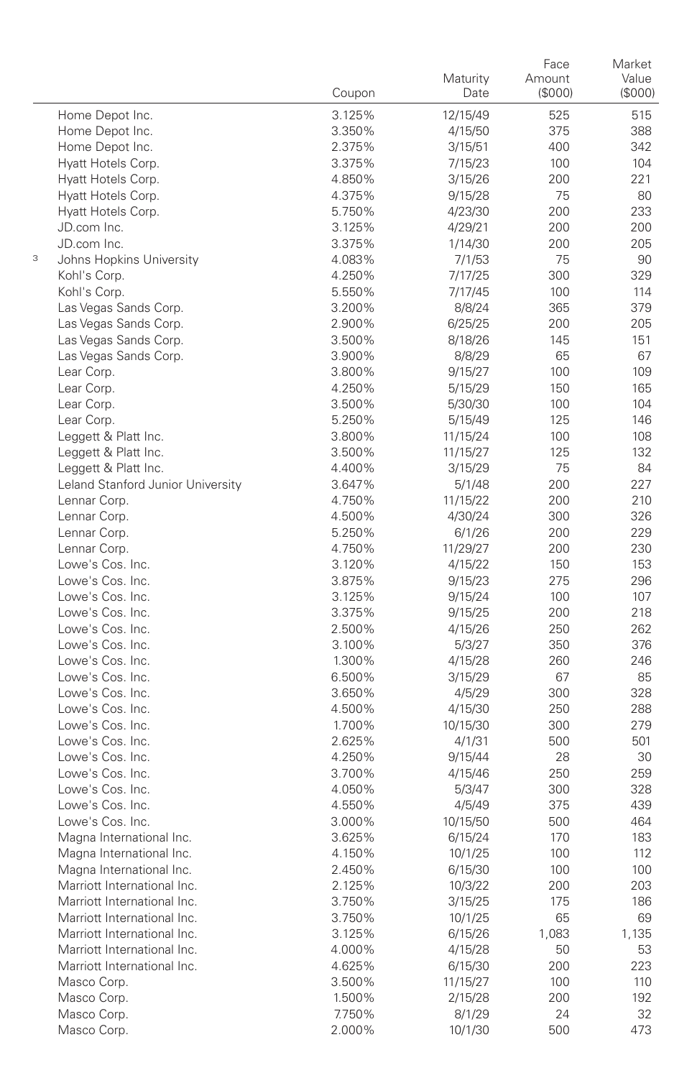|   |                                      | Coupon           | Maturity<br>Date  | Face<br>Amount<br>(S000) | Market<br>Value<br>(\$000) |
|---|--------------------------------------|------------------|-------------------|--------------------------|----------------------------|
|   | Home Depot Inc.                      | 3.125%           | 12/15/49          | 525                      | 515                        |
|   | Home Depot Inc.                      | 3.350%           | 4/15/50           | 375                      | 388                        |
|   | Home Depot Inc.                      | 2.375%           | 3/15/51           | 400                      | 342                        |
|   | Hyatt Hotels Corp.                   | 3.375%           | 7/15/23           | 100                      | 104                        |
|   | Hyatt Hotels Corp.                   | 4.850%           | 3/15/26           | 200                      | 221                        |
|   | Hyatt Hotels Corp.                   | 4.375%           | 9/15/28           | 75                       | 80                         |
|   | Hyatt Hotels Corp.                   | 5.750%           | 4/23/30           | 200                      | 233                        |
|   | JD.com Inc.                          | 3.125%           | 4/29/21           | 200                      | 200                        |
|   | JD.com Inc.                          | 3.375%           | 1/14/30           | 200                      | 205                        |
| 3 | Johns Hopkins University             | 4.083%           | 7/1/53            | 75                       | 90                         |
|   | Kohl's Corp.                         | 4.250%           | 7/17/25           | 300                      | 329                        |
|   | Kohl's Corp.                         | 5.550%           | 7/17/45           | 100                      | 114                        |
|   | Las Vegas Sands Corp.                | 3.200%           | 8/8/24            | 365                      | 379                        |
|   | Las Vegas Sands Corp.                | 2.900%           | 6/25/25           | 200                      | 205                        |
|   | Las Vegas Sands Corp.                | 3.500%           | 8/18/26           | 145                      | 151                        |
|   | Las Vegas Sands Corp.                | 3.900%           | 8/8/29            | 65                       | 67                         |
|   | Lear Corp.                           | 3.800%           | 9/15/27           | 100                      | 109                        |
|   | Lear Corp.                           | 4.250%           | 5/15/29           | 150                      | 165                        |
|   | Lear Corp.                           | 3.500%           | 5/30/30           | 100                      | 104                        |
|   | Lear Corp.                           | 5.250%           | 5/15/49           | 125                      | 146                        |
|   | Leggett & Platt Inc.                 | 3.800%           | 11/15/24          | 100                      | 108                        |
|   | Leggett & Platt Inc.                 | 3.500%           | 11/15/27          | 125                      | 132                        |
|   | Leggett & Platt Inc.                 | 4.400%           | 3/15/29           | 75                       | 84                         |
|   | Leland Stanford Junior University    | 3.647%           | 5/1/48            | 200                      | 227                        |
|   | Lennar Corp.                         | 4.750%           | 11/15/22          | 200                      | 210                        |
|   | Lennar Corp.                         | 4.500%           | 4/30/24           | 300                      | 326                        |
|   | Lennar Corp.                         | 5.250%           | 6/1/26            | 200                      | 229                        |
|   | Lennar Corp.                         | 4.750%           | 11/29/27          | 200                      | 230                        |
|   | Lowe's Cos. Inc.                     | 3.120%           | 4/15/22           | 150                      | 153                        |
|   | Lowe's Cos. Inc.                     | 3.875%           | 9/15/23           | 275                      | 296                        |
|   | Lowe's Cos. Inc.                     | 3.125%           | 9/15/24           | 100                      | 107                        |
|   | Lowe's Cos. Inc.                     | 3.375%           | 9/15/25           | 200                      | 218                        |
|   | Lowe's Cos. Inc.                     | 2.500%           | 4/15/26           | 250                      | 262                        |
|   | Lowe's Cos. Inc.<br>Lowe's Cos. Inc. | 3.100%           | 5/3/27            | 350                      | 376                        |
|   | Lowe's Cos. Inc.                     | 1.300%<br>6.500% | 4/15/28           | 260<br>67                | 246<br>85                  |
|   | Lowe's Cos. Inc.                     | 3.650%           | 3/15/29<br>4/5/29 | 300                      | 328                        |
|   | Lowe's Cos. Inc.                     | 4.500%           | 4/15/30           | 250                      | 288                        |
|   | Lowe's Cos. Inc.                     | 1.700%           | 10/15/30          | 300                      | 279                        |
|   | Lowe's Cos. Inc.                     | 2.625%           | 4/1/31            | 500                      | 501                        |
|   | Lowe's Cos. Inc.                     | 4.250%           | 9/15/44           | 28                       | 30                         |
|   | Lowe's Cos. Inc.                     | 3.700%           | 4/15/46           | 250                      | 259                        |
|   | Lowe's Cos. Inc.                     | 4.050%           | 5/3/47            | 300                      | 328                        |
|   | Lowe's Cos. Inc.                     | 4.550%           | 4/5/49            | 375                      | 439                        |
|   | Lowe's Cos. Inc.                     | 3.000%           | 10/15/50          | 500                      | 464                        |
|   | Magna International Inc.             | 3.625%           | 6/15/24           | 170                      | 183                        |
|   | Magna International Inc.             | 4.150%           | 10/1/25           | 100                      | 112                        |
|   | Magna International Inc.             | 2.450%           | 6/15/30           | 100                      | 100                        |
|   | Marriott International Inc.          | 2.125%           | 10/3/22           | 200                      | 203                        |
|   | Marriott International Inc.          | 3.750%           | 3/15/25           | 175                      | 186                        |
|   | Marriott International Inc.          | 3.750%           | 10/1/25           | 65                       | 69                         |
|   | Marriott International Inc.          | 3.125%           | 6/15/26           | 1,083                    | 1,135                      |
|   | Marriott International Inc.          | 4.000%           | 4/15/28           | 50                       | 53                         |
|   | Marriott International Inc.          | 4.625%           | 6/15/30           | 200                      | 223                        |
|   | Masco Corp.                          | 3.500%           | 11/15/27          | 100                      | 110                        |
|   | Masco Corp.                          | 1.500%           | 2/15/28           | 200                      | 192                        |
|   | Masco Corp.                          | 7.750%           | 8/1/29            | 24                       | 32                         |
|   | Masco Corp.                          | 2.000%           | 10/1/30           | 500                      | 473                        |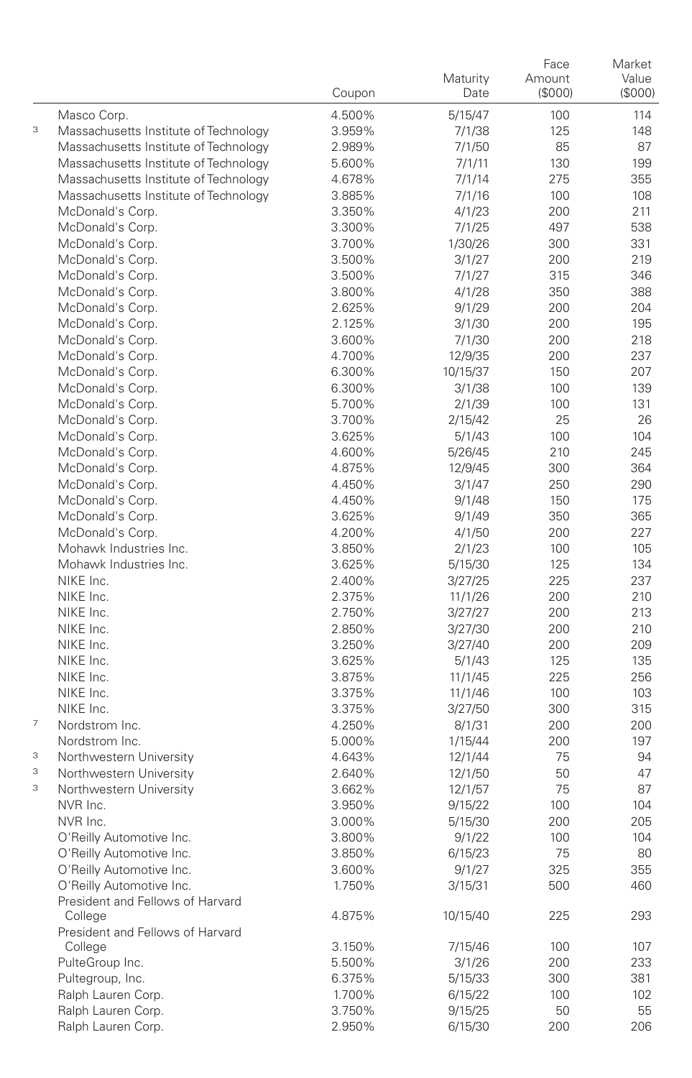|                          |                                             | Coupon           | Maturity<br>Date  | Face<br>Amount<br>(\$000) | Market<br>Value<br>(\$000) |
|--------------------------|---------------------------------------------|------------------|-------------------|---------------------------|----------------------------|
|                          | Masco Corp.                                 | 4.500%           | 5/15/47           | 100                       | 114                        |
| 3                        | Massachusetts Institute of Technology       | 3.959%           | 7/1/38            | 125                       | 148                        |
|                          | Massachusetts Institute of Technology       | 2.989%           | 7/1/50            | 85                        | 87                         |
|                          | Massachusetts Institute of Technology       | 5.600%           | 7/1/11            | 130                       | 199                        |
|                          | Massachusetts Institute of Technology       | 4.678%           | 7/1/14            | 275                       | 355                        |
|                          | Massachusetts Institute of Technology       | 3.885%           | 7/1/16            | 100                       | 108                        |
|                          | McDonald's Corp.                            | 3.350%           | 4/1/23            | 200                       | 211                        |
|                          | McDonald's Corp.                            | 3.300%           | 7/1/25            | 497                       | 538                        |
|                          | McDonald's Corp.                            | 3.700%           | 1/30/26           | 300                       | 331                        |
|                          | McDonald's Corp.                            | 3.500%           | 3/1/27            | 200                       | 219                        |
|                          | McDonald's Corp.                            | 3.500%           | 7/1/27            | 315                       | 346                        |
|                          | McDonald's Corp.                            | 3.800%           | 4/1/28            | 350                       | 388                        |
|                          | McDonald's Corp.                            | 2.625%           | 9/1/29            | 200                       | 204                        |
|                          | McDonald's Corp.                            | 2.125%           | 3/1/30            | 200                       | 195                        |
|                          | McDonald's Corp.                            | 3.600%           | 7/1/30            | 200                       | 218                        |
|                          | McDonald's Corp.                            | 4.700%           | 12/9/35           | 200                       | 237                        |
|                          | McDonald's Corp.                            | 6.300%           | 10/15/37          | 150                       | 207                        |
|                          | McDonald's Corp.                            | 6.300%           | 3/1/38            | 100                       | 139                        |
|                          | McDonald's Corp.                            | 5.700%           | 2/1/39            | 100                       | 131                        |
|                          | McDonald's Corp.                            | 3.700%           | 2/15/42           | 25                        | 26                         |
|                          | McDonald's Corp.                            | 3.625%           | 5/1/43            | 100                       | 104                        |
|                          | McDonald's Corp.                            | 4.600%<br>4.875% | 5/26/45           | 210<br>300                | 245<br>364                 |
|                          | McDonald's Corp.<br>McDonald's Corp.        | 4.450%           | 12/9/45<br>3/1/47 | 250                       | 290                        |
|                          | McDonald's Corp.                            | 4.450%           | 9/1/48            | 150                       | 175                        |
|                          | McDonald's Corp.                            | 3.625%           | 9/1/49            | 350                       | 365                        |
|                          | McDonald's Corp.                            | 4.200%           | 4/1/50            | 200                       | 227                        |
|                          | Mohawk Industries Inc.                      | 3.850%           | 2/1/23            | 100                       | 105                        |
|                          | Mohawk Industries Inc.                      | 3.625%           | 5/15/30           | 125                       | 134                        |
|                          | NIKE Inc.                                   | 2.400%           | 3/27/25           | 225                       | 237                        |
|                          | NIKE Inc.                                   | 2.375%           | 11/1/26           | 200                       | 210                        |
|                          | NIKE Inc.                                   | 2.750%           | 3/27/27           | 200                       | 213                        |
|                          | NIKE Inc.                                   | 2.850%           | 3/27/30           | 200                       | 210                        |
|                          | NIKE Inc.                                   | 3.250%           | 3/27/40           | 200                       | 209                        |
|                          | NIKE Inc.                                   | 3.625%           | 5/1/43            | 125                       | 135                        |
|                          | NIKE Inc.                                   | 3.875%           | 11/1/45           | 225                       | 256                        |
|                          | NIKE Inc.                                   | 3.375%           | 11/1/46           | 100                       | 103                        |
|                          | NIKE Inc.                                   | 3.375%           | 3/27/50           | 300                       | 315                        |
| $\overline{\phantom{a}}$ | Nordstrom Inc.                              | 4.250%           | 8/1/31            | 200                       | 200                        |
|                          | Nordstrom Inc.                              | 5.000%           | 1/15/44           | 200                       | 197                        |
| 3                        | Northwestern University                     | 4.643%           | 12/1/44           | 75                        | 94                         |
| 3                        | Northwestern University                     | 2.640%           | 12/1/50           | 50                        | 47                         |
| 3                        | Northwestern University                     | 3.662%           | 12/1/57           | 75                        | 87                         |
|                          | NVR Inc.                                    | 3.950%           | 9/15/22           | 100                       | 104                        |
|                          | NVR Inc.                                    | 3.000%           | 5/15/30           | 200                       | 205                        |
|                          | O'Reilly Automotive Inc.                    | 3.800%           | 9/1/22            | 100                       | 104                        |
|                          | O'Reilly Automotive Inc.                    | 3.850%           | 6/15/23           | 75                        | 80                         |
|                          | O'Reilly Automotive Inc.                    | 3.600%           | 9/1/27            | 325                       | 355                        |
|                          | O'Reilly Automotive Inc.                    | 1.750%           | 3/15/31           | 500                       | 460                        |
|                          | President and Fellows of Harvard<br>College | 4.875%           | 10/15/40          | 225                       | 293                        |
|                          | President and Fellows of Harvard            |                  |                   |                           |                            |
|                          | College                                     | 3.150%           | 7/15/46           | 100                       | 107                        |
|                          | PulteGroup Inc.                             | 5.500%           | 3/1/26            | 200                       | 233                        |
|                          | Pultegroup, Inc.                            | 6.375%           | 5/15/33           | 300                       | 381                        |
|                          | Ralph Lauren Corp.                          | 1.700%           | 6/15/22           | 100                       | 102                        |
|                          | Ralph Lauren Corp.                          | 3.750%           | 9/15/25           | 50                        | 55                         |
|                          | Ralph Lauren Corp.                          | 2.950%           | 6/15/30           | 200                       | 206                        |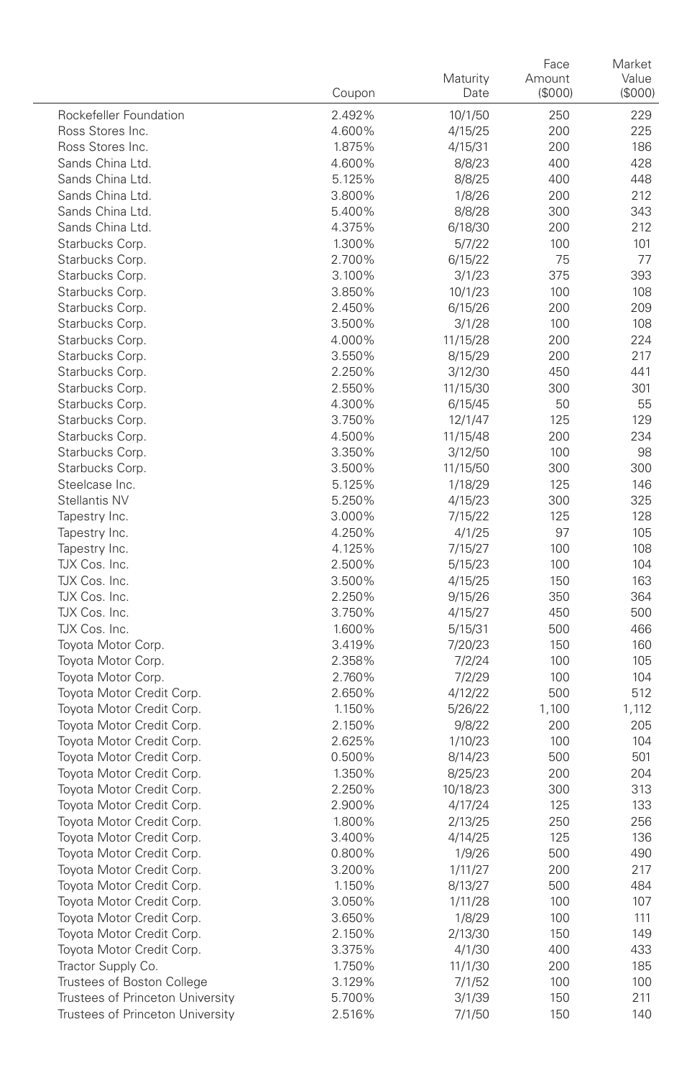|                                                        | Coupon           | Maturity<br>Date    | Face<br>Amount<br>(\$000) | Market<br>Value<br>(\$000) |
|--------------------------------------------------------|------------------|---------------------|---------------------------|----------------------------|
| Rockefeller Foundation                                 | 2.492%           | 10/1/50             | 250                       | 229                        |
| Ross Stores Inc.                                       | 4.600%           | 4/15/25             | 200                       | 225                        |
| Ross Stores Inc.                                       | 1.875%           | 4/15/31             | 200                       | 186                        |
| Sands China Ltd.                                       | 4.600%           | 8/8/23              | 400                       | 428                        |
| Sands China Ltd.                                       | 5.125%           | 8/8/25              | 400                       | 448                        |
| Sands China Ltd.                                       | 3.800%           | 1/8/26              | 200                       | 212                        |
| Sands China Ltd.                                       | 5.400%           | 8/8/28              | 300                       | 343                        |
| Sands China Ltd.                                       | 4.375%           | 6/18/30             | 200                       | 212                        |
| Starbucks Corp.                                        | 1.300%           | 5/7/22              | 100                       | 101                        |
| Starbucks Corp.                                        | 2.700%           | 6/15/22             | 75                        | 77                         |
| Starbucks Corp.                                        | 3.100%           | 3/1/23              | 375                       | 393                        |
| Starbucks Corp.                                        | 3.850%           | 10/1/23             | 100                       | 108                        |
| Starbucks Corp.                                        | 2.450%           | 6/15/26             | 200                       | 209                        |
| Starbucks Corp.                                        | 3.500%           | 3/1/28              | 100                       | 108                        |
| Starbucks Corp.                                        | 4.000%           | 11/15/28            | 200                       | 224                        |
| Starbucks Corp.                                        | 3.550%           | 8/15/29             | 200                       | 217<br>441                 |
| Starbucks Corp.<br>Starbucks Corp.                     | 2.250%<br>2.550% | 3/12/30             | 450<br>300                | 301                        |
| Starbucks Corp.                                        | 4.300%           | 11/15/30<br>6/15/45 | 50                        | 55                         |
| Starbucks Corp.                                        | 3.750%           | 12/1/47             | 125                       | 129                        |
| Starbucks Corp.                                        | 4.500%           | 11/15/48            | 200                       | 234                        |
| Starbucks Corp.                                        | 3.350%           | 3/12/50             | 100                       | 98                         |
| Starbucks Corp.                                        | 3.500%           | 11/15/50            | 300                       | 300                        |
| Steelcase Inc.                                         | 5.125%           | 1/18/29             | 125                       | 146                        |
| Stellantis NV                                          | 5.250%           | 4/15/23             | 300                       | 325                        |
| Tapestry Inc.                                          | 3.000%           | 7/15/22             | 125                       | 128                        |
| Tapestry Inc.                                          | 4.250%           | 4/1/25              | 97                        | 105                        |
| Tapestry Inc.                                          | 4.125%           | 7/15/27             | 100                       | 108                        |
| TJX Cos. Inc.                                          | 2.500%           | 5/15/23             | 100                       | 104                        |
| TJX Cos. Inc.                                          | 3.500%           | 4/15/25             | 150                       | 163                        |
| TJX Cos. Inc.                                          | 2.250%           | 9/15/26             | 350                       | 364                        |
| TJX Cos. Inc.                                          | 3.750%           | 4/15/27             | 450                       | 500                        |
| TJX Cos. Inc.                                          | 1.600%           | 5/15/31             | 500                       | 466                        |
| Toyota Motor Corp.                                     | 3.419%           | 7/20/23             | 150                       | 160                        |
| Toyota Motor Corp.                                     | 2.358%           | 7/2/24              | 100                       | 105                        |
| Toyota Motor Corp.                                     | 2.760%           | 7/2/29              | 100                       | 104                        |
| Toyota Motor Credit Corp.                              | 2.650%           | 4/12/22             | 500                       | 512                        |
| Toyota Motor Credit Corp.                              | 1.150%           | 5/26/22             | 1,100                     | 1,112                      |
| Toyota Motor Credit Corp.                              | 2.150%           | 9/8/22              | 200                       | 205                        |
| Toyota Motor Credit Corp.                              | 2.625%           | 1/10/23             | 100                       | 104                        |
| Toyota Motor Credit Corp.                              | 0.500%           | 8/14/23             | 500                       | 501                        |
| Toyota Motor Credit Corp.<br>Toyota Motor Credit Corp. | 1.350%<br>2.250% | 8/25/23             | 200                       | 204                        |
| Toyota Motor Credit Corp.                              | 2.900%           | 10/18/23            | 300                       | 313<br>133                 |
| Toyota Motor Credit Corp.                              | 1.800%           | 4/17/24<br>2/13/25  | 125<br>250                | 256                        |
| Toyota Motor Credit Corp.                              | 3.400%           | 4/14/25             | 125                       | 136                        |
| Toyota Motor Credit Corp                               | 0.800%           | 1/9/26              | 500                       | 490                        |
| Toyota Motor Credit Corp.                              | 3.200%           | 1/11/27             | 200                       | 217                        |
| Toyota Motor Credit Corp.                              | 1.150%           | 8/13/27             | 500                       | 484                        |
| Toyota Motor Credit Corp.                              | 3.050%           | 1/11/28             | 100                       | 107                        |
| Toyota Motor Credit Corp.                              | 3.650%           | 1/8/29              | 100                       | 111                        |
| Toyota Motor Credit Corp.                              | 2.150%           | 2/13/30             | 150                       | 149                        |
| Toyota Motor Credit Corp.                              | 3.375%           | 4/1/30              | 400                       | 433                        |
| Tractor Supply Co.                                     | 1.750%           | 11/1/30             | 200                       | 185                        |
| Trustees of Boston College                             | 3.129%           | 7/1/52              | 100                       | 100                        |
| Trustees of Princeton University                       | 5.700%           | 3/1/39              | 150                       | 211                        |
| Trustees of Princeton University                       | 2.516%           | 7/1/50              | 150                       | 140                        |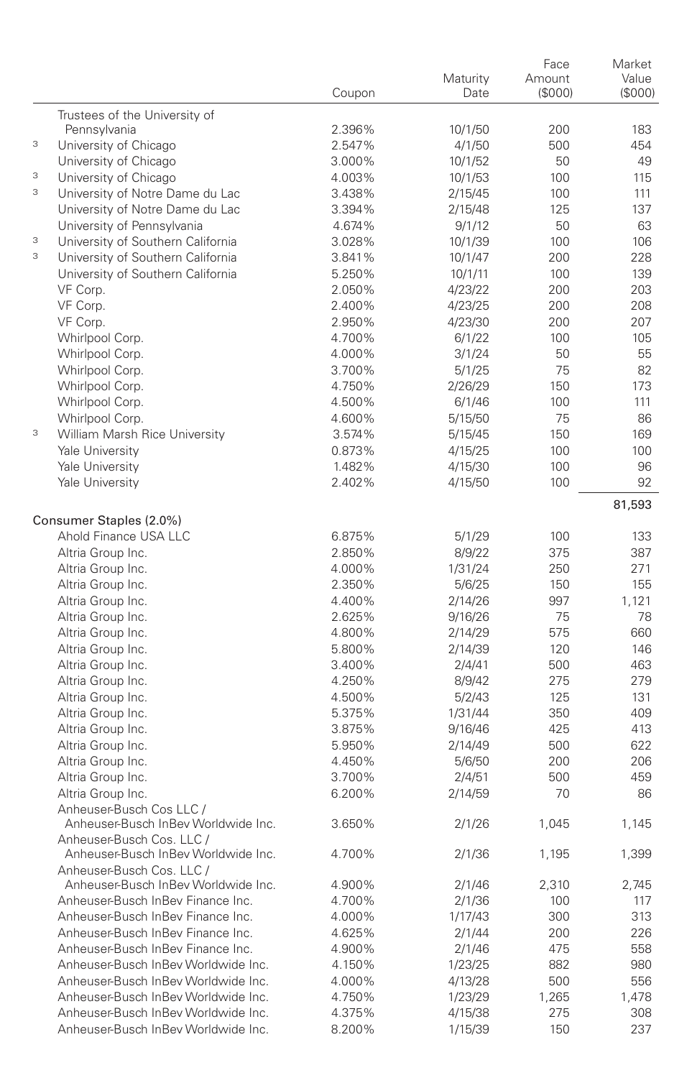|   |                                     |        |          | Face    | Market  |
|---|-------------------------------------|--------|----------|---------|---------|
|   |                                     |        | Maturity | Amount  | Value   |
|   |                                     | Coupon | Date     | (\$000) | (\$000) |
|   | Trustees of the University of       |        |          |         |         |
|   | Pennsylvania                        | 2.396% | 10/1/50  | 200     | 183     |
| 3 | University of Chicago               | 2.547% | 4/1/50   | 500     | 454     |
|   | University of Chicago               | 3.000% | 10/1/52  | 50      | 49      |
| 3 | University of Chicago               | 4.003% | 10/1/53  | 100     | 115     |
| 3 | University of Notre Dame du Lac     | 3.438% | 2/15/45  | 100     | 111     |
|   | University of Notre Dame du Lac     | 3.394% | 2/15/48  | 125     | 137     |
|   | University of Pennsylvania          | 4.674% | 9/1/12   | 50      | 63      |
| 3 | University of Southern California   | 3.028% | 10/1/39  | 100     | 106     |
| 3 | University of Southern California   | 3.841% | 10/1/47  | 200     | 228     |
|   | University of Southern California   | 5.250% | 10/1/11  | 100     | 139     |
|   | VF Corp.                            | 2.050% | 4/23/22  | 200     | 203     |
|   | VF Corp.                            | 2.400% | 4/23/25  | 200     | 208     |
|   |                                     |        |          |         |         |
|   | VF Corp.                            | 2.950% | 4/23/30  | 200     | 207     |
|   | Whirlpool Corp.                     | 4.700% | 6/1/22   | 100     | 105     |
|   | Whirlpool Corp.                     | 4.000% | 3/1/24   | 50      | 55      |
|   | Whirlpool Corp.                     | 3.700% | 5/1/25   | 75      | 82      |
|   | Whirlpool Corp.                     | 4.750% | 2/26/29  | 150     | 173     |
|   | Whirlpool Corp.                     | 4.500% | 6/1/46   | 100     | 111     |
|   | Whirlpool Corp.                     | 4.600% | 5/15/50  | 75      | 86      |
| 3 | William Marsh Rice University       | 3.574% | 5/15/45  | 150     | 169     |
|   | Yale University                     | 0.873% | 4/15/25  | 100     | 100     |
|   | Yale University                     | 1.482% | 4/15/30  | 100     | 96      |
|   | Yale University                     | 2.402% | 4/15/50  | 100     | 92      |
|   |                                     |        |          |         | 81,593  |
|   | Consumer Staples (2.0%)             |        |          |         |         |
|   | Ahold Finance USA LLC               |        |          |         |         |
|   |                                     | 6.875% | 5/1/29   | 100     | 133     |
|   | Altria Group Inc.                   | 2.850% | 8/9/22   | 375     | 387     |
|   | Altria Group Inc.                   | 4.000% | 1/31/24  | 250     | 271     |
|   | Altria Group Inc.                   | 2.350% | 5/6/25   | 150     | 155     |
|   | Altria Group Inc.                   | 4.400% | 2/14/26  | 997     | 1,121   |
|   | Altria Group Inc.                   | 2.625% | 9/16/26  | 75      | 78      |
|   | Altria Group Inc.                   | 4.800% | 2/14/29  | 575     | 660     |
|   | Altria Group Inc.                   | 5.800% | 2/14/39  | 120     | 146     |
|   | Altria Group Inc.                   | 3.400% | 2/4/41   | 500     | 463     |
|   | Altria Group Inc.                   | 4.250% | 8/9/42   | 275     | 279     |
|   | Altria Group Inc.                   | 4.500% | 5/2/43   | 125     | 131     |
|   | Altria Group Inc.                   | 5.375% | 1/31/44  | 350     | 409     |
|   | Altria Group Inc.                   | 3.875% | 9/16/46  | 425     | 413     |
|   | Altria Group Inc.                   | 5.950% | 2/14/49  | 500     | 622     |
|   | Altria Group Inc.                   | 4.450% | 5/6/50   | 200     | 206     |
|   | Altria Group Inc.                   | 3.700% | 2/4/51   | 500     | 459     |
|   | Altria Group Inc.                   | 6.200% | 2/14/59  | 70      | 86      |
|   | Anheuser-Busch Cos LLC /            |        |          |         |         |
|   | Anheuser-Busch InBey Worldwide Inc. | 3.650% | 2/1/26   | 1,045   | 1,145   |
|   | Anheuser-Busch Cos. LLC /           |        |          |         |         |
|   | Anheuser-Busch InBey Worldwide Inc. | 4.700% | 2/1/36   | 1,195   | 1,399   |
|   | Anheuser-Busch Cos. LLC /           |        |          |         |         |
|   | Anheuser-Busch InBev Worldwide Inc. | 4.900% | 2/1/46   | 2,310   | 2,745   |
|   | Anheuser-Busch InBev Finance Inc.   | 4.700% | 2/1/36   | 100     | 117     |
|   | Anheuser-Busch InBev Finance Inc.   | 4.000% | 1/17/43  | 300     | 313     |
|   | Anheuser-Busch InBev Finance Inc.   | 4.625% | 2/1/44   | 200     | 226     |
|   | Anheuser-Busch InBev Finance Inc.   | 4.900% | 2/1/46   | 475     | 558     |
|   | Anheuser-Busch InBev Worldwide Inc. | 4.150% | 1/23/25  | 882     | 980     |
|   | Anheuser-Busch InBev Worldwide Inc. |        |          |         |         |
|   |                                     | 4.000% | 4/13/28  | 500     | 556     |
|   | Anheuser-Busch InBev Worldwide Inc. | 4.750% | 1/23/29  | 1,265   | 1,478   |
|   | Anheuser-Busch InBev Worldwide Inc. | 4.375% | 4/15/38  | 275     | 308     |
|   | Anheuser-Busch InBev Worldwide Inc. | 8.200% | 1/15/39  | 150     | 237     |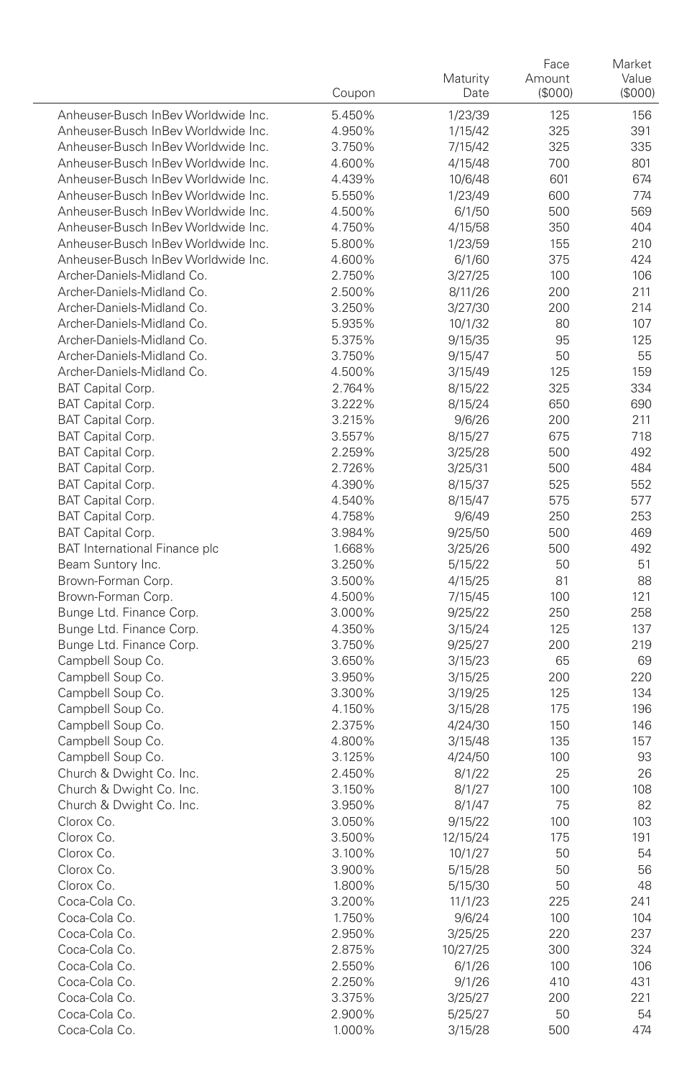|                                                      | Coupon           | Maturity<br>Date   | Face<br>Amount<br>(\$000) | Market<br>Value<br>(\$000) |
|------------------------------------------------------|------------------|--------------------|---------------------------|----------------------------|
| Anheuser-Busch InBey Worldwide Inc.                  | 5.450%           | 1/23/39            | 125                       | 156                        |
| Anheuser-Busch InBey Worldwide Inc.                  | 4.950%           | 1/15/42            | 325                       | 391                        |
| Anheuser-Busch InBev Worldwide Inc.                  | 3.750%           | 7/15/42            | 325                       | 335                        |
| Anheuser-Busch InBey Worldwide Inc.                  | 4.600%           | 4/15/48            | 700                       | 801                        |
| Anheuser-Busch InBev Worldwide Inc.                  | 4.439%           | 10/6/48            | 601                       | 674                        |
| Anheuser-Busch InBev Worldwide Inc.                  | 5.550%           | 1/23/49            | 600                       | 774                        |
| Anheuser-Busch InBey Worldwide Inc.                  | 4.500%           | 6/1/50             | 500                       | 569                        |
| Anheuser-Busch InBev Worldwide Inc.                  | 4.750%           | 4/15/58            | 350                       | 404                        |
| Anheuser-Busch InBev Worldwide Inc.                  | 5.800%           | 1/23/59            | 155                       | 210                        |
| Anheuser-Busch InBev Worldwide Inc.                  | 4.600%           | 6/1/60             | 375                       | 424                        |
| Archer-Daniels-Midland Co.                           | 2.750%           | 3/27/25            | 100                       | 106                        |
| Archer-Daniels-Midland Co.                           | 2.500%           | 8/11/26            | 200                       | 211                        |
| Archer-Daniels-Midland Co.                           | 3.250%           | 3/27/30            | 200                       | 214                        |
| Archer-Daniels-Midland Co.                           | 5.935%           | 10/1/32            | 80                        | 107                        |
| Archer-Daniels-Midland Co.                           | 5.375%           | 9/15/35            | 95                        | 125                        |
| Archer-Daniels-Midland Co.                           | 3.750%           | 9/15/47            | 50                        | 55                         |
| Archer-Daniels-Midland Co.                           | 4.500%           | 3/15/49            | 125                       | 159                        |
| BAT Capital Corp.                                    | 2.764%           | 8/15/22            | 325                       | 334                        |
| BAT Capital Corp.                                    | 3.222%           | 8/15/24            | 650                       | 690                        |
| BAT Capital Corp.                                    | 3.215%           | 9/6/26             | 200                       | 211                        |
| BAT Capital Corp.                                    | 3.557%           | 8/15/27            | 675                       | 718                        |
| <b>BAT Capital Corp.</b>                             | 2.259%           | 3/25/28            | 500                       | 492                        |
| BAT Capital Corp.                                    | 2.726%           | 3/25/31            | 500                       | 484                        |
| BAT Capital Corp.                                    | 4.390%           | 8/15/37            | 525                       | 552                        |
| BAT Capital Corp.                                    | 4.540%           | 8/15/47            | 575                       | 577                        |
| BAT Capital Corp.                                    | 4.758%           | 9/6/49             | 250                       | 253                        |
| BAT Capital Corp.                                    | 3.984%           | 9/25/50            | 500                       | 469                        |
| <b>BAT International Finance plc</b>                 | 1.668%           | 3/25/26            | 500                       | 492                        |
| Beam Suntory Inc.                                    | 3.250%           | 5/15/22            | 50                        | 51                         |
| Brown-Forman Corp.                                   | 3.500%           | 4/15/25            | 81                        | 88                         |
| Brown-Forman Corp.                                   | 4.500%           | 7/15/45            | 100                       | 121                        |
| Bunge Ltd. Finance Corp.<br>Bunge Ltd. Finance Corp. | 3.000%           | 9/25/22            | 250                       | 258<br>137                 |
| Bunge Ltd. Finance Corp.                             | 4.350%<br>3.750% | 3/15/24<br>9/25/27 | 125<br>200                | 219                        |
| Campbell Soup Co.                                    | 3.650%           | 3/15/23            | 65                        | 69                         |
| Campbell Soup Co.                                    | 3.950%           | 3/15/25            | 200                       | 220                        |
| Campbell Soup Co.                                    | 3.300%           | 3/19/25            | 125                       | 134                        |
| Campbell Soup Co.                                    | 4.150%           | 3/15/28            | 175                       | 196                        |
| Campbell Soup Co.                                    | 2.375%           | 4/24/30            | 150                       | 146                        |
| Campbell Soup Co.                                    | 4.800%           | 3/15/48            | 135                       | 157                        |
| Campbell Soup Co.                                    | 3.125%           | 4/24/50            | 100                       | 93                         |
| Church & Dwight Co. Inc.                             | 2.450%           | 8/1/22             | 25                        | 26                         |
| Church & Dwight Co. Inc.                             | 3.150%           | 8/1/27             | 100                       | 108                        |
| Church & Dwight Co. Inc.                             | 3.950%           | 8/1/47             | 75                        | 82                         |
| Clorox Co.                                           | 3.050%           | 9/15/22            | 100                       | 103                        |
| Clorox Co.                                           | 3.500%           | 12/15/24           | 175                       | 191                        |
| Clorox Co.                                           | 3.100%           | 10/1/27            | 50                        | 54                         |
| Clorox Co.                                           | 3.900%           | 5/15/28            | 50                        | 56                         |
| Clorox Co.                                           | 1.800%           | 5/15/30            | 50                        | 48                         |
| Coca-Cola Co.                                        | 3.200%           | 11/1/23            | 225                       | 241                        |
| Coca-Cola Co.                                        | 1.750%           | 9/6/24             | 100                       | 104                        |
| Coca-Cola Co.                                        | 2.950%           | 3/25/25            | 220                       | 237                        |
| Coca-Cola Co.                                        | 2.875%           | 10/27/25           | 300                       | 324                        |
| Coca-Cola Co.                                        | 2.550%           | 6/1/26             | 100                       | 106                        |
| Coca-Cola Co.                                        | 2.250%           | 9/1/26             | 410                       | 431                        |
| Coca-Cola Co.                                        | 3.375%           | 3/25/27            | 200                       | 221                        |
| Coca-Cola Co.                                        | 2.900%           | 5/25/27            | 50                        | 54                         |
| Coca-Cola Co.                                        | 1.000%           | 3/15/28            | 500                       | 474                        |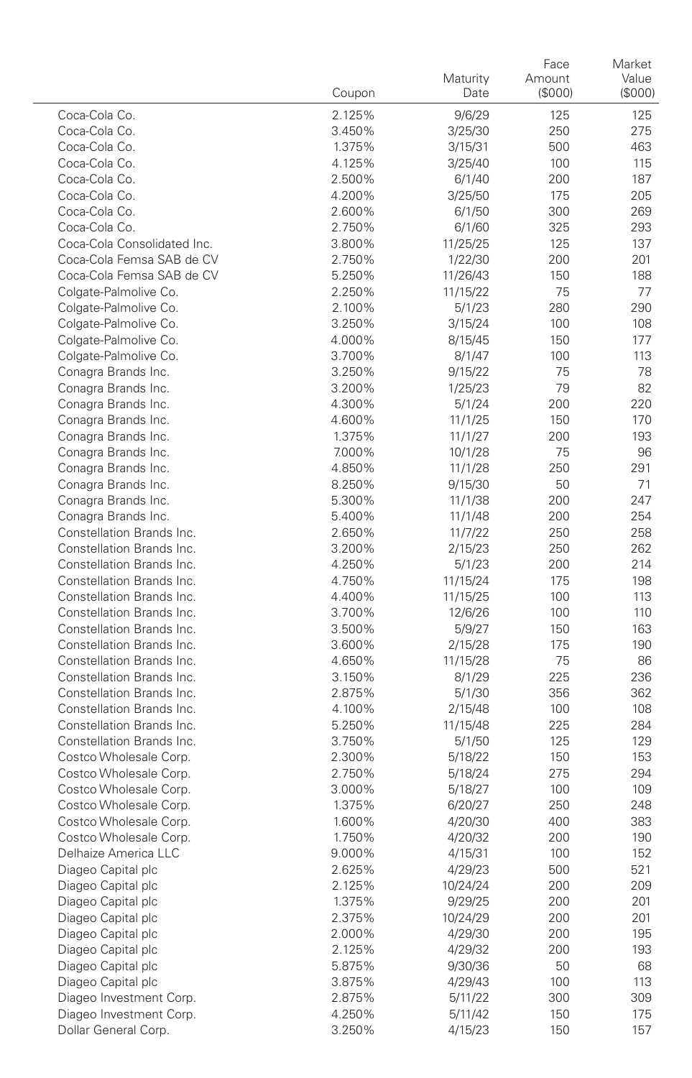|                                          | Coupon           | Maturity<br>Date    | Face<br>Amount<br>(\$000) | Market<br>Value<br>(\$000) |
|------------------------------------------|------------------|---------------------|---------------------------|----------------------------|
| Coca-Cola Co.                            | 2.125%           | 9/6/29              | 125                       | 125                        |
| Coca-Cola Co.                            | 3.450%           | 3/25/30             | 250                       | 275                        |
| Coca-Cola Co.                            | 1.375%           | 3/15/31             | 500                       | 463                        |
| Coca-Cola Co.                            | 4.125%           | 3/25/40             | 100                       | 115                        |
| Coca-Cola Co.                            | 2.500%           | 6/1/40              | 200                       | 187                        |
| Coca-Cola Co.                            | 4.200%           | 3/25/50             | 175                       | 205                        |
| Coca-Cola Co.                            | 2.600%           | 6/1/50              | 300                       | 269                        |
| Coca-Cola Co.                            | 2.750%           | 6/1/60              | 325                       | 293                        |
| Coca-Cola Consolidated Inc.              | 3.800%           | 11/25/25            | 125                       | 137                        |
| Coca-Cola Femsa SAB de CV                | 2.750%           | 1/22/30             | 200                       | 201                        |
| Coca-Cola Femsa SAB de CV                | 5.250%           | 11/26/43            | 150                       | 188                        |
| Colgate-Palmolive Co.                    | 2.250%           | 11/15/22            | 75                        | 77                         |
| Colgate-Palmolive Co.                    | 2.100%           | 5/1/23              | 280                       | 290                        |
| Colgate-Palmolive Co.                    | 3.250%           | 3/15/24             | 100                       | 108                        |
| Colgate-Palmolive Co.                    | 4.000%           | 8/15/45             | 150                       | 177                        |
| Colgate-Palmolive Co.                    | 3.700%           | 8/1/47              | 100                       | 113                        |
| Conagra Brands Inc.                      | 3.250%           | 9/15/22             | 75                        | 78                         |
| Conagra Brands Inc.                      | 3.200%           | 1/25/23             | 79                        | 82                         |
| Conagra Brands Inc.                      | 4.300%           | 5/1/24              | 200                       | 220                        |
| Conagra Brands Inc.                      | 4.600%           | 11/1/25             | 150                       | 170                        |
| Conagra Brands Inc.                      | 1.375%           | 11/1/27             | 200                       | 193                        |
| Conagra Brands Inc.                      | 7.000%           | 10/1/28             | 75                        | 96                         |
| Conagra Brands Inc.                      | 4.850%           | 11/1/28             | 250                       | 291                        |
| Conagra Brands Inc.                      | 8.250%           | 9/15/30             | 50                        | 71                         |
| Conagra Brands Inc.                      | 5.300%           | 11/1/38             | 200                       | 247                        |
| Conagra Brands Inc.                      | 5.400%           | 11/1/48             | 200                       | 254                        |
| Constellation Brands Inc.                | 2.650%           | 11/7/22             | 250                       | 258                        |
| Constellation Brands Inc.                | 3.200%           | 2/15/23             | 250                       | 262                        |
| Constellation Brands Inc.                | 4.250%           | 5/1/23              | 200                       | 214                        |
| Constellation Brands Inc.                | 4.750%           | 11/15/24            | 175                       | 198                        |
| Constellation Brands Inc.                | 4.400%           | 11/15/25            | 100                       | 113                        |
| Constellation Brands Inc.                | 3.700%           | 12/6/26             | 100                       | 110                        |
| Constellation Brands Inc.                | 3.500%           | 5/9/27              | 150                       | 163                        |
| Constellation Brands Inc.                | 3.600%           | 2/15/28             | 175                       | 190                        |
| Constellation Brands Inc.                | 4.650%           | 11/15/28            | 75                        | 86                         |
| Constellation Brands Inc.                | 3.150%           | 8/1/29              | 225                       | 236                        |
| Constellation Brands Inc.                | 2.875%           | 5/1/30              | 356                       | 362                        |
| Constellation Brands Inc.                | 4.100%           | 2/15/48             | 100                       | 108                        |
| Constellation Brands Inc.                | 5.250%           | 11/15/48            | 225                       | 284                        |
| Constellation Brands Inc.                | 3.750%           | 5/1/50              | 125                       | 129                        |
| Costco Wholesale Corp.                   | 2.300%           | 5/18/22             | 150                       | 153                        |
| Costco Wholesale Corp.                   | 2.750%           | 5/18/24             | 275                       | 294                        |
| Costco Wholesale Corp.                   | 3.000%           | 5/18/27             | 100                       | 109                        |
| Costco Wholesale Corp.                   | 1.375%           | 6/20/27             | 250                       | 248                        |
| Costco Wholesale Corp.                   | 1.600%           | 4/20/30             | 400                       | 383                        |
| Costco Wholesale Corp.                   | 1.750%           | 4/20/32             | 200                       | 190                        |
| Delhaize America LLC                     | 9.000%           | 4/15/31             | 100                       | 152                        |
| Diageo Capital plc                       | 2.625%<br>2.125% | 4/29/23             | 500                       | 521                        |
| Diageo Capital plc                       | 1.375%           | 10/24/24<br>9/29/25 | 200                       | 209                        |
| Diageo Capital plc                       |                  |                     | 200                       | 201                        |
| Diageo Capital plc                       | 2.375%           | 10/24/29            | 200                       | 201                        |
| Diageo Capital plc                       | 2.000%<br>2.125% | 4/29/30<br>4/29/32  | 200<br>200                | 195                        |
| Diageo Capital plc<br>Diageo Capital plc | 5.875%           | 9/30/36             | 50                        | 193                        |
| Diageo Capital plc                       | 3.875%           | 4/29/43             | 100                       | 68<br>113                  |
| Diageo Investment Corp.                  | 2.875%           | 5/11/22             | 300                       | 309                        |
| Diageo Investment Corp.                  | 4.250%           | 5/11/42             | 150                       | 175                        |
| Dollar General Corp.                     | 3.250%           | 4/15/23             | 150                       |                            |
|                                          |                  |                     |                           | 157                        |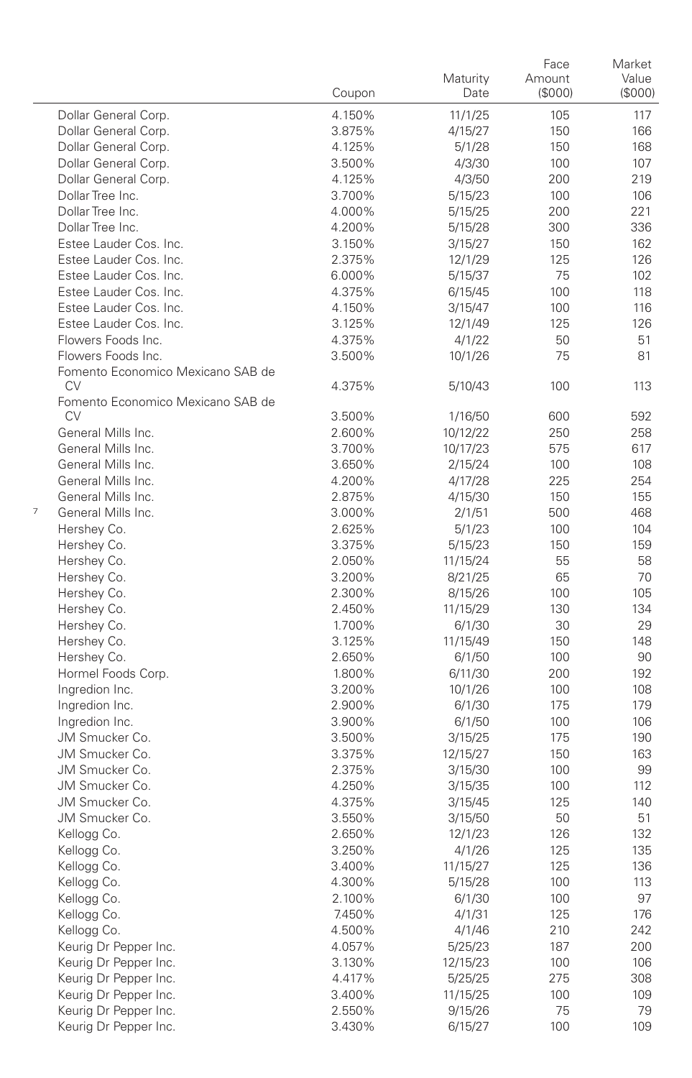|   |                                                | Coupon | Maturity<br>Date | Face<br>Amount<br>(S000) | Market<br>Value<br>(S000) |
|---|------------------------------------------------|--------|------------------|--------------------------|---------------------------|
|   | Dollar General Corp.                           | 4.150% | 11/1/25          | 105                      | 117                       |
|   | Dollar General Corp.                           | 3.875% | 4/15/27          | 150                      | 166                       |
|   | Dollar General Corp.                           | 4.125% | 5/1/28           | 150                      | 168                       |
|   | Dollar General Corp.                           | 3.500% | 4/3/30           | 100                      | 107                       |
|   | Dollar General Corp.                           | 4.125% | 4/3/50           | 200                      | 219                       |
|   | Dollar Tree Inc.                               | 3.700% | 5/15/23          | 100                      | 106                       |
|   | Dollar Tree Inc.                               | 4.000% | 5/15/25          | 200                      | 221                       |
|   | Dollar Tree Inc.                               | 4.200% | 5/15/28          | 300                      | 336                       |
|   | Estee Lauder Cos. Inc.                         | 3.150% | 3/15/27          | 150                      | 162                       |
|   | Estee Lauder Cos. Inc.                         | 2.375% | 12/1/29          | 125                      | 126                       |
|   | Estee Lauder Cos. Inc.                         | 6.000% | 5/15/37          | 75                       | 102                       |
|   | Estee Lauder Cos. Inc.                         | 4.375% | 6/15/45          | 100                      | 118                       |
|   | Estee Lauder Cos. Inc.                         | 4.150% | 3/15/47          | 100                      | 116                       |
|   | Estee Lauder Cos. Inc.                         | 3.125% | 12/1/49          | 125                      | 126                       |
|   | Flowers Foods Inc.                             | 4.375% | 4/1/22           | 50                       | 51                        |
|   | Flowers Foods Inc.                             | 3.500% | 10/1/26          | 75                       | 81                        |
|   | Fomento Economico Mexicano SAB de<br><b>CV</b> | 4.375% | 5/10/43          | 100                      | 113                       |
|   | Fomento Economico Mexicano SAB de              |        |                  |                          |                           |
|   | CV                                             | 3.500% | 1/16/50          | 600                      | 592                       |
|   | General Mills Inc.                             | 2.600% | 10/12/22         | 250                      | 258                       |
|   | General Mills Inc.                             | 3.700% | 10/17/23         | 575                      | 617                       |
|   | General Mills Inc.                             | 3.650% | 2/15/24          | 100                      | 108                       |
|   | General Mills Inc.                             | 4.200% | 4/17/28          | 225                      | 254                       |
|   | General Mills Inc.                             | 2.875% | 4/15/30          | 150                      | 155                       |
| 7 | General Mills Inc.                             | 3.000% | 2/1/51           | 500                      | 468                       |
|   | Hershey Co.                                    | 2.625% | 5/1/23           | 100                      | 104                       |
|   | Hershey Co.                                    | 3.375% | 5/15/23          | 150                      | 159                       |
|   | Hershey Co.                                    | 2.050% | 11/15/24         | 55                       | 58                        |
|   | Hershey Co.                                    | 3.200% | 8/21/25          | 65                       | 70                        |
|   | Hershey Co.                                    | 2.300% | 8/15/26          | 100                      | 105                       |
|   | Hershey Co.                                    | 2.450% | 11/15/29         | 130                      | 134                       |
|   | Hershey Co.                                    | 1.700% | 6/1/30           | 30                       | 29                        |
|   | Hershey Co.                                    | 3.125% | 11/15/49         | 150                      | 148                       |
|   | Hershey Co.                                    | 2.650% | 6/1/50           | 100                      | 90                        |
|   | Hormel Foods Corp.                             | 1.800% | 6/11/30          | 200                      | 192                       |
|   | Ingredion Inc.                                 | 3.200% | 10/1/26          | 100                      | 108                       |
|   | Ingredion Inc.                                 | 2.900% | 6/1/30           | 175                      | 179                       |
|   | Ingredion Inc.                                 | 3.900% | 6/1/50           | 100                      | 106                       |
|   | JM Smucker Co.                                 | 3.500% | 3/15/25          | 175                      | 190                       |
|   | JM Smucker Co.                                 | 3.375% | 12/15/27         | 150                      | 163                       |
|   | JM Smucker Co.                                 | 2.375% | 3/15/30          | 100                      | 99                        |
|   | JM Smucker Co.                                 | 4.250% | 3/15/35          | 100                      | 112                       |
|   | JM Smucker Co.                                 | 4.375% | 3/15/45          | 125                      | 140                       |
|   | JM Smucker Co.                                 | 3.550% | 3/15/50          | 50                       | 51                        |
|   | Kellogg Co.                                    | 2.650% | 12/1/23          | 126                      | 132                       |
|   | Kellogg Co.                                    | 3.250% | 4/1/26           | 125                      | 135                       |
|   | Kellogg Co.                                    | 3.400% | 11/15/27         | 125                      | 136                       |
|   | Kellogg Co.                                    | 4.300% | 5/15/28          | 100                      | 113                       |
|   | Kellogg Co.                                    | 2.100% | 6/1/30           | 100                      | 97                        |
|   | Kellogg Co.                                    | 7.450% | 4/1/31           | 125                      | 176                       |
|   | Kellogg Co.                                    | 4.500% | 4/1/46           | 210                      | 242                       |
|   | Keurig Dr Pepper Inc.                          | 4.057% | 5/25/23          | 187                      | 200                       |
|   | Keurig Dr Pepper Inc.                          | 3.130% | 12/15/23         | 100                      | 106                       |
|   | Keurig Dr Pepper Inc.                          | 4.417% | 5/25/25          | 275                      | 308                       |
|   | Keurig Dr Pepper Inc.                          | 3.400% | 11/15/25         | 100                      | 109                       |
|   | Keurig Dr Pepper Inc.                          | 2.550% | 9/15/26          | 75                       | 79                        |
|   | Keurig Dr Pepper Inc.                          | 3.430% | 6/15/27          | 100                      | 109                       |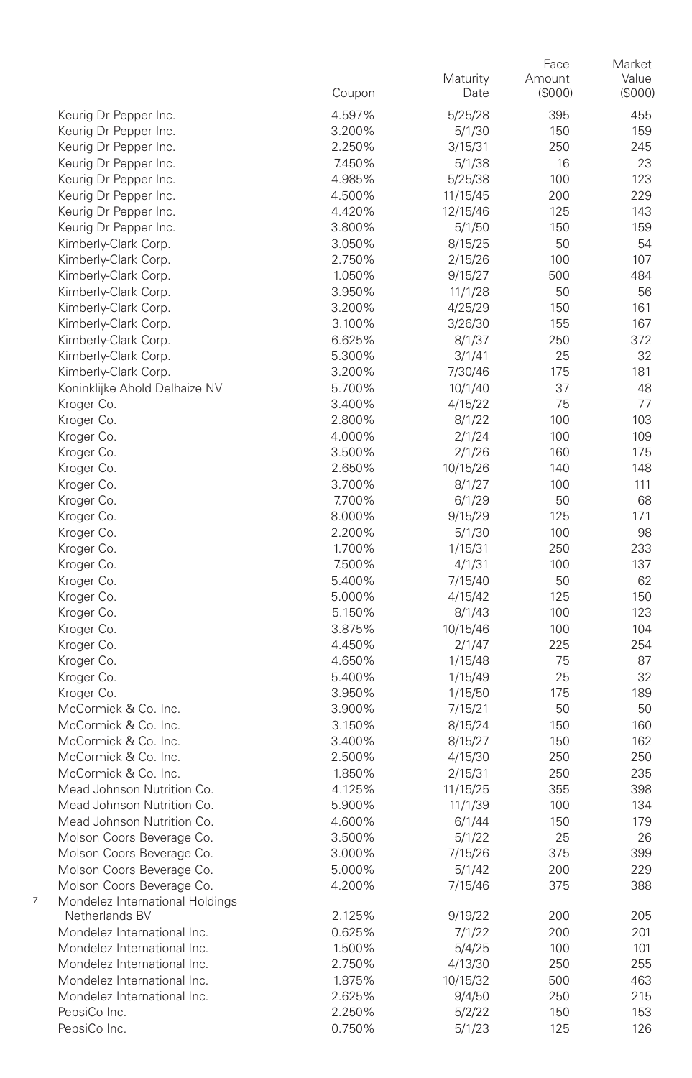|                                      | Coupon | Maturity<br>Date | Face<br>Amount<br>(\$000) | Market<br>Value<br>(\$000) |
|--------------------------------------|--------|------------------|---------------------------|----------------------------|
| Keurig Dr Pepper Inc.                | 4.597% | 5/25/28          | 395                       | 455                        |
| Keurig Dr Pepper Inc.                | 3.200% | 5/1/30           | 150                       | 159                        |
| Keurig Dr Pepper Inc.                | 2.250% | 3/15/31          | 250                       | 245                        |
| Keurig Dr Pepper Inc.                | 7.450% | 5/1/38           | 16                        | 23                         |
| Keurig Dr Pepper Inc.                | 4.985% | 5/25/38          | 100                       | 123                        |
| Keurig Dr Pepper Inc.                | 4.500% | 11/15/45         | 200                       | 229                        |
| Keurig Dr Pepper Inc.                | 4.420% | 12/15/46         | 125                       | 143                        |
| Keurig Dr Pepper Inc.                | 3.800% | 5/1/50           | 150                       | 159                        |
| Kimberly-Clark Corp.                 | 3.050% | 8/15/25          | 50                        | 54                         |
| Kimberly-Clark Corp.                 | 2.750% | 2/15/26          | 100                       | 107                        |
| Kimberly-Clark Corp.                 | 1.050% | 9/15/27          | 500                       | 484                        |
| Kimberly-Clark Corp.                 | 3.950% | 11/1/28          | 50                        | 56                         |
| Kimberly-Clark Corp.                 | 3.200% | 4/25/29          | 150                       | 161                        |
| Kimberly-Clark Corp.                 | 3.100% | 3/26/30          | 155                       | 167                        |
| Kimberly-Clark Corp.                 | 6.625% | 8/1/37           | 250                       | 372                        |
| Kimberly-Clark Corp.                 | 5.300% | 3/1/41           | 25                        | 32                         |
| Kimberly-Clark Corp.                 | 3.200% | 7/30/46          | 175                       | 181                        |
| Koninklijke Ahold Delhaize NV        | 5.700% | 10/1/40          | 37                        | 48                         |
| Kroger Co.                           | 3.400% | 4/15/22          | 75                        | 77                         |
| Kroger Co.                           | 2.800% | 8/1/22           | 100                       | 103                        |
| Kroger Co.                           | 4.000% | 2/1/24           | 100                       | 109                        |
| Kroger Co.                           | 3.500% | 2/1/26           | 160                       | 175                        |
| Kroger Co.                           | 2.650% | 10/15/26         | 140                       | 148                        |
| Kroger Co.                           | 3.700% | 8/1/27           | 100                       | 111                        |
| Kroger Co.                           | 7.700% | 6/1/29           | 50                        | 68                         |
| Kroger Co.                           | 8.000% | 9/15/29          | 125                       | 171                        |
| Kroger Co.                           | 2.200% | 5/1/30           | 100                       | 98                         |
| Kroger Co.                           | 1.700% | 1/15/31          | 250                       | 233                        |
| Kroger Co.                           | 7.500% | 4/1/31           | 100                       | 137                        |
| Kroger Co.                           | 5.400% | 7/15/40          | 50                        | 62                         |
| Kroger Co.                           | 5.000% | 4/15/42          | 125                       | 150                        |
| Kroger Co.                           | 5.150% | 8/1/43           | 100                       | 123                        |
| Kroger Co.                           | 3.875% | 10/15/46         | 100                       | 104                        |
| Kroger Co.                           | 4.450% | 2/1/47           | 225                       | 254                        |
| Kroger Co.                           | 4.650% | 1/15/48          | 75                        | 87                         |
| Kroger Co.                           | 5.400% | 1/15/49          | 25                        | 32                         |
| Kroger Co.                           | 3.950% | 1/15/50          | 175                       | 189                        |
| McCormick & Co. Inc.                 | 3.900% | 7/15/21          | 50                        | 50                         |
| McCormick & Co. Inc.                 | 3.150% | 8/15/24          | 150                       | 160                        |
| McCormick & Co. Inc.                 | 3.400% | 8/15/27          | 150                       | 162                        |
| McCormick & Co. Inc.                 | 2.500% | 4/15/30          | 250                       | 250                        |
| McCormick & Co. Inc.                 | 1.850% | 2/15/31          | 250                       | 235                        |
| Mead Johnson Nutrition Co.           | 4.125% | 11/15/25         | 355                       | 398                        |
| Mead Johnson Nutrition Co.           | 5.900% | 11/1/39          | 100                       | 134                        |
| Mead Johnson Nutrition Co.           | 4.600% | 6/1/44           | 150                       | 179                        |
| Molson Coors Beverage Co.            | 3.500% | 5/1/22           | 25                        | 26                         |
| Molson Coors Beverage Co.            | 3.000% | 7/15/26          | 375                       | 399                        |
| Molson Coors Beverage Co.            | 5.000% | 5/1/42           | 200                       | 229                        |
| Molson Coors Beverage Co.            | 4.200% | 7/15/46          | 375                       | 388                        |
| 7<br>Mondelez International Holdings |        |                  |                           |                            |
| Netherlands BV                       | 2.125% | 9/19/22          | 200                       | 205                        |
| Mondelez International Inc.          | 0.625% | 7/1/22           | 200                       | 201                        |
| Mondelez International Inc.          | 1.500% | 5/4/25           | 100                       | 101                        |
| Mondelez International Inc.          | 2.750% | 4/13/30          | 250                       | 255                        |
| Mondelez International Inc.          | 1.875% | 10/15/32         | 500                       | 463                        |
| Mondelez International Inc.          | 2.625% | 9/4/50           | 250                       | 215                        |
| PepsiCo Inc.                         | 2.250% | 5/2/22           | 150                       | 153                        |
| PepsiCo Inc.                         | 0.750% | 5/1/23           | 125                       | 126                        |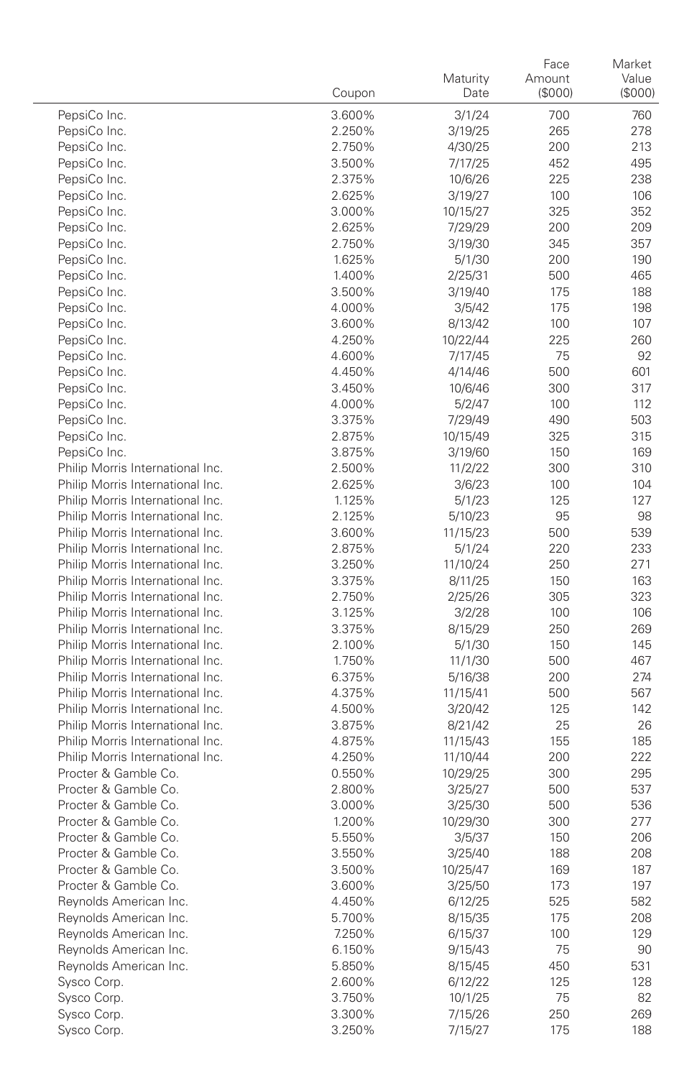|                                                                      | Coupon           | Maturity<br>Date   | Face<br>Amount<br>(\$000) | Market<br>Value<br>(\$000) |
|----------------------------------------------------------------------|------------------|--------------------|---------------------------|----------------------------|
| PepsiCo Inc.                                                         | 3.600%           | 3/1/24             | 700                       | 760                        |
| PepsiCo Inc.                                                         | 2.250%           | 3/19/25            | 265                       | 278                        |
| PepsiCo Inc.                                                         | 2.750%           | 4/30/25            | 200                       | 213                        |
| PepsiCo Inc.                                                         | 3.500%           | 7/17/25            | 452                       | 495                        |
| PepsiCo Inc.                                                         | 2.375%           | 10/6/26            | 225                       | 238                        |
| PepsiCo Inc.                                                         | 2.625%           | 3/19/27            | 100                       | 106                        |
| PepsiCo Inc.                                                         | 3.000%           | 10/15/27           | 325                       | 352                        |
| PepsiCo Inc.                                                         | 2.625%           | 7/29/29            | 200                       | 209                        |
| PepsiCo Inc.                                                         | 2.750%           | 3/19/30            | 345                       | 357                        |
| PepsiCo Inc.                                                         | 1.625%           | 5/1/30             | 200                       | 190                        |
| PepsiCo Inc.                                                         | 1.400%           | 2/25/31            | 500                       | 465                        |
| PepsiCo Inc.                                                         | 3.500%           | 3/19/40            | 175                       | 188                        |
| PepsiCo Inc.                                                         | 4.000%           | 3/5/42             | 175                       | 198                        |
| PepsiCo Inc.                                                         | 3.600%           | 8/13/42            | 100                       | 107                        |
| PepsiCo Inc.                                                         | 4.250%           | 10/22/44           | 225                       | 260                        |
| PepsiCo Inc.                                                         | 4.600%           | 7/17/45            | 75                        | 92                         |
| PepsiCo Inc.                                                         | 4.450%           | 4/14/46            | 500                       | 601                        |
| PepsiCo Inc.                                                         | 3.450%           | 10/6/46            | 300                       | 317                        |
| PepsiCo Inc.                                                         | 4.000%           | 5/2/47             | 100                       | 112                        |
| PepsiCo Inc.                                                         | 3.375%           | 7/29/49            | 490                       | 503                        |
| PepsiCo Inc.                                                         | 2.875%           | 10/15/49           | 325                       | 315                        |
| PepsiCo Inc.                                                         | 3.875%           | 3/19/60            | 150                       | 169                        |
| Philip Morris International Inc.                                     | 2.500%           | 11/2/22            | 300                       | 310                        |
| Philip Morris International Inc.                                     | 2.625%           | 3/6/23             | 100                       | 104                        |
| Philip Morris International Inc.                                     | 1.125%           | 5/1/23             | 125                       | 127                        |
| Philip Morris International Inc.                                     | 2.125%           | 5/10/23            | 95                        | 98                         |
| Philip Morris International Inc.                                     | 3.600%           | 11/15/23           | 500                       | 539                        |
| Philip Morris International Inc.                                     | 2.875%           | 5/1/24             | 220                       | 233                        |
| Philip Morris International Inc.                                     | 3.250%           | 11/10/24           | 250                       | 271                        |
| Philip Morris International Inc.                                     | 3.375%           | 8/11/25            | 150                       | 163                        |
| Philip Morris International Inc.                                     | 2.750%           | 2/25/26            | 305                       | 323                        |
| Philip Morris International Inc.                                     | 3.125%           | 3/2/28             | 100                       | 106                        |
| Philip Morris International Inc.                                     | 3.375%           | 8/15/29            | 250                       | 269                        |
| Philip Morris International Inc.                                     | 2.100%           | 5/1/30             | 150                       | 145                        |
| Philip Morris International Inc.                                     | 1.750%           | 11/1/30            | 500                       | 467                        |
| Philip Morris International Inc.                                     | 6.375%           | 5/16/38            | 200                       | 274                        |
| Philip Morris International Inc.<br>Philip Morris International Inc. | 4.375%           | 11/15/41           | 500<br>125                | 567<br>142                 |
| Philip Morris International Inc.                                     | 4.500%<br>3.875% | 3/20/42<br>8/21/42 | 25                        | 26                         |
| Philip Morris International Inc.                                     | 4.875%           | 11/15/43           | 155                       | 185                        |
| Philip Morris International Inc.                                     | 4.250%           | 11/10/44           | 200                       | 222                        |
| Procter & Gamble Co.                                                 | 0.550%           | 10/29/25           | 300                       | 295                        |
| Procter & Gamble Co.                                                 | 2.800%           | 3/25/27            | 500                       | 537                        |
| Procter & Gamble Co.                                                 | 3.000%           | 3/25/30            | 500                       | 536                        |
| Procter & Gamble Co.                                                 | 1.200%           | 10/29/30           | 300                       | 277                        |
| Procter & Gamble Co.                                                 | 5.550%           | 3/5/37             | 150                       | 206                        |
| Procter & Gamble Co.                                                 | 3.550%           | 3/25/40            | 188                       | 208                        |
| Procter & Gamble Co.                                                 | 3.500%           | 10/25/47           | 169                       | 187                        |
| Procter & Gamble Co.                                                 | 3.600%           | 3/25/50            | 173                       | 197                        |
| Reynolds American Inc.                                               | 4.450%           | 6/12/25            | 525                       | 582                        |
| Reynolds American Inc.                                               | 5.700%           | 8/15/35            | 175                       | 208                        |
| Reynolds American Inc.                                               | 7.250%           | 6/15/37            | 100                       | 129                        |
| Reynolds American Inc.                                               | 6.150%           | 9/15/43            | 75                        | 90                         |
| Reynolds American Inc.                                               | 5.850%           | 8/15/45            | 450                       | 531                        |
| Sysco Corp.                                                          | 2.600%           | 6/12/22            | 125                       | 128                        |
| Sysco Corp.                                                          | 3.750%           | 10/1/25            | 75                        | 82                         |
| Sysco Corp.                                                          | 3.300%           | 7/15/26            | 250                       | 269                        |
| Sysco Corp.                                                          | 3.250%           | 7/15/27            | 175                       | 188                        |
|                                                                      |                  |                    |                           |                            |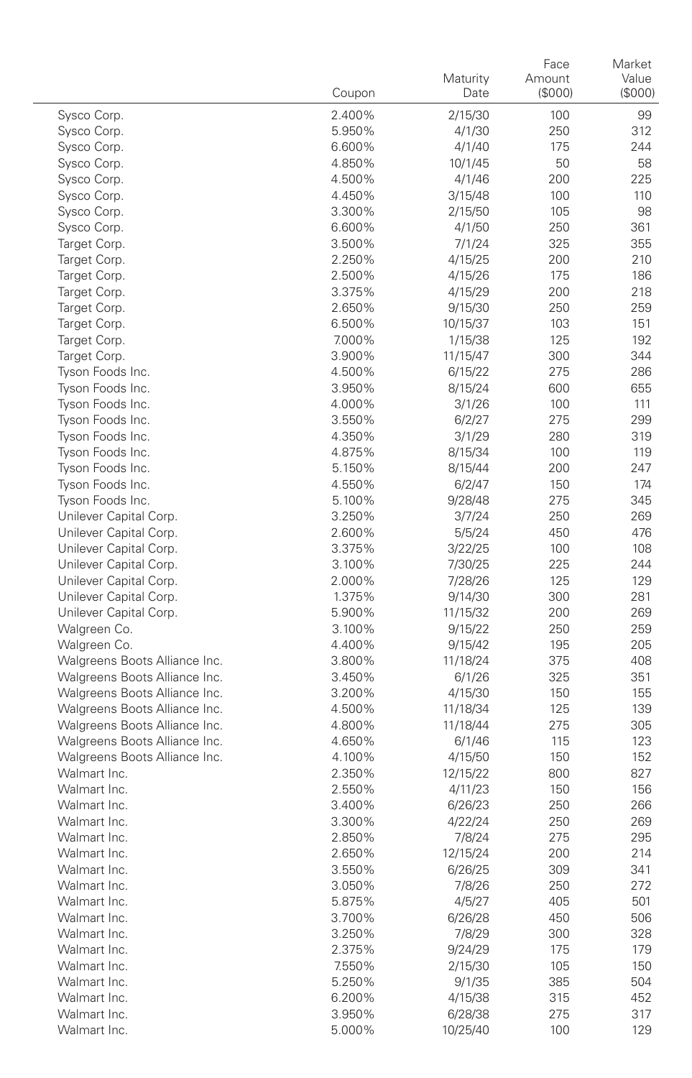|                                                  | Coupon           | Maturity<br>Date    | Face<br>Amount<br>(\$000) | Market<br>Value<br>(\$000) |
|--------------------------------------------------|------------------|---------------------|---------------------------|----------------------------|
|                                                  |                  | 2/15/30             |                           |                            |
| Sysco Corp.<br>Sysco Corp.                       | 2.400%<br>5.950% | 4/1/30              | 100<br>250                | 99<br>312                  |
| Sysco Corp.                                      | 6.600%           | 4/1/40              | 175                       | 244                        |
| Sysco Corp.                                      | 4.850%           | 10/1/45             | 50                        | 58                         |
| Sysco Corp.                                      | 4.500%           | 4/1/46              | 200                       | 225                        |
| Sysco Corp.                                      | 4.450%           | 3/15/48             | 100                       | 110                        |
| Sysco Corp.                                      | 3.300%           | 2/15/50             | 105                       | 98                         |
| Sysco Corp.                                      | 6.600%           | 4/1/50              | 250                       | 361                        |
| Target Corp.                                     | 3.500%           | 7/1/24              | 325                       | 355                        |
| Target Corp.                                     | 2.250%           | 4/15/25             | 200                       | 210                        |
| Target Corp.                                     | 2.500%           | 4/15/26             | 175                       | 186                        |
| Target Corp.                                     | 3.375%           | 4/15/29             | 200                       | 218                        |
| Target Corp.                                     | 2.650%           | 9/15/30             | 250                       | 259                        |
| Target Corp.                                     | 6.500%           | 10/15/37            | 103                       | 151                        |
| Target Corp.                                     | 7.000%           | 1/15/38             | 125                       | 192                        |
| Target Corp.                                     | 3.900%           | 11/15/47            | 300                       | 344                        |
| Tyson Foods Inc.                                 | 4.500%           | 6/15/22             | 275                       | 286                        |
| Tyson Foods Inc.                                 | 3.950%           | 8/15/24             | 600                       | 655                        |
| Tyson Foods Inc.                                 | 4.000%           | 3/1/26              | 100                       | 111                        |
| Tyson Foods Inc.                                 | 3.550%           | 6/2/27              | 275                       | 299                        |
| Tyson Foods Inc.                                 | 4.350%           | 3/1/29              | 280                       | 319                        |
| Tyson Foods Inc.                                 | 4.875%           | 8/15/34             | 100                       | 119                        |
| Tyson Foods Inc.                                 | 5.150%           | 8/15/44             | 200                       | 247                        |
| Tyson Foods Inc.                                 | 4.550%           | 6/2/47              | 150                       | 174                        |
| Tyson Foods Inc.                                 | 5.100%           | 9/28/48             | 275                       | 345                        |
| Unilever Capital Corp.                           | 3.250%           | 3/7/24              | 250                       | 269                        |
| Unilever Capital Corp.                           | 2.600%           | 5/5/24              | 450                       | 476                        |
| Unilever Capital Corp.                           | 3.375%           | 3/22/25             | 100                       | 108                        |
| Unilever Capital Corp.                           | 3.100%           | 7/30/25             | 225                       | 244                        |
| Unilever Capital Corp.                           | 2.000%           | 7/28/26             | 125                       | 129<br>281                 |
| Unilever Capital Corp.<br>Unilever Capital Corp. | 1.375%<br>5.900% | 9/14/30             | 300                       | 269                        |
| Walgreen Co.                                     | 3.100%           | 11/15/32<br>9/15/22 | 200<br>250                | 259                        |
| Walgreen Co.                                     | 4.400%           | 9/15/42             | 195                       | 205                        |
| Walgreens Boots Alliance Inc.                    | 3.800%           | 11/18/24            | 375                       | 408                        |
| Walgreens Boots Alliance Inc.                    | 3.450%           | 6/1/26              | 325                       | 351                        |
| Walgreens Boots Alliance Inc.                    | 3.200%           | 4/15/30             | 150                       | 155                        |
| Walgreens Boots Alliance Inc.                    | 4.500%           | 11/18/34            | 125                       | 139                        |
| Walgreens Boots Alliance Inc.                    | 4.800%           | 11/18/44            | 275                       | 305                        |
| Walgreens Boots Alliance Inc.                    | 4.650%           | 6/1/46              | 115                       | 123                        |
| Walgreens Boots Alliance Inc.                    | 4.100%           | 4/15/50             | 150                       | 152                        |
| Walmart Inc.                                     | 2.350%           | 12/15/22            | 800                       | 827                        |
| Walmart Inc.                                     | 2.550%           | 4/11/23             | 150                       | 156                        |
| Walmart Inc.                                     | 3.400%           | 6/26/23             | 250                       | 266                        |
| Walmart Inc.                                     | 3.300%           | 4/22/24             | 250                       | 269                        |
| Walmart Inc.                                     | 2.850%           | 7/8/24              | 275                       | 295                        |
| Walmart Inc.                                     | 2.650%           | 12/15/24            | 200                       | 214                        |
| Walmart Inc.                                     | 3.550%           | 6/26/25             | 309                       | 341                        |
| Walmart Inc.                                     | 3.050%           | 7/8/26              | 250                       | 272                        |
| Walmart Inc.                                     | 5.875%           | 4/5/27              | 405                       | 501                        |
| Walmart Inc.                                     | 3.700%           | 6/26/28             | 450                       | 506                        |
| Walmart Inc.                                     | 3.250%           | 7/8/29              | 300                       | 328                        |
| Walmart Inc.                                     | 2.375%           | 9/24/29             | 175                       | 179                        |
| Walmart Inc.                                     | 7.550%           | 2/15/30             | 105                       | 150                        |
| Walmart Inc.                                     | 5.250%           | 9/1/35              | 385                       | 504                        |
| Walmart Inc.                                     | 6.200%           | 4/15/38             | 315                       | 452                        |
| Walmart Inc.                                     | 3.950%           | 6/28/38             | 275                       | 317                        |
| Walmart Inc.                                     | 5.000%           | 10/25/40            | 100                       | 129                        |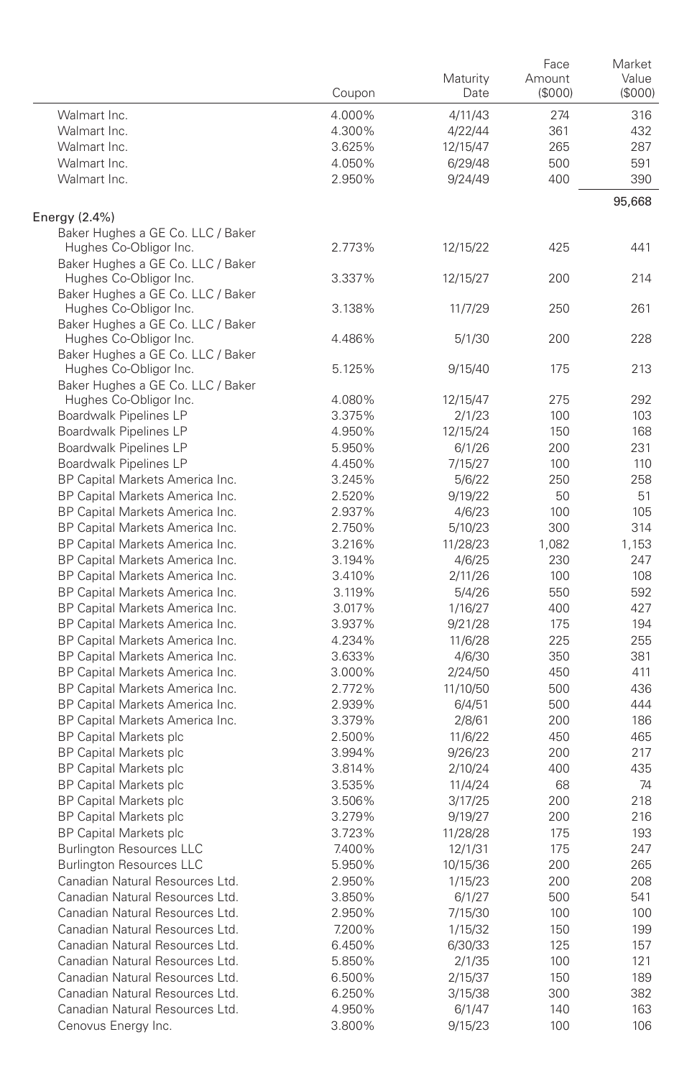|                                                             | Coupon | Maturity<br>Date | Face<br>Amount<br>(\$000) | Market<br>Value<br>$($ \$000 $)$ |
|-------------------------------------------------------------|--------|------------------|---------------------------|----------------------------------|
| Walmart Inc.                                                | 4.000% | 4/11/43          | 274                       | 316                              |
| Walmart Inc.                                                | 4.300% | 4/22/44          | 361                       | 432                              |
| Walmart Inc.                                                | 3.625% | 12/15/47         | 265                       | 287                              |
| Walmart Inc.                                                | 4.050% | 6/29/48          | 500                       | 591                              |
| Walmart Inc.                                                | 2.950% | 9/24/49          | 400                       | 390                              |
| Energy (2.4%)                                               |        |                  |                           | 95,668                           |
| Baker Hughes a GE Co. LLC / Baker                           |        |                  |                           |                                  |
| Hughes Co-Obligor Inc.                                      | 2.773% | 12/15/22         | 425                       | 441                              |
| Baker Hughes a GE Co. LLC / Baker                           |        |                  |                           |                                  |
| Hughes Co-Obligor Inc.                                      | 3.337% | 12/15/27         | 200                       | 214                              |
| Baker Hughes a GE Co. LLC / Baker                           |        |                  |                           |                                  |
| Hughes Co-Obligor Inc.                                      | 3.138% | 11/7/29          | 250                       | 261                              |
| Baker Hughes a GE Co. LLC / Baker                           |        |                  |                           |                                  |
| Hughes Co-Obligor Inc.                                      | 4.486% | 5/1/30           | 200                       | 228                              |
| Baker Hughes a GE Co. LLC / Baker<br>Hughes Co-Obligor Inc. | 5.125% | 9/15/40          | 175                       | 213                              |
| Baker Hughes a GE Co. LLC / Baker                           |        |                  |                           |                                  |
| Hughes Co-Obligor Inc.                                      | 4.080% | 12/15/47         | 275                       | 292                              |
| Boardwalk Pipelines LP                                      | 3.375% | 2/1/23           | 100                       | 103                              |
| Boardwalk Pipelines LP                                      | 4.950% | 12/15/24         | 150                       | 168                              |
| Boardwalk Pipelines LP                                      | 5.950% | 6/1/26           | 200                       | 231                              |
| Boardwalk Pipelines LP                                      | 4.450% | 7/15/27          | 100                       | 110                              |
| BP Capital Markets America Inc.                             | 3.245% | 5/6/22           | 250                       | 258                              |
| BP Capital Markets America Inc.                             | 2.520% | 9/19/22          | 50                        | 51                               |
| BP Capital Markets America Inc.                             | 2.937% | 4/6/23           | 100                       | 105                              |
| BP Capital Markets America Inc.                             | 2.750% | 5/10/23          | 300                       | 314                              |
| BP Capital Markets America Inc.                             | 3.216% | 11/28/23         | 1,082                     | 1,153                            |
| BP Capital Markets America Inc.                             | 3.194% | 4/6/25           | 230                       | 247                              |
| BP Capital Markets America Inc.                             | 3.410% | 2/11/26          | 100                       | 108                              |
| BP Capital Markets America Inc.                             | 3.119% | 5/4/26           | 550                       | 592                              |
| BP Capital Markets America Inc.                             | 3.017% | 1/16/27          | 400                       | 427                              |
| BP Capital Markets America Inc.                             | 3.937% | 9/21/28          | 175                       | 194                              |
| BP Capital Markets America Inc.                             | 4.234% | 11/6/28          | 225                       | 255                              |
| BP Capital Markets America Inc.                             | 3.633% | 4/6/30           | 350                       | 381                              |
| BP Capital Markets America Inc.                             | 3.000% | 2/24/50          | 450                       | 411                              |
| BP Capital Markets America Inc.                             | 2.772% | 11/10/50         | 500                       | 436                              |
| BP Capital Markets America Inc.                             | 2.939% | 6/4/51           | 500                       | 444                              |
| BP Capital Markets America Inc.                             | 3.379% | 2/8/61           | 200                       | 186                              |
| <b>BP Capital Markets plc</b>                               | 2.500% | 11/6/22          | 450                       | 465                              |
| <b>BP Capital Markets plc</b>                               | 3.994% | 9/26/23          | 200                       | 217                              |
| <b>BP Capital Markets plc</b>                               | 3.814% | 2/10/24          | 400                       | 435                              |
| <b>BP Capital Markets plc</b>                               | 3.535% | 11/4/24          | 68                        | 74                               |
| <b>BP Capital Markets plc</b>                               | 3.506% | 3/17/25          | 200                       | 218                              |
| <b>BP Capital Markets plc</b>                               | 3.279% | 9/19/27          | 200                       | 216                              |
| <b>BP Capital Markets plc</b>                               | 3.723% | 11/28/28         | 175                       | 193                              |
| <b>Burlington Resources LLC</b>                             | 7.400% | 12/1/31          | 175                       | 247                              |
| Burlington Resources LLC                                    | 5.950% | 10/15/36         | 200                       | 265                              |
| Canadian Natural Resources Ltd.                             | 2.950% | 1/15/23          | 200                       | 208                              |
| Canadian Natural Resources Ltd.                             | 3.850% | 6/1/27           | 500                       | 541                              |
| Canadian Natural Resources Ltd.                             | 2.950% | 7/15/30          | 100                       | 100                              |
| Canadian Natural Resources Ltd.                             | 7.200% | 1/15/32          | 150                       | 199                              |
| Canadian Natural Resources Ltd.                             | 6.450% | 6/30/33          | 125                       | 157                              |
| Canadian Natural Resources Ltd.                             | 5.850% | 2/1/35           | 100                       | 121                              |
| Canadian Natural Resources Ltd.                             | 6.500% | 2/15/37          | 150                       | 189                              |
| Canadian Natural Resources Ltd.                             | 6.250% | 3/15/38          | 300                       | 382                              |
| Canadian Natural Resources Ltd.                             | 4.950% | 6/1/47           | 140                       | 163                              |
| Cenovus Energy Inc.                                         | 3.800% | 9/15/23          | 100                       | 106                              |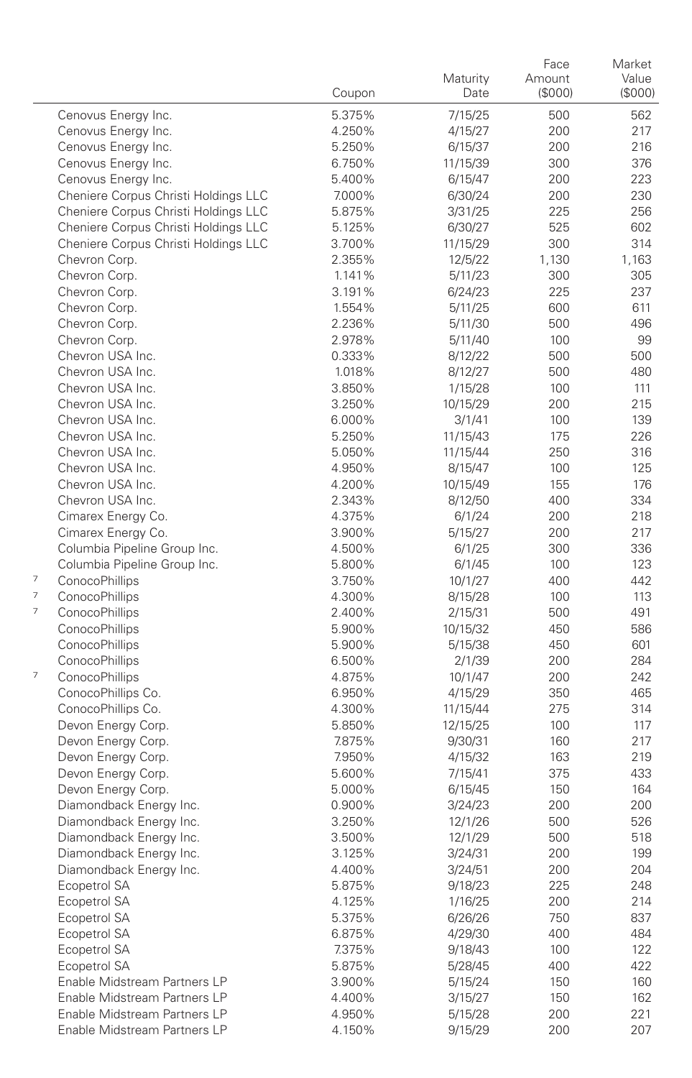|   |                                          | Coupon           | Maturity<br>Date   | Face<br>Amount<br>(\$000) | Market<br>Value<br>(\$000) |
|---|------------------------------------------|------------------|--------------------|---------------------------|----------------------------|
|   | Cenovus Energy Inc.                      | 5.375%           | 7/15/25            | 500                       | 562                        |
|   | Cenovus Energy Inc.                      | 4.250%           | 4/15/27            | 200                       | 217                        |
|   | Cenovus Energy Inc.                      | 5.250%           | 6/15/37            | 200                       | 216                        |
|   | Cenovus Energy Inc.                      | 6.750%           | 11/15/39           | 300                       | 376                        |
|   | Cenovus Energy Inc.                      | 5.400%           | 6/15/47            | 200                       | 223                        |
|   | Cheniere Corpus Christi Holdings LLC     | 7.000%           | 6/30/24            | 200                       | 230                        |
|   | Cheniere Corpus Christi Holdings LLC     | 5.875%           | 3/31/25            | 225                       | 256                        |
|   | Cheniere Corpus Christi Holdings LLC     | 5.125%           | 6/30/27            | 525                       | 602                        |
|   | Cheniere Corpus Christi Holdings LLC     | 3.700%           | 11/15/29           | 300                       | 314                        |
|   | Chevron Corp.                            | 2.355%           | 12/5/22            | 1,130                     | 1,163                      |
|   | Chevron Corp.                            | 1.141%           | 5/11/23            | 300                       | 305                        |
|   | Chevron Corp.                            | 3.191%           | 6/24/23            | 225                       | 237                        |
|   | Chevron Corp.                            | 1.554%           | 5/11/25            | 600                       | 611                        |
|   | Chevron Corp.                            | 2.236%           | 5/11/30            | 500                       | 496                        |
|   | Chevron Corp.                            | 2.978%           | 5/11/40            | 100                       | 99                         |
|   | Chevron USA Inc.                         | 0.333%           | 8/12/22            | 500                       | 500                        |
|   | Chevron USA Inc.                         | 1.018%           | 8/12/27            | 500                       | 480                        |
|   | Chevron USA Inc.                         | 3.850%           | 1/15/28            | 100                       | 111                        |
|   | Chevron USA Inc.                         | 3.250%           | 10/15/29           | 200                       | 215                        |
|   | Chevron USA Inc.                         | 6.000%           | 3/1/41             | 100                       | 139                        |
|   | Chevron USA Inc.                         | 5.250%           | 11/15/43           | 175                       | 226                        |
|   | Chevron USA Inc.                         | 5.050%           | 11/15/44           | 250                       | 316                        |
|   | Chevron USA Inc.                         | 4.950%           | 8/15/47            | 100                       | 125                        |
|   | Chevron USA Inc.                         | 4.200%           | 10/15/49           | 155                       | 176                        |
|   | Chevron USA Inc.                         | 2.343%           | 8/12/50            | 400                       | 334                        |
|   | Cimarex Energy Co.                       | 4.375%           | 6/1/24             | 200                       | 218                        |
|   | Cimarex Energy Co.                       | 3.900%           | 5/15/27            | 200                       | 217                        |
|   | Columbia Pipeline Group Inc.             | 4.500%           | 6/1/25             | 300                       | 336                        |
|   | Columbia Pipeline Group Inc.             | 5.800%           | 6/1/45             | 100                       | 123                        |
| 7 | ConocoPhillips                           | 3.750%           | 10/1/27            | 400                       | 442                        |
| 7 | ConocoPhillips                           | 4.300%           | 8/15/28            | 100                       | 113                        |
| 7 | ConocoPhillips                           | 2.400%           | 2/15/31            | 500                       | 491                        |
|   | ConocoPhillips                           | 5.900%           | 10/15/32           | 450                       | 586                        |
|   | ConocoPhillips                           | 5.900%           | 5/15/38            | 450                       | 601                        |
| 7 | ConocoPhillips                           | 6.500%           | 2/1/39             | 200                       | 284                        |
|   | ConocoPhillips                           | 4.875%           | 10/1/47            | 200                       | 242                        |
|   | ConocoPhillips Co.                       | 6.950%           | 4/15/29            | 350                       | 465                        |
|   | ConocoPhillips Co.                       | 4.300%           | 11/15/44           | 275                       | 314                        |
|   | Devon Energy Corp.                       | 5.850%           | 12/15/25           | 100                       | 117                        |
|   | Devon Energy Corp.<br>Devon Energy Corp. | 7.875%           | 9/30/31            | 160<br>163                | 217<br>219                 |
|   | Devon Energy Corp.                       | 7.950%<br>5.600% | 4/15/32<br>7/15/41 | 375                       | 433                        |
|   | Devon Energy Corp.                       | 5.000%           | 6/15/45            | 150                       | 164                        |
|   | Diamondback Energy Inc.                  | 0.900%           | 3/24/23            | 200                       | 200                        |
|   | Diamondback Energy Inc.                  | 3.250%           | 12/1/26            | 500                       | 526                        |
|   | Diamondback Energy Inc.                  | 3.500%           | 12/1/29            | 500                       | 518                        |
|   | Diamondback Energy Inc.                  | 3.125%           | 3/24/31            | 200                       | 199                        |
|   | Diamondback Energy Inc.                  | 4.400%           | 3/24/51            | 200                       | 204                        |
|   | Ecopetrol SA                             | 5.875%           | 9/18/23            | 225                       | 248                        |
|   | Ecopetrol SA                             | 4.125%           | 1/16/25            | 200                       | 214                        |
|   | Ecopetrol SA                             | 5.375%           | 6/26/26            | 750                       | 837                        |
|   | Ecopetrol SA                             | 6.875%           | 4/29/30            | 400                       | 484                        |
|   | Ecopetrol SA                             | 7.375%           | 9/18/43            | 100                       | 122                        |
|   | Ecopetrol SA                             | 5.875%           | 5/28/45            | 400                       | 422                        |
|   | Enable Midstream Partners LP             | 3.900%           | 5/15/24            | 150                       | 160                        |
|   | Enable Midstream Partners LP             | 4.400%           | 3/15/27            | 150                       | 162                        |
|   | Enable Midstream Partners LP             | 4.950%           | 5/15/28            | 200                       | 221                        |
|   | Enable Midstream Partners LP             | 4.150%           | 9/15/29            | 200                       | 207                        |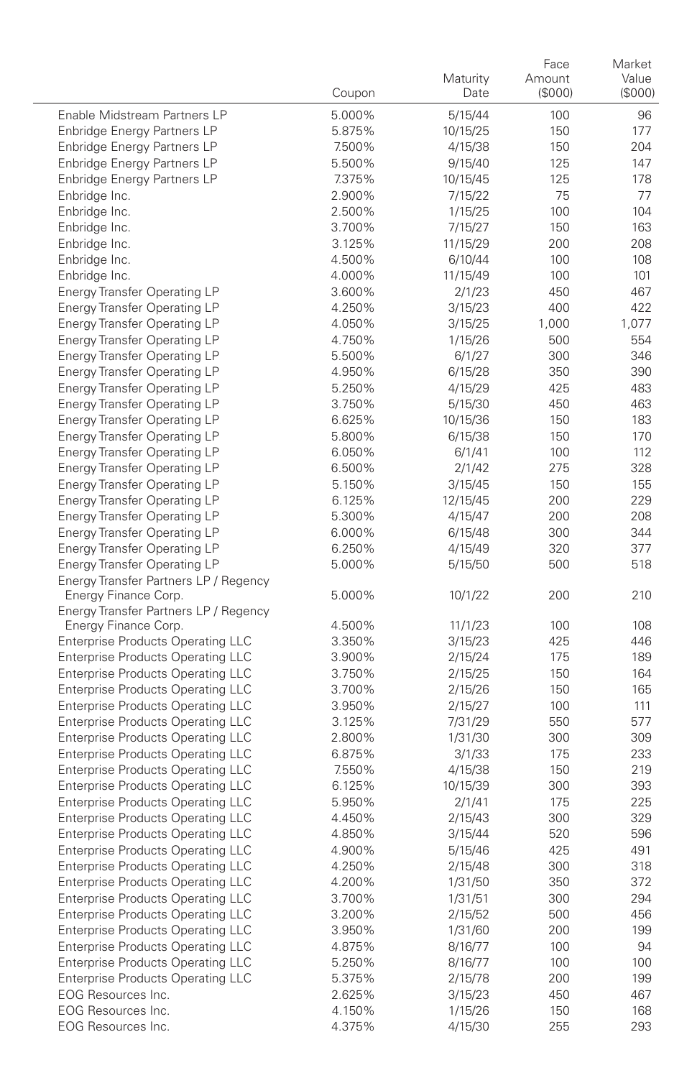|                                                                                      | Coupon           | Maturity<br>Date   | Face<br>Amount<br>(\$000) | Market<br>Value<br>(S000) |
|--------------------------------------------------------------------------------------|------------------|--------------------|---------------------------|---------------------------|
| Enable Midstream Partners LP                                                         | 5.000%           | 5/15/44            | 100                       | 96                        |
| Enbridge Energy Partners LP                                                          | 5.875%           | 10/15/25           | 150                       | 177                       |
| Enbridge Energy Partners LP                                                          | 7.500%           | 4/15/38            | 150                       | 204                       |
| Enbridge Energy Partners LP                                                          | 5.500%           | 9/15/40            | 125                       | 147                       |
| Enbridge Energy Partners LP                                                          | 7.375%           | 10/15/45           | 125                       | 178                       |
| Enbridge Inc.                                                                        | 2.900%           | 7/15/22            | 75                        | 77                        |
| Enbridge Inc.                                                                        | 2.500%           | 1/15/25            | 100                       | 104                       |
| Enbridge Inc.                                                                        | 3.700%           | 7/15/27            | 150                       | 163                       |
| Enbridge Inc.                                                                        | 3.125%           | 11/15/29           | 200                       | 208                       |
| Enbridge Inc.                                                                        | 4.500%           | 6/10/44            | 100                       | 108                       |
| Enbridge Inc.                                                                        | 4.000%           | 11/15/49           | 100                       | 101                       |
| <b>Energy Transfer Operating LP</b>                                                  | 3.600%           | 2/1/23             | 450                       | 467                       |
| Energy Transfer Operating LP                                                         | 4.250%           | 3/15/23            | 400                       | 422                       |
| <b>Energy Transfer Operating LP</b><br><b>Energy Transfer Operating LP</b>           | 4.050%<br>4.750% | 3/15/25<br>1/15/26 | 1,000<br>500              | 1,077<br>554              |
| <b>Energy Transfer Operating LP</b>                                                  | 5.500%           | 6/1/27             | 300                       | 346                       |
| <b>Energy Transfer Operating LP</b>                                                  | 4.950%           | 6/15/28            | 350                       | 390                       |
| <b>Energy Transfer Operating LP</b>                                                  | 5.250%           | 4/15/29            | 425                       | 483                       |
| <b>Energy Transfer Operating LP</b>                                                  | 3.750%           | 5/15/30            | 450                       | 463                       |
| <b>Energy Transfer Operating LP</b>                                                  | 6.625%           | 10/15/36           | 150                       | 183                       |
| <b>Energy Transfer Operating LP</b>                                                  | 5.800%           | 6/15/38            | 150                       | 170                       |
| <b>Energy Transfer Operating LP</b>                                                  | 6.050%           | 6/1/41             | 100                       | 112                       |
| <b>Energy Transfer Operating LP</b>                                                  | 6.500%           | 2/1/42             | 275                       | 328                       |
| <b>Energy Transfer Operating LP</b>                                                  | 5.150%           | 3/15/45            | 150                       | 155                       |
| <b>Energy Transfer Operating LP</b>                                                  | 6.125%           | 12/15/45           | 200                       | 229                       |
| Energy Transfer Operating LP                                                         | 5.300%           | 4/15/47            | 200                       | 208                       |
| <b>Energy Transfer Operating LP</b>                                                  | 6.000%           | 6/15/48            | 300                       | 344                       |
| <b>Energy Transfer Operating LP</b>                                                  | 6.250%           | 4/15/49            | 320                       | 377                       |
| <b>Energy Transfer Operating LP</b>                                                  | 5.000%           | 5/15/50            | 500                       | 518                       |
| Energy Transfer Partners LP / Regency<br>Energy Finance Corp.                        | 5.000%           | 10/1/22            | 200                       | 210                       |
| Energy Transfer Partners LP / Regency                                                |                  |                    |                           |                           |
| Energy Finance Corp.                                                                 | 4.500%           | 11/1/23            | 100                       | 108                       |
| <b>Enterprise Products Operating LLC</b>                                             | 3.350%           | 3/15/23            | 425                       | 446                       |
| <b>Enterprise Products Operating LLC</b>                                             | 3.900%<br>3.750% | 2/15/24            | 175<br>150                | 189<br>164                |
| <b>Enterprise Products Operating LLC</b><br><b>Enterprise Products Operating LLC</b> | 3.700%           | 2/15/25<br>2/15/26 | 150                       | 165                       |
| <b>Enterprise Products Operating LLC</b>                                             | 3.950%           | 2/15/27            | 100                       | 111                       |
| <b>Enterprise Products Operating LLC</b>                                             | 3.125%           | 7/31/29            | 550                       | 577                       |
| <b>Enterprise Products Operating LLC</b>                                             | 2.800%           | 1/31/30            | 300                       | 309                       |
| <b>Enterprise Products Operating LLC</b>                                             | 6.875%           | 3/1/33             | 175                       | 233                       |
| Enterprise Products Operating LLC                                                    | 7.550%           | 4/15/38            | 150                       | 219                       |
| Enterprise Products Operating LLC                                                    | 6.125%           | 10/15/39           | 300                       | 393                       |
| Enterprise Products Operating LLC                                                    | 5.950%           | 2/1/41             | 175                       | 225                       |
| <b>Enterprise Products Operating LLC</b>                                             | 4.450%           | 2/15/43            | 300                       | 329                       |
| <b>Enterprise Products Operating LLC</b>                                             | 4.850%           | 3/15/44            | 520                       | 596                       |
| Enterprise Products Operating LLC                                                    | 4.900%           | 5/15/46            | 425                       | 491                       |
| <b>Enterprise Products Operating LLC</b>                                             | 4.250%           | 2/15/48            | 300                       | 318                       |
| <b>Enterprise Products Operating LLC</b>                                             | 4.200%           | 1/31/50            | 350                       | 372                       |
| <b>Enterprise Products Operating LLC</b>                                             | 3.700%           | 1/31/51            | 300                       | 294                       |
| <b>Enterprise Products Operating LLC</b>                                             | 3.200%           | 2/15/52            | 500                       | 456                       |
| <b>Enterprise Products Operating LLC</b>                                             | 3.950%           | 1/31/60            | 200                       | 199                       |
| <b>Enterprise Products Operating LLC</b>                                             | 4.875%           | 8/16/77            | 100                       | 94                        |
| Enterprise Products Operating LLC                                                    | 5.250%           | 8/16/77            | 100                       | 100                       |
| <b>Enterprise Products Operating LLC</b><br>EOG Resources Inc.                       | 5.375%           | 2/15/78            | 200                       | 199                       |
| EOG Resources Inc.                                                                   | 2.625%<br>4.150% | 3/15/23<br>1/15/26 | 450<br>150                | 467<br>168                |
| EOG Resources Inc.                                                                   | 4.375%           | 4/15/30            | 255                       | 293                       |
|                                                                                      |                  |                    |                           |                           |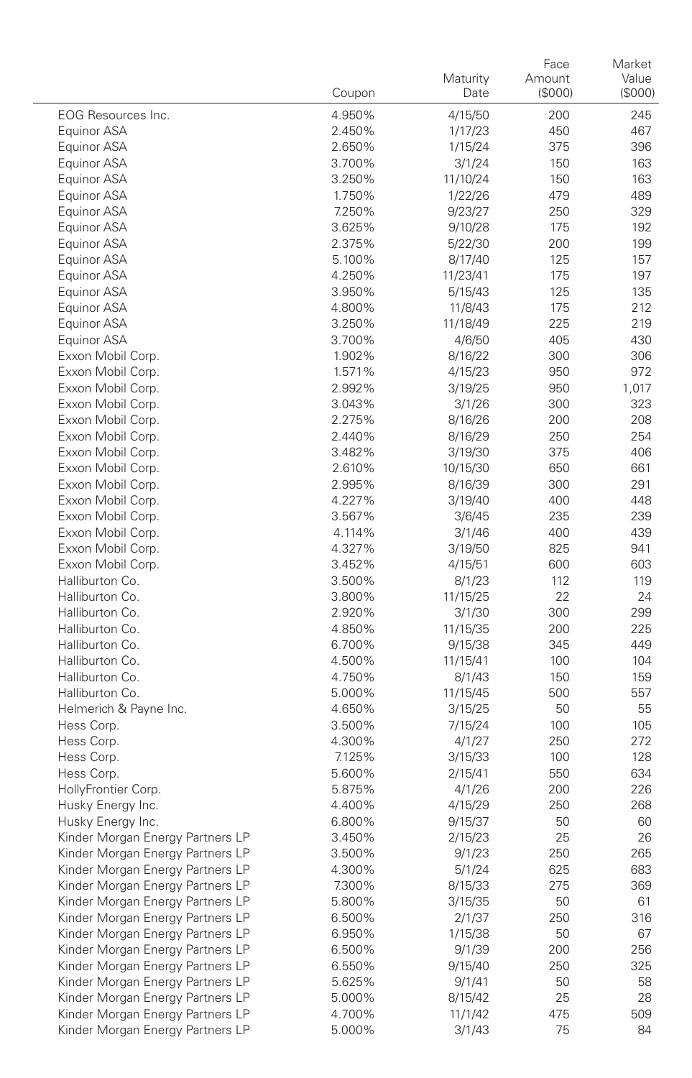|                                    | Coupon           | Maturity<br>Date   | Face<br>Amount<br>(\$000) | Market<br>Value<br>(\$000) |
|------------------------------------|------------------|--------------------|---------------------------|----------------------------|
| EOG Resources Inc.                 | 4.950%           | 4/15/50            | 200                       | 245                        |
| Equinor ASA                        | 2.450%           | 1/17/23            | 450                       | 467                        |
| Equinor ASA                        | 2.650%           | 1/15/24            | 375                       | 396                        |
| Equinor ASA                        | 3.700%           | 3/1/24             | 150                       | 163                        |
| Equinor ASA                        | 3.250%           | 11/10/24           | 150                       | 163                        |
| Equinor ASA                        | 1.750%           | 1/22/26            | 479                       | 489                        |
| Equinor ASA                        | 7.250%           | 9/23/27            | 250                       | 329                        |
| Equinor ASA                        | 3.625%           | 9/10/28            | 175                       | 192                        |
| Equinor ASA                        | 2.375%           | 5/22/30            | 200                       | 199                        |
| Equinor ASA                        | 5.100%           | 8/17/40            | 125                       | 157                        |
| Equinor ASA                        | 4.250%           | 11/23/41           | 175                       | 197                        |
| Equinor ASA                        | 3.950%           | 5/15/43            | 125                       | 135                        |
| Equinor ASA                        | 4.800%           | 11/8/43            | 175                       | 212                        |
| Equinor ASA                        | 3.250%           | 11/18/49           | 225                       | 219                        |
| Equinor ASA                        | 3.700%           | 4/6/50             | 405                       | 430                        |
| Exxon Mobil Corp.                  | 1.902%           | 8/16/22            | 300                       | 306                        |
| Exxon Mobil Corp.                  | 1.571%           | 4/15/23            | 950                       | 972                        |
| Exxon Mobil Corp.                  | 2.992%           | 3/19/25            | 950                       | 1,017                      |
| Exxon Mobil Corp.                  | 3.043%           | 3/1/26             | 300                       | 323                        |
| Exxon Mobil Corp.                  | 2.275%           | 8/16/26            | 200                       | 208                        |
| Exxon Mobil Corp.                  | 2.440%           | 8/16/29            | 250                       | 254                        |
| Exxon Mobil Corp.                  | 3.482%           | 3/19/30            | 375                       | 406                        |
| Exxon Mobil Corp.                  | 2.610%           | 10/15/30           | 650                       | 661                        |
| Exxon Mobil Corp.                  | 2.995%           | 8/16/39            | 300                       | 291                        |
| Exxon Mobil Corp.                  | 4.227%           | 3/19/40            | 400                       | 448                        |
| Exxon Mobil Corp.                  | 3.567%           | 3/6/45             | 235                       | 239                        |
| Exxon Mobil Corp.                  | 4.114%           | 3/1/46             | 400                       | 439                        |
| Exxon Mobil Corp.                  | 4.327%           | 3/19/50            | 825                       | 941                        |
| Exxon Mobil Corp.                  | 3.452%           | 4/15/51            | 600                       | 603                        |
| Halliburton Co.                    | 3.500%           | 8/1/23             | 112                       | 119                        |
| Halliburton Co.                    | 3.800%           | 11/15/25           | 22                        | 24                         |
| Halliburton Co.                    | 2.920%           | 3/1/30             | 300                       | 299                        |
| Halliburton Co.                    | 4.850%           | 11/15/35           | 200                       | 225                        |
| Halliburton Co.                    | 6.700%           | 9/15/38            | 345                       | 449                        |
| Halliburton Co.<br>Halliburton Co. | 4.500%           | 11/15/41           | 100                       | 104                        |
| Halliburton Co.                    | 4.750%<br>5.000% | 8/1/43             | 150<br>500                | 159<br>557                 |
| Helmerich & Payne Inc.             | 4.650%           | 11/15/45           | 50                        | 55                         |
| Hess Corp.                         | 3.500%           | 3/15/25<br>7/15/24 | 100                       | 105                        |
| Hess Corp.                         | 4.300%           | 4/1/27             | 250                       | 272                        |
| Hess Corp.                         | 7.125%           | 3/15/33            | 100                       | 128                        |
| Hess Corp.                         | 5.600%           | 2/15/41            | 550                       | 634                        |
| HollyFrontier Corp.                | 5.875%           | 4/1/26             | 200                       | 226                        |
| Husky Energy Inc.                  | 4.400%           | 4/15/29            | 250                       | 268                        |
| Husky Energy Inc.                  | 6.800%           | 9/15/37            | 50                        | 60                         |
| Kinder Morgan Energy Partners LP   | 3.450%           | 2/15/23            | 25                        | 26                         |
| Kinder Morgan Energy Partners LP   | 3.500%           | 9/1/23             | 250                       | 265                        |
| Kinder Morgan Energy Partners LP   | 4.300%           | 5/1/24             | 625                       | 683                        |
| Kinder Morgan Energy Partners LP   | 7.300%           | 8/15/33            | 275                       | 369                        |
| Kinder Morgan Energy Partners LP   | 5.800%           | 3/15/35            | 50                        | 61                         |
| Kinder Morgan Energy Partners LP   | 6.500%           | 2/1/37             | 250                       | 316                        |
| Kinder Morgan Energy Partners LP   | 6.950%           | 1/15/38            | 50                        | 67                         |
| Kinder Morgan Energy Partners LP   | 6.500%           | 9/1/39             | 200                       | 256                        |
| Kinder Morgan Energy Partners LP   | 6.550%           | 9/15/40            | 250                       | 325                        |
| Kinder Morgan Energy Partners LP   | 5.625%           | 9/1/41             | 50                        | 58                         |
| Kinder Morgan Energy Partners LP   | 5.000%           | 8/15/42            | 25                        | 28                         |
| Kinder Morgan Energy Partners LP   | 4.700%           | 11/1/42            | 475                       | 509                        |
| Kinder Morgan Energy Partners LP   | 5.000%           | 3/1/43             | 75                        | 84                         |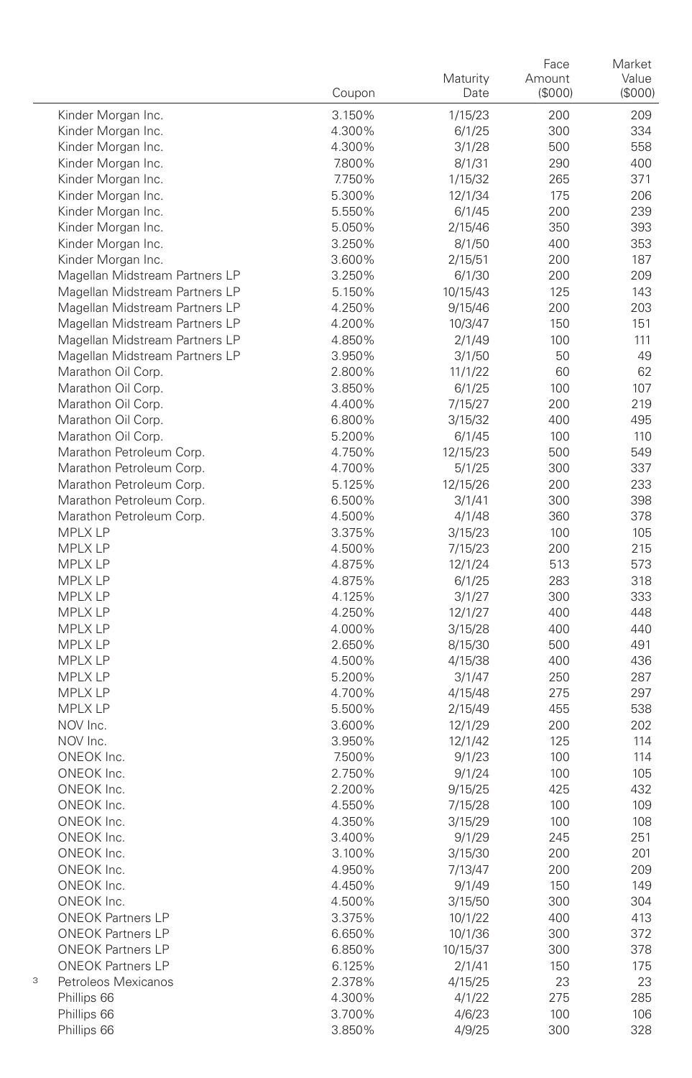|   |                                | Coupon           | Maturity<br>Date  | Face<br>Amount<br>(\$000) | Market<br>Value<br>(S000) |
|---|--------------------------------|------------------|-------------------|---------------------------|---------------------------|
|   | Kinder Morgan Inc.             | 3.150%           | 1/15/23           | 200                       | 209                       |
|   | Kinder Morgan Inc.             | 4.300%           | 6/1/25            | 300                       | 334                       |
|   | Kinder Morgan Inc.             | 4.300%           | 3/1/28            | 500                       | 558                       |
|   | Kinder Morgan Inc.             | 7.800%           | 8/1/31            | 290                       | 400                       |
|   | Kinder Morgan Inc.             | 7.750%           | 1/15/32           | 265                       | 371                       |
|   | Kinder Morgan Inc.             | 5.300%           | 12/1/34           | 175                       | 206                       |
|   | Kinder Morgan Inc.             | 5.550%           | 6/1/45            | 200                       | 239                       |
|   | Kinder Morgan Inc.             | 5.050%           | 2/15/46           | 350                       | 393                       |
|   | Kinder Morgan Inc.             | 3.250%           | 8/1/50            | 400                       | 353                       |
|   | Kinder Morgan Inc.             | 3.600%           | 2/15/51           | 200                       | 187                       |
|   | Magellan Midstream Partners LP | 3.250%           | 6/1/30            | 200                       | 209                       |
|   | Magellan Midstream Partners LP | 5.150%           | 10/15/43          | 125                       | 143                       |
|   | Magellan Midstream Partners LP | 4.250%           | 9/15/46           | 200                       | 203                       |
|   | Magellan Midstream Partners LP | 4.200%           | 10/3/47           | 150                       | 151                       |
|   | Magellan Midstream Partners LP | 4.850%           | 2/1/49            | 100                       | 111                       |
|   | Magellan Midstream Partners LP | 3.950%           | 3/1/50            | 50                        | 49                        |
|   | Marathon Oil Corp.             | 2.800%           | 11/1/22           | 60                        | 62                        |
|   | Marathon Oil Corp.             | 3.850%           | 6/1/25            | 100                       | 107                       |
|   | Marathon Oil Corp.             | 4.400%           | 7/15/27           | 200                       | 219                       |
|   | Marathon Oil Corp.             | 6.800%           | 3/15/32           | 400                       | 495                       |
|   | Marathon Oil Corp.             | 5.200%           | 6/1/45            | 100                       | 110                       |
|   | Marathon Petroleum Corp.       | 4.750%           | 12/15/23          | 500                       | 549                       |
|   | Marathon Petroleum Corp.       | 4.700%           | 5/1/25            | 300                       | 337                       |
|   | Marathon Petroleum Corp.       | 5.125%           | 12/15/26          | 200                       | 233                       |
|   | Marathon Petroleum Corp.       | 6.500%           | 3/1/41            | 300                       | 398                       |
|   | Marathon Petroleum Corp.       | 4.500%           | 4/1/48            | 360                       | 378                       |
|   | <b>MPLX LP</b>                 | 3.375%           | 3/15/23           | 100                       | 105                       |
|   | MPLX LP                        | 4.500%           | 7/15/23           | 200                       | 215                       |
|   | <b>MPLX LP</b>                 | 4.875%           | 12/1/24           | 513                       | 573                       |
|   | MPLX LP                        | 4.875%           | 6/1/25            | 283                       | 318                       |
|   | MPLX LP                        | 4.125%           | 3/1/27            | 300                       | 333                       |
|   | MPLX LP                        | 4.250%           | 12/1/27           | 400                       | 448                       |
|   | MPLX LP                        | 4.000%           | 3/15/28           | 400                       | 440                       |
|   | MPLX LP                        | 2.650%           | 8/15/30           | 500                       | 491                       |
|   | MPLX LP                        | 4.500%           | 4/15/38           | 400                       | 436                       |
|   | <b>MPLX LP</b>                 | 5.200%           | 3/1/47            | 250                       | 287                       |
|   | <b>MPLX LP</b>                 | 4.700%           | 4/15/48           | 275                       | 297                       |
|   | <b>MPLX LP</b>                 | 5.500%           | 2/15/49           | 455                       | 538                       |
|   | NOV Inc.                       | 3.600%           | 12/1/29           | 200                       | 202                       |
|   | NOV Inc.                       | 3.950%           | 12/1/42           | 125                       | 114                       |
|   | ONEOK Inc.<br>ONEOK Inc.       | 7.500%           | 9/1/23            | 100<br>100                | 114<br>105                |
|   | ONEOK Inc.                     | 2.750%           | 9/1/24            | 425                       | 432                       |
|   | ONEOK Inc.                     | 2.200%           | 9/15/25           | 100                       | 109                       |
|   | ONEOK Inc.                     | 4.550%           | 7/15/28           |                           | 108                       |
|   | ONEOK Inc.                     | 4.350%<br>3.400% | 3/15/29<br>9/1/29 | 100<br>245                | 251                       |
|   | ONEOK Inc.                     | 3.100%           | 3/15/30           | 200                       | 201                       |
|   | ONEOK Inc.                     |                  | 7/13/47           |                           | 209                       |
|   | ONEOK Inc.                     | 4.950%<br>4.450% | 9/1/49            | 200<br>150                | 149                       |
|   | ONEOK Inc.                     | 4.500%           | 3/15/50           | 300                       | 304                       |
|   | <b>ONEOK Partners LP</b>       | 3.375%           | 10/1/22           | 400                       | 413                       |
|   | <b>ONEOK Partners LP</b>       | 6.650%           | 10/1/36           | 300                       | 372                       |
|   | <b>ONEOK Partners LP</b>       | 6.850%           | 10/15/37          | 300                       | 378                       |
|   | <b>ONEOK Partners LP</b>       | 6.125%           | 2/1/41            | 150                       | 175                       |
| 3 | Petroleos Mexicanos            | 2.378%           | 4/15/25           | 23                        | 23                        |
|   | Phillips 66                    | 4.300%           | 4/1/22            | 275                       | 285                       |
|   | Phillips 66                    | 3.700%           | 4/6/23            | 100                       | 106                       |
|   | Phillips 66                    | 3.850%           | 4/9/25            | 300                       | 328                       |
|   |                                |                  |                   |                           |                           |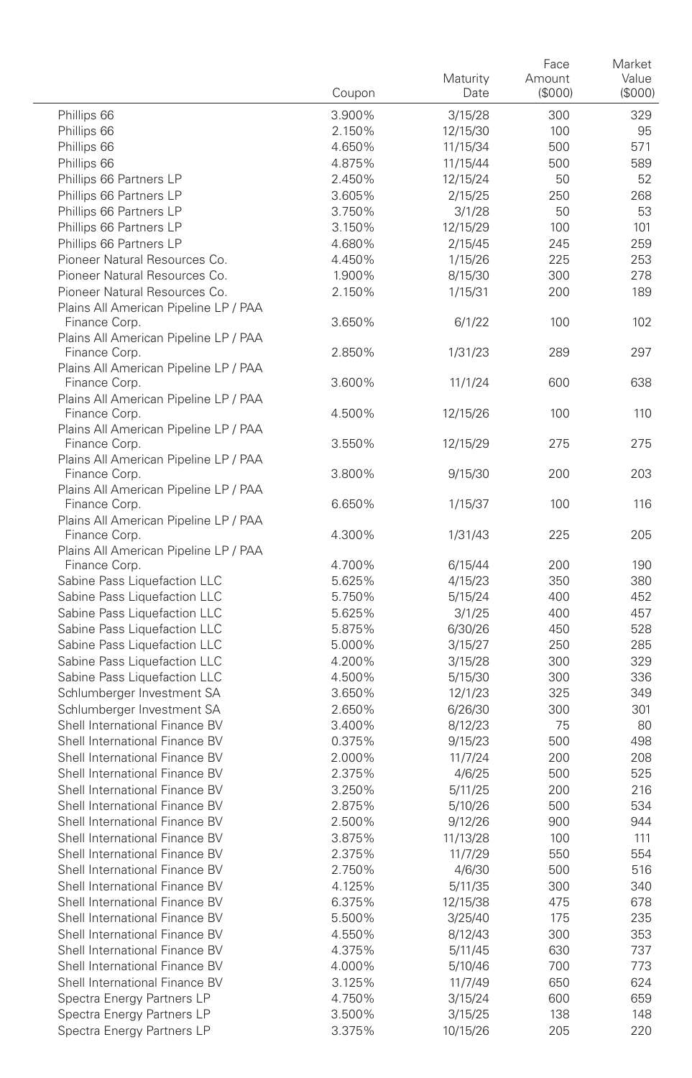|                                                                  | Coupon           | Maturity<br>Date   | Face<br>Amount<br>(\$000) | Market<br>Value<br>(\$000) |
|------------------------------------------------------------------|------------------|--------------------|---------------------------|----------------------------|
| Phillips 66                                                      | 3.900%           | 3/15/28            | 300                       | 329                        |
| Phillips 66                                                      | 2.150%           | 12/15/30           | 100                       | 95                         |
| Phillips 66                                                      | 4.650%           | 11/15/34           | 500                       | 571                        |
| Phillips 66                                                      | 4.875%           | 11/15/44           | 500                       | 589                        |
| Phillips 66 Partners LP                                          | 2.450%           | 12/15/24           | 50                        | 52                         |
| Phillips 66 Partners LP                                          | 3.605%           | 2/15/25            | 250                       | 268                        |
| Phillips 66 Partners LP                                          | 3.750%           | 3/1/28             | 50                        | 53                         |
| Phillips 66 Partners LP                                          | 3.150%           | 12/15/29           | 100                       | 101                        |
| Phillips 66 Partners LP                                          | 4.680%           | 2/15/45            | 245                       | 259                        |
| Pioneer Natural Resources Co.                                    | 4.450%           | 1/15/26            | 225                       | 253                        |
| Pioneer Natural Resources Co.                                    | 1.900%           | 8/15/30            | 300                       | 278                        |
| Pioneer Natural Resources Co.                                    | 2.150%           | 1/15/31            | 200                       | 189                        |
| Plains All American Pipeline LP / PAA<br>Finance Corp.           | 3.650%           | 6/1/22             | 100                       | 102                        |
| Plains All American Pipeline LP / PAA                            |                  |                    |                           |                            |
| Finance Corp.<br>Plains All American Pipeline LP / PAA           | 2.850%           | 1/31/23            | 289                       | 297                        |
| Finance Corp.<br>Plains All American Pipeline LP / PAA           | 3.600%           | 11/1/24            | 600                       | 638                        |
| Finance Corp.<br>Plains All American Pipeline LP / PAA           | 4.500%           | 12/15/26           | 100                       | 110                        |
| Finance Corp.<br>Plains All American Pipeline LP / PAA           | 3.550%           | 12/15/29           | 275                       | 275                        |
| Finance Corp.<br>Plains All American Pipeline LP / PAA           | 3.800%           | 9/15/30            | 200                       | 203                        |
| Finance Corp.                                                    | 6.650%           | 1/15/37            | 100                       | 116                        |
| Plains All American Pipeline LP / PAA<br>Finance Corp.           | 4.300%           | 1/31/43            | 225                       | 205                        |
| Plains All American Pipeline LP / PAA<br>Finance Corp.           | 4.700%           | 6/15/44            | 200                       | 190                        |
| Sabine Pass Liquefaction LLC                                     | 5.625%           | 4/15/23            | 350                       | 380                        |
| Sabine Pass Liquefaction LLC                                     | 5.750%           | 5/15/24            | 400                       | 452                        |
| Sabine Pass Liquefaction LLC                                     | 5.625%           | 3/1/25             | 400                       | 457                        |
| Sabine Pass Liquefaction LLC                                     | 5.875%           | 6/30/26            | 450                       | 528                        |
| Sabine Pass Liquefaction LLC                                     | 5.000%           | 3/15/27            | 250                       | 285                        |
| Sabine Pass Liquefaction LLC                                     | 4.200%           | 3/15/28            | 300                       | 329                        |
| Sabine Pass Liquefaction LLC                                     | 4.500%           | 5/15/30            | 300                       | 336                        |
| Schlumberger Investment SA                                       | 3.650%           | 12/1/23            | 325                       | 349                        |
| Schlumberger Investment SA                                       | 2.650%           | 6/26/30            | 300                       | 301                        |
| Shell International Finance BV                                   | 3.400%           | 8/12/23            | 75                        | 80                         |
| Shell International Finance BV                                   | 0.375%           | 9/15/23            | 500                       | 498                        |
| Shell International Finance BV                                   | 2.000%           | 11/7/24            | 200                       | 208                        |
| Shell International Finance BV                                   | 2.375%           | 4/6/25             | 500                       | 525                        |
| Shell International Finance BV                                   | 3.250%           | 5/11/25            | 200                       | 216                        |
| Shell International Finance BV                                   | 2.875%           | 5/10/26            | 500                       | 534                        |
| Shell International Finance BV                                   | 2.500%           | 9/12/26            | 900                       | 944                        |
| Shell International Finance BV                                   | 3.875%           | 11/13/28           | 100                       | 111                        |
| Shell International Finance BV                                   | 2.375%           | 11/7/29            | 550                       | 554                        |
| Shell International Finance BV                                   | 2.750%           | 4/6/30             | 500                       | 516                        |
| Shell International Finance BV                                   | 4.125%           | 5/11/35            | 300                       | 340                        |
| Shell International Finance BV                                   | 6.375%           | 12/15/38           | 475                       | 678                        |
| Shell International Finance BV                                   | 5.500%           | 3/25/40            | 175                       | 235                        |
| Shell International Finance BV                                   | 4.550%           | 8/12/43            | 300                       | 353                        |
| Shell International Finance BV<br>Shell International Finance BV | 4.375%           | 5/11/45            | 630                       | 737                        |
| Shell International Finance BV                                   | 4.000%           | 5/10/46            | 700                       | 773                        |
| Spectra Energy Partners LP                                       | 3.125%<br>4.750% | 11/7/49            | 650<br>600                | 624<br>659                 |
| Spectra Energy Partners LP                                       | 3.500%           | 3/15/24<br>3/15/25 | 138                       | 148                        |
| Spectra Energy Partners LP                                       | 3.375%           | 10/15/26           | 205                       | 220                        |
|                                                                  |                  |                    |                           |                            |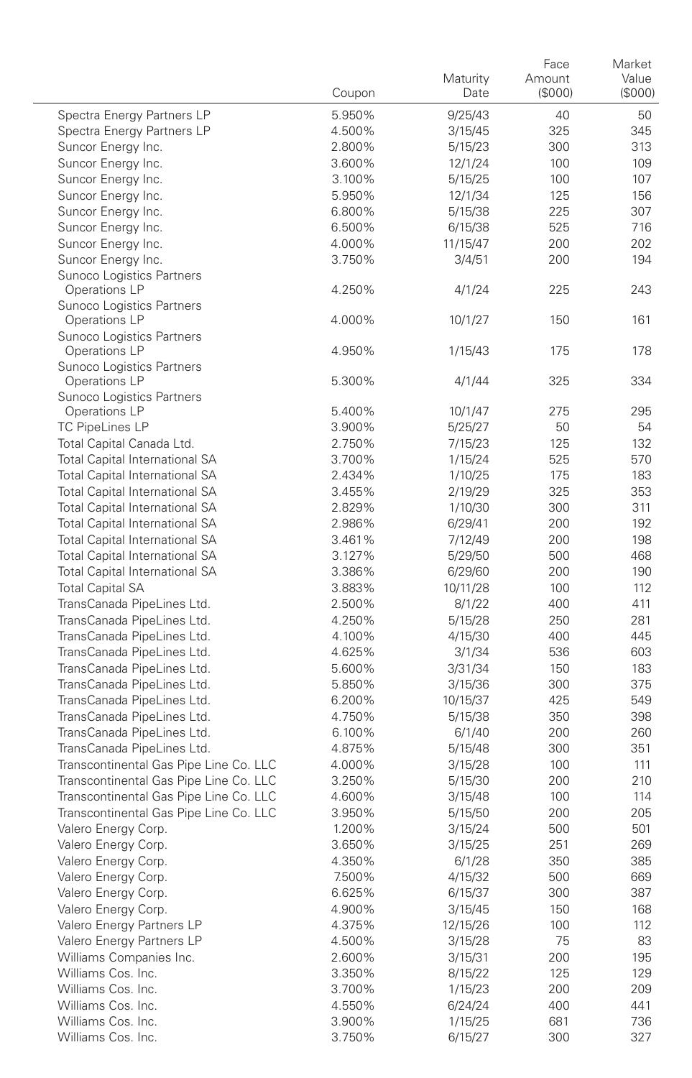|                                            | Coupon           | Maturity<br>Date   | Face<br>Amount<br>(\$000) | Market<br>Value<br>(\$000) |
|--------------------------------------------|------------------|--------------------|---------------------------|----------------------------|
| Spectra Energy Partners LP                 | 5.950%           | 9/25/43            | 40                        | 50                         |
| Spectra Energy Partners LP                 | 4.500%           | 3/15/45            | 325                       | 345                        |
| Suncor Energy Inc.                         | 2.800%           | 5/15/23            | 300                       | 313                        |
| Suncor Energy Inc.                         | 3.600%           | 12/1/24            | 100                       | 109                        |
| Suncor Energy Inc.                         | 3.100%           | 5/15/25            | 100                       | 107                        |
| Suncor Energy Inc.                         | 5.950%           | 12/1/34            | 125                       | 156                        |
| Suncor Energy Inc.                         | 6.800%           | 5/15/38            | 225                       | 307                        |
| Suncor Energy Inc.                         | 6.500%           | 6/15/38            | 525                       | 716                        |
| Suncor Energy Inc.                         | 4.000%           | 11/15/47           | 200                       | 202                        |
| Suncor Energy Inc.                         | 3.750%           | 3/4/51             | 200                       | 194                        |
| Sunoco Logistics Partners<br>Operations LP | 4.250%           | 4/1/24             | 225                       | 243                        |
| Sunoco Logistics Partners                  |                  |                    |                           |                            |
| Operations LP                              | 4.000%           | 10/1/27            | 150                       | 161                        |
| Sunoco Logistics Partners                  |                  |                    |                           |                            |
| Operations LP                              | 4.950%           | 1/15/43            | 175                       | 178                        |
| Sunoco Logistics Partners                  |                  |                    |                           |                            |
| Operations LP                              | 5.300%           | 4/1/44             | 325                       | 334                        |
| Sunoco Logistics Partners                  | 5.400%           |                    | 275                       | 295                        |
| Operations LP<br><b>TC PipeLines LP</b>    | 3.900%           | 10/1/47            | 50                        | 54                         |
| Total Capital Canada Ltd.                  | 2.750%           | 5/25/27            | 125                       | 132                        |
| <b>Total Capital International SA</b>      | 3.700%           | 7/15/23<br>1/15/24 | 525                       | 570                        |
| <b>Total Capital International SA</b>      | 2.434%           | 1/10/25            | 175                       | 183                        |
| <b>Total Capital International SA</b>      | 3.455%           | 2/19/29            | 325                       | 353                        |
| <b>Total Capital International SA</b>      | 2.829%           | 1/10/30            | 300                       | 311                        |
| <b>Total Capital International SA</b>      | 2.986%           | 6/29/41            | 200                       | 192                        |
| <b>Total Capital International SA</b>      | 3.461%           | 7/12/49            | 200                       | 198                        |
| <b>Total Capital International SA</b>      | 3.127%           | 5/29/50            | 500                       | 468                        |
| Total Capital International SA             | 3.386%           | 6/29/60            | 200                       | 190                        |
| <b>Total Capital SA</b>                    | 3.883%           | 10/11/28           | 100                       | 112                        |
| TransCanada PipeLines Ltd.                 | 2.500%           | 8/1/22             | 400                       | 411                        |
| TransCanada PipeLines Ltd.                 | 4.250%           | 5/15/28            | 250                       | 281                        |
| TransCanada PipeLines Ltd.                 | 4.100%           | 4/15/30            | 400                       | 445                        |
| TransCanada PipeLines Ltd.                 | 4.625%           | 3/1/34             | 536                       | 603                        |
| TransCanada PipeLines Ltd.                 | 5.600%           | 3/31/34            | 150                       | 183                        |
| TransCanada PipeLines Ltd.                 | 5.850%           | 3/15/36            | 300                       | 375                        |
| TransCanada PipeLines Ltd.                 | 6.200%           | 10/15/37           | 425                       | 549                        |
| TransCanada PipeLines Ltd.                 | 4.750%           | 5/15/38            | 350                       | 398                        |
| TransCanada PipeLines Ltd.                 | 6.100%           | 6/1/40             | 200                       | 260                        |
| TransCanada PipeLines Ltd.                 | 4.875%           | 5/15/48            | 300                       | 351                        |
| Transcontinental Gas Pipe Line Co. LLC     | 4.000%           | 3/15/28            | 100                       | 111                        |
| Transcontinental Gas Pipe Line Co. LLC     | 3.250%           | 5/15/30            | 200                       | 210                        |
| Transcontinental Gas Pipe Line Co. LLC     | 4.600%           | 3/15/48            | 100                       | 114                        |
| Transcontinental Gas Pipe Line Co. LLC     | 3.950%           | 5/15/50            | 200                       | 205                        |
| Valero Energy Corp.                        | 1.200%           | 3/15/24            | 500                       | 501                        |
| Valero Energy Corp.                        | 3.650%           | 3/15/25            | 251                       | 269                        |
| Valero Energy Corp.                        | 4.350%           | 6/1/28             | 350                       | 385                        |
| Valero Energy Corp.                        | 7.500%           | 4/15/32            | 500                       | 669                        |
| Valero Energy Corp.                        | 6.625%           | 6/15/37            | 300                       | 387                        |
| Valero Energy Corp.                        | 4.900%           | 3/15/45            | 150                       | 168                        |
| Valero Energy Partners LP                  | 4.375%           | 12/15/26           | 100                       | 112                        |
| Valero Energy Partners LP                  | 4.500%           | 3/15/28            | 75                        | 83                         |
| Williams Companies Inc.                    | 2.600%           | 3/15/31            | 200                       | 195                        |
| Williams Cos. Inc.<br>Williams Cos. Inc.   | 3.350%           | 8/15/22            | 125                       | 129                        |
| Williams Cos. Inc.                         | 3.700%           | 1/15/23            | 200                       | 209                        |
| Williams Cos. Inc.                         | 4.550%           | 6/24/24            | 400                       | 441                        |
| Williams Cos. Inc.                         | 3.900%<br>3.750% | 1/15/25<br>6/15/27 | 681<br>300                | 736<br>327                 |
|                                            |                  |                    |                           |                            |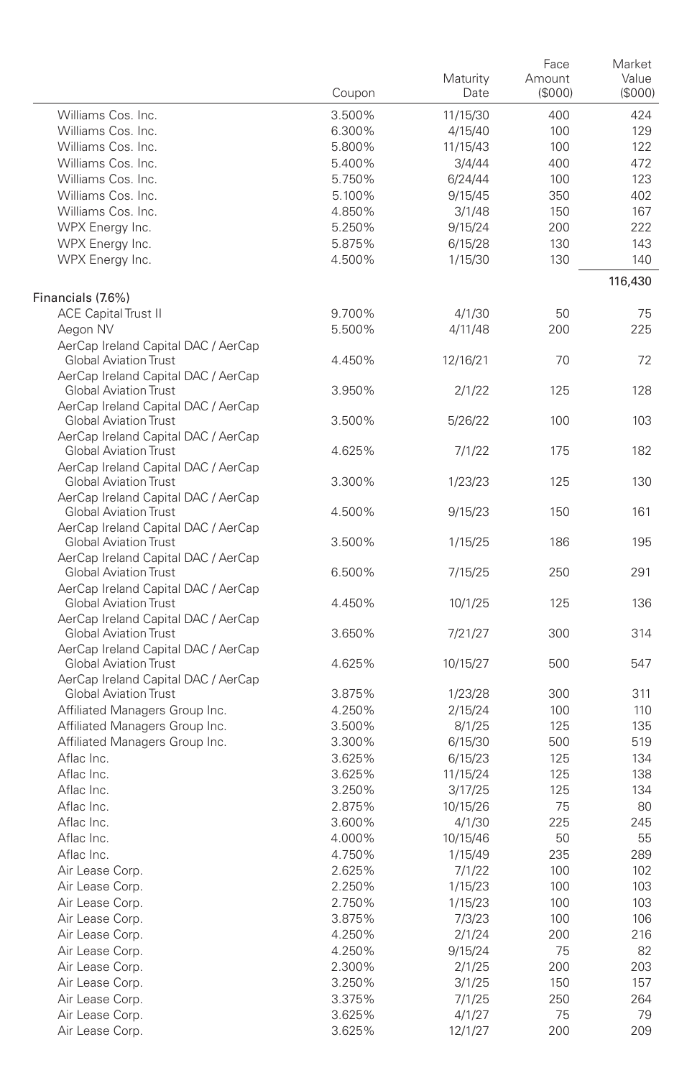|                                                                                                            | Coupon | Maturity<br>Date | Face<br>Amount<br>(\$000) | Market<br>Value<br>(\$000) |
|------------------------------------------------------------------------------------------------------------|--------|------------------|---------------------------|----------------------------|
| Williams Cos. Inc.                                                                                         | 3.500% | 11/15/30         | 400                       | 424                        |
| Williams Cos. Inc.                                                                                         | 6.300% | 4/15/40          | 100                       | 129                        |
| Williams Cos. Inc.                                                                                         | 5.800% | 11/15/43         | 100                       | 122                        |
| Williams Cos. Inc.                                                                                         | 5.400% | 3/4/44           | 400                       | 472                        |
| Williams Cos. Inc.                                                                                         | 5.750% | 6/24/44          | 100                       | 123                        |
| Williams Cos. Inc.                                                                                         | 5.100% | 9/15/45          | 350                       | 402                        |
| Williams Cos. Inc.                                                                                         | 4.850% | 3/1/48           | 150                       | 167                        |
| WPX Energy Inc.                                                                                            | 5.250% | 9/15/24          | 200                       | 222                        |
| WPX Energy Inc.                                                                                            | 5.875% | 6/15/28          | 130                       | 143                        |
| WPX Energy Inc.                                                                                            | 4.500% | 1/15/30          | 130                       | 140                        |
| Financials (7.6%)                                                                                          |        |                  |                           | 116,430                    |
| <b>ACE Capital Trust II</b>                                                                                | 9.700% | 4/1/30           | 50                        | 75                         |
| Aegon NV                                                                                                   | 5.500% | 4/11/48          | 200                       | 225                        |
| AerCap Ireland Capital DAC / AerCap<br><b>Global Aviation Trust</b>                                        | 4.450% | 12/16/21         | 70                        | 72                         |
| AerCap Ireland Capital DAC / AerCap                                                                        |        |                  |                           |                            |
| <b>Global Aviation Trust</b><br>AerCap Ireland Capital DAC / AerCap                                        | 3.950% | 2/1/22           | 125                       | 128                        |
| <b>Global Aviation Trust</b>                                                                               | 3.500% | 5/26/22          | 100                       | 103                        |
| AerCap Ireland Capital DAC / AerCap<br><b>Global Aviation Trust</b><br>AerCap Ireland Capital DAC / AerCap | 4.625% | 7/1/22           | 175                       | 182                        |
| <b>Global Aviation Trust</b><br>AerCap Ireland Capital DAC / AerCap                                        | 3.300% | 1/23/23          | 125                       | 130                        |
| <b>Global Aviation Trust</b>                                                                               | 4.500% | 9/15/23          | 150                       | 161                        |
| AerCap Ireland Capital DAC / AerCap<br><b>Global Aviation Trust</b>                                        | 3.500% | 1/15/25          | 186                       | 195                        |
| AerCap Ireland Capital DAC / AerCap<br><b>Global Aviation Trust</b>                                        | 6.500% | 7/15/25          | 250                       | 291                        |
| AerCap Ireland Capital DAC / AerCap<br><b>Global Aviation Trust</b>                                        | 4.450% | 10/1/25          | 125                       | 136                        |
| AerCap Ireland Capital DAC / AerCap<br><b>Global Aviation Trust</b>                                        | 3.650% | 7/21/27          | 300                       | 314                        |
| AerCap Ireland Capital DAC / AerCap<br><b>Global Aviation Trust</b>                                        | 4.625% | 10/15/27         | 500                       | 547                        |
| AerCap Ireland Capital DAC / AerCap                                                                        |        |                  |                           |                            |
| <b>Global Aviation Trust</b>                                                                               | 3.875% | 1/23/28          | 300                       | 311                        |
| Affiliated Managers Group Inc.                                                                             | 4.250% | 2/15/24          | 100                       | 110                        |
| Affiliated Managers Group Inc.                                                                             | 3.500% | 8/1/25           | 125                       | 135                        |
| Affiliated Managers Group Inc.                                                                             | 3.300% | 6/15/30          | 500                       | 519                        |
| Aflac Inc.                                                                                                 | 3.625% | 6/15/23          | 125                       | 134                        |
| Aflac Inc.                                                                                                 | 3.625% | 11/15/24         | 125                       | 138                        |
| Aflac Inc.                                                                                                 | 3.250% | 3/17/25          | 125                       | 134                        |
| Aflac Inc.                                                                                                 | 2.875% | 10/15/26         | 75                        | 80                         |
| Aflac Inc.                                                                                                 | 3.600% | 4/1/30           | 225                       | 245                        |
| Aflac Inc.                                                                                                 | 4.000% | 10/15/46         | 50                        | 55                         |
| Aflac Inc.                                                                                                 | 4.750% | 1/15/49          | 235                       | 289                        |
| Air Lease Corp.                                                                                            | 2.625% | 7/1/22           | 100                       | 102                        |
| Air Lease Corp.                                                                                            | 2.250% | 1/15/23          | 100                       | 103                        |
| Air Lease Corp.                                                                                            | 2.750% | 1/15/23          | 100                       | 103                        |
| Air Lease Corp.                                                                                            | 3.875% | 7/3/23           | 100                       | 106                        |
| Air Lease Corp.                                                                                            | 4.250% | 2/1/24           | 200                       | 216                        |
| Air Lease Corp.                                                                                            | 4.250% | 9/15/24          | 75                        | 82                         |
| Air Lease Corp.                                                                                            | 2.300% | 2/1/25           | 200                       | 203                        |
| Air Lease Corp.                                                                                            | 3.250% | 3/1/25           | 150                       | 157                        |
| Air Lease Corp.                                                                                            | 3.375% | 7/1/25           | 250                       | 264                        |
| Air Lease Corp.                                                                                            | 3.625% | 4/1/27           | 75                        | 79                         |
| Air Lease Corp.                                                                                            | 3.625% | 12/1/27          | 200                       | 209                        |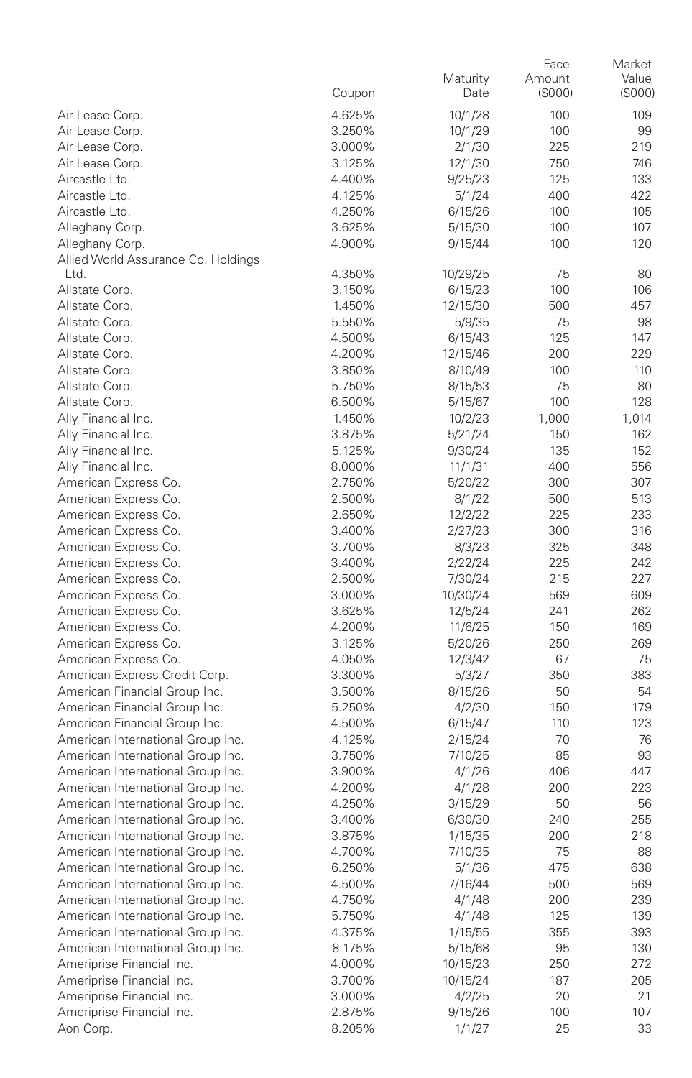|                                                                        | Coupon           | Maturity<br>Date   | Face<br>Amount<br>(\$000) | Market<br>Value<br>(\$000) |
|------------------------------------------------------------------------|------------------|--------------------|---------------------------|----------------------------|
| Air Lease Corp.                                                        | 4.625%           | 10/1/28            | 100                       | 109                        |
| Air Lease Corp.                                                        | 3.250%           | 10/1/29            | 100                       | 99                         |
| Air Lease Corp.                                                        | 3.000%           | 2/1/30             | 225                       | 219                        |
| Air Lease Corp.                                                        | 3.125%           | 12/1/30            | 750                       | 746                        |
| Aircastle Ltd.                                                         | 4.400%           | 9/25/23            | 125                       | 133                        |
| Aircastle Ltd.                                                         | 4.125%           | 5/1/24             | 400                       | 422                        |
| Aircastle Ltd.                                                         | 4.250%           | 6/15/26            | 100                       | 105                        |
| Alleghany Corp.                                                        | 3.625%           | 5/15/30            | 100                       | 107                        |
| Alleghany Corp.                                                        | 4.900%           | 9/15/44            | 100                       | 120                        |
| Allied World Assurance Co. Holdings                                    |                  |                    |                           |                            |
| Ltd.                                                                   | 4.350%           | 10/29/25           | 75                        | 80                         |
| Allstate Corp.                                                         | 3.150%           | 6/15/23            | 100                       | 106                        |
| Allstate Corp.                                                         | 1.450%           | 12/15/30           | 500                       | 457                        |
| Allstate Corp.                                                         | 5.550%           | 5/9/35             | 75                        | 98                         |
| Allstate Corp.                                                         | 4.500%           | 6/15/43            | 125                       | 147                        |
| Allstate Corp.                                                         | 4.200%           | 12/15/46           | 200                       | 229                        |
| Allstate Corp.                                                         | 3.850%           | 8/10/49            | 100<br>75                 | 110<br>80                  |
| Allstate Corp.<br>Allstate Corp.                                       | 5.750%<br>6.500% | 8/15/53<br>5/15/67 | 100                       | 128                        |
| Ally Financial Inc.                                                    | 1.450%           | 10/2/23            | 1,000                     | 1,014                      |
| Ally Financial Inc.                                                    | 3.875%           | 5/21/24            | 150                       | 162                        |
| Ally Financial Inc.                                                    | 5.125%           | 9/30/24            | 135                       | 152                        |
| Ally Financial Inc.                                                    | 8.000%           | 11/1/31            | 400                       | 556                        |
| American Express Co.                                                   | 2.750%           | 5/20/22            | 300                       | 307                        |
| American Express Co.                                                   | 2.500%           | 8/1/22             | 500                       | 513                        |
| American Express Co.                                                   | 2.650%           | 12/2/22            | 225                       | 233                        |
| American Express Co.                                                   | 3.400%           | 2/27/23            | 300                       | 316                        |
| American Express Co.                                                   | 3.700%           | 8/3/23             | 325                       | 348                        |
| American Express Co.                                                   | 3.400%           | 2/22/24            | 225                       | 242                        |
| American Express Co.                                                   | 2.500%           | 7/30/24            | 215                       | 227                        |
| American Express Co.                                                   | 3.000%           | 10/30/24           | 569                       | 609                        |
| American Express Co.                                                   | 3.625%           | 12/5/24            | 241                       | 262                        |
| American Express Co.                                                   | 4.200%           | 11/6/25            | 150                       | 169                        |
| American Express Co.                                                   | 3.125%           | 5/20/26            | 250                       | 269                        |
| American Express Co.                                                   | 4.050%           | 12/3/42            | 67                        | 75                         |
| American Express Credit Corp.                                          | 3.300%           | 5/3/27             | 350                       | 383                        |
| American Financial Group Inc.                                          | 3.500%           | 8/15/26            | 50                        | 54                         |
| American Financial Group Inc.                                          | 5.250%           | 4/2/30             | 150                       | 179                        |
| American Financial Group Inc.                                          | 4.500%           | 6/15/47            | 110                       | 123                        |
| American International Group Inc.                                      | 4.125%           | 2/15/24            | 70                        | 76                         |
| American International Group Inc.<br>American International Group Inc. | 3.750%           | 7/10/25            | 85<br>406                 | 93<br>447                  |
| American International Group Inc.                                      | 3.900%<br>4.200% | 4/1/26<br>4/1/28   | 200                       | 223                        |
| American International Group Inc.                                      | 4.250%           | 3/15/29            | 50                        | 56                         |
| American International Group Inc.                                      | 3.400%           | 6/30/30            | 240                       | 255                        |
| American International Group Inc.                                      | 3.875%           | 1/15/35            | 200                       | 218                        |
| American International Group Inc.                                      | 4.700%           | 7/10/35            | 75                        | 88                         |
| American International Group Inc.                                      | 6.250%           | 5/1/36             | 475                       | 638                        |
| American International Group Inc.                                      | 4.500%           | 7/16/44            | 500                       | 569                        |
| American International Group Inc.                                      | 4.750%           | 4/1/48             | 200                       | 239                        |
| American International Group Inc.                                      | 5.750%           | 4/1/48             | 125                       | 139                        |
| American International Group Inc.                                      | 4.375%           | 1/15/55            | 355                       | 393                        |
| American International Group Inc.                                      | 8.175%           | 5/15/68            | 95                        | 130                        |
| Ameriprise Financial Inc.                                              | 4.000%           | 10/15/23           | 250                       | 272                        |
| Ameriprise Financial Inc.                                              | 3.700%           | 10/15/24           | 187                       | 205                        |
| Ameriprise Financial Inc.                                              | 3.000%           | 4/2/25             | 20                        | 21                         |
| Ameriprise Financial Inc.                                              | 2.875%           | 9/15/26            | 100                       | 107                        |
| Aon Corp.                                                              | 8.205%           | 1/1/27             | 25                        | 33                         |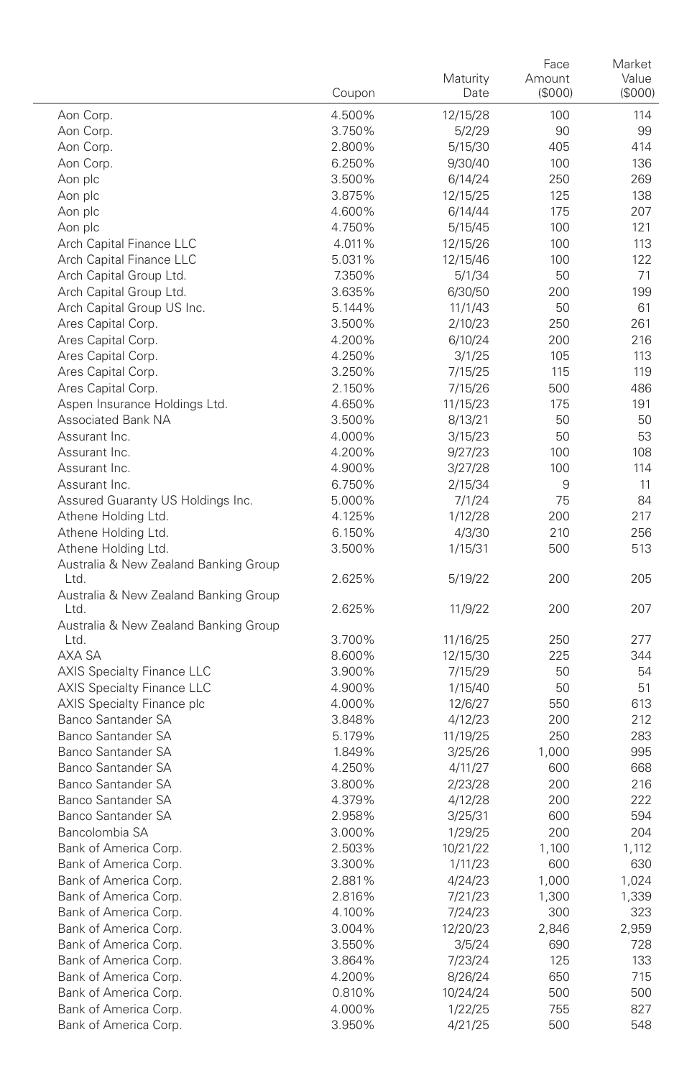|                                                              | Coupon           | Maturity<br>Date    | Face<br>Amount<br>(\$000) | Market<br>Value<br>(S000) |
|--------------------------------------------------------------|------------------|---------------------|---------------------------|---------------------------|
| Aon Corp.                                                    | 4.500%           | 12/15/28            | 100                       | 114                       |
| Aon Corp.                                                    | 3.750%           | 5/2/29              | 90                        | 99                        |
| Aon Corp.                                                    | 2.800%           | 5/15/30             | 405                       | 414                       |
| Aon Corp.                                                    | 6.250%           | 9/30/40             | 100                       | 136                       |
| Aon plc                                                      | 3.500%           | 6/14/24             | 250                       | 269                       |
| Aon plc                                                      | 3.875%           | 12/15/25            | 125                       | 138                       |
| Aon plc                                                      | 4.600%           | 6/14/44             | 175                       | 207                       |
| Aon plc                                                      | 4.750%           | 5/15/45             | 100                       | 121                       |
| Arch Capital Finance LLC                                     | 4.011%           | 12/15/26            | 100                       | 113                       |
| Arch Capital Finance LLC                                     | 5.031%           | 12/15/46            | 100                       | 122                       |
| Arch Capital Group Ltd.                                      | 7.350%           | 5/1/34              | 50                        | 71                        |
| Arch Capital Group Ltd.                                      | 3.635%           | 6/30/50             | 200                       | 199                       |
| Arch Capital Group US Inc.                                   | 5.144%           | 11/1/43             | 50                        | 61                        |
| Ares Capital Corp.                                           | 3.500%           | 2/10/23             | 250                       | 261                       |
| Ares Capital Corp.                                           | 4.200%           | 6/10/24             | 200                       | 216                       |
| Ares Capital Corp.                                           | 4.250%           | 3/1/25              | 105                       | 113                       |
| Ares Capital Corp.                                           | 3.250%           | 7/15/25             | 115                       | 119                       |
| Ares Capital Corp.                                           | 2.150%           | 7/15/26             | 500                       | 486                       |
| Aspen Insurance Holdings Ltd.                                | 4.650%           | 11/15/23            | 175                       | 191                       |
| <b>Associated Bank NA</b>                                    | 3.500%           | 8/13/21             | 50                        | 50                        |
| Assurant Inc.                                                | 4.000%           | 3/15/23             | 50                        | 53                        |
| Assurant Inc.                                                | 4.200%           | 9/27/23             | 100                       | 108                       |
| Assurant Inc.                                                | 4.900%           | 3/27/28             | 100                       | 114                       |
| Assurant Inc.                                                | 6.750%           | 2/15/34             | 9                         | 11                        |
| Assured Guaranty US Holdings Inc.                            | 5.000%           | 7/1/24              | 75                        | 84                        |
| Athene Holding Ltd.                                          | 4.125%           | 1/12/28             | 200                       | 217                       |
| Athene Holding Ltd.                                          | 6.150%           | 4/3/30              | 210                       | 256                       |
| Athene Holding Ltd.<br>Australia & New Zealand Banking Group | 3.500%           | 1/15/31             | 500                       | 513                       |
| Ltd.                                                         | 2.625%           | 5/19/22             | 200                       | 205                       |
| Australia & New Zealand Banking Group<br>Ltd.                | 2.625%           | 11/9/22             | 200                       | 207                       |
| Australia & New Zealand Banking Group                        |                  |                     |                           |                           |
| Ltd.                                                         | 3.700%           | 11/16/25            | 250                       | 277                       |
| AXA SA                                                       | 8.600%           | 12/15/30            | 225                       | 344                       |
| <b>AXIS Specialty Finance LLC</b>                            | 3.900%           | 7/15/29             | 50                        | 54                        |
| <b>AXIS Specialty Finance LLC</b>                            | 4.900%           | 1/15/40             | 50                        | 51                        |
| AXIS Specialty Finance plc<br>Banco Santander SA             | 4.000%           | 12/6/27             | 550                       | 613<br>212                |
| Banco Santander SA                                           | 3.848%<br>5.179% | 4/12/23             | 200<br>250                | 283                       |
| <b>Banco Santander SA</b>                                    | 1.849%           | 11/19/25<br>3/25/26 |                           | 995                       |
| Banco Santander SA                                           | 4.250%           | 4/11/27             | 1,000<br>600              | 668                       |
| <b>Banco Santander SA</b>                                    | 3.800%           |                     | 200                       | 216                       |
| Banco Santander SA                                           | 4.379%           | 2/23/28<br>4/12/28  | 200                       | 222                       |
| <b>Banco Santander SA</b>                                    | 2.958%           | 3/25/31             | 600                       | 594                       |
| Bancolombia SA                                               | 3.000%           | 1/29/25             | 200                       | 204                       |
| Bank of America Corp.                                        | 2.503%           | 10/21/22            | 1,100                     | 1,112                     |
| Bank of America Corp.                                        | 3.300%           | 1/11/23             | 600                       | 630                       |
| Bank of America Corp.                                        | 2.881%           | 4/24/23             | 1,000                     | 1,024                     |
| Bank of America Corp.                                        | 2.816%           | 7/21/23             | 1,300                     | 1,339                     |
| Bank of America Corp.                                        | 4.100%           | 7/24/23             | 300                       | 323                       |
| Bank of America Corp.                                        | 3.004%           | 12/20/23            | 2,846                     | 2,959                     |
| Bank of America Corp.                                        | 3.550%           | 3/5/24              | 690                       | 728                       |
| Bank of America Corp.                                        | 3.864%           | 7/23/24             | 125                       | 133                       |
| Bank of America Corp.                                        | 4.200%           | 8/26/24             | 650                       | 715                       |
| Bank of America Corp.                                        | 0.810%           | 10/24/24            | 500                       | 500                       |
| Bank of America Corp.                                        | 4.000%           | 1/22/25             | 755                       | 827                       |
| Bank of America Corp.                                        | 3.950%           | 4/21/25             | 500                       | 548                       |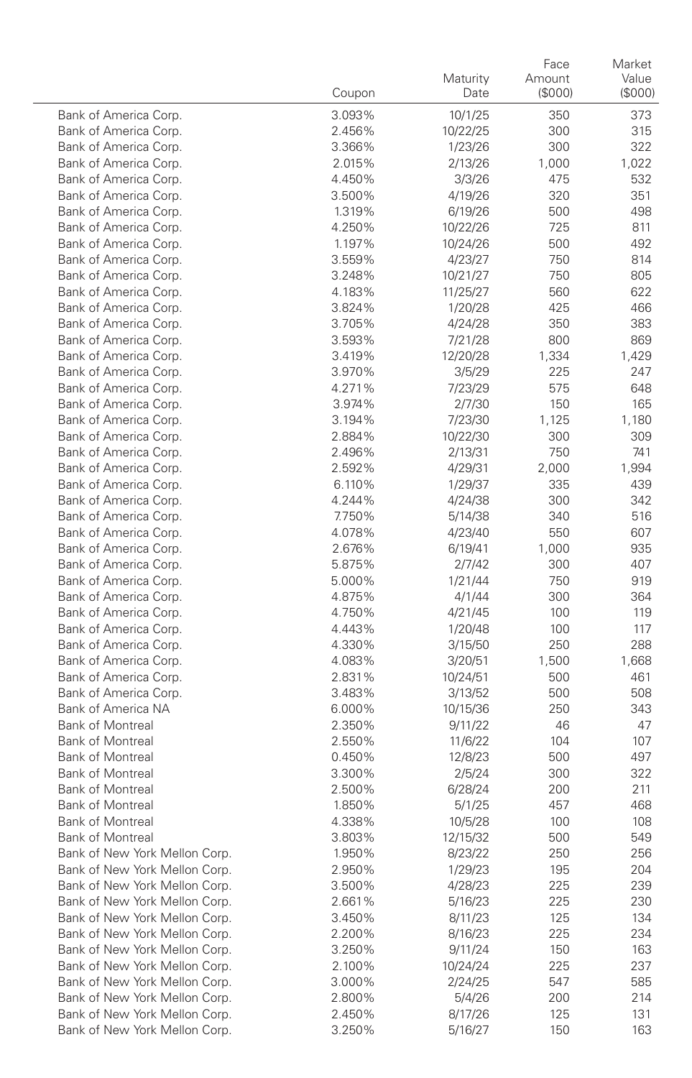|                                                | Coupon           | Maturity<br>Date    | Face<br>Amount<br>(\$000) | Market<br>Value<br>(\$000) |
|------------------------------------------------|------------------|---------------------|---------------------------|----------------------------|
| Bank of America Corp.                          | 3.093%           | 10/1/25             | 350                       | 373                        |
| Bank of America Corp.                          | 2.456%           | 10/22/25            | 300                       | 315                        |
| Bank of America Corp.                          | 3.366%           | 1/23/26             | 300                       | 322                        |
| Bank of America Corp.                          | 2.015%           | 2/13/26             | 1,000                     | 1,022                      |
| Bank of America Corp.                          | 4.450%           | 3/3/26              | 475                       | 532                        |
| Bank of America Corp.                          | 3.500%           | 4/19/26             | 320                       | 351                        |
| Bank of America Corp.                          | 1.319%           | 6/19/26             | 500                       | 498                        |
| Bank of America Corp.                          | 4.250%           | 10/22/26            | 725                       | 811                        |
| Bank of America Corp.                          | 1.197%           | 10/24/26            | 500                       | 492                        |
| Bank of America Corp.                          | 3.559%           | 4/23/27             | 750                       | 814                        |
| Bank of America Corp.                          | 3.248%           | 10/21/27            | 750                       | 805                        |
| Bank of America Corp.                          | 4.183%           | 11/25/27            | 560                       | 622                        |
| Bank of America Corp.                          | 3.824%           | 1/20/28             | 425                       | 466                        |
| Bank of America Corp.                          | 3.705%           | 4/24/28             | 350                       | 383                        |
| Bank of America Corp.                          | 3.593%           | 7/21/28             | 800                       | 869                        |
| Bank of America Corp.                          | 3.419%           | 12/20/28            | 1,334                     | 1,429                      |
| Bank of America Corp.                          | 3.970%           | 3/5/29              | 225                       | 247                        |
| Bank of America Corp.                          | 4.271%           | 7/23/29             | 575                       | 648                        |
| Bank of America Corp.                          | 3.974%           | 2/7/30              | 150                       | 165                        |
| Bank of America Corp.                          | 3.194%           | 7/23/30             | 1,125                     | 1,180                      |
| Bank of America Corp.                          | 2.884%           | 10/22/30            | 300                       | 309                        |
| Bank of America Corp.                          | 2.496%           | 2/13/31             | 750                       | 741                        |
| Bank of America Corp.                          | 2.592%           | 4/29/31             | 2,000                     | 1,994                      |
| Bank of America Corp.                          | 6.110%           | 1/29/37             | 335                       | 439                        |
| Bank of America Corp.                          | 4.244%           | 4/24/38             | 300                       | 342                        |
| Bank of America Corp.                          | 7.750%           | 5/14/38             | 340                       | 516                        |
| Bank of America Corp.                          | 4.078%           | 4/23/40             | 550                       | 607                        |
| Bank of America Corp.                          | 2.676%           | 6/19/41             | 1,000                     | 935                        |
| Bank of America Corp.                          | 5.875%           | 2/7/42              | 300                       | 407                        |
| Bank of America Corp.                          | 5.000%           | 1/21/44             | 750                       | 919                        |
| Bank of America Corp.                          | 4.875%           | 4/1/44              | 300                       | 364                        |
| Bank of America Corp.                          | 4.750%           | 4/21/45             | 100                       | 119                        |
| Bank of America Corp.                          | 4.443%           | 1/20/48             | 100                       | 117                        |
| Bank of America Corp.                          | 4.330%           | 3/15/50             | 250                       | 288                        |
| Bank of America Corp.                          | 4.083%           | 3/20/51             | 1,500                     | 1,668<br>461               |
| Bank of America Corp.<br>Bank of America Corp. | 2.831%<br>3.483% | 10/24/51            | 500                       | 508                        |
| Bank of America NA                             | 6.000%           | 3/13/52             | 500<br>250                | 343                        |
| <b>Bank of Montreal</b>                        | 2.350%           | 10/15/36<br>9/11/22 | 46                        | 47                         |
| <b>Bank of Montreal</b>                        | 2.550%           | 11/6/22             | 104                       | 107                        |
| <b>Bank of Montreal</b>                        | 0.450%           | 12/8/23             | 500                       | 497                        |
| <b>Bank of Montreal</b>                        | 3.300%           | 2/5/24              | 300                       | 322                        |
| <b>Bank of Montreal</b>                        | 2.500%           | 6/28/24             | 200                       | 211                        |
| <b>Bank of Montreal</b>                        | 1.850%           | 5/1/25              | 457                       | 468                        |
| <b>Bank of Montreal</b>                        | 4.338%           | 10/5/28             | 100                       | 108                        |
| <b>Bank of Montreal</b>                        | 3.803%           | 12/15/32            | 500                       | 549                        |
| Bank of New York Mellon Corp                   | 1.950%           | 8/23/22             | 250                       | 256                        |
| Bank of New York Mellon Corp.                  | 2.950%           | 1/29/23             | 195                       | 204                        |
| Bank of New York Mellon Corp.                  | 3.500%           | 4/28/23             | 225                       | 239                        |
| Bank of New York Mellon Corp.                  | 2.661%           | 5/16/23             | 225                       | 230                        |
| Bank of New York Mellon Corp.                  | 3.450%           | 8/11/23             | 125                       | 134                        |
| Bank of New York Mellon Corp.                  | 2.200%           | 8/16/23             | 225                       | 234                        |
| Bank of New York Mellon Corp.                  | 3.250%           | 9/11/24             | 150                       | 163                        |
| Bank of New York Mellon Corp.                  | 2.100%           | 10/24/24            | 225                       | 237                        |
| Bank of New York Mellon Corp.                  | 3.000%           | 2/24/25             | 547                       | 585                        |
| Bank of New York Mellon Corp.                  | 2.800%           | 5/4/26              | 200                       | 214                        |
| Bank of New York Mellon Corp.                  | 2.450%           | 8/17/26             | 125                       | 131                        |
| Bank of New York Mellon Corp.                  | 3.250%           | 5/16/27             | 150                       | 163                        |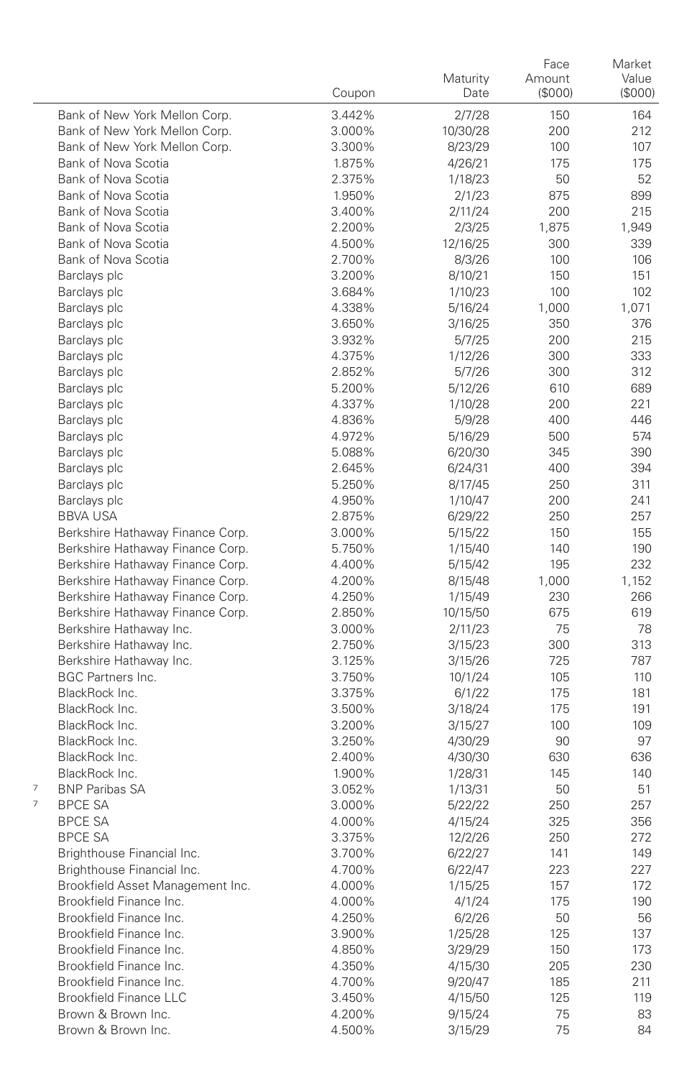|                                                                      | Coupon           | Maturity<br>Date    | Face<br>Amount<br>(\$000) | Market<br>Value<br>(\$000) |
|----------------------------------------------------------------------|------------------|---------------------|---------------------------|----------------------------|
| Bank of New York Mellon Corp.                                        | 3.442%           | 2/7/28              | 150                       | 164                        |
| Bank of New York Mellon Corp.                                        | 3.000%           | 10/30/28            | 200                       | 212                        |
| Bank of New York Mellon Corp.                                        | 3.300%           | 8/23/29             | 100                       | 107                        |
| Bank of Nova Scotia                                                  | 1.875%           | 4/26/21             | 175                       | 175                        |
| Bank of Nova Scotia                                                  | 2.375%           | 1/18/23             | 50                        | 52                         |
| Bank of Nova Scotia                                                  | 1.950%           | 2/1/23              | 875                       | 899                        |
| Bank of Nova Scotia                                                  | 3.400%           | 2/11/24             | 200                       | 215                        |
| Bank of Nova Scotia                                                  | 2.200%           | 2/3/25              | 1,875                     | 1,949                      |
| Bank of Nova Scotia                                                  | 4.500%           | 12/16/25            | 300                       | 339                        |
| Bank of Nova Scotia                                                  | 2.700%           | 8/3/26              | 100                       | 106                        |
| Barclays plc                                                         | 3.200%           | 8/10/21             | 150                       | 151                        |
| Barclays plc                                                         | 3.684%           | 1/10/23             | 100                       | 102                        |
| Barclays plc                                                         | 4.338%           | 5/16/24             | 1,000                     | 1,071                      |
| Barclays plc                                                         | 3.650%           | 3/16/25             | 350                       | 376                        |
| Barclays plc                                                         | 3.932%           | 5/7/25              | 200                       | 215                        |
| Barclays plc                                                         | 4.375%           | 1/12/26             | 300                       | 333                        |
| Barclays plc                                                         | 2.852%           | 5/7/26              | 300                       | 312                        |
| Barclays plc                                                         | 5.200%           | 5/12/26             | 610                       | 689                        |
| Barclays plc                                                         | 4.337%           | 1/10/28             | 200                       | 221                        |
| Barclays plc                                                         | 4.836%           | 5/9/28              | 400                       | 446                        |
| Barclays plc                                                         | 4.972%           | 5/16/29             | 500                       | 574                        |
| Barclays plc                                                         | 5.088%           | 6/20/30             | 345                       | 390                        |
| Barclays plc                                                         | 2.645%           | 6/24/31             | 400                       | 394                        |
| Barclays plc                                                         | 5.250%           | 8/17/45             | 250                       | 311                        |
| Barclays plc                                                         | 4.950%           | 1/10/47             | 200                       | 241                        |
| <b>BBVA USA</b>                                                      | 2.875%           | 6/29/22             | 250                       | 257                        |
| Berkshire Hathaway Finance Corp.                                     | 3.000%           | 5/15/22             | 150                       | 155                        |
| Berkshire Hathaway Finance Corp.<br>Berkshire Hathaway Finance Corp. | 5.750%           | 1/15/40             | 140                       | 190                        |
|                                                                      | 4.400%           | 5/15/42             | 195                       | 232                        |
| Berkshire Hathaway Finance Corp.<br>Berkshire Hathaway Finance Corp. | 4.200%<br>4.250% | 8/15/48             | 1,000<br>230              | 1,152<br>266               |
| Berkshire Hathaway Finance Corp.                                     | 2.850%           | 1/15/49             | 675                       | 619                        |
| Berkshire Hathaway Inc.                                              | 3.000%           | 10/15/50<br>2/11/23 | 75                        | 78                         |
| Berkshire Hathaway Inc.                                              | 2.750%           | 3/15/23             | 300                       | 313                        |
| Berkshire Hathaway Inc.                                              | 3.125%           | 3/15/26             | 725                       | 787                        |
| <b>BGC Partners Inc.</b>                                             | 3.750%           | 10/1/24             | 105                       | 110                        |
| BlackRock Inc.                                                       | 3.375%           | 6/1/22              | 175                       | 181                        |
| BlackRock Inc.                                                       | 3.500%           | 3/18/24             | 175                       | 191                        |
| BlackRock Inc.                                                       | 3.200%           | 3/15/27             | 100                       | 109                        |
| BlackRock Inc.                                                       | 3.250%           | 4/30/29             | 90                        | 97                         |
| BlackRock Inc.                                                       | 2.400%           | 4/30/30             | 630                       | 636                        |
| BlackRock Inc.                                                       | 1.900%           | 1/28/31             | 145                       | 140                        |
| 7<br><b>BNP Paribas SA</b>                                           | 3.052%           | 1/13/31             | 50                        | 51                         |
| 7<br><b>BPCE SA</b>                                                  | 3.000%           | 5/22/22             | 250                       | 257                        |
| <b>BPCE SA</b>                                                       | 4.000%           | 4/15/24             | 325                       | 356                        |
| <b>BPCE SA</b>                                                       | 3.375%           | 12/2/26             | 250                       | 272                        |
| Brighthouse Financial Inc                                            | 3.700%           | 6/22/27             | 141                       | 149                        |
| Brighthouse Financial Inc.                                           | 4.700%           | 6/22/47             | 223                       | 227                        |
| Brookfield Asset Management Inc.                                     | 4.000%           | 1/15/25             | 157                       | 172                        |
| Brookfield Finance Inc.                                              | 4.000%           | 4/1/24              | 175                       | 190                        |
| Brookfield Finance Inc.                                              | 4.250%           | 6/2/26              | 50                        | 56                         |
| Brookfield Finance Inc.                                              | 3.900%           | 1/25/28             | 125                       | 137                        |
| Brookfield Finance Inc.                                              | 4.850%           | 3/29/29             | 150                       | 173                        |
| Brookfield Finance Inc.                                              | 4.350%           | 4/15/30             | 205                       | 230                        |
| Brookfield Finance Inc.                                              | 4.700%           | 9/20/47             | 185                       | 211                        |
| <b>Brookfield Finance LLC</b>                                        | 3.450%           | 4/15/50             | 125                       | 119                        |
| Brown & Brown Inc.                                                   | 4.200%           | 9/15/24             | 75                        | 83                         |
| Brown & Brown Inc.                                                   | 4.500%           | 3/15/29             | 75                        | 84                         |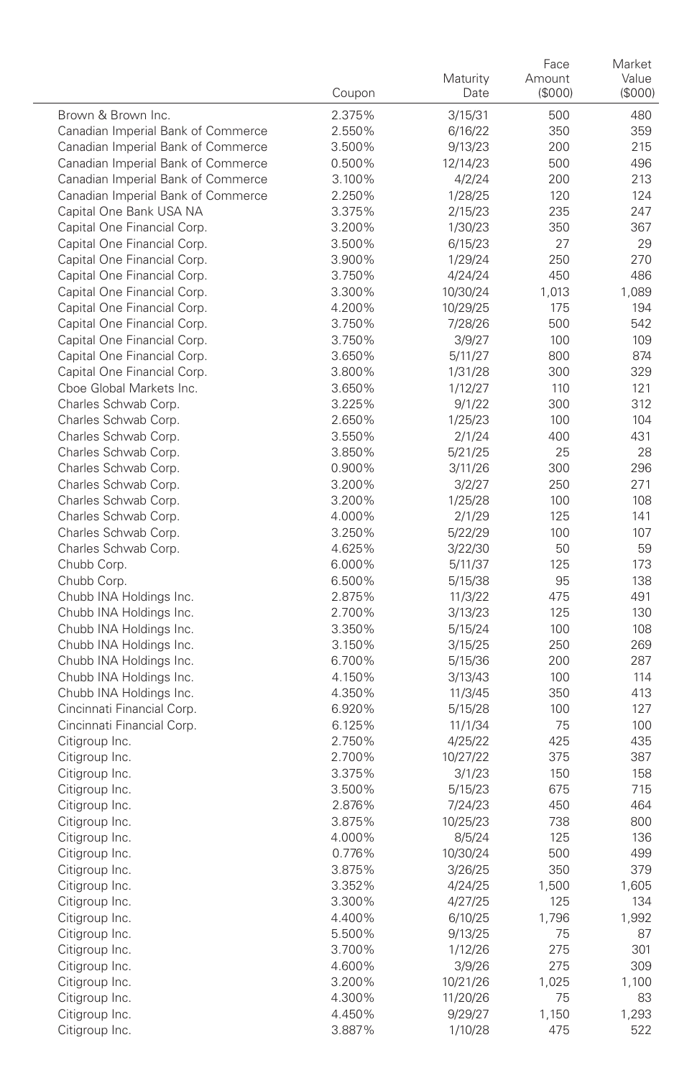|                                                            | Coupon           | Maturity<br>Date   | Face<br>Amount<br>(\$000) | Market<br>Value<br>(\$000) |
|------------------------------------------------------------|------------------|--------------------|---------------------------|----------------------------|
| Brown & Brown Inc.                                         | 2.375%           | 3/15/31            | 500                       | 480                        |
| Canadian Imperial Bank of Commerce                         | 2.550%           | 6/16/22            | 350                       | 359                        |
| Canadian Imperial Bank of Commerce                         | 3.500%           | 9/13/23            | 200                       | 215                        |
| Canadian Imperial Bank of Commerce                         | 0.500%           | 12/14/23           | 500                       | 496                        |
| Canadian Imperial Bank of Commerce                         | 3.100%           | 4/2/24             | 200                       | 213                        |
| Canadian Imperial Bank of Commerce                         | 2.250%           | 1/28/25            | 120                       | 124                        |
| Capital One Bank USA NA                                    | 3.375%           | 2/15/23            | 235                       | 247                        |
| Capital One Financial Corp.                                | 3.200%           | 1/30/23            | 350                       | 367                        |
| Capital One Financial Corp.                                | 3.500%           | 6/15/23            | 27                        | 29                         |
| Capital One Financial Corp.                                | 3.900%           | 1/29/24            | 250                       | 270                        |
| Capital One Financial Corp.                                | 3.750%           | 4/24/24            | 450                       | 486                        |
| Capital One Financial Corp.                                | 3.300%           | 10/30/24           | 1,013                     | 1,089                      |
| Capital One Financial Corp.                                | 4.200%           | 10/29/25           | 175                       | 194                        |
| Capital One Financial Corp.                                | 3.750%           | 7/28/26            | 500                       | 542                        |
| Capital One Financial Corp.                                | 3.750%           | 3/9/27             | 100                       | 109                        |
| Capital One Financial Corp.<br>Capital One Financial Corp. | 3.650%<br>3.800% | 5/11/27<br>1/31/28 | 800<br>300                | 874<br>329                 |
| Cboe Global Markets Inc.                                   | 3.650%           | 1/12/27            | 110                       | 121                        |
| Charles Schwab Corp.                                       | 3.225%           | 9/1/22             | 300                       | 312                        |
| Charles Schwab Corp.                                       | 2.650%           | 1/25/23            | 100                       | 104                        |
| Charles Schwab Corp.                                       | 3.550%           | 2/1/24             | 400                       | 431                        |
| Charles Schwab Corp.                                       | 3.850%           | 5/21/25            | 25                        | 28                         |
| Charles Schwab Corp.                                       | 0.900%           | 3/11/26            | 300                       | 296                        |
| Charles Schwab Corp.                                       | 3.200%           | 3/2/27             | 250                       | 271                        |
| Charles Schwab Corp.                                       | 3.200%           | 1/25/28            | 100                       | 108                        |
| Charles Schwab Corp.                                       | 4.000%           | 2/1/29             | 125                       | 141                        |
| Charles Schwab Corp.                                       | 3.250%           | 5/22/29            | 100                       | 107                        |
| Charles Schwab Corp.                                       | 4.625%           | 3/22/30            | 50                        | 59                         |
| Chubb Corp.                                                | 6.000%           | 5/11/37            | 125                       | 173                        |
| Chubb Corp.                                                | 6.500%           | 5/15/38            | 95                        | 138                        |
| Chubb INA Holdings Inc.                                    | 2.875%           | 11/3/22            | 475                       | 491                        |
| Chubb INA Holdings Inc.                                    | 2.700%           | 3/13/23            | 125                       | 130                        |
| Chubb INA Holdings Inc.                                    | 3.350%           | 5/15/24            | 100                       | 108                        |
| Chubb INA Holdings Inc.                                    | 3.150%           | 3/15/25            | 250                       | 269                        |
| Chubb INA Holdings Inc.                                    | 6.700%           | 5/15/36            | 200                       | 287                        |
| Chubb INA Holdings Inc.                                    | 4.150%           | 3/13/43            | 100                       | 114                        |
| Chubb INA Holdings Inc.                                    | 4.350%           | 11/3/45            | 350                       | 413                        |
| Cincinnati Financial Corp.<br>Cincinnati Financial Corp.   | 6.920%<br>6.125% | 5/15/28            | 100<br>75                 | 127<br>100                 |
| Citigroup Inc.                                             | 2.750%           | 11/1/34<br>4/25/22 | 425                       | 435                        |
| Citigroup Inc.                                             | 2.700%           | 10/27/22           | 375                       | 387                        |
| Citigroup Inc.                                             | 3.375%           | 3/1/23             | 150                       | 158                        |
| Citigroup Inc.                                             | 3.500%           | 5/15/23            | 675                       | 715                        |
| Citigroup Inc.                                             | 2.876%           | 7/24/23            | 450                       | 464                        |
| Citigroup Inc.                                             | 3.875%           | 10/25/23           | 738                       | 800                        |
| Citigroup Inc.                                             | 4.000%           | 8/5/24             | 125                       | 136                        |
| Citigroup Inc.                                             | 0.776%           | 10/30/24           | 500                       | 499                        |
| Citigroup Inc.                                             | 3.875%           | 3/26/25            | 350                       | 379                        |
| Citigroup Inc.                                             | 3.352%           | 4/24/25            | 1,500                     | 1,605                      |
| Citigroup Inc.                                             | 3.300%           | 4/27/25            | 125                       | 134                        |
| Citigroup Inc.                                             | 4.400%           | 6/10/25            | 1,796                     | 1,992                      |
| Citigroup Inc.                                             | 5.500%           | 9/13/25            | 75                        | 87                         |
| Citigroup Inc.                                             | 3.700%           | 1/12/26            | 275                       | 301                        |
| Citigroup Inc.                                             | 4.600%           | 3/9/26             | 275                       | 309                        |
| Citigroup Inc.                                             | 3.200%           | 10/21/26           | 1,025                     | 1,100                      |
| Citigroup Inc.                                             | 4.300%           | 11/20/26           | 75                        | 83                         |
| Citigroup Inc.                                             | 4.450%           | 9/29/27            | 1,150                     | 1,293                      |
| Citigroup Inc.                                             | 3.887%           | 1/10/28            | 475                       | 522                        |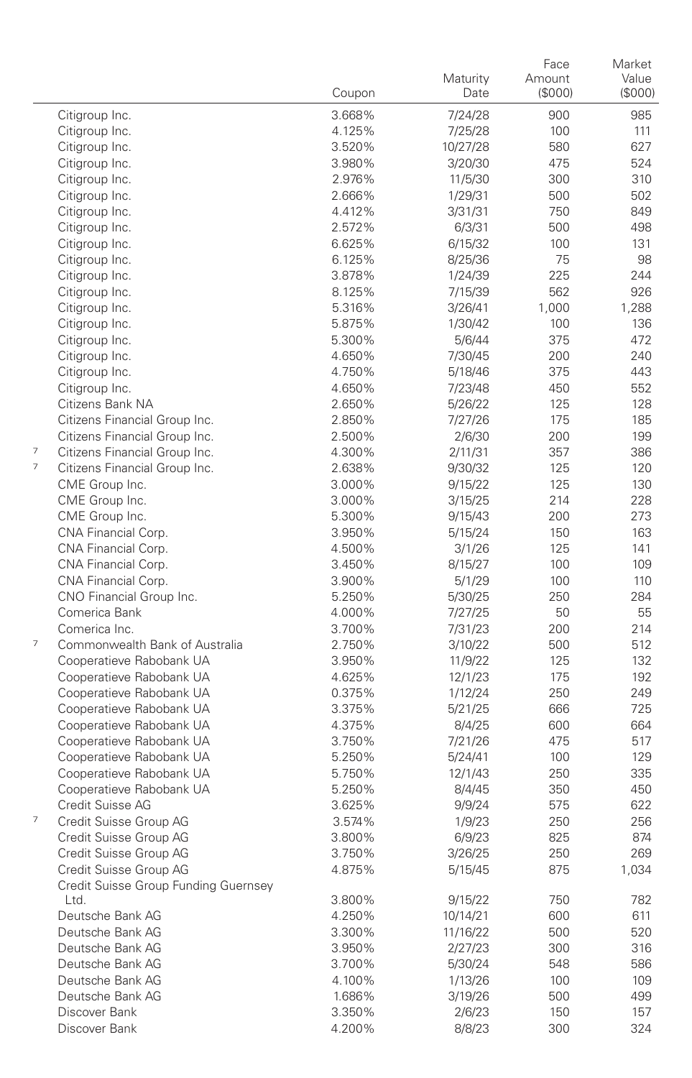|                          |                                      |                  | Maturity | Face<br>Amount | Market<br>Value |
|--------------------------|--------------------------------------|------------------|----------|----------------|-----------------|
|                          |                                      | Coupon           | Date     | (\$000)        | $($ \$000 $)$   |
|                          | Citigroup Inc.                       | 3.668%           | 7/24/28  | 900            | 985             |
|                          | Citigroup Inc.                       | 4.125%           | 7/25/28  | 100            | 111             |
|                          | Citigroup Inc.                       | 3.520%           | 10/27/28 | 580            | 627             |
|                          | Citigroup Inc.                       | 3.980%           | 3/20/30  | 475            | 524             |
|                          | Citigroup Inc.                       | 2.976%           | 11/5/30  | 300            | 310             |
|                          | Citigroup Inc.                       | 2.666%           | 1/29/31  | 500            | 502             |
|                          | Citigroup Inc.                       | 4.412%           | 3/31/31  | 750            | 849             |
|                          | Citigroup Inc.                       | 2.572%           | 6/3/31   | 500            | 498             |
|                          | Citigroup Inc.                       | 6.625%           | 6/15/32  | 100            | 131             |
|                          | Citigroup Inc.                       | 6.125%           | 8/25/36  | 75             | 98              |
|                          | Citigroup Inc.                       | 3.878%           | 1/24/39  | 225            | 244             |
|                          | Citigroup Inc.                       | 8.125%           | 7/15/39  | 562            | 926             |
|                          | Citigroup Inc.                       | 5.316%           | 3/26/41  | 1,000          | 1.288           |
|                          | Citigroup Inc.                       | 5.875%           | 1/30/42  | 100            | 136             |
|                          | Citigroup Inc.                       | 5.300%           | 5/6/44   | 375            | 472             |
|                          | Citigroup Inc.                       | 4.650%           | 7/30/45  | 200            | 240             |
|                          | Citigroup Inc.                       | 4.750%           | 5/18/46  | 375            | 443             |
|                          | Citigroup Inc.                       | 4.650%           | 7/23/48  | 450            | 552             |
|                          | Citizens Bank NA                     | 2.650%           | 5/26/22  | 125            | 128             |
|                          | Citizens Financial Group Inc.        | 2.850%           | 7/27/26  | 175            | 185             |
|                          | Citizens Financial Group Inc.        | 2.500%           | 2/6/30   | 200            | 199             |
| $\overline{\phantom{a}}$ | Citizens Financial Group Inc.        | 4.300%           | 2/11/31  | 357            | 386             |
| $\overline{7}$           | Citizens Financial Group Inc.        | 2.638%           |          | 125            | 120             |
|                          | CME Group Inc.                       | 3.000%           | 9/30/32  | 125            | 130             |
|                          |                                      |                  | 9/15/22  | 214            |                 |
|                          | CME Group Inc.                       | 3.000%<br>5.300% | 3/15/25  |                | 228             |
|                          | CME Group Inc.                       |                  | 9/15/43  | 200            | 273             |
|                          | CNA Financial Corp.                  | 3.950%           | 5/15/24  | 150            | 163             |
|                          | CNA Financial Corp.                  | 4.500%           | 3/1/26   | 125            | 141             |
|                          | CNA Financial Corp.                  | 3.450%           | 8/15/27  | 100            | 109             |
|                          | CNA Financial Corp.                  | 3.900%           | 5/1/29   | 100            | 110             |
|                          | CNO Financial Group Inc.             | 5.250%           | 5/30/25  | 250            | 284             |
|                          | Comerica Bank                        | 4.000%           | 7/27/25  | 50             | 55              |
| $\overline{7}$           | Comerica Inc.                        | 3.700%           | 7/31/23  | 200            | 214             |
|                          | Commonwealth Bank of Australia       | 2.750%           | 3/10/22  | 500            | 512             |
|                          | Cooperatieve Rabobank UA             | 3.950%           | 11/9/22  | 125            | 132             |
|                          | Cooperatieve Rabobank UA             | 4.625%           | 12/1/23  | 175            | 192             |
|                          | Cooperatieve Rabobank UA             | 0.375%           | 1/12/24  | 250            | 249             |
|                          | Cooperatieve Rabobank UA             | 3.375%           | 5/21/25  | 666            | 725             |
|                          | Cooperatieve Rabobank UA             | 4.375%           | 8/4/25   | 600            | 664             |
|                          | Cooperatieve Rabobank UA             | 3.750%           | 7/21/26  | 475            | 517             |
|                          | Cooperatieve Rabobank UA             | 5.250%           | 5/24/41  | 100            | 129             |
|                          | Cooperatieve Rabobank UA             | 5.750%           | 12/1/43  | 250            | 335             |
|                          | Cooperatieve Rabobank UA             | 5.250%           | 8/4/45   | 350            | 450             |
|                          | Credit Suisse AG                     | 3.625%           | 9/9/24   | 575            | 622             |
| $\overline{\phantom{a}}$ | Credit Suisse Group AG               | 3.574%           | 1/9/23   | 250            | 256             |
|                          | Credit Suisse Group AG               | 3.800%           | 6/9/23   | 825            | 874             |
|                          | Credit Suisse Group AG               | 3.750%           | 3/26/25  | 250            | 269             |
|                          | Credit Suisse Group AG               | 4.875%           | 5/15/45  | 875            | 1,034           |
|                          | Credit Suisse Group Funding Guernsey |                  |          |                |                 |
|                          | Ltd.                                 | 3.800%           | 9/15/22  | 750            | 782             |
|                          | Deutsche Bank AG                     | 4.250%           | 10/14/21 | 600            | 611             |
|                          | Deutsche Bank AG                     | 3.300%           | 11/16/22 | 500            | 520             |
|                          | Deutsche Bank AG                     | 3.950%           | 2/27/23  | 300            | 316             |
|                          | Deutsche Bank AG                     | 3.700%           | 5/30/24  | 548            | 586             |
|                          | Deutsche Bank AG                     | 4.100%           | 1/13/26  | 100            | 109             |
|                          | Deutsche Bank AG                     | 1.686%           | 3/19/26  | 500            | 499             |
|                          | Discover Bank                        | 3.350%           | 2/6/23   | 150            | 157             |
|                          | Discover Bank                        | 4.200%           | 8/8/23   | 300            | 324             |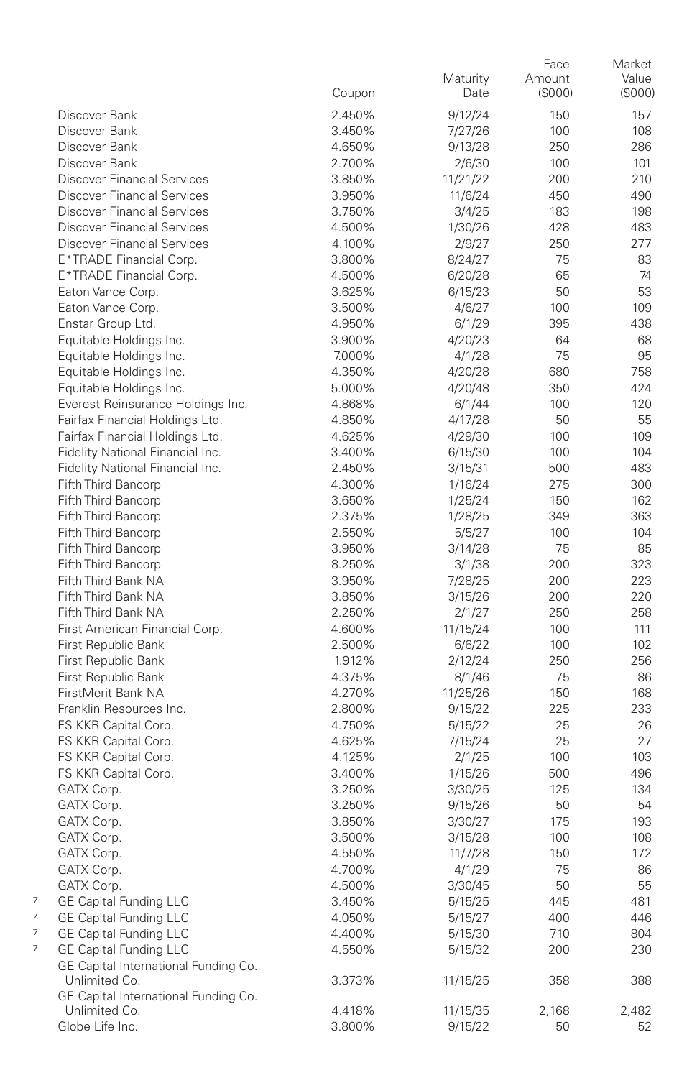|                                      | Coupon | Maturity<br>Date | Face<br>Amount<br>(\$000) | Market<br>Value<br>(\$000) |
|--------------------------------------|--------|------------------|---------------------------|----------------------------|
| Discover Bank                        | 2.450% | 9/12/24          | 150                       | 157                        |
| Discover Bank                        | 3.450% | 7/27/26          | 100                       | 108                        |
| Discover Bank                        | 4.650% | 9/13/28          | 250                       | 286                        |
| Discover Bank                        | 2.700% | 2/6/30           | 100                       | 101                        |
| <b>Discover Financial Services</b>   | 3.850% | 11/21/22         | 200                       | 210                        |
| <b>Discover Financial Services</b>   | 3.950% | 11/6/24          | 450                       | 490                        |
| <b>Discover Financial Services</b>   | 3.750% | 3/4/25           | 183                       | 198                        |
| <b>Discover Financial Services</b>   | 4.500% | 1/30/26          | 428                       | 483                        |
| <b>Discover Financial Services</b>   | 4.100% | 2/9/27           | 250                       | 277                        |
| E*TRADE Financial Corp.              | 3.800% | 8/24/27          | 75                        | 83                         |
| E*TRADE Financial Corp.              | 4.500% | 6/20/28          | 65                        | 74                         |
| Eaton Vance Corp.                    | 3.625% | 6/15/23          | 50                        | 53                         |
| Eaton Vance Corp.                    | 3.500% | 4/6/27           | 100                       | 109                        |
| Enstar Group Ltd.                    | 4.950% | 6/1/29           | 395                       | 438                        |
| Equitable Holdings Inc.              | 3.900% | 4/20/23          | 64                        | 68                         |
| Equitable Holdings Inc.              | 7.000% | 4/1/28           | 75                        | 95                         |
| Equitable Holdings Inc.              | 4.350% | 4/20/28          | 680                       | 758                        |
| Equitable Holdings Inc.              | 5.000% | 4/20/48          | 350                       | 424                        |
| Everest Reinsurance Holdings Inc.    | 4.868% | 6/1/44           | 100                       | 120                        |
| Fairfax Financial Holdings Ltd.      | 4.850% | 4/17/28          | 50                        | 55                         |
| Fairfax Financial Holdings Ltd.      | 4.625% | 4/29/30          | 100                       | 109                        |
| Fidelity National Financial Inc.     | 3.400% | 6/15/30          | 100                       | 104                        |
| Fidelity National Financial Inc.     | 2.450% | 3/15/31          | 500                       | 483                        |
| Fifth Third Bancorp                  | 4.300% | 1/16/24          | 275                       | 300                        |
| Fifth Third Bancorp                  | 3.650% | 1/25/24          | 150                       | 162                        |
| Fifth Third Bancorp                  | 2.375% | 1/28/25          | 349                       | 363                        |
| Fifth Third Bancorp                  | 2.550% | 5/5/27           | 100                       | 104                        |
| Fifth Third Bancorp                  | 3.950% | 3/14/28          | 75                        | 85                         |
| Fifth Third Bancorp                  | 8.250% | 3/1/38           | 200                       | 323                        |
| Fifth Third Bank NA                  | 3.950% | 7/28/25          | 200                       | 223                        |
| Fifth Third Bank NA                  | 3.850% | 3/15/26          | 200                       | 220                        |
| Fifth Third Bank NA                  | 2.250% | 2/1/27           | 250                       | 258                        |
| First American Financial Corp.       | 4.600% | 11/15/24         | 100                       | 111                        |
| First Republic Bank                  | 2.500% | 6/6/22           | 100                       | 102                        |
| First Republic Bank                  | 1.912% | 2/12/24          | 250                       | 256                        |
| First Republic Bank                  | 4.375% | 8/1/46           | 75                        | 86                         |
| FirstMerit Bank NA                   | 4.270% | 11/25/26         | 150                       | 168                        |
| Franklin Resources Inc.              | 2.800% | 9/15/22          | 225                       | 233                        |
| FS KKR Capital Corp.                 | 4.750% | 5/15/22          | 25                        | 26                         |
| FS KKR Capital Corp.                 | 4.625% | 7/15/24          | 25                        | 27                         |
| FS KKR Capital Corp.                 | 4.125% | 2/1/25           | 100                       | 103                        |
| FS KKR Capital Corp.                 | 3.400% | 1/15/26          | 500                       | 496                        |
| GATX Corp.                           | 3.250% | 3/30/25          | 125                       | 134                        |
| GATX Corp.                           | 3.250% | 9/15/26          | 50                        | 54                         |
| GATX Corp.                           | 3.850% | 3/30/27          | 175                       | 193                        |
| GATX Corp.                           | 3.500% | 3/15/28          | 100                       | 108                        |
| GATX Corp.                           | 4.550% | 11/7/28          | 150                       | 172                        |
| GATX Corp.                           | 4.700% | 4/1/29           | 75                        | 86                         |
| GATX Corp.                           | 4.500% | 3/30/45          | 50                        | 55                         |
| 7<br><b>GE Capital Funding LLC</b>   | 3.450% | 5/15/25          | 445                       | 481                        |
| 7<br><b>GE Capital Funding LLC</b>   | 4.050% | 5/15/27          | 400                       | 446                        |
| 7<br><b>GE Capital Funding LLC</b>   | 4.400% | 5/15/30          | 710                       | 804                        |
| 7<br><b>GE Capital Funding LLC</b>   | 4.550% | 5/15/32          | 200                       | 230                        |
| GE Capital International Funding Co. |        |                  |                           |                            |
| Unlimited Co.                        | 3.373% | 11/15/25         | 358                       | 388                        |
| GE Capital International Funding Co. |        |                  |                           |                            |
| Unlimited Co.                        | 4.418% | 11/15/35         | 2,168                     | 2,482                      |
| Globe Life Inc.                      | 3.800% | 9/15/22          | 50                        | 52                         |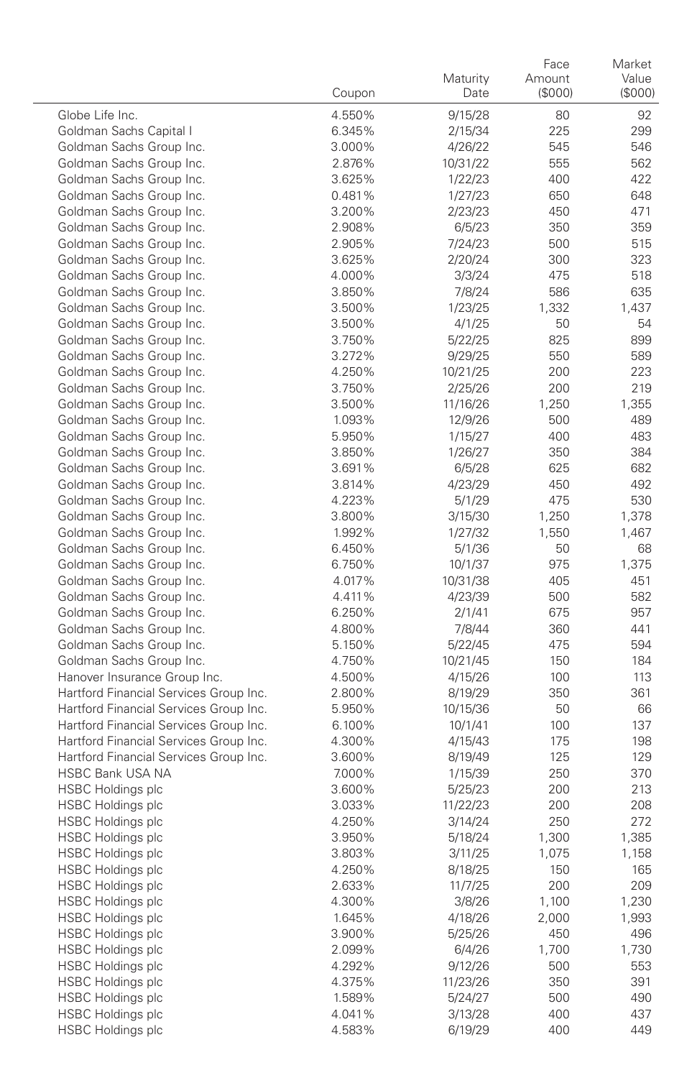|                                                                                  | Coupon           | Maturity<br>Date   | Face<br>Amount<br>(\$000) | Market<br>Value<br>$($ \$000 $)$ |
|----------------------------------------------------------------------------------|------------------|--------------------|---------------------------|----------------------------------|
| Globe Life Inc.                                                                  | 4.550%           | 9/15/28            | 80                        | 92                               |
| Goldman Sachs Capital I                                                          | 6.345%           | 2/15/34            | 225                       | 299                              |
| Goldman Sachs Group Inc.                                                         | 3.000%           | 4/26/22            | 545                       | 546                              |
| Goldman Sachs Group Inc.                                                         | 2.876%           | 10/31/22           | 555                       | 562                              |
| Goldman Sachs Group Inc.                                                         | 3.625%           | 1/22/23            | 400                       | 422                              |
| Goldman Sachs Group Inc.                                                         | 0.481%           | 1/27/23            | 650                       | 648                              |
| Goldman Sachs Group Inc.                                                         | 3.200%           | 2/23/23            | 450                       | 471                              |
| Goldman Sachs Group Inc.                                                         | 2.908%           | 6/5/23             | 350                       | 359                              |
| Goldman Sachs Group Inc.                                                         | 2.905%           | 7/24/23            | 500                       | 515                              |
| Goldman Sachs Group Inc.                                                         | 3.625%           | 2/20/24            | 300                       | 323                              |
| Goldman Sachs Group Inc.                                                         | 4.000%           | 3/3/24             | 475                       | 518                              |
| Goldman Sachs Group Inc.                                                         | 3.850%           | 7/8/24             | 586                       | 635                              |
| Goldman Sachs Group Inc.                                                         | 3.500%           | 1/23/25            | 1,332                     | 1,437                            |
| Goldman Sachs Group Inc.                                                         | 3.500%           | 4/1/25             | 50                        | 54                               |
| Goldman Sachs Group Inc.                                                         | 3.750%           | 5/22/25            | 825                       | 899                              |
| Goldman Sachs Group Inc.                                                         | 3.272%           | 9/29/25            | 550                       | 589                              |
| Goldman Sachs Group Inc.                                                         | 4.250%           | 10/21/25           | 200                       | 223                              |
| Goldman Sachs Group Inc.                                                         | 3.750%           | 2/25/26            | 200                       | 219                              |
| Goldman Sachs Group Inc.                                                         | 3.500%           | 11/16/26           | 1,250                     | 1,355                            |
| Goldman Sachs Group Inc.                                                         | 1.093%           | 12/9/26            | 500                       | 489                              |
| Goldman Sachs Group Inc.                                                         | 5.950%           | 1/15/27            | 400                       | 483                              |
| Goldman Sachs Group Inc.                                                         | 3.850%           | 1/26/27            | 350                       | 384                              |
| Goldman Sachs Group Inc.                                                         | 3.691%           | 6/5/28             | 625                       | 682                              |
| Goldman Sachs Group Inc.                                                         | 3.814%           | 4/23/29            | 450                       | 492                              |
| Goldman Sachs Group Inc.                                                         | 4.223%           | 5/1/29             | 475                       | 530                              |
| Goldman Sachs Group Inc.                                                         | 3.800%           | 3/15/30            | 1,250                     | 1,378                            |
| Goldman Sachs Group Inc.                                                         | 1.992%           | 1/27/32            | 1,550                     | 1,467                            |
| Goldman Sachs Group Inc.                                                         | 6.450%           | 5/1/36             | 50                        | 68                               |
| Goldman Sachs Group Inc.                                                         | 6.750%           | 10/1/37            | 975                       | 1,375                            |
| Goldman Sachs Group Inc.                                                         | 4.017%           | 10/31/38           | 405                       | 451                              |
| Goldman Sachs Group Inc.                                                         | 4.411%           | 4/23/39            | 500                       | 582                              |
| Goldman Sachs Group Inc.                                                         | 6.250%           | 2/1/41             | 675                       | 957                              |
| Goldman Sachs Group Inc.                                                         | 4.800%           | 7/8/44             | 360                       | 441                              |
| Goldman Sachs Group Inc.                                                         | 5.150%           | 5/22/45            | 475                       | 594                              |
| Goldman Sachs Group Inc.                                                         | 4.750%           | 10/21/45           | 150                       | 184                              |
| Hanover Insurance Group Inc.                                                     | 4.500%           | 4/15/26            | 100                       | 113                              |
| Hartford Financial Services Group Inc.                                           | 2.800%           | 8/19/29            | 350                       | 361                              |
| Hartford Financial Services Group Inc.                                           | 5.950%           | 10/15/36           | 50                        | 66                               |
| Hartford Financial Services Group Inc.                                           | 6.100%           | 10/1/41            | 100                       | 137                              |
| Hartford Financial Services Group Inc.<br>Hartford Financial Services Group Inc. | 4.300%           | 4/15/43            | 175                       | 198                              |
| <b>HSBC Bank USA NA</b>                                                          | 3.600%<br>7.000% | 8/19/49<br>1/15/39 | 125<br>250                | 129<br>370                       |
| <b>HSBC Holdings plc</b>                                                         | 3.600%           | 5/25/23            | 200                       | 213                              |
| <b>HSBC Holdings plc</b>                                                         | 3.033%           | 11/22/23           | 200                       | 208                              |
| <b>HSBC Holdings plc</b>                                                         | 4.250%           | 3/14/24            | 250                       | 272                              |
| <b>HSBC Holdings plc</b>                                                         | 3.950%           | 5/18/24            | 1,300                     | 1,385                            |
| <b>HSBC Holdings plc</b>                                                         | 3.803%           | 3/11/25            | 1,075                     | 1,158                            |
| <b>HSBC Holdings plc</b>                                                         | 4.250%           | 8/18/25            | 150                       | 165                              |
| <b>HSBC Holdings plc</b>                                                         | 2.633%           | 11/7/25            | 200                       | 209                              |
| <b>HSBC Holdings plc</b>                                                         | 4.300%           | 3/8/26             | 1,100                     | 1,230                            |
| <b>HSBC Holdings plc</b>                                                         | 1.645%           | 4/18/26            | 2,000                     | 1,993                            |
| <b>HSBC Holdings plc</b>                                                         | 3.900%           | 5/25/26            | 450                       | 496                              |
| <b>HSBC Holdings plc</b>                                                         | 2.099%           | 6/4/26             | 1,700                     | 1,730                            |
| <b>HSBC Holdings plc</b>                                                         | 4.292%           | 9/12/26            | 500                       | 553                              |
| <b>HSBC Holdings plc</b>                                                         | 4.375%           | 11/23/26           | 350                       | 391                              |
| <b>HSBC Holdings plc</b>                                                         | 1.589%           | 5/24/27            | 500                       | 490                              |
| <b>HSBC Holdings plc</b>                                                         | 4.041%           | 3/13/28            | 400                       | 437                              |
| <b>HSBC Holdings plc</b>                                                         | 4.583%           | 6/19/29            | 400                       | 449                              |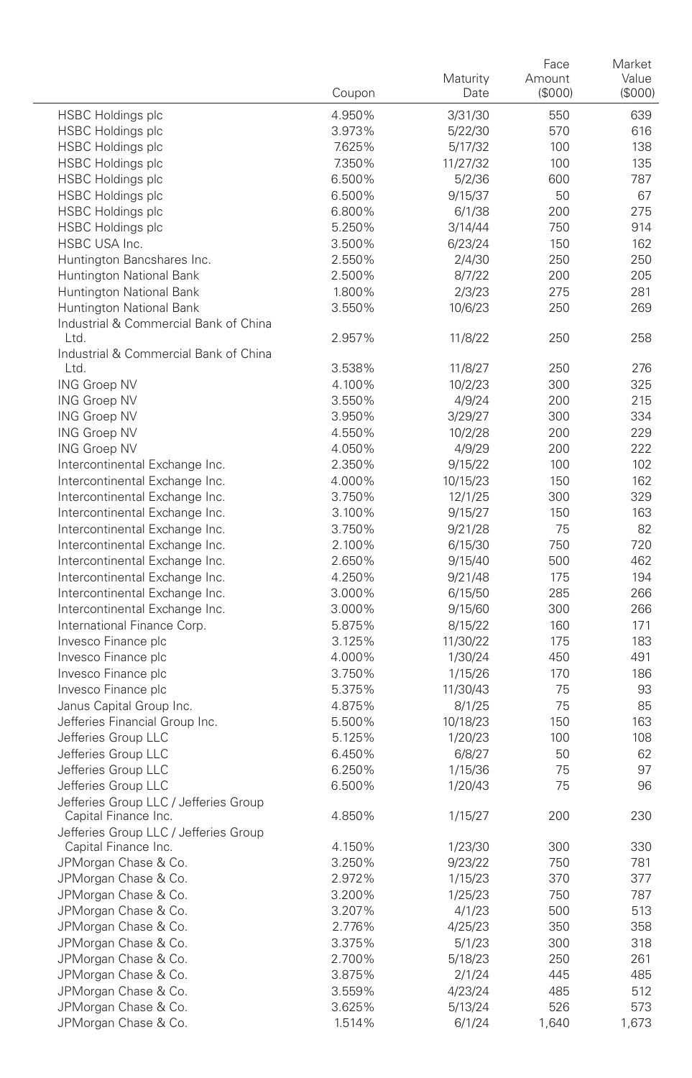|                                               | Coupon | Maturity<br>Date | Face<br>Amount<br>(\$000) | Market<br>Value<br>(S000) |
|-----------------------------------------------|--------|------------------|---------------------------|---------------------------|
| <b>HSBC Holdings plc</b>                      | 4.950% | 3/31/30          | 550                       | 639                       |
| <b>HSBC Holdings plc</b>                      | 3.973% | 5/22/30          | 570                       | 616                       |
| <b>HSBC Holdings plc</b>                      | 7.625% | 5/17/32          | 100                       | 138                       |
| <b>HSBC Holdings plc</b>                      | 7.350% | 11/27/32         | 100                       | 135                       |
| <b>HSBC Holdings plc</b>                      | 6.500% | 5/2/36           | 600                       | 787                       |
| <b>HSBC Holdings plc</b>                      | 6.500% | 9/15/37          | 50                        | 67                        |
| <b>HSBC Holdings plc</b>                      | 6.800% | 6/1/38           | 200                       | 275                       |
| <b>HSBC Holdings plc</b>                      | 5.250% | 3/14/44          | 750                       | 914                       |
| HSBC USA Inc.                                 | 3.500% | 6/23/24          | 150                       | 162                       |
| Huntington Bancshares Inc.                    | 2.550% | 2/4/30           | 250                       | 250                       |
| Huntington National Bank                      | 2.500% | 8/7/22           | 200                       | 205                       |
| Huntington National Bank                      | 1.800% | 2/3/23           | 275                       | 281                       |
| Huntington National Bank                      | 3.550% | 10/6/23          | 250                       | 269                       |
| Industrial & Commercial Bank of China<br>Ltd. | 2.957% | 11/8/22          | 250                       | 258                       |
| Industrial & Commercial Bank of China         |        |                  |                           |                           |
| Ltd.                                          | 3.538% | 11/8/27          | 250                       | 276                       |
| <b>ING Groep NV</b>                           | 4.100% | 10/2/23          | 300                       | 325                       |
| <b>ING Groep NV</b>                           | 3.550% | 4/9/24           | 200                       | 215                       |
| <b>ING Groep NV</b>                           | 3.950% | 3/29/27          | 300                       | 334                       |
| <b>ING Groep NV</b>                           | 4.550% | 10/2/28          | 200                       | 229                       |
| <b>ING Groep NV</b>                           | 4.050% | 4/9/29           | 200                       | 222                       |
| Intercontinental Exchange Inc.                | 2.350% | 9/15/22          | 100                       | 102                       |
| Intercontinental Exchange Inc.                | 4.000% | 10/15/23         | 150                       | 162                       |
| Intercontinental Exchange Inc.                | 3.750% | 12/1/25          | 300                       | 329                       |
| Intercontinental Exchange Inc.                | 3.100% | 9/15/27          | 150                       | 163                       |
| Intercontinental Exchange Inc.                | 3.750% | 9/21/28          | 75                        | 82                        |
| Intercontinental Exchange Inc.                | 2.100% | 6/15/30          | 750                       | 720                       |
| Intercontinental Exchange Inc.                | 2.650% | 9/15/40          | 500                       | 462                       |
| Intercontinental Exchange Inc.                | 4.250% | 9/21/48          | 175                       | 194                       |
| Intercontinental Exchange Inc.                | 3.000% | 6/15/50          | 285                       | 266                       |
| Intercontinental Exchange Inc.                | 3.000% | 9/15/60          | 300                       | 266                       |
| International Finance Corp.                   | 5.875% | 8/15/22          | 160                       | 171                       |
| Invesco Finance plc                           | 3.125% | 11/30/22         | 175                       | 183                       |
| Invesco Finance plc                           | 4.000% | 1/30/24          | 450                       | 491                       |
| Invesco Finance plc                           | 3.750% | 1/15/26          | 170                       | 186                       |
| Invesco Finance plc                           | 5.375% | 11/30/43         | 75                        | 93                        |
| Janus Capital Group Inc.                      | 4.875% | 8/1/25           | 75                        | 85                        |
| Jefferies Financial Group Inc.                | 5.500% | 10/18/23         | 150                       | 163                       |
| Jefferies Group LLC                           | 5.125% | 1/20/23          | 100                       | 108                       |
| Jefferies Group LLC                           | 6.450% | 6/8/27           | 50                        | 62                        |
| Jefferies Group LLC                           | 6.250% | 1/15/36          | 75                        | 97                        |
| Jefferies Group LLC                           | 6.500% | 1/20/43          | 75                        | 96                        |
| Jefferies Group LLC / Jefferies Group         |        |                  |                           |                           |
| Capital Finance Inc.                          | 4.850% | 1/15/27          | 200                       | 230                       |
| Jefferies Group LLC / Jefferies Group         |        |                  |                           |                           |
| Capital Finance Inc.                          | 4.150% | 1/23/30          | 300                       | 330                       |
| JPMorgan Chase & Co.                          | 3.250% | 9/23/22          | 750                       | 781                       |
| JPMorgan Chase & Co.                          | 2.972% | 1/15/23          | 370                       | 377                       |
| JPMorgan Chase & Co.                          | 3.200% | 1/25/23          | 750                       | 787                       |
| JPMorgan Chase & Co.                          | 3.207% | 4/1/23           | 500                       | 513                       |
| JPMorgan Chase & Co.                          | 2.776% | 4/25/23          | 350                       | 358                       |
| JPMorgan Chase & Co.                          | 3.375% | 5/1/23           | 300                       | 318                       |
| JPMorgan Chase & Co.                          | 2.700% | 5/18/23          | 250                       | 261                       |
| JPMorgan Chase & Co.                          | 3.875% | 2/1/24           | 445                       | 485                       |
| JPMorgan Chase & Co.                          | 3.559% | 4/23/24          | 485                       | 512                       |
| JPMorgan Chase & Co.                          | 3.625% | 5/13/24          | 526                       | 573                       |
| JPMorgan Chase & Co.                          | 1.514% | 6/1/24           | 1,640                     | 1,673                     |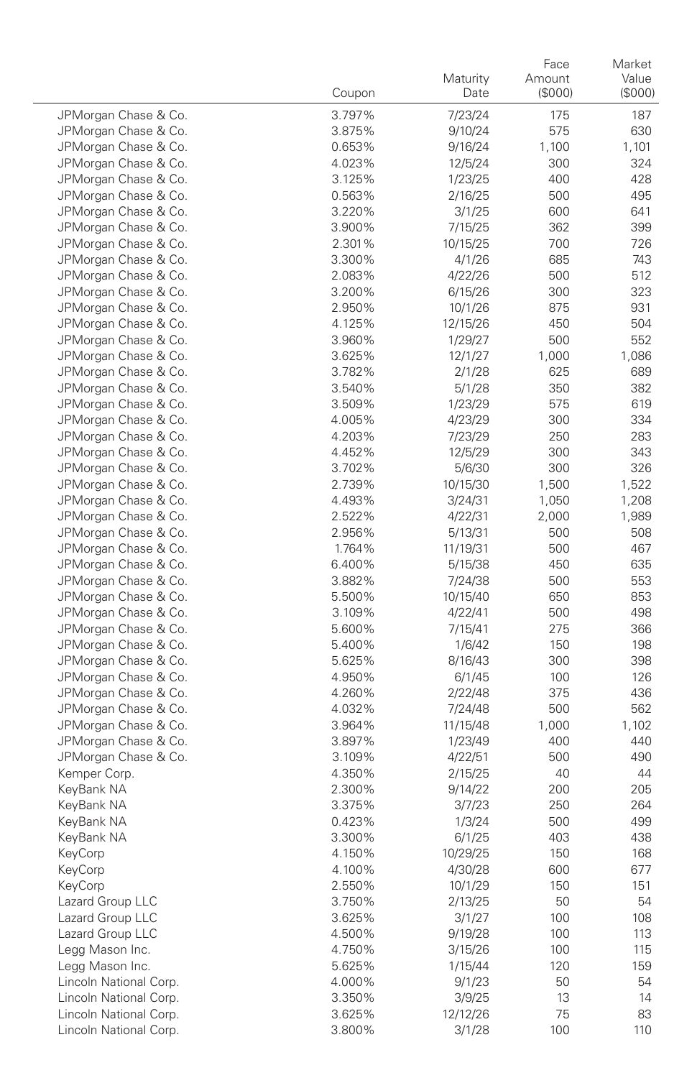|                                              | Coupon           | Maturity<br>Date   | Face<br>Amount<br>(\$000) | Market<br>Value<br>(\$000) |
|----------------------------------------------|------------------|--------------------|---------------------------|----------------------------|
| JPMorgan Chase & Co.                         | 3.797%           | 7/23/24            | 175                       | 187                        |
| JPMorgan Chase & Co.                         | 3.875%           | 9/10/24            | 575                       | 630                        |
| JPMorgan Chase & Co.                         | 0.653%           | 9/16/24            | 1,100                     | 1,101                      |
| JPMorgan Chase & Co.                         | 4.023%           | 12/5/24            | 300                       | 324                        |
| JPMorgan Chase & Co.                         | 3.125%           | 1/23/25            | 400                       | 428                        |
| JPMorgan Chase & Co.                         | 0.563%           | 2/16/25            | 500                       | 495                        |
| JPMorgan Chase & Co.                         | 3.220%           | 3/1/25             | 600                       | 641                        |
| JPMorgan Chase & Co.                         | 3.900%           | 7/15/25            | 362                       | 399                        |
| JPMorgan Chase & Co.                         | 2.301%           | 10/15/25           | 700                       | 726                        |
| JPMorgan Chase & Co.                         | 3.300%           | 4/1/26             | 685                       | 743                        |
| JPMorgan Chase & Co.                         | 2.083%           | 4/22/26            | 500                       | 512                        |
| JPMorgan Chase & Co.                         | 3.200%           | 6/15/26            | 300                       | 323                        |
| JPMorgan Chase & Co.                         | 2.950%           | 10/1/26            | 875                       | 931                        |
| JPMorgan Chase & Co.                         | 4.125%           | 12/15/26           | 450                       | 504                        |
| JPMorgan Chase & Co.                         | 3.960%           | 1/29/27            | 500                       | 552                        |
| JPMorgan Chase & Co.                         | 3.625%           | 12/1/27            | 1,000                     | 1,086                      |
| JPMorgan Chase & Co.                         | 3.782%           | 2/1/28             | 625                       | 689                        |
| JPMorgan Chase & Co.                         | 3.540%           | 5/1/28             | 350                       | 382                        |
| JPMorgan Chase & Co.                         | 3.509%           | 1/23/29            | 575                       | 619                        |
| JPMorgan Chase & Co.                         | 4.005%           | 4/23/29            | 300                       | 334                        |
| JPMorgan Chase & Co.                         | 4.203%           | 7/23/29            | 250                       | 283                        |
| JPMorgan Chase & Co.                         | 4.452%           | 12/5/29            | 300                       | 343                        |
| JPMorgan Chase & Co.                         | 3.702%           | 5/6/30             | 300                       | 326                        |
| JPMorgan Chase & Co.                         | 2.739%           | 10/15/30           | 1,500                     | 1,522                      |
| JPMorgan Chase & Co.                         | 4.493%           | 3/24/31            | 1,050                     | 1,208                      |
| JPMorgan Chase & Co.                         | 2.522%           | 4/22/31            | 2,000                     | 1,989                      |
| JPMorgan Chase & Co.                         | 2.956%           | 5/13/31            | 500                       | 508                        |
| JPMorgan Chase & Co.                         | 1.764%           | 11/19/31           | 500                       | 467                        |
| JPMorgan Chase & Co.                         | 6.400%           | 5/15/38            | 450                       | 635                        |
| JPMorgan Chase & Co.                         | 3.882%           | 7/24/38            | 500                       | 553                        |
| JPMorgan Chase & Co.                         | 5.500%           | 10/15/40           | 650                       | 853                        |
| JPMorgan Chase & Co.                         | 3.109%           | 4/22/41            | 500                       | 498                        |
| JPMorgan Chase & Co.                         | 5.600%           | 7/15/41            | 275                       | 366                        |
| JPMorgan Chase & Co.                         | 5.400%           | 1/6/42             | 150                       | 198                        |
| JPMorgan Chase & Co.<br>JPMorgan Chase & Co. | 5.625%           | 8/16/43            | 300                       | 398                        |
| JPMorgan Chase & Co.                         | 4.950%           | 6/1/45             | 100<br>375                | 126<br>436                 |
| JPMorgan Chase & Co.                         | 4.260%<br>4.032% | 2/22/48<br>7/24/48 | 500                       | 562                        |
| JPMorgan Chase & Co.                         | 3.964%           | 11/15/48           | 1,000                     | 1,102                      |
| JPMorgan Chase & Co.                         | 3.897%           | 1/23/49            | 400                       | 440                        |
| JPMorgan Chase & Co.                         | 3.109%           | 4/22/51            | 500                       | 490                        |
| Kemper Corp.                                 | 4.350%           | 2/15/25            | 40                        | 44                         |
| KeyBank NA                                   | 2.300%           | 9/14/22            | 200                       | 205                        |
| KeyBank NA                                   | 3.375%           | 3/7/23             | 250                       | 264                        |
| KeyBank NA                                   | 0.423%           | 1/3/24             | 500                       | 499                        |
| KeyBank NA                                   | 3.300%           | 6/1/25             | 403                       | 438                        |
| KeyCorp                                      | 4.150%           | 10/29/25           | 150                       | 168                        |
| KeyCorp                                      | 4.100%           | 4/30/28            | 600                       | 677                        |
| KeyCorp                                      | 2.550%           | 10/1/29            | 150                       | 151                        |
| Lazard Group LLC                             | 3.750%           | 2/13/25            | 50                        | 54                         |
| Lazard Group LLC                             | 3.625%           | 3/1/27             | 100                       | 108                        |
| Lazard Group LLC                             | 4.500%           | 9/19/28            | 100                       | 113                        |
| Legg Mason Inc.                              | 4.750%           | 3/15/26            | 100                       | 115                        |
| Legg Mason Inc.                              | 5.625%           | 1/15/44            | 120                       | 159                        |
| Lincoln National Corp.                       | 4.000%           | 9/1/23             | 50                        | 54                         |
| Lincoln National Corp.                       | 3.350%           | 3/9/25             | 13                        | 14                         |
| Lincoln National Corp.                       | 3.625%           | 12/12/26           | 75                        | 83                         |
| Lincoln National Corp.                       | 3.800%           | 3/1/28             | 100                       | 110                        |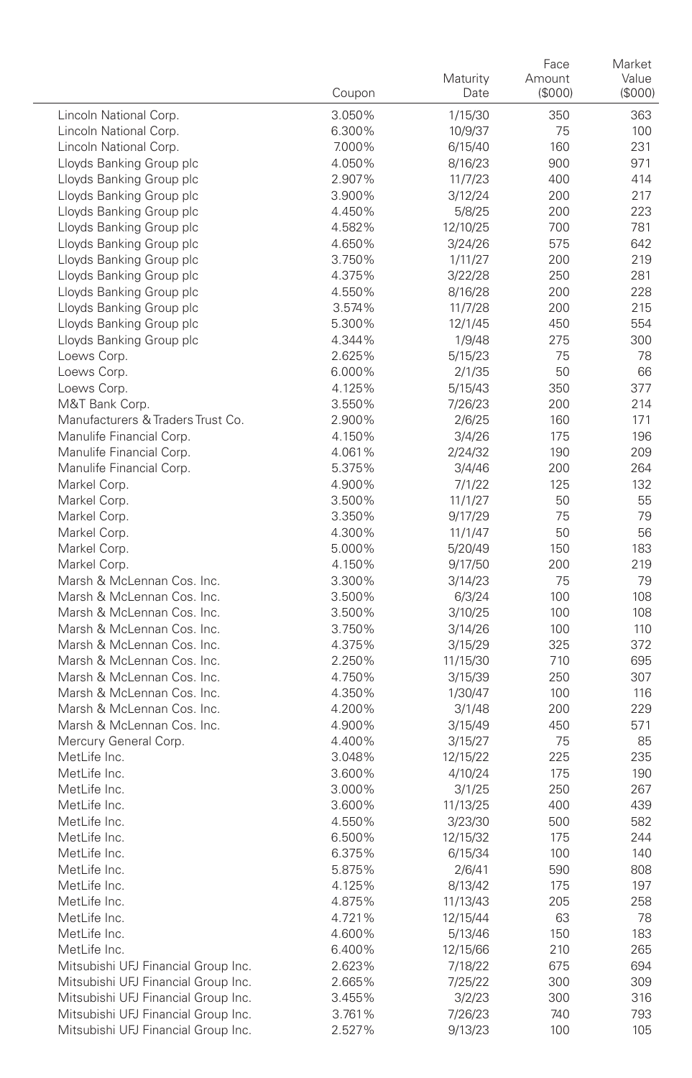|                                     | Coupon           | Maturity<br>Date    | Face<br>Amount<br>(\$000) | Market<br>Value<br>(\$000) |
|-------------------------------------|------------------|---------------------|---------------------------|----------------------------|
| Lincoln National Corp.              | 3.050%           | 1/15/30             | 350                       | 363                        |
| Lincoln National Corp.              | 6.300%           | 10/9/37             | 75                        | 100                        |
| Lincoln National Corp.              | 7.000%           | 6/15/40             | 160                       | 231                        |
| Lloyds Banking Group plc            | 4.050%           | 8/16/23             | 900                       | 971                        |
| Lloyds Banking Group plc            | 2.907%           | 11/7/23             | 400                       | 414                        |
| Lloyds Banking Group plc            | 3.900%           | 3/12/24             | 200                       | 217                        |
| Lloyds Banking Group plc            | 4.450%           | 5/8/25              | 200                       | 223                        |
| Lloyds Banking Group plc            | 4.582%           | 12/10/25            | 700                       | 781                        |
| Lloyds Banking Group plc            | 4.650%           | 3/24/26             | 575                       | 642                        |
| Lloyds Banking Group plc            | 3.750%           | 1/11/27             | 200                       | 219                        |
| Lloyds Banking Group plc            | 4.375%           | 3/22/28             | 250                       | 281                        |
| Lloyds Banking Group plc            | 4.550%           | 8/16/28             | 200                       | 228                        |
| Lloyds Banking Group plc            | 3.574%           | 11/7/28             | 200                       | 215                        |
| Lloyds Banking Group plc            | 5.300%           | 12/1/45             | 450                       | 554                        |
| Lloyds Banking Group plc            | 4.344%           | 1/9/48              | 275                       | 300                        |
| Loews Corp.                         | 2.625%           | 5/15/23             | 75                        | 78                         |
| Loews Corp.                         | 6.000%           | 2/1/35              | 50                        | 66                         |
| Loews Corp.                         | 4.125%           | 5/15/43             | 350                       | 377                        |
| M&T Bank Corp.                      | 3.550%           | 7/26/23             | 200                       | 214                        |
| Manufacturers & Traders Trust Co.   | 2.900%           | 2/6/25              | 160                       | 171                        |
| Manulife Financial Corp.            | 4.150%           | 3/4/26              | 175                       | 196                        |
| Manulife Financial Corp.            | 4.061%           | 2/24/32             | 190                       | 209                        |
| Manulife Financial Corp.            | 5.375%           | 3/4/46              | 200                       | 264                        |
| Markel Corp.                        | 4.900%           | 7/1/22              | 125                       | 132                        |
| Markel Corp.                        | 3.500%           | 11/1/27             | 50                        | 55                         |
| Markel Corp.                        | 3.350%           | 9/17/29             | 75                        | 79                         |
| Markel Corp.                        | 4.300%           | 11/1/47             | 50                        | 56                         |
| Markel Corp.                        | 5.000%           | 5/20/49             | 150                       | 183                        |
| Markel Corp.                        | 4.150%           | 9/17/50             | 200                       | 219                        |
| Marsh & McLennan Cos. Inc.          | 3.300%           | 3/14/23             | 75                        | 79                         |
| Marsh & McLennan Cos. Inc.          | 3.500%           | 6/3/24              | 100                       | 108                        |
| Marsh & McLennan Cos. Inc.          | 3.500%           | 3/10/25             | 100                       | 108                        |
| Marsh & McLennan Cos. Inc.          | 3.750%           | 3/14/26             | 100                       | 110                        |
| Marsh & McLennan Cos. Inc.          | 4.375%           | 3/15/29             | 325                       | 372                        |
| Marsh & McLennan Cos. Inc.          | 2.250%           | 11/15/30            | 710                       | 695                        |
| Marsh & McLennan Cos. Inc.          | 4.750%           | 3/15/39             | 250                       | 307                        |
| Marsh & McLennan Cos. Inc.          | 4.350%           | 1/30/47             | 100                       | 116                        |
| Marsh & McLennan Cos. Inc.          | 4.200%           | 3/1/48              | 200                       | 229                        |
| Marsh & McLennan Cos. Inc.          | 4.900%           | 3/15/49             | 450                       | 571                        |
| Mercury General Corp.               | 4.400%           | 3/15/27             | 75                        | 85                         |
| MetLife Inc.<br>MetLife Inc.        | 3.048%           | 12/15/22            | 225                       | 235                        |
|                                     | 3.600%           | 4/10/24             | 175                       | 190                        |
| MetLife Inc.                        | 3.000%           | 3/1/25              | 250                       | 267                        |
| MetLife Inc.                        | 3.600%           | 11/13/25            | 400                       | 439                        |
| MetLife Inc.<br>MetLife Inc.        | 4.550%           | 3/23/30             | 500                       | 582<br>244                 |
| MetLife Inc.                        | 6.500%           | 12/15/32            | 175                       |                            |
|                                     | 6.375%           | 6/15/34<br>2/6/41   | 100                       | 140                        |
| MetLife Inc.<br>MetLife Inc.        | 5.875%           |                     | 590                       | 808                        |
| MetLife Inc.                        | 4.125%<br>4.875% | 8/13/42             | 175                       | 197                        |
| MetLife Inc.                        | 4.721%           | 11/13/43            | 205                       | 258<br>78                  |
| MetLife Inc.                        |                  | 12/15/44            | 63                        |                            |
| MetLife Inc.                        | 4.600%<br>6.400% | 5/13/46             | 150                       | 183                        |
| Mitsubishi UFJ Financial Group Inc. | 2.623%           | 12/15/66<br>7/18/22 | 210<br>675                | 265<br>694                 |
| Mitsubishi UFJ Financial Group Inc. | 2.665%           | 7/25/22             | 300                       | 309                        |
| Mitsubishi UFJ Financial Group Inc. | 3.455%           | 3/2/23              | 300                       | 316                        |
| Mitsubishi UFJ Financial Group Inc. | 3.761%           | 7/26/23             | 740                       | 793                        |
| Mitsubishi UFJ Financial Group Inc. |                  | 9/13/23             | 100                       | 105                        |
|                                     | 2.527%           |                     |                           |                            |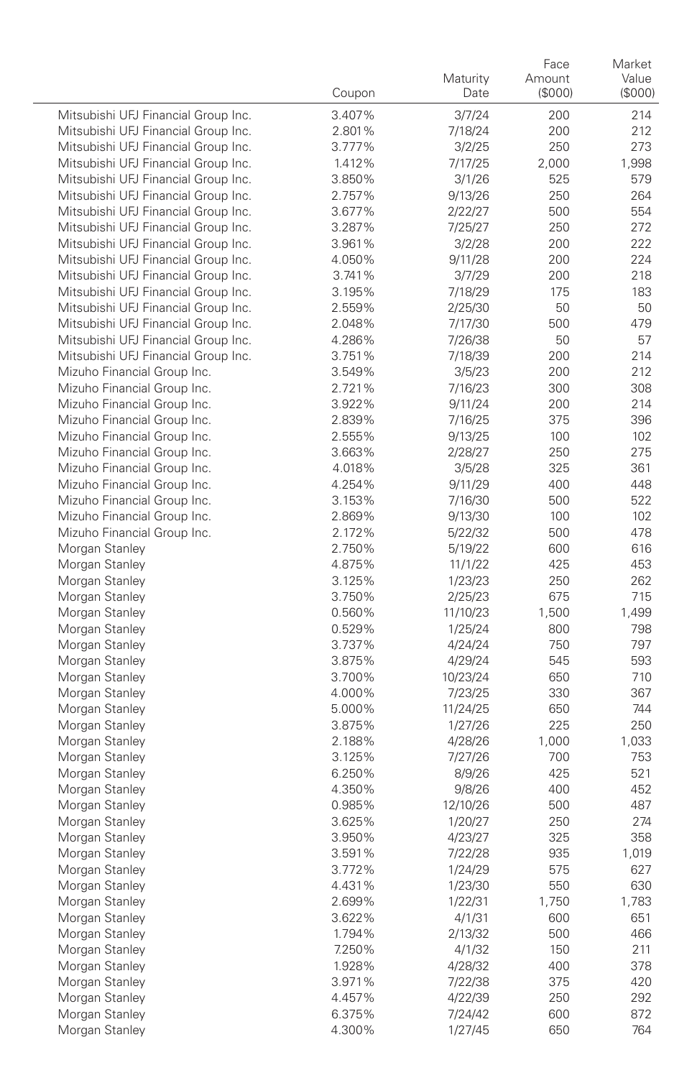|                                     | Coupon           | Maturity<br>Date | Face<br>Amount<br>(\$000) | Market<br>Value<br>(S000) |
|-------------------------------------|------------------|------------------|---------------------------|---------------------------|
| Mitsubishi UFJ Financial Group Inc. | 3.407%           | 3/7/24           | 200                       | 214                       |
| Mitsubishi UFJ Financial Group Inc. | 2.801%           | 7/18/24          | 200                       | 212                       |
| Mitsubishi UFJ Financial Group Inc. | 3.777%           | 3/2/25           | 250                       | 273                       |
| Mitsubishi UFJ Financial Group Inc. | 1.412%           | 7/17/25          | 2,000                     | 1,998                     |
| Mitsubishi UFJ Financial Group Inc. | 3.850%           | 3/1/26           | 525                       | 579                       |
| Mitsubishi UFJ Financial Group Inc. | 2.757%           | 9/13/26          | 250                       | 264                       |
| Mitsubishi UFJ Financial Group Inc. | 3.677%           | 2/22/27          | 500                       | 554                       |
| Mitsubishi UFJ Financial Group Inc. | 3.287%           | 7/25/27          | 250                       | 272                       |
| Mitsubishi UFJ Financial Group Inc. | 3.961%           | 3/2/28           | 200                       | 222                       |
| Mitsubishi UFJ Financial Group Inc. | 4.050%           | 9/11/28          | 200                       | 224                       |
| Mitsubishi UFJ Financial Group Inc. | 3.741%           | 3/7/29           | 200                       | 218                       |
| Mitsubishi UFJ Financial Group Inc. | 3.195%           | 7/18/29          | 175                       | 183                       |
| Mitsubishi UFJ Financial Group Inc. | 2.559%           | 2/25/30          | 50                        | 50                        |
| Mitsubishi UFJ Financial Group Inc. | 2.048%           | 7/17/30          | 500                       | 479                       |
| Mitsubishi UFJ Financial Group Inc. | 4.286%           | 7/26/38          | 50                        | 57                        |
| Mitsubishi UFJ Financial Group Inc. | 3.751%           | 7/18/39          | 200                       | 214                       |
| Mizuho Financial Group Inc.         | 3.549%           | 3/5/23           | 200                       | 212                       |
| Mizuho Financial Group Inc.         | 2.721%           | 7/16/23          | 300                       | 308                       |
| Mizuho Financial Group Inc.         | 3.922%           | 9/11/24          | 200                       | 214                       |
| Mizuho Financial Group Inc.         | 2.839%           | 7/16/25          | 375                       | 396                       |
| Mizuho Financial Group Inc.         | 2.555%           | 9/13/25          | 100                       | 102                       |
| Mizuho Financial Group Inc.         | 3.663%           | 2/28/27          | 250                       | 275                       |
| Mizuho Financial Group Inc.         | 4.018%           | 3/5/28           | 325                       | 361                       |
| Mizuho Financial Group Inc.         | 4.254%           | 9/11/29          | 400                       | 448                       |
| Mizuho Financial Group Inc.         | 3.153%           | 7/16/30          | 500                       | 522                       |
| Mizuho Financial Group Inc.         | 2.869%           | 9/13/30          | 100                       | 102                       |
| Mizuho Financial Group Inc.         | 2.172%           | 5/22/32          | 500                       | 478                       |
| Morgan Stanley                      | 2.750%           | 5/19/22          | 600                       | 616                       |
| Morgan Stanley                      | 4.875%           | 11/1/22          | 425                       | 453                       |
| Morgan Stanley                      | 3.125%           | 1/23/23          | 250                       | 262                       |
| Morgan Stanley                      | 3.750%           | 2/25/23          | 675                       | 715                       |
| Morgan Stanley                      | 0.560%           | 11/10/23         | 1,500                     | 1,499                     |
| Morgan Stanley                      | 0.529%           | 1/25/24          | 800                       | 798                       |
| Morgan Stanley                      | 3.737%           | 4/24/24          | 750                       | 797                       |
| Morgan Stanley                      | 3.875%           | 4/29/24          | 545                       | 593                       |
| Morgan Stanley                      | 3.700%           | 10/23/24         | 650                       | 710                       |
| Morgan Stanley                      | 4.000%           | 7/23/25          | 330                       | 367                       |
| Morgan Stanley                      | 5.000%           | 11/24/25         | 650                       | 744                       |
| Morgan Stanley                      | 3.875%           | 1/27/26          | 225                       | 250                       |
| Morgan Stanley                      | 2.188%<br>3.125% | 4/28/26          | 1,000                     | 1,033<br>753              |
| Morgan Stanley<br>Morgan Stanley    | 6.250%           | 7/27/26          | 700<br>425                | 521                       |
| Morgan Stanley                      | 4.350%           | 8/9/26<br>9/8/26 | 400                       | 452                       |
| Morgan Stanley                      | 0.985%           | 12/10/26         | 500                       | 487                       |
| Morgan Stanley                      | 3.625%           | 1/20/27          | 250                       | 274                       |
| Morgan Stanley                      | 3.950%           | 4/23/27          | 325                       | 358                       |
| Morgan Stanley                      | 3.591%           | 7/22/28          | 935                       | 1,019                     |
| Morgan Stanley                      | 3.772%           | 1/24/29          | 575                       | 627                       |
| Morgan Stanley                      | 4.431%           | 1/23/30          | 550                       | 630                       |
| Morgan Stanley                      | 2.699%           | 1/22/31          | 1,750                     | 1,783                     |
| Morgan Stanley                      | 3.622%           | 4/1/31           | 600                       | 651                       |
| Morgan Stanley                      | 1.794%           | 2/13/32          | 500                       | 466                       |
| Morgan Stanley                      | 7.250%           | 4/1/32           | 150                       | 211                       |
| Morgan Stanley                      | 1.928%           | 4/28/32          | 400                       | 378                       |
| Morgan Stanley                      | 3.971%           | 7/22/38          | 375                       | 420                       |
| Morgan Stanley                      | 4.457%           | 4/22/39          | 250                       | 292                       |
| Morgan Stanley                      | 6.375%           | 7/24/42          | 600                       | 872                       |
| Morgan Stanley                      | 4.300%           | 1/27/45          | 650                       | 764                       |
|                                     |                  |                  |                           |                           |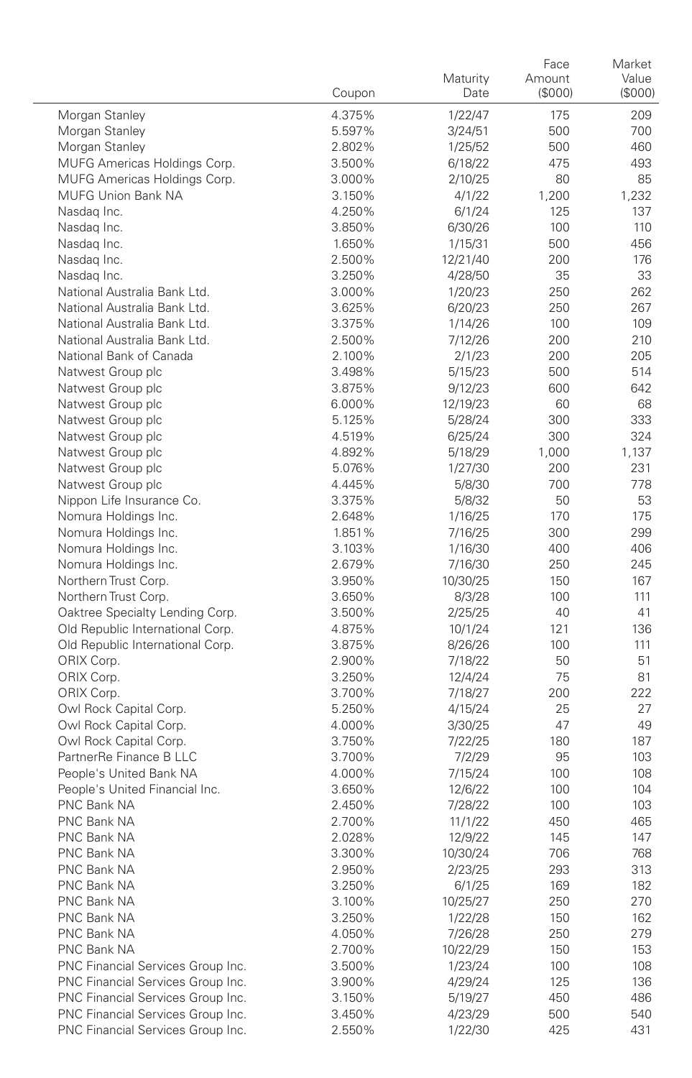|                                                    |                  | Maturity          | Face<br>Amount | Market<br>Value |
|----------------------------------------------------|------------------|-------------------|----------------|-----------------|
|                                                    | Coupon           | Date              | (\$000)        | (\$000)         |
| Morgan Stanley                                     | 4.375%           | 1/22/47           | 175            | 209             |
| Morgan Stanley                                     | 5.597%           | 3/24/51           | 500            | 700             |
| Morgan Stanley                                     | 2.802%           | 1/25/52           | 500            | 460             |
| MUFG Americas Holdings Corp.                       | 3.500%           | 6/18/22           | 475            | 493             |
| MUFG Americas Holdings Corp.<br>MUFG Union Bank NA | 3.000%           | 2/10/25           | 80             | 85              |
| Nasdag Inc.                                        | 3.150%<br>4.250% | 4/1/22            | 1,200<br>125   | 1,232<br>137    |
| Nasdag Inc.                                        | 3.850%           | 6/1/24<br>6/30/26 | 100            | 110             |
| Nasdag Inc.                                        | 1.650%           | 1/15/31           | 500            | 456             |
| Nasdag Inc.                                        | 2.500%           | 12/21/40          | 200            | 176             |
| Nasdag Inc.                                        | 3.250%           | 4/28/50           | 35             | 33              |
| National Australia Bank Ltd.                       | 3.000%           | 1/20/23           | 250            | 262             |
| National Australia Bank Ltd.                       | 3.625%           | 6/20/23           | 250            | 267             |
| National Australia Bank Ltd.                       | 3.375%           | 1/14/26           | 100            | 109             |
| National Australia Bank Ltd.                       | 2.500%           | 7/12/26           | 200            | 210             |
| National Bank of Canada                            | 2.100%           | 2/1/23            | 200            | 205             |
| Natwest Group plc                                  | 3.498%           | 5/15/23           | 500            | 514             |
| Natwest Group plc                                  | 3.875%           | 9/12/23           | 600            | 642             |
| Natwest Group plc                                  | 6.000%           | 12/19/23          | 60             | 68              |
| Natwest Group plc                                  | 5.125%           | 5/28/24           | 300            | 333             |
| Natwest Group plc                                  | 4.519%           | 6/25/24           | 300            | 324             |
| Natwest Group plc                                  | 4.892%           | 5/18/29           | 1,000          | 1,137           |
| Natwest Group plc                                  | 5.076%           | 1/27/30           | 200            | 231             |
| Natwest Group plc                                  | 4.445%           | 5/8/30            | 700            | 778             |
| Nippon Life Insurance Co.                          | 3.375%           | 5/8/32            | 50             | 53              |
| Nomura Holdings Inc.                               | 2.648%           | 1/16/25           | 170            | 175             |
| Nomura Holdings Inc.                               | 1.851%           | 7/16/25           | 300            | 299             |
| Nomura Holdings Inc.                               | 3.103%           | 1/16/30           | 400            | 406             |
| Nomura Holdings Inc.                               | 2.679%           | 7/16/30           | 250            | 245             |
| Northern Trust Corp.                               | 3.950%           | 10/30/25          | 150            | 167             |
| Northern Trust Corp.                               | 3.650%           | 8/3/28            | 100            | 111             |
| Oaktree Specialty Lending Corp.                    | 3.500%           | 2/25/25           | 40             | 41              |
| Old Republic International Corp.                   | 4.875%           | 10/1/24           | 121            | 136             |
| Old Republic International Corp.                   | 3.875%           | 8/26/26           | 100            | 111             |
| ORIX Corp.                                         | 2.900%           | 7/18/22           | 50             | 51              |
| ORIX Corp.                                         | 3.250%           | 12/4/24           | 75             | 81              |
| ORIX Corp.                                         | 3.700%           | 7/18/27           | 200            | 222             |
| Owl Rock Capital Corp.                             | 5.250%           | 4/15/24           | 25             | 27              |
| Owl Rock Capital Corp.                             | 4.000%           | 3/30/25           | 47             | 49              |
| Owl Rock Capital Corp.                             | 3.750%           | 7/22/25           | 180            | 187             |
| PartnerRe Finance B LLC                            | 3.700%           | 7/2/29            | 95             | 103             |
| People's United Bank NA                            | 4.000%           | 7/15/24           | 100            | 108             |
| People's United Financial Inc.                     | 3.650%           | 12/6/22           | 100            | 104             |
| PNC Bank NA                                        | 2.450%           | 7/28/22           | 100            | 103             |
| PNC Bank NA                                        | 2.700%           | 11/1/22           | 450            | 465             |
| PNC Bank NA                                        | 2.028%           | 12/9/22           | 145            | 147             |
| PNC Bank NA                                        | 3.300%           | 10/30/24          | 706            | 768             |
| PNC Bank NA                                        | 2.950%           | 2/23/25           | 293            | 313             |
| PNC Bank NA                                        | 3.250%           | 6/1/25            | 169            | 182             |
| PNC Bank NA                                        | 3.100%           | 10/25/27          | 250            | 270             |
| PNC Bank NA                                        | 3.250%           | 1/22/28           | 150            | 162             |
| PNC Bank NA                                        | 4.050%           | 7/26/28           | 250            | 279             |
| PNC Bank NA                                        | 2.700%           | 10/22/29          | 150            | 153             |
| PNC Financial Services Group Inc.                  | 3.500%           | 1/23/24           | 100            | 108             |
| PNC Financial Services Group Inc.                  | 3.900%           | 4/29/24           | 125            | 136             |
| PNC Financial Services Group Inc.                  | 3.150%           | 5/19/27           | 450            | 486             |
| PNC Financial Services Group Inc.                  | 3.450%           | 4/23/29           | 500            | 540             |
| PNC Financial Services Group Inc.                  | 2.550%           | 1/22/30           | 425            | 431             |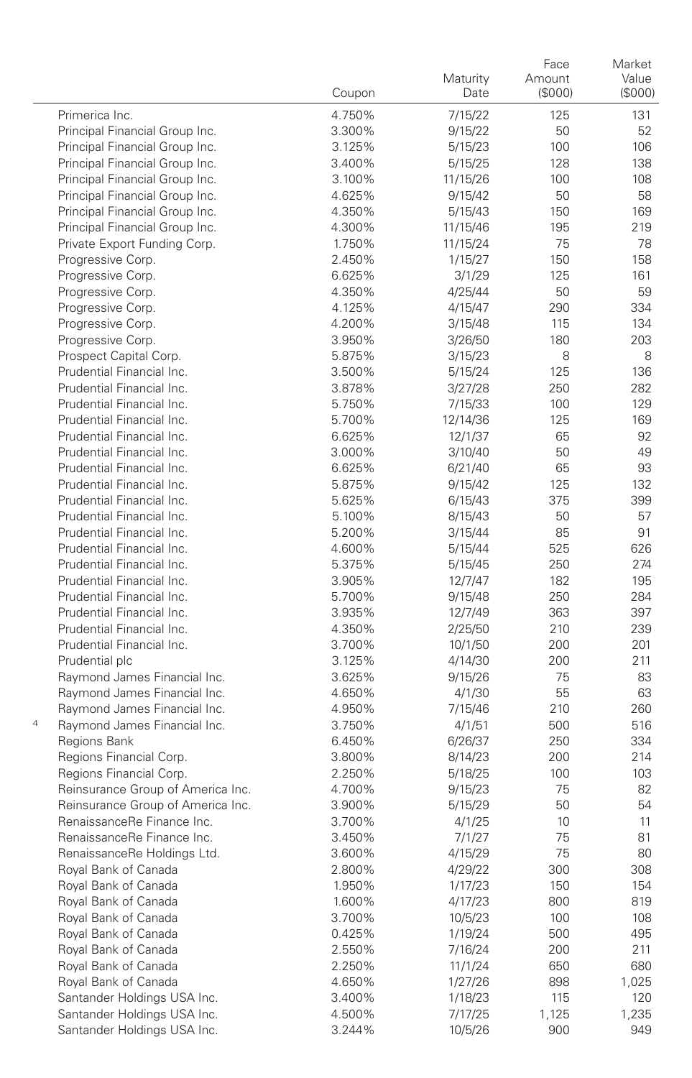|   |                                              | Coupon           | Maturity<br>Date   | Face<br>Amount<br>(\$000) | Market<br>Value<br>(\$000) |
|---|----------------------------------------------|------------------|--------------------|---------------------------|----------------------------|
|   | Primerica Inc.                               | 4.750%           | 7/15/22            | 125                       | 131                        |
|   | Principal Financial Group Inc.               | 3.300%           | 9/15/22            | 50                        | 52                         |
|   | Principal Financial Group Inc.               | 3.125%           | 5/15/23            | 100                       | 106                        |
|   | Principal Financial Group Inc.               | 3.400%           | 5/15/25            | 128                       | 138                        |
|   | Principal Financial Group Inc.               | 3.100%           | 11/15/26           | 100                       | 108                        |
|   | Principal Financial Group Inc.               | 4.625%           | 9/15/42            | 50                        | 58                         |
|   | Principal Financial Group Inc.               | 4.350%           | 5/15/43            | 150                       | 169                        |
|   | Principal Financial Group Inc.               | 4.300%           | 11/15/46           | 195                       | 219                        |
|   | Private Export Funding Corp.                 | 1.750%           | 11/15/24           | 75                        | 78                         |
|   | Progressive Corp.                            | 2.450%           | 1/15/27            | 150                       | 158                        |
|   | Progressive Corp.                            | 6.625%           | 3/1/29             | 125                       | 161                        |
|   | Progressive Corp.                            | 4.350%           | 4/25/44            | 50                        | 59                         |
|   | Progressive Corp.                            | 4.125%           | 4/15/47            | 290                       | 334                        |
|   | Progressive Corp.                            | 4.200%           | 3/15/48            | 115                       | 134                        |
|   | Progressive Corp.                            | 3.950%           | 3/26/50            | 180                       | 203                        |
|   | Prospect Capital Corp.                       | 5.875%           | 3/15/23            | 8                         | 8                          |
|   | Prudential Financial Inc.                    | 3.500%           | 5/15/24            | 125                       | 136                        |
|   | Prudential Financial Inc.                    | 3.878%           | 3/27/28            | 250                       | 282                        |
|   | Prudential Financial Inc.                    | 5.750%           | 7/15/33            | 100                       | 129                        |
|   | Prudential Financial Inc.                    | 5.700%           | 12/14/36           | 125                       | 169                        |
|   | Prudential Financial Inc.                    | 6.625%           | 12/1/37            | 65                        | 92                         |
|   | Prudential Financial Inc.                    | 3.000%           | 3/10/40            | 50                        | 49                         |
|   | Prudential Financial Inc.                    | 6.625%           | 6/21/40            | 65                        | 93                         |
|   | Prudential Financial Inc.                    | 5.875%           | 9/15/42            | 125                       | 132                        |
|   | Prudential Financial Inc.                    | 5.625%           | 6/15/43            | 375                       | 399                        |
|   | Prudential Financial Inc.                    | 5.100%           | 8/15/43            | 50                        | 57                         |
|   | Prudential Financial Inc.                    | 5.200%           | 3/15/44            | 85                        | 91                         |
|   | Prudential Financial Inc.                    | 4.600%           | 5/15/44            | 525                       | 626                        |
|   | Prudential Financial Inc.                    | 5.375%           | 5/15/45            | 250                       | 274                        |
|   | Prudential Financial Inc.                    | 3.905%           | 12/7/47            | 182                       | 195                        |
|   | Prudential Financial Inc.                    | 5.700%           | 9/15/48            | 250                       | 284                        |
|   | Prudential Financial Inc.                    | 3.935%           | 12/7/49            | 363                       | 397                        |
|   | Prudential Financial Inc.                    | 4.350%           | 2/25/50            | 210                       | 239                        |
|   | Prudential Financial Inc.                    | 3.700%           | 10/1/50            | 200                       | 201                        |
|   | Prudential plc                               | 3.125%           | 4/14/30            | 200                       | 211                        |
|   | Raymond James Financial Inc.                 | 3.625%           | 9/15/26            | 75                        | 83                         |
|   | Raymond James Financial Inc.                 | 4.650%           | 4/1/30             | 55                        | 63                         |
|   | Raymond James Financial Inc.                 | 4.950%           | 7/15/46            | 210                       | 260                        |
| 4 | Raymond James Financial Inc.                 | 3.750%           | 4/1/51             | 500                       | 516                        |
|   | Regions Bank                                 | 6.450%           | 6/26/37            | 250                       | 334                        |
|   | Regions Financial Corp.                      | 3.800%           | 8/14/23            | 200                       | 214                        |
|   | Regions Financial Corp.                      | 2.250%           | 5/18/25            | 100                       | 103                        |
|   | Reinsurance Group of America Inc.            | 4.700%           | 9/15/23            | 75                        | 82                         |
|   | Reinsurance Group of America Inc.            | 3.900%           | 5/15/29            | 50                        | 54                         |
|   | RenaissanceRe Finance Inc.                   | 3.700%           | 4/1/25             | 10                        | 11                         |
|   | RenaissanceRe Finance Inc.                   | 3.450%           | 7/1/27             | 75                        | 81                         |
|   | RenaissanceRe Holdings Ltd.                  | 3.600%           | 4/15/29            | 75                        | 80                         |
|   | Royal Bank of Canada                         | 2.800%           | 4/29/22            | 300                       | 308                        |
|   | Royal Bank of Canada<br>Royal Bank of Canada | 1.950%           | 1/17/23<br>4/17/23 | 150                       | 154                        |
|   |                                              | 1.600%<br>3.700% |                    | 800                       | 819                        |
|   | Royal Bank of Canada                         |                  | 10/5/23            | 100                       | 108                        |
|   | Royal Bank of Canada                         | 0.425%           | 1/19/24            | 500                       | 495                        |
|   | Royal Bank of Canada<br>Royal Bank of Canada | 2.550%           | 7/16/24            | 200                       | 211                        |
|   | Royal Bank of Canada                         | 2.250%           | 11/1/24            | 650                       | 680                        |
|   | Santander Holdings USA Inc.                  | 4.650%<br>3.400% | 1/27/26<br>1/18/23 | 898                       | 1,025                      |
|   | Santander Holdings USA Inc.                  | 4.500%           | 7/17/25            | 115<br>1,125              | 120<br>1,235               |
|   | Santander Holdings USA Inc.                  | 3.244%           | 10/5/26            | 900                       | 949                        |
|   |                                              |                  |                    |                           |                            |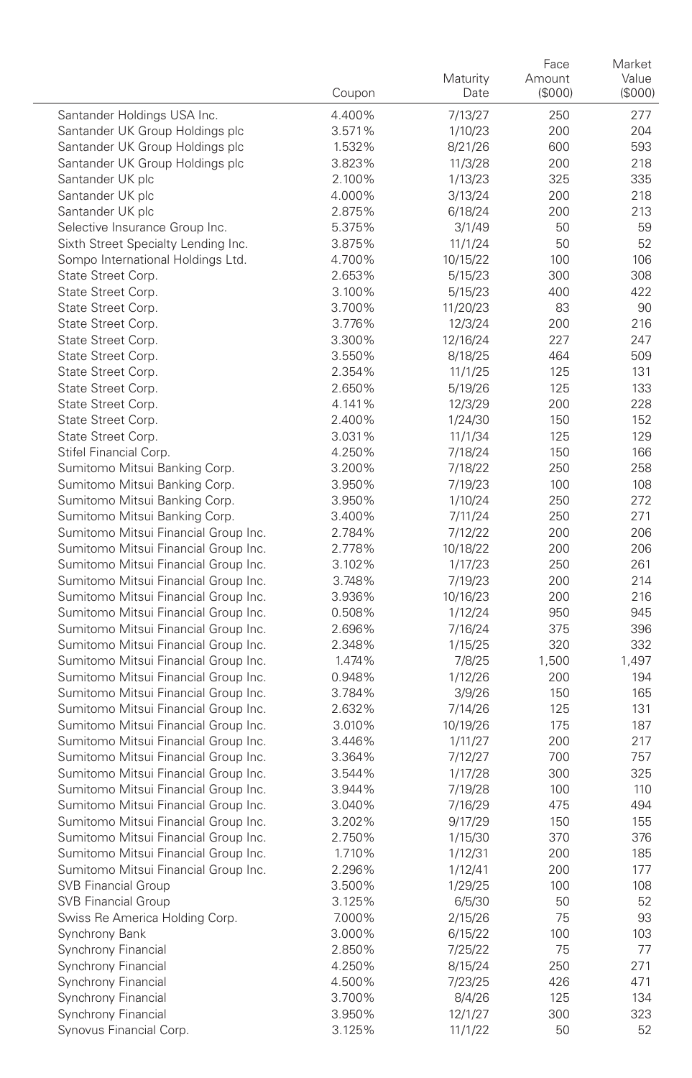|                                                                              | Coupon           | Maturity<br>Date    | Face<br>Amount<br>(\$000) | Market<br>Value<br>(\$000) |
|------------------------------------------------------------------------------|------------------|---------------------|---------------------------|----------------------------|
| Santander Holdings USA Inc.                                                  | 4.400%           | 7/13/27             | 250                       | 277                        |
| Santander UK Group Holdings plc                                              | 3.571%           | 1/10/23             | 200                       | 204                        |
| Santander UK Group Holdings plc                                              | 1.532%           | 8/21/26             | 600                       | 593                        |
| Santander UK Group Holdings plc                                              | 3.823%           | 11/3/28             | 200                       | 218                        |
| Santander UK plc                                                             | 2.100%           | 1/13/23             | 325                       | 335                        |
| Santander UK plc                                                             | 4.000%           | 3/13/24             | 200                       | 218                        |
| Santander UK plc                                                             | 2.875%           | 6/18/24             | 200                       | 213                        |
| Selective Insurance Group Inc.                                               | 5.375%           | 3/1/49              | 50                        | 59                         |
| Sixth Street Specialty Lending Inc.                                          | 3.875%           | 11/1/24             | 50                        | 52                         |
| Sompo International Holdings Ltd.                                            | 4.700%           | 10/15/22            | 100                       | 106                        |
| State Street Corp.                                                           | 2.653%           | 5/15/23             | 300                       | 308                        |
| State Street Corp.                                                           | 3.100%           | 5/15/23             | 400                       | 422                        |
| State Street Corp.                                                           | 3.700%           | 11/20/23            | 83                        | 90                         |
| State Street Corp.<br>State Street Corp.                                     | 3.776%<br>3.300% | 12/3/24<br>12/16/24 | 200<br>227                | 216<br>247                 |
| State Street Corp.                                                           | 3.550%           | 8/18/25             | 464                       | 509                        |
| State Street Corp.                                                           | 2.354%           | 11/1/25             | 125                       | 131                        |
| State Street Corp.                                                           | 2.650%           | 5/19/26             | 125                       | 133                        |
| State Street Corp.                                                           | 4.141%           | 12/3/29             | 200                       | 228                        |
| State Street Corp.                                                           | 2.400%           | 1/24/30             | 150                       | 152                        |
| State Street Corp.                                                           | 3.031%           | 11/1/34             | 125                       | 129                        |
| Stifel Financial Corp.                                                       | 4.250%           | 7/18/24             | 150                       | 166                        |
| Sumitomo Mitsui Banking Corp.                                                | 3.200%           | 7/18/22             | 250                       | 258                        |
| Sumitomo Mitsui Banking Corp.                                                | 3.950%           | 7/19/23             | 100                       | 108                        |
| Sumitomo Mitsui Banking Corp.                                                | 3.950%           | 1/10/24             | 250                       | 272                        |
| Sumitomo Mitsui Banking Corp.                                                | 3.400%           | 7/11/24             | 250                       | 271                        |
| Sumitomo Mitsui Financial Group Inc.                                         | 2.784%           | 7/12/22             | 200                       | 206                        |
| Sumitomo Mitsui Financial Group Inc.                                         | 2.778%           | 10/18/22            | 200                       | 206                        |
| Sumitomo Mitsui Financial Group Inc.                                         | 3.102%           | 1/17/23             | 250                       | 261                        |
| Sumitomo Mitsui Financial Group Inc.                                         | 3.748%           | 7/19/23             | 200                       | 214                        |
| Sumitomo Mitsui Financial Group Inc.<br>Sumitomo Mitsui Financial Group Inc. | 3.936%<br>0.508% | 10/16/23<br>1/12/24 | 200<br>950                | 216<br>945                 |
| Sumitomo Mitsui Financial Group Inc.                                         | 2.696%           | 7/16/24             | 375                       | 396                        |
| Sumitomo Mitsui Financial Group Inc.                                         | 2.348%           | 1/15/25             | 320                       | 332                        |
| Sumitomo Mitsui Financial Group Inc.                                         | 1.474%           | 7/8/25              | 1,500                     | 1,497                      |
| Sumitomo Mitsui Financial Group Inc.                                         | 0.948%           | 1/12/26             | 200                       | 194                        |
| Sumitomo Mitsui Financial Group Inc.                                         | 3.784%           | 3/9/26              | 150                       | 165                        |
| Sumitomo Mitsui Financial Group Inc.                                         | 2.632%           | 7/14/26             | 125                       | 131                        |
| Sumitomo Mitsui Financial Group Inc.                                         | 3.010%           | 10/19/26            | 175                       | 187                        |
| Sumitomo Mitsui Financial Group Inc.                                         | 3.446%           | 1/11/27             | 200                       | 217                        |
| Sumitomo Mitsui Financial Group Inc.                                         | 3.364%           | 7/12/27             | 700                       | 757                        |
| Sumitomo Mitsui Financial Group Inc.                                         | 3.544%           | 1/17/28             | 300                       | 325                        |
| Sumitomo Mitsui Financial Group Inc.                                         | 3.944%           | 7/19/28             | 100                       | 110                        |
| Sumitomo Mitsui Financial Group Inc.                                         | 3.040%           | 7/16/29             | 475                       | 494                        |
| Sumitomo Mitsui Financial Group Inc.                                         | 3.202%           | 9/17/29             | 150                       | 155                        |
| Sumitomo Mitsui Financial Group Inc.                                         | 2.750%           | 1/15/30             | 370                       | 376                        |
| Sumitomo Mitsui Financial Group Inc.                                         | 1.710%           | 1/12/31             | 200                       | 185                        |
| Sumitomo Mitsui Financial Group Inc.<br><b>SVB Financial Group</b>           | 2.296%<br>3.500% | 1/12/41<br>1/29/25  | 200<br>100                | 177<br>108                 |
| <b>SVB Financial Group</b>                                                   | 3.125%           | 6/5/30              | 50                        | 52                         |
| Swiss Re America Holding Corp.                                               | 7.000%           | 2/15/26             | 75                        | 93                         |
| Synchrony Bank                                                               | 3.000%           | 6/15/22             | 100                       | 103                        |
| Synchrony Financial                                                          | 2.850%           | 7/25/22             | 75                        | 77                         |
| Synchrony Financial                                                          | 4.250%           | 8/15/24             | 250                       | 271                        |
| Synchrony Financial                                                          | 4.500%           | 7/23/25             | 426                       | 471                        |
| Synchrony Financial                                                          | 3.700%           | 8/4/26              | 125                       | 134                        |
| Synchrony Financial                                                          | 3.950%           | 12/1/27             | 300                       | 323                        |
| Synovus Financial Corp.                                                      | 3.125%           | 11/1/22             | 50                        | 52                         |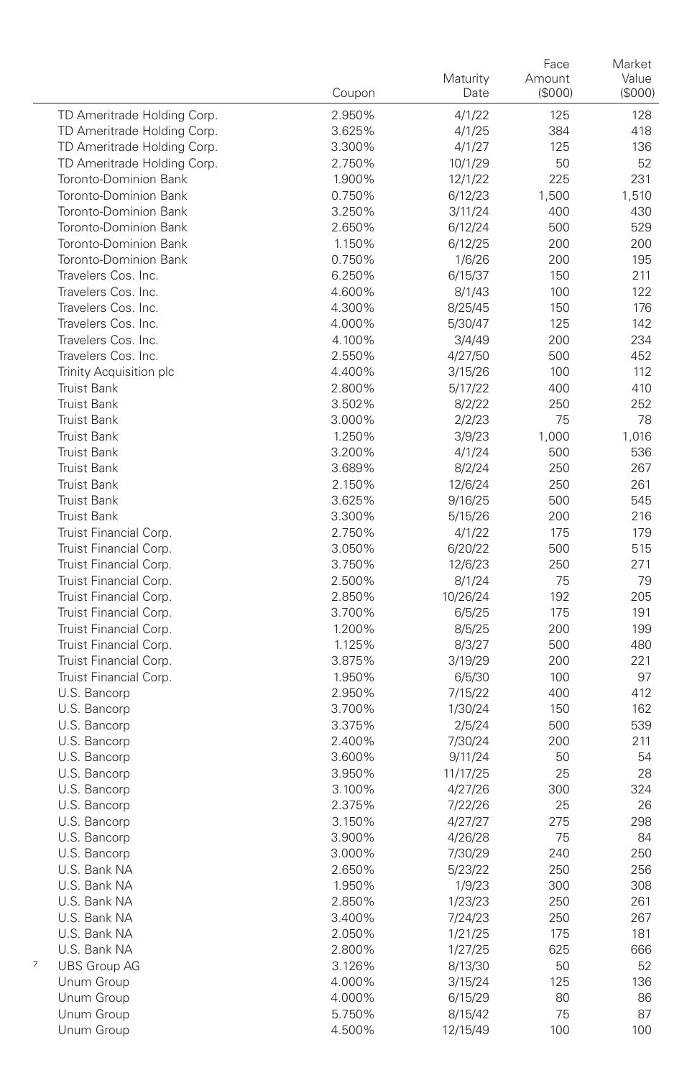|                                                  | Coupon           | Maturity<br>Date  | Face<br>Amount<br>(\$000) | Market<br>Value<br>(\$000) |
|--------------------------------------------------|------------------|-------------------|---------------------------|----------------------------|
| TD Ameritrade Holding Corp.                      | 2.950%           | 4/1/22            | 125                       | 128                        |
| TD Ameritrade Holding Corp.                      | 3.625%           | 4/1/25            | 384                       | 418                        |
| TD Ameritrade Holding Corp.                      | 3.300%           | 4/1/27            | 125                       | 136                        |
| TD Ameritrade Holding Corp.                      | 2.750%           | 10/1/29           | 50                        | 52                         |
| Toronto-Dominion Bank                            | 1.900%           | 12/1/22           | 225                       | 231                        |
| Toronto-Dominion Bank                            | 0.750%           | 6/12/23           | 1,500                     | 1,510                      |
| Toronto-Dominion Bank                            | 3.250%           | 3/11/24           | 400                       | 430                        |
| Toronto-Dominion Bank                            | 2.650%           | 6/12/24           | 500                       | 529                        |
| Toronto-Dominion Bank                            | 1.150%           | 6/12/25           | 200                       | 200                        |
| Toronto-Dominion Bank                            | 0.750%           | 1/6/26            | 200                       | 195                        |
| Travelers Cos. Inc.                              | 6.250%           | 6/15/37           | 150                       | 211                        |
| Travelers Cos. Inc.                              | 4.600%           | 8/1/43            | 100                       | 122                        |
| Travelers Cos. Inc.                              | 4.300%           | 8/25/45           | 150                       | 176                        |
| Travelers Cos. Inc.                              | 4.000%           | 5/30/47           | 125                       | 142                        |
| Travelers Cos. Inc.                              | 4.100%           | 3/4/49            | 200                       | 234                        |
| Travelers Cos. Inc.                              | 2.550%           | 4/27/50           | 500                       | 452                        |
| Trinity Acquisition plc                          | 4.400%           | 3/15/26           | 100                       | 112                        |
| <b>Truist Bank</b>                               | 2.800%           | 5/17/22           | 400                       | 410                        |
| <b>Truist Bank</b>                               | 3.502%           | 8/2/22            | 250                       | 252                        |
| <b>Truist Bank</b>                               | 3.000%           | 2/2/23            | 75                        | 78                         |
| <b>Truist Bank</b>                               | 1.250%           | 3/9/23            | 1,000                     | 1,016                      |
| <b>Truist Bank</b>                               | 3.200%           | 4/1/24            | 500                       | 536                        |
| <b>Truist Bank</b>                               | 3.689%           | 8/2/24            | 250                       | 267                        |
| <b>Truist Bank</b>                               | 2.150%           | 12/6/24           | 250                       | 261                        |
| <b>Truist Bank</b>                               | 3.625%           | 9/16/25           | 500                       | 545                        |
| Truist Bank                                      | 3.300%           | 5/15/26           | 200                       | 216                        |
| Truist Financial Corp.                           | 2.750%           | 4/1/22            | 175                       | 179                        |
| Truist Financial Corp.                           | 3.050%           | 6/20/22           | 500                       | 515                        |
| Truist Financial Corp.                           | 3.750%           | 12/6/23           | 250                       | 271                        |
| Truist Financial Corp.                           | 2.500%           | 8/1/24            | 75                        | 79                         |
| Truist Financial Corp.                           | 2.850%           | 10/26/24          | 192                       | 205                        |
| Truist Financial Corp.                           | 3.700%           | 6/5/25            | 175<br>200                | 191                        |
| Truist Financial Corp.<br>Truist Financial Corp. | 1.200%<br>1.125% | 8/5/25            | 500                       | 199<br>480                 |
| Truist Financial Corp.                           | 3.875%           | 8/3/27<br>3/19/29 | 200                       | 221                        |
| Truist Financial Corp.                           | 1.950%           | 6/5/30            | 100                       | 97                         |
| U.S. Bancorp                                     | 2.950%           | 7/15/22           | 400                       | 412                        |
| U.S. Bancorp                                     | 3.700%           | 1/30/24           | 150                       | 162                        |
| U.S. Bancorp                                     | 3.375%           | 2/5/24            | 500                       | 539                        |
| U.S. Bancorp                                     | 2.400%           | 7/30/24           | 200                       | 211                        |
| U.S. Bancorp                                     | 3.600%           | 9/11/24           | 50                        | 54                         |
| U.S. Bancorp                                     | 3.950%           | 11/17/25          | 25                        | 28                         |
| U.S. Bancorp                                     | 3.100%           | 4/27/26           | 300                       | 324                        |
| U.S. Bancorp                                     | 2.375%           | 7/22/26           | 25                        | 26                         |
| U.S. Bancorp                                     | 3.150%           | 4/27/27           | 275                       | 298                        |
| U.S. Bancorp                                     | 3.900%           | 4/26/28           | 75                        | 84                         |
| U.S. Bancorp                                     | 3.000%           | 7/30/29           | 240                       | 250                        |
| U.S. Bank NA                                     | 2.650%           | 5/23/22           | 250                       | 256                        |
| U.S. Bank NA                                     | 1.950%           | 1/9/23            | 300                       | 308                        |
| U.S. Bank NA                                     | 2.850%           | 1/23/23           | 250                       | 261                        |
| U.S. Bank NA                                     | 3.400%           | 7/24/23           | 250                       | 267                        |
| U.S. Bank NA                                     | 2.050%           | 1/21/25           | 175                       | 181                        |
| U.S. Bank NA                                     | 2.800%           | 1/27/25           | 625                       | 666                        |
| 7<br><b>UBS Group AG</b>                         | 3.126%           | 8/13/30           | 50                        | 52                         |
| Unum Group                                       | 4.000%           | 3/15/24           | 125                       | 136                        |
| Unum Group                                       | 4.000%           | 6/15/29           | 80                        | 86                         |
| Unum Group                                       | 5.750%           | 8/15/42           | 75                        | 87                         |
| Unum Group                                       | 4.500%           | 12/15/49          | 100                       | 100                        |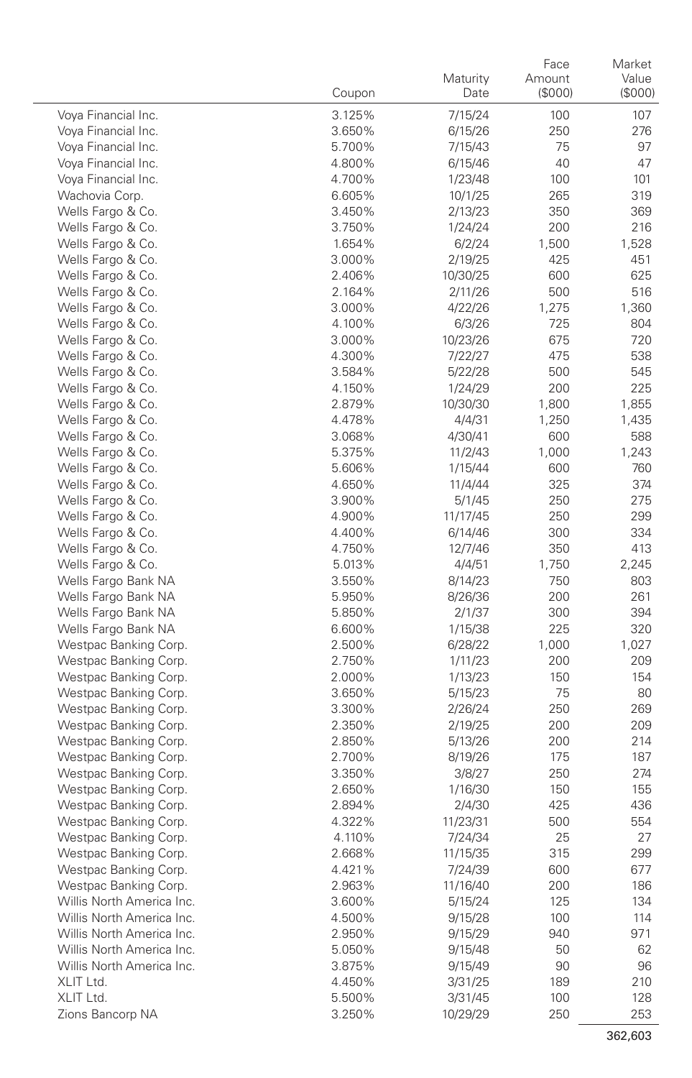|                                        | Coupon           | Maturity<br>Date   | Face<br>Amount<br>(\$000) | Market<br>Value<br>(\$000) |
|----------------------------------------|------------------|--------------------|---------------------------|----------------------------|
| Voya Financial Inc.                    | 3.125%           | 7/15/24            | 100                       | 107                        |
| Voya Financial Inc.                    | 3.650%           | 6/15/26            | 250                       | 276                        |
| Voya Financial Inc.                    | 5.700%           | 7/15/43            | 75                        | 97                         |
| Voya Financial Inc.                    | 4.800%           | 6/15/46            | 40                        | 47                         |
| Voya Financial Inc.                    | 4.700%           | 1/23/48            | 100                       | 101                        |
| Wachovia Corp.                         | 6.605%           | 10/1/25            | 265                       | 319                        |
| Wells Fargo & Co.                      | 3.450%           | 2/13/23            | 350                       | 369                        |
| Wells Fargo & Co.                      | 3.750%           | 1/24/24            | 200                       | 216                        |
| Wells Fargo & Co.                      | 1.654%           | 6/2/24             | 1,500                     | 1,528                      |
| Wells Fargo & Co.                      | 3.000%           | 2/19/25            | 425                       | 451                        |
| Wells Fargo & Co.                      | 2.406%           | 10/30/25           | 600                       | 625                        |
| Wells Fargo & Co.                      | 2.164%           | 2/11/26            | 500                       | 516                        |
| Wells Fargo & Co.                      | 3.000%           | 4/22/26            | 1,275                     | 1,360                      |
| Wells Fargo & Co.                      | 4.100%           | 6/3/26             | 725                       | 804                        |
| Wells Fargo & Co.                      | 3.000%           | 10/23/26           | 675                       | 720                        |
| Wells Fargo & Co.                      | 4.300%           | 7/22/27            | 475                       | 538                        |
| Wells Fargo & Co.                      | 3.584%           | 5/22/28            | 500                       | 545                        |
| Wells Fargo & Co.                      | 4.150%           | 1/24/29            | 200                       | 225                        |
| Wells Fargo & Co.                      | 2.879%           | 10/30/30           | 1,800                     | 1,855                      |
| Wells Fargo & Co.                      | 4.478%           | 4/4/31             | 1,250                     | 1,435                      |
| Wells Fargo & Co.                      | 3.068%           | 4/30/41            | 600                       | 588                        |
| Wells Fargo & Co.                      | 5.375%           | 11/2/43            | 1,000                     | 1,243                      |
| Wells Fargo & Co.<br>Wells Fargo & Co. | 5.606%<br>4.650% | 1/15/44<br>11/4/44 | 600                       | 760<br>374                 |
| Wells Fargo & Co.                      |                  |                    | 325<br>250                | 275                        |
| Wells Fargo & Co.                      | 3.900%<br>4.900% | 5/1/45<br>11/17/45 | 250                       | 299                        |
| Wells Fargo & Co.                      | 4.400%           | 6/14/46            | 300                       | 334                        |
| Wells Fargo & Co.                      | 4.750%           | 12/7/46            | 350                       | 413                        |
| Wells Fargo & Co.                      | 5.013%           | 4/4/51             | 1,750                     | 2,245                      |
| Wells Fargo Bank NA                    | 3.550%           | 8/14/23            | 750                       | 803                        |
| Wells Fargo Bank NA                    | 5.950%           | 8/26/36            | 200                       | 261                        |
| Wells Fargo Bank NA                    | 5.850%           | 2/1/37             | 300                       | 394                        |
| Wells Fargo Bank NA                    | 6.600%           | 1/15/38            | 225                       | 320                        |
| Westpac Banking Corp.                  | 2.500%           | 6/28/22            | 1,000                     | 1,027                      |
| Westpac Banking Corp.                  | 2.750%           | 1/11/23            | 200                       | 209                        |
| Westpac Banking Corp.                  | 2.000%           | 1/13/23            | 150                       | 154                        |
| Westpac Banking Corp.                  | 3.650%           | 5/15/23            | 75                        | 80                         |
| Westpac Banking Corp.                  | 3.300%           | 2/26/24            | 250                       | 269                        |
| Westpac Banking Corp.                  | 2.350%           | 2/19/25            | 200                       | 209                        |
| Westpac Banking Corp.                  | 2.850%           | 5/13/26            | 200                       | 214                        |
| Westpac Banking Corp.                  | 2.700%           | 8/19/26            | 175                       | 187                        |
| Westpac Banking Corp.                  | 3.350%           | 3/8/27             | 250                       | 274                        |
| Westpac Banking Corp.                  | 2.650%           | 1/16/30            | 150                       | 155                        |
| Westpac Banking Corp.                  | 2.894%           | 2/4/30             | 425                       | 436                        |
| Westpac Banking Corp.                  | 4.322%           | 11/23/31           | 500                       | 554                        |
| Westpac Banking Corp.                  | 4.110%           | 7/24/34            | 25                        | 27                         |
| Westpac Banking Corp.                  | 2.668%           | 11/15/35           | 315                       | 299                        |
| Westpac Banking Corp.                  | 4.421%           | 7/24/39            | 600                       | 677                        |
| Westpac Banking Corp.                  | 2.963%           | 11/16/40           | 200                       | 186                        |
| Willis North America Inc.              | 3.600%           | 5/15/24            | 125                       | 134                        |
| Willis North America Inc.              | 4.500%           | 9/15/28            | 100                       | 114                        |
| Willis North America Inc.              | 2.950%           | 9/15/29            | 940                       | 971                        |
| Willis North America Inc.              | 5.050%           | 9/15/48            | 50                        | 62                         |
| Willis North America Inc.              | 3.875%           | 9/15/49            | 90                        | 96                         |
| XLIT Ltd.                              | 4.450%           | 3/31/25            | 189                       | 210                        |
| XLIT Ltd.                              | 5.500%           | 3/31/45            | 100                       | 128                        |
| Zions Bancorp NA                       | 3.250%           | 10/29/29           | 250                       | 253                        |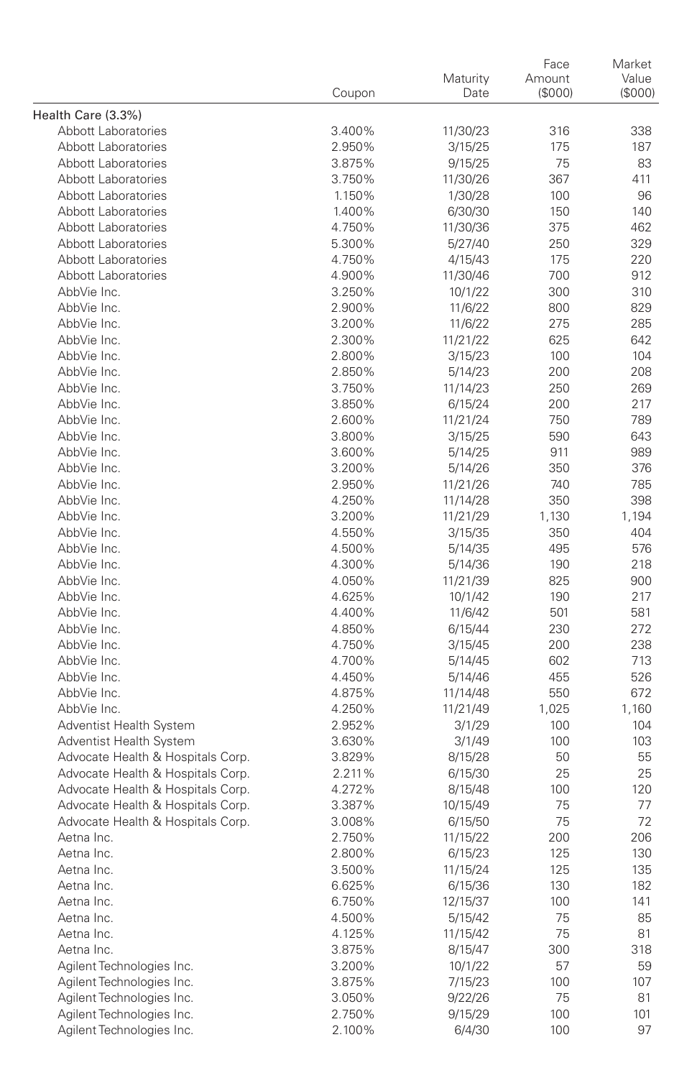|                                                              |                  | Face                | Market |        |
|--------------------------------------------------------------|------------------|---------------------|--------|--------|
|                                                              |                  | Maturity            | Amount | Value  |
|                                                              | Coupon           | Date                | (S000) | (S000) |
| Health Care (3.3%)                                           |                  |                     |        |        |
| Abbott Laboratories                                          | 3.400%           | 11/30/23            | 316    | 338    |
| Abbott Laboratories                                          | 2.950%           | 3/15/25             | 175    | 187    |
| Abbott Laboratories                                          | 3.875%           | 9/15/25             | 75     | 83     |
| Abbott Laboratories                                          | 3.750%           | 11/30/26            | 367    | 411    |
| Abbott Laboratories                                          | 1.150%           | 1/30/28             | 100    | 96     |
| Abbott Laboratories                                          | 1.400%           | 6/30/30             | 150    | 140    |
| Abbott Laboratories                                          | 4.750%           | 11/30/36            | 375    | 462    |
| Abbott Laboratories                                          | 5.300%           | 5/27/40             | 250    | 329    |
| Abbott Laboratories                                          | 4.750%           | 4/15/43             | 175    | 220    |
| Abbott Laboratories                                          | 4.900%           | 11/30/46            | 700    | 912    |
| AbbVie Inc.                                                  | 3.250%           | 10/1/22             | 300    | 310    |
| AbbVie Inc.                                                  | 2.900%           | 11/6/22             | 800    | 829    |
| AbbVie Inc.                                                  | 3.200%           | 11/6/22             | 275    | 285    |
| AbbVie Inc.                                                  | 2.300%           | 11/21/22            | 625    | 642    |
| AbbVie Inc.                                                  | 2.800%           | 3/15/23             | 100    | 104    |
| AbbVie Inc.                                                  | 2.850%           | 5/14/23             | 200    | 208    |
| AbbVie Inc.                                                  | 3.750%           | 11/14/23            | 250    | 269    |
| AbbVie Inc.                                                  | 3.850%           | 6/15/24             | 200    | 217    |
| AbbVie Inc.                                                  | 2.600%           | 11/21/24            | 750    | 789    |
| AbbVie Inc.                                                  | 3.800%           | 3/15/25             | 590    | 643    |
| AbbVie Inc.                                                  | 3.600%           | 5/14/25             | 911    | 989    |
| AbbVie Inc.                                                  | 3.200%           | 5/14/26             | 350    | 376    |
| AbbVie Inc.                                                  | 2.950%           | 11/21/26            | 740    | 785    |
| AbbVie Inc.                                                  | 4.250%           | 11/14/28            | 350    | 398    |
| AbbVie Inc.                                                  | 3.200%           | 11/21/29            | 1,130  | 1,194  |
| AbbVie Inc.                                                  | 4.550%           | 3/15/35             | 350    | 404    |
| AbbVie Inc.                                                  | 4.500%           | 5/14/35             | 495    | 576    |
| AbbVie Inc.                                                  | 4.300%           | 5/14/36             | 190    | 218    |
| AbbVie Inc.                                                  | 4.050%           | 11/21/39            | 825    | 900    |
| AbbVie Inc.                                                  | 4.625%           | 10/1/42             | 190    | 217    |
| AbbVie Inc.                                                  | 4.400%           | 11/6/42             | 501    | 581    |
| AbbVie Inc.                                                  | 4.850%           | 6/15/44             | 230    | 272    |
| AbbVie Inc.                                                  | 4.750%           |                     | 200    | 238    |
| AbbVie Inc.                                                  | 4.700%           | 3/15/45<br>5/14/45  | 602    | 713    |
| AbbVie Inc.                                                  | 4.450%           | 5/14/46             | 455    | 526    |
| AbbVie Inc.                                                  | 4.875%           | 11/14/48            | 550    | 672    |
| AbbVie Inc.                                                  | 4.250%           | 11/21/49            | 1,025  | 1,160  |
|                                                              | 2.952%           |                     | 100    | 104    |
| Adventist Health System                                      | 3.630%           | 3/1/29              | 100    | 103    |
| Adventist Health System<br>Advocate Health & Hospitals Corp. | 3.829%           | 3/1/49              | 50     | 55     |
| Advocate Health & Hospitals Corp.                            | 2.211%           | 8/15/28             | 25     | 25     |
| Advocate Health & Hospitals Corp.                            |                  | 6/15/30             | 100    | 120    |
|                                                              | 4.272%<br>3.387% | 8/15/48<br>10/15/49 |        |        |
| Advocate Health & Hospitals Corp.                            |                  |                     | 75     | 77     |
| Advocate Health & Hospitals Corp.                            | 3.008%           | 6/15/50             | 75     | 72     |
| Aetna Inc.                                                   | 2.750%           | 11/15/22            | 200    | 206    |
| Aetna Inc.                                                   | 2.800%           | 6/15/23             | 125    | 130    |
| Aetna Inc.                                                   | 3.500%           | 11/15/24            | 125    | 135    |
| Aetna Inc.                                                   | 6.625%           | 6/15/36             | 130    | 182    |
| Aetna Inc.                                                   | 6.750%           | 12/15/37            | 100    | 141    |
| Aetna Inc.                                                   | 4.500%           | 5/15/42             | 75     | 85     |
| Aetna Inc.                                                   | 4.125%           | 11/15/42            | 75     | 81     |
| Aetna Inc.                                                   | 3.875%           | 8/15/47             | 300    | 318    |
| Agilent Technologies Inc.                                    | 3.200%           | 10/1/22             | 57     | 59     |
| Agilent Technologies Inc.                                    | 3.875%           | 7/15/23             | 100    | 107    |
| Agilent Technologies Inc.                                    | 3.050%           | 9/22/26             | 75     | 81     |
| Agilent Technologies Inc.                                    | 2.750%           | 9/15/29             | 100    | 101    |
| Agilent Technologies Inc.                                    | 2.100%           | 6/4/30              | 100    | 97     |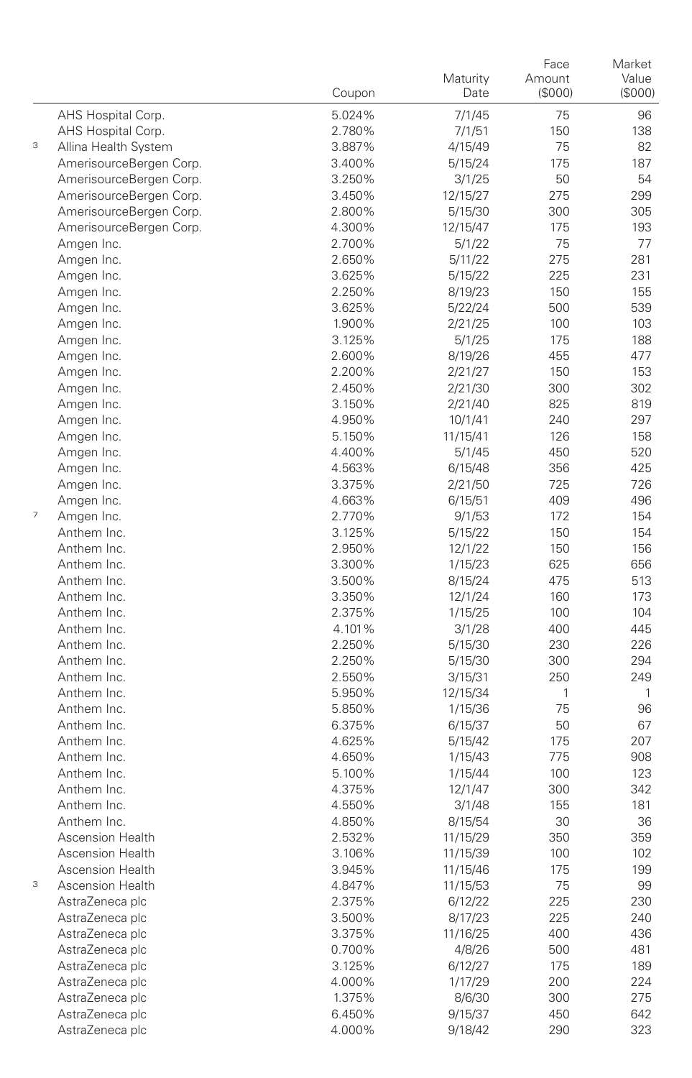|                |                            | Coupon           | Maturity<br>Date  | Face<br>Amount<br>(\$000) | Market<br>Value<br>(\$000) |
|----------------|----------------------------|------------------|-------------------|---------------------------|----------------------------|
|                | AHS Hospital Corp.         | 5.024%           | 7/1/45            | 75                        | 96                         |
|                | AHS Hospital Corp.         | 2.780%           | 7/1/51            | 150                       | 138                        |
| 3              | Allina Health System       | 3.887%           | 4/15/49           | 75                        | 82                         |
|                | AmerisourceBergen Corp.    | 3.400%           | 5/15/24           | 175                       | 187                        |
|                | AmerisourceBergen Corp.    | 3.250%           | 3/1/25            | 50                        | 54                         |
|                | AmerisourceBergen Corp.    | 3.450%           | 12/15/27          | 275                       | 299                        |
|                | AmerisourceBergen Corp.    | 2.800%           | 5/15/30           | 300                       | 305                        |
|                | AmerisourceBergen Corp.    | 4.300%           | 12/15/47          | 175                       | 193                        |
|                | Amgen Inc.                 | 2.700%           | 5/1/22            | 75                        | 77                         |
|                | Amgen Inc.                 | 2.650%           | 5/11/22           | 275                       | 281                        |
|                | Amgen Inc.                 | 3.625%           | 5/15/22           | 225                       | 231                        |
|                | Amgen Inc.                 | 2.250%           | 8/19/23           | 150                       | 155                        |
|                | Amgen Inc.                 | 3.625%           | 5/22/24           | 500                       | 539                        |
|                | Amgen Inc.                 | 1.900%           | 2/21/25           | 100                       | 103                        |
|                | Amgen Inc.                 | 3.125%           | 5/1/25            | 175                       | 188                        |
|                | Amgen Inc.                 | 2.600%           | 8/19/26           | 455                       | 477                        |
|                | Amgen Inc.                 | 2.200%           | 2/21/27           | 150                       | 153                        |
|                | Amgen Inc.                 | 2.450%           | 2/21/30           | 300                       | 302                        |
|                | Amgen Inc.                 | 3.150%           | 2/21/40           | 825                       | 819                        |
|                | Amgen Inc.                 | 4.950%           | 10/1/41           | 240                       | 297                        |
|                | Amgen Inc.                 | 5.150%           | 11/15/41          | 126                       | 158                        |
|                | Amgen Inc.                 | 4.400%           | 5/1/45            | 450                       | 520                        |
|                | Amgen Inc.                 | 4.563%           | 6/15/48           | 356                       | 425                        |
|                | Amgen Inc.                 | 3.375%           | 2/21/50           | 725                       | 726                        |
| $\overline{7}$ | Amgen Inc.                 | 4.663%           | 6/15/51           | 409                       | 496                        |
|                | Amgen Inc.<br>Anthem Inc.  | 2.770%           | 9/1/53            | 172                       | 154                        |
|                |                            | 3.125%           | 5/15/22           | 150                       | 154                        |
|                | Anthem Inc.<br>Anthem Inc. | 2.950%           | 12/1/22           | 150                       | 156                        |
|                | Anthem Inc.                | 3.300%           | 1/15/23           | 625                       | 656                        |
|                | Anthem Inc.                | 3.500%<br>3.350% | 8/15/24           | 475<br>160                | 513<br>173                 |
|                | Anthem Inc.                | 2.375%           | 12/1/24           | 100                       | 104                        |
|                | Anthem Inc.                | 4.101%           | 1/15/25<br>3/1/28 | 400                       | 445                        |
|                | Anthem Inc.                | 2.250%           | 5/15/30           | 230                       | 226                        |
|                | Anthem Inc.                | 2.250%           | 5/15/30           | 300                       | 294                        |
|                | Anthem Inc.                | 2.550%           | 3/15/31           | 250                       | 249                        |
|                | Anthem Inc.                | 5.950%           | 12/15/34          | $\mathbf{1}$              | 1                          |
|                | Anthem Inc.                | 5.850%           | 1/15/36           | 75                        | 96                         |
|                | Anthem Inc.                | 6.375%           | 6/15/37           | 50                        | 67                         |
|                | Anthem Inc.                | 4.625%           | 5/15/42           | 175                       | 207                        |
|                | Anthem Inc.                | 4.650%           | 1/15/43           | 775                       | 908                        |
|                | Anthem Inc.                | 5.100%           | 1/15/44           | 100                       | 123                        |
|                | Anthem Inc.                | 4.375%           | 12/1/47           | 300                       | 342                        |
|                | Anthem Inc.                | 4.550%           | 3/1/48            | 155                       | 181                        |
|                | Anthem Inc.                | 4.850%           | 8/15/54           | 30                        | 36                         |
|                | Ascension Health           | 2.532%           | 11/15/29          | 350                       | 359                        |
|                | <b>Ascension Health</b>    | 3.106%           | 11/15/39          | 100                       | 102                        |
|                | Ascension Health           | 3.945%           | 11/15/46          | 175                       | 199                        |
| 3              | Ascension Health           | 4.847%           | 11/15/53          | 75                        | 99                         |
|                | AstraZeneca plc            | 2.375%           | 6/12/22           | 225                       | 230                        |
|                | AstraZeneca plc            | 3.500%           | 8/17/23           | 225                       | 240                        |
|                | AstraZeneca plc            | 3.375%           | 11/16/25          | 400                       | 436                        |
|                | AstraZeneca plc            | 0.700%           | 4/8/26            | 500                       | 481                        |
|                | AstraZeneca plc            | 3.125%           | 6/12/27           | 175                       | 189                        |
|                | AstraZeneca plc            | 4.000%           | 1/17/29           | 200                       | 224                        |
|                | AstraZeneca plc            | 1.375%           | 8/6/30            | 300                       | 275                        |
|                | AstraZeneca plc            | 6.450%           | 9/15/37           | 450                       | 642                        |
|                | AstraZeneca plc            | 4.000%           | 9/18/42           | 290                       | 323                        |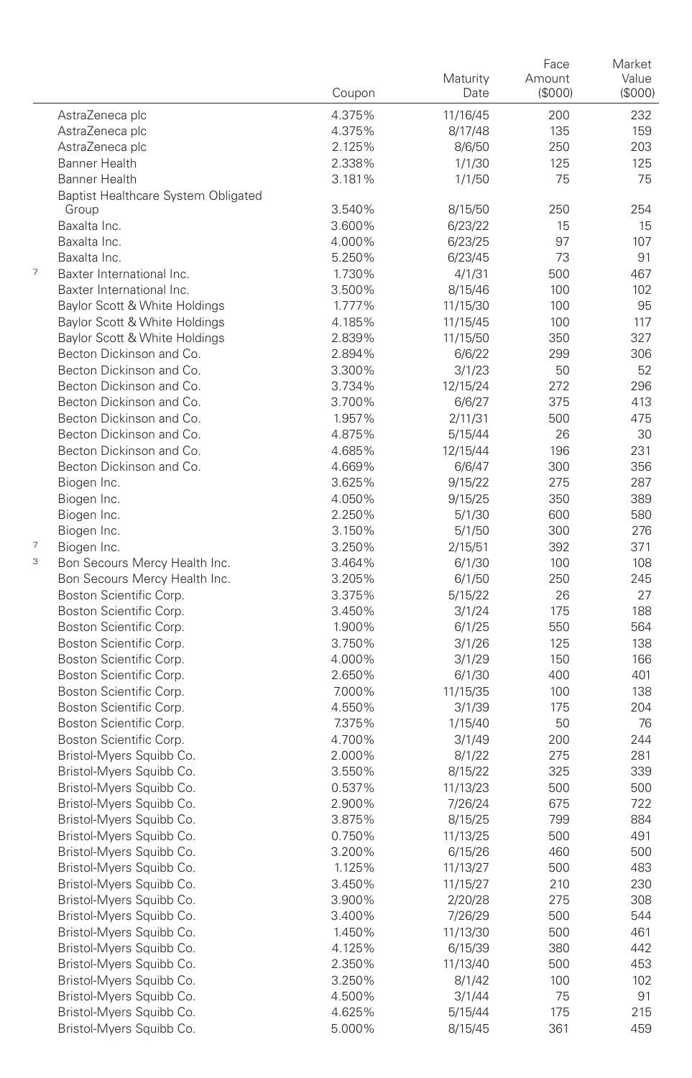|   |                                                    | Coupon           | Maturity<br>Date | Face<br>Amount<br>(\$000) | Market<br>Value<br>(\$000) |
|---|----------------------------------------------------|------------------|------------------|---------------------------|----------------------------|
|   | AstraZeneca plc                                    | 4.375%           | 11/16/45         | 200                       | 232                        |
|   | AstraZeneca plc                                    | 4.375%           | 8/17/48          | 135                       | 159                        |
|   | AstraZeneca plc                                    | 2.125%           | 8/6/50           | 250                       | 203                        |
|   | <b>Banner Health</b>                               | 2.338%           | 1/1/30           | 125                       | 125                        |
|   | Banner Health                                      | 3.181%           | 1/1/50           | 75                        | 75                         |
|   | Baptist Healthcare System Obligated                |                  |                  |                           |                            |
|   | Group                                              | 3.540%           | 8/15/50          | 250                       | 254                        |
|   | Baxalta Inc.                                       | 3.600%           | 6/23/22          | 15                        | 15                         |
|   | Baxalta Inc.                                       | 4.000%           | 6/23/25          | 97                        | 107                        |
|   | Baxalta Inc.                                       | 5.250%           | 6/23/45          | 73                        | 91                         |
| 7 | Baxter International Inc.                          | 1.730%           | 4/1/31           | 500                       | 467                        |
|   | Baxter International Inc.                          | 3.500%           | 8/15/46          | 100                       | 102                        |
|   | Baylor Scott & White Holdings                      | 1.777%           | 11/15/30         | 100                       | 95                         |
|   | Baylor Scott & White Holdings                      | 4.185%           | 11/15/45         | 100                       | 117                        |
|   | Baylor Scott & White Holdings                      | 2.839%           | 11/15/50         | 350                       | 327                        |
|   | Becton Dickinson and Co.                           | 2.894%           | 6/6/22           | 299                       | 306                        |
|   | Becton Dickinson and Co.                           | 3.300%           | 3/1/23           | 50                        | 52                         |
|   | Becton Dickinson and Co.                           | 3.734%           | 12/15/24         | 272                       | 296                        |
|   | Becton Dickinson and Co.                           | 3.700%           | 6/6/27           | 375                       | 413                        |
|   | Becton Dickinson and Co.                           | 1.957%           | 2/11/31          | 500                       | 475                        |
|   | Becton Dickinson and Co.                           | 4.875%           | 5/15/44          | 26                        | 30                         |
|   | Becton Dickinson and Co.                           | 4.685%           | 12/15/44         | 196                       | 231                        |
|   | Becton Dickinson and Co.                           | 4.669%           | 6/6/47           | 300                       | 356                        |
|   | Biogen Inc.                                        | 3.625%           | 9/15/22          | 275                       | 287                        |
|   | Biogen Inc.                                        | 4.050%           | 9/15/25          | 350                       | 389                        |
|   | Biogen Inc.                                        | 2.250%           | 5/1/30           | 600                       | 580                        |
|   | Biogen Inc.                                        | 3.150%           | 5/1/50           | 300                       | 276                        |
| 7 | Biogen Inc.                                        | 3.250%           | 2/15/51          | 392                       | 371                        |
| 3 | Bon Secours Mercy Health Inc.                      | 3.464%           | 6/1/30           | 100                       | 108                        |
|   | Bon Secours Mercy Health Inc.                      | 3.205%           | 6/1/50           | 250                       | 245                        |
|   | Boston Scientific Corp.                            | 3.375%           | 5/15/22          | 26                        | 27                         |
|   | Boston Scientific Corp.                            | 3.450%           | 3/1/24           | 175                       | 188<br>564                 |
|   | Boston Scientific Corp.                            | 1.900%<br>3.750% | 6/1/25           | 550<br>125                | 138                        |
|   | Boston Scientific Corp.<br>Boston Scientific Corp. | 4.000%           | 3/1/26<br>3/1/29 | 150                       | 166                        |
|   | Boston Scientific Corp.                            | 2.650%           | 6/1/30           | 400                       | 401                        |
|   | Boston Scientific Corp.                            | 7.000%           | 11/15/35         | 100                       | 138                        |
|   | Boston Scientific Corp.                            | 4.550%           | 3/1/39           | 175                       | 204                        |
|   | Boston Scientific Corp.                            | 7.375%           | 1/15/40          | 50                        | 76                         |
|   | Boston Scientific Corp.                            | 4.700%           | 3/1/49           | 200                       | 244                        |
|   | Bristol-Myers Squibb Co.                           | 2.000%           | 8/1/22           | 275                       | 281                        |
|   | Bristol-Myers Squibb Co.                           | 3.550%           | 8/15/22          | 325                       | 339                        |
|   | Bristol-Myers Squibb Co.                           | 0.537%           | 11/13/23         | 500                       | 500                        |
|   | Bristol-Myers Squibb Co.                           | 2.900%           | 7/26/24          | 675                       | 722                        |
|   | Bristol-Myers Squibb Co.                           | 3.875%           | 8/15/25          | 799                       | 884                        |
|   | Bristol-Myers Squibb Co.                           | 0.750%           | 11/13/25         | 500                       | 491                        |
|   | Bristol-Myers Squibb Co.                           | 3.200%           | 6/15/26          | 460                       | 500                        |
|   | Bristol-Myers Squibb Co.                           | 1.125%           | 11/13/27         | 500                       | 483                        |
|   | Bristol-Myers Squibb Co.                           | 3.450%           | 11/15/27         | 210                       | 230                        |
|   | Bristol-Myers Squibb Co.                           | 3.900%           | 2/20/28          | 275                       | 308                        |
|   | Bristol-Myers Squibb Co.                           | 3.400%           | 7/26/29          | 500                       | 544                        |
|   | Bristol-Myers Squibb Co.                           | 1.450%           | 11/13/30         | 500                       | 461                        |
|   | Bristol-Myers Squibb Co.                           | 4.125%           | 6/15/39          | 380                       | 442                        |
|   | Bristol-Myers Squibb Co.                           | 2.350%           | 11/13/40         | 500                       | 453                        |
|   | Bristol-Myers Squibb Co.                           | 3.250%           | 8/1/42           | 100                       | 102                        |
|   | Bristol-Myers Squibb Co.                           | 4.500%           | 3/1/44           | 75                        | 91                         |
|   | Bristol-Myers Squibb Co.                           | 4.625%           | 5/15/44          | 175                       | 215                        |
|   | Bristol-Myers Squibb Co.                           | 5.000%           | 8/15/45          | 361                       | 459                        |
|   |                                                    |                  |                  |                           |                            |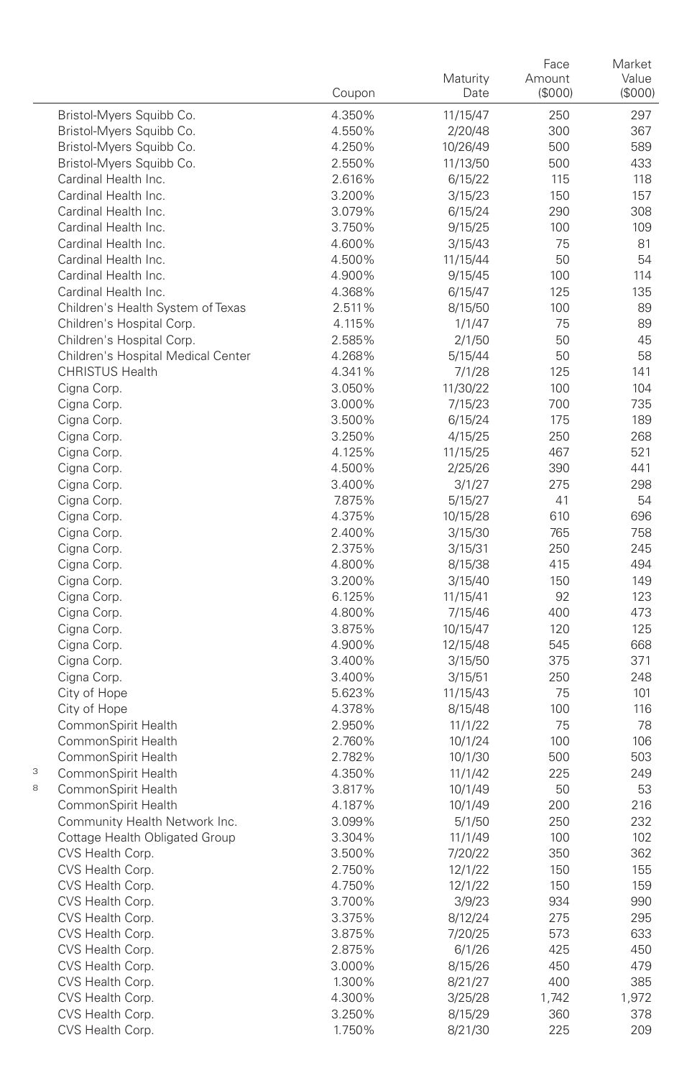|                           |                                    |                  |                   | Face              | Market                 |
|---------------------------|------------------------------------|------------------|-------------------|-------------------|------------------------|
|                           |                                    | Coupon           | Maturity<br>Date  | Amount<br>(\$000) | Value<br>$($ \$000 $)$ |
|                           |                                    |                  |                   |                   |                        |
|                           | Bristol-Myers Squibb Co.           | 4.350%           | 11/15/47          | 250               | 297                    |
|                           | Bristol-Myers Squibb Co.           | 4.550%           | 2/20/48           | 300               | 367                    |
|                           | Bristol-Myers Squibb Co.           | 4.250%           | 10/26/49          | 500               | 589                    |
|                           | Bristol-Myers Squibb Co.           | 2.550%           | 11/13/50          | 500               | 433                    |
|                           | Cardinal Health Inc.               | 2.616%           | 6/15/22           | 115               | 118                    |
|                           | Cardinal Health Inc.               | 3.200%           | 3/15/23           | 150               | 157                    |
|                           | Cardinal Health Inc.               | 3.079%           | 6/15/24           | 290               | 308                    |
|                           | Cardinal Health Inc.               | 3.750%           | 9/15/25           | 100               | 109                    |
|                           | Cardinal Health Inc.               | 4.600%           | 3/15/43           | 75                | 81                     |
|                           | Cardinal Health Inc.               | 4.500%           | 11/15/44          | 50                | 54                     |
|                           | Cardinal Health Inc.               | 4.900%           | 9/15/45           | 100               | 114                    |
|                           | Cardinal Health Inc.               | 4.368%           | 6/15/47           | 125               | 135                    |
|                           | Children's Health System of Texas  | 2.511%           | 8/15/50           | 100               | 89                     |
|                           | Children's Hospital Corp.          | 4.115%           | 1/1/47            | 75                | 89                     |
|                           | Children's Hospital Corp.          | 2.585%           | 2/1/50            | 50                | 45                     |
|                           | Children's Hospital Medical Center | 4.268%           | 5/15/44           | 50                | 58                     |
|                           | <b>CHRISTUS Health</b>             | 4.341%           | 7/1/28            | 125               | 141                    |
|                           | Cigna Corp.                        | 3.050%           | 11/30/22          | 100               | 104                    |
|                           | Cigna Corp.                        | 3.000%           | 7/15/23           | 700               | 735                    |
|                           | Cigna Corp.                        | 3.500%           | 6/15/24           | 175               | 189                    |
|                           | Cigna Corp.                        | 3.250%<br>4.125% | 4/15/25           | 250               | 268                    |
|                           | Cigna Corp.                        | 4.500%           | 11/15/25          | 467               | 521                    |
|                           | Cigna Corp.<br>Cigna Corp.         |                  | 2/25/26           | 390               | 441<br>298             |
|                           | Cigna Corp.                        | 3.400%<br>7.875% | 3/1/27<br>5/15/27 | 275<br>41         | 54                     |
|                           | Cigna Corp.                        | 4.375%           | 10/15/28          | 610               | 696                    |
|                           | Cigna Corp.                        | 2.400%           | 3/15/30           | 765               | 758                    |
|                           | Cigna Corp.                        | 2.375%           | 3/15/31           | 250               | 245                    |
|                           | Cigna Corp.                        | 4.800%           | 8/15/38           | 415               | 494                    |
|                           | Cigna Corp.                        | 3.200%           | 3/15/40           | 150               | 149                    |
|                           | Cigna Corp.                        | 6.125%           | 11/15/41          | 92                | 123                    |
|                           | Cigna Corp.                        | 4.800%           | 7/15/46           | 400               | 473                    |
|                           | Cigna Corp.                        | 3.875%           | 10/15/47          | 120               | 125                    |
|                           | Cigna Corp.                        | 4.900%           | 12/15/48          | 545               | 668                    |
|                           | Cigna Corp.                        | 3.400%           | 3/15/50           | 375               | 371                    |
|                           | Cigna Corp.                        | 3.400%           | 3/15/51           | 250               | 248                    |
|                           | City of Hope                       | 5.623%           | 11/15/43          | 75                | 101                    |
|                           | City of Hope                       | 4.378%           | 8/15/48           | 100               | 116                    |
|                           | CommonSpirit Health                | 2.950%           | 11/1/22           | 75                | 78                     |
|                           | CommonSpirit Health                | 2.760%           | 10/1/24           | 100               | 106                    |
|                           | CommonSpirit Health                | 2.782%           | 10/1/30           | 500               | 503                    |
| $\ensuremath{\mathsf{3}}$ | CommonSpirit Health                | 4.350%           | 11/1/42           | 225               | 249                    |
| 8                         | CommonSpirit Health                | 3.817%           | 10/1/49           | 50                | 53                     |
|                           | CommonSpirit Health                | 4.187%           | 10/1/49           | 200               | 216                    |
|                           | Community Health Network Inc.      | 3.099%           | 5/1/50            | 250               | 232                    |
|                           | Cottage Health Obligated Group     | 3.304%           | 11/1/49           | 100               | 102                    |
|                           | CVS Health Corp.                   | 3.500%           | 7/20/22           | 350               | 362                    |
|                           | CVS Health Corp.                   | 2.750%           | 12/1/22           | 150               | 155                    |
|                           | CVS Health Corp.                   | 4.750%           | 12/1/22           | 150               | 159                    |
|                           | CVS Health Corp.                   | 3.700%           | 3/9/23            | 934               | 990                    |
|                           | CVS Health Corp.                   | 3.375%           | 8/12/24           | 275               | 295                    |
|                           | CVS Health Corp.                   | 3.875%           | 7/20/25           | 573               | 633                    |
|                           | CVS Health Corp.                   | 2.875%           | 6/1/26            | 425               | 450                    |
|                           | CVS Health Corp.                   | 3.000%           | 8/15/26           | 450               | 479                    |
|                           | CVS Health Corp.                   | 1.300%           | 8/21/27           | 400               | 385                    |
|                           | CVS Health Corp.                   | 4.300%           | 3/25/28           | 1,742             | 1,972                  |
|                           | CVS Health Corp.                   | 3.250%           | 8/15/29           | 360               | 378                    |
|                           | CVS Health Corp.                   | 1.750%           | 8/21/30           | 225               | 209                    |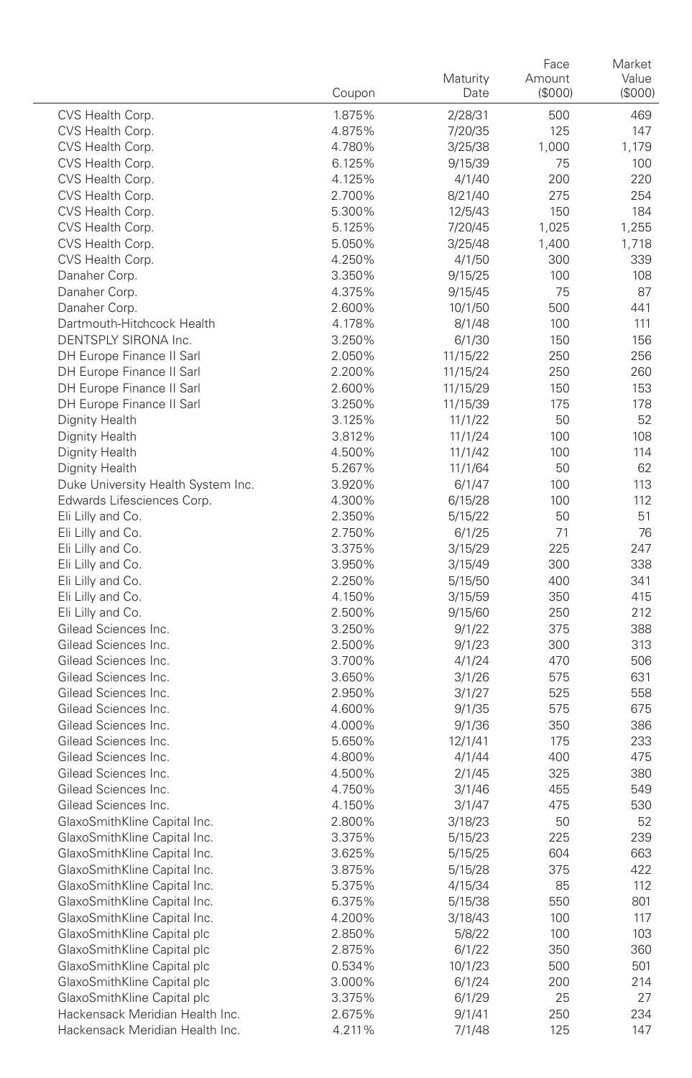|                                              | Coupon           | Maturity<br>Date | Face<br>Amount<br>(\$000) | Market<br>Value<br>(\$000) |
|----------------------------------------------|------------------|------------------|---------------------------|----------------------------|
| CVS Health Corp.                             | 1.875%           | 2/28/31          | 500                       | 469                        |
| CVS Health Corp.                             | 4.875%           | 7/20/35          | 125                       | 147                        |
| CVS Health Corp.                             | 4.780%           | 3/25/38          | 1,000                     | 1,179                      |
| CVS Health Corp.                             | 6.125%           | 9/15/39          | 75                        | 100                        |
| CVS Health Corp.                             | 4.125%           | 4/1/40           | 200                       | 220                        |
| CVS Health Corp.                             | 2.700%           | 8/21/40          | 275                       | 254                        |
| CVS Health Corp.                             | 5.300%           | 12/5/43          | 150                       | 184                        |
| CVS Health Corp.                             | 5.125%           | 7/20/45          | 1,025                     | 1,255                      |
| CVS Health Corp.                             | 5.050%           | 3/25/48          | 1,400                     | 1,718                      |
| CVS Health Corp.                             | 4.250%           | 4/1/50           | 300                       | 339                        |
| Danaher Corp.                                | 3.350%           | 9/15/25          | 100                       | 108                        |
| Danaher Corp.                                | 4.375%           | 9/15/45          | 75                        | 87                         |
| Danaher Corp.                                | 2.600%           | 10/1/50          | 500                       | 441                        |
| Dartmouth-Hitchcock Health                   | 4.178%           | 8/1/48           | 100                       | 111                        |
| DENTSPLY SIRONA Inc.                         | 3.250%           | 6/1/30           | 150                       | 156                        |
| DH Europe Finance II Sarl                    | 2.050%           | 11/15/22         | 250                       | 256                        |
| DH Europe Finance II Sarl                    | 2.200%           | 11/15/24         | 250                       | 260                        |
| DH Europe Finance II Sarl                    | 2.600%           | 11/15/29         | 150                       | 153                        |
| DH Europe Finance II Sarl                    | 3.250%           | 11/15/39         | 175                       | 178                        |
| Dignity Health                               | 3.125%           | 11/1/22          | 50                        | 52                         |
| Dignity Health                               | 3.812%           | 11/1/24          | 100                       | 108                        |
| Dignity Health                               | 4.500%           | 11/1/42          | 100                       | 114                        |
| Dignity Health                               | 5.267%           | 11/1/64          | 50                        | 62                         |
| Duke University Health System Inc.           | 3.920%           | 6/1/47           | 100                       | 113                        |
| Edwards Lifesciences Corp.                   | 4.300%           | 6/15/28          | 100                       | 112                        |
| Eli Lilly and Co.                            | 2.350%           | 5/15/22          | 50                        | 51                         |
| Eli Lilly and Co.                            | 2.750%           | 6/1/25           | 71                        | 76                         |
| Eli Lilly and Co.                            | 3.375%           | 3/15/29          | 225                       | 247                        |
| Eli Lilly and Co.                            | 3.950%           | 3/15/49          | 300                       | 338                        |
| Eli Lilly and Co.                            | 2.250%           | 5/15/50          | 400                       | 341                        |
| Eli Lilly and Co.                            | 4.150%           | 3/15/59          | 350                       | 415                        |
| Eli Lilly and Co.                            | 2.500%           | 9/15/60          | 250                       | 212                        |
| Gilead Sciences Inc.<br>Gilead Sciences Inc. | 3.250%<br>2.500% | 9/1/22           | 375                       | 388                        |
| Gilead Sciences Inc.                         | 3.700%           | 9/1/23<br>4/1/24 | 300<br>470                | 313<br>506                 |
| Gilead Sciences Inc.                         | 3.650%           | 3/1/26           | 575                       | 631                        |
| Gilead Sciences Inc.                         | 2.950%           | 3/1/27           | 525                       | 558                        |
| Gilead Sciences Inc.                         | 4.600%           | 9/1/35           | 575                       | 675                        |
| Gilead Sciences Inc.                         | 4.000%           | 9/1/36           | 350                       | 386                        |
| Gilead Sciences Inc.                         | 5.650%           | 12/1/41          | 175                       | 233                        |
| Gilead Sciences Inc.                         | 4.800%           | 4/1/44           | 400                       | 475                        |
| Gilead Sciences Inc.                         | 4.500%           | 2/1/45           | 325                       | 380                        |
| Gilead Sciences Inc.                         | 4.750%           | 3/1/46           | 455                       | 549                        |
| Gilead Sciences Inc.                         | 4.150%           | 3/1/47           | 475                       | 530                        |
| GlaxoSmithKline Capital Inc.                 | 2.800%           | 3/18/23          | 50                        | 52                         |
| GlaxoSmithKline Capital Inc.                 | 3.375%           | 5/15/23          | 225                       | 239                        |
| GlaxoSmithKline Capital Inc                  | 3.625%           | 5/15/25          | 604                       | 663                        |
| GlaxoSmithKline Capital Inc.                 | 3.875%           | 5/15/28          | 375                       | 422                        |
| GlaxoSmithKline Capital Inc.                 | 5.375%           | 4/15/34          | 85                        | 112                        |
| GlaxoSmithKline Capital Inc.                 | 6.375%           | 5/15/38          | 550                       | 801                        |
| GlaxoSmithKline Capital Inc.                 | 4.200%           | 3/18/43          | 100                       | 117                        |
| GlaxoSmithKline Capital plc                  | 2.850%           | 5/8/22           | 100                       | 103                        |
| GlaxoSmithKline Capital plc                  | 2.875%           | 6/1/22           | 350                       | 360                        |
| GlaxoSmithKline Capital plc                  | 0.534%           | 10/1/23          | 500                       | 501                        |
| GlaxoSmithKline Capital plc                  | 3.000%           | 6/1/24           | 200                       | 214                        |
| GlaxoSmithKline Capital plc                  | 3.375%           | 6/1/29           | 25                        | 27                         |
| Hackensack Meridian Health Inc.              | 2.675%           | 9/1/41           | 250                       | 234                        |
| Hackensack Meridian Health Inc.              | 4.211%           | 7/1/48           | 125                       | 147                        |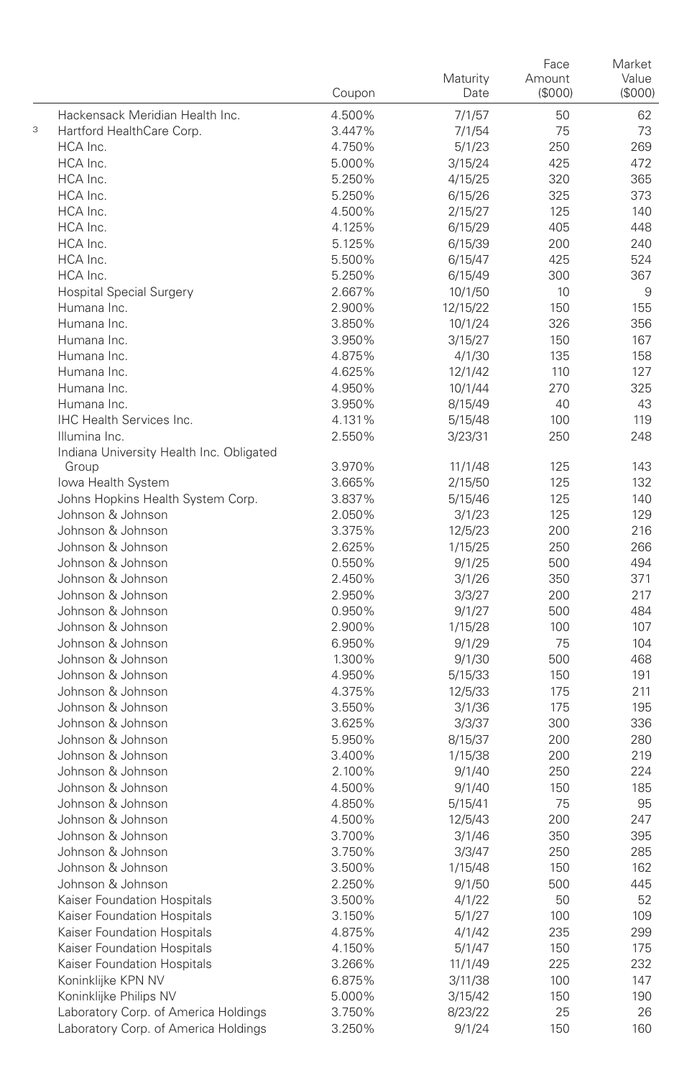|   |                                          | Coupon           | Maturity<br>Date  | Face<br>Amount<br>(\$000) | Market<br>Value<br>(\$000) |
|---|------------------------------------------|------------------|-------------------|---------------------------|----------------------------|
|   | Hackensack Meridian Health Inc.          | 4.500%           | 7/1/57            | 50                        | 62                         |
| 3 | Hartford HealthCare Corp.                | 3.447%           | 7/1/54            | 75                        | 73                         |
|   | HCA Inc.                                 | 4.750%           | 5/1/23            | 250                       | 269                        |
|   | HCA Inc.                                 | 5.000%           | 3/15/24           | 425                       | 472                        |
|   | HCA Inc.                                 | 5.250%           | 4/15/25           | 320                       | 365                        |
|   | HCA Inc.                                 | 5.250%           | 6/15/26           | 325                       | 373                        |
|   | HCA Inc.                                 | 4.500%           | 2/15/27           | 125                       | 140                        |
|   | HCA Inc.                                 | 4.125%           | 6/15/29           | 405                       | 448                        |
|   | HCA Inc.                                 | 5.125%           | 6/15/39           | 200                       | 240                        |
|   | HCA Inc.                                 | 5.500%           | 6/15/47           | 425                       | 524                        |
|   | HCA Inc.                                 | 5.250%           | 6/15/49           | 300                       | 367                        |
|   | <b>Hospital Special Surgery</b>          | 2.667%           | 10/1/50           | 10                        | 9                          |
|   | Humana Inc.                              | 2.900%           | 12/15/22          | 150                       | 155                        |
|   | Humana Inc.                              | 3.850%           | 10/1/24           | 326                       | 356                        |
|   | Humana Inc.                              | 3.950%           | 3/15/27           | 150                       | 167                        |
|   | Humana Inc.                              | 4.875%           | 4/1/30            | 135                       | 158                        |
|   | Humana Inc.                              | 4.625%           | 12/1/42           | 110                       | 127                        |
|   | Humana Inc.                              | 4.950%           | 10/1/44           | 270                       | 325                        |
|   | Humana Inc.                              | 3.950%           | 8/15/49           | 40                        | 43                         |
|   | <b>IHC Health Services Inc.</b>          | 4.131%           | 5/15/48           | 100                       | 119                        |
|   | Illumina Inc.                            | 2.550%           | 3/23/31           | 250                       | 248                        |
|   | Indiana University Health Inc. Obligated |                  |                   |                           |                            |
|   | Group                                    | 3.970%           | 11/1/48           | 125                       | 143                        |
|   | Iowa Health System                       | 3.665%           | 2/15/50           | 125                       | 132                        |
|   | Johns Hopkins Health System Corp.        | 3.837%           | 5/15/46           | 125                       | 140                        |
|   | Johnson & Johnson                        | 2.050%           | 3/1/23            | 125                       | 129                        |
|   | Johnson & Johnson                        | 3.375%           | 12/5/23           | 200                       | 216                        |
|   | Johnson & Johnson                        | 2.625%           | 1/15/25           | 250                       | 266                        |
|   | Johnson & Johnson                        | 0.550%           | 9/1/25            | 500                       | 494                        |
|   | Johnson & Johnson                        | 2.450%           | 3/1/26            | 350                       | 371                        |
|   | Johnson & Johnson                        | 2.950%           | 3/3/27            | 200                       | 217                        |
|   | Johnson & Johnson                        | 0.950%           | 9/1/27            | 500                       | 484                        |
|   | Johnson & Johnson                        | 2.900%           | 1/15/28           | 100                       | 107                        |
|   | Johnson & Johnson                        | 6.950%           | 9/1/29            | 75                        | 104                        |
|   | Johnson & Johnson                        | 1.300%           | 9/1/30            | 500                       | 468                        |
|   | Johnson & Johnson<br>Johnson & Johnson   | 4.950%           | 5/15/33           | 150                       | 191                        |
|   | Johnson & Johnson                        | 4.375%<br>3.550% | 12/5/33           | 175<br>175                | 211<br>195                 |
|   | Johnson & Johnson                        | 3.625%           | 3/1/36            | 300                       | 336                        |
|   | Johnson & Johnson                        | 5.950%           | 3/3/37<br>8/15/37 | 200                       | 280                        |
|   | Johnson & Johnson                        | 3.400%           | 1/15/38           | 200                       | 219                        |
|   | Johnson & Johnson                        | 2.100%           | 9/1/40            | 250                       | 224                        |
|   | Johnson & Johnson                        | 4.500%           | 9/1/40            | 150                       | 185                        |
|   | Johnson & Johnson                        | 4.850%           | 5/15/41           | 75                        | 95                         |
|   | Johnson & Johnson                        | 4.500%           | 12/5/43           | 200                       | 247                        |
|   | Johnson & Johnson                        | 3.700%           | 3/1/46            | 350                       | 395                        |
|   | Johnson & Johnson                        | 3.750%           | 3/3/47            | 250                       | 285                        |
|   | Johnson & Johnson                        | 3.500%           | 1/15/48           | 150                       | 162                        |
|   | Johnson & Johnson                        | 2.250%           | 9/1/50            | 500                       | 445                        |
|   | Kaiser Foundation Hospitals              | 3.500%           | 4/1/22            | 50                        | 52                         |
|   | Kaiser Foundation Hospitals              | 3.150%           | 5/1/27            | 100                       | 109                        |
|   | Kaiser Foundation Hospitals              | 4.875%           | 4/1/42            | 235                       | 299                        |
|   | Kaiser Foundation Hospitals              | 4.150%           | 5/1/47            | 150                       | 175                        |
|   | Kaiser Foundation Hospitals              | 3.266%           | 11/1/49           | 225                       | 232                        |
|   | Koninklijke KPN NV                       | 6.875%           | 3/11/38           | 100                       | 147                        |
|   | Koninklijke Philips NV                   | 5.000%           | 3/15/42           | 150                       | 190                        |
|   | Laboratory Corp. of America Holdings     | 3.750%           | 8/23/22           | 25                        | 26                         |
|   | Laboratory Corp. of America Holdings     | 3.250%           | 9/1/24            | 150                       | 160                        |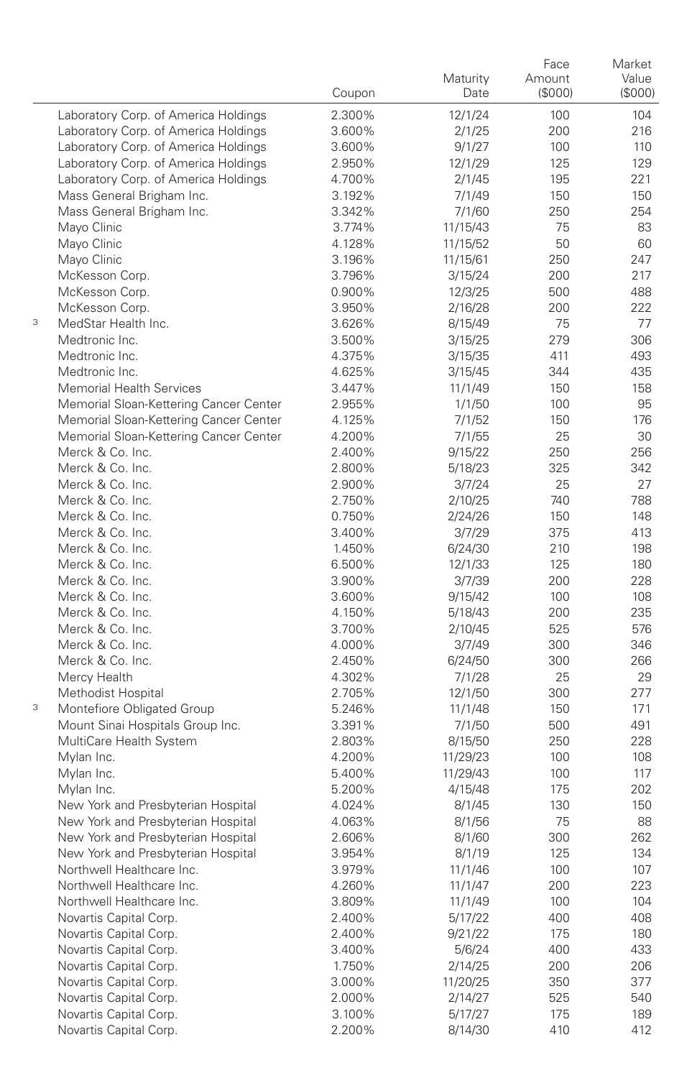|   |                                                        | Coupon           | Maturity<br>Date   | Face<br>Amount<br>(\$000) | Market<br>Value<br>(S000) |
|---|--------------------------------------------------------|------------------|--------------------|---------------------------|---------------------------|
|   | Laboratory Corp. of America Holdings                   | 2.300%           | 12/1/24            | 100                       | 104                       |
|   | Laboratory Corp. of America Holdings                   | 3.600%           | 2/1/25             | 200                       | 216                       |
|   | Laboratory Corp. of America Holdings                   | 3.600%           | 9/1/27             | 100                       | 110                       |
|   | Laboratory Corp. of America Holdings                   | 2.950%           | 12/1/29            | 125                       | 129                       |
|   | Laboratory Corp. of America Holdings                   | 4.700%           | 2/1/45             | 195                       | 221                       |
|   | Mass General Brigham Inc.                              | 3.192%           | 7/1/49             | 150                       | 150                       |
|   | Mass General Brigham Inc.                              | 3.342%           | 7/1/60             | 250                       | 254                       |
|   | Mayo Clinic                                            | 3.774%           | 11/15/43           | 75                        | 83                        |
|   | Mayo Clinic                                            | 4.128%           | 11/15/52           | 50                        | 60                        |
|   | Mayo Clinic                                            | 3.196%           | 11/15/61           | 250                       | 247                       |
|   | McKesson Corp.                                         | 3.796%           | 3/15/24            | 200                       | 217                       |
|   | McKesson Corp.                                         | 0.900%           | 12/3/25            | 500                       | 488                       |
|   | McKesson Corp.                                         | 3.950%           | 2/16/28            | 200                       | 222                       |
| 3 | MedStar Health Inc.                                    | 3.626%           | 8/15/49            | 75                        | 77                        |
|   | Medtronic Inc.                                         | 3.500%           | 3/15/25            | 279                       | 306                       |
|   | Medtronic Inc.                                         | 4.375%           | 3/15/35            | 411                       | 493                       |
|   | Medtronic Inc.                                         | 4.625%           | 3/15/45            | 344                       | 435                       |
|   | <b>Memorial Health Services</b>                        | 3.447%           | 11/1/49            | 150                       | 158                       |
|   | Memorial Sloan-Kettering Cancer Center                 | 2.955%           | 1/1/50             | 100                       | 95                        |
|   | Memorial Sloan-Kettering Cancer Center                 | 4.125%           | 7/1/52             | 150                       | 176                       |
|   | Memorial Sloan-Kettering Cancer Center                 | 4.200%           | 7/1/55             | 25                        | 30                        |
|   | Merck & Co. Inc.                                       | 2.400%           | 9/15/22            | 250                       | 256                       |
|   | Merck & Co. Inc.                                       | 2.800%           | 5/18/23            | 325                       | 342                       |
|   | Merck & Co. Inc.                                       | 2.900%           | 3/7/24             | 25                        | 27                        |
|   | Merck & Co. Inc.                                       | 2.750%           | 2/10/25            | 740                       | 788                       |
|   | Merck & Co. Inc.                                       | 0.750%           | 2/24/26            | 150                       | 148                       |
|   | Merck & Co. Inc.                                       | 3.400%           | 3/7/29             | 375                       | 413                       |
|   | Merck & Co. Inc.                                       | 1.450%           | 6/24/30            | 210                       | 198                       |
|   | Merck & Co. Inc.                                       | 6.500%           | 12/1/33            | 125                       | 180                       |
|   | Merck & Co. Inc.                                       | 3.900%           | 3/7/39             | 200                       | 228                       |
|   | Merck & Co. Inc.                                       | 3.600%           | 9/15/42            | 100                       | 108                       |
|   | Merck & Co. Inc.                                       | 4.150%           | 5/18/43            | 200                       | 235                       |
|   | Merck & Co. Inc.                                       | 3.700%           | 2/10/45            | 525                       | 576                       |
|   | Merck & Co. Inc.                                       | 4.000%           | 3/7/49             | 300                       | 346                       |
|   | Merck & Co. Inc.                                       | 2.450%           | 6/24/50            | 300                       | 266                       |
|   | Mercy Health                                           | 4.302%           | 7/1/28             | 25                        | 29                        |
|   | Methodist Hospital                                     | 2.705%           | 12/1/50            | 300                       | 277                       |
| 3 | Montefiore Obligated Group                             | 5.246%           | 11/1/48            | 150                       | 171                       |
|   | Mount Sinai Hospitals Group Inc.                       | 3.391%           | 7/1/50             | 500                       | 491                       |
|   | MultiCare Health System                                | 2.803%           | 8/15/50            | 250                       | 228                       |
|   | Mylan Inc.                                             | 4.200%           | 11/29/23           | 100                       | 108                       |
|   | Mylan Inc.                                             | 5.400%           | 11/29/43           | 100                       | 117                       |
|   | Mylan Inc.                                             | 5.200%           | 4/15/48            | 175                       | 202                       |
|   | New York and Presbyterian Hospital                     | 4.024%           | 8/1/45             | 130                       | 150                       |
|   | New York and Presbyterian Hospital                     | 4.063%           | 8/1/56             | 75                        | 88                        |
|   | New York and Presbyterian Hospital                     | 2.606%           | 8/1/60             | 300                       | 262                       |
|   | New York and Presbyterian Hospital                     | 3.954%           | 8/1/19             | 125                       | 134                       |
|   | Northwell Healthcare Inc.<br>Northwell Healthcare Inc. | 3.979%           | 11/1/46            | 100                       | 107                       |
|   | Northwell Healthcare Inc.                              | 4.260%           | 11/1/47            | 200                       | 223                       |
|   | Novartis Capital Corp.                                 | 3.809%           | 11/1/49            | 100                       | 104                       |
|   | Novartis Capital Corp.                                 | 2.400%<br>2.400% | 5/17/22<br>9/21/22 | 400<br>175                | 408<br>180                |
|   | Novartis Capital Corp.                                 | 3.400%           | 5/6/24             | 400                       | 433                       |
|   | Novartis Capital Corp.                                 | 1.750%           | 2/14/25            | 200                       | 206                       |
|   | Novartis Capital Corp.                                 | 3.000%           | 11/20/25           | 350                       | 377                       |
|   | Novartis Capital Corp.                                 | 2.000%           | 2/14/27            | 525                       | 540                       |
|   | Novartis Capital Corp.                                 | 3.100%           | 5/17/27            | 175                       | 189                       |
|   | Novartis Capital Corp.                                 | 2.200%           | 8/14/30            | 410                       | 412                       |
|   |                                                        |                  |                    |                           |                           |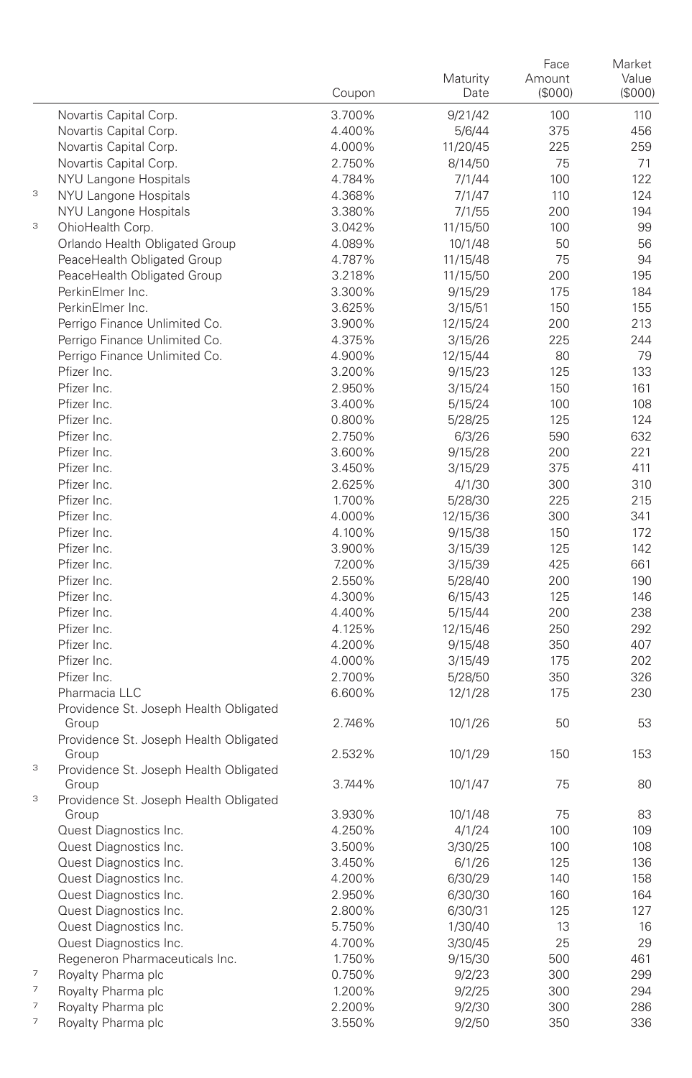|                          |                                                 | Coupon           | Maturity<br>Date    | Face<br>Amount<br>(\$000) | Market<br>Value<br>(\$000) |
|--------------------------|-------------------------------------------------|------------------|---------------------|---------------------------|----------------------------|
|                          | Novartis Capital Corp.                          | 3.700%           | 9/21/42             | 100                       | 110                        |
|                          | Novartis Capital Corp.                          | 4.400%           | 5/6/44              | 375                       | 456                        |
|                          | Novartis Capital Corp.                          | 4.000%           | 11/20/45            | 225                       | 259                        |
|                          | Novartis Capital Corp.                          | 2.750%           | 8/14/50             | 75                        | 71                         |
|                          | NYU Langone Hospitals                           | 4.784%           | 7/1/44              | 100                       | 122                        |
| 3                        | NYU Langone Hospitals                           | 4.368%           | 7/1/47              | 110                       | 124                        |
|                          | NYU Langone Hospitals                           | 3.380%           | 7/1/55              | 200                       | 194                        |
| 3                        | OhioHealth Corp.                                | 3.042%           | 11/15/50            | 100                       | 99                         |
|                          | Orlando Health Obligated Group                  | 4.089%           | 10/1/48             | 50                        | 56                         |
|                          | PeaceHealth Obligated Group                     | 4.787%           | 11/15/48            | 75                        | 94                         |
|                          | PeaceHealth Obligated Group<br>PerkinElmer Inc. | 3.218%<br>3.300% | 11/15/50<br>9/15/29 | 200<br>175                | 195<br>184                 |
|                          | PerkinElmer Inc.                                | 3.625%           | 3/15/51             | 150                       | 155                        |
|                          | Perrigo Finance Unlimited Co.                   | 3.900%           | 12/15/24            | 200                       | 213                        |
|                          | Perrigo Finance Unlimited Co.                   | 4.375%           | 3/15/26             | 225                       | 244                        |
|                          | Perrigo Finance Unlimited Co.                   | 4.900%           | 12/15/44            | 80                        | 79                         |
|                          | Pfizer Inc.                                     | 3.200%           | 9/15/23             | 125                       | 133                        |
|                          | Pfizer Inc.                                     | 2.950%           | 3/15/24             | 150                       | 161                        |
|                          | Pfizer Inc.                                     | 3.400%           | 5/15/24             | 100                       | 108                        |
|                          | Pfizer Inc.                                     | 0.800%           | 5/28/25             | 125                       | 124                        |
|                          | Pfizer Inc.                                     | 2.750%           | 6/3/26              | 590                       | 632                        |
|                          | Pfizer Inc.                                     | 3.600%           | 9/15/28             | 200                       | 221                        |
|                          | Pfizer Inc.                                     | 3.450%           | 3/15/29             | 375                       | 411                        |
|                          | Pfizer Inc.                                     | 2.625%           | 4/1/30              | 300                       | 310                        |
|                          | Pfizer Inc.                                     | 1.700%           | 5/28/30             | 225                       | 215                        |
|                          | Pfizer Inc.                                     | 4.000%           | 12/15/36            | 300                       | 341                        |
|                          | Pfizer Inc.                                     | 4.100%           | 9/15/38             | 150                       | 172                        |
|                          | Pfizer Inc.                                     | 3.900%           | 3/15/39             | 125                       | 142                        |
|                          | Pfizer Inc.                                     | 7.200%           | 3/15/39             | 425                       | 661                        |
|                          | Pfizer Inc.                                     | 2.550%           | 5/28/40             | 200                       | 190                        |
|                          | Pfizer Inc.                                     | 4.300%           | 6/15/43             | 125                       | 146                        |
|                          | Pfizer Inc.                                     | 4.400%           | 5/15/44             | 200                       | 238                        |
|                          | Pfizer Inc.                                     | 4.125%           | 12/15/46            | 250                       | 292                        |
|                          | Pfizer Inc.<br>Pfizer Inc.                      | 4.200%           | 9/15/48             | 350<br>175                | 407<br>202                 |
|                          | Pfizer Inc.                                     | 4.000%<br>2.700% | 3/15/49<br>5/28/50  | 350                       | 326                        |
|                          | Pharmacia LLC                                   | 6.600%           | 12/1/28             | 175                       | 230                        |
|                          | Providence St. Joseph Health Obligated          |                  |                     |                           |                            |
|                          | Group<br>Providence St. Joseph Health Obligated | 2.746%           | 10/1/26             | 50                        | 53                         |
| 3                        | Group                                           | 2.532%           | 10/1/29             | 150                       | 153                        |
|                          | Providence St. Joseph Health Obligated<br>Group | 3.744%           | 10/1/47             | 75                        | 80                         |
| 3                        | Providence St. Joseph Health Obligated          |                  |                     | 75                        | 83                         |
|                          | Group<br>Quest Diagnostics Inc.                 | 3.930%<br>4.250% | 10/1/48<br>4/1/24   | 100                       | 109                        |
|                          | Quest Diagnostics Inc.                          | 3.500%           | 3/30/25             | 100                       | 108                        |
|                          | Quest Diagnostics Inc.                          | 3.450%           | 6/1/26              | 125                       | 136                        |
|                          | Quest Diagnostics Inc.                          | 4.200%           | 6/30/29             | 140                       | 158                        |
|                          | Quest Diagnostics Inc.                          | 2.950%           | 6/30/30             | 160                       | 164                        |
|                          | Quest Diagnostics Inc.                          | 2.800%           | 6/30/31             | 125                       | 127                        |
|                          | Quest Diagnostics Inc.                          | 5.750%           | 1/30/40             | 13                        | 16                         |
|                          | Quest Diagnostics Inc.                          | 4.700%           | 3/30/45             | 25                        | 29                         |
|                          | Regeneron Pharmaceuticals Inc.                  | 1.750%           | 9/15/30             | 500                       | 461                        |
| $\overline{\phantom{a}}$ | Royalty Pharma plc                              | 0.750%           | 9/2/23              | 300                       | 299                        |
| $\overline{\phantom{a}}$ | Royalty Pharma plc                              | 1.200%           | 9/2/25              | 300                       | 294                        |
| 7                        | Royalty Pharma plc                              | 2.200%           | 9/2/30              | 300                       | 286                        |
| $\overline{\phantom{a}}$ | Royalty Pharma plc                              | 3.550%           | 9/2/50              | 350                       | 336                        |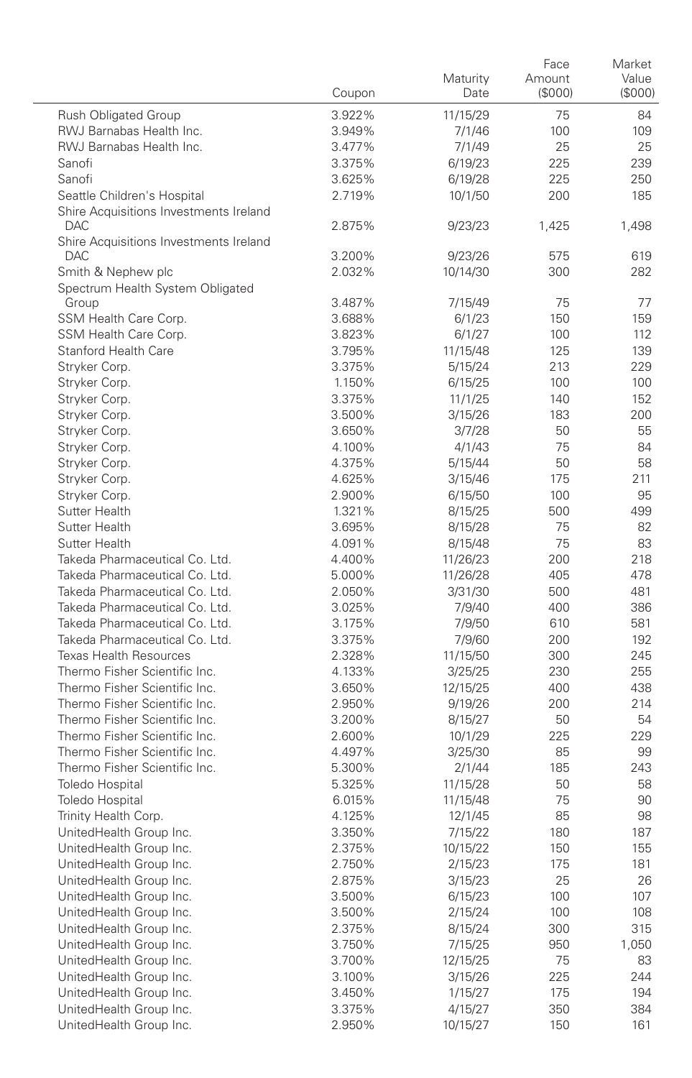|                                                                | Coupon           | Maturity<br>Date     | Face<br>Amount<br>(\$000) | Market<br>Value<br>(\$000) |
|----------------------------------------------------------------|------------------|----------------------|---------------------------|----------------------------|
| <b>Rush Obligated Group</b>                                    | 3.922%           | 11/15/29             | 75                        | 84                         |
| RWJ Barnabas Health Inc.                                       | 3.949%           | 7/1/46               | 100                       | 109                        |
| RWJ Barnabas Health Inc.                                       | 3.477%           | 7/1/49               | 25                        | 25                         |
| Sanofi                                                         | 3.375%           | 6/19/23              | 225                       | 239                        |
| Sanofi                                                         | 3.625%           | 6/19/28              | 225                       | 250                        |
| Seattle Children's Hospital                                    | 2.719%           | 10/1/50              | 200                       | 185                        |
| Shire Acquisitions Investments Ireland<br>DAC                  | 2.875%           | 9/23/23              | 1,425                     | 1,498                      |
| Shire Acquisitions Investments Ireland<br>DAC.                 | 3.200%           | 9/23/26              | 575                       | 619                        |
| Smith & Nephew plc                                             | 2.032%           | 10/14/30             | 300                       | 282                        |
| Spectrum Health System Obligated                               |                  |                      |                           |                            |
| Group                                                          | 3.487%           | 7/15/49              | 75                        | 77                         |
| SSM Health Care Corp.                                          | 3.688%           | 6/1/23               | 150                       | 159                        |
| SSM Health Care Corp.                                          | 3.823%           | 6/1/27               | 100                       | 112                        |
| <b>Stanford Health Care</b>                                    | 3.795%           | 11/15/48             | 125                       | 139                        |
| Stryker Corp.                                                  | 3.375%           | 5/15/24              | 213                       | 229                        |
| Stryker Corp.                                                  | 1.150%           | 6/15/25              | 100                       | 100                        |
| Stryker Corp.                                                  | 3.375%           | 11/1/25              | 140                       | 152                        |
| Stryker Corp.                                                  | 3.500%           | 3/15/26              | 183                       | 200                        |
| Stryker Corp.                                                  | 3.650%           | 3/7/28               | 50                        | 55                         |
| Stryker Corp.                                                  | 4.100%           | 4/1/43               | 75                        | 84                         |
| Stryker Corp.                                                  | 4.375%           | 5/15/44              | 50                        | 58                         |
| Stryker Corp.                                                  | 4.625%           | 3/15/46              | 175                       | 211                        |
| Stryker Corp.                                                  | 2.900%           | 6/15/50              | 100                       | 95                         |
| Sutter Health                                                  | 1.321%           | 8/15/25              | 500                       | 499                        |
| Sutter Health                                                  | 3.695%           | 8/15/28              | 75                        | 82                         |
| Sutter Health                                                  | 4.091%           | 8/15/48              | 75                        | 83                         |
| Takeda Pharmaceutical Co. Ltd.                                 | 4.400%           | 11/26/23             | 200                       | 218                        |
| Takeda Pharmaceutical Co. Ltd.                                 | 5.000%           | 11/26/28             | 405                       | 478                        |
| Takeda Pharmaceutical Co. Ltd.                                 | 2.050%           | 3/31/30              | 500                       | 481                        |
| Takeda Pharmaceutical Co. Ltd.                                 | 3.025%           | 7/9/40               | 400                       | 386                        |
| Takeda Pharmaceutical Co. Ltd.                                 | 3.175%           | 7/9/50               | 610                       | 581                        |
| Takeda Pharmaceutical Co. Ltd.                                 | 3.375%           | 7/9/60               | 200                       | 192                        |
| <b>Texas Health Resources</b>                                  | 2.328%           | 11/15/50             | 300                       | 245                        |
| Thermo Fisher Scientific Inc.                                  | 4.133%           | 3/25/25              | 230                       | 255                        |
| Thermo Fisher Scientific Inc.                                  | 3.650%           | 12/15/25             | 400                       | 438                        |
| Thermo Fisher Scientific Inc.                                  | 2.950%           | 9/19/26              | 200                       | 214                        |
| Thermo Fisher Scientific Inc.<br>Thermo Fisher Scientific Inc. | 3.200%           | 8/15/27              | 50                        | 54                         |
| Thermo Fisher Scientific Inc.                                  | 2.600%<br>4.497% | 10/1/29              | 225<br>85                 | 229                        |
| Thermo Fisher Scientific Inc.                                  | 5.300%           | 3/25/30              | 185                       | 99<br>243                  |
| Toledo Hospital                                                | 5.325%           | 2/1/44               | 50                        | 58                         |
| Toledo Hospital                                                | 6.015%           | 11/15/28<br>11/15/48 | 75                        | 90                         |
| Trinity Health Corp.                                           | 4.125%           | 12/1/45              | 85                        | 98                         |
| UnitedHealth Group Inc.                                        | 3.350%           | 7/15/22              | 180                       | 187                        |
| UnitedHealth Group Inc.                                        | 2.375%           | 10/15/22             | 150                       | 155                        |
| UnitedHealth Group Inc.                                        | 2.750%           | 2/15/23              | 175                       | 181                        |
| UnitedHealth Group Inc.                                        | 2.875%           | 3/15/23              | 25                        | 26                         |
| UnitedHealth Group Inc.                                        | 3.500%           | 6/15/23              | 100                       | 107                        |
| UnitedHealth Group Inc.                                        | 3.500%           | 2/15/24              | 100                       | 108                        |
| UnitedHealth Group Inc.                                        | 2.375%           | 8/15/24              | 300                       | 315                        |
| UnitedHealth Group Inc.                                        | 3.750%           | 7/15/25              | 950                       | 1,050                      |
| UnitedHealth Group Inc.                                        | 3.700%           | 12/15/25             | 75                        | 83                         |
| UnitedHealth Group Inc.                                        | 3.100%           | 3/15/26              | 225                       | 244                        |
| UnitedHealth Group Inc.                                        | 3.450%           | 1/15/27              | 175                       | 194                        |
| UnitedHealth Group Inc.                                        | 3.375%           | 4/15/27              | 350                       | 384                        |
| UnitedHealth Group Inc.                                        | 2.950%           | 10/15/27             | 150                       | 161                        |
|                                                                |                  |                      |                           |                            |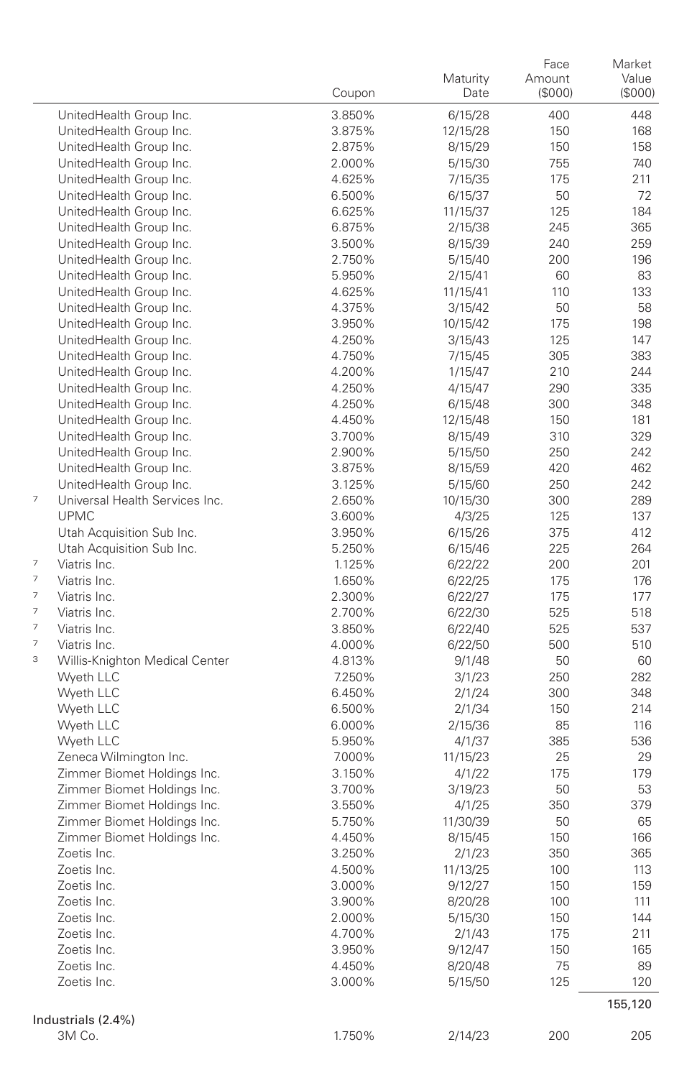|   |                                                    | Coupon           | Maturity<br>Date   | Face<br>Amount<br>(\$000) | Market<br>Value<br>(S000) |
|---|----------------------------------------------------|------------------|--------------------|---------------------------|---------------------------|
|   | UnitedHealth Group Inc.                            | 3.850%           | 6/15/28            | 400                       | 448                       |
|   | UnitedHealth Group Inc.                            | 3.875%           | 12/15/28           | 150                       | 168                       |
|   | UnitedHealth Group Inc.                            | 2.875%           | 8/15/29            | 150                       | 158                       |
|   | UnitedHealth Group Inc.                            | 2.000%           | 5/15/30            | 755                       | 740                       |
|   | UnitedHealth Group Inc.                            | 4.625%           | 7/15/35            | 175                       | 211                       |
|   | UnitedHealth Group Inc.                            | 6.500%           | 6/15/37            | 50                        | 72                        |
|   | UnitedHealth Group Inc.                            | 6.625%           | 11/15/37           | 125                       | 184                       |
|   | UnitedHealth Group Inc.                            | 6.875%           | 2/15/38            | 245                       | 365                       |
|   | UnitedHealth Group Inc.                            | 3.500%           | 8/15/39            | 240                       | 259                       |
|   | UnitedHealth Group Inc.                            | 2.750%           | 5/15/40            | 200                       | 196                       |
|   | UnitedHealth Group Inc.                            | 5.950%           | 2/15/41            | 60                        | 83                        |
|   | UnitedHealth Group Inc.                            | 4.625%           | 11/15/41           | 110                       | 133                       |
|   | UnitedHealth Group Inc.                            | 4.375%           | 3/15/42            | 50                        | 58                        |
|   | UnitedHealth Group Inc.                            | 3.950%           | 10/15/42           | 175                       | 198                       |
|   | UnitedHealth Group Inc.                            | 4.250%           | 3/15/43            | 125                       | 147                       |
|   | UnitedHealth Group Inc.                            | 4.750%           | 7/15/45            | 305                       | 383                       |
|   | UnitedHealth Group Inc.                            | 4.200%           | 1/15/47            | 210                       | 244                       |
|   | UnitedHealth Group Inc.                            | 4.250%           | 4/15/47            | 290                       | 335                       |
|   | UnitedHealth Group Inc.                            | 4.250%           | 6/15/48            | 300                       | 348                       |
|   | UnitedHealth Group Inc.                            | 4.450%           | 12/15/48           | 150                       | 181                       |
|   | UnitedHealth Group Inc.                            | 3.700%           | 8/15/49            | 310                       | 329                       |
|   | UnitedHealth Group Inc.                            | 2.900%<br>3.875% | 5/15/50            | 250                       | 242                       |
|   | UnitedHealth Group Inc.<br>UnitedHealth Group Inc. | 3.125%           | 8/15/59<br>5/15/60 | 420<br>250                | 462<br>242                |
| 7 | Universal Health Services Inc.                     | 2.650%           | 10/15/30           | 300                       | 289                       |
|   | <b>UPMC</b>                                        | 3.600%           | 4/3/25             | 125                       | 137                       |
|   | Utah Acquisition Sub Inc.                          | 3.950%           | 6/15/26            | 375                       | 412                       |
|   | Utah Acquisition Sub Inc.                          | 5.250%           | 6/15/46            | 225                       | 264                       |
| 7 | Viatris Inc.                                       | 1.125%           | 6/22/22            | 200                       | 201                       |
| 7 | Viatris Inc.                                       | 1.650%           | 6/22/25            | 175                       | 176                       |
| 7 | Viatris Inc.                                       | 2.300%           | 6/22/27            | 175                       | 177                       |
| 7 | Viatris Inc.                                       | 2.700%           | 6/22/30            | 525                       | 518                       |
| 7 | Viatris Inc.                                       | 3.850%           | 6/22/40            | 525                       | 537                       |
| 7 | Viatris Inc.                                       | 4.000%           | 6/22/50            | 500                       | 510                       |
| 3 | Willis-Knighton Medical Center                     | 4.813%           | 9/1/48             | 50                        | 60                        |
|   | Wyeth LLC                                          | 7.250%           | 3/1/23             | 250                       | 282                       |
|   | Wyeth LLC                                          | 6.450%           | 2/1/24             | 300                       | 348                       |
|   | Wyeth LLC                                          | 6.500%           | 2/1/34             | 150                       | 214                       |
|   | Wyeth LLC                                          | 6.000%           | 2/15/36            | 85                        | 116                       |
|   | Wyeth LLC                                          | 5.950%           | 4/1/37             | 385                       | 536                       |
|   | Zeneca Wilmington Inc.                             | 7.000%           | 11/15/23           | 25                        | 29                        |
|   | Zimmer Biomet Holdings Inc.                        | 3.150%           | 4/1/22             | 175                       | 179                       |
|   | Zimmer Biomet Holdings Inc.                        | 3.700%           | 3/19/23            | 50                        | 53                        |
|   | Zimmer Biomet Holdings Inc.                        | 3.550%           | 4/1/25             | 350                       | 379                       |
|   | Zimmer Biomet Holdings Inc.                        | 5.750%           | 11/30/39           | 50                        | 65                        |
|   | Zimmer Biomet Holdings Inc.                        | 4.450%           | 8/15/45            | 150                       | 166                       |
|   | Zoetis Inc.                                        | 3.250%           | 2/1/23             | 350                       | 365                       |
|   | Zoetis Inc.                                        | 4.500%           | 11/13/25           | 100                       | 113                       |
|   | Zoetis Inc.                                        | 3.000%           | 9/12/27            | 150                       | 159                       |
|   | Zoetis Inc.                                        | 3.900%           | 8/20/28            | 100                       | 111                       |
|   | Zoetis Inc.                                        | 2.000%           | 5/15/30            | 150                       | 144                       |
|   | Zoetis Inc.                                        | 4.700%           | 2/1/43             | 175                       | 211                       |
|   | Zoetis Inc.                                        | 3.950%           | 9/12/47            | 150                       | 165                       |
|   | Zoetis Inc.                                        | 4.450%           | 8/20/48            | 75                        | 89                        |
|   | Zoetis Inc.                                        | 3.000%           | 5/15/50            | 125                       | 120                       |
|   |                                                    |                  |                    |                           | 155,120                   |
|   | Industrials (2.4%)                                 |                  |                    |                           |                           |
|   | 3M Co.                                             | 1.750%           | 2/14/23            | 200                       | 205                       |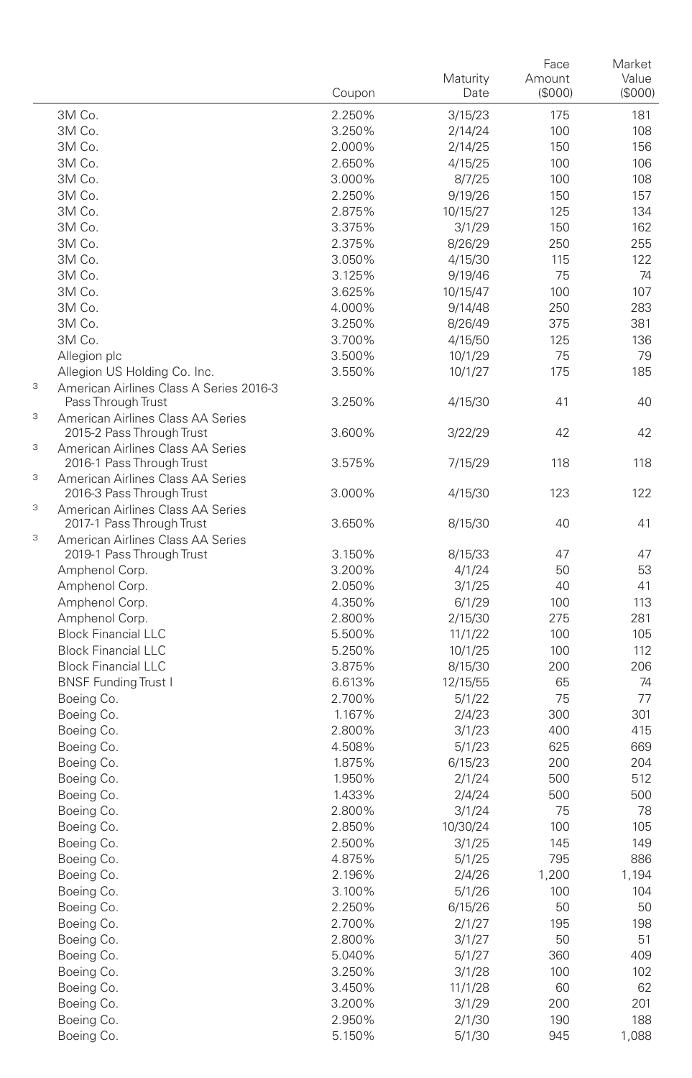|   |                                                                | Coupon           | Maturity<br>Date   | Face<br>Amount<br>(\$000) | Market<br>Value<br>(S000) |
|---|----------------------------------------------------------------|------------------|--------------------|---------------------------|---------------------------|
|   | 3M Co.                                                         | 2.250%           | 3/15/23            | 175                       | 181                       |
|   | 3M Co.                                                         | 3.250%           | 2/14/24            | 100                       | 108                       |
|   | 3M Co.                                                         | 2.000%           | 2/14/25            | 150                       | 156                       |
|   | 3M Co.                                                         | 2.650%           | 4/15/25            | 100                       | 106                       |
|   | 3M Co.                                                         | 3.000%           | 8/7/25             | 100                       | 108                       |
|   | 3M Co.                                                         | 2.250%           | 9/19/26            | 150                       | 157                       |
|   | 3M Co.                                                         | 2.875%           | 10/15/27           | 125                       | 134                       |
|   | 3M Co.                                                         | 3.375%           | 3/1/29             | 150                       | 162                       |
|   | 3M Co.                                                         | 2.375%           | 8/26/29            | 250                       | 255                       |
|   | 3M Co.                                                         | 3.050%           | 4/15/30            | 115                       | 122                       |
|   | 3M Co.                                                         | 3.125%           | 9/19/46            | 75                        | 74                        |
|   | 3M Co.                                                         | 3.625%           | 10/15/47           | 100                       | 107                       |
|   | 3M Co.                                                         | 4.000%           | 9/14/48            | 250                       | 283                       |
|   | 3M Co.                                                         | 3.250%           | 8/26/49            | 375                       | 381                       |
|   | 3M Co.                                                         | 3.700%           | 4/15/50            | 125                       | 136<br>79                 |
|   | Allegion plc<br>Allegion US Holding Co. Inc.                   | 3.500%<br>3.550% | 10/1/29<br>10/1/27 | 75<br>175                 | 185                       |
| 3 | American Airlines Class A Series 2016-3                        |                  |                    |                           |                           |
| 3 | Pass Through Trust<br>American Airlines Class AA Series        | 3.250%           | 4/15/30            | 41                        | 40                        |
| 3 | 2015-2 Pass Through Trust<br>American Airlines Class AA Series | 3.600%           | 3/22/29            | 42                        | 42                        |
| 3 | 2016-1 Pass Through Trust<br>American Airlines Class AA Series | 3.575%           | 7/15/29            | 118                       | 118                       |
|   | 2016-3 Pass Through Trust                                      | 3.000%           | 4/15/30            | 123                       | 122                       |
| 3 | American Airlines Class AA Series<br>2017-1 Pass Through Trust | 3.650%           | 8/15/30            | 40                        | 41                        |
| 3 | American Airlines Class AA Series                              |                  |                    |                           |                           |
|   | 2019-1 Pass Through Trust                                      | 3.150%           | 8/15/33            | 47                        | 47                        |
|   | Amphenol Corp.                                                 | 3.200%<br>2.050% | 4/1/24             | 50<br>40                  | 53<br>41                  |
|   | Amphenol Corp.<br>Amphenol Corp.                               | 4.350%           | 3/1/25<br>6/1/29   | 100                       | 113                       |
|   | Amphenol Corp.                                                 | 2.800%           | 2/15/30            | 275                       | 281                       |
|   | <b>Block Financial LLC</b>                                     | 5.500%           | 11/1/22            | 100                       | 105                       |
|   | <b>Block Financial LLC</b>                                     | 5.250%           | 10/1/25            | 100                       | 112                       |
|   | <b>Block Financial LLC</b>                                     | 3.875%           | 8/15/30            | 200                       | 206                       |
|   | <b>BNSF Funding Trust I</b>                                    | 6.613%           | 12/15/55           | 65                        | 74                        |
|   | Boeing Co.                                                     | 2.700%           | 5/1/22             | 75                        | 77                        |
|   | Boeing Co.                                                     | 1.167%           | 2/4/23             | 300                       | 301                       |
|   | Boeing Co.                                                     | 2.800%           | 3/1/23             | 400                       | 415                       |
|   | Boeing Co.                                                     | 4.508%           | 5/1/23             | 625                       | 669                       |
|   | Boeing Co.                                                     | 1.875%           | 6/15/23            | 200                       | 204                       |
|   | Boeing Co.                                                     | 1.950%           | 2/1/24             | 500                       | 512                       |
|   | Boeing Co.                                                     | 1.433%           | 2/4/24             | 500                       | 500                       |
|   | Boeing Co.                                                     | 2.800%           | 3/1/24             | 75                        | 78                        |
|   | Boeing Co.                                                     | 2.850%           | 10/30/24           | 100                       | 105                       |
|   | Boeing Co.                                                     | 2.500%           | 3/1/25             | 145                       | 149                       |
|   | Boeing Co.                                                     | 4.875%           | 5/1/25             | 795                       | 886                       |
|   | Boeing Co.                                                     | 2.196%           | 2/4/26             | 1,200                     | 1,194                     |
|   | Boeing Co.                                                     | 3.100%           | 5/1/26             | 100                       | 104                       |
|   | Boeing Co.                                                     | 2.250%           | 6/15/26            | 50                        | 50                        |
|   | Boeing Co.<br>Boeing Co.                                       | 2.700%<br>2.800% | 2/1/27<br>3/1/27   | 195<br>50                 | 198<br>51                 |
|   | Boeing Co.                                                     | 5.040%           | 5/1/27             | 360                       | 409                       |
|   | Boeing Co.                                                     | 3.250%           | 3/1/28             | 100                       | 102                       |
|   | Boeing Co.                                                     | 3.450%           | 11/1/28            | 60                        | 62                        |
|   | Boeing Co.                                                     | 3.200%           | 3/1/29             | 200                       | 201                       |
|   | Boeing Co.                                                     | 2.950%           | 2/1/30             | 190                       | 188                       |
|   | Boeing Co.                                                     | 5.150%           | 5/1/30             | 945                       | 1,088                     |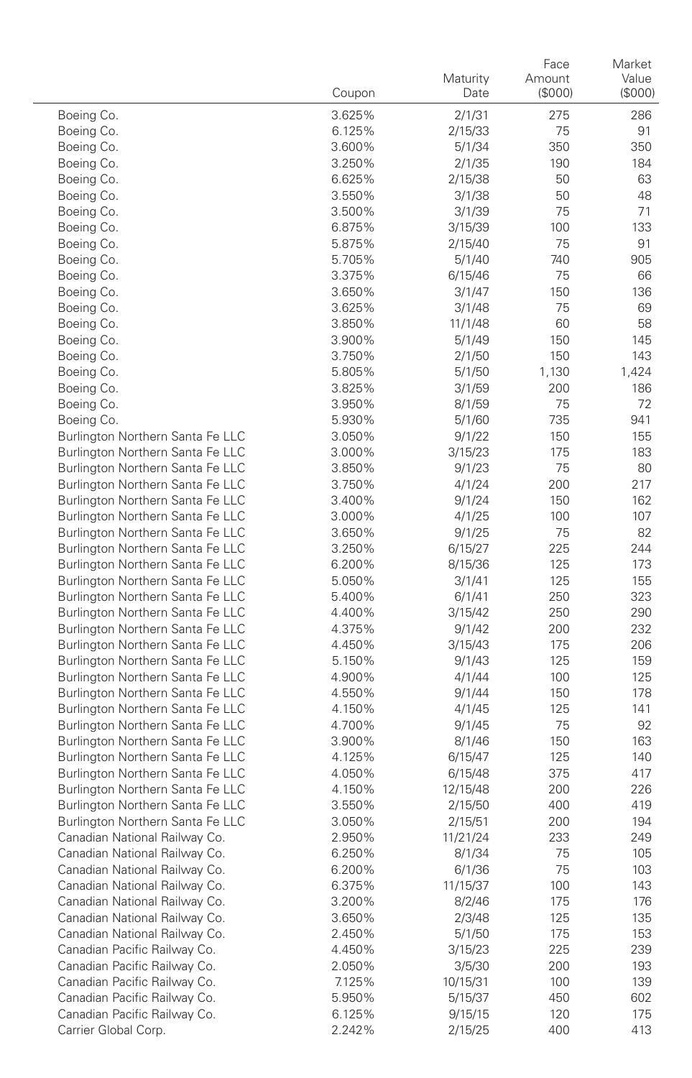|                                                                      | Coupon           | Maturity<br>Date | Face<br>Amount<br>(\$000) | Market<br>Value<br>(\$000) |
|----------------------------------------------------------------------|------------------|------------------|---------------------------|----------------------------|
| Boeing Co.                                                           | 3.625%           | 2/1/31           | 275                       | 286                        |
| Boeing Co.                                                           | 6.125%           | 2/15/33          | 75                        | 91                         |
| Boeing Co.                                                           | 3.600%           | 5/1/34           | 350                       | 350                        |
| Boeing Co.                                                           | 3.250%           | 2/1/35           | 190                       | 184                        |
| Boeing Co.                                                           | 6.625%           | 2/15/38          | 50                        | 63                         |
| Boeing Co.                                                           | 3.550%           | 3/1/38           | 50                        | 48                         |
| Boeing Co.                                                           | 3.500%           | 3/1/39           | 75                        | 71                         |
| Boeing Co.                                                           | 6.875%           | 3/15/39          | 100                       | 133                        |
| Boeing Co.                                                           | 5.875%           | 2/15/40          | 75                        | 91                         |
| Boeing Co.                                                           | 5.705%           | 5/1/40           | 740                       | 905                        |
| Boeing Co.                                                           | 3.375%           | 6/15/46          | 75                        | 66                         |
| Boeing Co.                                                           | 3.650%           | 3/1/47           | 150                       | 136                        |
| Boeing Co.                                                           | 3.625%           | 3/1/48           | 75                        | 69                         |
| Boeing Co.                                                           | 3.850%           | 11/1/48          | 60                        | 58                         |
| Boeing Co.                                                           | 3.900%           | 5/1/49           | 150                       | 145                        |
| Boeing Co.                                                           | 3.750%           | 2/1/50           | 150                       | 143                        |
| Boeing Co.<br>Boeing Co.                                             | 5.805%<br>3.825% | 5/1/50<br>3/1/59 | 1,130<br>200              | 1,424<br>186               |
| Boeing Co.                                                           | 3.950%           | 8/1/59           | 75                        | 72                         |
| Boeing Co.                                                           | 5.930%           | 5/1/60           | 735                       | 941                        |
| Burlington Northern Santa Fe LLC                                     | 3.050%           | 9/1/22           | 150                       | 155                        |
| Burlington Northern Santa Fe LLC                                     | 3.000%           | 3/15/23          | 175                       | 183                        |
| Burlington Northern Santa Fe LLC                                     | 3.850%           | 9/1/23           | 75                        | 80                         |
| Burlington Northern Santa Fe LLC                                     | 3.750%           | 4/1/24           | 200                       | 217                        |
| Burlington Northern Santa Fe LLC                                     | 3.400%           | 9/1/24           | 150                       | 162                        |
| Burlington Northern Santa Fe LLC                                     | 3.000%           | 4/1/25           | 100                       | 107                        |
| Burlington Northern Santa Fe LLC                                     | 3.650%           | 9/1/25           | 75                        | 82                         |
| Burlington Northern Santa Fe LLC                                     | 3.250%           | 6/15/27          | 225                       | 244                        |
| Burlington Northern Santa Fe LLC                                     | 6.200%           | 8/15/36          | 125                       | 173                        |
| Burlington Northern Santa Fe LLC                                     | 5.050%           | 3/1/41           | 125                       | 155                        |
| Burlington Northern Santa Fe LLC                                     | 5.400%           | 6/1/41           | 250                       | 323                        |
| Burlington Northern Santa Fe LLC                                     | 4.400%           | 3/15/42          | 250                       | 290                        |
| Burlington Northern Santa Fe LLC                                     | 4.375%           | 9/1/42           | 200                       | 232                        |
| Burlington Northern Santa Fe LLC                                     | 4.450%           | 3/15/43          | 175                       | 206                        |
| Burlington Northern Santa Fe LLC                                     | 5.150%           | 9/1/43           | 125                       | 159                        |
| Burlington Northern Santa Fe LLC<br>Burlington Northern Santa Fe LLC | 4.900%           | 4/1/44           | 100                       | 125<br>178                 |
| Burlington Northern Santa Fe LLC                                     | 4.550%<br>4.150% | 9/1/44<br>4/1/45 | 150<br>125                | 141                        |
| Burlington Northern Santa Fe LLC                                     | 4.700%           | 9/1/45           | 75                        | 92                         |
| Burlington Northern Santa Fe LLC                                     | 3.900%           | 8/1/46           | 150                       | 163                        |
| Burlington Northern Santa Fe LLC                                     | 4.125%           | 6/15/47          | 125                       | 140                        |
| Burlington Northern Santa Fe LLC                                     | 4.050%           | 6/15/48          | 375                       | 417                        |
| Burlington Northern Santa Fe LLC                                     | 4.150%           | 12/15/48         | 200                       | 226                        |
| Burlington Northern Santa Fe LLC                                     | 3.550%           | 2/15/50          | 400                       | 419                        |
| Burlington Northern Santa Fe LLC                                     | 3.050%           | 2/15/51          | 200                       | 194                        |
| Canadian National Railway Co.                                        | 2.950%           | 11/21/24         | 233                       | 249                        |
| Canadian National Railway Co.                                        | 6.250%           | 8/1/34           | 75                        | 105                        |
| Canadian National Railway Co.                                        | 6.200%           | 6/1/36           | 75                        | 103                        |
| Canadian National Railway Co.                                        | 6.375%           | 11/15/37         | 100                       | 143                        |
| Canadian National Railway Co.                                        | 3.200%           | 8/2/46           | 175                       | 176                        |
| Canadian National Railway Co.                                        | 3.650%           | 2/3/48           | 125                       | 135                        |
| Canadian National Railway Co.                                        | 2.450%           | 5/1/50           | 175                       | 153                        |
| Canadian Pacific Railway Co.                                         | 4.450%           | 3/15/23          | 225                       | 239                        |
| Canadian Pacific Railway Co.                                         | 2.050%           | 3/5/30           | 200                       | 193                        |
| Canadian Pacific Railway Co.                                         | 7.125%           | 10/15/31         | 100                       | 139                        |
| Canadian Pacific Railway Co.                                         | 5.950%           | 5/15/37          | 450                       | 602                        |
| Canadian Pacific Railway Co.<br>Carrier Global Corp.                 | 6.125%           | 9/15/15          | 120<br>400                | 175<br>413                 |
|                                                                      | 2.242%           | 2/15/25          |                           |                            |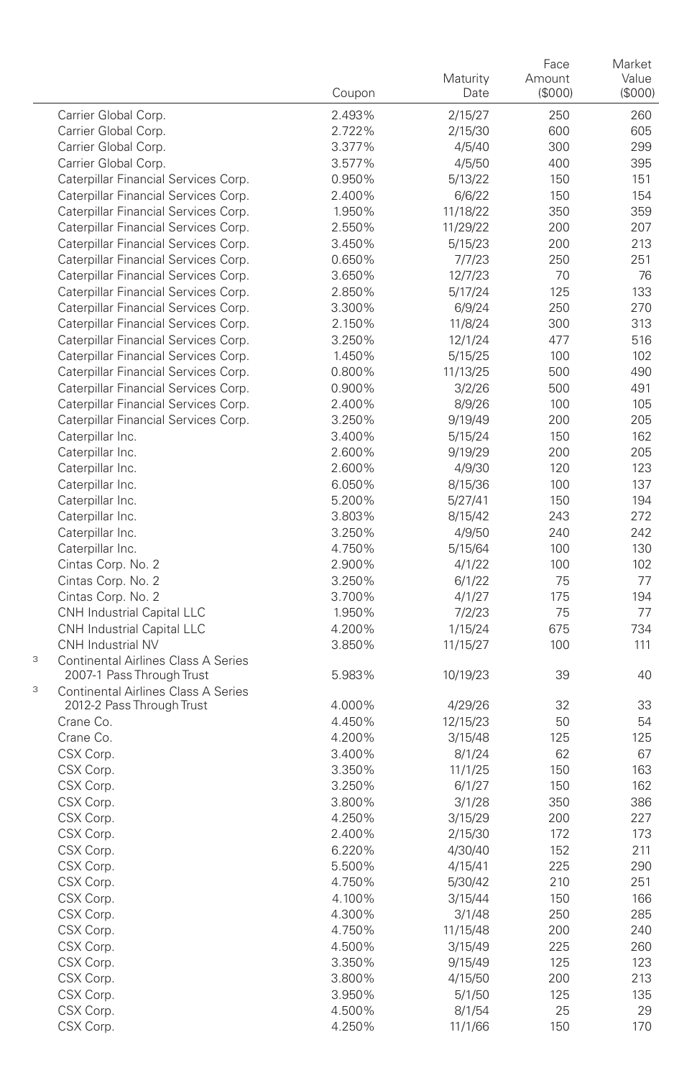|                                                                              | Coupon           | Maturity<br>Date    | Face<br>Amount<br>(\$000) | Market<br>Value<br>(\$000) |
|------------------------------------------------------------------------------|------------------|---------------------|---------------------------|----------------------------|
| Carrier Global Corp.                                                         | 2.493%           | 2/15/27             | 250                       | 260                        |
| Carrier Global Corp.                                                         | 2.722%           | 2/15/30             | 600                       | 605                        |
| Carrier Global Corp.                                                         | 3.377%           | 4/5/40              | 300                       | 299                        |
| Carrier Global Corp.                                                         | 3.577%           | 4/5/50              | 400                       | 395                        |
| Caterpillar Financial Services Corp.                                         | 0.950%           | 5/13/22             | 150                       | 151                        |
| Caterpillar Financial Services Corp.                                         | 2.400%           | 6/6/22              | 150                       | 154                        |
| Caterpillar Financial Services Corp.                                         | 1.950%           | 11/18/22            | 350                       | 359                        |
| Caterpillar Financial Services Corp.                                         | 2.550%           | 11/29/22            | 200                       | 207                        |
| Caterpillar Financial Services Corp.                                         | 3.450%           | 5/15/23             | 200                       | 213                        |
| Caterpillar Financial Services Corp.                                         | 0.650%           | 7/7/23              | 250                       | 251                        |
| Caterpillar Financial Services Corp.                                         | 3.650%           | 12/7/23             | 70                        | 76                         |
| Caterpillar Financial Services Corp.                                         | 2.850%           | 5/17/24             | 125                       | 133                        |
| Caterpillar Financial Services Corp.                                         | 3.300%           | 6/9/24              | 250                       | 270                        |
| Caterpillar Financial Services Corp.                                         | 2.150%           | 11/8/24             | 300                       | 313                        |
| Caterpillar Financial Services Corp.                                         | 3.250%           | 12/1/24             | 477                       | 516                        |
| Caterpillar Financial Services Corp.<br>Caterpillar Financial Services Corp. | 1.450%<br>0.800% | 5/15/25<br>11/13/25 | 100<br>500                | 102<br>490                 |
| Caterpillar Financial Services Corp.                                         | 0.900%           | 3/2/26              | 500                       | 491                        |
| Caterpillar Financial Services Corp.                                         | 2.400%           | 8/9/26              | 100                       | 105                        |
| Caterpillar Financial Services Corp.                                         | 3.250%           | 9/19/49             | 200                       | 205                        |
| Caterpillar Inc.                                                             | 3.400%           | 5/15/24             | 150                       | 162                        |
| Caterpillar Inc.                                                             | 2.600%           | 9/19/29             | 200                       | 205                        |
| Caterpillar Inc.                                                             | 2.600%           | 4/9/30              | 120                       | 123                        |
| Caterpillar Inc.                                                             | 6.050%           | 8/15/36             | 100                       | 137                        |
| Caterpillar Inc.                                                             | 5.200%           | 5/27/41             | 150                       | 194                        |
| Caterpillar Inc.                                                             | 3.803%           | 8/15/42             | 243                       | 272                        |
| Caterpillar Inc.                                                             | 3.250%           | 4/9/50              | 240                       | 242                        |
| Caterpillar Inc.                                                             | 4.750%           | 5/15/64             | 100                       | 130                        |
| Cintas Corp. No. 2                                                           | 2.900%           | 4/1/22              | 100                       | 102                        |
| Cintas Corp. No. 2                                                           | 3.250%           | 6/1/22              | 75                        | 77                         |
| Cintas Corp. No. 2                                                           | 3.700%           | 4/1/27              | 175                       | 194                        |
| CNH Industrial Capital LLC                                                   | 1.950%           | 7/2/23              | 75                        | 77                         |
| CNH Industrial Capital LLC                                                   | 4.200%           | 1/15/24             | 675                       | 734                        |
| CNH Industrial NV                                                            | 3.850%           | 11/15/27            | 100                       | 111                        |
| <b>Continental Airlines Class A Series</b><br>3<br>2007-1 Pass Through Trust | 5.983%           | 10/19/23            | 39                        | 40                         |
| 3<br><b>Continental Airlines Class A Series</b><br>2012-2 Pass Through Trust | 4.000%           | 4/29/26             | 32                        | 33                         |
| Crane Co.                                                                    | 4.450%           | 12/15/23            | 50                        | 54                         |
| Crane Co.                                                                    | 4.200%           | 3/15/48             | 125                       | 125                        |
| CSX Corp.                                                                    | 3.400%           | 8/1/24              | 62                        | 67                         |
| CSX Corp.                                                                    | 3.350%           | 11/1/25             | 150                       | 163                        |
| CSX Corp.                                                                    | 3.250%           | 6/1/27              | 150                       | 162                        |
| CSX Corp.                                                                    | 3.800%           | 3/1/28              | 350                       | 386                        |
| CSX Corp.                                                                    | 4.250%           | 3/15/29             | 200                       | 227                        |
| CSX Corp.                                                                    | 2.400%           | 2/15/30             | 172                       | 173                        |
| CSX Corp.                                                                    | 6.220%           | 4/30/40             | 152                       | 211                        |
| CSX Corp.                                                                    | 5.500%           | 4/15/41             | 225                       | 290                        |
| CSX Corp.                                                                    | 4.750%           | 5/30/42             | 210                       | 251                        |
| CSX Corp.                                                                    | 4.100%           | 3/15/44             | 150                       | 166                        |
| CSX Corp.                                                                    | 4.300%           | 3/1/48              | 250                       | 285                        |
| CSX Corp.                                                                    | 4.750%           | 11/15/48            | 200                       | 240                        |
| CSX Corp.                                                                    | 4.500%           | 3/15/49             | 225                       | 260                        |
| CSX Corp.                                                                    | 3.350%           | 9/15/49             | 125                       | 123                        |
| CSX Corp.                                                                    | 3.800%           | 4/15/50             | 200                       | 213                        |
| CSX Corp.                                                                    | 3.950%           | 5/1/50              | 125                       | 135                        |
| CSX Corp.<br>CSX Corp.                                                       | 4.500%<br>4.250% | 8/1/54              | 25<br>150                 | 29<br>170                  |
|                                                                              |                  | 11/1/66             |                           |                            |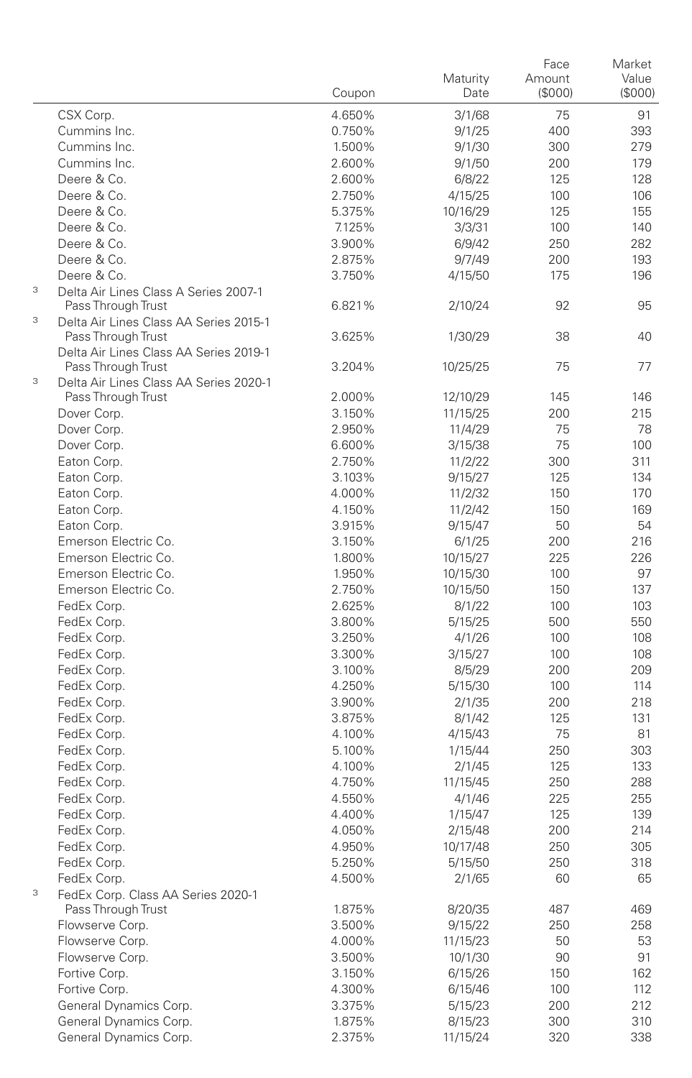|                                                                     | Coupon | Maturity<br>Date | Face<br>Amount<br>(S000) | Market<br>Value<br>(\$000) |
|---------------------------------------------------------------------|--------|------------------|--------------------------|----------------------------|
| CSX Corp.                                                           | 4.650% | 3/1/68           | 75                       | 91                         |
| Cummins Inc.                                                        | 0.750% | 9/1/25           | 400                      | 393                        |
| Cummins Inc.                                                        | 1.500% | 9/1/30           | 300                      | 279                        |
| Cummins Inc.                                                        | 2.600% | 9/1/50           | 200                      | 179                        |
| Deere & Co.                                                         | 2.600% | 6/8/22           | 125                      | 128                        |
| Deere & Co.                                                         | 2.750% | 4/15/25          | 100                      | 106                        |
| Deere & Co.                                                         | 5.375% | 10/16/29         | 125                      | 155                        |
| Deere & Co.                                                         | 7.125% | 3/3/31           | 100                      | 140                        |
| Deere & Co.                                                         | 3.900% | 6/9/42           | 250                      | 282                        |
| Deere & Co.                                                         | 2.875% | 9/7/49           | 200                      | 193                        |
| Deere & Co.                                                         | 3.750% | 4/15/50          | 175                      | 196                        |
| 3<br>Delta Air Lines Class A Series 2007-1                          |        |                  |                          |                            |
| Pass Through Trust                                                  | 6.821% | 2/10/24          | 92                       | 95                         |
| $\ensuremath{\mathsf{3}}$<br>Delta Air Lines Class AA Series 2015-1 |        |                  |                          |                            |
| Pass Through Trust<br>Delta Air Lines Class AA Series 2019-1        | 3.625% | 1/30/29          | 38                       | 40                         |
| Pass Through Trust                                                  | 3.204% | 10/25/25         | 75                       | 77                         |
| 3<br>Delta Air Lines Class AA Series 2020-1                         |        |                  |                          |                            |
| Pass Through Trust                                                  | 2.000% | 12/10/29         | 145                      | 146                        |
| Dover Corp.                                                         | 3.150% | 11/15/25         | 200                      | 215                        |
| Dover Corp.                                                         | 2.950% | 11/4/29          | 75                       | 78                         |
| Dover Corp.                                                         | 6.600% | 3/15/38          | 75                       | 100                        |
| Eaton Corp.                                                         | 2.750% | 11/2/22          | 300                      | 311                        |
| Eaton Corp.                                                         | 3.103% | 9/15/27          | 125                      | 134                        |
| Eaton Corp.                                                         | 4.000% | 11/2/32          | 150                      | 170                        |
| Eaton Corp.                                                         | 4.150% | 11/2/42          | 150                      | 169                        |
| Eaton Corp.                                                         | 3.915% | 9/15/47          | 50                       | 54                         |
| Emerson Electric Co.                                                | 3.150% | 6/1/25           | 200                      | 216                        |
| Emerson Electric Co.                                                | 1.800% | 10/15/27         | 225                      | 226                        |
| Emerson Electric Co.                                                | 1.950% | 10/15/30         | 100                      | 97                         |
| Emerson Electric Co.                                                | 2.750% | 10/15/50         | 150                      | 137                        |
| FedEx Corp.                                                         | 2.625% | 8/1/22           | 100                      | 103                        |
| FedEx Corp.                                                         | 3.800% | 5/15/25          | 500                      | 550                        |
| FedEx Corp.                                                         | 3.250% | 4/1/26           | 100                      | 108                        |
| FedEx Corp.                                                         | 3.300% |                  | 100                      | 108                        |
|                                                                     | 3.100% | 3/15/27          |                          | 209                        |
| FedEx Corp.<br>FedEx Corp.                                          |        | 8/5/29           | 200                      | 114                        |
|                                                                     | 4.250% | 5/15/30          | 100                      | 218                        |
| FedEx Corp.                                                         | 3.900% | 2/1/35           | 200                      |                            |
| FedEx Corp.                                                         | 3.875% | 8/1/42           | 125                      | 131                        |
| FedEx Corp.                                                         | 4.100% | 4/15/43          | 75                       | 81                         |
| FedEx Corp.                                                         | 5.100% | 1/15/44          | 250                      | 303                        |
| FedEx Corp.                                                         | 4.100% | 2/1/45           | 125                      | 133                        |
| FedEx Corp.                                                         | 4.750% | 11/15/45         | 250                      | 288                        |
| FedEx Corp.                                                         | 4.550% | 4/1/46           | 225                      | 255                        |
| FedEx Corp.                                                         | 4.400% | 1/15/47          | 125                      | 139                        |
| FedEx Corp.                                                         | 4.050% | 2/15/48          | 200                      | 214                        |
| FedEx Corp.                                                         | 4.950% | 10/17/48         | 250                      | 305                        |
| FedEx Corp.                                                         | 5.250% | 5/15/50          | 250                      | 318                        |
| FedEx Corp.                                                         | 4.500% | 2/1/65           | 60                       | 65                         |
| 3<br>FedEx Corp. Class AA Series 2020-1                             |        |                  |                          |                            |
| Pass Through Trust                                                  | 1.875% | 8/20/35          | 487                      | 469                        |
| Flowserve Corp.                                                     | 3.500% | 9/15/22          | 250                      | 258                        |
| Flowserve Corp.                                                     | 4.000% | 11/15/23         | 50                       | 53                         |
| Flowserve Corp.                                                     | 3.500% | 10/1/30          | 90                       | 91                         |
| Fortive Corp.                                                       | 3.150% | 6/15/26          | 150                      | 162                        |
| Fortive Corp.                                                       | 4.300% | 6/15/46          | 100                      | 112                        |
| General Dynamics Corp.                                              | 3.375% | 5/15/23          | 200                      | 212                        |
| General Dynamics Corp.                                              | 1.875% | 8/15/23          | 300                      | 310                        |
| General Dynamics Corp.                                              | 2.375% | 11/15/24         | 320                      | 338                        |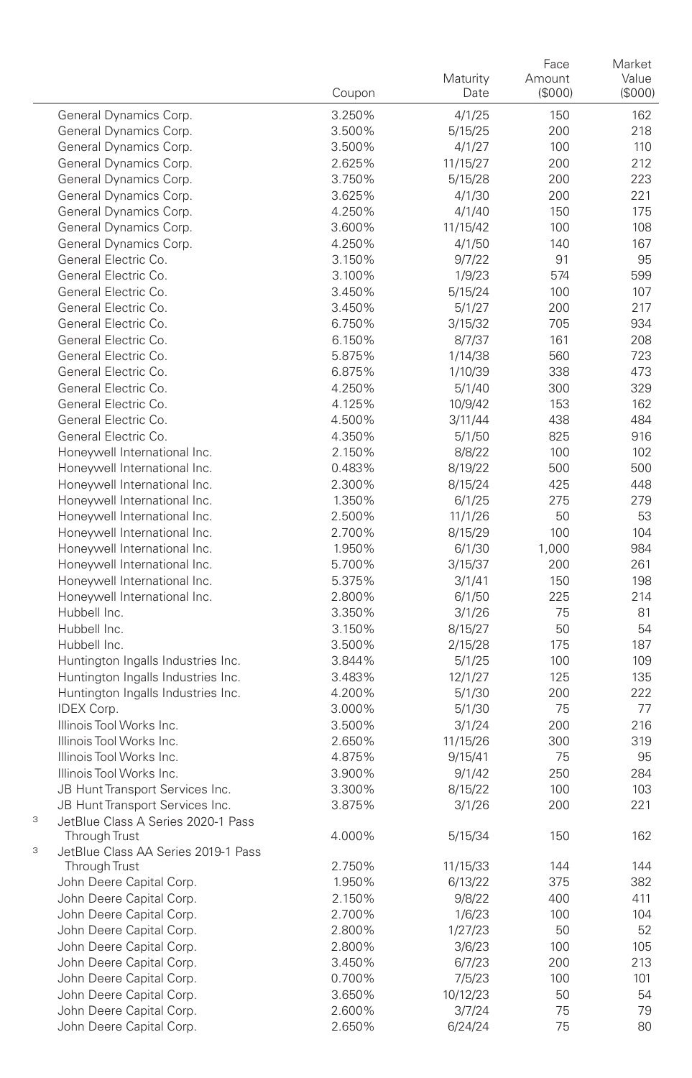|        |                                                      | Coupon | Maturity<br>Date  | Face<br>Amount<br>(S000) | Market<br>Value<br>(SOOO) |
|--------|------------------------------------------------------|--------|-------------------|--------------------------|---------------------------|
|        | General Dynamics Corp.                               | 3.250% | 4/1/25            | 150                      | 162                       |
|        | General Dynamics Corp.                               | 3.500% | 5/15/25           | 200                      | 218                       |
|        | General Dynamics Corp.                               | 3.500% | 4/1/27            | 100                      | 110                       |
|        | General Dynamics Corp.                               | 2.625% | 11/15/27          | 200                      | 212                       |
|        | General Dynamics Corp.                               | 3.750% | 5/15/28           | 200                      | 223                       |
|        | General Dynamics Corp.                               | 3.625% | 4/1/30            | 200                      | 221                       |
|        | General Dynamics Corp.                               | 4.250% | 4/1/40            | 150                      | 175                       |
|        | General Dynamics Corp.                               | 3.600% | 11/15/42          | 100                      | 108                       |
|        | General Dynamics Corp.                               | 4.250% | 4/1/50            | 140                      | 167                       |
|        | General Electric Co.                                 | 3.150% | 9/7/22            | 91                       | 95                        |
|        | General Electric Co.                                 | 3.100% | 1/9/23            | 574                      | 599                       |
|        | General Electric Co.                                 | 3.450% | 5/15/24           | 100                      | 107                       |
|        | General Electric Co.                                 | 3.450% | 5/1/27            | 200                      | 217                       |
|        | General Electric Co.                                 | 6.750% | 3/15/32           | 705                      | 934                       |
|        | General Electric Co.                                 | 6.150% | 8/7/37            | 161                      | 208                       |
|        | General Electric Co.                                 | 5.875% | 1/14/38           | 560                      | 723                       |
|        | General Electric Co.                                 | 6.875% | 1/10/39           | 338                      | 473                       |
|        | General Electric Co.                                 | 4.250% | 5/1/40            | 300                      | 329                       |
|        | General Electric Co.                                 | 4.125% | 10/9/42           | 153                      | 162                       |
|        | General Electric Co.                                 | 4.500% | 3/11/44           | 438                      | 484                       |
|        | General Electric Co.                                 | 4.350% | 5/1/50            | 825                      | 916                       |
|        | Honeywell International Inc.                         | 2.150% | 8/8/22            | 100                      | 102                       |
|        | Honeywell International Inc.                         | 0.483% | 8/19/22           | 500                      | 500                       |
|        | Honeywell International Inc.                         | 2.300% | 8/15/24           | 425                      | 448                       |
|        | Honeywell International Inc.                         | 1.350% | 6/1/25            | 275                      | 279                       |
|        | Honeywell International Inc.                         | 2.500% | 11/1/26           | 50                       | 53                        |
|        | Honeywell International Inc.                         | 2.700% | 8/15/29           | 100                      | 104                       |
|        | Honeywell International Inc.                         | 1.950% | 6/1/30            | 1,000                    | 984                       |
|        | Honeywell International Inc.                         | 5.700% | 3/15/37           | 200                      | 261                       |
|        | Honeywell International Inc.                         | 5.375% | 3/1/41            | 150                      | 198                       |
|        | Honeywell International Inc.                         | 2.800% | 6/1/50            | 225                      | 214                       |
|        | Hubbell Inc.                                         | 3.350% | 3/1/26            | 75                       | 81                        |
|        | Hubbell Inc.                                         | 3.150% | 8/15/27           | 50                       | 54                        |
|        | Hubbell Inc.                                         | 3.500% | 2/15/28           | 175                      | 187                       |
|        | Huntington Ingalls Industries Inc.                   | 3.844% | 5/1/25            | 100                      | 109                       |
|        | Huntington Ingalls Industries Inc.                   | 3.483% | 12/1/27           | 125                      | 135                       |
|        | Huntington Ingalls Industries Inc.                   | 4.200% | 5/1/30            | 200                      | 222                       |
|        | <b>IDEX Corp.</b>                                    | 3.000% | 5/1/30            | 75                       | 77                        |
|        | Illinois Tool Works Inc.                             | 3.500% | 3/1/24            | 200                      | 216                       |
|        | Illinois Tool Works Inc.                             | 2.650% | 11/15/26          | 300                      | 319                       |
|        | Illinois Tool Works Inc.                             | 4.875% | 9/15/41           | 75                       | 95                        |
|        | Illinois Tool Works Inc.                             | 3.900% | 9/1/42            | 250                      | 284                       |
|        | JB Hunt Transport Services Inc.                      | 3.300% | 8/15/22           | 100                      | 103                       |
|        | JB Hunt Transport Services Inc.                      | 3.875% | 3/1/26            | 200                      | 221                       |
| 3<br>3 | JetBlue Class A Series 2020-1 Pass<br>Through Trust  | 4.000% | 5/15/34           | 150                      | 162                       |
|        | JetBlue Class AA Series 2019-1 Pass                  |        |                   |                          |                           |
|        | Through Trust                                        | 2.750% | 11/15/33          | 144                      | 144                       |
|        | John Deere Capital Corp.                             | 1.950% | 6/13/22           | 375                      | 382                       |
|        | John Deere Capital Corp.                             | 2.150% | 9/8/22            | 400                      | 411                       |
|        | John Deere Capital Corp.<br>John Deere Capital Corp. | 2.700% | 1/6/23            | 100                      | 104                       |
|        | John Deere Capital Corp.                             | 2.800% | 1/27/23<br>3/6/23 | 50                       | 52                        |
|        |                                                      | 2.800% |                   | 100                      | 105                       |
|        | John Deere Capital Corp.                             | 3.450% | 6/7/23            | 200                      | 213                       |
|        | John Deere Capital Corp.                             | 0.700% | 7/5/23            | 100                      | 101                       |
|        | John Deere Capital Corp.                             | 3.650% | 10/12/23          | 50                       | 54                        |
|        | John Deere Capital Corp.                             | 2.600% | 3/7/24            | 75                       | 79                        |
|        | John Deere Capital Corp.                             | 2.650% | 6/24/24           | 75                       | 80                        |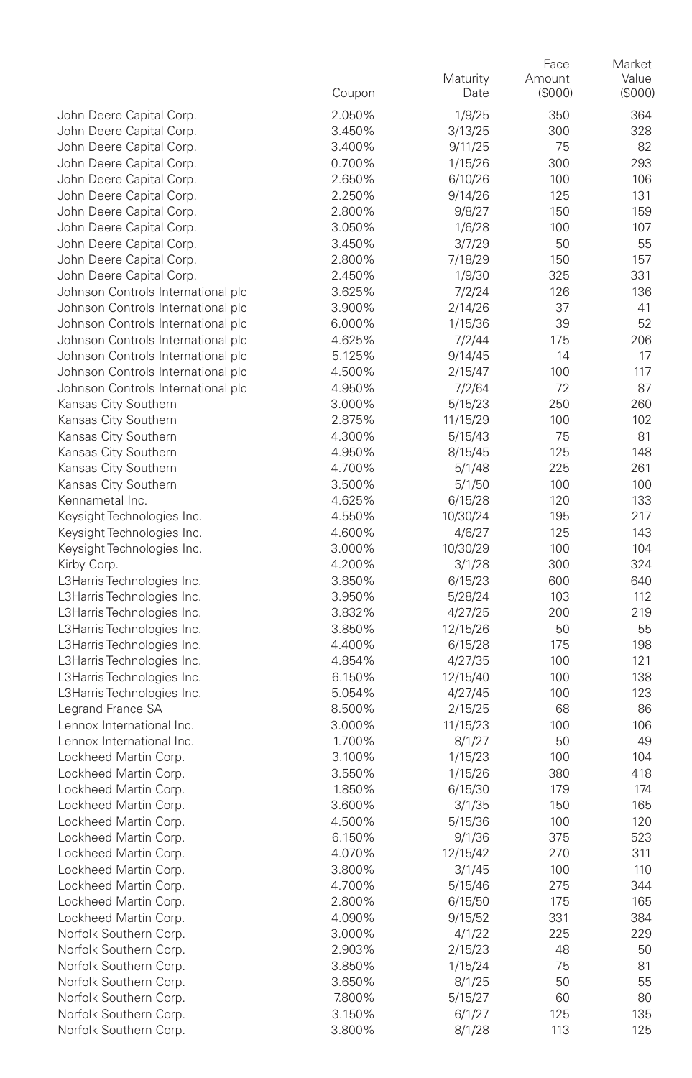|                                           | Coupon           | Maturity<br>Date  | Face<br>Amount<br>(\$000) | Market<br>Value<br>(\$000) |
|-------------------------------------------|------------------|-------------------|---------------------------|----------------------------|
| John Deere Capital Corp.                  | 2.050%           | 1/9/25            | 350                       | 364                        |
| John Deere Capital Corp.                  | 3.450%           | 3/13/25           | 300                       | 328                        |
| John Deere Capital Corp.                  | 3.400%           | 9/11/25           | 75                        | 82                         |
| John Deere Capital Corp.                  | 0.700%           | 1/15/26           | 300                       | 293                        |
| John Deere Capital Corp.                  | 2.650%           | 6/10/26           | 100                       | 106                        |
| John Deere Capital Corp.                  | 2.250%           | 9/14/26           | 125                       | 131                        |
| John Deere Capital Corp.                  | 2.800%           | 9/8/27            | 150                       | 159                        |
| John Deere Capital Corp.                  | 3.050%           | 1/6/28            | 100                       | 107                        |
| John Deere Capital Corp.                  | 3.450%           | 3/7/29            | 50                        | 55                         |
| John Deere Capital Corp.                  | 2.800%           | 7/18/29           | 150                       | 157                        |
| John Deere Capital Corp.                  | 2.450%           | 1/9/30            | 325                       | 331                        |
| Johnson Controls International plc        | 3.625%           | 7/2/24            | 126                       | 136                        |
| Johnson Controls International plc        | 3.900%           | 2/14/26           | 37                        | 41                         |
| Johnson Controls International plc        | 6.000%           | 1/15/36           | 39                        | 52                         |
| Johnson Controls International plc        | 4.625%           | 7/2/44            | 175                       | 206                        |
| Johnson Controls International plc        | 5.125%           | 9/14/45           | 14                        | 17                         |
| Johnson Controls International plc        | 4.500%           | 2/15/47           | 100                       | 117                        |
| Johnson Controls International plc        | 4.950%           | 7/2/64            | 72                        | 87                         |
| Kansas City Southern                      | 3.000%           | 5/15/23           | 250                       | 260                        |
| Kansas City Southern                      | 2.875%           | 11/15/29          | 100                       | 102                        |
| Kansas City Southern                      | 4.300%           | 5/15/43           | 75                        | 81                         |
| Kansas City Southern                      | 4.950%           | 8/15/45           | 125                       | 148                        |
| Kansas City Southern                      | 4.700%           | 5/1/48            | 225                       | 261                        |
| Kansas City Southern                      | 3.500%           | 5/1/50            | 100                       | 100                        |
| Kennametal Inc.                           | 4.625%           | 6/15/28           | 120                       | 133                        |
| Keysight Technologies Inc.                | 4.550%<br>4.600% | 10/30/24          | 195                       | 217                        |
| Keysight Technologies Inc.                |                  | 4/6/27            | 125                       | 143                        |
| Keysight Technologies Inc.                | 3.000%           | 10/30/29          | 100<br>300                | 104<br>324                 |
| Kirby Corp.<br>L3Harris Technologies Inc. | 4.200%<br>3.850% | 3/1/28<br>6/15/23 | 600                       | 640                        |
| L3Harris Technologies Inc.                | 3.950%           | 5/28/24           | 103                       | 112                        |
| L3Harris Technologies Inc.                | 3.832%           | 4/27/25           | 200                       | 219                        |
| L3Harris Technologies Inc.                | 3.850%           | 12/15/26          | 50                        | 55                         |
| L3Harris Technologies Inc.                | 4.400%           | 6/15/28           | 175                       | 198                        |
| L3Harris Technologies Inc.                | 4.854%           | 4/27/35           | 100                       | 121                        |
| L3Harris Technologies Inc.                | 6.150%           | 12/15/40          | 100                       | 138                        |
| L3Harris Technologies Inc.                | 5.054%           | 4/27/45           | 100                       | 123                        |
| Legrand France SA                         | 8.500%           | 2/15/25           | 68                        | 86                         |
| Lennox International Inc.                 | 3.000%           | 11/15/23          | 100                       | 106                        |
| Lennox International Inc.                 | 1.700%           | 8/1/27            | 50                        | 49                         |
| Lockheed Martin Corp.                     | 3.100%           | 1/15/23           | 100                       | 104                        |
| Lockheed Martin Corp.                     | 3.550%           | 1/15/26           | 380                       | 418                        |
| Lockheed Martin Corp.                     | 1.850%           | 6/15/30           | 179                       | 174                        |
| Lockheed Martin Corp.                     | 3.600%           | 3/1/35            | 150                       | 165                        |
| Lockheed Martin Corp.                     | 4.500%           | 5/15/36           | 100                       | 120                        |
| Lockheed Martin Corp.                     | 6.150%           | 9/1/36            | 375                       | 523                        |
| Lockheed Martin Corp                      | 4.070%           | 12/15/42          | 270                       | 311                        |
| Lockheed Martin Corp.                     | 3.800%           | 3/1/45            | 100                       | 110                        |
| Lockheed Martin Corp.                     | 4.700%           | 5/15/46           | 275                       | 344                        |
| Lockheed Martin Corp.                     | 2.800%           | 6/15/50           | 175                       | 165                        |
| Lockheed Martin Corp.                     | 4.090%           | 9/15/52           | 331                       | 384                        |
| Norfolk Southern Corp.                    | 3.000%           | 4/1/22            | 225                       | 229                        |
| Norfolk Southern Corp.                    | 2.903%           | 2/15/23           | 48                        | 50                         |
| Norfolk Southern Corp.                    | 3.850%           | 1/15/24           | 75                        | 81                         |
| Norfolk Southern Corp.                    | 3.650%           | 8/1/25            | 50                        | 55                         |
| Norfolk Southern Corp.                    | 7.800%           | 5/15/27           | 60                        | 80                         |
| Norfolk Southern Corp.                    | 3.150%           | 6/1/27            | 125                       | 135                        |
| Norfolk Southern Corp.                    | 3.800%           | 8/1/28            | 113                       | 125                        |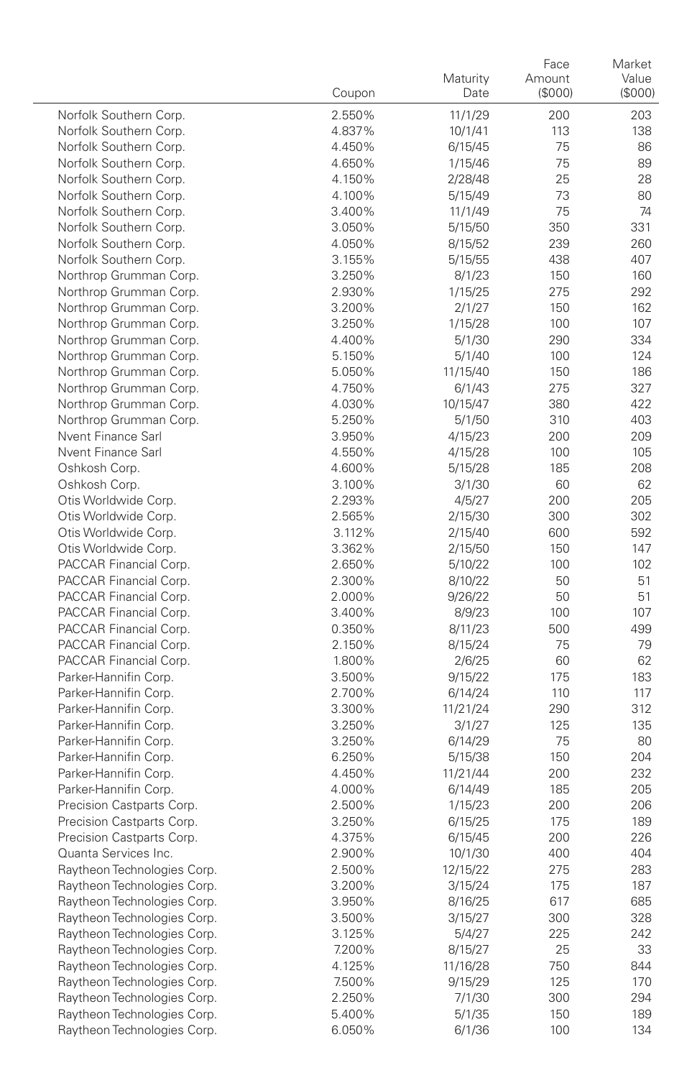|                                                | Coupon           | Maturity<br>Date   | Face<br>Amount<br>(\$000) | Market<br>Value<br>(\$000) |
|------------------------------------------------|------------------|--------------------|---------------------------|----------------------------|
| Norfolk Southern Corp.                         | 2.550%           | 11/1/29            | 200                       | 203                        |
| Norfolk Southern Corp.                         | 4.837%           | 10/1/41            | 113                       | 138                        |
| Norfolk Southern Corp.                         | 4.450%           | 6/15/45            | 75                        | 86                         |
| Norfolk Southern Corp.                         | 4.650%           | 1/15/46            | 75                        | 89                         |
| Norfolk Southern Corp.                         | 4.150%           | 2/28/48            | 25                        | 28                         |
| Norfolk Southern Corp.                         | 4.100%           | 5/15/49            | 73                        | 80                         |
| Norfolk Southern Corp.                         | 3.400%           | 11/1/49            | 75                        | 74                         |
| Norfolk Southern Corp.                         | 3.050%           | 5/15/50            | 350                       | 331                        |
| Norfolk Southern Corp.                         | 4.050%           | 8/15/52            | 239                       | 260                        |
| Norfolk Southern Corp.                         | 3.155%           | 5/15/55            | 438                       | 407                        |
| Northrop Grumman Corp.                         | 3.250%           | 8/1/23             | 150                       | 160                        |
| Northrop Grumman Corp.                         | 2.930%           | 1/15/25            | 275                       | 292                        |
| Northrop Grumman Corp.                         | 3.200%           | 2/1/27             | 150                       | 162                        |
| Northrop Grumman Corp.                         | 3.250%           | 1/15/28            | 100                       | 107                        |
| Northrop Grumman Corp.                         | 4.400%           | 5/1/30             | 290                       | 334                        |
| Northrop Grumman Corp.                         | 5.150%           | 5/1/40             | 100                       | 124                        |
| Northrop Grumman Corp.                         | 5.050%           | 11/15/40           | 150                       | 186                        |
| Northrop Grumman Corp.                         | 4.750%           | 6/1/43             | 275                       | 327                        |
| Northrop Grumman Corp.                         | 4.030%           | 10/15/47           | 380                       | 422                        |
| Northrop Grumman Corp.                         | 5.250%           | 5/1/50             | 310                       | 403                        |
| Nvent Finance Sarl                             | 3.950%           | 4/15/23            | 200                       | 209                        |
| Nvent Finance Sarl                             | 4.550%           | 4/15/28            | 100                       | 105                        |
| Oshkosh Corp.                                  | 4.600%           | 5/15/28            | 185                       | 208                        |
| Oshkosh Corp.                                  | 3.100%           | 3/1/30             | 60                        | 62                         |
| Otis Worldwide Corp.                           | 2.293%           | 4/5/27             | 200                       | 205                        |
| Otis Worldwide Corp.                           | 2.565%           | 2/15/30            | 300                       | 302                        |
| Otis Worldwide Corp.                           | 3.112%           | 2/15/40            | 600                       | 592                        |
| Otis Worldwide Corp.                           | 3.362%           | 2/15/50            | 150                       | 147                        |
| PACCAR Financial Corp.                         | 2.650%           | 5/10/22            | 100                       | 102                        |
| PACCAR Financial Corp.                         | 2.300%           | 8/10/22            | 50                        | 51                         |
| PACCAR Financial Corp.                         | 2.000%           | 9/26/22            | 50                        | 51                         |
| PACCAR Financial Corp.                         | 3.400%           | 8/9/23             | 100                       | 107                        |
| PACCAR Financial Corp.                         | 0.350%           | 8/11/23            | 500                       | 499                        |
| PACCAR Financial Corp.                         | 2.150%           | 8/15/24            | 75                        | 79                         |
| PACCAR Financial Corp.                         | 1.800%           | 2/6/25             | 60                        | 62                         |
| Parker-Hannifin Corp.                          | 3.500%           | 9/15/22            | 175                       | 183                        |
| Parker-Hannifin Corp.<br>Parker-Hannifin Corp. | 2.700%           | 6/14/24            | 110<br>290                | 117<br>312                 |
| Parker-Hannifin Corp.                          | 3.300%<br>3.250% | 11/21/24<br>3/1/27 | 125                       | 135                        |
| Parker-Hannifin Corp.                          | 3.250%           | 6/14/29            | 75                        | 80                         |
| Parker-Hannifin Corp.                          | 6.250%           | 5/15/38            | 150                       | 204                        |
| Parker-Hannifin Corp.                          | 4.450%           | 11/21/44           | 200                       | 232                        |
| Parker-Hannifin Corp.                          | 4.000%           | 6/14/49            | 185                       | 205                        |
| Precision Castparts Corp.                      | 2.500%           | 1/15/23            | 200                       | 206                        |
| Precision Castparts Corp.                      | 3.250%           | 6/15/25            | 175                       | 189                        |
| Precision Castparts Corp.                      | 4.375%           | 6/15/45            | 200                       | 226                        |
| Quanta Services Inc.                           | 2.900%           | 10/1/30            | 400                       | 404                        |
| Raytheon Technologies Corp.                    | 2.500%           | 12/15/22           | 275                       | 283                        |
| Raytheon Technologies Corp.                    | 3.200%           | 3/15/24            | 175                       | 187                        |
| Raytheon Technologies Corp.                    | 3.950%           | 8/16/25            | 617                       | 685                        |
| Raytheon Technologies Corp.                    | 3.500%           | 3/15/27            | 300                       | 328                        |
| Raytheon Technologies Corp.                    | 3.125%           | 5/4/27             | 225                       | 242                        |
| Raytheon Technologies Corp.                    | 7.200%           | 8/15/27            | 25                        | 33                         |
| Raytheon Technologies Corp.                    | 4.125%           | 11/16/28           | 750                       | 844                        |
| Raytheon Technologies Corp.                    | 7.500%           | 9/15/29            | 125                       | 170                        |
| Raytheon Technologies Corp.                    | 2.250%           | 7/1/30             | 300                       | 294                        |
| Raytheon Technologies Corp.                    | 5.400%           | 5/1/35             | 150                       | 189                        |
| Raytheon Technologies Corp.                    | 6.050%           | 6/1/36             | 100                       | 134                        |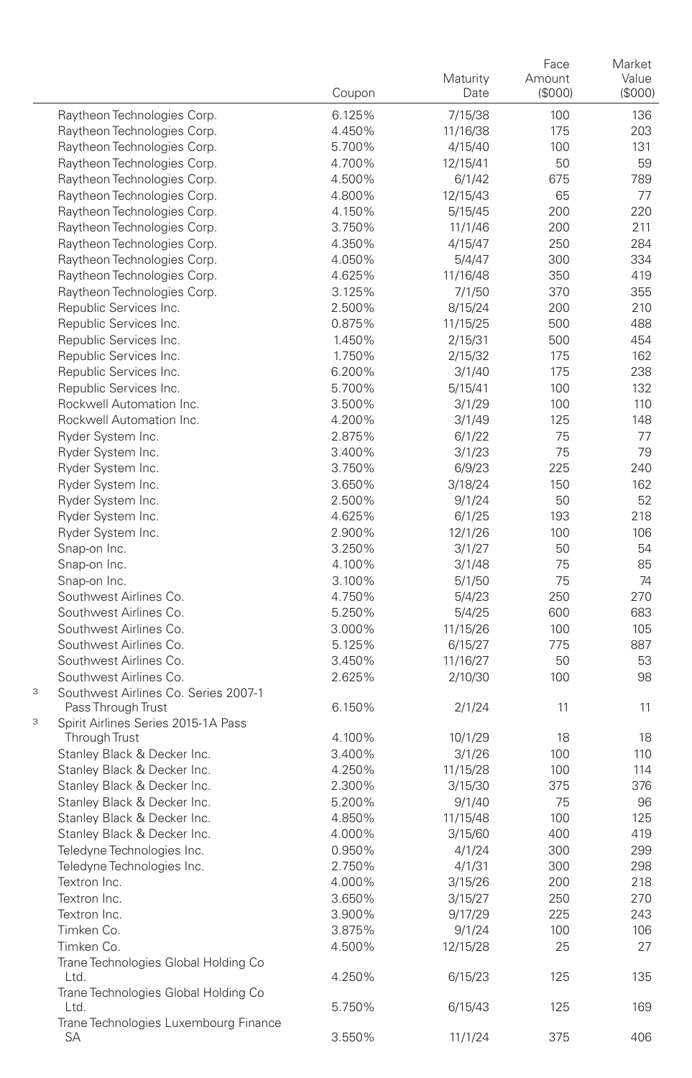|   |                                                  | Coupon           | Maturity<br>Date    | Face<br>Amount<br>(\$000) | Market<br>Value<br>(\$000) |
|---|--------------------------------------------------|------------------|---------------------|---------------------------|----------------------------|
|   | Raytheon Technologies Corp.                      | 6.125%           | 7/15/38             | 100                       | 136                        |
|   | Raytheon Technologies Corp.                      | 4.450%           | 11/16/38            | 175                       | 203                        |
|   | Raytheon Technologies Corp.                      | 5.700%           | 4/15/40             | 100                       | 131                        |
|   | Raytheon Technologies Corp.                      | 4.700%           | 12/15/41            | 50                        | 59                         |
|   | Raytheon Technologies Corp.                      | 4.500%           | 6/1/42              | 675                       | 789                        |
|   | Raytheon Technologies Corp.                      | 4.800%           | 12/15/43            | 65                        | 77                         |
|   | Raytheon Technologies Corp.                      | 4.150%           | 5/15/45             | 200                       | 220                        |
|   | Raytheon Technologies Corp.                      | 3.750%           | 11/1/46             | 200                       | 211                        |
|   | Raytheon Technologies Corp.                      | 4.350%           | 4/15/47             | 250                       | 284                        |
|   | Raytheon Technologies Corp.                      | 4.050%           | 5/4/47              | 300                       | 334                        |
|   | Raytheon Technologies Corp.                      | 4.625%           | 11/16/48            | 350                       | 419                        |
|   | Raytheon Technologies Corp.                      | 3.125%           | 7/1/50              | 370                       | 355                        |
|   | Republic Services Inc.                           | 2.500%           | 8/15/24             | 200                       | 210                        |
|   | Republic Services Inc.                           | 0.875%           | 11/15/25            | 500                       | 488                        |
|   | Republic Services Inc.                           | 1.450%           | 2/15/31             | 500                       | 454                        |
|   | Republic Services Inc.                           | 1.750%           | 2/15/32             | 175                       | 162                        |
|   | Republic Services Inc.                           | 6.200%           | 3/1/40              | 175                       | 238                        |
|   | Republic Services Inc.                           | 5.700%           | 5/15/41             | 100                       | 132                        |
|   | Rockwell Automation Inc.                         | 3.500%           | 3/1/29              | 100                       | 110                        |
|   | Rockwell Automation Inc.                         | 4.200%           | 3/1/49              | 125                       | 148                        |
|   | Ryder System Inc.                                | 2.875%           | 6/1/22              | 75                        | 77                         |
|   | Ryder System Inc.                                | 3.400%           | 3/1/23              | 75                        | 79                         |
|   | Ryder System Inc.                                | 3.750%           | 6/9/23              | 225                       | 240                        |
|   | Ryder System Inc.                                | 3.650%           | 3/18/24             | 150                       | 162                        |
|   | Ryder System Inc.                                | 2.500%           | 9/1/24              | 50                        | 52                         |
|   | Ryder System Inc.                                | 4.625%           | 6/1/25              | 193                       | 218                        |
|   | Ryder System Inc.                                | 2.900%           | 12/1/26             | 100                       | 106                        |
|   | Snap-on Inc.                                     | 3.250%           | 3/1/27              | 50                        | 54                         |
|   | Snap-on Inc.                                     | 4.100%           | 3/1/48              | 75                        | 85                         |
|   | Snap-on Inc.                                     | 3.100%           | 5/1/50              | 75                        | 74                         |
|   | Southwest Airlines Co.                           | 4.750%           | 5/4/23              | 250                       | 270                        |
|   | Southwest Airlines Co.                           | 5.250%           | 5/4/25              | 600                       | 683                        |
|   | Southwest Airlines Co.                           | 3.000%           | 11/15/26            | 100                       | 105                        |
|   | Southwest Airlines Co.<br>Southwest Airlines Co. | 5.125%           | 6/15/27             | 775                       | 887                        |
|   | Southwest Airlines Co.                           | 3.450%<br>2.625% | 11/16/27<br>2/10/30 | 50<br>100                 | 53<br>98                   |
| 3 | Southwest Airlines Co. Series 2007-1             |                  |                     |                           |                            |
|   | Pass Through Trust                               | 6.150%           | 2/1/24              | 11                        | 11                         |
| 3 | Spirit Airlines Series 2015-1A Pass              |                  |                     |                           |                            |
|   | Through Trust                                    | 4.100%           | 10/1/29             | 18                        | 18                         |
|   | Stanley Black & Decker Inc.                      | 3.400%           | 3/1/26              | 100                       | 110                        |
|   | Stanley Black & Decker Inc.                      | 4.250%           | 11/15/28            | 100                       | 114                        |
|   | Stanley Black & Decker Inc.                      | 2.300%           | 3/15/30             | 375                       | 376                        |
|   | Stanley Black & Decker Inc.                      | 5.200%           | 9/1/40              | 75                        | 96                         |
|   | Stanley Black & Decker Inc.                      | 4.850%           | 11/15/48            | 100                       | 125                        |
|   | Stanley Black & Decker Inc.                      | 4.000%           | 3/15/60             | 400                       | 419                        |
|   | Teledyne Technologies Inc.                       | 0.950%           | 4/1/24              | 300                       | 299                        |
|   | Teledyne Technologies Inc.                       | 2.750%           | 4/1/31              | 300                       | 298                        |
|   | Textron Inc.                                     | 4.000%           | 3/15/26             | 200                       | 218                        |
|   | Textron Inc.                                     | 3.650%           | 3/15/27             | 250                       | 270                        |
|   | Textron Inc.                                     | 3.900%           | 9/17/29             | 225                       | 243                        |
|   | Timken Co.                                       | 3.875%           | 9/1/24              | 100                       | 106                        |
|   | Timken Co.                                       | 4.500%           | 12/15/28            | 25                        | 27                         |
|   | Trane Technologies Global Holding Co<br>Ltd.     | 4.250%           | 6/15/23             | 125                       | 135                        |
|   | Trane Technologies Global Holding Co<br>Ltd.     | 5.750%           | 6/15/43             | 125                       | 169                        |
|   | Trane Technologies Luxembourg Finance<br>SА      | 3.550%           | 11/1/24             | 375                       | 406                        |
|   |                                                  |                  |                     |                           |                            |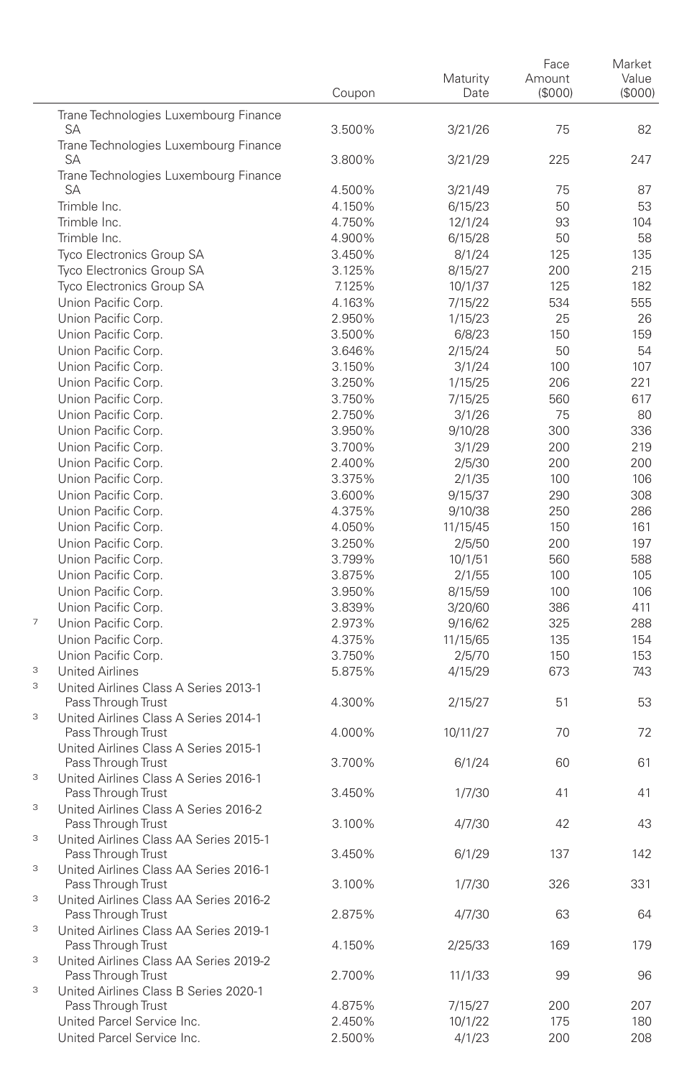|                                                                                           | Coupon | Maturity<br>Date | Face<br>Amount<br>(\$000) | Market<br>Value<br>(\$000) |
|-------------------------------------------------------------------------------------------|--------|------------------|---------------------------|----------------------------|
|                                                                                           |        |                  |                           |                            |
| Trane Technologies Luxembourg Finance<br>SA                                               | 3.500% | 3/21/26          | 75                        | 82                         |
| Trane Technologies Luxembourg Finance                                                     |        |                  |                           |                            |
| SA<br>Trane Technologies Luxembourg Finance                                               | 3.800% | 3/21/29          | 225                       | 247                        |
| <b>SA</b>                                                                                 | 4.500% | 3/21/49          | 75                        | 87                         |
| Trimble Inc.                                                                              | 4.150% | 6/15/23          | 50                        | 53                         |
| Trimble Inc.                                                                              | 4.750% | 12/1/24          | 93                        | 104                        |
| Trimble Inc.                                                                              | 4.900% | 6/15/28          | 50                        | 58                         |
| Tyco Electronics Group SA                                                                 | 3.450% | 8/1/24           | 125                       | 135                        |
| Tyco Electronics Group SA                                                                 | 3.125% | 8/15/27          | 200                       | 215                        |
| Tyco Electronics Group SA                                                                 | 7.125% | 10/1/37          | 125                       | 182                        |
| Union Pacific Corp.                                                                       | 4.163% | 7/15/22          | 534                       | 555                        |
| Union Pacific Corp.                                                                       | 2.950% | 1/15/23          | 25                        | 26                         |
| Union Pacific Corp.                                                                       | 3.500% | 6/8/23           | 150                       | 159                        |
| Union Pacific Corp.                                                                       | 3.646% | 2/15/24          | 50                        | 54                         |
| Union Pacific Corp.                                                                       | 3.150% | 3/1/24           | 100                       | 107                        |
| Union Pacific Corp.                                                                       | 3.250% | 1/15/25          | 206                       | 221                        |
| Union Pacific Corp.                                                                       | 3.750% | 7/15/25          | 560                       | 617                        |
| Union Pacific Corp.                                                                       | 2.750% | 3/1/26           | 75                        | 80                         |
| Union Pacific Corp.                                                                       | 3.950% | 9/10/28          | 300                       | 336                        |
| Union Pacific Corp.                                                                       | 3.700% | 3/1/29           | 200                       | 219                        |
| Union Pacific Corp.                                                                       | 2.400% | 2/5/30           | 200                       | 200                        |
| Union Pacific Corp.                                                                       | 3.375% | 2/1/35           | 100                       | 106                        |
| Union Pacific Corp.                                                                       | 3.600% | 9/15/37          | 290                       | 308                        |
| Union Pacific Corp.                                                                       | 4.375% | 9/10/38          | 250                       | 286                        |
| Union Pacific Corp.                                                                       | 4.050% | 11/15/45         | 150                       | 161                        |
| Union Pacific Corp.                                                                       | 3.250% | 2/5/50           | 200                       | 197                        |
|                                                                                           |        |                  |                           |                            |
| Union Pacific Corp.                                                                       | 3.799% | 10/1/51          | 560                       | 588                        |
| Union Pacific Corp.                                                                       | 3.875% | 2/1/55           | 100                       | 105<br>106                 |
| Union Pacific Corp.<br>Union Pacific Corp.                                                | 3.950% | 8/15/59          | 100                       | 411                        |
| $\overline{7}$                                                                            | 3.839% | 3/20/60          | 386                       |                            |
| Union Pacific Corp.                                                                       | 2.973% | 9/16/62          | 325                       | 288                        |
| Union Pacific Corp.<br>Union Pacific Corp.                                                | 4.375% | 11/15/65         | 135                       | 154                        |
| 3<br><b>United Airlines</b>                                                               | 3.750% | 2/5/70           | 150                       | 153<br>743                 |
| 3<br>United Airlines Class A Series 2013-1                                                | 5.875% | 4/15/29          | 673                       |                            |
| Pass Through Trust<br>3<br>United Airlines Class A Series 2014-1                          | 4.300% | 2/15/27          | 51                        | 53                         |
| Pass Through Trust<br>United Airlines Class A Series 2015-1                               | 4.000% | 10/11/27         | 70                        | 72                         |
| Pass Through Trust<br>3<br>United Airlines Class A Series 2016-1                          | 3.700% | 6/1/24           | 60                        | 61                         |
| Pass Through Trust<br>3<br>United Airlines Class A Series 2016-2                          | 3.450% | 1/7/30           | 41                        | 41                         |
| Pass Through Trust<br>3<br>United Airlines Class AA Series 2015-1                         | 3.100% | 4/7/30           | 42                        | 43                         |
| Pass Through Trust<br>$\ensuremath{\mathsf{3}}$<br>United Airlines Class AA Series 2016-1 | 3.450% | 6/1/29           | 137                       | 142                        |
| Pass Through Trust<br>$\ensuremath{\mathsf{3}}$<br>United Airlines Class AA Series 2016-2 | 3.100% | 1/7/30           | 326                       | 331                        |
| Pass Through Trust<br>$\ensuremath{\mathsf{3}}$<br>United Airlines Class AA Series 2019-1 | 2.875% | 4/7/30           | 63                        | 64                         |
| Pass Through Trust<br>$\ensuremath{\mathsf{3}}$<br>United Airlines Class AA Series 2019-2 | 4.150% | 2/25/33          | 169                       | 179                        |
| Pass Through Trust<br>3<br>United Airlines Class B Series 2020-1                          | 2.700% | 11/1/33          | 99                        | 96                         |
| Pass Through Trust                                                                        | 4.875% | 7/15/27          | 200                       | 207                        |
| United Parcel Service Inc.                                                                | 2.450% | 10/1/22          | 175                       | 180                        |
| United Parcel Service Inc.                                                                | 2.500% | 4/1/23           | 200                       | 208                        |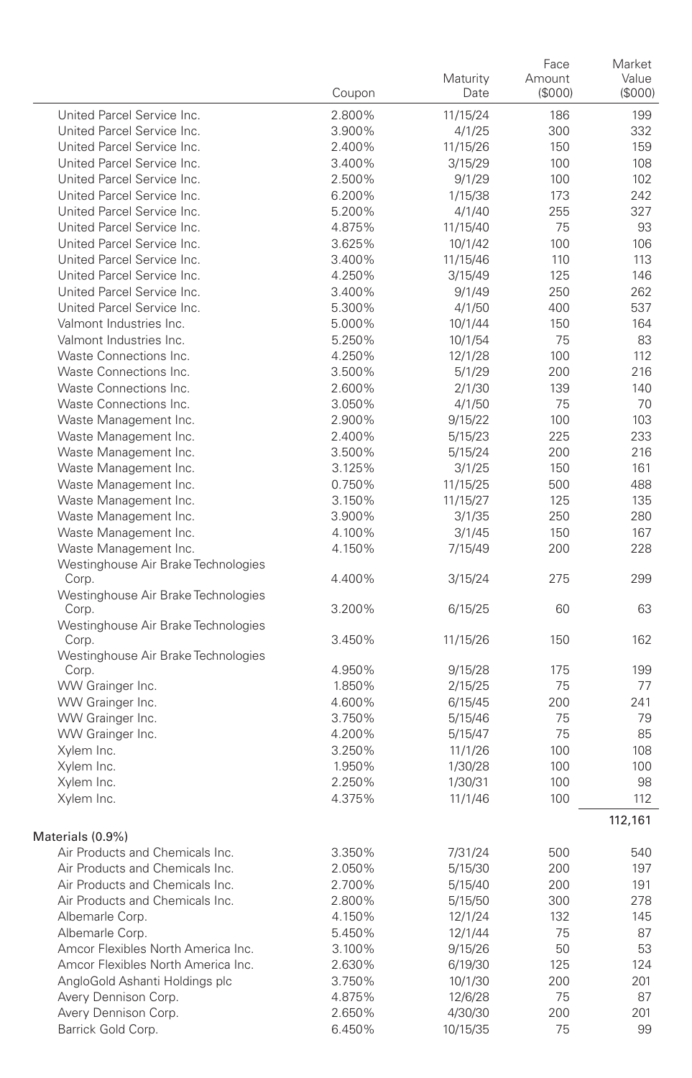|                                                              | Coupon | Maturity<br>Date | Face<br>Amount<br>(\$000) | Market<br>Value<br>(\$000) |
|--------------------------------------------------------------|--------|------------------|---------------------------|----------------------------|
| United Parcel Service Inc.                                   | 2.800% | 11/15/24         | 186                       | 199                        |
| United Parcel Service Inc.                                   | 3.900% | 4/1/25           | 300                       | 332                        |
| United Parcel Service Inc.                                   | 2.400% | 11/15/26         | 150                       | 159                        |
| United Parcel Service Inc.                                   | 3.400% | 3/15/29          | 100                       | 108                        |
| United Parcel Service Inc.                                   | 2.500% | 9/1/29           | 100                       | 102                        |
| United Parcel Service Inc.                                   | 6.200% | 1/15/38          | 173                       | 242                        |
| United Parcel Service Inc.                                   | 5.200% | 4/1/40           | 255                       | 327                        |
| United Parcel Service Inc.                                   | 4.875% | 11/15/40         | 75                        | 93                         |
| United Parcel Service Inc.                                   | 3.625% | 10/1/42          | 100                       | 106                        |
| United Parcel Service Inc.                                   | 3.400% | 11/15/46         | 110                       | 113                        |
| United Parcel Service Inc.                                   | 4.250% | 3/15/49          | 125                       | 146                        |
| United Parcel Service Inc.                                   | 3.400% | 9/1/49           | 250                       | 262                        |
| United Parcel Service Inc.                                   | 5.300% | 4/1/50           | 400                       | 537                        |
| Valmont Industries Inc.                                      | 5.000% | 10/1/44          | 150                       | 164                        |
| Valmont Industries Inc.                                      | 5.250% | 10/1/54          | 75                        | 83                         |
| Waste Connections Inc.                                       | 4.250% | 12/1/28          | 100                       | 112                        |
| Waste Connections Inc.                                       | 3.500% | 5/1/29           | 200                       | 216                        |
| Waste Connections Inc.                                       | 2.600% | 2/1/30           | 139                       | 140                        |
| Waste Connections Inc.                                       | 3.050% | 4/1/50           | 75                        | 70                         |
| Waste Management Inc.                                        | 2.900% | 9/15/22          | 100                       | 103                        |
| Waste Management Inc.                                        | 2.400% | 5/15/23          | 225                       | 233                        |
| Waste Management Inc.                                        | 3.500% | 5/15/24          | 200                       | 216                        |
| Waste Management Inc.                                        | 3.125% | 3/1/25           | 150                       | 161                        |
| Waste Management Inc.                                        | 0.750% | 11/15/25         | 500                       | 488                        |
| Waste Management Inc.                                        | 3.150% | 11/15/27         | 125                       | 135                        |
| Waste Management Inc.                                        | 3.900% | 3/1/35           | 250                       | 280                        |
| Waste Management Inc.                                        | 4.100% | 3/1/45           | 150                       | 167                        |
| Waste Management Inc.<br>Westinghouse Air Brake Technologies | 4.150% | 7/15/49          | 200                       | 228                        |
| Corp.                                                        | 4.400% | 3/15/24          | 275                       | 299                        |
| Westinghouse Air Brake Technologies<br>Corp.                 | 3.200% | 6/15/25          | 60                        | 63                         |
| Westinghouse Air Brake Technologies<br>Corp.                 | 3.450% | 11/15/26         | 150                       | 162                        |
| Westinghouse Air Brake Technologies                          |        |                  |                           |                            |
| Corp.                                                        | 4.950% | 9/15/28          | 175                       | 199                        |
| WW Grainger Inc.                                             | 1.850% | 2/15/25          | 75                        | 77                         |
| WW Grainger Inc.                                             | 4.600% | 6/15/45          | 200                       | 241                        |
| WW Grainger Inc.                                             | 3.750% | 5/15/46          | 75                        | 79                         |
| WW Grainger Inc.                                             | 4.200% | 5/15/47          | 75                        | 85                         |
| Xylem Inc.                                                   | 3.250% | 11/1/26          | 100                       | 108                        |
| Xylem Inc.                                                   | 1.950% | 1/30/28          | 100                       | 100                        |
| Xylem Inc.                                                   | 2.250% | 1/30/31          | 100                       | 98                         |
| Xylem Inc.                                                   | 4.375% | 11/1/46          | 100                       | 112                        |
| Materials (0.9%)                                             |        |                  |                           | 112,161                    |
| Air Products and Chemicals Inc.                              | 3.350% | 7/31/24          | 500                       | 540                        |
| Air Products and Chemicals Inc.                              | 2.050% | 5/15/30          | 200                       | 197                        |
| Air Products and Chemicals Inc.                              | 2.700% | 5/15/40          | 200                       | 191                        |
| Air Products and Chemicals Inc.                              | 2.800% | 5/15/50          | 300                       | 278                        |
| Albemarle Corp.                                              | 4.150% | 12/1/24          | 132                       | 145                        |
| Albemarle Corp.                                              | 5.450% | 12/1/44          | 75                        | 87                         |
| Amcor Flexibles North America Inc.                           | 3.100% | 9/15/26          | 50                        | 53                         |
| Amcor Flexibles North America Inc.                           | 2.630% | 6/19/30          | 125                       | 124                        |
| AngloGold Ashanti Holdings plc                               | 3.750% | 10/1/30          | 200                       | 201                        |
| Avery Dennison Corp.                                         | 4.875% | 12/6/28          | 75                        | 87                         |
| Avery Dennison Corp.                                         | 2.650% | 4/30/30          | 200                       | 201                        |
| Barrick Gold Corp.                                           | 6.450% | 10/15/35         | 75                        | 99                         |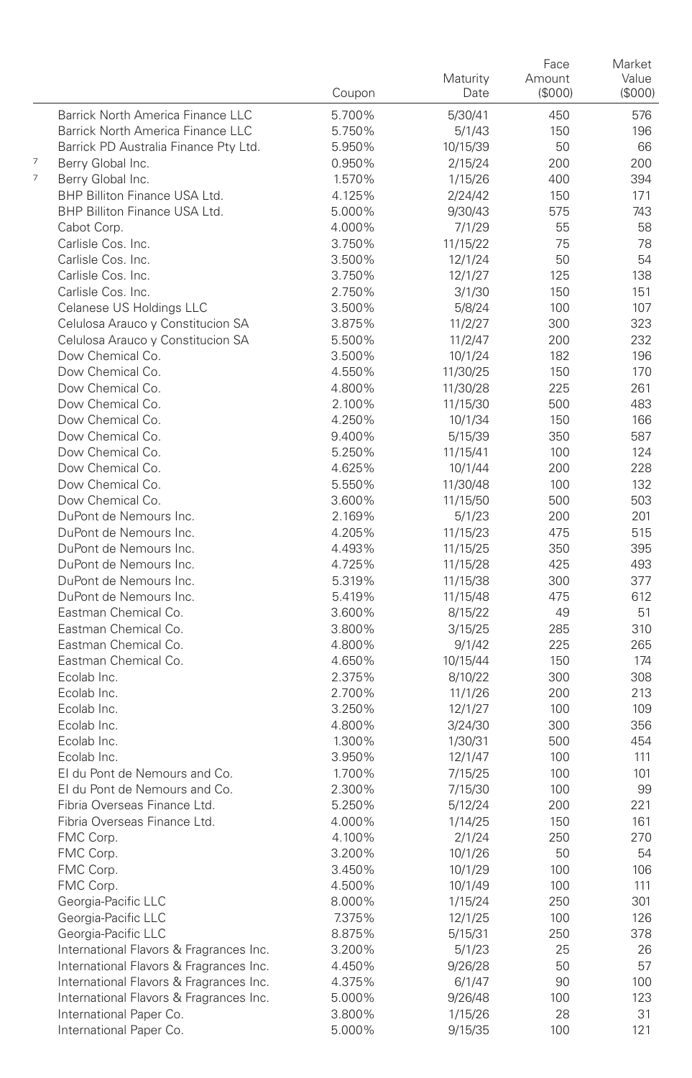|   |                                                | Coupon           | Maturity<br>Date    | Face<br>Amount<br>(\$000) | Market<br>Value<br>(\$000) |
|---|------------------------------------------------|------------------|---------------------|---------------------------|----------------------------|
|   | Barrick North America Finance LLC              | 5.700%           | 5/30/41             | 450                       | 576                        |
|   | Barrick North America Finance LLC              | 5.750%           | 5/1/43              | 150                       | 196                        |
|   | Barrick PD Australia Finance Pty Ltd.          | 5.950%           | 10/15/39            | 50                        | 66                         |
| 7 | Berry Global Inc.                              | 0.950%           | 2/15/24             | 200                       | 200                        |
| 7 | Berry Global Inc.                              | 1.570%           | 1/15/26             | 400                       | 394                        |
|   | BHP Billiton Finance USA Ltd.                  | 4.125%           | 2/24/42             | 150                       | 171                        |
|   | BHP Billiton Finance USA Ltd.                  | 5.000%           | 9/30/43             | 575                       | 743                        |
|   | Cabot Corp.                                    | 4.000%           | 7/1/29              | 55                        | 58                         |
|   | Carlisle Cos. Inc.                             | 3.750%           | 11/15/22            | 75                        | 78                         |
|   | Carlisle Cos. Inc.                             | 3.500%           | 12/1/24             | 50                        | 54                         |
|   | Carlisle Cos. Inc.                             | 3.750%           | 12/1/27             | 125                       | 138                        |
|   | Carlisle Cos. Inc.                             | 2.750%           | 3/1/30              | 150                       | 151                        |
|   | Celanese US Holdings LLC                       | 3.500%           | 5/8/24              | 100                       | 107                        |
|   | Celulosa Arauco y Constitucion SA              | 3.875%           | 11/2/27             | 300                       | 323                        |
|   | Celulosa Arauco y Constitucion SA              | 5.500%           | 11/2/47             | 200                       | 232                        |
|   | Dow Chemical Co.                               | 3.500%           | 10/1/24             | 182                       | 196                        |
|   | Dow Chemical Co.                               | 4.550%           | 11/30/25            | 150                       | 170                        |
|   | Dow Chemical Co.                               | 4.800%           | 11/30/28            | 225                       | 261                        |
|   | Dow Chemical Co.                               | 2.100%           | 11/15/30            | 500                       | 483                        |
|   | Dow Chemical Co.                               | 4.250%           | 10/1/34             | 150                       | 166                        |
|   | Dow Chemical Co.                               | 9.400%           | 5/15/39             | 350                       | 587                        |
|   | Dow Chemical Co.                               | 5.250%           | 11/15/41            | 100                       | 124                        |
|   | Dow Chemical Co.                               | 4.625%           | 10/1/44             | 200                       | 228                        |
|   | Dow Chemical Co.                               | 5.550%           | 11/30/48            | 100                       | 132                        |
|   | Dow Chemical Co.                               | 3.600%           | 11/15/50            | 500                       | 503                        |
|   | DuPont de Nemours Inc.                         | 2.169%           | 5/1/23              | 200                       | 201                        |
|   | DuPont de Nemours Inc.                         | 4.205%           | 11/15/23            | 475                       | 515                        |
|   | DuPont de Nemours Inc.                         | 4.493%           | 11/15/25            | 350                       | 395                        |
|   | DuPont de Nemours Inc.                         | 4.725%           | 11/15/28            | 425                       | 493                        |
|   | DuPont de Nemours Inc.                         | 5.319%           | 11/15/38            | 300                       | 377                        |
|   | DuPont de Nemours Inc.<br>Eastman Chemical Co. | 5.419%           | 11/15/48            | 475                       | 612                        |
|   | Eastman Chemical Co.                           | 3.600%           | 8/15/22             | 49                        | 51                         |
|   | Eastman Chemical Co.                           | 3.800%<br>4.800% | 3/15/25             | 285                       | 310                        |
|   | Eastman Chemical Co.                           | 4.650%           | 9/1/42              | 225<br>150                | 265<br>174                 |
|   | Ecolab Inc.                                    | 2.375%           | 10/15/44<br>8/10/22 | 300                       | 308                        |
|   | Ecolab Inc.                                    | 2.700%           | 11/1/26             | 200                       | 213                        |
|   | Ecolab Inc.                                    | 3.250%           | 12/1/27             | 100                       | 109                        |
|   | Ecolab Inc.                                    | 4.800%           | 3/24/30             | 300                       | 356                        |
|   | Ecolab Inc.                                    | 1.300%           | 1/30/31             | 500                       | 454                        |
|   | Ecolab Inc.                                    | 3.950%           | 12/1/47             | 100                       | 111                        |
|   | El du Pont de Nemours and Co.                  | 1.700%           | 7/15/25             | 100                       | 101                        |
|   | El du Pont de Nemours and Co.                  | 2.300%           | 7/15/30             | 100                       | 99                         |
|   | Fibria Overseas Finance Ltd.                   | 5.250%           | 5/12/24             | 200                       | 221                        |
|   | Fibria Overseas Finance Ltd.                   | 4.000%           | 1/14/25             | 150                       | 161                        |
|   | FMC Corp.                                      | 4.100%           | 2/1/24              | 250                       | 270                        |
|   | FMC Corp.                                      | 3.200%           | 10/1/26             | 50                        | 54                         |
|   | FMC Corp.                                      | 3.450%           | 10/1/29             | 100                       | 106                        |
|   | FMC Corp.                                      | 4.500%           | 10/1/49             | 100                       | 111                        |
|   | Georgia-Pacific LLC                            | 8.000%           | 1/15/24             | 250                       | 301                        |
|   | Georgia-Pacific LLC                            | 7.375%           | 12/1/25             | 100                       | 126                        |
|   | Georgia-Pacific LLC                            | 8.875%           | 5/15/31             | 250                       | 378                        |
|   | International Flavors & Fragrances Inc.        | 3.200%           | 5/1/23              | 25                        | 26                         |
|   | International Flavors & Fragrances Inc.        | 4.450%           | 9/26/28             | 50                        | 57                         |
|   | International Flavors & Fragrances Inc.        | 4.375%           | 6/1/47              | 90                        | 100                        |
|   | International Flavors & Fragrances Inc.        | 5.000%           | 9/26/48             | 100                       | 123                        |
|   | International Paper Co.                        | 3.800%           | 1/15/26             | 28                        | 31                         |
|   | International Paper Co.                        | 5.000%           | 9/15/35             | 100                       | 121                        |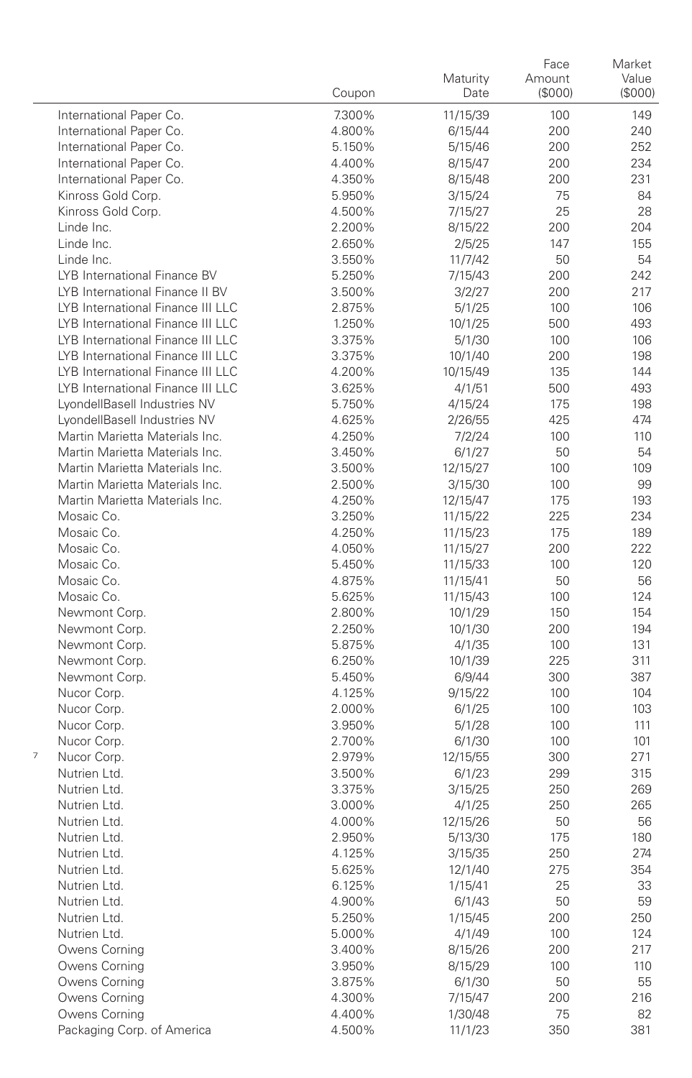|   |                                   | Coupon           | Maturity<br>Date   | Face<br>Amount<br>(\$000) | Market<br>Value<br>(\$000) |
|---|-----------------------------------|------------------|--------------------|---------------------------|----------------------------|
|   | International Paper Co.           | 7.300%           | 11/15/39           | 100                       | 149                        |
|   | International Paper Co.           | 4.800%           | 6/15/44            | 200                       | 240                        |
|   | International Paper Co.           | 5.150%           | 5/15/46            | 200                       | 252                        |
|   | International Paper Co.           | 4.400%           | 8/15/47            | 200                       | 234                        |
|   | International Paper Co.           | 4.350%           | 8/15/48            | 200                       | 231                        |
|   | Kinross Gold Corp.                | 5.950%           | 3/15/24            | 75                        | 84                         |
|   | Kinross Gold Corp.                | 4.500%           | 7/15/27            | 25                        | 28                         |
|   | Linde Inc.                        | 2.200%           | 8/15/22            | 200                       | 204                        |
|   | Linde Inc.                        | 2.650%           | 2/5/25             | 147                       | 155                        |
|   | Linde Inc.                        | 3.550%           | 11/7/42            | 50                        | 54                         |
|   | LYB International Finance BV      | 5.250%           | 7/15/43            | 200                       | 242                        |
|   | LYB International Finance II BV   | 3.500%           | 3/2/27             | 200                       | 217                        |
|   | LYB International Finance III LLC | 2.875%           | 5/1/25             | 100                       | 106                        |
|   | LYB International Finance III LLC | 1.250%           | 10/1/25            | 500                       | 493                        |
|   | LYB International Finance III LLC | 3.375%           | 5/1/30             | 100                       | 106                        |
|   | LYB International Finance III LLC | 3.375%           | 10/1/40            | 200                       | 198                        |
|   | LYB International Finance III LLC | 4.200%           | 10/15/49           | 135                       | 144                        |
|   | LYB International Finance III LLC | 3.625%           | 4/1/51             | 500                       | 493                        |
|   | LyondellBasell Industries NV      | 5.750%           | 4/15/24            | 175                       | 198                        |
|   | LyondellBasell Industries NV      | 4.625%           | 2/26/55            | 425                       | 474                        |
|   | Martin Marietta Materials Inc.    | 4.250%           | 7/2/24             | 100                       | 110                        |
|   | Martin Marietta Materials Inc.    | 3.450%           | 6/1/27             | 50                        | 54                         |
|   | Martin Marietta Materials Inc.    | 3.500%           | 12/15/27           | 100                       | 109                        |
|   | Martin Marietta Materials Inc.    | 2.500%           | 3/15/30            | 100                       | 99                         |
|   | Martin Marietta Materials Inc.    | 4.250%           | 12/15/47           | 175                       | 193                        |
|   | Mosaic Co.                        | 3.250%           | 11/15/22           | 225                       | 234                        |
|   | Mosaic Co.                        | 4.250%           | 11/15/23           | 175                       | 189                        |
|   | Mosaic Co.                        | 4.050%           | 11/15/27           | 200                       | 222                        |
|   | Mosaic Co.                        | 5.450%           | 11/15/33           | 100                       | 120                        |
|   | Mosaic Co.                        | 4.875%           | 11/15/41           | 50                        | 56                         |
|   | Mosaic Co.                        | 5.625%           | 11/15/43           | 100                       | 124                        |
|   | Newmont Corp.                     | 2.800%           | 10/1/29            | 150                       | 154                        |
|   | Newmont Corp.                     | 2.250%           | 10/1/30            | 200                       | 194                        |
|   | Newmont Corp.                     | 5.875%           | 4/1/35             | 100                       | 131                        |
|   | Newmont Corp.                     | 6.250%           | 10/1/39            | 225                       | 311                        |
|   | Newmont Corp.                     | 5.450%           | 6/9/44             | 300                       | 387                        |
|   | Nucor Corp.                       | 4.125%           | 9/15/22            | 100                       | 104                        |
|   | Nucor Corp.                       | 2.000%           | 6/1/25             | 100                       | 103                        |
|   | Nucor Corp.                       | 3.950%           | 5/1/28             | 100                       | 111                        |
| 7 | Nucor Corp.                       | 2.700%           | 6/1/30             | 100                       | 101                        |
|   | Nucor Corp.                       | 2.979%           | 12/15/55           | 300                       | 271                        |
|   | Nutrien Ltd.                      | 3.500%           | 6/1/23             | 299                       | 315                        |
|   | Nutrien Ltd.<br>Nutrien Ltd.      | 3.375%           | 3/15/25            | 250                       | 269                        |
|   | Nutrien Ltd.                      | 3.000%           | 4/1/25             | 250<br>50                 | 265<br>56                  |
|   | Nutrien Ltd.                      | 4.000%<br>2.950% | 12/15/26           | 175                       | 180                        |
|   | Nutrien Ltd.                      | 4.125%           | 5/13/30<br>3/15/35 | 250                       | 274                        |
|   | Nutrien Ltd.                      | 5.625%           | 12/1/40            | 275                       | 354                        |
|   | Nutrien Ltd.                      | 6.125%           | 1/15/41            | 25                        | 33                         |
|   | Nutrien Ltd.                      | 4.900%           | 6/1/43             | 50                        | 59                         |
|   | Nutrien Ltd.                      | 5.250%           | 1/15/45            | 200                       | 250                        |
|   | Nutrien Ltd.                      | 5.000%           | 4/1/49             | 100                       | 124                        |
|   | Owens Corning                     | 3.400%           | 8/15/26            | 200                       | 217                        |
|   | Owens Corning                     | 3.950%           | 8/15/29            | 100                       | 110                        |
|   | Owens Corning                     | 3.875%           | 6/1/30             | 50                        | 55                         |
|   | Owens Corning                     | 4.300%           | 7/15/47            | 200                       | 216                        |
|   | Owens Corning                     | 4.400%           | 1/30/48            | 75                        | 82                         |
|   | Packaging Corp. of America        | 4.500%           | 11/1/23            | 350                       | 381                        |
|   |                                   |                  |                    |                           |                            |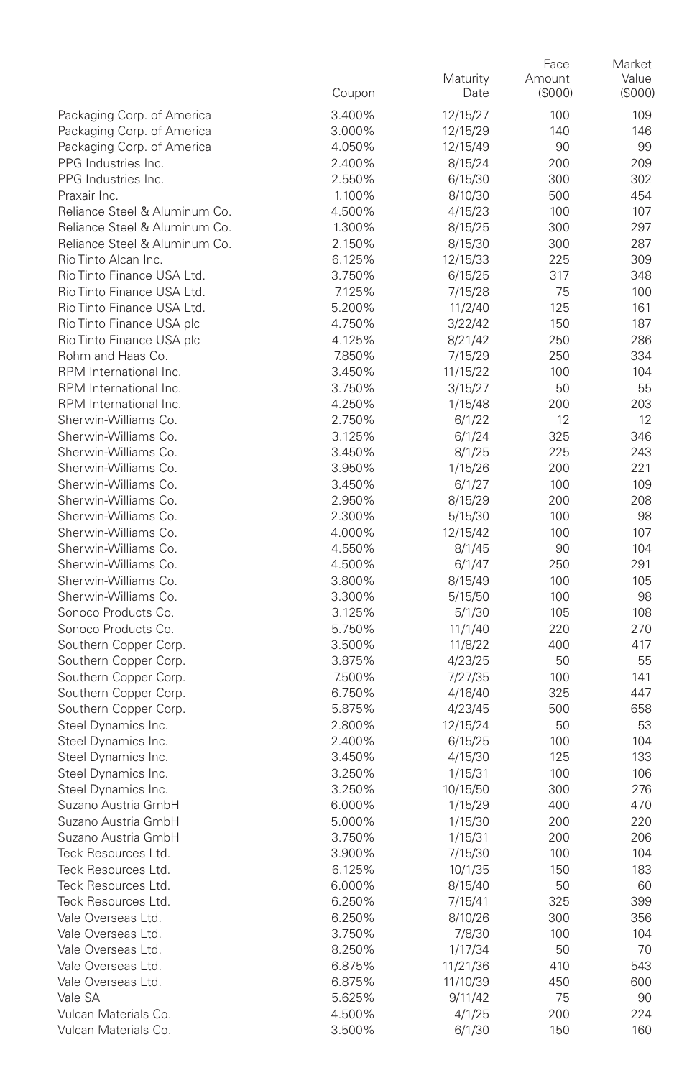|                                              | Coupon           | Maturity<br>Date   | Face<br>Amount<br>(\$000) | Market<br>Value<br>(\$000) |
|----------------------------------------------|------------------|--------------------|---------------------------|----------------------------|
| Packaging Corp. of America                   | 3.400%           | 12/15/27           | 100                       | 109                        |
| Packaging Corp. of America                   | 3.000%           | 12/15/29           | 140                       | 146                        |
| Packaging Corp. of America                   | 4.050%           | 12/15/49           | 90                        | 99                         |
| PPG Industries Inc.                          | 2.400%           | 8/15/24            | 200                       | 209                        |
| PPG Industries Inc.                          | 2.550%           | 6/15/30            | 300                       | 302                        |
| Praxair Inc.                                 | 1.100%           | 8/10/30            | 500                       | 454                        |
| Reliance Steel & Aluminum Co.                | 4.500%           | 4/15/23            | 100                       | 107                        |
| Reliance Steel & Aluminum Co.                | 1.300%           | 8/15/25            | 300                       | 297                        |
| Reliance Steel & Aluminum Co.                | 2.150%           | 8/15/30            | 300                       | 287                        |
| Rio Tinto Alcan Inc.                         | 6.125%           | 12/15/33           | 225                       | 309                        |
| Rio Tinto Finance USA Ltd.                   | 3.750%           | 6/15/25            | 317                       | 348                        |
| Rio Tinto Finance USA Ltd.                   | 7.125%           | 7/15/28            | 75                        | 100                        |
| Rio Tinto Finance USA Ltd.                   | 5.200%           | 11/2/40            | 125                       | 161                        |
| Rio Tinto Finance USA plc                    | 4.750%           | 3/22/42            | 150                       | 187                        |
| Rio Tinto Finance USA plc                    | 4.125%           | 8/21/42            | 250                       | 286                        |
| Rohm and Haas Co.                            | 7.850%           | 7/15/29            | 250                       | 334                        |
| RPM International Inc.                       | 3.450%           | 11/15/22           | 100                       | 104                        |
| RPM International Inc.                       | 3.750%           | 3/15/27            | 50                        | 55                         |
| RPM International Inc.                       | 4.250%           | 1/15/48            | 200                       | 203                        |
| Sherwin-Williams Co.                         | 2.750%           | 6/1/22             | 12                        | 12                         |
| Sherwin-Williams Co.                         | 3.125%           | 6/1/24             | 325                       | 346                        |
| Sherwin-Williams Co.                         | 3.450%           | 8/1/25             | 225                       | 243                        |
| Sherwin-Williams Co.                         | 3.950%           | 1/15/26            | 200                       | 221                        |
| Sherwin-Williams Co.                         | 3.450%           | 6/1/27             | 100                       | 109                        |
| Sherwin-Williams Co.                         | 2.950%           | 8/15/29            | 200                       | 208                        |
| Sherwin-Williams Co.                         | 2.300%           | 5/15/30            | 100                       | 98                         |
| Sherwin-Williams Co.                         | 4.000%           | 12/15/42           | 100                       | 107                        |
| Sherwin-Williams Co.                         | 4.550%           | 8/1/45             | 90                        | 104                        |
| Sherwin-Williams Co.                         | 4.500%           | 6/1/47             | 250                       | 291                        |
| Sherwin-Williams Co.<br>Sherwin-Williams Co. | 3.800%           | 8/15/49            | 100                       | 105                        |
| Sonoco Products Co.                          | 3.300%           | 5/15/50            | 100                       | 98                         |
| Sonoco Products Co.                          | 3.125%<br>5.750% | 5/1/30             | 105<br>220                | 108<br>270                 |
| Southern Copper Corp.                        | 3.500%           | 11/1/40<br>11/8/22 | 400                       | 417                        |
| Southern Copper Corp.                        | 3.875%           | 4/23/25            | 50                        | 55                         |
| Southern Copper Corp.                        | 7.500%           | 7/27/35            | 100                       | 141                        |
| Southern Copper Corp.                        | 6.750%           | 4/16/40            | 325                       | 447                        |
| Southern Copper Corp.                        | 5.875%           | 4/23/45            | 500                       | 658                        |
| Steel Dynamics Inc.                          | 2.800%           | 12/15/24           | 50                        | 53                         |
| Steel Dynamics Inc.                          | 2.400%           | 6/15/25            | 100                       | 104                        |
| Steel Dynamics Inc.                          | 3.450%           | 4/15/30            | 125                       | 133                        |
| Steel Dynamics Inc.                          | 3.250%           | 1/15/31            | 100                       | 106                        |
| Steel Dynamics Inc.                          | 3.250%           | 10/15/50           | 300                       | 276                        |
| Suzano Austria GmbH                          | 6.000%           | 1/15/29            | 400                       | 470                        |
| Suzano Austria GmbH                          | 5.000%           | 1/15/30            | 200                       | 220                        |
| Suzano Austria GmbH                          | 3.750%           | 1/15/31            | 200                       | 206                        |
| Teck Resources Ltd.                          | 3.900%           | 7/15/30            | 100                       | 104                        |
| Teck Resources Ltd.                          | 6.125%           | 10/1/35            | 150                       | 183                        |
| Teck Resources Ltd.                          | 6.000%           | 8/15/40            | 50                        | 60                         |
| Teck Resources Ltd.                          | 6.250%           | 7/15/41            | 325                       | 399                        |
| Vale Overseas Ltd.                           | 6.250%           | 8/10/26            | 300                       | 356                        |
| Vale Overseas Ltd.                           | 3.750%           | 7/8/30             | 100                       | 104                        |
| Vale Overseas Ltd.                           | 8.250%           | 1/17/34            | 50                        | 70                         |
| Vale Overseas Ltd.                           | 6.875%           | 11/21/36           | 410                       | 543                        |
| Vale Overseas Ltd.                           | 6.875%           | 11/10/39           | 450                       | 600                        |
| Vale SA                                      | 5.625%           | 9/11/42            | 75                        | 90                         |
| Vulcan Materials Co.                         | 4.500%           | 4/1/25             | 200                       | 224                        |
| Vulcan Materials Co.                         | 3.500%           | 6/1/30             | 150                       | 160                        |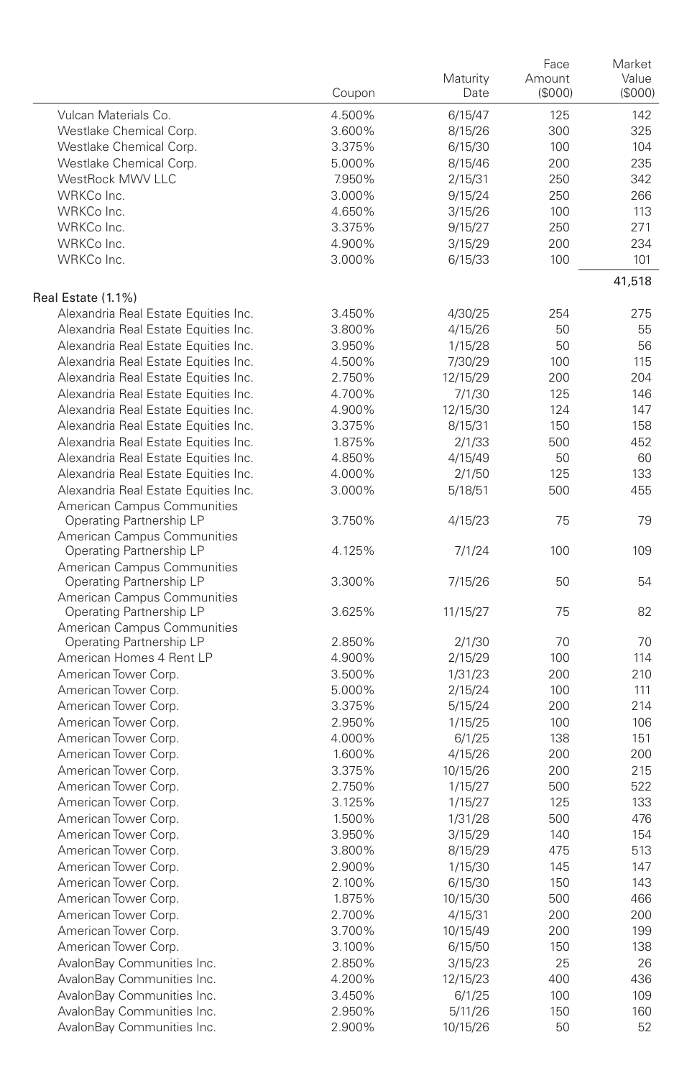|                                                         | Coupon           | Maturity<br>Date | Face<br>Amount<br>(\$000) | Market<br>Value<br>(\$000) |
|---------------------------------------------------------|------------------|------------------|---------------------------|----------------------------|
| Vulcan Materials Co.                                    | 4.500%           | 6/15/47          | 125                       | 142                        |
| Westlake Chemical Corp.                                 | 3.600%           | 8/15/26          | 300                       | 325                        |
| Westlake Chemical Corp.                                 | 3.375%           | 6/15/30          | 100                       | 104                        |
| Westlake Chemical Corp.                                 | 5.000%           | 8/15/46          | 200                       | 235                        |
| WestRock MWV LLC                                        | 7.950%           | 2/15/31          | 250                       | 342                        |
| WRKCo Inc.                                              | 3.000%           | 9/15/24          | 250                       | 266                        |
| WRKCo Inc.                                              | 4.650%           | 3/15/26          | 100                       | 113                        |
| WRKCo Inc.                                              | 3.375%           | 9/15/27          | 250                       | 271                        |
| WRKCo Inc.                                              | 4.900%           | 3/15/29          | 200                       | 234                        |
| WRKCo Inc.                                              | 3.000%           | 6/15/33          | 100                       | 101                        |
| Real Estate (1.1%)                                      |                  |                  |                           | 41,518                     |
| Alexandria Real Estate Equities Inc.                    | 3.450%           | 4/30/25          | 254                       | 275                        |
| Alexandria Real Estate Equities Inc.                    | 3.800%           | 4/15/26          | 50                        | 55                         |
| Alexandria Real Estate Equities Inc.                    | 3.950%           | 1/15/28          | 50                        | 56                         |
| Alexandria Real Estate Equities Inc.                    | 4.500%           | 7/30/29          | 100                       | 115                        |
| Alexandria Real Estate Equities Inc.                    | 2.750%           | 12/15/29         | 200                       | 204                        |
| Alexandria Real Estate Equities Inc.                    | 4.700%           | 7/1/30           | 125                       | 146                        |
| Alexandria Real Estate Equities Inc.                    | 4.900%           | 12/15/30         | 124                       | 147                        |
| Alexandria Real Estate Equities Inc.                    | 3.375%           | 8/15/31          | 150                       | 158                        |
| Alexandria Real Estate Equities Inc.                    | 1.875%           | 2/1/33           | 500                       | 452                        |
| Alexandria Real Estate Equities Inc.                    | 4.850%           | 4/15/49          | 50                        | 60                         |
| Alexandria Real Estate Equities Inc.                    | 4.000%           | 2/1/50           | 125                       | 133                        |
| Alexandria Real Estate Equities Inc.                    | 3.000%           | 5/18/51          | 500                       | 455                        |
| American Campus Communities                             |                  |                  |                           |                            |
| Operating Partnership LP<br>American Campus Communities | 3.750%           | 4/15/23          | 75                        | 79                         |
| Operating Partnership LP<br>American Campus Communities | 4.125%           | 7/1/24           | 100                       | 109                        |
| Operating Partnership LP<br>American Campus Communities | 3.300%           | 7/15/26          | 50                        | 54                         |
| Operating Partnership LP<br>American Campus Communities | 3.625%           | 11/15/27         | 75                        | 82                         |
| Operating Partnership LP                                | 2.850%           | 2/1/30           | 70                        | 70                         |
| American Homes 4 Rent LP                                | 4.900%           | 2/15/29          | 100                       | 114                        |
| American Tower Corp.                                    | 3.500%           | 1/31/23          | 200                       | 210                        |
| American Tower Corp.                                    | 5.000%           | 2/15/24          | 100                       | 111                        |
| American Tower Corp.                                    | 3.375%           | 5/15/24          | 200                       | 214                        |
| American Tower Corp.                                    | 2.950%           | 1/15/25          | 100                       | 106                        |
| American Tower Corp.                                    | 4.000%           | 6/1/25           | 138                       | 151                        |
| American Tower Corp.                                    | 1.600%           | 4/15/26          | 200                       | 200                        |
| American Tower Corp.                                    | 3.375%           | 10/15/26         | 200                       | 215                        |
| American Tower Corp.                                    | 2.750%           | 1/15/27          | 500                       | 522                        |
| American Tower Corp.                                    | 3.125%           | 1/15/27          | 125                       | 133                        |
| American Tower Corp.                                    | 1.500%           | 1/31/28          | 500                       | 476                        |
| American Tower Corp.                                    | 3.950%           | 3/15/29          | 140                       | 154                        |
| American Tower Corp.                                    | 3.800%           | 8/15/29          | 475                       | 513                        |
| American Tower Corp.                                    | 2.900%           | 1/15/30          | 145                       | 147                        |
| American Tower Corp.                                    | 2.100%           | 6/15/30          | 150                       | 143                        |
| American Tower Corp.                                    | 1.875%           | 10/15/30         | 500                       | 466                        |
| American Tower Corp.                                    | 2.700%           | 4/15/31          | 200                       | 200                        |
| American Tower Corp.                                    | 3.700%           | 10/15/49         | 200                       | 199                        |
| American Tower Corp.                                    | 3.100%           | 6/15/50          | 150                       | 138                        |
| AvalonBay Communities Inc.                              | 2.850%           | 3/15/23          | 25                        | 26                         |
| AvalonBay Communities Inc.                              | 4.200%           | 12/15/23         | 400                       | 436                        |
| AvalonBay Communities Inc.                              |                  |                  | 100                       |                            |
| AvalonBay Communities Inc.                              | 3.450%<br>2.950% | 6/1/25           | 150                       | 109<br>160                 |
| AvalonBay Communities Inc.                              | 2.900%           | 5/11/26          | 50                        | 52                         |
|                                                         |                  | 10/15/26         |                           |                            |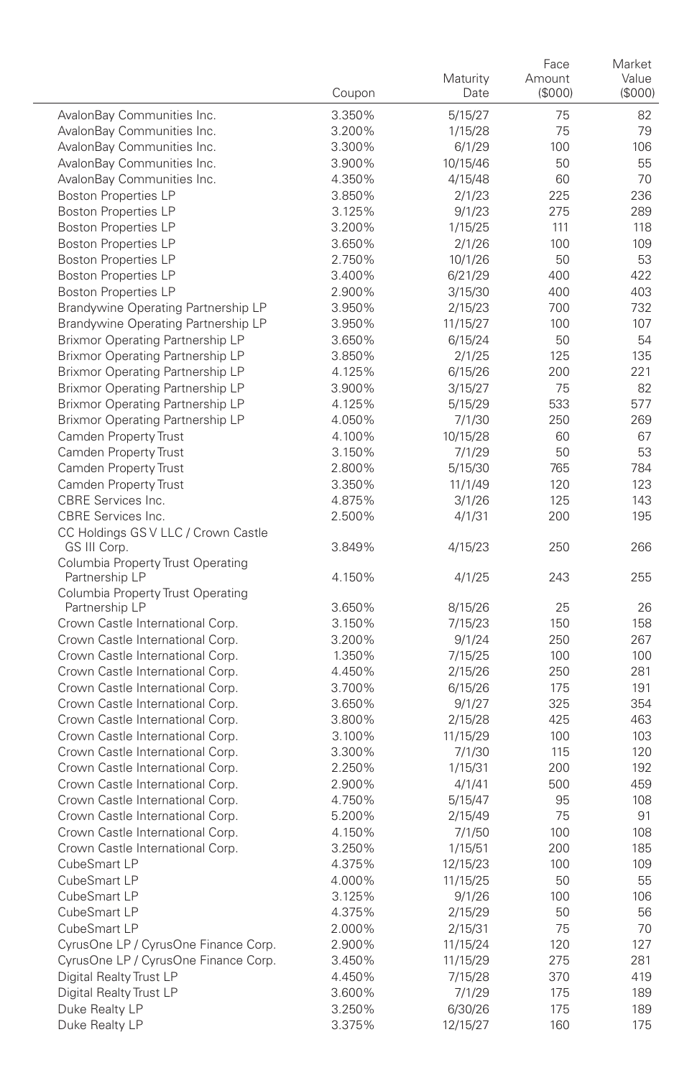|                                                                         | Coupon           | Maturity<br>Date    | Face<br>Amount<br>(\$000) | Market<br>Value<br>(S000) |
|-------------------------------------------------------------------------|------------------|---------------------|---------------------------|---------------------------|
| AvalonBay Communities Inc.                                              | 3.350%           | 5/15/27             | 75                        | 82                        |
| AvalonBay Communities Inc.                                              | 3.200%           | 1/15/28             | 75                        | 79                        |
| AvalonBay Communities Inc.                                              | 3.300%           | 6/1/29              | 100                       | 106                       |
| AvalonBay Communities Inc.                                              | 3.900%           | 10/15/46            | 50                        | 55                        |
| AvalonBay Communities Inc.                                              | 4.350%           | 4/15/48             | 60                        | 70                        |
| <b>Boston Properties LP</b>                                             | 3.850%           | 2/1/23              | 225                       | 236                       |
| <b>Boston Properties LP</b>                                             | 3.125%           | 9/1/23              | 275                       | 289                       |
| <b>Boston Properties LP</b>                                             | 3.200%           | 1/15/25             | 111                       | 118                       |
| <b>Boston Properties LP</b>                                             | 3.650%           | 2/1/26              | 100                       | 109                       |
| <b>Boston Properties LP</b>                                             | 2.750%           | 10/1/26             | 50                        | 53                        |
| <b>Boston Properties LP</b>                                             | 3.400%           | 6/21/29             | 400                       | 422                       |
| <b>Boston Properties LP</b>                                             | 2.900%           | 3/15/30             | 400                       | 403                       |
| Brandywine Operating Partnership LP                                     | 3.950%<br>3.950% | 2/15/23             | 700<br>100                | 732<br>107                |
| Brandywine Operating Partnership LP<br>Brixmor Operating Partnership LP | 3.650%           | 11/15/27<br>6/15/24 | 50                        | 54                        |
| Brixmor Operating Partnership LP                                        | 3.850%           | 2/1/25              | 125                       | 135                       |
| Brixmor Operating Partnership LP                                        | 4.125%           | 6/15/26             | 200                       | 221                       |
| Brixmor Operating Partnership LP                                        | 3.900%           | 3/15/27             | 75                        | 82                        |
| Brixmor Operating Partnership LP                                        | 4.125%           | 5/15/29             | 533                       | 577                       |
| Brixmor Operating Partnership LP                                        | 4.050%           | 7/1/30              | 250                       | 269                       |
| Camden Property Trust                                                   | 4.100%           | 10/15/28            | 60                        | 67                        |
| Camden Property Trust                                                   | 3.150%           | 7/1/29              | 50                        | 53                        |
| Camden Property Trust                                                   | 2.800%           | 5/15/30             | 765                       | 784                       |
| Camden Property Trust                                                   | 3.350%           | 11/1/49             | 120                       | 123                       |
| CBRE Services Inc.                                                      | 4.875%           | 3/1/26              | 125                       | 143                       |
| CBRE Services Inc.                                                      | 2.500%           | 4/1/31              | 200                       | 195                       |
| CC Holdings GS V LLC / Crown Castle<br>GS III Corp.                     | 3.849%           | 4/15/23             | 250                       | 266                       |
| Columbia Property Trust Operating<br>Partnership LP                     | 4.150%           | 4/1/25              | 243                       | 255                       |
| Columbia Property Trust Operating                                       |                  |                     |                           |                           |
| Partnership LP                                                          | 3.650%           | 8/15/26             | 25                        | 26                        |
| Crown Castle International Corp.                                        | 3.150%           | 7/15/23             | 150                       | 158                       |
| Crown Castle International Corp.                                        | 3.200%           | 9/1/24              | 250                       | 267                       |
| Crown Castle International Corp.<br>Crown Castle International Corp.    | 1.350%<br>4.450% | 7/15/25             | 100<br>250                | 100<br>281                |
| Crown Castle International Corp.                                        | 3.700%           | 2/15/26<br>6/15/26  | 175                       | 191                       |
| Crown Castle International Corp.                                        | 3.650%           | 9/1/27              | 325                       | 354                       |
| Crown Castle International Corp.                                        | 3.800%           | 2/15/28             | 425                       | 463                       |
| Crown Castle International Corp.                                        | 3.100%           | 11/15/29            | 100                       | 103                       |
| Crown Castle International Corp.                                        | 3.300%           | 7/1/30              | 115                       | 120                       |
| Crown Castle International Corp.                                        | 2.250%           | 1/15/31             | 200                       | 192                       |
| Crown Castle International Corp.                                        | 2.900%           | 4/1/41              | 500                       | 459                       |
| Crown Castle International Corp.                                        | 4.750%           | 5/15/47             | 95                        | 108                       |
| Crown Castle International Corp.                                        | 5.200%           | 2/15/49             | 75                        | 91                        |
| Crown Castle International Corp.                                        | 4.150%           | 7/1/50              | 100                       | 108                       |
| Crown Castle International Corp.                                        | 3.250%           | 1/15/51             | 200                       | 185                       |
| CubeSmart LP                                                            | 4.375%           | 12/15/23            | 100                       | 109                       |
| CubeSmart LP                                                            | 4.000%           | 11/15/25            | 50                        | 55                        |
| CubeSmart LP                                                            | 3.125%           | 9/1/26              | 100                       | 106                       |
| CubeSmart LP                                                            | 4.375%           | 2/15/29             | 50                        | 56                        |
| CubeSmart LP                                                            | 2.000%           | 2/15/31             | 75                        | 70                        |
| CyrusOne LP / CyrusOne Finance Corp.                                    | 2.900%           | 11/15/24            | 120                       | 127                       |
| CyrusOne LP / CyrusOne Finance Corp.                                    | 3.450%           | 11/15/29            | 275                       | 281                       |
| Digital Realty Trust LP                                                 | 4.450%           | 7/15/28             | 370                       | 419                       |
| Digital Realty Trust LP<br>Duke Realty LP                               | 3.600%           | 7/1/29              | 175<br>175                | 189<br>189                |
| Duke Realty LP                                                          | 3.250%<br>3.375% | 6/30/26<br>12/15/27 | 160                       | 175                       |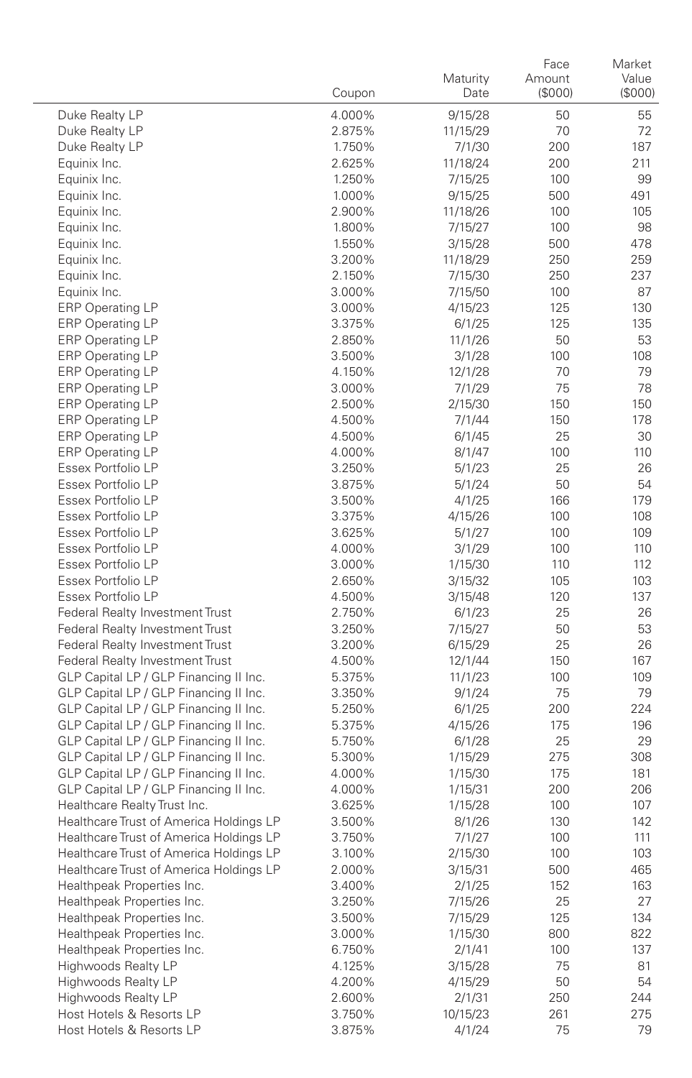|                                                                                  | Coupon           | Maturity<br>Date   | Face<br>Amount<br>(\$000) | Market<br>Value<br>(\$000) |
|----------------------------------------------------------------------------------|------------------|--------------------|---------------------------|----------------------------|
| Duke Realty LP                                                                   | 4.000%           | 9/15/28            | 50                        | 55                         |
| Duke Realty LP                                                                   | 2.875%           | 11/15/29           | 70                        | 72                         |
| Duke Realty LP                                                                   | 1.750%           | 7/1/30             | 200                       | 187                        |
| Equinix Inc.                                                                     | 2.625%           | 11/18/24           | 200                       | 211                        |
| Equinix Inc.                                                                     | 1.250%           | 7/15/25            | 100                       | 99                         |
| Equinix Inc.                                                                     | 1.000%           | 9/15/25            | 500                       | 491                        |
| Equinix Inc.                                                                     | 2.900%           | 11/18/26           | 100                       | 105                        |
| Equinix Inc.                                                                     | 1.800%           | 7/15/27            | 100                       | 98                         |
| Equinix Inc.                                                                     | 1.550%           | 3/15/28            | 500                       | 478                        |
| Equinix Inc.                                                                     | 3.200%           | 11/18/29           | 250                       | 259                        |
| Equinix Inc.                                                                     | 2.150%           | 7/15/30            | 250                       | 237                        |
| Equinix Inc.                                                                     | 3.000%           | 7/15/50            | 100                       | 87                         |
| <b>ERP Operating LP</b>                                                          | 3.000%           | 4/15/23            | 125                       | 130                        |
| <b>ERP Operating LP</b>                                                          | 3.375%           | 6/1/25             | 125                       | 135                        |
| <b>ERP Operating LP</b>                                                          | 2.850%           | 11/1/26            | 50                        | 53                         |
| <b>ERP Operating LP</b>                                                          | 3.500%           | 3/1/28             | 100                       | 108                        |
| ERP Operating LP                                                                 | 4.150%           | 12/1/28            | 70                        | 79                         |
| <b>ERP Operating LP</b><br><b>ERP Operating LP</b>                               | 3.000%<br>2.500% | 7/1/29<br>2/15/30  | 75<br>150                 | 78<br>150                  |
| <b>ERP Operating LP</b>                                                          | 4.500%           | 7/1/44             | 150                       | 178                        |
| <b>ERP Operating LP</b>                                                          | 4.500%           | 6/1/45             | 25                        | 30                         |
| <b>ERP Operating LP</b>                                                          | 4.000%           | 8/1/47             | 100                       | 110                        |
| Essex Portfolio LP                                                               | 3.250%           | 5/1/23             | 25                        | 26                         |
| Essex Portfolio LP                                                               | 3.875%           | 5/1/24             | 50                        | 54                         |
| Essex Portfolio LP                                                               | 3.500%           | 4/1/25             | 166                       | 179                        |
| Essex Portfolio LP                                                               | 3.375%           | 4/15/26            | 100                       | 108                        |
| Essex Portfolio LP                                                               | 3.625%           | 5/1/27             | 100                       | 109                        |
| Essex Portfolio LP                                                               | 4.000%           | 3/1/29             | 100                       | 110                        |
| Essex Portfolio LP                                                               | 3.000%           | 1/15/30            | 110                       | 112                        |
| Essex Portfolio LP                                                               | 2.650%           | 3/15/32            | 105                       | 103                        |
| Essex Portfolio LP                                                               | 4.500%           | 3/15/48            | 120                       | 137                        |
| Federal Realty Investment Trust                                                  | 2.750%           | 6/1/23             | 25                        | 26                         |
| Federal Realty Investment Trust                                                  | 3.250%           | 7/15/27            | 50                        | 53                         |
| Federal Realty Investment Trust                                                  | 3.200%           | 6/15/29            | 25                        | 26                         |
| Federal Realty Investment Trust                                                  | 4.500%           | 12/1/44            | 150                       | 167                        |
| GLP Capital LP / GLP Financing II Inc.                                           | 5.375%           | 11/1/23            | 100                       | 109                        |
| GLP Capital LP / GLP Financing II Inc.                                           | 3.350%           | 9/1/24             | 75                        | 79                         |
| GLP Capital LP / GLP Financing II Inc.                                           | 5.250%           | 6/1/25             | 200                       | 224                        |
| GLP Capital LP / GLP Financing II Inc.                                           | 5.375%           | 4/15/26            | 175                       | 196                        |
| GLP Capital LP / GLP Financing II Inc.                                           | 5.750%           | 6/1/28             | 25                        | 29                         |
| GLP Capital LP / GLP Financing II Inc.<br>GLP Capital LP / GLP Financing II Inc. | 5.300%           | 1/15/29            | 275<br>175                | 308<br>181                 |
| GLP Capital LP / GLP Financing II Inc.                                           | 4.000%<br>4.000% | 1/15/30<br>1/15/31 | 200                       | 206                        |
| Healthcare Realty Trust Inc.                                                     | 3.625%           | 1/15/28            | 100                       | 107                        |
| Healthcare Trust of America Holdings LP                                          | 3.500%           | 8/1/26             | 130                       | 142                        |
| Healthcare Trust of America Holdings LP                                          | 3.750%           | 7/1/27             | 100                       | 111                        |
| Healthcare Trust of America Holdings LP                                          | 3.100%           | 2/15/30            | 100                       | 103                        |
| Healthcare Trust of America Holdings LP                                          | 2.000%           | 3/15/31            | 500                       | 465                        |
| Healthpeak Properties Inc.                                                       | 3.400%           | 2/1/25             | 152                       | 163                        |
| Healthpeak Properties Inc.                                                       | 3.250%           | 7/15/26            | 25                        | 27                         |
| Healthpeak Properties Inc.                                                       | 3.500%           | 7/15/29            | 125                       | 134                        |
| Healthpeak Properties Inc.                                                       | 3.000%           | 1/15/30            | 800                       | 822                        |
| Healthpeak Properties Inc.                                                       | 6.750%           | 2/1/41             | 100                       | 137                        |
| Highwoods Realty LP                                                              | 4.125%           | 3/15/28            | 75                        | 81                         |
| Highwoods Realty LP                                                              | 4.200%           | 4/15/29            | 50                        | 54                         |
| Highwoods Realty LP                                                              | 2.600%           | 2/1/31             | 250                       | 244                        |
| Host Hotels & Resorts LP                                                         | 3.750%           | 10/15/23           | 261                       | 275                        |
| Host Hotels & Resorts LP                                                         | 3.875%           | 4/1/24             | 75                        | 79                         |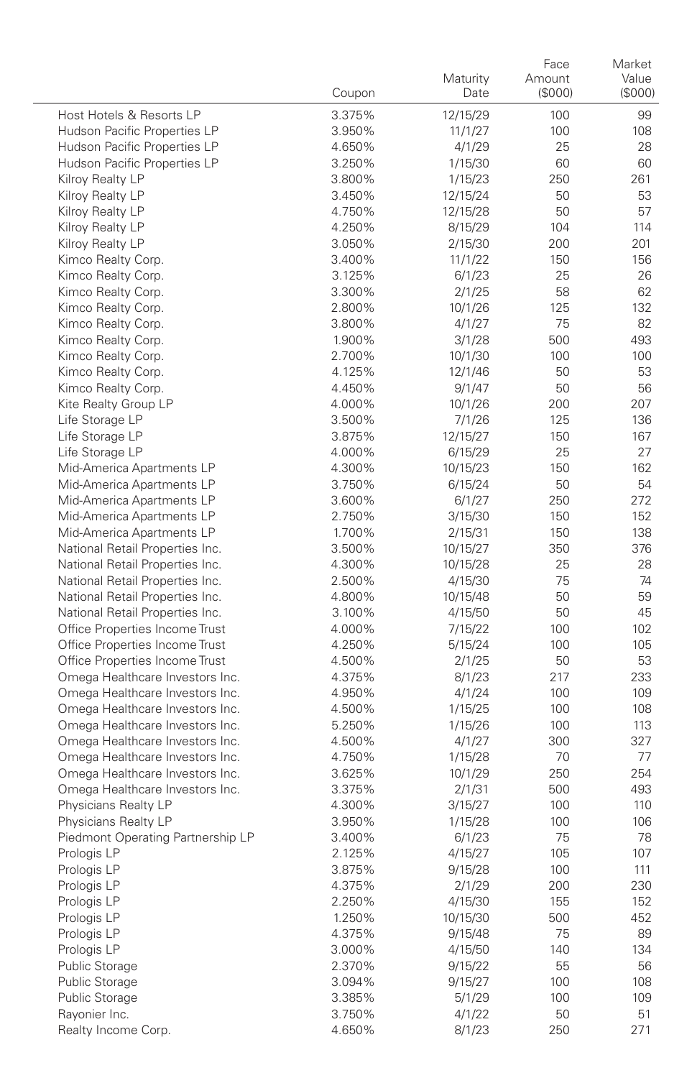|                                                                    | Coupon           | Maturity<br>Date    | Face<br>Amount<br>(\$000) | Market<br>Value<br>(\$000) |
|--------------------------------------------------------------------|------------------|---------------------|---------------------------|----------------------------|
| Host Hotels & Resorts LP                                           | 3.375%           | 12/15/29            | 100                       | 99                         |
| Hudson Pacific Properties LP                                       | 3.950%           | 11/1/27             | 100                       | 108                        |
| Hudson Pacific Properties LP                                       | 4.650%           | 4/1/29              | 25                        | 28                         |
| Hudson Pacific Properties LP                                       | 3.250%           | 1/15/30             | 60                        | 60                         |
| Kilroy Realty LP                                                   | 3.800%           | 1/15/23             | 250                       | 261                        |
| Kilroy Realty LP                                                   | 3.450%           | 12/15/24            | 50                        | 53                         |
| Kilroy Realty LP                                                   | 4.750%           | 12/15/28            | 50                        | 57                         |
| Kilroy Realty LP                                                   | 4.250%           | 8/15/29             | 104                       | 114                        |
| Kilroy Realty LP                                                   | 3.050%           | 2/15/30             | 200                       | 201                        |
| Kimco Realty Corp.                                                 | 3.400%           | 11/1/22             | 150                       | 156                        |
| Kimco Realty Corp.                                                 | 3.125%           | 6/1/23              | 25                        | 26                         |
| Kimco Realty Corp.                                                 | 3.300%           | 2/1/25              | 58                        | 62                         |
| Kimco Realty Corp.                                                 | 2.800%           | 10/1/26             | 125                       | 132                        |
| Kimco Realty Corp.                                                 | 3.800%           | 4/1/27              | 75                        | 82                         |
| Kimco Realty Corp.                                                 | 1.900%           | 3/1/28              | 500                       | 493                        |
| Kimco Realty Corp.                                                 | 2.700%           | 10/1/30             | 100                       | 100                        |
| Kimco Realty Corp.                                                 | 4.125%           | 12/1/46             | 50                        | 53                         |
| Kimco Realty Corp.                                                 | 4.450%           | 9/1/47              | 50                        | 56                         |
| Kite Realty Group LP                                               | 4.000%           | 10/1/26             | 200                       | 207                        |
| Life Storage LP                                                    | 3.500%           | 7/1/26              | 125                       | 136                        |
| Life Storage LP                                                    | 3.875%           | 12/15/27            | 150                       | 167                        |
| Life Storage LP                                                    | 4.000%           | 6/15/29             | 25                        | 27                         |
| Mid-America Apartments LP                                          | 4.300%           | 10/15/23            | 150                       | 162                        |
| Mid-America Apartments LP                                          | 3.750%           | 6/15/24             | 50                        | 54                         |
| Mid-America Apartments LP                                          | 3.600%           | 6/1/27              | 250                       | 272                        |
| Mid-America Apartments LP                                          | 2.750%           | 3/15/30             | 150                       | 152                        |
| Mid-America Apartments LP                                          | 1.700%           | 2/15/31             | 150                       | 138                        |
| National Retail Properties Inc.                                    | 3.500%           | 10/15/27            | 350                       | 376                        |
| National Retail Properties Inc.<br>National Retail Properties Inc. | 4.300%           | 10/15/28            | 25<br>75                  | 28<br>74                   |
| National Retail Properties Inc.                                    | 2.500%<br>4.800% | 4/15/30<br>10/15/48 | 50                        | 59                         |
| National Retail Properties Inc.                                    | 3.100%           | 4/15/50             | 50                        | 45                         |
| Office Properties Income Trust                                     | 4.000%           | 7/15/22             | 100                       | 102                        |
| Office Properties Income Trust                                     | 4.250%           | 5/15/24             | 100                       | 105                        |
| Office Properties Income Trust                                     | 4.500%           | 2/1/25              | 50                        | 53                         |
| Omega Healthcare Investors Inc.                                    | 4.375%           | 8/1/23              | 217                       | 233                        |
| Omega Healthcare Investors Inc.                                    | 4.950%           | 4/1/24              | 100                       | 109                        |
| Omega Healthcare Investors Inc.                                    | 4.500%           | 1/15/25             | 100                       | 108                        |
| Omega Healthcare Investors Inc.                                    | 5.250%           | 1/15/26             | 100                       | 113                        |
| Omega Healthcare Investors Inc.                                    | 4.500%           | 4/1/27              | 300                       | 327                        |
| Omega Healthcare Investors Inc.                                    | 4.750%           | 1/15/28             | 70                        | 77                         |
| Omega Healthcare Investors Inc.                                    | 3.625%           | 10/1/29             | 250                       | 254                        |
| Omega Healthcare Investors Inc.                                    | 3.375%           | 2/1/31              | 500                       | 493                        |
| Physicians Realty LP                                               | 4.300%           | 3/15/27             | 100                       | 110                        |
| Physicians Realty LP                                               | 3.950%           | 1/15/28             | 100                       | 106                        |
| Piedmont Operating Partnership LP                                  | 3.400%           | 6/1/23              | 75                        | 78                         |
| Prologis LP                                                        | 2.125%           | 4/15/27             | 105                       | 107                        |
| Prologis LP                                                        | 3.875%           | 9/15/28             | 100                       | 111                        |
| Prologis LP                                                        | 4.375%           | 2/1/29              | 200                       | 230                        |
| Prologis LP                                                        | 2.250%           | 4/15/30             | 155                       | 152                        |
| Prologis LP                                                        | 1.250%           | 10/15/30            | 500                       | 452                        |
| Prologis LP                                                        | 4.375%           | 9/15/48             | 75                        | 89                         |
| Prologis LP                                                        | 3.000%           | 4/15/50             | 140                       | 134                        |
| Public Storage                                                     | 2.370%           | 9/15/22             | 55                        | 56                         |
| Public Storage                                                     | 3.094%           | 9/15/27             | 100                       | 108                        |
| Public Storage                                                     | 3.385%           | 5/1/29              | 100                       | 109                        |
| Rayonier Inc.                                                      | 3.750%           | 4/1/22              | 50                        | 51                         |
| Realty Income Corp.                                                | 4.650%           | 8/1/23              | 250                       | 271                        |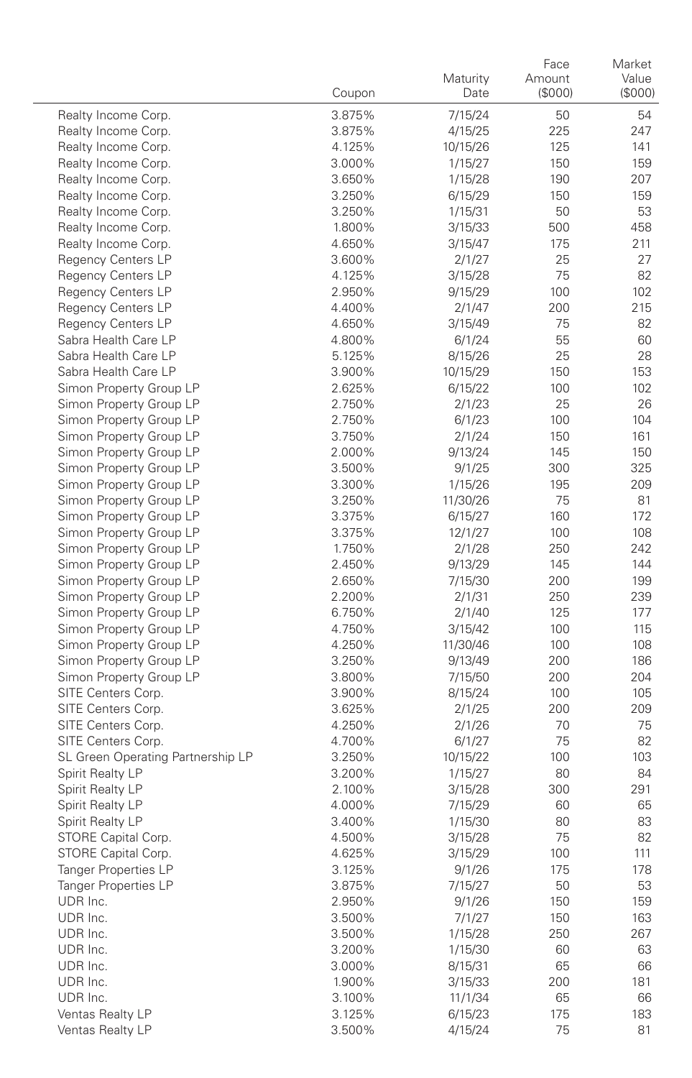|                                          | Coupon           | Maturity<br>Date    | Face<br>Amount<br>(\$000) | Market<br>Value<br>(\$000) |
|------------------------------------------|------------------|---------------------|---------------------------|----------------------------|
| Realty Income Corp.                      | 3.875%           | 7/15/24             | 50                        | 54                         |
| Realty Income Corp.                      | 3.875%           | 4/15/25             | 225                       | 247                        |
| Realty Income Corp.                      | 4.125%           | 10/15/26            | 125                       | 141                        |
| Realty Income Corp.                      | 3.000%           | 1/15/27             | 150                       | 159                        |
| Realty Income Corp.                      | 3.650%           | 1/15/28             | 190                       | 207                        |
| Realty Income Corp.                      | 3.250%           | 6/15/29             | 150                       | 159                        |
| Realty Income Corp.                      | 3.250%           | 1/15/31             | 50                        | 53                         |
| Realty Income Corp.                      | 1.800%           | 3/15/33             | 500                       | 458                        |
| Realty Income Corp.                      | 4.650%           | 3/15/47             | 175                       | 211                        |
| <b>Regency Centers LP</b>                | 3.600%           | 2/1/27              | 25                        | 27                         |
| <b>Regency Centers LP</b>                | 4.125%           | 3/15/28             | 75                        | 82                         |
| <b>Regency Centers LP</b>                | 2.950%           | 9/15/29             | 100                       | 102                        |
| <b>Regency Centers LP</b>                | 4.400%           | 2/1/47              | 200                       | 215                        |
| Regency Centers LP                       | 4.650%           | 3/15/49             | 75                        | 82                         |
| Sabra Health Care LP                     | 4.800%           | 6/1/24              | 55                        | 60                         |
| Sabra Health Care LP                     | 5.125%           | 8/15/26             | 25                        | 28                         |
| Sabra Health Care LP                     | 3.900%           | 10/15/29            | 150                       | 153                        |
| Simon Property Group LP                  | 2.625%           | 6/15/22             | 100                       | 102                        |
| Simon Property Group LP                  | 2.750%           | 2/1/23              | 25                        | 26                         |
| Simon Property Group LP                  | 2.750%           | 6/1/23              | 100                       | 104                        |
| Simon Property Group LP                  | 3.750%           | 2/1/24              | 150                       | 161                        |
| Simon Property Group LP                  | 2.000%           | 9/13/24             | 145                       | 150                        |
| Simon Property Group LP                  | 3.500%           | 9/1/25              | 300                       | 325                        |
| Simon Property Group LP                  | 3.300%           | 1/15/26             | 195                       | 209                        |
| Simon Property Group LP                  | 3.250%           | 11/30/26            | 75                        | 81                         |
| Simon Property Group LP                  | 3.375%           | 6/15/27             | 160                       | 172                        |
| Simon Property Group LP                  | 3.375%           | 12/1/27             | 100                       | 108                        |
| Simon Property Group LP                  | 1.750%           | 2/1/28              | 250                       | 242                        |
| Simon Property Group LP                  | 2.450%           | 9/13/29             | 145                       | 144                        |
| Simon Property Group LP                  | 2.650%           | 7/15/30             | 200                       | 199                        |
| Simon Property Group LP                  | 2.200%           | 2/1/31              | 250                       | 239                        |
| Simon Property Group LP                  | 6.750%           | 2/1/40              | 125                       | 177                        |
| Simon Property Group LP                  | 4.750%           | 3/15/42             | 100                       | 115                        |
| Simon Property Group LP                  | 4.250%           | 11/30/46            | 100                       | 108                        |
| Simon Property Group LP                  | 3.250%           | 9/13/49             | 200                       | 186                        |
| Simon Property Group LP                  | 3.800%           | 7/15/50             | 200                       | 204                        |
| SITE Centers Corp.                       | 3.900%           | 8/15/24             | 100                       | 105                        |
| SITE Centers Corp.                       | 3.625%           | 2/1/25              | 200                       | 209<br>75                  |
| SITE Centers Corp.<br>SITE Centers Corp. | 4.250%           | 2/1/26              | 70<br>75                  | 82                         |
| SL Green Operating Partnership LP        | 4.700%<br>3.250% | 6/1/27              | 100                       | 103                        |
| Spirit Realty LP                         | 3.200%           | 10/15/22<br>1/15/27 | 80                        | 84                         |
| Spirit Realty LP                         | 2.100%           | 3/15/28             | 300                       | 291                        |
| Spirit Realty LP                         | 4.000%           | 7/15/29             | 60                        | 65                         |
| Spirit Realty LP                         | 3.400%           | 1/15/30             | 80                        | 83                         |
| STORE Capital Corp.                      | 4.500%           | 3/15/28             | 75                        | 82                         |
| STORE Capital Corp.                      | 4.625%           | 3/15/29             | 100                       | 111                        |
| Tanger Properties LP                     | 3.125%           | 9/1/26              | 175                       | 178                        |
| <b>Tanger Properties LP</b>              | 3.875%           | 7/15/27             | 50                        | 53                         |
| UDR Inc.                                 | 2.950%           | 9/1/26              | 150                       | 159                        |
| UDR Inc.                                 | 3.500%           | 7/1/27              | 150                       | 163                        |
| UDR Inc.                                 | 3.500%           | 1/15/28             | 250                       | 267                        |
| UDR Inc.                                 | 3.200%           | 1/15/30             | 60                        | 63                         |
| UDR Inc.                                 | 3.000%           | 8/15/31             | 65                        | 66                         |
| UDR Inc.                                 | 1.900%           | 3/15/33             | 200                       | 181                        |
| UDR Inc.                                 | 3.100%           | 11/1/34             | 65                        | 66                         |
| Ventas Realty LP                         | 3.125%           | 6/15/23             | 175                       | 183                        |
| Ventas Realty LP                         | 3.500%           | 4/15/24             | 75                        | 81                         |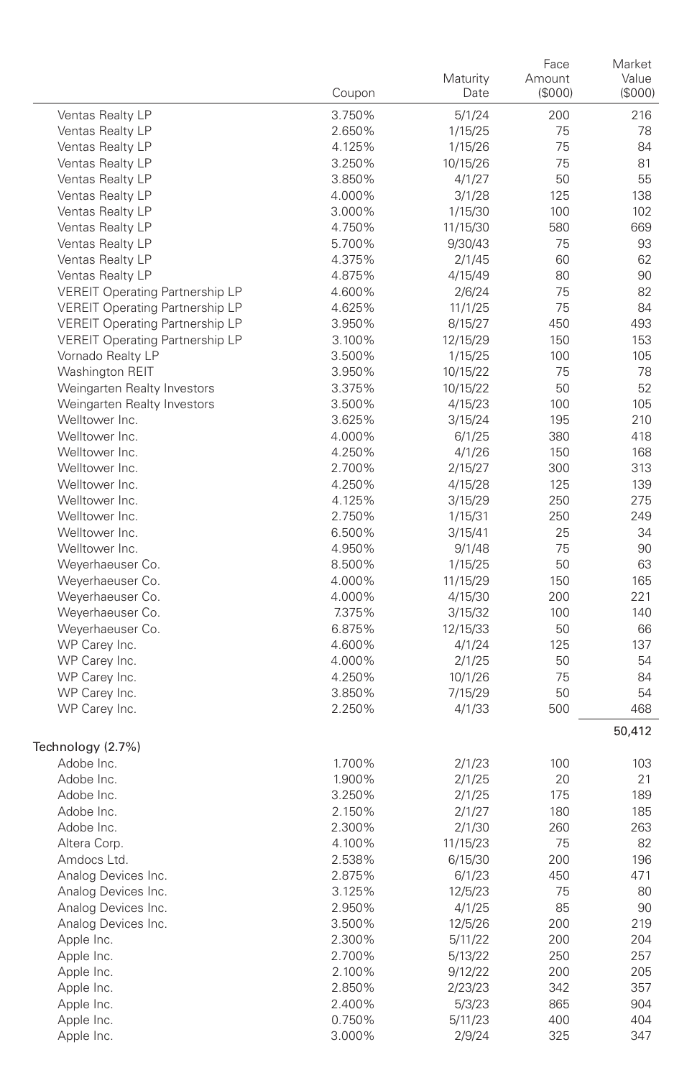|                                        | Coupon           | Maturity<br>Date   | Face<br>Amount<br>(\$000) | Market<br>Value<br>$($ \$000 $)$ |
|----------------------------------------|------------------|--------------------|---------------------------|----------------------------------|
| Ventas Realty LP                       | 3.750%           | 5/1/24             | 200                       | 216                              |
| Ventas Realty LP                       | 2.650%           | 1/15/25            | 75                        | 78                               |
| Ventas Realty LP                       | 4.125%           | 1/15/26            | 75                        | 84                               |
| Ventas Realty LP                       | 3.250%           | 10/15/26           | 75                        | 81                               |
| Ventas Realty LP                       | 3.850%           | 4/1/27             | 50                        | 55                               |
| Ventas Realty LP                       | 4.000%           | 3/1/28             | 125                       | 138                              |
| Ventas Realty LP                       | 3.000%           | 1/15/30            | 100                       | 102                              |
| Ventas Realty LP                       | 4.750%           | 11/15/30           | 580                       | 669                              |
| Ventas Realty LP                       | 5.700%           | 9/30/43            | 75                        | 93                               |
| Ventas Realty LP                       | 4.375%           | 2/1/45             | 60                        | 62                               |
| Ventas Realty LP                       | 4.875%           | 4/15/49            | 80                        | 90                               |
| <b>VEREIT Operating Partnership LP</b> | 4.600%           | 2/6/24             | 75                        | 82                               |
| <b>VEREIT Operating Partnership LP</b> | 4.625%           | 11/1/25            | 75                        | 84                               |
| <b>VEREIT Operating Partnership LP</b> | 3.950%           | 8/15/27            | 450                       | 493                              |
| <b>VEREIT Operating Partnership LP</b> | 3.100%           | 12/15/29           | 150                       | 153                              |
| Vornado Realty LP                      | 3.500%           | 1/15/25            | 100                       | 105                              |
| Washington REIT                        | 3.950%           | 10/15/22           | 75                        | 78                               |
| Weingarten Realty Investors            | 3.375%           | 10/15/22           | 50                        | 52                               |
| Weingarten Realty Investors            | 3.500%           | 4/15/23            | 100                       | 105                              |
| Welltower Inc.                         | 3.625%           | 3/15/24            | 195                       | 210                              |
| Welltower Inc.                         | 4.000%           | 6/1/25             | 380                       | 418                              |
| Welltower Inc.                         | 4.250%           | 4/1/26             | 150                       | 168                              |
| Welltower Inc.                         | 2.700%           | 2/15/27            | 300                       | 313                              |
| Welltower Inc.                         | 4.250%           | 4/15/28            | 125                       | 139                              |
| Welltower Inc.                         | 4.125%           | 3/15/29            | 250                       | 275                              |
| Welltower Inc.<br>Welltower Inc.       | 2.750%           | 1/15/31            | 250                       | 249                              |
|                                        | 6.500%           | 3/15/41            | 25                        | 34                               |
| Welltower Inc.                         | 4.950%           | 9/1/48             | 75<br>50                  | 90                               |
| Weyerhaeuser Co.                       | 8.500%           | 1/15/25            |                           | 63                               |
| Weyerhaeuser Co.<br>Weyerhaeuser Co.   | 4.000%<br>4.000% | 11/15/29           | 150<br>200                | 165<br>221                       |
| Weyerhaeuser Co.                       | 7.375%           | 4/15/30<br>3/15/32 | 100                       | 140                              |
| Weyerhaeuser Co.                       | 6.875%           | 12/15/33           | 50                        | 66                               |
| WP Carey Inc.                          | 4.600%           | 4/1/24             | 125                       | 137                              |
| WP Carey Inc.                          | 4.000%           | 2/1/25             | 50                        | 54                               |
| WP Carey Inc.                          | 4.250%           | 10/1/26            | 75                        | 84                               |
| WP Carey Inc.                          | 3.850%           | 7/15/29            | 50                        | 54                               |
| WP Carey Inc.                          | 2.250%           | 4/1/33             | 500                       | 468                              |
|                                        |                  |                    |                           | 50,412                           |
| Technology (2.7%)                      |                  |                    |                           |                                  |
| Adobe Inc.                             | 1.700%           | 2/1/23             | 100                       | 103                              |
| Adobe Inc.                             | 1.900%           | 2/1/25             | 20                        | 21                               |
| Adobe Inc.                             | 3.250%           | 2/1/25             | 175                       | 189                              |
| Adobe Inc.                             | 2.150%           | 2/1/27             | 180                       | 185                              |
| Adobe Inc.                             | 2.300%           | 2/1/30             | 260                       | 263                              |
| Altera Corp.                           | 4.100%           | 11/15/23           | 75                        | 82                               |
| Amdocs Ltd.                            | 2.538%           | 6/15/30            | 200                       | 196                              |
| Analog Devices Inc.                    | 2.875%           | 6/1/23             | 450                       | 471                              |
| Analog Devices Inc.                    | 3.125%           | 12/5/23            | 75                        | 80                               |
| Analog Devices Inc.                    | 2.950%           | 4/1/25             | 85                        | 90                               |
| Analog Devices Inc.                    | 3.500%           | 12/5/26            | 200                       | 219                              |
| Apple Inc.                             | 2.300%           | 5/11/22            | 200                       | 204                              |
| Apple Inc.                             | 2.700%           | 5/13/22            | 250                       | 257                              |
| Apple Inc.                             | 2.100%           | 9/12/22            | 200                       | 205                              |
| Apple Inc.                             | 2.850%           | 2/23/23            | 342                       | 357                              |
| Apple Inc.                             | 2.400%           | 5/3/23             | 865                       | 904                              |
| Apple Inc.                             | 0.750%           | 5/11/23            | 400                       | 404                              |
| Apple Inc.                             | 3.000%           | 2/9/24             | 325                       | 347                              |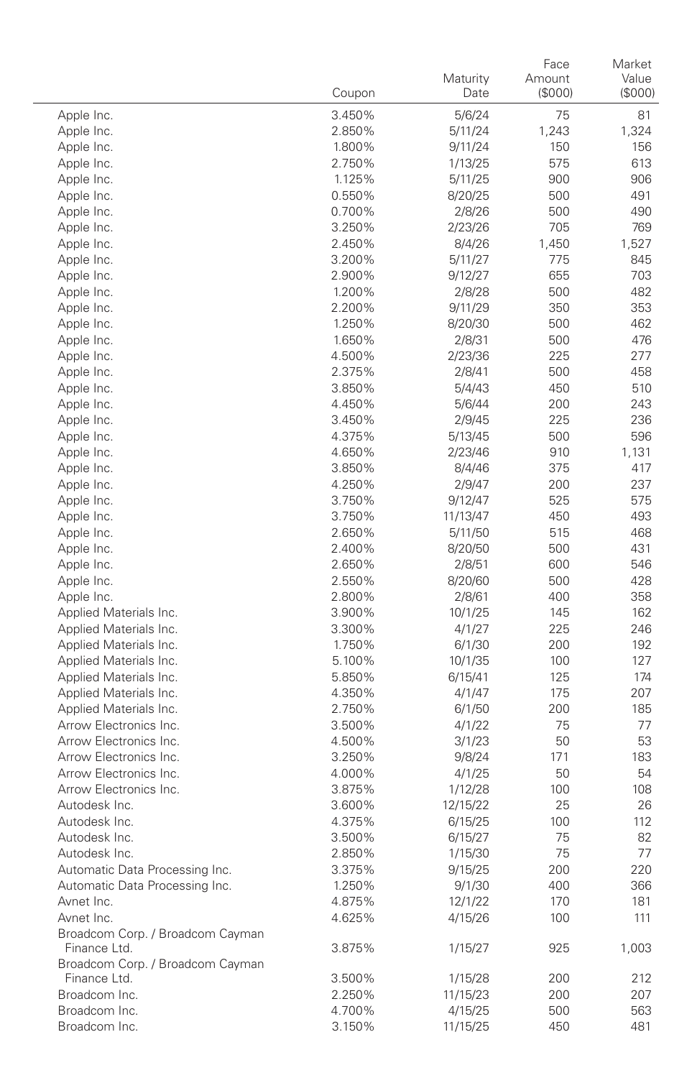|                                  | Coupon           | Maturity<br>Date   | Face<br>Amount<br>(\$000) | Market<br>Value<br>(\$000) |
|----------------------------------|------------------|--------------------|---------------------------|----------------------------|
|                                  |                  |                    |                           |                            |
| Apple Inc.<br>Apple Inc.         | 3.450%           | 5/6/24             | 75<br>1,243               | 81<br>1,324                |
| Apple Inc.                       | 2.850%<br>1.800% | 5/11/24<br>9/11/24 | 150                       | 156                        |
| Apple Inc.                       | 2.750%           | 1/13/25            | 575                       | 613                        |
| Apple Inc.                       | 1.125%           | 5/11/25            | 900                       | 906                        |
| Apple Inc.                       | 0.550%           | 8/20/25            | 500                       | 491                        |
| Apple Inc.                       | 0.700%           | 2/8/26             | 500                       | 490                        |
| Apple Inc.                       | 3.250%           | 2/23/26            | 705                       | 769                        |
| Apple Inc.                       | 2.450%           | 8/4/26             | 1,450                     | 1,527                      |
| Apple Inc.                       | 3.200%           | 5/11/27            | 775                       | 845                        |
| Apple Inc.                       | 2.900%           | 9/12/27            | 655                       | 703                        |
| Apple Inc.                       | 1.200%           | 2/8/28             | 500                       | 482                        |
| Apple Inc.                       | 2.200%           | 9/11/29            | 350                       | 353                        |
| Apple Inc.                       | 1.250%           | 8/20/30            | 500                       | 462                        |
| Apple Inc.                       | 1.650%           | 2/8/31             | 500                       | 476                        |
| Apple Inc.                       | 4.500%           | 2/23/36            | 225                       | 277                        |
| Apple Inc.                       | 2.375%           | 2/8/41             | 500                       | 458                        |
| Apple Inc.                       | 3.850%           | 5/4/43             | 450                       | 510                        |
| Apple Inc.                       | 4.450%           | 5/6/44             | 200                       | 243                        |
| Apple Inc.                       | 3.450%           | 2/9/45             | 225                       | 236                        |
| Apple Inc.                       | 4.375%           | 5/13/45            | 500                       | 596                        |
| Apple Inc.                       | 4.650%           | 2/23/46            | 910                       | 1,131                      |
| Apple Inc.                       | 3.850%           | 8/4/46             | 375                       | 417                        |
| Apple Inc.                       | 4.250%           | 2/9/47             | 200                       | 237                        |
| Apple Inc.                       | 3.750%           | 9/12/47            | 525                       | 575                        |
| Apple Inc.                       | 3.750%           | 11/13/47           | 450                       | 493                        |
| Apple Inc.                       | 2.650%           | 5/11/50            | 515                       | 468                        |
| Apple Inc.                       | 2.400%           | 8/20/50            | 500                       | 431                        |
| Apple Inc.                       | 2.650%           | 2/8/51             | 600                       | 546                        |
| Apple Inc.                       | 2.550%           | 8/20/60            | 500                       | 428                        |
| Apple Inc.                       | 2.800%           | 2/8/61             | 400                       | 358                        |
| Applied Materials Inc.           | 3.900%           | 10/1/25            | 145                       | 162                        |
| Applied Materials Inc.           | 3.300%           | 4/1/27             | 225                       | 246                        |
| Applied Materials Inc.           | 1.750%           | 6/1/30             | 200                       | 192                        |
| Applied Materials Inc.           | 5.100%           | 10/1/35            | 100                       | 127                        |
| Applied Materials Inc.           | 5.850%           | 6/15/41            | 125                       | 174                        |
| Applied Materials Inc.           | 4.350%           | 4/1/47             | 175                       | 207                        |
| Applied Materials Inc.           | 2.750%           | 6/1/50             | 200                       | 185                        |
| Arrow Electronics Inc.           | 3.500%           | 4/1/22             | 75                        | 77                         |
| Arrow Electronics Inc.           | 4.500%           | 3/1/23             | 50                        | 53                         |
| Arrow Electronics Inc.           | 3.250%           | 9/8/24             | 171                       | 183                        |
| Arrow Electronics Inc.           | 4.000%           | 4/1/25             | 50                        | 54                         |
| Arrow Electronics Inc.           | 3.875%           | 1/12/28            | 100                       | 108                        |
| Autodesk Inc.                    | 3.600%           | 12/15/22           | 25                        | 26                         |
| Autodesk Inc.                    | 4.375%           | 6/15/25            | 100                       | 112                        |
| Autodesk Inc.                    | 3.500%           | 6/15/27            | 75                        | 82                         |
| Autodesk Inc                     | 2.850%           | 1/15/30            | 75                        | 77                         |
| Automatic Data Processing Inc.   | 3.375%           | 9/15/25            | 200                       | 220                        |
| Automatic Data Processing Inc.   | 1.250%           | 9/1/30             | 400                       | 366                        |
| Avnet Inc.                       | 4.875%           | 12/1/22            | 170                       | 181                        |
| Avnet Inc.                       | 4.625%           | 4/15/26            | 100                       | 111                        |
| Broadcom Corp. / Broadcom Cayman |                  |                    |                           |                            |
| Finance Ltd.                     | 3.875%           | 1/15/27            | 925                       | 1,003                      |
| Broadcom Corp. / Broadcom Cayman |                  |                    |                           |                            |
| Finance Ltd.                     | 3.500%           | 1/15/28            | 200                       | 212                        |
| Broadcom Inc.                    | 2.250%           | 11/15/23           | 200                       | 207                        |
| Broadcom Inc.                    | 4.700%<br>3.150% | 4/15/25            | 500                       | 563                        |
| Broadcom Inc.                    |                  | 11/15/25           | 450                       | 481                        |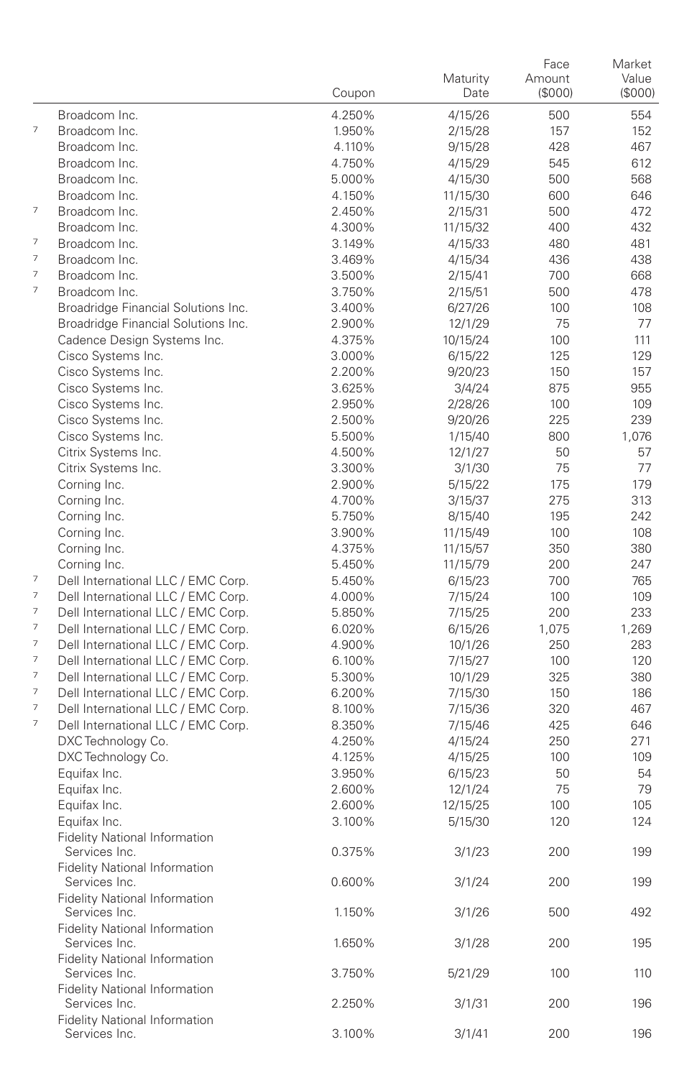|                          |                                                       | Coupon | Maturity<br>Date | Face<br>Amount<br>(\$000) | Market<br>Value<br>(\$000) |
|--------------------------|-------------------------------------------------------|--------|------------------|---------------------------|----------------------------|
|                          | Broadcom Inc.                                         | 4.250% | 4/15/26          | 500                       | 554                        |
| $\overline{7}$           | Broadcom Inc.                                         | 1.950% | 2/15/28          | 157                       | 152                        |
|                          | Broadcom Inc.                                         | 4.110% | 9/15/28          | 428                       | 467                        |
|                          | Broadcom Inc.                                         | 4.750% | 4/15/29          | 545                       | 612                        |
|                          | Broadcom Inc.                                         | 5.000% | 4/15/30          | 500                       | 568                        |
|                          | Broadcom Inc.                                         | 4.150% | 11/15/30         | 600                       | 646                        |
| $\overline{\phantom{a}}$ | Broadcom Inc.                                         | 2.450% | 2/15/31          | 500                       | 472                        |
|                          | Broadcom Inc.                                         | 4.300% | 11/15/32         | 400                       | 432                        |
| $\overline{\phantom{a}}$ | Broadcom Inc.                                         | 3.149% | 4/15/33          | 480                       | 481                        |
| 7                        | Broadcom Inc.                                         | 3.469% | 4/15/34          | 436                       | 438                        |
| 7                        | Broadcom Inc.                                         | 3.500% | 2/15/41          | 700                       | 668                        |
| 7                        | Broadcom Inc.                                         | 3.750% | 2/15/51          | 500                       | 478                        |
|                          | Broadridge Financial Solutions Inc.                   | 3.400% | 6/27/26          | 100                       | 108                        |
|                          | Broadridge Financial Solutions Inc.                   | 2.900% | 12/1/29          | 75                        | 77                         |
|                          | Cadence Design Systems Inc.                           | 4.375% | 10/15/24         | 100                       | 111                        |
|                          | Cisco Systems Inc.                                    | 3.000% | 6/15/22          | 125                       | 129                        |
|                          | Cisco Systems Inc.                                    | 2.200% | 9/20/23          | 150                       | 157                        |
|                          | Cisco Systems Inc.                                    | 3.625% | 3/4/24           | 875                       | 955                        |
|                          | Cisco Systems Inc.                                    | 2.950% | 2/28/26          | 100                       | 109                        |
|                          | Cisco Systems Inc.                                    | 2.500% | 9/20/26          | 225                       | 239                        |
|                          | Cisco Systems Inc.                                    | 5.500% | 1/15/40          | 800                       | 1,076                      |
|                          | Citrix Systems Inc.                                   | 4.500% | 12/1/27          | 50                        | 57                         |
|                          | Citrix Systems Inc.                                   | 3.300% | 3/1/30           | 75                        | 77                         |
|                          | Corning Inc.                                          | 2.900% | 5/15/22          | 175                       | 179                        |
|                          | Corning Inc.                                          | 4.700% | 3/15/37          | 275                       | 313                        |
|                          | Corning Inc.                                          | 5.750% | 8/15/40          | 195                       | 242                        |
|                          | Corning Inc.                                          | 3.900% | 11/15/49         | 100                       | 108                        |
|                          | Corning Inc.                                          | 4.375% | 11/15/57         | 350                       | 380                        |
|                          | Corning Inc.                                          | 5.450% | 11/15/79         | 200                       | 247                        |
| $\overline{\phantom{a}}$ | Dell International LLC / EMC Corp.                    | 5.450% | 6/15/23          | 700                       | 765                        |
| $\overline{\phantom{a}}$ | Dell International LLC / EMC Corp.                    | 4.000% | 7/15/24          | 100                       | 109                        |
| 7                        | Dell International LLC / EMC Corp.                    | 5.850% | 7/15/25          | 200                       | 233                        |
| $\overline{\phantom{a}}$ | Dell International LLC / EMC Corp.                    | 6.020% | 6/15/26          | 1,075                     | 1,269                      |
| 7                        | Dell International LLC / EMC Corp.                    | 4.900% | 10/1/26          | 250                       | 283                        |
| $\overline{\phantom{a}}$ | Dell International LLC / EMC Corp.                    | 6.100% | 7/15/27          | 100                       | 120                        |
| 7                        | Dell International LLC / EMC Corp.                    | 5.300% | 10/1/29          | 325                       | 380                        |
| $\overline{\phantom{a}}$ | Dell International LLC / EMC Corp.                    | 6.200% | 7/15/30          | 150                       | 186                        |
| 7                        | Dell International LLC / EMC Corp.                    | 8.100% | 7/15/36          | 320                       | 467                        |
| $\overline{\phantom{a}}$ | Dell International LLC / EMC Corp.                    | 8.350% | 7/15/46          | 425                       | 646                        |
|                          | DXC Technology Co.                                    | 4.250% | 4/15/24          | 250                       | 271                        |
|                          | DXC Technology Co.                                    | 4.125% | 4/15/25          | 100                       | 109                        |
|                          | Equifax Inc.                                          | 3.950% | 6/15/23          | 50                        | 54                         |
|                          | Equifax Inc.                                          | 2.600% | 12/1/24          | 75                        | 79                         |
|                          | Equifax Inc.                                          | 2.600% | 12/15/25         | 100                       | 105                        |
|                          | Equifax Inc.                                          | 3.100% | 5/15/30          | 120                       | 124                        |
|                          | <b>Fidelity National Information</b>                  |        |                  |                           |                            |
|                          | Services Inc.                                         | 0.375% | 3/1/23           | 200                       | 199                        |
|                          | <b>Fidelity National Information</b>                  |        |                  |                           |                            |
|                          | Services Inc.                                         | 0.600% | 3/1/24           | 200                       | 199                        |
|                          | Fidelity National Information                         |        |                  |                           |                            |
|                          | Services Inc.                                         | 1.150% | 3/1/26           | 500                       | 492                        |
|                          | <b>Fidelity National Information</b>                  |        |                  |                           |                            |
|                          | Services Inc.                                         | 1.650% | 3/1/28           | 200                       | 195                        |
|                          | Fidelity National Information                         |        |                  |                           |                            |
|                          | Services Inc.                                         | 3.750% | 5/21/29          | 100                       | 110                        |
|                          | Fidelity National Information                         |        |                  |                           |                            |
|                          | Services Inc.<br><b>Fidelity National Information</b> | 2.250% | 3/1/31           | 200                       | 196                        |
|                          | Services Inc.                                         | 3.100% | 3/1/41           | 200                       | 196                        |
|                          |                                                       |        |                  |                           |                            |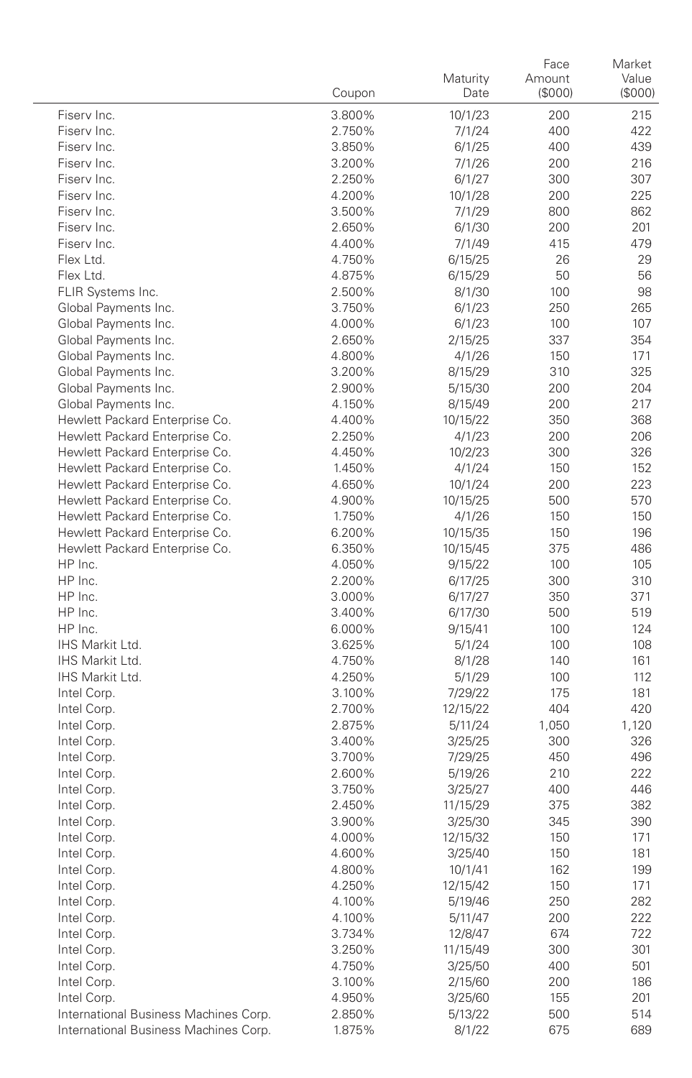|                                           | Coupon           | Maturity<br>Date   | Face<br>Amount<br>(\$000) | Market<br>Value<br>(\$000) |
|-------------------------------------------|------------------|--------------------|---------------------------|----------------------------|
| Fiserv Inc.                               | 3.800%           | 10/1/23            | 200                       | 215                        |
| Fiserv Inc.                               | 2.750%           | 7/1/24             | 400                       | 422                        |
| Fiserv Inc.                               | 3.850%           | 6/1/25             | 400                       | 439                        |
| Fiserv Inc.                               | 3.200%           | 7/1/26             | 200                       | 216                        |
| Fiserv Inc.                               | 2.250%           | 6/1/27             | 300                       | 307                        |
| Fiserv Inc.                               | 4.200%           | 10/1/28            | 200                       | 225                        |
| Fiserv Inc.                               | 3.500%           | 7/1/29             | 800                       | 862                        |
| Fiserv Inc.                               | 2.650%           | 6/1/30             | 200                       | 201                        |
| Fiserv Inc.                               | 4.400%           | 7/1/49             | 415                       | 479                        |
| Flex Ltd.                                 | 4.750%           | 6/15/25            | 26                        | 29                         |
| Flex Ltd.                                 | 4.875%           | 6/15/29            | 50                        | 56                         |
| FLIR Systems Inc.                         | 2.500%           | 8/1/30             | 100                       | 98                         |
| Global Payments Inc.                      | 3.750%           | 6/1/23             | 250                       | 265                        |
| Global Payments Inc.                      | 4.000%           | 6/1/23             | 100                       | 107                        |
| Global Payments Inc.                      | 2.650%           | 2/15/25            | 337                       | 354                        |
| Global Payments Inc.                      | 4.800%           | 4/1/26             | 150                       | 171                        |
| Global Payments Inc.                      | 3.200%           | 8/15/29            | 310                       | 325                        |
| Global Payments Inc.                      | 2.900%           | 5/15/30            | 200                       | 204                        |
| Global Payments Inc.                      | 4.150%           | 8/15/49            | 200                       | 217                        |
| Hewlett Packard Enterprise Co.            | 4.400%           | 10/15/22           | 350                       | 368                        |
| Hewlett Packard Enterprise Co.            | 2.250%           | 4/1/23             | 200                       | 206                        |
| Hewlett Packard Enterprise Co.            | 4.450%           | 10/2/23            | 300                       | 326                        |
| Hewlett Packard Enterprise Co.            | 1.450%           | 4/1/24             | 150                       | 152                        |
| Hewlett Packard Enterprise Co.            | 4.650%           | 10/1/24            | 200                       | 223                        |
| Hewlett Packard Enterprise Co.            | 4.900%           | 10/15/25           | 500                       | 570                        |
| Hewlett Packard Enterprise Co.            | 1.750%           | 4/1/26             | 150                       | 150                        |
| Hewlett Packard Enterprise Co.            | 6.200%           | 10/15/35           | 150                       | 196                        |
| Hewlett Packard Enterprise Co.<br>HP Inc. | 6.350%           | 10/15/45           | 375                       | 486                        |
| HP Inc.                                   | 4.050%           | 9/15/22            | 100                       | 105<br>310                 |
| HP Inc.                                   | 2.200%<br>3.000% | 6/17/25<br>6/17/27 | 300<br>350                | 371                        |
| HP Inc.                                   | 3.400%           | 6/17/30            | 500                       | 519                        |
| HP Inc.                                   | 6.000%           | 9/15/41            | 100                       | 124                        |
| IHS Markit Ltd.                           | 3.625%           | 5/1/24             | 100                       | 108                        |
| IHS Markit Ltd.                           | 4.750%           | 8/1/28             | 140                       | 161                        |
| IHS Markit Ltd.                           | 4.250%           | 5/1/29             | 100                       | 112                        |
| Intel Corp.                               | 3.100%           | 7/29/22            | 175                       | 181                        |
| Intel Corp.                               | 2.700%           | 12/15/22           | 404                       | 420                        |
| Intel Corp.                               | 2.875%           | 5/11/24            | 1,050                     | 1,120                      |
| Intel Corp.                               | 3.400%           | 3/25/25            | 300                       | 326                        |
| Intel Corp.                               | 3.700%           | 7/29/25            | 450                       | 496                        |
| Intel Corp.                               | 2.600%           | 5/19/26            | 210                       | 222                        |
| Intel Corp.                               | 3.750%           | 3/25/27            | 400                       | 446                        |
| Intel Corp.                               | 2.450%           | 11/15/29           | 375                       | 382                        |
| Intel Corp.                               | 3.900%           | 3/25/30            | 345                       | 390                        |
| Intel Corp.                               | 4.000%           | 12/15/32           | 150                       | 171                        |
| Intel Corp.                               | 4.600%           | 3/25/40            | 150                       | 181                        |
| Intel Corp.                               | 4.800%           | 10/1/41            | 162                       | 199                        |
| Intel Corp.                               | 4.250%           | 12/15/42           | 150                       | 171                        |
| Intel Corp.                               | 4.100%           | 5/19/46            | 250                       | 282                        |
| Intel Corp.                               | 4.100%           | 5/11/47            | 200                       | 222                        |
| Intel Corp.                               | 3.734%           | 12/8/47            | 674                       | 722                        |
| Intel Corp.                               | 3.250%           | 11/15/49           | 300                       | 301                        |
| Intel Corp.                               | 4.750%           | 3/25/50            | 400                       | 501                        |
| Intel Corp.                               | 3.100%           | 2/15/60            | 200                       | 186                        |
| Intel Corp.                               | 4.950%           | 3/25/60            | 155                       | 201                        |
| International Business Machines Corp.     | 2.850%           | 5/13/22            | 500                       | 514                        |
| International Business Machines Corp.     | 1.875%           | 8/1/22             | 675                       | 689                        |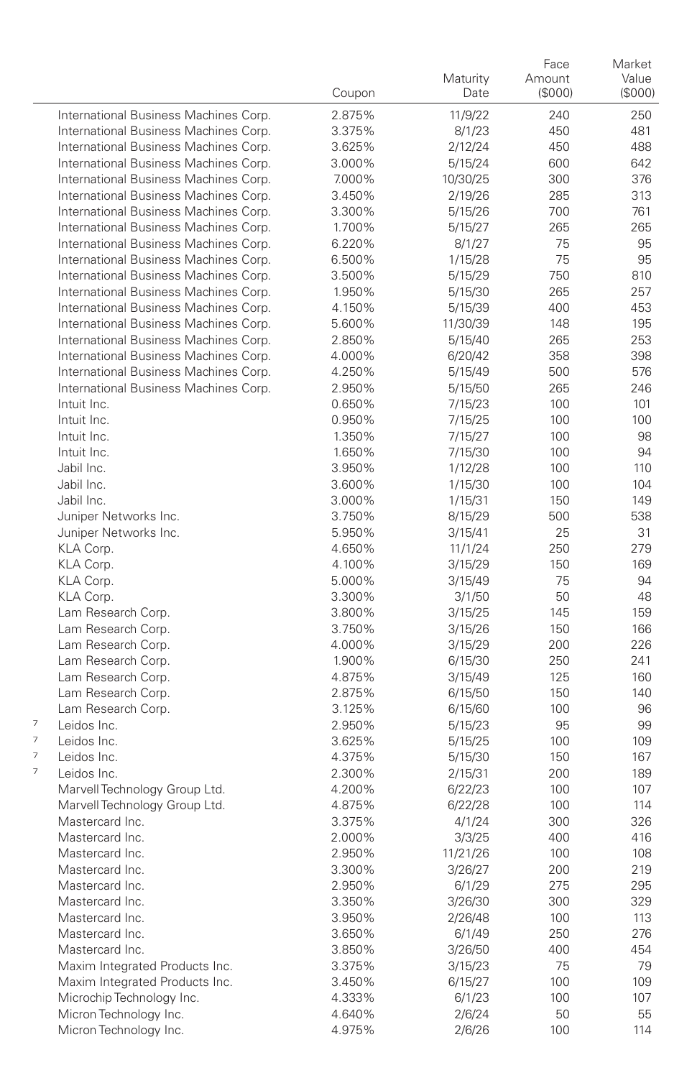|   |                                       | Coupon           | Maturity<br>Date   | Face<br>Amount<br>(S000) | Market<br>Value<br>(\$000) |
|---|---------------------------------------|------------------|--------------------|--------------------------|----------------------------|
|   | International Business Machines Corp. | 2.875%           | 11/9/22            | 240                      | 250                        |
|   | International Business Machines Corp. | 3.375%           | 8/1/23             | 450                      | 481                        |
|   | International Business Machines Corp. | 3.625%           | 2/12/24            | 450                      | 488                        |
|   | International Business Machines Corp. | 3.000%           | 5/15/24            | 600                      | 642                        |
|   | International Business Machines Corp. | 7.000%           | 10/30/25           | 300                      | 376                        |
|   | International Business Machines Corp. | 3.450%           | 2/19/26            | 285                      | 313                        |
|   | International Business Machines Corp. | 3.300%           | 5/15/26            | 700                      | 761                        |
|   | International Business Machines Corp. | 1.700%           | 5/15/27            | 265                      | 265                        |
|   | International Business Machines Corp. | 6.220%           | 8/1/27             | 75                       | 95                         |
|   | International Business Machines Corp. | 6.500%           | 1/15/28            | 75                       | 95                         |
|   | International Business Machines Corp. | 3.500%           | 5/15/29            | 750                      | 810                        |
|   | International Business Machines Corp. | 1.950%           | 5/15/30            | 265                      | 257                        |
|   | International Business Machines Corp. | 4.150%           | 5/15/39            | 400                      | 453                        |
|   | International Business Machines Corp. | 5.600%           | 11/30/39           | 148                      | 195                        |
|   | International Business Machines Corp. | 2.850%           | 5/15/40            | 265                      | 253                        |
|   | International Business Machines Corp. | 4.000%           | 6/20/42            | 358                      | 398                        |
|   | International Business Machines Corp. | 4.250%           | 5/15/49            | 500                      | 576                        |
|   | International Business Machines Corp. | 2.950%           | 5/15/50            | 265                      | 246                        |
|   | Intuit Inc.                           | 0.650%           | 7/15/23            | 100                      | 101                        |
|   | Intuit Inc.                           | 0.950%           | 7/15/25            | 100                      | 100                        |
|   | Intuit Inc.                           | 1.350%           | 7/15/27            | 100                      | 98                         |
|   | Intuit Inc.                           | 1.650%           | 7/15/30            | 100                      | 94                         |
|   | Jabil Inc.                            | 3.950%           | 1/12/28            | 100                      | 110                        |
|   | Jabil Inc.                            | 3.600%           | 1/15/30            | 100                      | 104                        |
|   | Jabil Inc.                            | 3.000%           | 1/15/31            | 150                      | 149                        |
|   | Juniper Networks Inc.                 | 3.750%           | 8/15/29            | 500                      | 538                        |
|   | Juniper Networks Inc.                 | 5.950%           | 3/15/41            | 25                       | 31                         |
|   | KLA Corp.                             | 4.650%           | 11/1/24            | 250                      | 279                        |
|   | KLA Corp.                             | 4.100%           | 3/15/29            | 150                      | 169                        |
|   | KLA Corp.                             | 5.000%           | 3/15/49            | 75                       | 94                         |
|   | KLA Corp.                             | 3.300%           | 3/1/50             | 50                       | 48                         |
|   | Lam Research Corp.                    | 3.800%           | 3/15/25            | 145                      | 159                        |
|   | Lam Research Corp.                    | 3.750%           | 3/15/26            | 150                      | 166                        |
|   | Lam Research Corp.                    | 4.000%           | 3/15/29            | 200                      | 226                        |
|   | Lam Research Corp.                    | 1.900%           | 6/15/30            | 250                      | 241                        |
|   | Lam Research Corp.                    | 4.875%           | 3/15/49            | 125                      | 160                        |
|   | Lam Research Corp.                    | 2.875%           | 6/15/50            | 150                      | 140                        |
| 7 | Lam Research Corp.                    | 3.125%           | 6/15/60            | 100                      | 96                         |
| 7 | Leidos Inc.                           | 2.950%           | 5/15/23            | 95                       | 99                         |
| 7 | Leidos Inc.<br>Leidos Inc.            | 3.625%           | 5/15/25            | 100                      | 109                        |
| 7 | Leidos Inc.                           | 4.375%<br>2.300% | 5/15/30            | 150<br>200               | 167<br>189                 |
|   | Marvell Technology Group Ltd.         | 4.200%           | 2/15/31<br>6/22/23 | 100                      | 107                        |
|   | Marvell Technology Group Ltd.         | 4.875%           |                    | 100                      | 114                        |
|   | Mastercard Inc.                       | 3.375%           | 6/22/28            | 300                      | 326                        |
|   | Mastercard Inc.                       | 2.000%           | 4/1/24<br>3/3/25   | 400                      | 416                        |
|   | Mastercard Inc.                       | 2.950%           | 11/21/26           | 100                      | 108                        |
|   | Mastercard Inc.                       |                  |                    |                          |                            |
|   | Mastercard Inc.                       | 3.300%<br>2.950% | 3/26/27<br>6/1/29  | 200<br>275               | 219<br>295                 |
|   | Mastercard Inc.                       |                  |                    | 300                      |                            |
|   | Mastercard Inc.                       | 3.350%           | 3/26/30            | 100                      | 329<br>113                 |
|   | Mastercard Inc.                       | 3.950%<br>3.650% | 2/26/48<br>6/1/49  | 250                      | 276                        |
|   | Mastercard Inc.                       | 3.850%           | 3/26/50            | 400                      | 454                        |
|   | Maxim Integrated Products Inc.        | 3.375%           | 3/15/23            | 75                       | 79                         |
|   | Maxim Integrated Products Inc.        | 3.450%           | 6/15/27            | 100                      | 109                        |
|   | Microchip Technology Inc.             | 4.333%           | 6/1/23             | 100                      | 107                        |
|   | Micron Technology Inc.                | 4.640%           | 2/6/24             | 50                       | 55                         |
|   | Micron Technology Inc.                | 4.975%           | 2/6/26             | 100                      | 114                        |
|   |                                       |                  |                    |                          |                            |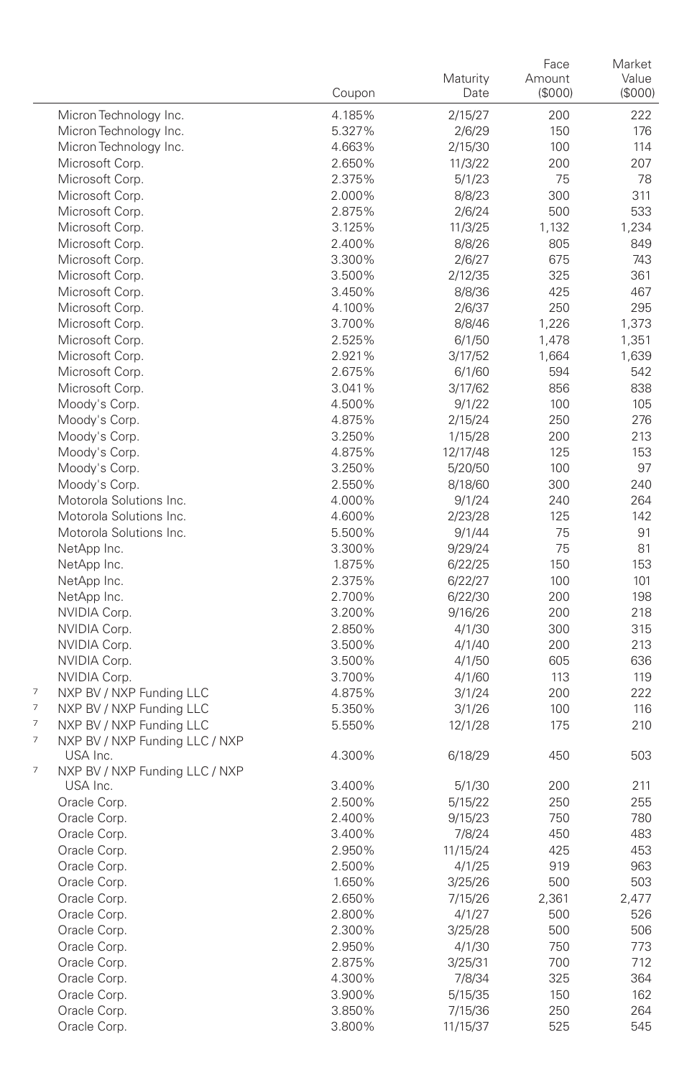|                                                                                  | Coupon           | Maturity<br>Date  | Face<br>Amount<br>(\$000) | Market<br>Value<br>(\$000) |
|----------------------------------------------------------------------------------|------------------|-------------------|---------------------------|----------------------------|
| Micron Technology Inc.                                                           | 4.185%           | 2/15/27           | 200                       | 222                        |
| Micron Technology Inc.                                                           | 5.327%           | 2/6/29            | 150                       | 176                        |
| Micron Technology Inc.                                                           | 4.663%           | 2/15/30           | 100                       | 114                        |
| Microsoft Corp.                                                                  | 2.650%           | 11/3/22           | 200                       | 207                        |
| Microsoft Corp.                                                                  | 2.375%           | 5/1/23            | 75                        | 78                         |
| Microsoft Corp.                                                                  | 2.000%           | 8/8/23            | 300                       | 311                        |
| Microsoft Corp.                                                                  | 2.875%           | 2/6/24            | 500                       | 533                        |
| Microsoft Corp.                                                                  | 3.125%           | 11/3/25           | 1,132                     | 1,234                      |
| Microsoft Corp.                                                                  | 2.400%           | 8/8/26            | 805                       | 849                        |
| Microsoft Corp.                                                                  | 3.300%           | 2/6/27            | 675                       | 743                        |
| Microsoft Corp.                                                                  | 3.500%           | 2/12/35           | 325                       | 361                        |
| Microsoft Corp.                                                                  | 3.450%           | 8/8/36            | 425                       | 467                        |
| Microsoft Corp.                                                                  | 4.100%           | 2/6/37            | 250                       | 295                        |
| Microsoft Corp.                                                                  | 3.700%           | 8/8/46            | 1,226                     | 1,373                      |
| Microsoft Corp.<br>Microsoft Corp.                                               | 2.525%<br>2.921% | 6/1/50            | 1,478                     | 1,351                      |
| Microsoft Corp.                                                                  | 2.675%           | 3/17/52<br>6/1/60 | 1,664<br>594              | 1,639<br>542               |
| Microsoft Corp.                                                                  | 3.041%           | 3/17/62           | 856                       | 838                        |
| Moody's Corp.                                                                    | 4.500%           | 9/1/22            | 100                       | 105                        |
| Moody's Corp.                                                                    | 4.875%           | 2/15/24           | 250                       | 276                        |
| Moody's Corp.                                                                    | 3.250%           | 1/15/28           | 200                       | 213                        |
| Moody's Corp.                                                                    | 4.875%           | 12/17/48          | 125                       | 153                        |
| Moody's Corp.                                                                    | 3.250%           | 5/20/50           | 100                       | 97                         |
| Moody's Corp.                                                                    | 2.550%           | 8/18/60           | 300                       | 240                        |
| Motorola Solutions Inc.                                                          | 4.000%           | 9/1/24            | 240                       | 264                        |
| Motorola Solutions Inc.                                                          | 4.600%           | 2/23/28           | 125                       | 142                        |
| Motorola Solutions Inc.                                                          | 5.500%           | 9/1/44            | 75                        | 91                         |
| NetApp Inc.                                                                      | 3.300%           | 9/29/24           | 75                        | 81                         |
| NetApp Inc.                                                                      | 1.875%           | 6/22/25           | 150                       | 153                        |
| NetApp Inc.                                                                      | 2.375%           | 6/22/27           | 100                       | 101                        |
| NetApp Inc.                                                                      | 2.700%           | 6/22/30           | 200                       | 198                        |
| NVIDIA Corp.                                                                     | 3.200%           | 9/16/26           | 200                       | 218                        |
| NVIDIA Corp.                                                                     | 2.850%           | 4/1/30            | 300                       | 315                        |
| NVIDIA Corp.                                                                     | 3.500%           | 4/1/40            | 200                       | 213                        |
| NVIDIA Corp.                                                                     | 3.500%           | 4/1/50            | 605                       | 636                        |
| NVIDIA Corp.<br>7                                                                | 3.700%           | 4/1/60            | 113                       | 119                        |
| NXP BV / NXP Funding LLC<br>$\overline{\phantom{a}}$                             | 4.875%           | 3/1/24            | 200                       | 222                        |
| NXP BV / NXP Funding LLC<br>$\overline{\phantom{a}}$<br>NXP BV / NXP Funding LLC | 5.350%           | 3/1/26            | 100<br>175                | 116<br>210                 |
| $\overline{\phantom{a}}$<br>NXP BV / NXP Funding LLC / NXP                       | 5.550%           | 12/1/28           |                           |                            |
| USA Inc.                                                                         | 4.300%           | 6/18/29           | 450                       | 503                        |
| $\overline{\phantom{a}}$<br>NXP BV / NXP Funding LLC / NXP                       |                  |                   |                           |                            |
| USA Inc.                                                                         | 3.400%           | 5/1/30            | 200                       | 211                        |
| Oracle Corp.                                                                     | 2.500%           | 5/15/22           | 250                       | 255                        |
| Oracle Corp.                                                                     | 2.400%           | 9/15/23           | 750                       | 780                        |
| Oracle Corp.                                                                     | 3.400%           | 7/8/24            | 450                       | 483                        |
| Oracle Corp.                                                                     | 2.950%           | 11/15/24          | 425                       | 453                        |
| Oracle Corp.                                                                     | 2.500%           | 4/1/25            | 919                       | 963                        |
| Oracle Corp.                                                                     | 1.650%           | 3/25/26           | 500                       | 503                        |
| Oracle Corp.                                                                     | 2.650%           | 7/15/26           | 2,361                     | 2,477                      |
| Oracle Corp.                                                                     | 2.800%           | 4/1/27            | 500                       | 526                        |
| Oracle Corp.                                                                     | 2.300%           | 3/25/28           | 500                       | 506                        |
| Oracle Corp.                                                                     | 2.950%           | 4/1/30            | 750                       | 773                        |
| Oracle Corp.                                                                     | 2.875%           | 3/25/31           | 700                       | 712                        |
| Oracle Corp.                                                                     | 4.300%           | 7/8/34            | 325                       | 364                        |
| Oracle Corp.                                                                     | 3.900%           | 5/15/35           | 150                       | 162                        |
| Oracle Corp.<br>Oracle Corp.                                                     | 3.850%           | 7/15/36           | 250<br>525                | 264<br>545                 |
|                                                                                  | 3.800%           | 11/15/37          |                           |                            |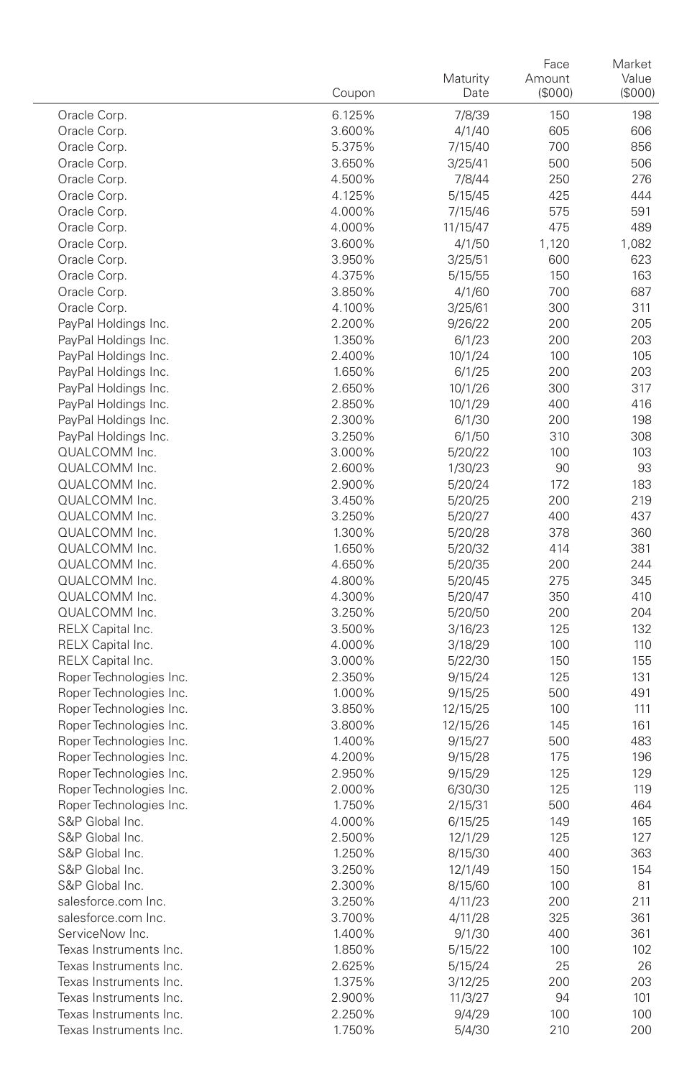|                                              | Coupon           | Maturity<br>Date   | Face<br>Amount<br>(\$000) | Market<br>Value<br>(\$000) |
|----------------------------------------------|------------------|--------------------|---------------------------|----------------------------|
| Oracle Corp.                                 | 6.125%           | 7/8/39             | 150                       | 198                        |
| Oracle Corp.                                 | 3.600%           | 4/1/40             | 605                       | 606                        |
| Oracle Corp.                                 | 5.375%           | 7/15/40            | 700                       | 856                        |
| Oracle Corp.                                 | 3.650%           | 3/25/41            | 500                       | 506                        |
| Oracle Corp.                                 | 4.500%           | 7/8/44             | 250                       | 276                        |
| Oracle Corp.                                 | 4.125%           | 5/15/45            | 425                       | 444                        |
| Oracle Corp.                                 | 4.000%           | 7/15/46            | 575                       | 591                        |
| Oracle Corp.                                 | 4.000%           | 11/15/47           | 475                       | 489                        |
| Oracle Corp.                                 | 3.600%           | 4/1/50             | 1,120                     | 1,082                      |
| Oracle Corp.                                 | 3.950%           | 3/25/51            | 600                       | 623                        |
| Oracle Corp.                                 | 4.375%           | 5/15/55            | 150                       | 163                        |
| Oracle Corp.                                 | 3.850%           | 4/1/60             | 700                       | 687                        |
| Oracle Corp.                                 | 4.100%           | 3/25/61            | 300                       | 311                        |
| PayPal Holdings Inc.                         | 2.200%           | 9/26/22            | 200                       | 205                        |
| PayPal Holdings Inc.                         | 1.350%           | 6/1/23             | 200                       | 203                        |
| PayPal Holdings Inc.                         | 2.400%           | 10/1/24            | 100                       | 105                        |
| PayPal Holdings Inc.                         | 1.650%           | 6/1/25             | 200                       | 203                        |
| PayPal Holdings Inc.                         | 2.650%           | 10/1/26            | 300                       | 317                        |
| PayPal Holdings Inc.                         | 2.850%           | 10/1/29            | 400                       | 416                        |
| PayPal Holdings Inc.<br>PayPal Holdings Inc. | 2.300%<br>3.250% | 6/1/30             | 200                       | 198                        |
| QUALCOMM Inc.                                | 3.000%           | 6/1/50             | 310<br>100                | 308<br>103                 |
| QUALCOMM Inc.                                | 2.600%           | 5/20/22<br>1/30/23 | 90                        | 93                         |
| QUALCOMM Inc.                                | 2.900%           | 5/20/24            | 172                       | 183                        |
| QUALCOMM Inc.                                | 3.450%           | 5/20/25            | 200                       | 219                        |
| QUALCOMM Inc.                                | 3.250%           | 5/20/27            | 400                       | 437                        |
| QUALCOMM Inc.                                | 1.300%           | 5/20/28            | 378                       | 360                        |
| QUALCOMM Inc.                                | 1.650%           | 5/20/32            | 414                       | 381                        |
| QUALCOMM Inc.                                | 4.650%           | 5/20/35            | 200                       | 244                        |
| QUALCOMM Inc.                                | 4.800%           | 5/20/45            | 275                       | 345                        |
| QUALCOMM Inc.                                | 4.300%           | 5/20/47            | 350                       | 410                        |
| QUALCOMM Inc.                                | 3.250%           | 5/20/50            | 200                       | 204                        |
| RELX Capital Inc.                            | 3.500%           | 3/16/23            | 125                       | 132                        |
| RELX Capital Inc.                            | 4.000%           | 3/18/29            | 100                       | 110                        |
| RELX Capital Inc.                            | 3.000%           | 5/22/30            | 150                       | 155                        |
| Roper Technologies Inc.                      | 2.350%           | 9/15/24            | 125                       | 131                        |
| Roper Technologies Inc.                      | 1.000%           | 9/15/25            | 500                       | 491                        |
| Roper Technologies Inc.                      | 3.850%           | 12/15/25           | 100                       | 111                        |
| Roper Technologies Inc.                      | 3.800%           | 12/15/26           | 145                       | 161                        |
| Roper Technologies Inc.                      | 1.400%           | 9/15/27            | 500                       | 483                        |
| Roper Technologies Inc.                      | 4.200%           | 9/15/28            | 175                       | 196                        |
| Roper Technologies Inc.                      | 2.950%           | 9/15/29            | 125                       | 129                        |
| Roper Technologies Inc.                      | 2.000%           | 6/30/30            | 125                       | 119                        |
| Roper Technologies Inc.                      | 1.750%           | 2/15/31            | 500                       | 464                        |
| S&P Global Inc.                              | 4.000%           | 6/15/25            | 149                       | 165                        |
| S&P Global Inc.                              | 2.500%           | 12/1/29            | 125                       | 127                        |
| S&P Global Inc.                              | 1.250%           | 8/15/30            | 400                       | 363                        |
| S&P Global Inc.<br>S&P Global Inc.           | 3.250%           | 12/1/49            | 150                       | 154                        |
| salesforce.com Inc.                          | 2.300%<br>3.250% | 8/15/60<br>4/11/23 | 100<br>200                | 81<br>211                  |
| salesforce.com Inc.                          | 3.700%           | 4/11/28            | 325                       | 361                        |
| ServiceNow Inc.                              | 1.400%           | 9/1/30             | 400                       | 361                        |
| Texas Instruments Inc.                       | 1.850%           | 5/15/22            | 100                       | 102                        |
| Texas Instruments Inc.                       | 2.625%           | 5/15/24            | 25                        | 26                         |
| Texas Instruments Inc.                       | 1.375%           | 3/12/25            | 200                       | 203                        |
| Texas Instruments Inc.                       | 2.900%           | 11/3/27            | 94                        | 101                        |
| Texas Instruments Inc.                       | 2.250%           | 9/4/29             | 100                       | 100                        |
| Texas Instruments Inc.                       | 1.750%           | 5/4/30             | 210                       | 200                        |
|                                              |                  |                    |                           |                            |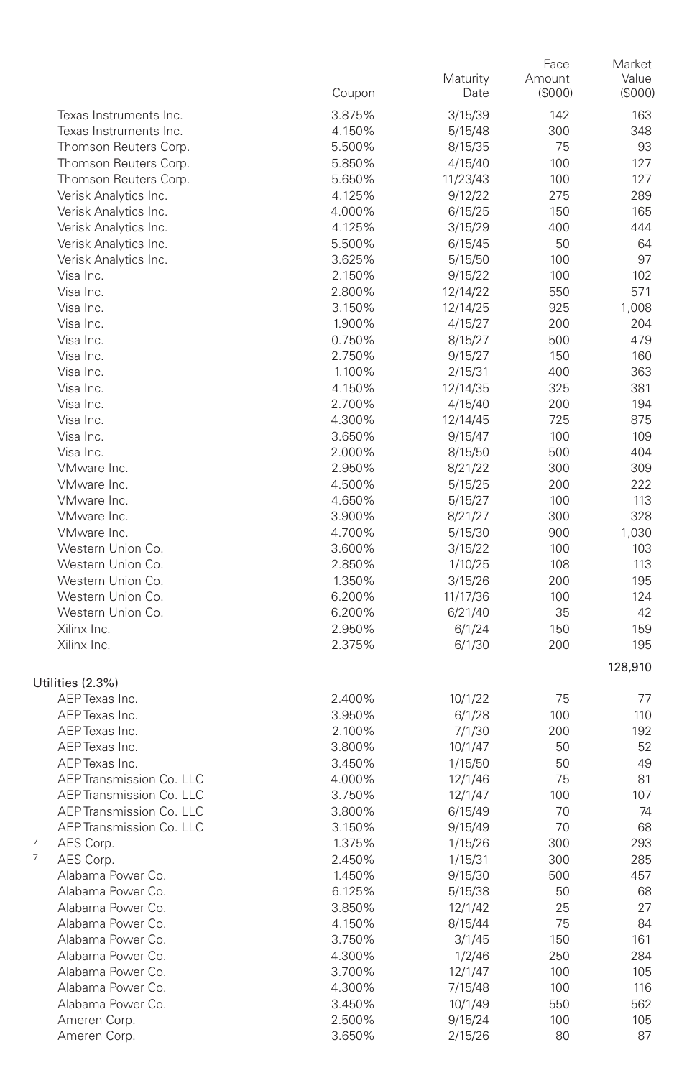|                             | Coupon | Maturity<br>Date | Face<br>Amount<br>(\$000) | Market<br>Value<br>(\$000) |
|-----------------------------|--------|------------------|---------------------------|----------------------------|
| Texas Instruments Inc.      | 3.875% | 3/15/39          | 142                       | 163                        |
| Texas Instruments Inc.      | 4.150% | 5/15/48          | 300                       | 348                        |
| Thomson Reuters Corp.       | 5.500% | 8/15/35          | 75                        | 93                         |
| Thomson Reuters Corp.       | 5.850% | 4/15/40          | 100                       | 127                        |
| Thomson Reuters Corp.       | 5.650% | 11/23/43         | 100                       | 127                        |
| Verisk Analytics Inc.       | 4.125% | 9/12/22          | 275                       | 289                        |
| Verisk Analytics Inc.       | 4.000% | 6/15/25          | 150                       | 165                        |
| Verisk Analytics Inc.       | 4.125% | 3/15/29          | 400                       | 444                        |
| Verisk Analytics Inc.       | 5.500% | 6/15/45          | 50                        | 64                         |
| Verisk Analytics Inc.       | 3.625% | 5/15/50          | 100                       | 97                         |
| Visa Inc.                   | 2.150% | 9/15/22          | 100                       | 102                        |
| Visa Inc.                   | 2.800% | 12/14/22         | 550                       | 571                        |
| Visa Inc.                   | 3.150% | 12/14/25         | 925                       | 1,008                      |
| Visa Inc.                   | 1.900% | 4/15/27          | 200                       | 204                        |
| Visa Inc.                   | 0.750% | 8/15/27          | 500                       | 479                        |
| Visa Inc.                   | 2.750% | 9/15/27          | 150                       | 160                        |
| Visa Inc.                   | 1.100% | 2/15/31          | 400                       | 363                        |
| Visa Inc.                   | 4.150% | 12/14/35         | 325                       | 381                        |
| Visa Inc.                   | 2.700% | 4/15/40          | 200                       | 194                        |
| Visa Inc.                   | 4.300% | 12/14/45         | 725                       | 875                        |
| Visa Inc.                   | 3.650% | 9/15/47          | 100                       | 109                        |
| Visa Inc.                   | 2.000% | 8/15/50          | 500                       | 404                        |
| VMware Inc.                 | 2.950% | 8/21/22          | 300                       | 309                        |
| VMware Inc.                 | 4.500% | 5/15/25          | 200                       | 222                        |
| VMware Inc.                 | 4.650% | 5/15/27          | 100                       | 113                        |
| VMware Inc.                 | 3.900% | 8/21/27          | 300                       | 328                        |
| VMware Inc.                 | 4.700% | 5/15/30          | 900                       | 1,030                      |
| Western Union Co.           | 3.600% | 3/15/22          | 100                       | 103                        |
| Western Union Co.           | 2.850% | 1/10/25          | 108                       | 113                        |
| Western Union Co.           | 1.350% | 3/15/26          | 200                       | 195                        |
| Western Union Co.           | 6.200% | 11/17/36         | 100                       | 124                        |
| Western Union Co.           | 6.200% | 6/21/40          | 35                        | 42                         |
| Xilinx Inc.                 | 2.950% | 6/1/24           | 150                       | 159                        |
| Xilinx Inc.                 | 2.375% | 6/1/30           | 200                       | 195                        |
| Utilities (2.3%)            |        |                  |                           | 128,910                    |
| AEP Texas Inc.              | 2.400% | 10/1/22          | 75                        | 77                         |
| AEP Texas Inc.              | 3.950% | 6/1/28           | 100                       | 110                        |
| AEP Texas Inc.              | 2.100% | 7/1/30           | 200                       | 192                        |
| AEP Texas Inc.              | 3.800% | 10/1/47          | 50                        | 52                         |
| AEP Texas Inc.              | 3.450% | 1/15/50          | 50                        | 49                         |
| AEP Transmission Co. LLC    | 4.000% | 12/1/46          | 75                        | 81                         |
| AEP Transmission Co. LLC    | 3.750% | 12/1/47          | 100                       | 107                        |
| AEP Transmission Co. LLC    | 3.800% | 6/15/49          | 70                        | 74                         |
| AEP Transmission Co. LLC    | 3.150% | 9/15/49          | 70                        | 68                         |
| $\overline{7}$<br>AES Corp. | 1.375% | 1/15/26          | 300                       | 293                        |
| $\overline{7}$<br>AES Corp. | 2.450% | 1/15/31          | 300                       | 285                        |
| Alabama Power Co.           | 1.450% | 9/15/30          | 500                       | 457                        |
| Alabama Power Co.           | 6.125% | 5/15/38          | 50                        | 68                         |
| Alabama Power Co.           | 3.850% | 12/1/42          | 25                        | 27                         |
| Alabama Power Co.           | 4.150% | 8/15/44          | 75                        | 84                         |
| Alabama Power Co.           | 3.750% | 3/1/45           | 150                       | 161                        |
| Alabama Power Co.           | 4.300% | 1/2/46           | 250                       | 284                        |
| Alabama Power Co.           | 3.700% | 12/1/47          | 100                       | 105                        |
| Alabama Power Co.           | 4.300% | 7/15/48          | 100                       | 116                        |
| Alabama Power Co.           | 3.450% | 10/1/49          | 550                       | 562                        |
| Ameren Corp.                | 2.500% | 9/15/24          | 100                       | 105                        |
| Ameren Corp.                | 3.650% | 2/15/26          | 80                        | 87                         |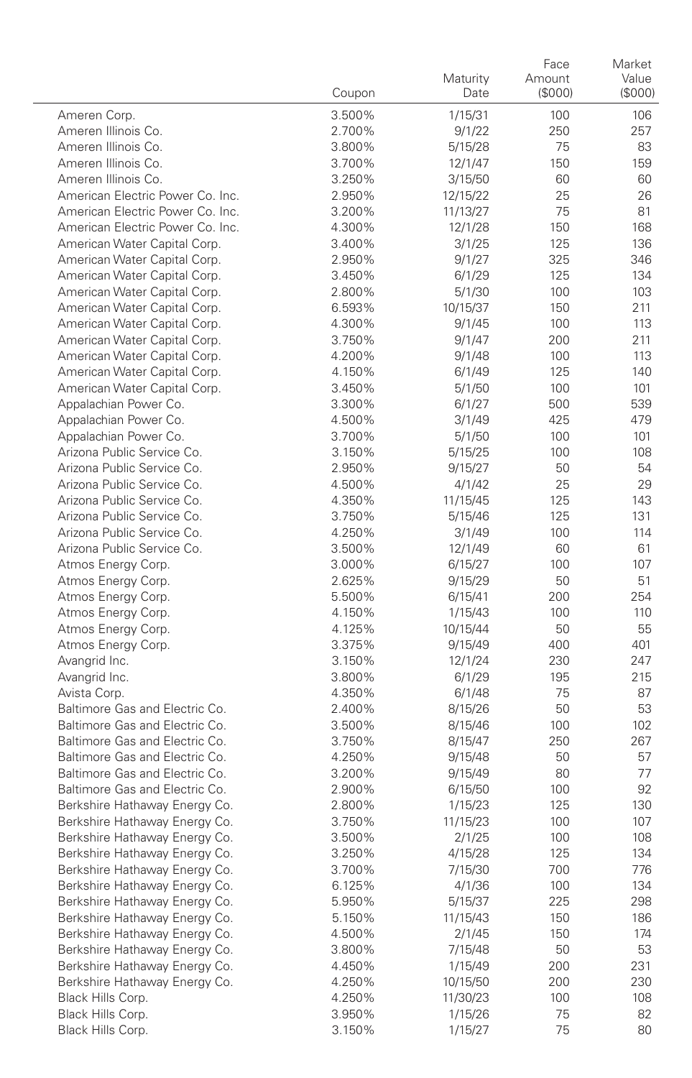|                                  | Coupon           | Maturity<br>Date  | Face<br>Amount<br>(\$000) | Market<br>Value<br>(\$000) |
|----------------------------------|------------------|-------------------|---------------------------|----------------------------|
| Ameren Corp.                     | 3.500%           | 1/15/31           | 100                       | 106                        |
| Ameren Illinois Co.              | 2.700%           | 9/1/22            | 250                       | 257                        |
| Ameren Illinois Co.              | 3.800%           | 5/15/28           | 75                        | 83                         |
| Ameren Illinois Co.              | 3.700%           | 12/1/47           | 150                       | 159                        |
| Ameren Illinois Co.              | 3.250%           | 3/15/50           | 60                        | 60                         |
| American Electric Power Co. Inc. | 2.950%           | 12/15/22          | 25                        | 26                         |
| American Electric Power Co. Inc. | 3.200%           | 11/13/27          | 75                        | 81                         |
| American Electric Power Co. Inc. | 4.300%           | 12/1/28           | 150                       | 168                        |
| American Water Capital Corp.     | 3.400%           | 3/1/25            | 125                       | 136                        |
| American Water Capital Corp.     | 2.950%           | 9/1/27            | 325                       | 346                        |
| American Water Capital Corp.     | 3.450%           | 6/1/29            | 125                       | 134                        |
| American Water Capital Corp.     | 2.800%           | 5/1/30            | 100                       | 103                        |
| American Water Capital Corp.     | 6.593%           | 10/15/37          | 150                       | 211                        |
| American Water Capital Corp.     | 4.300%           | 9/1/45            | 100                       | 113                        |
| American Water Capital Corp.     | 3.750%           | 9/1/47            | 200                       | 211                        |
| American Water Capital Corp.     | 4.200%           | 9/1/48            | 100                       | 113                        |
| American Water Capital Corp.     | 4.150%           | 6/1/49            | 125                       | 140                        |
| American Water Capital Corp.     | 3.450%           | 5/1/50            | 100                       | 101                        |
| Appalachian Power Co.            | 3.300%           | 6/1/27            | 500                       | 539                        |
| Appalachian Power Co.            | 4.500%           | 3/1/49            | 425                       | 479                        |
| Appalachian Power Co.            | 3.700%           | 5/1/50            | 100                       | 101                        |
| Arizona Public Service Co.       | 3.150%           | 5/15/25           | 100                       | 108                        |
| Arizona Public Service Co.       | 2.950%           | 9/15/27           | 50                        | 54                         |
| Arizona Public Service Co.       | 4.500%           | 4/1/42            | 25                        | 29                         |
| Arizona Public Service Co.       | 4.350%           | 11/15/45          | 125                       | 143                        |
| Arizona Public Service Co.       | 3.750%           | 5/15/46           | 125                       | 131                        |
| Arizona Public Service Co.       | 4.250%           | 3/1/49            | 100                       | 114                        |
| Arizona Public Service Co.       | 3.500%           | 12/1/49           | 60                        | 61                         |
| Atmos Energy Corp.               | 3.000%           | 6/15/27           | 100                       | 107                        |
| Atmos Energy Corp.               | 2.625%           | 9/15/29           | 50                        | 51                         |
| Atmos Energy Corp.               | 5.500%           | 6/15/41           | 200                       | 254                        |
| Atmos Energy Corp.               | 4.150%           | 1/15/43           | 100                       | 110                        |
| Atmos Energy Corp.               | 4.125%           | 10/15/44          | 50                        | 55                         |
| Atmos Energy Corp.               | 3.375%           | 9/15/49           | 400                       | 401                        |
| Avangrid Inc.                    | 3.150%           | 12/1/24           | 230<br>195                | 247<br>215                 |
| Avangrid Inc.<br>Avista Corp.    | 3.800%           | 6/1/29            | 75                        | 87                         |
| Baltimore Gas and Electric Co.   | 4.350%<br>2.400% | 6/1/48<br>8/15/26 | 50                        | 53                         |
| Baltimore Gas and Electric Co.   | 3.500%           | 8/15/46           | 100                       | 102                        |
| Baltimore Gas and Electric Co.   | 3.750%           | 8/15/47           | 250                       | 267                        |
| Baltimore Gas and Electric Co.   | 4.250%           | 9/15/48           | 50                        | 57                         |
| Baltimore Gas and Electric Co.   | 3.200%           | 9/15/49           | 80                        | 77                         |
| Baltimore Gas and Electric Co.   | 2.900%           | 6/15/50           | 100                       | 92                         |
| Berkshire Hathaway Energy Co.    | 2.800%           | 1/15/23           | 125                       | 130                        |
| Berkshire Hathaway Energy Co.    | 3.750%           | 11/15/23          | 100                       | 107                        |
| Berkshire Hathaway Energy Co.    | 3.500%           | 2/1/25            | 100                       | 108                        |
| Berkshire Hathaway Energy Co.    | 3.250%           | 4/15/28           | 125                       | 134                        |
| Berkshire Hathaway Energy Co.    | 3.700%           | 7/15/30           | 700                       | 776                        |
| Berkshire Hathaway Energy Co.    | 6.125%           | 4/1/36            | 100                       | 134                        |
| Berkshire Hathaway Energy Co.    | 5.950%           | 5/15/37           | 225                       | 298                        |
| Berkshire Hathaway Energy Co.    | 5.150%           | 11/15/43          | 150                       | 186                        |
| Berkshire Hathaway Energy Co.    | 4.500%           | 2/1/45            | 150                       | 174                        |
| Berkshire Hathaway Energy Co.    | 3.800%           | 7/15/48           | 50                        | 53                         |
| Berkshire Hathaway Energy Co.    | 4.450%           | 1/15/49           | 200                       | 231                        |
| Berkshire Hathaway Energy Co.    | 4.250%           | 10/15/50          | 200                       | 230                        |
| Black Hills Corp.                | 4.250%           | 11/30/23          | 100                       | 108                        |
| Black Hills Corp.                | 3.950%           | 1/15/26           | 75                        | 82                         |
| Black Hills Corp.                | 3.150%           | 1/15/27           | 75                        | 80                         |
|                                  |                  |                   |                           |                            |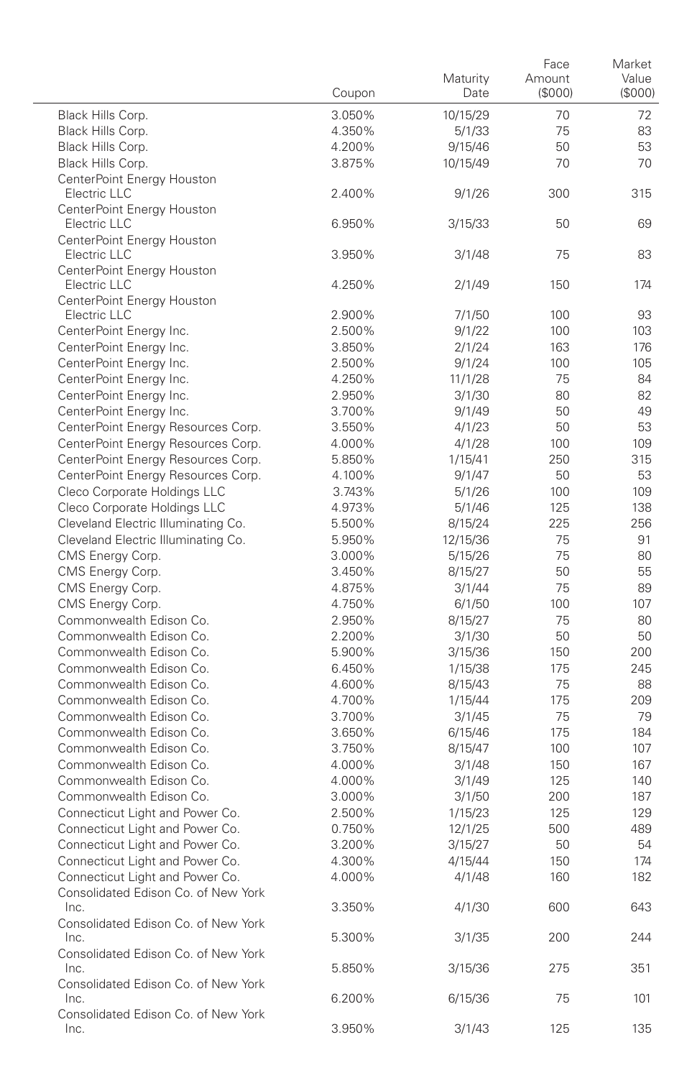|                                                         | Coupon           | Maturity<br>Date    | Face<br>Amount<br>(S000) | Market<br>Value<br>(\$000) |
|---------------------------------------------------------|------------------|---------------------|--------------------------|----------------------------|
| Black Hills Corp.                                       | 3.050%           | 10/15/29            | 70                       | 72                         |
| Black Hills Corp.                                       | 4.350%           | 5/1/33              | 75                       | 83                         |
| Black Hills Corp.                                       | 4.200%           | 9/15/46             | 50                       | 53                         |
| Black Hills Corp.                                       | 3.875%           | 10/15/49            | 70                       | 70                         |
| CenterPoint Enerav Houston                              |                  |                     |                          |                            |
| Electric LLC                                            | 2.400%           | 9/1/26              | 300                      | 315                        |
| CenterPoint Energy Houston<br>Electric LLC              | 6.950%           | 3/15/33             | 50                       | 69                         |
| CenterPoint Energy Houston<br>Electric LLC              | 3.950%           | 3/1/48              | 75                       | 83                         |
| CenterPoint Energy Houston<br>Electric LLC              | 4.250%           | 2/1/49              | 150                      | 174                        |
| CenterPoint Energy Houston                              |                  |                     |                          |                            |
| Electric LLC                                            | 2.900%           | 7/1/50              | 100                      | 93                         |
| CenterPoint Energy Inc.                                 | 2.500%           | 9/1/22              | 100                      | 103                        |
| CenterPoint Energy Inc.                                 | 3.850%           | 2/1/24              | 163                      | 176                        |
| CenterPoint Energy Inc.                                 | 2.500%           | 9/1/24              | 100                      | 105                        |
| CenterPoint Energy Inc.                                 | 4.250%           | 11/1/28             | 75                       | 84                         |
| CenterPoint Energy Inc.                                 | 2.950%           | 3/1/30              | 80                       | 82                         |
| CenterPoint Energy Inc.                                 | 3.700%           | 9/1/49              | 50                       | 49                         |
| CenterPoint Energy Resources Corp.                      | 3.550%           | 4/1/23              | 50                       | 53                         |
| CenterPoint Energy Resources Corp.                      | 4.000%           | 4/1/28              | 100                      | 109                        |
| CenterPoint Energy Resources Corp.                      | 5.850%           | 1/15/41             | 250                      | 315                        |
| CenterPoint Energy Resources Corp.                      | 4.100%           | 9/1/47              | 50                       | 53                         |
| Cleco Corporate Holdings LLC                            | 3.743%           | 5/1/26              | 100                      | 109                        |
| Cleco Corporate Holdings LLC                            | 4.973%<br>5.500% | 5/1/46              | 125                      | 138                        |
| Cleveland Electric Illuminating Co.                     | 5.950%           | 8/15/24<br>12/15/36 | 225<br>75                | 256<br>91                  |
| Cleveland Electric Illuminating Co.<br>CMS Energy Corp. | 3.000%           | 5/15/26             | 75                       | 80                         |
| CMS Energy Corp.                                        | 3.450%           | 8/15/27             | 50                       | 55                         |
| CMS Energy Corp.                                        | 4.875%           | 3/1/44              | 75                       | 89                         |
| CMS Energy Corp.                                        | 4.750%           | 6/1/50              | 100                      | 107                        |
| Commonwealth Edison Co.                                 | 2.950%           | 8/15/27             | 75                       | 80                         |
| Commonwealth Edison Co.                                 | 2.200%           | 3/1/30              | 50                       | 50                         |
| Commonwealth Edison Co.                                 | 5.900%           | 3/15/36             | 150                      | 200                        |
| Commonwealth Edison Co.                                 | 6.450%           | 1/15/38             | 175                      | 245                        |
| Commonwealth Edison Co.                                 | 4.600%           | 8/15/43             | 75                       | 88                         |
| Commonwealth Edison Co.                                 | 4.700%           | 1/15/44             | 175                      | 209                        |
| Commonwealth Edison Co.                                 | 3.700%           | 3/1/45              | 75                       | 79                         |
| Commonwealth Edison Co.                                 | 3.650%           | 6/15/46             | 175                      | 184                        |
| Commonwealth Edison Co.                                 | 3.750%           | 8/15/47             | 100                      | 107                        |
| Commonwealth Edison Co.                                 | 4.000%           | 3/1/48              | 150                      | 167                        |
| Commonwealth Edison Co.                                 | 4.000%           | 3/1/49              | 125                      | 140                        |
| Commonwealth Edison Co.                                 | 3.000%           | 3/1/50              | 200                      | 187                        |
| Connecticut Light and Power Co.                         | 2.500%           | 1/15/23             | 125                      | 129                        |
| Connecticut Light and Power Co.                         | 0.750%           | 12/1/25             | 500                      | 489                        |
| Connecticut Light and Power Co.                         | 3.200%           | 3/15/27             | 50                       | 54                         |
| Connecticut Light and Power Co.                         | 4.300%           | 4/15/44             | 150                      | 174                        |
| Connecticut Light and Power Co.                         | 4.000%           | 4/1/48              | 160                      | 182                        |
| Consolidated Edison Co. of New York<br>Inc.             | 3.350%           | 4/1/30              | 600                      | 643                        |
| Consolidated Edison Co. of New York<br>Inc.             | 5.300%           | 3/1/35              | 200                      | 244                        |
| Consolidated Edison Co. of New York<br>Inc.             | 5.850%           | 3/15/36             | 275                      | 351                        |
| Consolidated Edison Co. of New York<br>Inc.             | 6.200%           | 6/15/36             | 75                       | 101                        |
| Consolidated Edison Co. of New York<br>Inc.             | 3.950%           | 3/1/43              | 125                      | 135                        |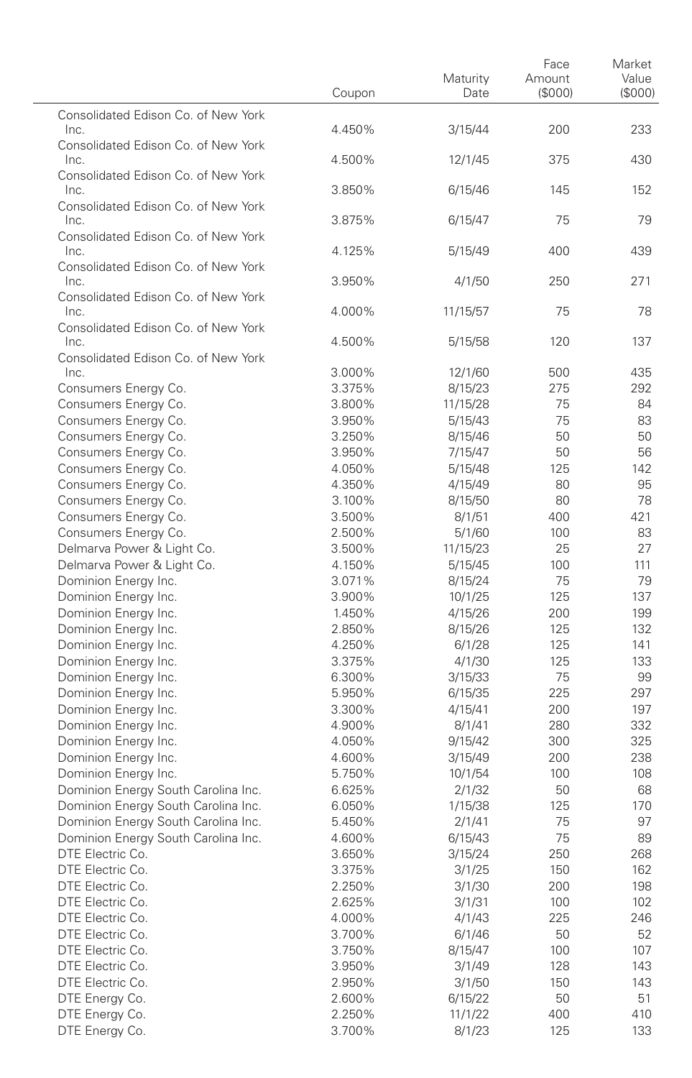|                                                                            | Coupon           | Maturity<br>Date   | Face<br>Amount<br>(S000) | Market<br>Value<br>(\$000) |
|----------------------------------------------------------------------------|------------------|--------------------|--------------------------|----------------------------|
| Consolidated Edison Co. of New York<br>Inc.                                | 4.450%           | 3/15/44            | 200                      | 233                        |
| Consolidated Edison Co. of New York                                        |                  |                    |                          |                            |
| Inc.<br>Consolidated Edison Co. of New York                                | 4.500%           | 12/1/45            | 375                      | 430                        |
| Inc.<br>Consolidated Edison Co. of New York                                | 3.850%           | 6/15/46            | 145                      | 152                        |
| Inc.<br>Consolidated Edison Co. of New York                                | 3.875%           | 6/15/47            | 75                       | 79                         |
| Inc.                                                                       | 4.125%           | 5/15/49            | 400                      | 439                        |
| Consolidated Edison Co. of New York<br>Inc.                                | 3.950%           | 4/1/50             | 250                      | 271                        |
| Consolidated Edison Co. of New York<br>Inc.                                | 4.000%           | 11/15/57           | 75                       | 78                         |
| Consolidated Edison Co. of New York<br>Inc.                                | 4.500%           | 5/15/58            | 120                      | 137                        |
| Consolidated Edison Co. of New York                                        |                  |                    |                          |                            |
| Inc.                                                                       | 3.000%           | 12/1/60            | 500                      | 435                        |
| Consumers Energy Co.                                                       | 3.375%           | 8/15/23            | 275<br>75                | 292                        |
| Consumers Energy Co.<br>Consumers Energy Co.                               | 3.800%<br>3.950% | 11/15/28           | 75                       | 84<br>83                   |
| Consumers Energy Co.                                                       | 3.250%           | 5/15/43<br>8/15/46 | 50                       | 50                         |
| Consumers Energy Co.                                                       | 3.950%           | 7/15/47            | 50                       | 56                         |
| Consumers Energy Co.                                                       | 4.050%           | 5/15/48            | 125                      | 142                        |
| Consumers Energy Co.                                                       | 4.350%           | 4/15/49            | 80                       | 95                         |
| Consumers Energy Co.                                                       | 3.100%           | 8/15/50            | 80                       | 78                         |
| Consumers Energy Co.                                                       | 3.500%           | 8/1/51             | 400                      | 421                        |
| Consumers Energy Co.                                                       | 2.500%           | 5/1/60             | 100                      | 83                         |
| Delmarva Power & Light Co.                                                 | 3.500%           | 11/15/23           | 25                       | 27                         |
| Delmarva Power & Light Co.                                                 | 4.150%           | 5/15/45            | 100                      | 111                        |
| Dominion Energy Inc.                                                       | 3.071%           | 8/15/24            | 75                       | 79                         |
| Dominion Energy Inc.                                                       | 3.900%           | 10/1/25            | 125                      | 137                        |
| Dominion Energy Inc.                                                       | 1.450%           | 4/15/26            | 200                      | 199                        |
| Dominion Energy Inc.                                                       | 2.850%           | 8/15/26            | 125                      | 132                        |
| Dominion Energy Inc.                                                       | 4.250%           | 6/1/28             | 125                      | 141                        |
| Dominion Energy Inc.                                                       | 3.375%           | 4/1/30             | 125                      | 133                        |
| Dominion Energy Inc.                                                       | 6.300%           | 3/15/33            | 75                       | 99                         |
| Dominion Energy Inc.                                                       | 5.950%           | 6/15/35            | 225                      | 297                        |
| Dominion Energy Inc.                                                       | 3.300%           | 4/15/41            | 200                      | 197                        |
| Dominion Energy Inc.                                                       | 4.900%           | 8/1/41             | 280                      | 332                        |
| Dominion Energy Inc.                                                       | 4.050%           | 9/15/42            | 300                      | 325                        |
| Dominion Energy Inc.                                                       | 4.600%           | 3/15/49            | 200                      | 238                        |
| Dominion Energy Inc.                                                       | 5.750%           | 10/1/54            | 100                      | 108                        |
| Dominion Energy South Carolina Inc.<br>Dominion Energy South Carolina Inc. | 6.625%<br>6.050% | 2/1/32             | 50<br>125                | 68<br>170                  |
| Dominion Energy South Carolina Inc.                                        | 5.450%           | 1/15/38<br>2/1/41  | 75                       | 97                         |
| Dominion Energy South Carolina Inc.                                        | 4.600%           | 6/15/43            | 75                       | 89                         |
| DTE Electric Co.                                                           | 3.650%           | 3/15/24            | 250                      | 268                        |
| DTE Electric Co.                                                           | 3.375%           | 3/1/25             | 150                      | 162                        |
| DTE Electric Co.                                                           | 2.250%           | 3/1/30             | 200                      | 198                        |
| DTE Electric Co.                                                           | 2.625%           | 3/1/31             | 100                      | 102                        |
| DTE Electric Co.                                                           | 4.000%           | 4/1/43             | 225                      | 246                        |
| DTE Electric Co.                                                           | 3.700%           | 6/1/46             | 50                       | 52                         |
| DTE Electric Co.                                                           | 3.750%           | 8/15/47            | 100                      | 107                        |
| DTE Electric Co.                                                           | 3.950%           | 3/1/49             | 128                      | 143                        |
| DTE Electric Co.                                                           | 2.950%           | 3/1/50             | 150                      | 143                        |
| DTE Energy Co.                                                             | 2.600%           | 6/15/22            | 50                       | 51                         |
| DTE Energy Co.                                                             | 2.250%           | 11/1/22            | 400                      | 410                        |
| DTE Energy Co.                                                             | 3.700%           | 8/1/23             | 125                      | 133                        |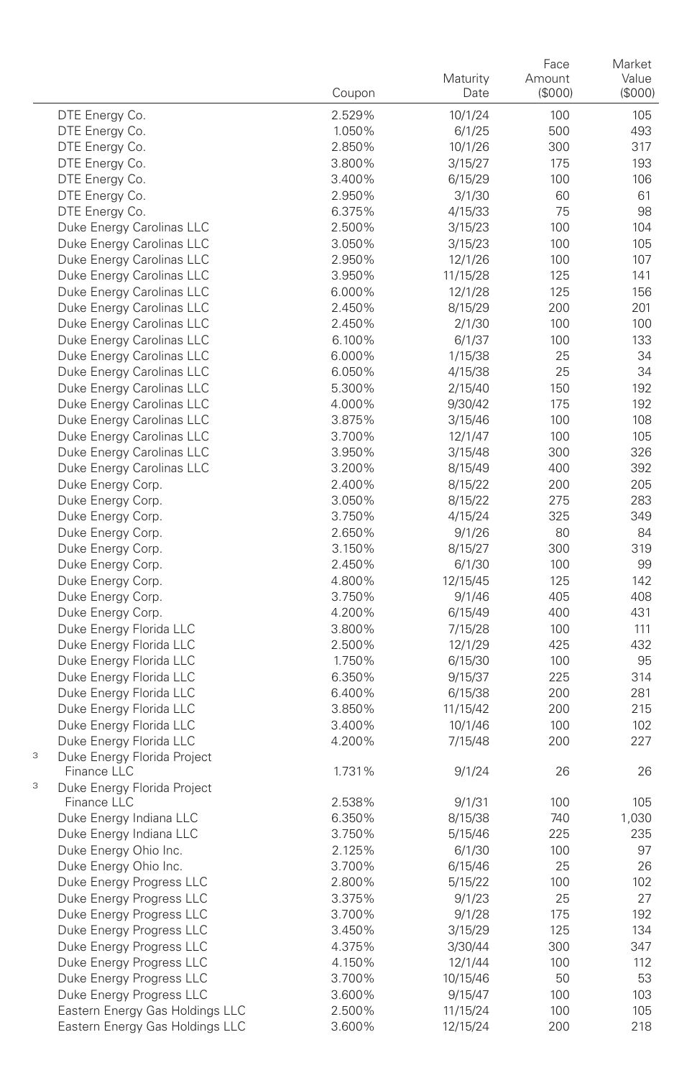|   |                                            | Coupon | Maturity<br>Date | Face<br>Amount<br>(\$000) | Market<br>Value<br>(\$000) |
|---|--------------------------------------------|--------|------------------|---------------------------|----------------------------|
|   | DTE Energy Co.                             | 2.529% | 10/1/24          | 100                       | 105                        |
|   | DTE Energy Co.                             | 1.050% | 6/1/25           | 500                       | 493                        |
|   | DTE Energy Co.                             | 2.850% | 10/1/26          | 300                       | 317                        |
|   | DTE Energy Co.                             | 3.800% | 3/15/27          | 175                       | 193                        |
|   | DTE Energy Co.                             | 3.400% | 6/15/29          | 100                       | 106                        |
|   | DTE Energy Co.                             | 2.950% | 3/1/30           | 60                        | 61                         |
|   | DTE Energy Co.                             | 6.375% | 4/15/33          | 75                        | 98                         |
|   | Duke Energy Carolinas LLC                  | 2.500% | 3/15/23          | 100                       | 104                        |
|   | Duke Energy Carolinas LLC                  | 3.050% | 3/15/23          | 100                       | 105                        |
|   | Duke Energy Carolinas LLC                  | 2.950% | 12/1/26          | 100                       | 107                        |
|   | Duke Energy Carolinas LLC                  | 3.950% | 11/15/28         | 125                       | 141                        |
|   | Duke Energy Carolinas LLC                  | 6.000% | 12/1/28          | 125                       | 156                        |
|   | Duke Energy Carolinas LLC                  | 2.450% | 8/15/29          | 200                       | 201                        |
|   | Duke Energy Carolinas LLC                  | 2.450% | 2/1/30           | 100                       | 100                        |
|   | Duke Energy Carolinas LLC                  | 6.100% | 6/1/37           | 100                       | 133                        |
|   | Duke Energy Carolinas LLC                  | 6.000% | 1/15/38          | 25                        | 34                         |
|   | Duke Energy Carolinas LLC                  | 6.050% | 4/15/38          | 25                        | 34                         |
|   | Duke Energy Carolinas LLC                  | 5.300% | 2/15/40          | 150                       | 192                        |
|   | Duke Energy Carolinas LLC                  | 4.000% | 9/30/42          | 175                       | 192                        |
|   | Duke Energy Carolinas LLC                  | 3.875% | 3/15/46          | 100                       | 108                        |
|   | Duke Energy Carolinas LLC                  | 3.700% | 12/1/47          | 100                       | 105                        |
|   | Duke Energy Carolinas LLC                  | 3.950% | 3/15/48          | 300                       | 326                        |
|   | Duke Energy Carolinas LLC                  | 3.200% | 8/15/49          | 400                       | 392                        |
|   | Duke Energy Corp.                          | 2.400% | 8/15/22          | 200                       | 205                        |
|   | Duke Energy Corp.                          | 3.050% | 8/15/22          | 275                       | 283                        |
|   | Duke Energy Corp.                          | 3.750% | 4/15/24          | 325                       | 349                        |
|   | Duke Energy Corp.                          | 2.650% | 9/1/26           | 80                        | 84                         |
|   | Duke Energy Corp.                          | 3.150% | 8/15/27          | 300                       | 319                        |
|   | Duke Energy Corp.                          | 2.450% | 6/1/30           | 100                       | 99                         |
|   | Duke Energy Corp.                          | 4.800% | 12/15/45         | 125                       | 142                        |
|   | Duke Energy Corp.                          | 3.750% | 9/1/46           | 405                       | 408                        |
|   | Duke Energy Corp.                          | 4.200% | 6/15/49          | 400                       | 431                        |
|   | Duke Energy Florida LLC                    | 3.800% | 7/15/28          | 100                       | 111                        |
|   | Duke Energy Florida LLC                    | 2.500% | 12/1/29          | 425                       | 432                        |
|   | Duke Energy Florida LLC                    | 1.750% | 6/15/30          | 100                       | 95                         |
|   | Duke Energy Florida LLC                    | 6.350% | 9/15/37          | 225                       | 314                        |
|   | Duke Energy Florida LLC                    | 6.400% | 6/15/38          | 200                       | 281                        |
|   | Duke Energy Florida LLC                    | 3.850% | 11/15/42         | 200                       | 215                        |
|   | Duke Energy Florida LLC                    | 3.400% | 10/1/46          | 100                       | 102                        |
| 3 | Duke Energy Florida LLC                    | 4.200% | 7/15/48          | 200                       | 227                        |
|   | Duke Energy Florida Project<br>Finance LLC | 1.731% | 9/1/24           | 26                        | 26                         |
| 3 | Duke Energy Florida Project                |        |                  |                           |                            |
|   | Finance LLC                                | 2.538% | 9/1/31           | 100                       | 105                        |
|   | Duke Energy Indiana LLC                    | 6.350% | 8/15/38          | 740                       | 1,030                      |
|   | Duke Energy Indiana LLC                    | 3.750% | 5/15/46          | 225                       | 235                        |
|   | Duke Energy Ohio Inc.                      | 2.125% | 6/1/30           | 100                       | 97                         |
|   | Duke Energy Ohio Inc.                      | 3.700% | 6/15/46          | 25                        | 26                         |
|   | Duke Energy Progress LLC                   | 2.800% | 5/15/22          | 100                       | 102                        |
|   | Duke Energy Progress LLC                   | 3.375% | 9/1/23           | 25                        | 27                         |
|   | Duke Energy Progress LLC                   | 3.700% | 9/1/28           | 175                       | 192                        |
|   | Duke Energy Progress LLC                   | 3.450% | 3/15/29          | 125                       | 134                        |
|   | Duke Energy Progress LLC                   | 4.375% | 3/30/44          | 300                       | 347                        |
|   | Duke Energy Progress LLC                   | 4.150% | 12/1/44          | 100                       | 112                        |
|   | Duke Energy Progress LLC                   | 3.700% | 10/15/46         | 50                        | 53                         |
|   | Duke Energy Progress LLC                   | 3.600% | 9/15/47          | 100                       | 103                        |
|   | Eastern Energy Gas Holdings LLC            | 2.500% | 11/15/24         | 100                       | 105                        |
|   | Eastern Energy Gas Holdings LLC            | 3.600% | 12/15/24         | 200                       | 218                        |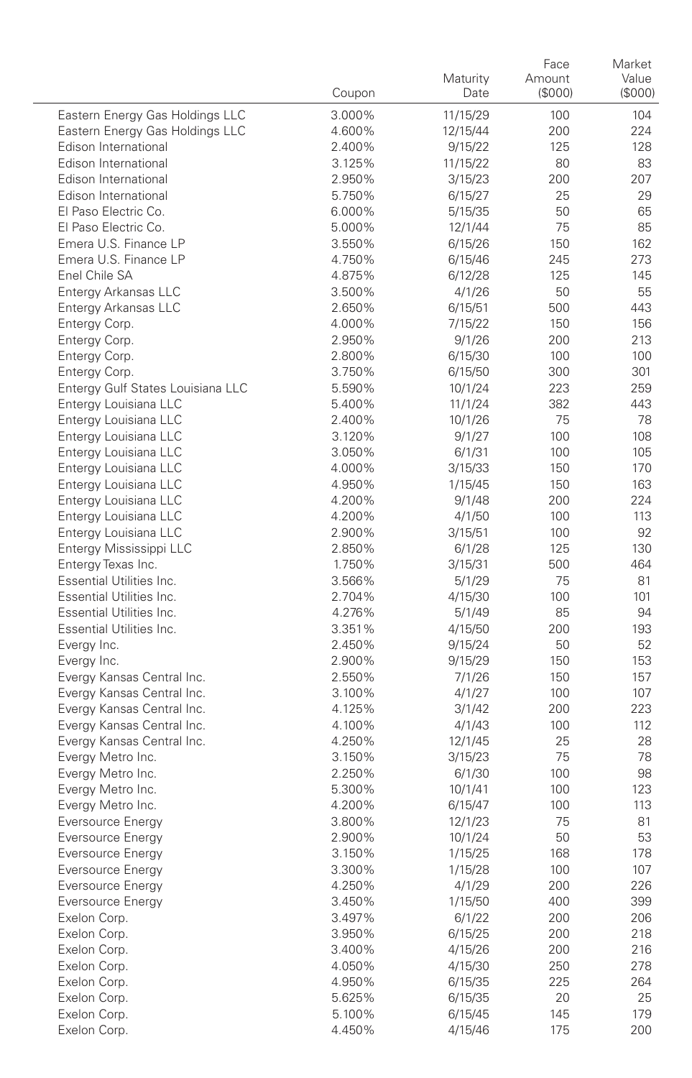|                                   | Coupon           | Maturity<br>Date | Face<br>Amount<br>(\$000) | Market<br>Value<br>(\$000) |
|-----------------------------------|------------------|------------------|---------------------------|----------------------------|
| Eastern Energy Gas Holdings LLC   | 3.000%           | 11/15/29         | 100                       | 104                        |
| Eastern Energy Gas Holdings LLC   | 4.600%           | 12/15/44         | 200                       | 224                        |
| Edison International              | 2.400%           | 9/15/22          | 125                       | 128                        |
| Edison International              | 3.125%           | 11/15/22         | 80                        | 83                         |
| Edison International              | 2.950%           | 3/15/23          | 200                       | 207                        |
| Edison International              | 5.750%           | 6/15/27          | 25                        | 29                         |
| El Paso Electric Co.              | 6.000%           | 5/15/35          | 50                        | 65                         |
| El Paso Electric Co.              | 5.000%           | 12/1/44          | 75                        | 85                         |
| Emera U.S. Finance LP             | 3.550%           | 6/15/26          | 150                       | 162                        |
| Emera U.S. Finance LP             | 4.750%           | 6/15/46          | 245                       | 273                        |
| Enel Chile SA                     | 4.875%           | 6/12/28          | 125                       | 145                        |
| Entergy Arkansas LLC              | 3.500%           | 4/1/26           | 50                        | 55                         |
| Entergy Arkansas LLC              | 2.650%           | 6/15/51          | 500                       | 443                        |
| Entergy Corp.                     | 4.000%           | 7/15/22          | 150                       | 156                        |
| Entergy Corp.                     | 2.950%           | 9/1/26           | 200                       | 213                        |
| Entergy Corp.                     | 2.800%           | 6/15/30          | 100                       | 100                        |
| Entergy Corp.                     | 3.750%           | 6/15/50          | 300                       | 301                        |
| Entergy Gulf States Louisiana LLC | 5.590%           | 10/1/24          | 223                       | 259                        |
| Entergy Louisiana LLC             | 5.400%           | 11/1/24          | 382                       | 443                        |
| Entergy Louisiana LLC             | 2.400%           | 10/1/26          | 75                        | 78                         |
| Entergy Louisiana LLC             | 3.120%           | 9/1/27           | 100                       | 108                        |
| Entergy Louisiana LLC             | 3.050%           | 6/1/31           | 100                       | 105                        |
| Entergy Louisiana LLC             | 4.000%           | 3/15/33          | 150                       | 170                        |
| Entergy Louisiana LLC             | 4.950%           | 1/15/45          | 150                       | 163                        |
| Entergy Louisiana LLC             | 4.200%           | 9/1/48           | 200                       | 224                        |
| Entergy Louisiana LLC             | 4.200%           | 4/1/50           | 100                       | 113                        |
| Entergy Louisiana LLC             | 2.900%           | 3/15/51          | 100                       | 92                         |
| Entergy Mississippi LLC           | 2.850%           | 6/1/28           | 125                       | 130                        |
| Entergy Texas Inc.                | 1.750%           | 3/15/31          | 500                       | 464                        |
| Essential Utilities Inc.          | 3.566%           | 5/1/29           | 75                        | 81                         |
| Essential Utilities Inc.          | 2.704%           | 4/15/30          | 100                       | 101                        |
| Essential Utilities Inc.          | 4.276%           | 5/1/49           | 85                        | 94                         |
| Essential Utilities Inc.          | 3.351%           | 4/15/50          | 200                       | 193                        |
| Evergy Inc.                       | 2.450%           | 9/15/24          | 50                        | 52                         |
| Evergy Inc.                       | 2.900%           | 9/15/29          | 150                       | 153                        |
| Evergy Kansas Central Inc.        | 2.550%           | 7/1/26           | 150                       | 157                        |
| Evergy Kansas Central Inc.        | 3.100%           | 4/1/27           | 100                       | 107                        |
| Evergy Kansas Central Inc.        | 4.125%           | 3/1/42           | 200                       | 223                        |
| Evergy Kansas Central Inc.        | 4.100%           | 4/1/43           | 100                       | 112                        |
| Evergy Kansas Central Inc.        | 4.250%           | 12/1/45          | 25                        | 28                         |
| Evergy Metro Inc.                 | 3.150%           | 3/15/23          | 75                        | 78                         |
| Evergy Metro Inc.                 | 2.250%           | 6/1/30           | 100                       | 98                         |
| Evergy Metro Inc.                 | 5.300%           | 10/1/41          | 100                       | 123                        |
| Evergy Metro Inc.                 | 4.200%           | 6/15/47          | 100                       | 113                        |
| Eversource Energy                 | 3.800%           | 12/1/23          | 75                        | 81                         |
| Eversource Energy                 | 2.900%           | 10/1/24          | 50                        | 53                         |
| Eversource Energy                 | 3.150%           | 1/15/25          | 168                       | $178\,$                    |
| Eversource Energy                 | 3.300%           | 1/15/28          | 100                       | 107                        |
| Eversource Energy                 | 4.250%           | 4/1/29           | 200                       | 226                        |
| <b>Eversource Energy</b>          | 3.450%           | 1/15/50          | 400                       | 399                        |
| Exelon Corp.                      | 3.497%           | 6/1/22           | 200                       | 206                        |
| Exelon Corp.                      | 3.950%           | 6/15/25          | 200                       | 218                        |
| Exelon Corp.                      | 3.400%           | 4/15/26          | 200                       | 216                        |
| Exelon Corp.                      | 4.050%<br>4.950% | 4/15/30          | 250                       | 278                        |
| Exelon Corp.                      |                  | 6/15/35          | 225                       | 264                        |
| Exelon Corp.                      | 5.625%           | 6/15/35          | 20                        | 25                         |
| Exelon Corp.                      | 5.100%           | 6/15/45          | 145                       | 179                        |
| Exelon Corp.                      | 4.450%           | 4/15/46          | 175                       | 200                        |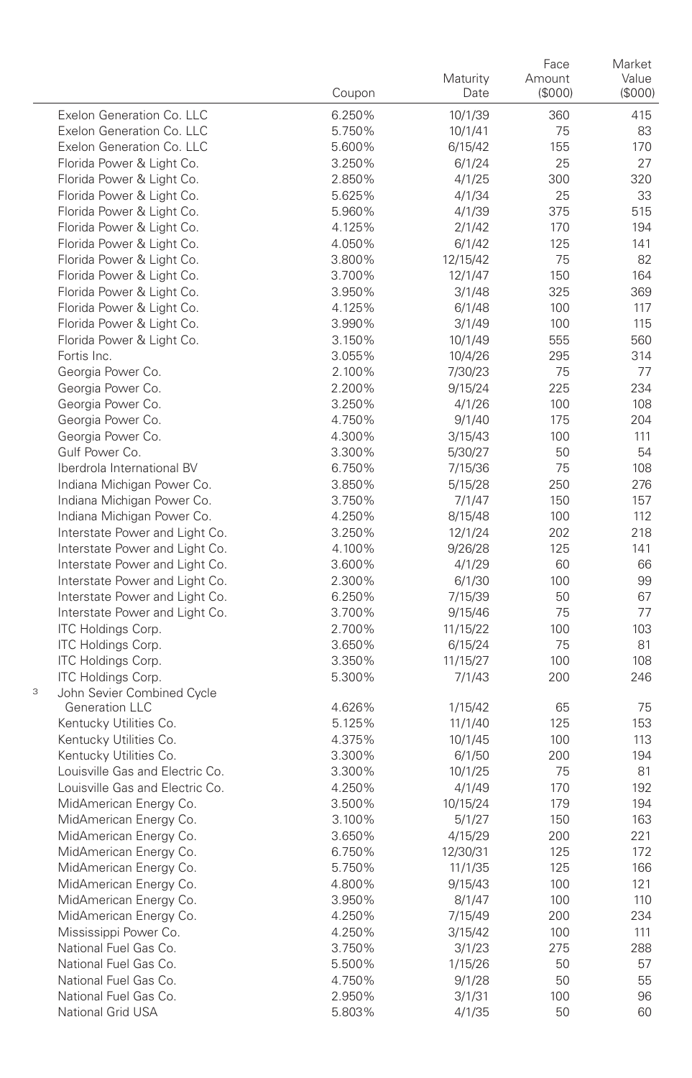|   |                                                          | Coupon           | Maturity<br>Date  | Face<br>Amount<br>(\$000) | Market<br>Value<br>(S000) |
|---|----------------------------------------------------------|------------------|-------------------|---------------------------|---------------------------|
|   | Exelon Generation Co. LLC                                | 6.250%           | 10/1/39           | 360                       | 415                       |
|   | Exelon Generation Co. LLC                                | 5.750%           | 10/1/41           | 75                        | 83                        |
|   | Exelon Generation Co. LLC                                | 5.600%           | 6/15/42           | 155                       | 170                       |
|   | Florida Power & Light Co.                                | 3.250%           | 6/1/24            | 25                        | 27                        |
|   | Florida Power & Light Co.                                | 2.850%           | 4/1/25            | 300                       | 320                       |
|   | Florida Power & Light Co.                                | 5.625%           | 4/1/34            | 25                        | 33                        |
|   | Florida Power & Light Co.                                | 5.960%           | 4/1/39            | 375                       | 515                       |
|   | Florida Power & Light Co.                                | 4.125%           | 2/1/42            | 170                       | 194                       |
|   | Florida Power & Light Co.                                | 4.050%           | 6/1/42            | 125                       | 141                       |
|   | Florida Power & Light Co.                                | 3.800%           | 12/15/42          | 75                        | 82                        |
|   | Florida Power & Light Co.                                | 3.700%           | 12/1/47           | 150                       | 164                       |
|   | Florida Power & Light Co.                                | 3.950%           | 3/1/48            | 325                       | 369                       |
|   | Florida Power & Light Co.                                | 4.125%           | 6/1/48            | 100                       | 117                       |
|   | Florida Power & Light Co.                                | 3.990%           | 3/1/49            | 100                       | 115                       |
|   | Florida Power & Light Co.                                | 3.150%           | 10/1/49           | 555                       | 560                       |
|   | Fortis Inc.                                              | 3.055%           | 10/4/26           | 295                       | 314                       |
|   | Georgia Power Co.                                        | 2.100%           | 7/30/23           | 75                        | 77                        |
|   | Georgia Power Co.                                        | 2.200%           | 9/15/24           | 225                       | 234                       |
|   | Georgia Power Co.                                        | 3.250%           | 4/1/26            | 100                       | 108                       |
|   | Georgia Power Co.                                        | 4.750%           | 9/1/40            | 175                       | 204                       |
|   | Georgia Power Co.                                        | 4.300%           | 3/15/43           | 100                       | 111                       |
|   | Gulf Power Co.<br>Iberdrola International BV             | 3.300%           | 5/30/27           | 50                        | 54                        |
|   |                                                          | 6.750%<br>3.850% | 7/15/36           | 75                        | 108<br>276                |
|   | Indiana Michigan Power Co.<br>Indiana Michigan Power Co. | 3.750%           | 5/15/28<br>7/1/47 | 250<br>150                | 157                       |
|   | Indiana Michigan Power Co.                               | 4.250%           | 8/15/48           | 100                       | 112                       |
|   | Interstate Power and Light Co.                           | 3.250%           | 12/1/24           | 202                       | 218                       |
|   | Interstate Power and Light Co.                           | 4.100%           | 9/26/28           | 125                       | 141                       |
|   | Interstate Power and Light Co.                           | 3.600%           | 4/1/29            | 60                        | 66                        |
|   | Interstate Power and Light Co.                           | 2.300%           | 6/1/30            | 100                       | 99                        |
|   | Interstate Power and Light Co.                           | 6.250%           | 7/15/39           | 50                        | 67                        |
|   | Interstate Power and Light Co.                           | 3.700%           | 9/15/46           | 75                        | 77                        |
|   | <b>ITC Holdings Corp.</b>                                | 2.700%           | 11/15/22          | 100                       | 103                       |
|   | <b>ITC Holdings Corp.</b>                                | 3.650%           | 6/15/24           | 75                        | 81                        |
|   | ITC Holdings Corp.                                       | 3.350%           | 11/15/27          | 100                       | 108                       |
|   | ITC Holdings Corp.                                       | 5.300%           | 7/1/43            | 200                       | 246                       |
| 3 | John Sevier Combined Cycle                               |                  |                   |                           |                           |
|   | Generation LLC                                           | 4.626%           | 1/15/42           | 65                        | 75                        |
|   | Kentucky Utilities Co.                                   | 5.125%           | 11/1/40           | 125                       | 153                       |
|   | Kentucky Utilities Co.                                   | 4.375%           | 10/1/45           | 100                       | 113                       |
|   | Kentucky Utilities Co.                                   | 3.300%           | 6/1/50            | 200                       | 194                       |
|   | Louisville Gas and Electric Co.                          | 3.300%           | 10/1/25           | 75                        | 81                        |
|   | Louisville Gas and Electric Co.                          | 4.250%           | 4/1/49            | 170                       | 192                       |
|   | MidAmerican Energy Co.                                   | 3.500%           | 10/15/24          | 179                       | 194                       |
|   | MidAmerican Energy Co.                                   | 3.100%           | 5/1/27            | 150                       | 163                       |
|   | MidAmerican Energy Co.                                   | 3.650%           | 4/15/29           | 200                       | 221                       |
|   | MidAmerican Energy Co.                                   | 6.750%           | 12/30/31          | 125                       | 172                       |
|   | MidAmerican Energy Co.                                   | 5.750%           | 11/1/35           | 125                       | 166                       |
|   | MidAmerican Energy Co.                                   | 4.800%           | 9/15/43           | 100                       | 121                       |
|   | MidAmerican Energy Co.                                   | 3.950%           | 8/1/47            | 100                       | 110                       |
|   | MidAmerican Energy Co.                                   | 4.250%           | 7/15/49           | 200                       | 234                       |
|   | Mississippi Power Co.<br>National Fuel Gas Co.           | 4.250%<br>3.750% | 3/15/42<br>3/1/23 | 100<br>275                | 111<br>288                |
|   | National Fuel Gas Co.                                    | 5.500%           | 1/15/26           | 50                        | 57                        |
|   | National Fuel Gas Co.                                    | 4.750%           | 9/1/28            | 50                        | 55                        |
|   | National Fuel Gas Co.                                    | 2.950%           | 3/1/31            | 100                       | 96                        |
|   | National Grid USA                                        | 5.803%           | 4/1/35            | 50                        | 60                        |
|   |                                                          |                  |                   |                           |                           |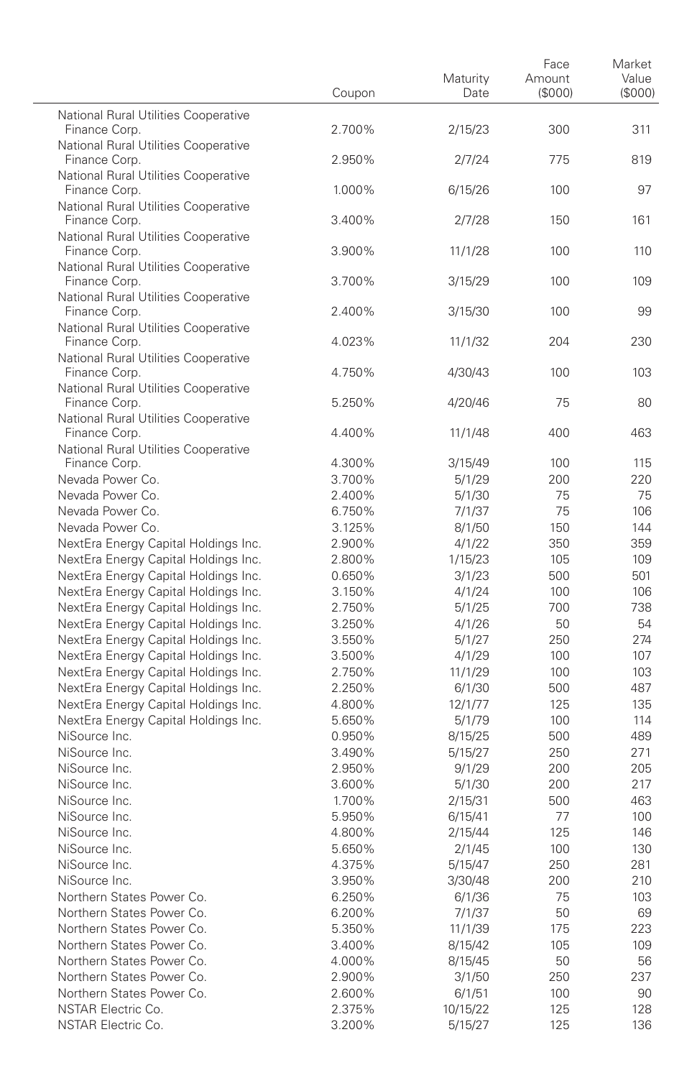|                                                                              | Coupon           | Maturity<br>Date  | Face<br>Amount<br>$($ \$000) | Market<br>Value<br>$($ \$000 $)$ |
|------------------------------------------------------------------------------|------------------|-------------------|------------------------------|----------------------------------|
| National Rural Utilities Cooperative<br>Finance Corp.                        | 2.700%           | 2/15/23           | 300                          | 311                              |
| National Rural Utilities Cooperative<br>Finance Corp.                        | 2.950%           | 2/7/24            | 775                          | 819                              |
| National Rural Utilities Cooperative<br>Finance Corp.                        | 1.000%           | 6/15/26           | 100                          | 97                               |
| National Rural Utilities Cooperative<br>Finance Corp.                        | 3.400%           | 2/7/28            | 150                          | 161                              |
| National Rural Utilities Cooperative<br>Finance Corp.                        | 3.900%           | 11/1/28           | 100                          | 110                              |
| National Rural Utilities Cooperative<br>Finance Corp.                        | 3.700%           | 3/15/29           | 100                          | 109                              |
| National Rural Utilities Cooperative<br>Finance Corp.                        | 2.400%           | 3/15/30           | 100                          | 99                               |
| National Rural Utilities Cooperative<br>Finance Corp.                        | 4.023%           | 11/1/32           | 204                          | 230                              |
| National Rural Utilities Cooperative<br>Finance Corp.                        | 4.750%           | 4/30/43           | 100                          | 103                              |
| National Rural Utilities Cooperative<br>Finance Corp.                        | 5.250%           | 4/20/46           | 75                           | 80                               |
| National Rural Utilities Cooperative<br>Finance Corp.                        | 4.400%           | 11/1/48           | 400                          | 463                              |
| National Rural Utilities Cooperative<br>Finance Corp.                        | 4.300%           | 3/15/49           | 100                          | 115                              |
| Nevada Power Co.                                                             | 3.700%           | 5/1/29            | 200                          | 220                              |
| Nevada Power Co.                                                             | 2.400%           | 5/1/30            | 75                           | 75                               |
| Nevada Power Co.                                                             | 6.750%           | 7/1/37            | 75                           | 106                              |
| Nevada Power Co.                                                             | 3.125%           | 8/1/50            | 150                          | 144                              |
| NextEra Energy Capital Holdings Inc.                                         | 2.900%<br>2.800% | 4/1/22<br>1/15/23 | 350<br>105                   | 359<br>109                       |
| NextEra Energy Capital Holdings Inc.<br>NextEra Energy Capital Holdings Inc. | 0.650%           | 3/1/23            | 500                          | 501                              |
| NextEra Energy Capital Holdings Inc.                                         | 3.150%           | 4/1/24            | 100                          | 106                              |
| NextEra Energy Capital Holdings Inc.                                         | 2.750%           | 5/1/25            | 700                          | 738                              |
| NextEra Energy Capital Holdings Inc.                                         | 3.250%           | 4/1/26            | 50                           | 54                               |
| NextEra Energy Capital Holdings Inc.                                         | 3.550%           | 5/1/27            | 250                          | 274                              |
| NextEra Energy Capital Holdings Inc.                                         | 3.500%           | 4/1/29            | 100                          | 107                              |
| NextEra Energy Capital Holdings Inc.                                         | 2.750%           | 11/1/29           | 100                          | 103                              |
| NextEra Energy Capital Holdings Inc.                                         | 2.250%           | 6/1/30            | 500                          | 487                              |
| NextEra Energy Capital Holdings Inc.                                         | 4.800%           | 12/1/77           | 125                          | 135                              |
| NextEra Energy Capital Holdings Inc.                                         | 5.650%           | 5/1/79            | 100                          | 114                              |
| NiSource Inc.                                                                | 0.950%           | 8/15/25           | 500                          | 489                              |
| NiSource Inc.                                                                | 3.490%           | 5/15/27           | 250                          | 271                              |
| NiSource Inc.                                                                | 2.950%           | 9/1/29            | 200                          | 205                              |
| NiSource Inc.                                                                | 3.600%           | 5/1/30            | 200                          | 217                              |
| NiSource Inc.                                                                | 1.700%           | 2/15/31           | 500                          | 463                              |
| NiSource Inc.                                                                | 5.950%           | 6/15/41           | 77                           | 100                              |
| NiSource Inc.                                                                | 4.800%           | 2/15/44           | 125                          | 146                              |
| NiSource Inc.                                                                | 5.650%           | 2/1/45            | 100                          | 130                              |
| NiSource Inc.                                                                | 4.375%           | 5/15/4/           | 250                          | 281                              |
| NiSource Inc.                                                                | 3.950%           | 3/30/48           | 200                          | 210                              |
| Northern States Power Co.<br>Northern States Power Co.                       | 6.250%           | 6/1/36            | 75                           | 103                              |
| Northern States Power Co.                                                    | 6.200%<br>5.350% | 7/1/37<br>11/1/39 | 50<br>175                    | 69<br>223                        |
| Northern States Power Co.                                                    | 3.400%           | 8/15/42           | 105                          | 109                              |
| Northern States Power Co.                                                    | 4.000%           | 8/15/45           | 50                           | 56                               |
| Northern States Power Co.                                                    | 2.900%           | 3/1/50            | 250                          | 237                              |
| Northern States Power Co.                                                    | 2.600%           | 6/1/51            | 100                          | 90                               |
| NSTAR Electric Co.                                                           | 2.375%           | 10/15/22          | 125                          | 128                              |
| NSTAR Electric Co.                                                           | 3.200%           | 5/15/27           | 125                          | 136                              |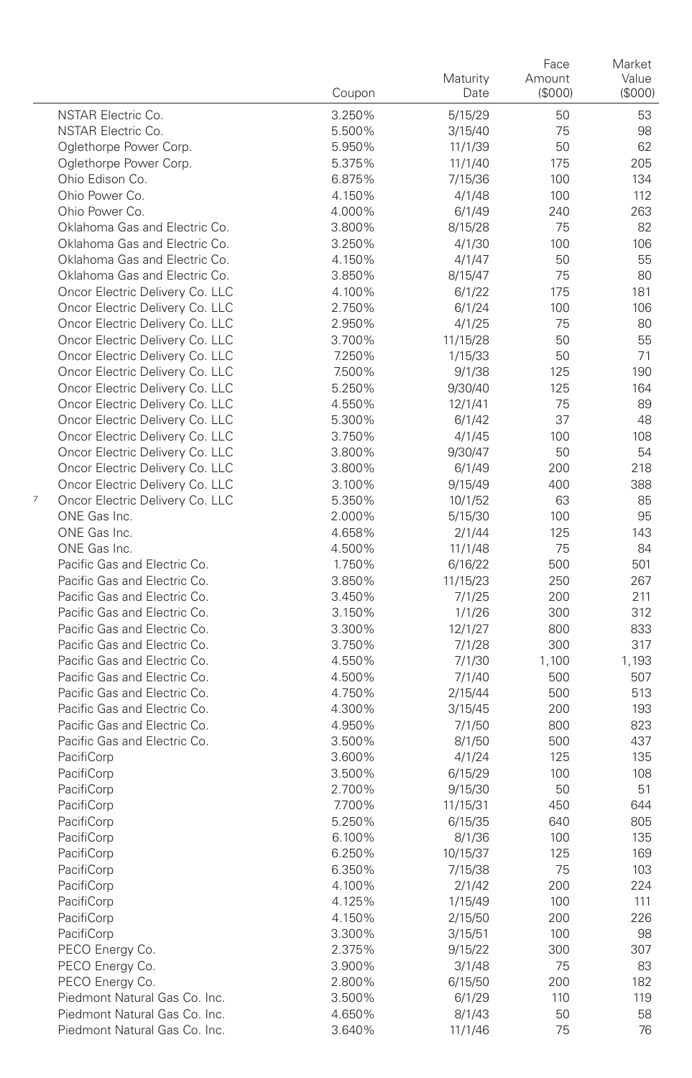|                                                                         | Coupon           | Maturity<br>Date   | Face<br>Amount<br>(\$000) | Market<br>Value<br>(\$000) |
|-------------------------------------------------------------------------|------------------|--------------------|---------------------------|----------------------------|
| <b>NSTAR Electric Co.</b>                                               | 3.250%           | 5/15/29            | 50                        | 53                         |
| NSTAR Electric Co.                                                      | 5.500%           | 3/15/40            | 75                        | 98                         |
| Oglethorpe Power Corp.                                                  | 5.950%           | 11/1/39            | 50                        | 62                         |
| Oglethorpe Power Corp.                                                  | 5.375%           | 11/1/40            | 175                       | 205                        |
| Ohio Edison Co.                                                         | 6.875%           | 7/15/36            | 100                       | 134                        |
| Ohio Power Co.                                                          | 4.150%           | 4/1/48             | 100                       | 112                        |
| Ohio Power Co.                                                          | 4.000%           | 6/1/49             | 240                       | 263                        |
| Oklahoma Gas and Electric Co.                                           | 3.800%           | 8/15/28            | 75                        | 82                         |
| Oklahoma Gas and Electric Co.                                           | 3.250%           | 4/1/30             | 100                       | 106                        |
| Oklahoma Gas and Electric Co.                                           | 4.150%           | 4/1/47             | 50                        | 55                         |
| Oklahoma Gas and Electric Co.                                           | 3.850%           | 8/15/47            | 75                        | 80                         |
| Oncor Electric Delivery Co. LLC                                         | 4.100%           | 6/1/22             | 175                       | 181                        |
| Oncor Electric Delivery Co. LLC                                         | 2.750%           | 6/1/24             | 100                       | 106                        |
| Oncor Electric Delivery Co. LLC                                         | 2.950%           | 4/1/25             | 75                        | 80                         |
| Oncor Electric Delivery Co. LLC                                         | 3.700%           | 11/15/28           | 50                        | 55                         |
| Oncor Electric Delivery Co. LLC                                         | 7.250%           | 1/15/33            | 50                        | 71                         |
| Oncor Electric Delivery Co. LLC                                         | 7.500%           | 9/1/38             | 125                       | 190                        |
| Oncor Electric Delivery Co. LLC                                         | 5.250%           | 9/30/40            | 125                       | 164                        |
| Oncor Electric Delivery Co. LLC                                         | 4.550%           | 12/1/41            | 75                        | 89                         |
| Oncor Electric Delivery Co. LLC                                         | 5.300%           | 6/1/42             | 37                        | 48                         |
| Oncor Electric Delivery Co. LLC                                         | 3.750%           | 4/1/45             | 100                       | 108                        |
| Oncor Electric Delivery Co. LLC                                         | 3.800%           | 9/30/47            | 50                        | 54                         |
| Oncor Electric Delivery Co. LLC                                         | 3.800%           | 6/1/49             | 200                       | 218                        |
| Oncor Electric Delivery Co. LLC<br>7<br>Oncor Electric Delivery Co. LLC | 3.100%           | 9/15/49            | 400                       | 388                        |
| ONE Gas Inc.                                                            | 5.350%           | 10/1/52            | 63<br>100                 | 85<br>95                   |
| ONE Gas Inc.                                                            | 2.000%<br>4.658% | 5/15/30            | 125                       | 143                        |
| ONE Gas Inc.                                                            | 4.500%           | 2/1/44             | 75                        | 84                         |
| Pacific Gas and Electric Co.                                            | 1.750%           | 11/1/48<br>6/16/22 | 500                       | 501                        |
| Pacific Gas and Electric Co.                                            | 3.850%           | 11/15/23           | 250                       | 267                        |
| Pacific Gas and Electric Co.                                            | 3.450%           | 7/1/25             | 200                       | 211                        |
| Pacific Gas and Electric Co.                                            | 3.150%           | 1/1/26             | 300                       | 312                        |
| Pacific Gas and Electric Co.                                            | 3.300%           | 12/1/27            | 800                       | 833                        |
| Pacific Gas and Electric Co.                                            | 3.750%           | 7/1/28             | 300                       | 317                        |
| Pacific Gas and Electric Co.                                            | 4.550%           | 7/1/30             | 1,100                     | 1,193                      |
| Pacific Gas and Electric Co.                                            | 4.500%           | 7/1/40             | 500                       | 507                        |
| Pacific Gas and Electric Co.                                            | 4.750%           | 2/15/44            | 500                       | 513                        |
| Pacific Gas and Electric Co.                                            | 4.300%           | 3/15/45            | 200                       | 193                        |
| Pacific Gas and Electric Co.                                            | 4.950%           | 7/1/50             | 800                       | 823                        |
| Pacific Gas and Electric Co.                                            | 3.500%           | 8/1/50             | 500                       | 437                        |
| PacifiCorp                                                              | 3.600%           | 4/1/24             | 125                       | 135                        |
| PacifiCorp                                                              | 3.500%           | 6/15/29            | 100                       | 108                        |
| PacifiCorp                                                              | 2.700%           | 9/15/30            | 50                        | 51                         |
| PacifiCorp                                                              | 7.700%           | 11/15/31           | 450                       | 644                        |
| PacifiCorp                                                              | 5.250%           | 6/15/35            | 640                       | 805                        |
| PacifiCorp                                                              | 6.100%           | 8/1/36             | 100                       | 135                        |
| PacifiCorp                                                              | 6.250%           | 10/15/37           | 125                       | 169                        |
| PacifiCorp                                                              | 6.350%           | 7/15/38            | 75                        | 103                        |
| PacifiCorp                                                              | 4.100%           | 2/1/42             | 200                       | 224                        |
| PacifiCorp                                                              | 4.125%           | 1/15/49            | 100                       | 111                        |
| PacifiCorp                                                              | 4.150%           | 2/15/50            | 200                       | 226                        |
| PacifiCorp                                                              | 3.300%           | 3/15/51            | 100                       | 98                         |
| PECO Energy Co.                                                         | 2.375%           | 9/15/22            | 300                       | 307                        |
| PECO Energy Co.                                                         | 3.900%           | 3/1/48             | 75                        | 83                         |
| PECO Energy Co.                                                         | 2.800%           | 6/15/50            | 200                       | 182                        |
| Piedmont Natural Gas Co. Inc.                                           | 3.500%           | 6/1/29             | 110                       | 119                        |
| Piedmont Natural Gas Co. Inc.                                           | 4.650%           | 8/1/43             | 50                        | 58                         |
| Piedmont Natural Gas Co. Inc.                                           | 3.640%           | 11/1/46            | 75                        | 76                         |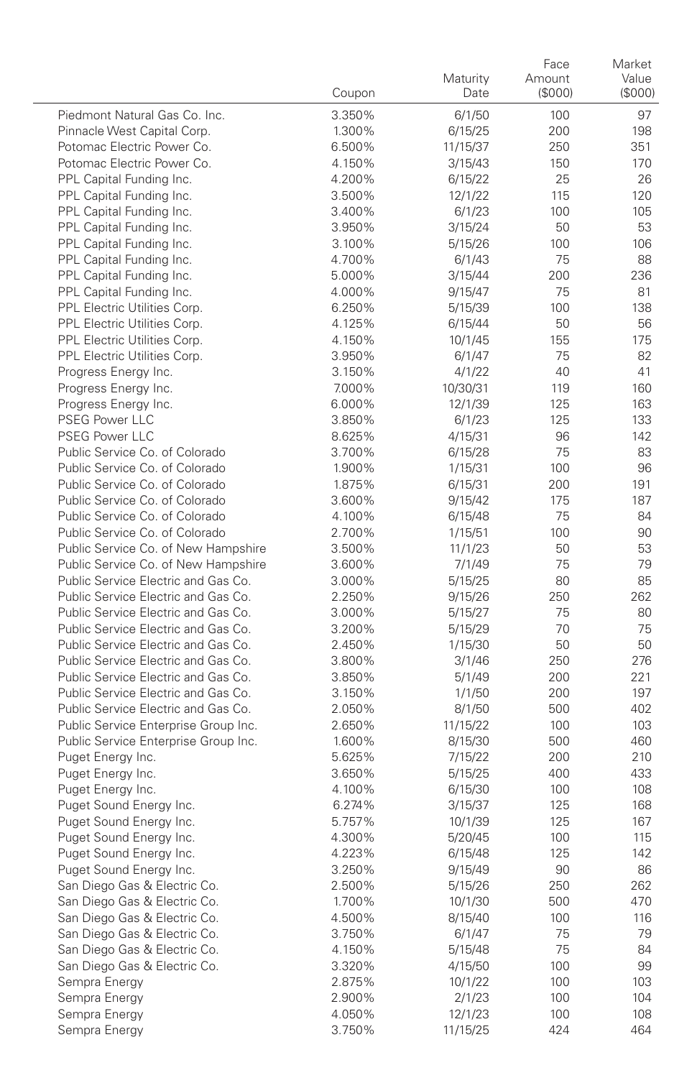|                                                                            | Coupon           | Maturity<br>Date   | Face<br>Amount<br>(\$000) | Market<br>Value<br>(\$000) |
|----------------------------------------------------------------------------|------------------|--------------------|---------------------------|----------------------------|
| Piedmont Natural Gas Co. Inc.                                              | 3.350%           | 6/1/50             | 100                       | 97                         |
| Pinnacle West Capital Corp.                                                | 1.300%           | 6/15/25            | 200                       | 198                        |
| Potomac Electric Power Co.                                                 | 6.500%           | 11/15/37           | 250                       | 351                        |
| Potomac Electric Power Co.                                                 | 4.150%           | 3/15/43            | 150                       | 170                        |
| PPL Capital Funding Inc.                                                   | 4.200%           | 6/15/22            | 25                        | 26                         |
| PPL Capital Funding Inc.                                                   | 3.500%           | 12/1/22            | 115                       | 120                        |
| PPL Capital Funding Inc.                                                   | 3.400%           | 6/1/23             | 100                       | 105                        |
| PPL Capital Funding Inc.                                                   | 3.950%           | 3/15/24            | 50                        | 53                         |
| PPL Capital Funding Inc.                                                   | 3.100%           | 5/15/26            | 100                       | 106                        |
| PPL Capital Funding Inc.                                                   | 4.700%           | 6/1/43             | 75                        | 88                         |
| PPL Capital Funding Inc.                                                   | 5.000%           | 3/15/44            | 200                       | 236                        |
| PPL Capital Funding Inc.                                                   | 4.000%           | 9/15/47            | 75                        | 81                         |
| PPL Electric Utilities Corp.                                               | 6.250%           | 5/15/39            | 100                       | 138                        |
| PPL Electric Utilities Corp.                                               | 4.125%           | 6/15/44            | 50                        | 56                         |
| PPL Electric Utilities Corp.<br>PPL Electric Utilities Corp.               | 4.150%<br>3.950% | 10/1/45            | 155<br>75                 | 175<br>82                  |
| Progress Energy Inc.                                                       | 3.150%           | 6/1/47<br>4/1/22   | 40                        | 41                         |
| Progress Energy Inc.                                                       | 7.000%           | 10/30/31           | 119                       | 160                        |
| Progress Energy Inc.                                                       | 6.000%           | 12/1/39            | 125                       | 163                        |
| <b>PSEG Power LLC</b>                                                      | 3.850%           | 6/1/23             | 125                       | 133                        |
| <b>PSEG Power LLC</b>                                                      | 8.625%           | 4/15/31            | 96                        | 142                        |
| Public Service Co. of Colorado                                             | 3.700%           | 6/15/28            | 75                        | 83                         |
| Public Service Co. of Colorado                                             | 1.900%           | 1/15/31            | 100                       | 96                         |
| Public Service Co. of Colorado                                             | 1.875%           | 6/15/31            | 200                       | 191                        |
| Public Service Co. of Colorado                                             | 3.600%           | 9/15/42            | 175                       | 187                        |
| Public Service Co. of Colorado                                             | 4.100%           | 6/15/48            | 75                        | 84                         |
| Public Service Co. of Colorado                                             | 2.700%           | 1/15/51            | 100                       | 90                         |
| Public Service Co. of New Hampshire                                        | 3.500%           | 11/1/23            | 50                        | 53                         |
| Public Service Co. of New Hampshire                                        | 3.600%           | 7/1/49             | 75                        | 79                         |
| Public Service Electric and Gas Co.                                        | 3.000%           | 5/15/25            | 80                        | 85                         |
| Public Service Electric and Gas Co.                                        | 2.250%           | 9/15/26            | 250                       | 262                        |
| Public Service Electric and Gas Co.                                        | 3.000%           | 5/15/27            | 75                        | 80                         |
| Public Service Electric and Gas Co.<br>Public Service Electric and Gas Co. | 3.200%           | 5/15/29            | 70                        | 75                         |
| Public Service Electric and Gas Co.                                        | 2.450%<br>3.800% | 1/15/30            | 50<br>250                 | 50<br>276                  |
| Public Service Electric and Gas Co.                                        | 3.850%           | 3/1/46<br>5/1/49   | 200                       | 221                        |
| Public Service Electric and Gas Co.                                        | 3.150%           | 1/1/50             | 200                       | 197                        |
| Public Service Electric and Gas Co.                                        | 2.050%           | 8/1/50             | 500                       | 402                        |
| Public Service Enterprise Group Inc.                                       | 2.650%           | 11/15/22           | 100                       | 103                        |
| Public Service Enterprise Group Inc.                                       | 1.600%           | 8/15/30            | 500                       | 460                        |
| Puget Energy Inc.                                                          | 5.625%           | 7/15/22            | 200                       | 210                        |
| Puget Energy Inc.                                                          | 3.650%           | 5/15/25            | 400                       | 433                        |
| Puget Energy Inc.                                                          | 4.100%           | 6/15/30            | 100                       | 108                        |
| Puget Sound Energy Inc.                                                    | 6.274%           | 3/15/37            | 125                       | 168                        |
| Puget Sound Energy Inc.                                                    | 5.757%           | 10/1/39            | 125                       | 167                        |
| Puget Sound Energy Inc.                                                    | 4.300%           | 5/20/45            | 100                       | 115                        |
| Puget Sound Energy Inc.                                                    | 4.223%           | 6/15/48            | 125                       | 142                        |
| Puget Sound Energy Inc.                                                    | 3.250%           | 9/15/49            | 90                        | 86                         |
| San Diego Gas & Electric Co.                                               | 2.500%           | 5/15/26            | 250                       | 262                        |
| San Diego Gas & Electric Co.                                               | 1.700%           | 10/1/30            | 500                       | 470                        |
| San Diego Gas & Electric Co.                                               | 4.500%           | 8/15/40            | 100                       | 116                        |
| San Diego Gas & Electric Co.                                               | 3.750%           | 6/1/47             | 75                        | 79                         |
| San Diego Gas & Electric Co.                                               | 4.150%           | 5/15/48            | 75                        | 84                         |
| San Diego Gas & Electric Co.<br>Sempra Energy                              | 3.320%<br>2.875% | 4/15/50<br>10/1/22 | 100<br>100                | 99<br>103                  |
| Sempra Energy                                                              | 2.900%           | 2/1/23             | 100                       | 104                        |
| Sempra Energy                                                              | 4.050%           | 12/1/23            | 100                       | 108                        |
| Sempra Energy                                                              | 3.750%           | 11/15/25           | 424                       | 464                        |
|                                                                            |                  |                    |                           |                            |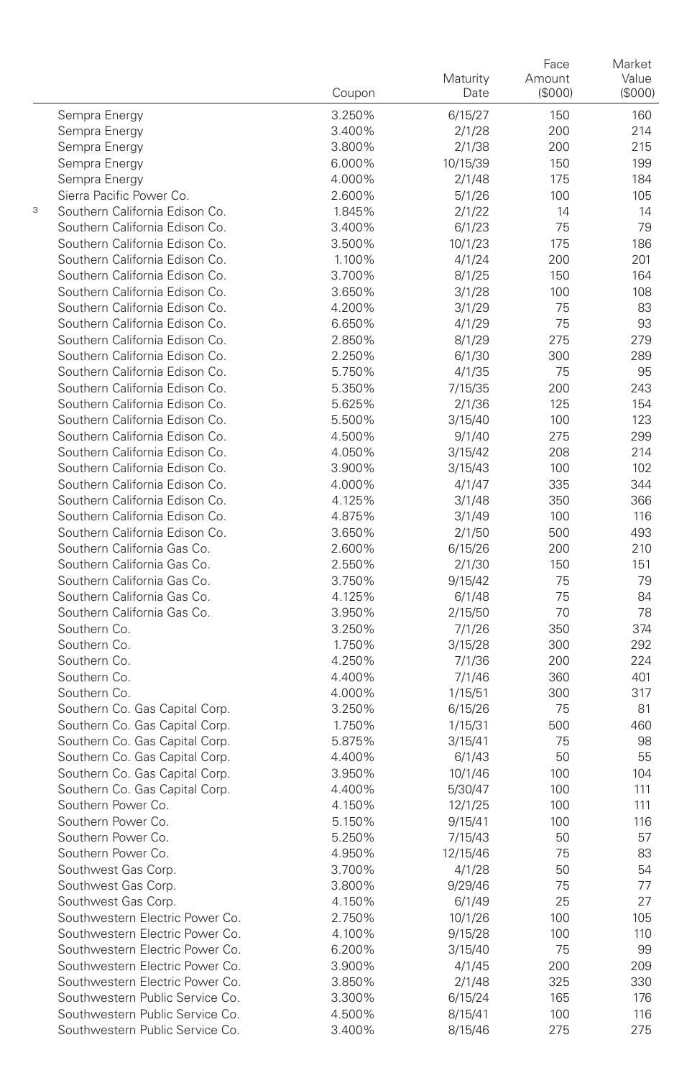|   |                                 | Coupon           | Maturity<br>Date   | Face<br>Amount<br>(\$000) | Market<br>Value<br>(\$000) |
|---|---------------------------------|------------------|--------------------|---------------------------|----------------------------|
|   | Sempra Energy                   | 3.250%           | 6/15/27            | 150                       | 160                        |
|   | Sempra Energy                   | 3.400%           | 2/1/28             | 200                       | 214                        |
|   | Sempra Energy                   | 3.800%           | 2/1/38             | 200                       | 215                        |
|   | Sempra Energy                   | 6.000%           | 10/15/39           | 150                       | 199                        |
|   | Sempra Energy                   | 4.000%           | 2/1/48             | 175                       | 184                        |
|   | Sierra Pacific Power Co.        | 2.600%           | 5/1/26             | 100                       | 105                        |
| 3 | Southern California Edison Co.  | 1.845%           | 2/1/22             | 14                        | 14                         |
|   | Southern California Edison Co.  | 3.400%           | 6/1/23             | 75                        | 79                         |
|   | Southern California Edison Co.  | 3.500%           | 10/1/23            | 175                       | 186                        |
|   | Southern California Edison Co.  | 1.100%           | 4/1/24             | 200                       | 201                        |
|   | Southern California Edison Co.  | 3.700%           | 8/1/25             | 150                       | 164                        |
|   | Southern California Edison Co.  | 3.650%           | 3/1/28             | 100                       | 108                        |
|   | Southern California Edison Co.  | 4.200%           | 3/1/29             | 75                        | 83                         |
|   | Southern California Edison Co.  | 6.650%           | 4/1/29             | 75                        | 93                         |
|   | Southern California Edison Co.  | 2.850%           | 8/1/29             | 275                       | 279                        |
|   | Southern California Edison Co.  | 2.250%           | 6/1/30             | 300                       | 289                        |
|   | Southern California Edison Co.  | 5.750%           | 4/1/35             | 75                        | 95                         |
|   | Southern California Edison Co.  | 5.350%           | 7/15/35            | 200                       | 243                        |
|   | Southern California Edison Co.  | 5.625%           | 2/1/36             | 125                       | 154                        |
|   | Southern California Edison Co.  | 5.500%           | 3/15/40            | 100                       | 123                        |
|   | Southern California Edison Co.  | 4.500%           | 9/1/40             | 275                       | 299                        |
|   | Southern California Edison Co.  | 4.050%           | 3/15/42            | 208                       | 214                        |
|   | Southern California Edison Co.  | 3.900%           | 3/15/43            | 100                       | 102                        |
|   | Southern California Edison Co.  | 4.000%           | 4/1/47             | 335                       | 344                        |
|   | Southern California Edison Co.  | 4.125%           | 3/1/48             | 350                       | 366                        |
|   | Southern California Edison Co.  | 4.875%           | 3/1/49             | 100                       | 116                        |
|   | Southern California Edison Co.  | 3.650%           | 2/1/50             | 500                       | 493                        |
|   | Southern California Gas Co.     | 2.600%           | 6/15/26            | 200                       | 210                        |
|   | Southern California Gas Co.     | 2.550%           | 2/1/30             | 150                       | 151                        |
|   | Southern California Gas Co.     | 3.750%           | 9/15/42            | 75                        | 79                         |
|   | Southern California Gas Co.     | 4.125%           | 6/1/48             | 75                        | 84                         |
|   | Southern California Gas Co.     | 3.950%           | 2/15/50            | 70                        | 78                         |
|   | Southern Co.                    | 3.250%           | 7/1/26             | 350                       | 374                        |
|   | Southern Co.                    | 1.750%           | 3/15/28            | 300                       | 292                        |
|   | Southern Co.<br>Southern Co.    | 4.250%<br>4.400% | 7/1/36             | 200<br>360                | 224<br>401                 |
|   | Southern Co.                    | 4.000%           | 7/1/46             | 300                       |                            |
|   | Southern Co. Gas Capital Corp.  | 3.250%           | 1/15/51            | 75                        | 317<br>81                  |
|   | Southern Co. Gas Capital Corp.  | 1.750%           | 6/15/26<br>1/15/31 | 500                       | 460                        |
|   | Southern Co. Gas Capital Corp.  | 5.875%           | 3/15/41            | 75                        | 98                         |
|   | Southern Co. Gas Capital Corp.  | 4.400%           | 6/1/43             | 50                        | 55                         |
|   | Southern Co. Gas Capital Corp.  | 3.950%           | 10/1/46            | 100                       | 104                        |
|   | Southern Co. Gas Capital Corp.  | 4.400%           | 5/30/47            | 100                       | 111                        |
|   | Southern Power Co.              | 4.150%           | 12/1/25            | 100                       | 111                        |
|   | Southern Power Co.              | 5.150%           | 9/15/41            | 100                       | 116                        |
|   | Southern Power Co.              | 5.250%           | 7/15/43            | 50                        | 57                         |
|   | Southern Power Co.              | 4.950%           | 12/15/46           | 75                        | 83                         |
|   | Southwest Gas Corp.             | 3.700%           | 4/1/28             | 50                        | 54                         |
|   | Southwest Gas Corp.             | 3.800%           | 9/29/46            | 75                        | 77                         |
|   | Southwest Gas Corp.             | 4.150%           | 6/1/49             | 25                        | 27                         |
|   | Southwestern Electric Power Co. | 2.750%           | 10/1/26            | 100                       | 105                        |
|   | Southwestern Electric Power Co. | 4.100%           | 9/15/28            | 100                       | 110                        |
|   | Southwestern Electric Power Co. | 6.200%           | 3/15/40            | 75                        | 99                         |
|   | Southwestern Electric Power Co. | 3.900%           | 4/1/45             | 200                       | 209                        |
|   | Southwestern Electric Power Co. | 3.850%           | 2/1/48             | 325                       | 330                        |
|   | Southwestern Public Service Co. | 3.300%           | 6/15/24            | 165                       | 176                        |
|   | Southwestern Public Service Co. | 4.500%           | 8/15/41            | 100                       | 116                        |
|   | Southwestern Public Service Co. | 3.400%           | 8/15/46            | 275                       | 275                        |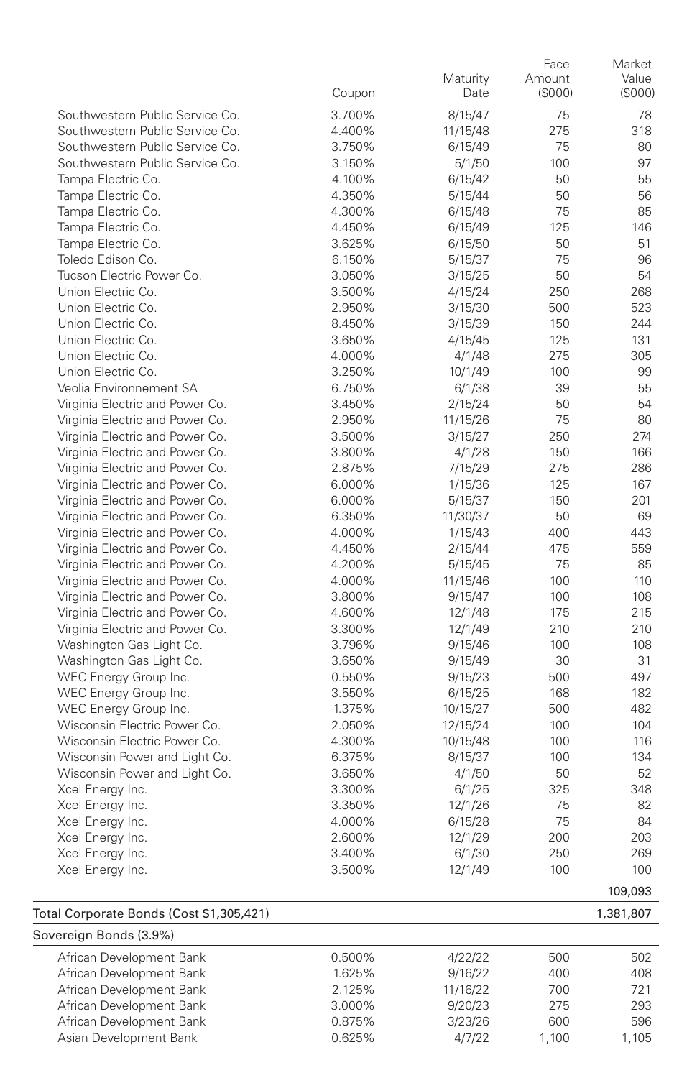|                                 |        | Maturity | Face<br>Amount | Market<br>Value |
|---------------------------------|--------|----------|----------------|-----------------|
|                                 | Coupon | Date     | (S000)         | (\$000)         |
| Southwestern Public Service Co. | 3.700% | 8/15/47  | 75             | 78              |
| Southwestern Public Service Co. | 4.400% | 11/15/48 | 275            | 318             |
| Southwestern Public Service Co. | 3.750% | 6/15/49  | 75             | 80              |
| Southwestern Public Service Co. | 3.150% | 5/1/50   | 100            | 97              |
| Tampa Electric Co.              | 4.100% | 6/15/42  | 50             | 55              |
| Tampa Electric Co.              | 4.350% | 5/15/44  | 50             | 56              |
| Tampa Electric Co.              | 4.300% | 6/15/48  | 75             | 85              |
| Tampa Electric Co.              | 4.450% | 6/15/49  | 125            | 146             |
| Tampa Electric Co.              | 3.625% | 6/15/50  | 50             | 51              |
| Toledo Edison Co.               | 6.150% | 5/15/37  | 75             | 96              |
| Tucson Electric Power Co.       | 3.050% | 3/15/25  | 50             | 54              |
| Union Electric Co.              | 3.500% | 4/15/24  | 250            | 268             |
| Union Electric Co.              | 2.950% | 3/15/30  | 500            | 523             |
| Union Electric Co.              | 8.450% | 3/15/39  | 150            | 244             |
| Union Electric Co.              | 3.650% | 4/15/45  | 125            | 131             |
| Union Electric Co.              | 4.000% | 4/1/48   | 275            | 305             |
| Union Electric Co.              | 3.250% | 10/1/49  | 100            | 99              |
| Veolia Environnement SA         | 6.750% | 6/1/38   | 39             | 55              |
| Virginia Electric and Power Co. | 3.450% | 2/15/24  | 50             | 54              |
| Virginia Electric and Power Co. | 2.950% | 11/15/26 | 75             | 80              |
| Virginia Electric and Power Co. | 3.500% | 3/15/27  | 250            | 274             |
| Virginia Electric and Power Co. | 3.800% | 4/1/28   | 150            | 166             |
| Virginia Electric and Power Co. | 2.875% | 7/15/29  | 275            | 286             |
| Virginia Electric and Power Co. | 6.000% | 1/15/36  | 125            | 167             |
| Virginia Electric and Power Co. | 6.000% | 5/15/37  | 150            | 201             |
| Virginia Electric and Power Co. | 6.350% | 11/30/37 | 50             | 69              |
| Virginia Electric and Power Co. | 4.000% | 1/15/43  | 400            | 443             |
| Virginia Electric and Power Co. | 4.450% | 2/15/44  | 475            | 559             |
| Virginia Electric and Power Co. | 4.200% | 5/15/45  | 75             | 85              |
| Virginia Electric and Power Co. | 4.000% | 11/15/46 | 100            | 110             |
| Virginia Electric and Power Co. | 3.800% | 9/15/47  | 100            | 108             |
| Virginia Electric and Power Co. | 4.600% | 12/1/48  | 175            | 215             |
| Virginia Electric and Power Co. | 3.300% | 12/1/49  | 210            | 210             |
| Washington Gas Light Co.        | 3.796% | 9/15/46  | 100            | 108             |
| Washington Gas Light Co.        | 3.650% | 9/15/49  | 30             | 31              |
| WEC Energy Group Inc.           | 0.550% | 9/15/23  | 500            | 497             |
| WEC Energy Group Inc.           | 3.550% | 6/15/25  | 168            | 182             |
| WEC Energy Group Inc.           | 1.375% | 10/15/27 | 500            | 482             |
| Wisconsin Electric Power Co.    | 2.050% | 12/15/24 | 100            | 104             |
| Wisconsin Electric Power Co.    | 4.300% | 10/15/48 | 100            | 116             |
| Wisconsin Power and Light Co.   | 6.375% | 8/15/37  | 100            | 134             |
| Wisconsin Power and Light Co.   | 3.650% | 4/1/50   | 50             | 52              |
| Xcel Energy Inc.                | 3.300% | 6/1/25   | 325            | 348             |
| Xcel Energy Inc.                | 3.350% | 12/1/26  | 75             | 82              |
| Xcel Energy Inc.                | 4.000% | 6/15/28  | 75             | 84              |
| Xcel Energy Inc.                | 2.600% | 12/1/29  | 200            | 203             |
| Xcel Energy Inc.                | 3.400% | 6/1/30   | 250            | 269             |
| Xcel Energy Inc.                | 3.500% | 12/1/49  | 100            | 100             |
|                                 |        |          |                | 100.002         |

## Total Corporate Bonds (Cost \$1,305,421) 1,381,807

 $\overline{\phantom{a}}$ 

| Sovereign Bonds (3.9%) |          |       |       |  |  |
|------------------------|----------|-------|-------|--|--|
| 0.500%                 | 4/22/22  | 500   | 502   |  |  |
| 1.625%                 | 9/16/22  | 400   | 408   |  |  |
| 2.125%                 | 11/16/22 | 700   | 721   |  |  |
| 3.000%                 | 9/20/23  | 275   | 293   |  |  |
| 0.875%                 | 3/23/26  | 600   | 596   |  |  |
| 0.625%                 | 4/7/22   | 1.100 | 1.105 |  |  |
|                        |          |       |       |  |  |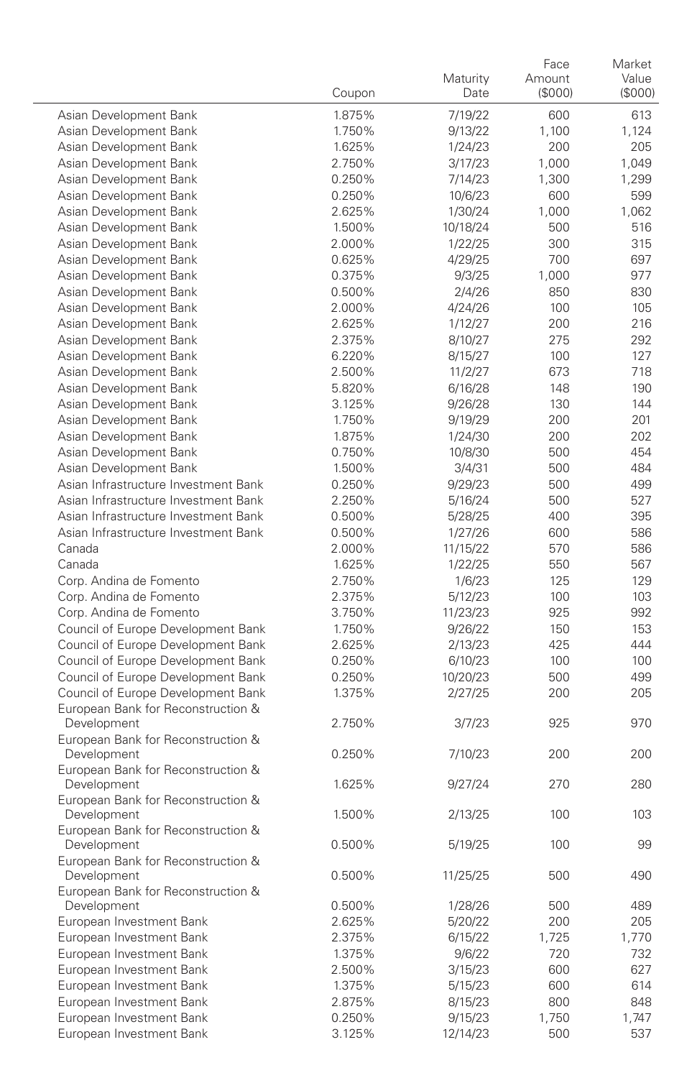|                                                   | Coupon | Maturity<br>Date | Face<br>Amount<br>(S000) | Market<br>Value<br>(\$000) |
|---------------------------------------------------|--------|------------------|--------------------------|----------------------------|
| Asian Development Bank                            | 1.875% | 7/19/22          | 600                      | 613                        |
| Asian Development Bank                            | 1.750% | 9/13/22          | 1,100                    | 1,124                      |
| Asian Development Bank                            | 1.625% | 1/24/23          | 200                      | 205                        |
| Asian Development Bank                            | 2.750% | 3/17/23          | 1,000                    | 1,049                      |
| Asian Development Bank                            | 0.250% | 7/14/23          | 1,300                    | 1,299                      |
| Asian Development Bank                            | 0.250% | 10/6/23          | 600                      | 599                        |
| Asian Development Bank                            | 2.625% | 1/30/24          | 1,000                    | 1,062                      |
| Asian Development Bank                            | 1.500% | 10/18/24         | 500                      | 516                        |
| Asian Development Bank                            | 2.000% | 1/22/25          | 300                      | 315                        |
| Asian Development Bank                            | 0.625% | 4/29/25          | 700                      | 697                        |
| Asian Development Bank                            | 0.375% | 9/3/25           | 1,000                    | 977                        |
| Asian Development Bank                            | 0.500% | 2/4/26           | 850                      | 830                        |
| Asian Development Bank                            | 2.000% | 4/24/26          | 100                      | 105                        |
| Asian Development Bank                            | 2.625% | 1/12/27          | 200                      | 216                        |
| Asian Development Bank                            | 2.375% | 8/10/27          | 275                      | 292                        |
| Asian Development Bank                            | 6.220% | 8/15/27          | 100                      | 127                        |
| Asian Development Bank                            | 2.500% | 11/2/27          | 673                      | 718                        |
| Asian Development Bank                            | 5.820% | 6/16/28          | 148                      | 190                        |
| Asian Development Bank                            | 3.125% | 9/26/28          | 130                      | 144                        |
| Asian Development Bank                            | 1.750% | 9/19/29          | 200                      | 201                        |
| Asian Development Bank                            | 1.875% | 1/24/30          | 200                      | 202                        |
| Asian Development Bank                            | 0.750% | 10/8/30          | 500                      | 454                        |
| Asian Development Bank                            | 1.500% | 3/4/31           | 500                      | 484                        |
| Asian Infrastructure Investment Bank              | 0.250% | 9/29/23          | 500                      | 499                        |
| Asian Infrastructure Investment Bank              | 2.250% | 5/16/24          | 500                      | 527                        |
| Asian Infrastructure Investment Bank              | 0.500% | 5/28/25          | 400                      | 395                        |
| Asian Infrastructure Investment Bank              | 0.500% | 1/27/26          | 600                      | 586                        |
| Canada                                            | 2.000% | 11/15/22         | 570                      | 586                        |
| Canada                                            | 1.625% | 1/22/25          | 550                      | 567                        |
| Corp. Andina de Fomento                           | 2.750% | 1/6/23           | 125                      | 129                        |
| Corp. Andina de Fomento                           | 2.375% | 5/12/23          | 100                      | 103                        |
| Corp. Andina de Fomento                           | 3.750% | 11/23/23         | 925                      | 992                        |
| Council of Europe Development Bank                | 1.750% | 9/26/22          | 150                      | 153                        |
| Council of Europe Development Bank                | 2.625% | 2/13/23          | 425                      | 444                        |
| Council of Europe Development Bank                | 0.250% | 6/10/23          | 100                      | 100                        |
| Council of Europe Development Bank                | 0.250% | 10/20/23         | 500                      | 499                        |
| Council of Europe Development Bank                | 1.375% | 2/27/25          | 200                      | 205                        |
| European Bank for Reconstruction &<br>Development | 2.750% | 3/7/23           | 925                      | 970                        |
| European Bank for Reconstruction &                |        |                  |                          |                            |
| Development                                       | 0.250% | 7/10/23          | 200                      | 200                        |
| European Bank for Reconstruction &                |        |                  |                          |                            |
| Development                                       | 1.625% | 9/27/24          | 270                      | 280                        |
| European Bank for Reconstruction &                |        |                  |                          |                            |
| Development                                       | 1.500% | 2/13/25          | 100                      | 103                        |
| European Bank for Reconstruction &                |        |                  |                          |                            |
| Development                                       | 0.500% | 5/19/25          | 100                      | 99                         |
| European Bank for Reconstruction &                |        |                  |                          |                            |
| Development                                       | 0.500% | 11/25/25         | 500                      | 490                        |
| European Bank for Reconstruction &<br>Development | 0.500% | 1/28/26          | 500                      | 489                        |
| European Investment Bank                          | 2.625% | 5/20/22          | 200                      | 205                        |
| European Investment Bank                          | 2.375% | 6/15/22          | 1,725                    | 1,770                      |
| European Investment Bank                          | 1.375% | 9/6/22           | 720                      | 732                        |
| European Investment Bank                          | 2.500% | 3/15/23          | 600                      | 627                        |
| European Investment Bank                          | 1.375% | 5/15/23          | 600                      | 614                        |
| European Investment Bank                          | 2.875% | 8/15/23          | 800                      | 848                        |
| European Investment Bank                          | 0.250% | 9/15/23          | 1,750                    | 1,747                      |
| European Investment Bank                          | 3.125% | 12/14/23         | 500                      | 537                        |
|                                                   |        |                  |                          |                            |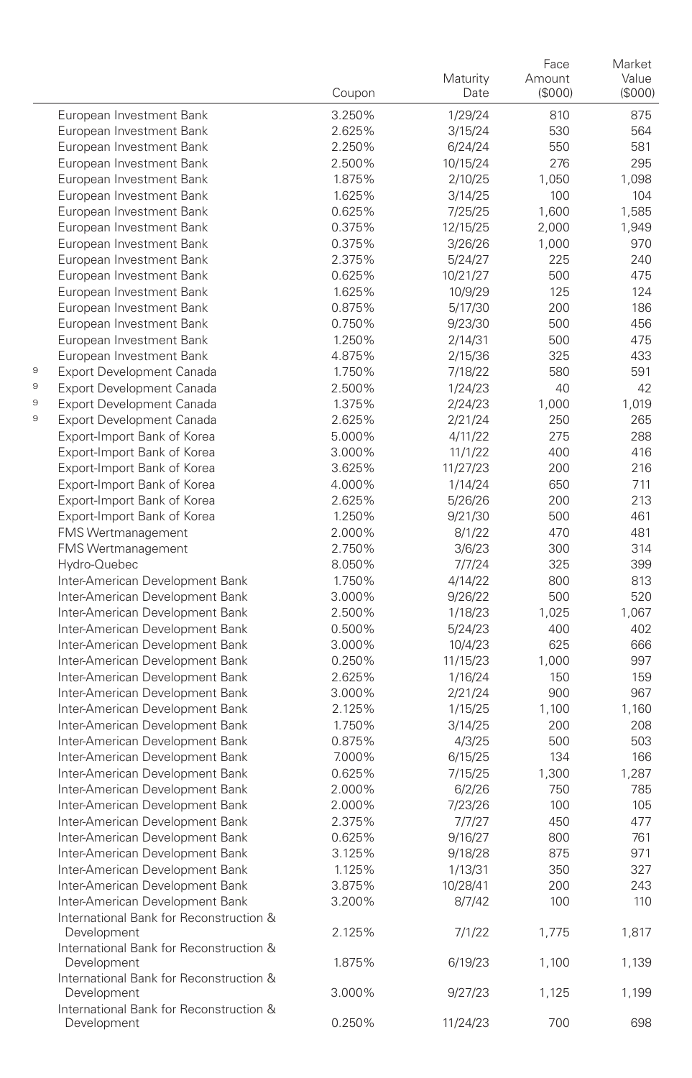|                                                                            | Coupon | Maturity<br>Date   | Face<br>Amount<br>(\$000) | Market<br>Value<br>(\$000) |
|----------------------------------------------------------------------------|--------|--------------------|---------------------------|----------------------------|
| European Investment Bank                                                   | 3.250% | 1/29/24            | 810                       | 875                        |
| European Investment Bank                                                   | 2.625% | 3/15/24            | 530                       | 564                        |
| European Investment Bank                                                   | 2.250% | 6/24/24            | 550                       | 581                        |
| European Investment Bank                                                   | 2.500% | 10/15/24           | 276                       | 295                        |
| European Investment Bank                                                   | 1.875% | 2/10/25            | 1,050                     | 1,098                      |
| European Investment Bank                                                   | 1.625% | 3/14/25            | 100                       | 104                        |
| European Investment Bank                                                   | 0.625% | 7/25/25            | 1,600                     | 1,585                      |
| European Investment Bank                                                   | 0.375% | 12/15/25           | 2,000                     | 1,949                      |
| European Investment Bank                                                   | 0.375% | 3/26/26            | 1,000                     | 970                        |
| European Investment Bank                                                   | 2.375% | 5/24/27            | 225                       | 240                        |
| European Investment Bank                                                   | 0.625% | 10/21/27           | 500                       | 475                        |
| European Investment Bank                                                   | 1.625% | 10/9/29            | 125                       | 124                        |
| European Investment Bank                                                   | 0.875% | 5/17/30            | 200                       | 186                        |
| European Investment Bank                                                   | 0.750% | 9/23/30            | 500                       | 456                        |
| European Investment Bank                                                   | 1.250% | 2/14/31            | 500                       | 475                        |
| European Investment Bank                                                   | 4.875% | 2/15/36            | 325                       | 433                        |
| 9<br>Export Development Canada                                             | 1.750% | 7/18/22            | 580                       | 591                        |
| 9<br>Export Development Canada                                             | 2.500% | 1/24/23            | 40                        | 42                         |
| 9<br><b>Export Development Canada</b>                                      | 1.375% | 2/24/23            | 1,000                     | 1,019                      |
| 9<br><b>Export Development Canada</b>                                      | 2.625% | 2/21/24            | 250                       | 265                        |
| Export-Import Bank of Korea                                                | 5.000% | 4/11/22            | 275                       | 288                        |
| Export-Import Bank of Korea                                                | 3.000% | 11/1/22            | 400                       | 416                        |
| Export-Import Bank of Korea                                                | 3.625% | 11/27/23           | 200                       | 216                        |
| Export-Import Bank of Korea                                                | 4.000% | 1/14/24            | 650                       | 711                        |
| Export-Import Bank of Korea                                                | 2.625% | 5/26/26            | 200                       | 213                        |
| Export-Import Bank of Korea                                                | 1.250% | 9/21/30            | 500                       | 461                        |
| <b>FMS Wertmanagement</b>                                                  | 2.000% | 8/1/22             | 470                       | 481                        |
| FMS Wertmanagement                                                         | 2.750% | 3/6/23             | 300                       | 314                        |
| Hydro-Quebec                                                               | 8.050% | 7/7/24             | 325                       | 399                        |
| Inter-American Development Bank                                            | 1.750% | 4/14/22            | 800                       | 813                        |
| Inter-American Development Bank                                            | 3.000% | 9/26/22            | 500                       | 520                        |
| Inter-American Development Bank                                            | 2.500% | 1/18/23            | 1,025                     | 1,067                      |
| Inter-American Development Bank                                            | 0.500% | 5/24/23            | 400                       | 402                        |
| Inter-American Development Bank                                            | 3.000% | 10/4/23            | 625                       | 666                        |
| Inter-American Development Bank                                            | 0.250% | 11/15/23           | 1,000                     | 997                        |
| Inter-American Development Bank                                            | 2.625% | 1/16/24            | 150                       | 159                        |
| Inter-American Development Bank                                            | 3.000% | 2/21/24            | 900                       | 967                        |
| Inter-American Development Bank                                            | 2.125% | 1/15/25            | 1,100                     | 1,160                      |
| Inter-American Development Bank                                            | 1.750% | 3/14/25            | 200                       | 208                        |
| Inter-American Development Bank                                            | 0.875% | 4/3/25             | 500                       | 503                        |
| Inter-American Development Bank                                            | 7.000% | 6/15/25            | 134                       | 166                        |
| Inter-American Development Bank                                            | 0.625% | 7/15/25            | 1,300                     | 1,287                      |
| Inter-American Development Bank                                            | 2.000% | 6/2/26             | 750                       | 785                        |
| Inter-American Development Bank                                            | 2.000% | 7/23/26            | 100                       | 105                        |
| Inter-American Development Bank                                            | 2.375% | 7/7/27             | 450                       | 477                        |
| Inter-American Development Bank                                            | 0.625% | 9/16/27            | 800                       | 761                        |
| Inter-American Development Bank                                            | 3.125% | 9/18/28            | 875                       | 971                        |
| Inter-American Development Bank                                            | 1.125% | 1/13/31            | 350                       | 327                        |
| Inter-American Development Bank                                            | 3.875% | 10/28/41<br>8/7/42 | 200                       | 243                        |
| Inter-American Development Bank<br>International Bank for Reconstruction & | 3.200% |                    | 100                       | 110                        |
| Development                                                                | 2.125% | 7/1/22             | 1,775                     | 1,817                      |
| International Bank for Reconstruction &<br>Development                     | 1.875% | 6/19/23            | 1,100                     | 1,139                      |
| International Bank for Reconstruction &<br>Development                     | 3.000% | 9/27/23            | 1,125                     | 1,199                      |
| International Bank for Reconstruction &<br>Development                     | 0.250% | 11/24/23           | 700                       | 698                        |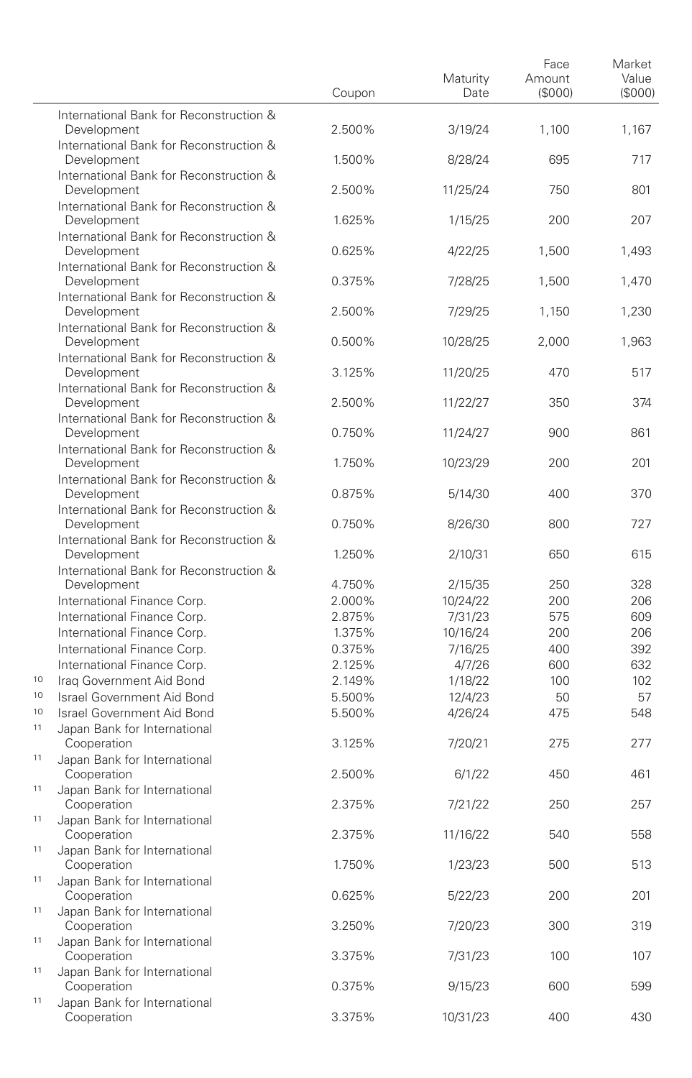|          |                                                            | Coupon | Maturity<br>Date | Face<br>Amount<br>(S000) | Market<br>Value<br>(\$000) |
|----------|------------------------------------------------------------|--------|------------------|--------------------------|----------------------------|
|          | International Bank for Reconstruction &<br>Development     | 2.500% | 3/19/24          | 1,100                    | 1,167                      |
|          | International Bank for Reconstruction &<br>Development     | 1.500% | 8/28/24          | 695                      | 717                        |
|          | International Bank for Reconstruction &<br>Development     | 2.500% | 11/25/24         | 750                      | 801                        |
|          | International Bank for Reconstruction &<br>Development     | 1.625% | 1/15/25          | 200                      | 207                        |
|          | International Bank for Reconstruction &<br>Development     | 0.625% | 4/22/25          | 1,500                    | 1,493                      |
|          | International Bank for Reconstruction &<br>Development     | 0.375% | 7/28/25          | 1,500                    | 1,470                      |
|          | International Bank for Reconstruction &<br>Development     | 2.500% | 7/29/25          | 1,150                    | 1,230                      |
|          | International Bank for Reconstruction &<br>Development     | 0.500% | 10/28/25         | 2,000                    | 1,963                      |
|          | International Bank for Reconstruction &<br>Development     | 3.125% | 11/20/25         | 470                      | 517                        |
|          | International Bank for Reconstruction &<br>Development     | 2.500% | 11/22/27         | 350                      | 374                        |
|          | International Bank for Reconstruction &<br>Development     | 0.750% | 11/24/27         | 900                      | 861                        |
|          | International Bank for Reconstruction &<br>Development     |        |                  |                          | 201                        |
|          | International Bank for Reconstruction &                    | 1.750% | 10/23/29         | 200                      |                            |
|          | Development<br>International Bank for Reconstruction &     | 0.875% | 5/14/30          | 400                      | 370<br>727                 |
|          | Development<br>International Bank for Reconstruction &     | 0.750% | 8/26/30          | 800                      |                            |
|          | Development<br>International Bank for Reconstruction &     | 1.250% | 2/10/31          | 650                      | 615                        |
|          | Development                                                | 4.750% | 2/15/35          | 250                      | 328                        |
|          | International Finance Corp.                                | 2.000% | 10/24/22         | 200                      | 206                        |
|          | International Finance Corp.                                | 2.875% | 7/31/23          | 575                      | 609                        |
|          | International Finance Corp.                                | 1.375% | 10/16/24         | 200                      | 206                        |
|          | International Finance Corp.                                | 0.375% | 7/16/25          | 400                      | 392                        |
|          | International Finance Corp.                                | 2.125% | 4/7/26           | 600                      | 632                        |
| 10       | Iraq Government Aid Bond                                   | 2.149% | 1/18/22          | 100                      | 102                        |
| 10       | Israel Government Aid Bond                                 | 5.500% | 12/4/23          | 50                       | 57                         |
| 10<br>11 | Israel Government Aid Bond<br>Japan Bank for International | 5.500% | 4/26/24          | 475                      | 548                        |
| 11       | Cooperation<br>Japan Bank for International                | 3.125% | 7/20/21          | 275                      | 277                        |
| 11       | Cooperation<br>Japan Bank for International                | 2.500% | 6/1/22           | 450                      | 461                        |
| 11       | Cooperation<br>Japan Bank for International                | 2.375% | 7/21/22          | 250                      | 257                        |
| 11       | Cooperation<br>Japan Bank for International                | 2.375% | 11/16/22         | 540                      | 558                        |
| 11       | Cooperation<br>Japan Bank for International                | 1.750% | 1/23/23          | 500                      | 513                        |
| 11       | Cooperation<br>Japan Bank for International                | 0.625% | 5/22/23          | 200                      | 201                        |
| 11       | Cooperation<br>Japan Bank for International                | 3.250% | 7/20/23          | 300                      | 319                        |
| 11       | Cooperation<br>Japan Bank for International                | 3.375% | 7/31/23          | 100                      | 107                        |
| 11       | Cooperation<br>Japan Bank for International                | 0.375% | 9/15/23          | 600                      | 599                        |
|          | Cooperation                                                | 3.375% | 10/31/23         | 400                      | 430                        |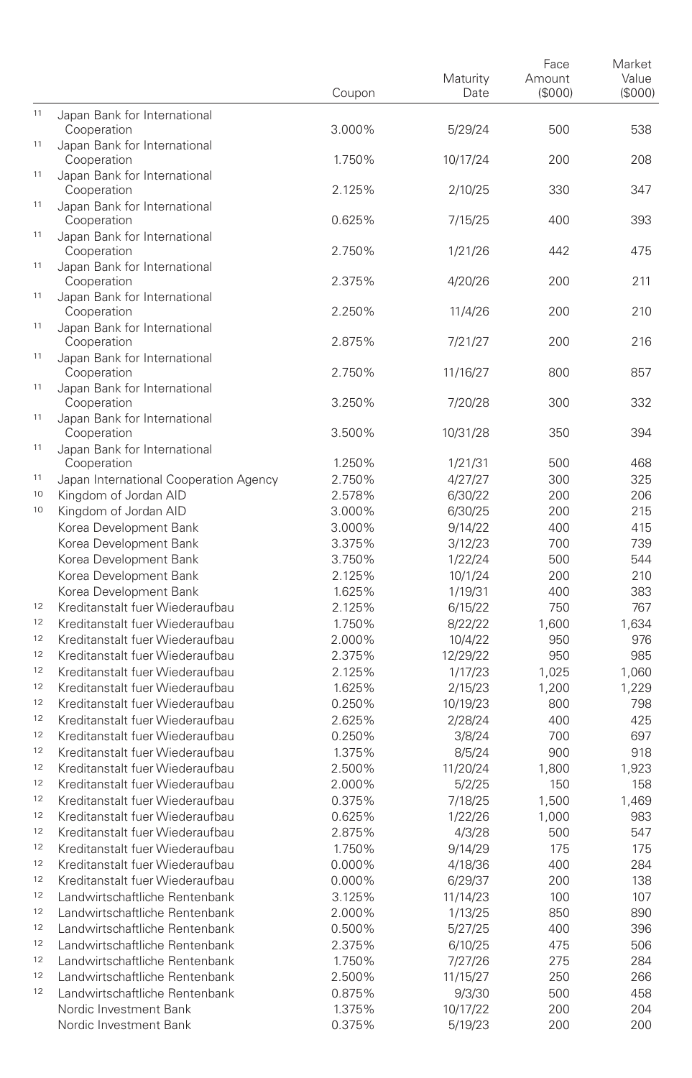|    |                                                                    | Coupon           | Maturity<br>Date    | Face<br>Amount<br>(\$000) | Market<br>Value<br>(\$000) |
|----|--------------------------------------------------------------------|------------------|---------------------|---------------------------|----------------------------|
| 11 | Japan Bank for International<br>Cooperation                        | 3.000%           | 5/29/24             | 500                       | 538                        |
| 11 | Japan Bank for International<br>Cooperation                        | 1.750%           | 10/17/24            | 200                       | 208                        |
| 11 | Japan Bank for International<br>Cooperation                        | 2.125%           | 2/10/25             | 330                       | 347                        |
| 11 | Japan Bank for International<br>Cooperation                        | 0.625%           | 7/15/25             | 400                       | 393                        |
| 11 | Japan Bank for International<br>Cooperation                        | 2.750%           | 1/21/26             | 442                       | 475                        |
| 11 | Japan Bank for International<br>Cooperation                        | 2.375%           | 4/20/26             | 200                       | 211                        |
| 11 | Japan Bank for International<br>Cooperation                        | 2.250%           | 11/4/26             | 200                       | 210                        |
| 11 | Japan Bank for International<br>Cooperation                        | 2.875%           | 7/21/27             | 200                       | 216                        |
| 11 | Japan Bank for International<br>Cooperation                        | 2.750%           | 11/16/27            | 800                       | 857                        |
| 11 | Japan Bank for International<br>Cooperation                        | 3.250%           | 7/20/28             | 300                       | 332                        |
| 11 | Japan Bank for International<br>Cooperation                        | 3.500%           | 10/31/28            | 350                       | 394                        |
| 11 | Japan Bank for International<br>Cooperation                        | 1.250%           | 1/21/31             | 500                       | 468                        |
| 11 | Japan International Cooperation Agency                             | 2.750%           | 4/27/27             | 300                       | 325                        |
| 10 | Kingdom of Jordan AID                                              | 2.578%           | 6/30/22             | 200                       | 206                        |
| 10 | Kingdom of Jordan AID                                              | 3.000%           | 6/30/25             | 200                       | 215                        |
|    | Korea Development Bank                                             | 3.000%           | 9/14/22             | 400                       | 415                        |
|    | Korea Development Bank                                             | 3.375%           | 3/12/23             | 700                       | 739                        |
|    | Korea Development Bank                                             | 3.750%           | 1/22/24             | 500                       | 544                        |
|    | Korea Development Bank                                             | 2.125%           | 10/1/24             | 200                       | 210                        |
| 12 | Korea Development Bank                                             | 1.625%           | 1/19/31             | 400                       | 383                        |
| 12 | Kreditanstalt fuer Wiederaufbau                                    | 2.125%           | 6/15/22             | 750                       | 767                        |
| 12 | Kreditanstalt fuer Wiederaufbau                                    | 1.750%           | 8/22/22             | 1,600                     | 1,634                      |
| 12 | Kreditanstalt fuer Wiederaufbau                                    | 2.000%           | 10/4/22             | 950                       | 976                        |
| 12 | Kreditanstalt fuer Wiederaufbau<br>Kreditanstalt fuer Wiederaufbau | 2.375%           | 12/29/22            | 950                       | 985                        |
| 12 | Kreditanstalt fuer Wiederaufbau                                    | 2.125%<br>1.625% | 1/17/23             | 1,025                     | 1,060<br>1,229             |
| 12 | Kreditanstalt fuer Wiederaufbau                                    | 0.250%           | 2/15/23<br>10/19/23 | 1,200<br>800              | 798                        |
| 12 | Kreditanstalt fuer Wiederaufbau                                    | 2.625%           | 2/28/24             | 400                       | 425                        |
| 12 | Kreditanstalt fuer Wiederaufbau                                    | 0.250%           | 3/8/24              | 700                       | 697                        |
| 12 | Kreditanstalt fuer Wiederaufbau                                    | 1.375%           | 8/5/24              | 900                       | 918                        |
| 12 | Kreditanstalt fuer Wiederaufbau                                    | 2.500%           | 11/20/24            | 1,800                     | 1,923                      |
| 12 | Kreditanstalt fuer Wiederaufbau                                    | 2.000%           | 5/2/25              | 150                       | 158                        |
| 12 | Kreditanstalt fuer Wiederaufbau                                    | 0.375%           | 7/18/25             | 1,500                     | 1,469                      |
| 12 | Kreditanstalt fuer Wiederaufbau                                    | 0.625%           | 1/22/26             | 1,000                     | 983                        |
| 12 | Kreditanstalt fuer Wiederaufbau                                    | 2.875%           | 4/3/28              | 500                       | 547                        |
| 12 | Kreditanstalt fuer Wiederaufbau                                    | 1.750%           | 9/14/29             | 175                       | 175                        |
| 12 | Kreditanstalt fuer Wiederaufbau                                    | 0.000%           | 4/18/36             | 400                       | 284                        |
| 12 | Kreditanstalt fuer Wiederaufbau                                    | 0.000%           | 6/29/37             | 200                       | 138                        |
| 12 | Landwirtschaftliche Rentenbank                                     | 3.125%           | 11/14/23            | 100                       | 107                        |
| 12 | Landwirtschaftliche Rentenbank                                     | 2.000%           | 1/13/25             | 850                       | 890                        |
| 12 | Landwirtschaftliche Rentenbank                                     | 0.500%           | 5/27/25             | 400                       | 396                        |
| 12 | Landwirtschaftliche Rentenbank                                     | 2.375%           | 6/10/25             | 475                       | 506                        |
| 12 | Landwirtschaftliche Rentenbank                                     | 1.750%           | 7/27/26             | 275                       | 284                        |
| 12 | Landwirtschaftliche Rentenbank                                     | 2.500%           | 11/15/27            | 250                       | 266                        |
| 12 | Landwirtschaftliche Rentenbank                                     | 0.875%           | 9/3/30              | 500                       | 458                        |
|    | Nordic Investment Bank                                             | 1.375%           | 10/17/22            | 200                       | 204                        |
|    | Nordic Investment Bank                                             | 0.375%           | 5/19/23             | 200                       | 200                        |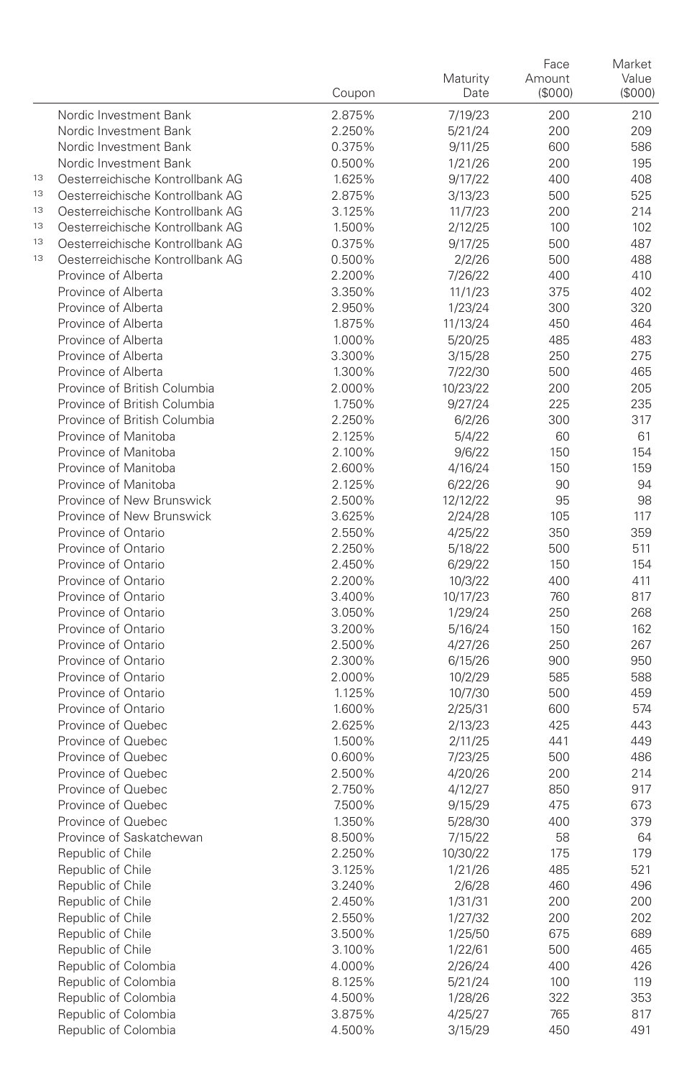|    |                                            | Coupon           | Maturity<br>Date   | Face<br>Amount<br>(\$000) | Market<br>Value<br>(\$000) |
|----|--------------------------------------------|------------------|--------------------|---------------------------|----------------------------|
|    | Nordic Investment Bank                     | 2.875%           | 7/19/23            | 200                       | 210                        |
|    | Nordic Investment Bank                     | 2.250%           | 5/21/24            | 200                       | 209                        |
|    | Nordic Investment Bank                     | 0.375%           | 9/11/25            | 600                       | 586                        |
|    | Nordic Investment Bank                     | 0.500%           | 1/21/26            | 200                       | 195                        |
| 13 | Oesterreichische Kontrollbank AG           | 1.625%           | 9/17/22            | 400                       | 408                        |
| 13 | Oesterreichische Kontrollbank AG           | 2.875%           | 3/13/23            | 500                       | 525                        |
| 13 | Oesterreichische Kontrollbank AG           | 3.125%           | 11/7/23            | 200                       | 214                        |
| 13 | Oesterreichische Kontrollbank AG           | 1.500%           | 2/12/25            | 100                       | 102                        |
| 13 | Oesterreichische Kontrollbank AG           | 0.375%           | 9/17/25            | 500                       | 487                        |
| 13 | Oesterreichische Kontrollbank AG           | 0.500%           | 2/2/26             | 500                       | 488                        |
|    | Province of Alberta                        | 2.200%           | 7/26/22            | 400                       | 410                        |
|    | Province of Alberta                        | 3.350%           | 11/1/23            | 375                       | 402                        |
|    | Province of Alberta                        | 2.950%           | 1/23/24            | 300                       | 320                        |
|    | Province of Alberta                        | 1.875%           | 11/13/24           | 450                       | 464                        |
|    | Province of Alberta                        | 1.000%           | 5/20/25            | 485                       | 483                        |
|    | Province of Alberta                        | 3.300%           | 3/15/28            | 250                       | 275                        |
|    | Province of Alberta                        | 1.300%           | 7/22/30            | 500                       | 465                        |
|    | Province of British Columbia               | 2.000%           | 10/23/22           | 200                       | 205                        |
|    | Province of British Columbia               | 1.750%           | 9/27/24            | 225                       | 235                        |
|    | Province of British Columbia               | 2.250%           | 6/2/26             | 300                       | 317                        |
|    | Province of Manitoba                       | 2.125%           | 5/4/22             | 60                        | 61                         |
|    | Province of Manitoba                       | 2.100%           | 9/6/22             | 150                       | 154                        |
|    | Province of Manitoba                       | 2.600%           | 4/16/24            | 150                       | 159                        |
|    | Province of Manitoba                       | 2.125%           | 6/22/26            | 90                        | 94                         |
|    | Province of New Brunswick                  | 2.500%           | 12/12/22           | 95                        | 98                         |
|    | Province of New Brunswick                  | 3.625%           | 2/24/28            | 105                       | 117                        |
|    | Province of Ontario                        | 2.550%           | 4/25/22            | 350                       | 359                        |
|    | Province of Ontario                        | 2.250%           | 5/18/22            | 500                       | 511                        |
|    | Province of Ontario                        | 2.450%           | 6/29/22            | 150                       | 154                        |
|    | Province of Ontario                        | 2.200%           | 10/3/22            | 400                       | 411                        |
|    | Province of Ontario                        | 3.400%           | 10/17/23           | 760                       | 817                        |
|    | Province of Ontario<br>Province of Ontario | 3.050%           | 1/29/24            | 250                       | 268                        |
|    | Province of Ontario                        | 3.200%<br>2.500% | 5/16/24            | 150<br>250                | 162<br>267                 |
|    | Province of Ontario                        | 2.300%           | 4/27/26<br>6/15/26 | 900                       | 950                        |
|    | Province of Ontario                        | 2.000%           | 10/2/29            | 585                       | 588                        |
|    | Province of Ontario                        | 1.125%           | 10/7/30            | 500                       | 459                        |
|    | Province of Ontario                        | 1.600%           | 2/25/31            | 600                       | 574                        |
|    | Province of Quebec                         | 2.625%           | 2/13/23            | 425                       | 443                        |
|    | Province of Quebec                         | 1.500%           | 2/11/25            | 441                       | 449                        |
|    | Province of Quebec                         | 0.600%           | 7/23/25            | 500                       | 486                        |
|    | Province of Quebec                         | 2.500%           | 4/20/26            | 200                       | 214                        |
|    | Province of Quebec                         | 2.750%           | 4/12/27            | 850                       | 917                        |
|    | Province of Quebec                         | 7.500%           | 9/15/29            | 475                       | 673                        |
|    | Province of Quebec                         | 1.350%           | 5/28/30            | 400                       | 379                        |
|    | Province of Saskatchewan                   | 8.500%           | 7/15/22            | 58                        | 64                         |
|    | Republic of Chile                          | 2.250%           | 10/30/22           | 175                       | 179                        |
|    | Republic of Chile                          | 3.125%           | 1/21/26            | 485                       | 521                        |
|    | Republic of Chile                          | 3.240%           | 2/6/28             | 460                       | 496                        |
|    | Republic of Chile                          | 2.450%           | 1/31/31            | 200                       | 200                        |
|    | Republic of Chile                          | 2.550%           | 1/27/32            | 200                       | 202                        |
|    | Republic of Chile                          | 3.500%           | 1/25/50            | 675                       | 689                        |
|    | Republic of Chile                          | 3.100%           | 1/22/61            | 500                       | 465                        |
|    | Republic of Colombia                       | 4.000%           | 2/26/24            | 400                       | 426                        |
|    | Republic of Colombia                       | 8.125%           | 5/21/24            | 100                       | 119                        |
|    | Republic of Colombia                       | 4.500%           | 1/28/26            | 322                       | 353                        |
|    | Republic of Colombia                       | 3.875%           | 4/25/27            | 765                       | 817                        |
|    | Republic of Colombia                       | 4.500%           | 3/15/29            | 450                       | 491                        |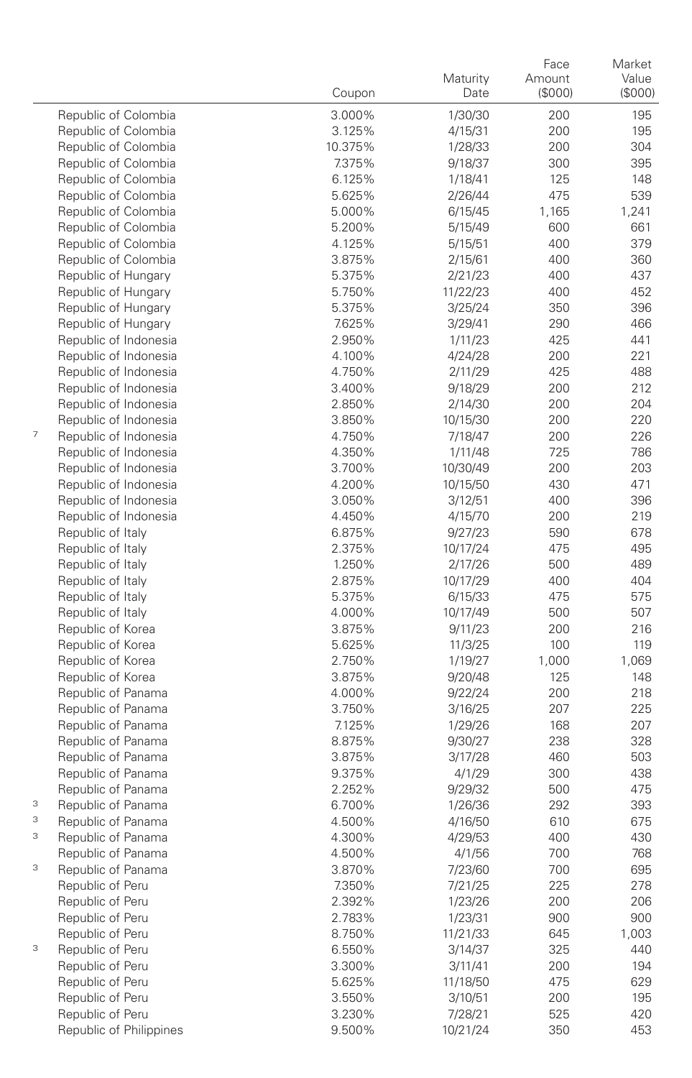|                                        | Coupon           | Maturity<br>Date   | Face<br>Amount<br>(\$000) | Market<br>Value<br>(\$000) |
|----------------------------------------|------------------|--------------------|---------------------------|----------------------------|
| Republic of Colombia                   | 3.000%           | 1/30/30            | 200                       | 195                        |
| Republic of Colombia                   | 3.125%           | 4/15/31            | 200                       | 195                        |
| Republic of Colombia                   | 10.375%          | 1/28/33            | 200                       | 304                        |
| Republic of Colombia                   | 7.375%           | 9/18/37            | 300                       | 395                        |
| Republic of Colombia                   | 6.125%           | 1/18/41            | 125                       | 148                        |
| Republic of Colombia                   | 5.625%           | 2/26/44            | 475                       | 539                        |
| Republic of Colombia                   | 5.000%           | 6/15/45            | 1,165                     | 1,241                      |
| Republic of Colombia                   | 5.200%           | 5/15/49            | 600                       | 661                        |
| Republic of Colombia                   | 4.125%           | 5/15/51            | 400                       | 379                        |
| Republic of Colombia                   | 3.875%           | 2/15/61            | 400                       | 360                        |
| Republic of Hungary                    | 5.375%           | 2/21/23            | 400                       | 437                        |
| Republic of Hungary                    | 5.750%           | 11/22/23           | 400                       | 452                        |
| Republic of Hungary                    | 5.375%           | 3/25/24            | 350                       | 396                        |
| Republic of Hungary                    | 7.625%           | 3/29/41            | 290                       | 466                        |
| Republic of Indonesia                  | 2.950%           | 1/11/23            | 425                       | 441                        |
| Republic of Indonesia                  | 4.100%           | 4/24/28            | 200                       | 221                        |
| Republic of Indonesia                  | 4.750%           | 2/11/29            | 425                       | 488                        |
| Republic of Indonesia                  | 3.400%           | 9/18/29            | 200                       | 212                        |
| Republic of Indonesia                  | 2.850%           | 2/14/30            | 200                       | 204                        |
| Republic of Indonesia                  | 3.850%           | 10/15/30           | 200                       | 220                        |
| 7<br>Republic of Indonesia             | 4.750%           | 7/18/47            | 200                       | 226                        |
| Republic of Indonesia                  | 4.350%           | 1/11/48            | 725                       | 786                        |
| Republic of Indonesia                  | 3.700%           | 10/30/49           | 200                       | 203                        |
| Republic of Indonesia                  | 4.200%           | 10/15/50           | 430                       | 471                        |
| Republic of Indonesia                  | 3.050%           | 3/12/51            | 400                       | 396                        |
| Republic of Indonesia                  | 4.450%           | 4/15/70            | 200                       | 219                        |
| Republic of Italy                      | 6.875%           | 9/27/23            | 590                       | 678                        |
| Republic of Italy                      | 2.375%           | 10/17/24           | 475                       | 495                        |
| Republic of Italy                      | 1.250%           | 2/17/26            | 500                       | 489                        |
| Republic of Italy                      | 2.875%           | 10/17/29           | 400                       | 404                        |
| Republic of Italy                      | 5.375%           | 6/15/33            | 475                       | 575                        |
| Republic of Italy                      | 4.000%           | 10/17/49           | 500                       | 507                        |
| Republic of Korea<br>Republic of Korea | 3.875%<br>5.625% | 9/11/23            | 200<br>100                | 216<br>119                 |
| Republic of Korea                      | 2.750%           | 11/3/25<br>1/19/27 | 1,000                     | 1,069                      |
| Republic of Korea                      | 3.875%           | 9/20/48            | 125                       | 148                        |
| Republic of Panama                     | 4.000%           | 9/22/24            | 200                       | 218                        |
| Republic of Panama                     | 3.750%           | 3/16/25            | 207                       | 225                        |
| Republic of Panama                     | 7.125%           | 1/29/26            | 168                       | 207                        |
| Republic of Panama                     | 8.875%           | 9/30/27            | 238                       | 328                        |
| Republic of Panama                     | 3.875%           | 3/17/28            | 460                       | 503                        |
| Republic of Panama                     | 9.375%           | 4/1/29             | 300                       | 438                        |
| Republic of Panama                     | 2.252%           | 9/29/32            | 500                       | 475                        |
| 3<br>Republic of Panama                | 6.700%           | 1/26/36            | 292                       | 393                        |
| 3<br>Republic of Panama                | 4.500%           | 4/16/50            | 610                       | 675                        |
| 3<br>Republic of Panama                | 4.300%           | 4/29/53            | 400                       | 430                        |
| Republic of Panama                     | 4.500%           | 4/1/56             | 700                       | 768                        |
| 3<br>Republic of Panama                | 3.870%           | 7/23/60            | 700                       | 695                        |
| Republic of Peru                       | 7.350%           | 7/21/25            | 225                       | 278                        |
| Republic of Peru                       | 2.392%           | 1/23/26            | 200                       | 206                        |
| Republic of Peru                       | 2.783%           | 1/23/31            | 900                       | 900                        |
| Republic of Peru                       | 8.750%           | 11/21/33           | 645                       | 1,003                      |
| 3<br>Republic of Peru                  | 6.550%           | 3/14/37            | 325                       | 440                        |
| Republic of Peru                       | 3.300%           | 3/11/41            | 200                       | 194                        |
| Republic of Peru                       | 5.625%           | 11/18/50           | 475                       | 629                        |
| Republic of Peru                       | 3.550%           | 3/10/51            | 200                       | 195                        |
| Republic of Peru                       | 3.230%           | 7/28/21            | 525                       | 420                        |
| Republic of Philippines                | 9.500%           | 10/21/24           | 350                       | 453                        |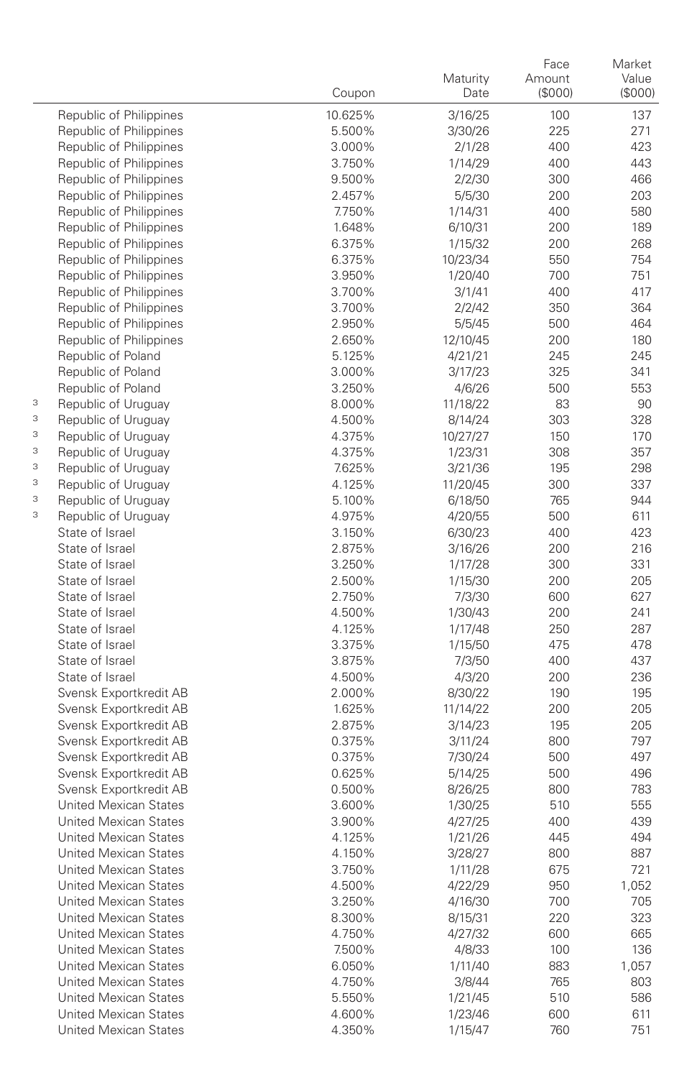|   |                                                  | Coupon           | Maturity<br>Date    | Face<br>Amount<br>(\$000) | Market<br>Value<br>(\$000) |
|---|--------------------------------------------------|------------------|---------------------|---------------------------|----------------------------|
|   | Republic of Philippines                          | 10.625%          | 3/16/25             | 100                       | 137                        |
|   | Republic of Philippines                          | 5.500%           | 3/30/26             | 225                       | 271                        |
|   | Republic of Philippines                          | 3.000%           | 2/1/28              | 400                       | 423                        |
|   | Republic of Philippines                          | 3.750%           | 1/14/29             | 400                       | 443                        |
|   | Republic of Philippines                          | 9.500%           | 2/2/30              | 300                       | 466                        |
|   | Republic of Philippines                          | 2.457%           | 5/5/30              | 200                       | 203                        |
|   | Republic of Philippines                          | 7.750%           | 1/14/31             | 400                       | 580                        |
|   | Republic of Philippines                          | 1.648%           | 6/10/31             | 200                       | 189                        |
|   | Republic of Philippines                          | 6.375%           | 1/15/32             | 200                       | 268                        |
|   | Republic of Philippines                          | 6.375%           | 10/23/34            | 550                       | 754                        |
|   | Republic of Philippines                          | 3.950%           | 1/20/40             | 700                       | 751                        |
|   | Republic of Philippines                          | 3.700%           | 3/1/41              | 400                       | 417                        |
|   | Republic of Philippines                          | 3.700%           | 2/2/42              | 350                       | 364                        |
|   | Republic of Philippines                          | 2.950%           | 5/5/45              | 500                       | 464                        |
|   | Republic of Philippines                          | 2.650%           | 12/10/45            | 200                       | 180                        |
|   | Republic of Poland                               | 5.125%           | 4/21/21             | 245                       | 245                        |
|   | Republic of Poland<br>Republic of Poland         | 3.000%<br>3.250% | 3/17/23<br>4/6/26   | 325<br>500                | 341<br>553                 |
| 3 | Republic of Uruguay                              | 8.000%           | 11/18/22            | 83                        | 90                         |
| 3 | Republic of Uruguay                              | 4.500%           | 8/14/24             | 303                       | 328                        |
| 3 | Republic of Uruguay                              | 4.375%           | 10/27/27            | 150                       | 170                        |
| 3 | Republic of Uruguay                              | 4.375%           | 1/23/31             | 308                       | 357                        |
| 3 | Republic of Uruguay                              | 7.625%           | 3/21/36             | 195                       | 298                        |
| 3 | Republic of Uruguay                              | 4.125%           | 11/20/45            | 300                       | 337                        |
| 3 | Republic of Uruguay                              | 5.100%           | 6/18/50             | 765                       | 944                        |
| 3 | Republic of Uruguay                              | 4.975%           | 4/20/55             | 500                       | 611                        |
|   | State of Israel                                  | 3.150%           | 6/30/23             | 400                       | 423                        |
|   | State of Israel                                  | 2.875%           | 3/16/26             | 200                       | 216                        |
|   | State of Israel                                  | 3.250%           | 1/17/28             | 300                       | 331                        |
|   | State of Israel                                  | 2.500%           | 1/15/30             | 200                       | 205                        |
|   | State of Israel                                  | 2.750%           | 7/3/30              | 600                       | 627                        |
|   | State of Israel                                  | 4.500%           | 1/30/43             | 200                       | 241                        |
|   | State of Israel                                  | 4.125%           | 1/17/48             | 250                       | 287                        |
|   | State of Israel                                  | 3.375%           | 1/15/50             | 475                       | 478                        |
|   | State of Israel                                  | 3.875%           | 7/3/50              | 400                       | 437                        |
|   | State of Israel                                  | 4.500%           | 4/3/20              | 200                       | 236                        |
|   | Svensk Exportkredit AB<br>Svensk Exportkredit AB | 2.000%           | 8/30/22             | 190                       | 195<br>205                 |
|   | Svensk Exportkredit AB                           | 1.625%<br>2.875% | 11/14/22<br>3/14/23 | 200<br>195                | 205                        |
|   | Svensk Exportkredit AB                           | 0.375%           | 3/11/24             | 800                       | 797                        |
|   | Svensk Exportkredit AB                           | 0.375%           | 7/30/24             | 500                       | 497                        |
|   | Svensk Exportkredit AB                           | 0.625%           | 5/14/25             | 500                       | 496                        |
|   | Svensk Exportkredit AB                           | 0.500%           | 8/26/25             | 800                       | 783                        |
|   | <b>United Mexican States</b>                     | 3.600%           | 1/30/25             | 510                       | 555                        |
|   | <b>United Mexican States</b>                     | 3.900%           | 4/27/25             | 400                       | 439                        |
|   | <b>United Mexican States</b>                     | 4.125%           | 1/21/26             | 445                       | 494                        |
|   | United Mexican States                            | 4.150%           | 3/28/27             | 800                       | 887                        |
|   | United Mexican States                            | 3.750%           | 1/11/28             | 675                       | 721                        |
|   | United Mexican States                            | 4.500%           | 4/22/29             | 950                       | 1,052                      |
|   | United Mexican States                            | 3.250%           | 4/16/30             | 700                       | 705                        |
|   | United Mexican States                            | 8.300%           | 8/15/31             | 220                       | 323                        |
|   | United Mexican States                            | 4.750%           | 4/27/32             | 600                       | 665                        |
|   | United Mexican States                            | 7.500%           | 4/8/33              | 100                       | 136                        |
|   | United Mexican States                            | 6.050%           | 1/11/40             | 883                       | 1,057                      |
|   | United Mexican States                            | 4.750%           | 3/8/44              | 765                       | 803                        |
|   | United Mexican States<br>United Mexican States   | 5.550%           | 1/21/45             | 510                       | 586                        |
|   | United Mexican States                            | 4.600%<br>4.350% | 1/23/46<br>1/15/47  | 600<br>760                | 611<br>751                 |
|   |                                                  |                  |                     |                           |                            |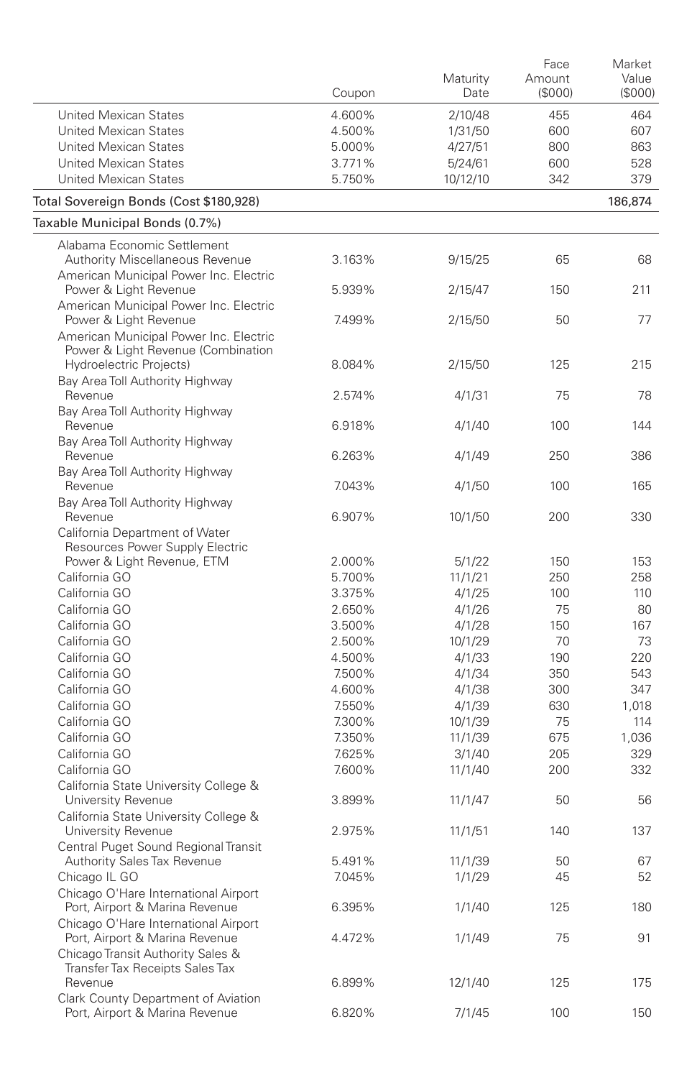|                                                                                                                 | Coupon           | Maturity<br>Date  | Face<br>Amount<br>(\$000) | Market<br>Value<br>(\$000) |
|-----------------------------------------------------------------------------------------------------------------|------------------|-------------------|---------------------------|----------------------------|
| <b>United Mexican States</b>                                                                                    | 4.600%           | 2/10/48           | 455                       | 464                        |
| <b>United Mexican States</b>                                                                                    | 4.500%           | 1/31/50           | 600                       | 607                        |
| <b>United Mexican States</b>                                                                                    | 5.000%           | 4/27/51           | 800                       | 863                        |
| <b>United Mexican States</b>                                                                                    | 3.771%           | 5/24/61           | 600                       | 528                        |
| <b>United Mexican States</b>                                                                                    | 5.750%           | 10/12/10          | 342                       | 379                        |
| Total Sovereign Bonds (Cost \$180,928)                                                                          |                  |                   |                           | 186,874                    |
| Taxable Municipal Bonds (0.7%)                                                                                  |                  |                   |                           |                            |
| Alabama Economic Settlement<br><b>Authority Miscellaneous Revenue</b><br>American Municipal Power Inc. Electric | 3.163%           | 9/15/25           | 65                        | 68                         |
| Power & Light Revenue<br>American Municipal Power Inc. Electric                                                 | 5.939%           | 2/15/47           | 150                       | 211                        |
| Power & Light Revenue<br>American Municipal Power Inc. Electric                                                 | 7.499%           | 2/15/50           | 50                        | 77                         |
| Power & Light Revenue (Combination<br>Hydroelectric Projects)                                                   | 8.084%           | 2/15/50           | 125                       | 215                        |
| Bay Area Toll Authority Highway<br>Revenue                                                                      | 2.574%           | 4/1/31            | 75                        | 78                         |
| Bay Area Toll Authority Highway<br>Revenue                                                                      | 6.918%           | 4/1/40            | 100                       | 144                        |
| Bay Area Toll Authority Highway                                                                                 |                  |                   |                           |                            |
| Revenue<br>Bay Area Toll Authority Highway                                                                      | 6.263%           | 4/1/49            | 250                       | 386                        |
| Revenue<br>Bay Area Toll Authority Highway                                                                      | 7.043%           | 4/1/50            | 100                       | 165                        |
| Revenue<br>California Department of Water                                                                       | 6.907%           | 10/1/50           | 200                       | 330                        |
| Resources Power Supply Electric                                                                                 |                  |                   |                           |                            |
| Power & Light Revenue, ETM                                                                                      | 2.000%           | 5/1/22            | 150                       | 153                        |
| California GO                                                                                                   | 5.700%           | 11/1/21           | 250                       | 258                        |
| California GO                                                                                                   | 3.375%           | 4/1/25            | 100                       | 110                        |
| California GO                                                                                                   | 2.650%           | 4/1/26            | 75                        | 80                         |
| California GO                                                                                                   | 3.500%           | 4/1/28            | 150                       | 167                        |
| California GO                                                                                                   | 2.500%           | 10/1/29           | 70                        | 73                         |
| California GO                                                                                                   | 4.500%           | 4/1/33            | 190                       | 220                        |
| California GO                                                                                                   | 7.500%           | 4/1/34            | 350                       | 543                        |
| California GO                                                                                                   | 4.600%           | 4/1/38            | 300                       | 347                        |
| California GO                                                                                                   | 7.550%           | 4/1/39            | 630                       | 1,018                      |
| California GO                                                                                                   | 7.300%           | 10/1/39           | 75                        | 114                        |
| California GO                                                                                                   | 7.350%           | 11/1/39           | 675                       | 1,036                      |
| California GO                                                                                                   | 7.625%           | 3/1/40            | 205                       | 329                        |
| California GO                                                                                                   | 7.600%           | 11/1/40           | 200                       | 332                        |
| California State University College &<br>University Revenue                                                     | 3.899%           | 11/1/47           | 50                        | 56                         |
| California State University College &<br>University Revenue                                                     | 2.975%           | 11/1/51           | 140                       | 137                        |
| Central Puget Sound Regional Transit                                                                            |                  |                   |                           |                            |
| Authority Sales Tax Revenue<br>Chicago IL GO                                                                    | 5.491%<br>7.045% | 11/1/39<br>1/1/29 | 50<br>45                  | 67<br>52                   |
| Chicago O'Hare International Airport                                                                            |                  |                   |                           |                            |
| Port, Airport & Marina Revenue<br>Chicago O'Hare International Airport                                          | 6.395%           | 1/1/40            | 125                       | 180                        |
| Port, Airport & Marina Revenue<br>Chicago Transit Authority Sales &<br>Transfer Tax Receipts Sales Tax          | 4.472%           | 1/1/49            | 75                        | 91                         |
| Revenue<br>Clark County Department of Aviation                                                                  | 6.899%           | 12/1/40           | 125                       | 175                        |
| Port, Airport & Marina Revenue                                                                                  | 6.820%           | 7/1/45            | 100                       | 150                        |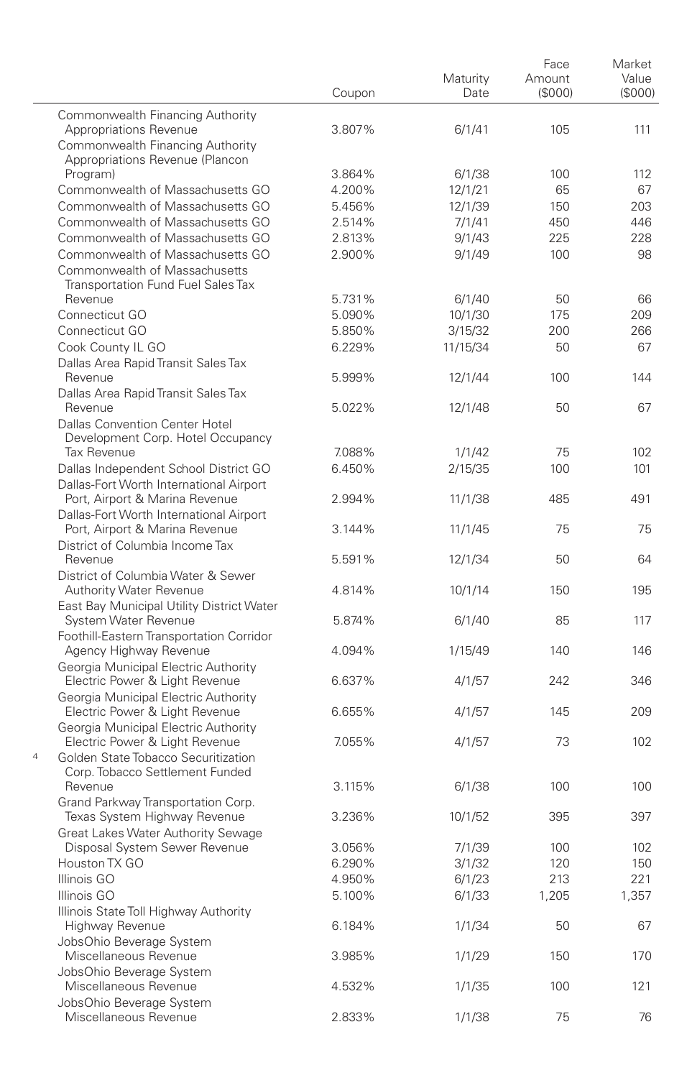|   |                                                                           | Coupon | Maturity<br>Date | Face<br>Amount<br>(\$000) | Market<br>Value<br>(S000) |
|---|---------------------------------------------------------------------------|--------|------------------|---------------------------|---------------------------|
|   | Commonwealth Financing Authority                                          |        |                  |                           |                           |
|   | Appropriations Revenue                                                    | 3.807% | 6/1/41           | 105                       | 111                       |
|   | Commonwealth Financing Authority                                          |        |                  |                           |                           |
|   | Appropriations Revenue (Plancon<br>Program)                               | 3.864% | 6/1/38           | 100                       | 112                       |
|   | Commonwealth of Massachusetts GO                                          | 4.200% | 12/1/21          | 65                        | 67                        |
|   | Commonwealth of Massachusetts GO                                          | 5.456% | 12/1/39          | 150                       | 203                       |
|   | Commonwealth of Massachusetts GO                                          | 2.514% | 7/1/41           | 450                       | 446                       |
|   | Commonwealth of Massachusetts GO                                          | 2.813% | 9/1/43           | 225                       | 228                       |
|   | Commonwealth of Massachusetts GO                                          | 2.900% | 9/1/49           | 100                       | 98                        |
|   | Commonwealth of Massachusetts                                             |        |                  |                           |                           |
|   | <b>Transportation Fund Fuel Sales Tax</b>                                 |        |                  |                           |                           |
|   | Revenue                                                                   | 5.731% | 6/1/40           | 50                        | 66                        |
|   | Connecticut GO                                                            | 5.090% | 10/1/30          | 175                       | 209                       |
|   | Connecticut GO                                                            | 5.850% | 3/15/32          | 200                       | 266                       |
|   | Cook County IL GO                                                         | 6.229% | 11/15/34         | 50                        | 67                        |
|   | Dallas Area Rapid Transit Sales Tax<br>Revenue                            | 5.999% |                  | 100                       | 144                       |
|   | Dallas Area Rapid Transit Sales Tax                                       |        | 12/1/44          |                           |                           |
|   | Revenue                                                                   | 5.022% | 12/1/48          | 50                        | 67                        |
|   | <b>Dallas Convention Center Hotel</b>                                     |        |                  |                           |                           |
|   | Development Corp. Hotel Occupancy                                         |        |                  |                           |                           |
|   | <b>Tax Revenue</b>                                                        | 7.088% | 1/1/42           | 75                        | 102                       |
|   | Dallas Independent School District GO                                     | 6.450% | 2/15/35          | 100                       | 101                       |
|   | Dallas-Fort Worth International Airport                                   |        |                  |                           |                           |
|   | Port, Airport & Marina Revenue                                            | 2.994% | 11/1/38          | 485                       | 491                       |
|   | Dallas-Fort Worth International Airport<br>Port, Airport & Marina Revenue | 3.144% | 11/1/45          | 75                        | 75                        |
|   | District of Columbia Income Tax                                           |        |                  |                           |                           |
|   | Revenue                                                                   | 5.591% | 12/1/34          | 50                        | 64                        |
|   | District of Columbia Water & Sewer                                        |        |                  |                           |                           |
|   | <b>Authority Water Revenue</b>                                            | 4.814% | 10/1/14          | 150                       | 195                       |
|   | East Bay Municipal Utility District Water                                 |        |                  |                           |                           |
|   | System Water Revenue                                                      | 5.874% | 6/1/40           | 85                        | 117                       |
|   | Foothill-Eastern Transportation Corridor<br>Agency Highway Revenue        | 4.094% | 1/15/49          | 140                       | 146                       |
|   | Georgia Municipal Electric Authority                                      |        |                  |                           |                           |
|   | Electric Power & Light Revenue                                            | 6.637% | 4/1/57           | 242                       | 346                       |
|   | Georgia Municipal Electric Authority                                      |        |                  |                           |                           |
|   | Electric Power & Light Revenue                                            | 6.655% | 4/1/57           | 145                       | 209                       |
|   | Georgia Municipal Electric Authority                                      |        |                  |                           |                           |
|   | Electric Power & Light Revenue                                            | 7.055% | 4/1/57           | 73                        | 102                       |
| 4 | Golden State Tobacco Securitization                                       |        |                  |                           |                           |
|   | Corp. Tobacco Settlement Funded<br>Revenue                                | 3.115% | 6/1/38           | 100                       | 100                       |
|   | Grand Parkway Transportation Corp.                                        |        |                  |                           |                           |
|   | Texas System Highway Revenue                                              | 3.236% | 10/1/52          | 395                       | 397                       |
|   | Great Lakes Water Authority Sewage                                        |        |                  |                           |                           |
|   | Disposal System Sewer Revenue                                             | 3.056% | 7/1/39           | 100                       | 102                       |
|   | Houston TX GO                                                             | 6.290% | 3/1/32           | 120                       | 150                       |
|   | Illinois GO                                                               | 4.950% | 6/1/23           | 213                       | 221                       |
|   | Illinois GO                                                               | 5.100% | 6/1/33           | 1,205                     | 1,357                     |
|   | Illinois State Toll Highway Authority                                     |        |                  |                           |                           |
|   | Highway Revenue                                                           | 6.184% | 1/1/34           | 50                        | 67                        |
|   | JobsOhio Beverage System<br>Miscellaneous Revenue                         |        |                  | 150                       |                           |
|   | JobsOhio Beverage System                                                  | 3.985% | 1/1/29           |                           | 170                       |
|   | Miscellaneous Revenue                                                     | 4.532% | 1/1/35           | 100                       | 121                       |
|   | JobsOhio Beverage System                                                  |        |                  |                           |                           |
|   | Miscellaneous Revenue                                                     | 2.833% | 1/1/38           | 75                        | 76                        |
|   |                                                                           |        |                  |                           |                           |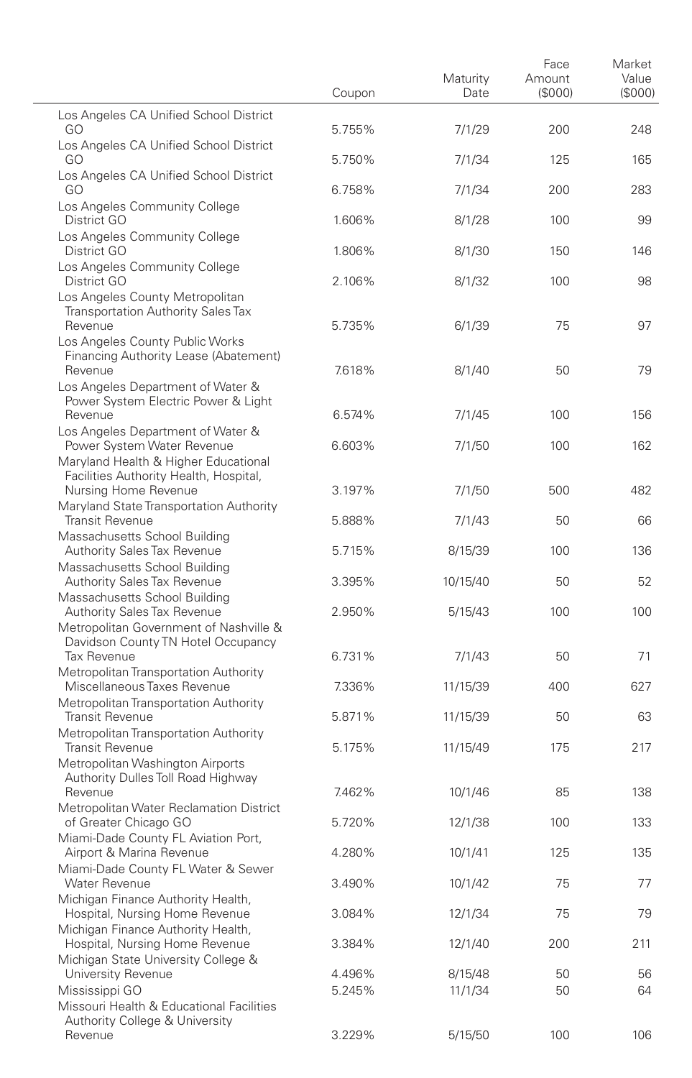|                                                                                                                            | Coupon | Maturity<br>Date | Face<br>Amount<br>(S000) | Market<br>Value<br>(S000) |
|----------------------------------------------------------------------------------------------------------------------------|--------|------------------|--------------------------|---------------------------|
| Los Angeles CA Unified School District<br>GO                                                                               | 5.755% | 7/1/29           | 200                      | 248                       |
| Los Angeles CA Unified School District<br>GO                                                                               | 5.750% | 7/1/34           | 125                      | 165                       |
| Los Angeles CA Unified School District<br>GO                                                                               | 6.758% | 7/1/34           | 200                      | 283                       |
| Los Angeles Community College<br>District GO                                                                               | 1.606% | 8/1/28           | 100                      | 99                        |
| Los Angeles Community College<br>District GO                                                                               | 1.806% | 8/1/30           | 150                      | 146                       |
| Los Angeles Community College<br>District GO                                                                               | 2.106% | 8/1/32           | 100                      | 98                        |
| Los Angeles County Metropolitan<br><b>Transportation Authority Sales Tax</b><br>Revenue<br>Los Angeles County Public Works | 5.735% | 6/1/39           | 75                       | 97                        |
| Financing Authority Lease (Abatement)<br>Revenue<br>Los Angeles Department of Water &                                      | 7.618% | 8/1/40           | 50                       | 79                        |
| Power System Electric Power & Light<br>Revenue                                                                             | 6.574% | 7/1/45           | 100                      | 156                       |
| Los Angeles Department of Water &<br>Power System Water Revenue<br>Maryland Health & Higher Educational                    | 6.603% | 7/1/50           | 100                      | 162                       |
| Facilities Authority Health, Hospital,<br>Nursing Home Revenue<br>Maryland State Transportation Authority                  | 3.197% | 7/1/50           | 500                      | 482                       |
| <b>Transit Revenue</b><br>Massachusetts School Building                                                                    | 5.888% | 7/1/43           | 50                       | 66                        |
| Authority Sales Tax Revenue<br>Massachusetts School Building                                                               | 5.715% | 8/15/39          | 100                      | 136                       |
| <b>Authority Sales Tax Revenue</b><br>Massachusetts School Building                                                        | 3.395% | 10/15/40         | 50                       | 52                        |
| <b>Authority Sales Tax Revenue</b><br>Metropolitan Government of Nashville &                                               | 2.950% | 5/15/43          | 100                      | 100                       |
| Davidson County TN Hotel Occupancy<br>Tax Revenue                                                                          | 6.731% | 7/1/43           | 50                       | 71                        |
| Metropolitan Transportation Authority<br>Miscellaneous Taxes Revenue                                                       | 7.336% | 11/15/39         | 400                      | 627                       |
| Metropolitan Transportation Authority<br><b>Transit Revenue</b>                                                            | 5.871% | 11/15/39         | 50                       | 63                        |
| Metropolitan Transportation Authority<br><b>Transit Revenue</b><br>Metropolitan Washington Airports                        | 5.175% | 11/15/49         | 175                      | 217                       |
| Authority Dulles Toll Road Highway<br>Revenue                                                                              | 7.462% | 10/1/46          | 85                       | 138                       |
| Metropolitan Water Reclamation District<br>of Greater Chicago GO                                                           | 5.720% | 12/1/38          | 100                      | 133                       |
| Miami-Dade County FL Aviation Port,<br>Airport & Marina Revenue                                                            | 4.280% | 10/1/41          | 125                      | 135                       |
| Miami-Dade County FL Water & Sewer<br><b>Water Revenue</b>                                                                 | 3.490% | 10/1/42          | 75                       | 77                        |
| Michigan Finance Authority Health,<br>Hospital, Nursing Home Revenue<br>Michigan Finance Authority Health,                 | 3.084% | 12/1/34          | 75                       | 79                        |
| Hospital, Nursing Home Revenue<br>Michigan State University College &                                                      | 3.384% | 12/1/40          | 200                      | 211                       |
| University Revenue                                                                                                         | 4.496% | 8/15/48          | 50                       | 56                        |
| Mississippi GO<br>Missouri Health & Educational Facilities<br>Authority College & University                               | 5.245% | 11/1/34          | 50                       | 64                        |
| Revenue                                                                                                                    | 3.229% | 5/15/50          | 100                      | 106                       |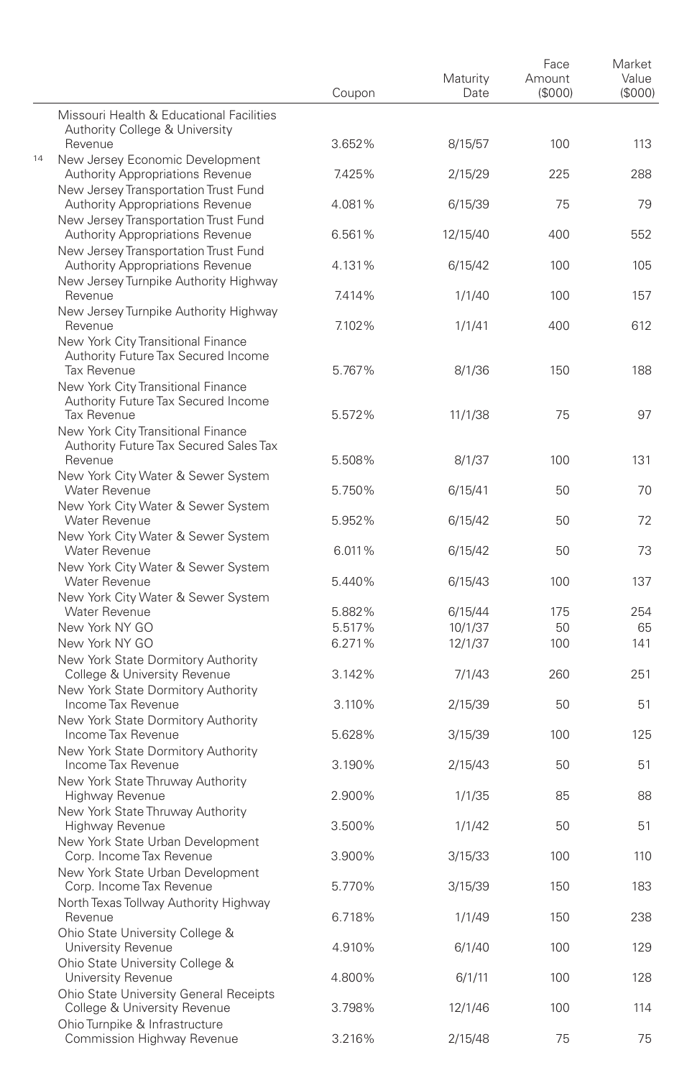|    |                                                                                                          | Coupon | Maturity<br>Date | Face<br>Amount<br>(\$000) | Market<br>Value<br>(S000) |
|----|----------------------------------------------------------------------------------------------------------|--------|------------------|---------------------------|---------------------------|
|    | Missouri Health & Educational Facilities<br>Authority College & University                               |        |                  |                           |                           |
| 14 | Revenue<br>New Jersey Economic Development                                                               | 3.652% | 8/15/57          | 100                       | 113                       |
|    | <b>Authority Appropriations Revenue</b><br>New Jersey Transportation Trust Fund                          | 7.425% | 2/15/29          | 225                       | 288                       |
|    | <b>Authority Appropriations Revenue</b><br>New Jersey Transportation Trust Fund                          | 4.081% | 6/15/39          | 75                        | 79                        |
|    | <b>Authority Appropriations Revenue</b><br>New Jersey Transportation Trust Fund                          | 6.561% | 12/15/40         | 400                       | 552                       |
|    | <b>Authority Appropriations Revenue</b><br>New Jersey Turnpike Authority Highway                         | 4.131% | 6/15/42          | 100                       | 105                       |
|    | Revenue<br>New Jersey Turnpike Authority Highway                                                         | 7.414% | 1/1/40           | 100                       | 157                       |
|    | Revenue<br>New York City Transitional Finance<br>Authority Future Tax Secured Income                     | 7.102% | 1/1/41           | 400                       | 612                       |
|    | <b>Tax Revenue</b><br>New York City Transitional Finance<br>Authority Future Tax Secured Income          | 5.767% | 8/1/36           | 150                       | 188                       |
|    | Tax Revenue<br>New York City Transitional Finance<br>Authority Future Tax Secured Sales Tax              | 5.572% | 11/1/38          | 75                        | 97                        |
|    | Revenue<br>New York City Water & Sewer System                                                            | 5.508% | 8/1/37           | 100                       | 131                       |
|    | <b>Water Revenue</b><br>New York City Water & Sewer System                                               | 5.750% | 6/15/41          | 50                        | 70                        |
|    | <b>Water Revenue</b><br>New York City Water & Sewer System                                               | 5.952% | 6/15/42          | 50                        | 72                        |
|    | <b>Water Revenue</b><br>New York City Water & Sewer System                                               | 6.011% | 6/15/42          | 50                        | 73                        |
|    | Water Revenue<br>New York City Water & Sewer System                                                      | 5.440% | 6/15/43          | 100                       | 137                       |
|    | Water Revenue                                                                                            | 5.882% | 6/15/44          | 175                       | 254                       |
|    | New York NY GO                                                                                           | 5.517% | 10/1/37          | 50                        | 65                        |
|    | New York NY GO                                                                                           | 6.271% | 12/1/37          | 100                       | 141                       |
|    | New York State Dormitory Authority<br>College & University Revenue                                       | 3.142% | 7/1/43           | 260                       | 251                       |
|    | New York State Dormitory Authority<br>Income Tax Revenue                                                 | 3.110% | 2/15/39          | 50                        | 51                        |
|    | New York State Dormitory Authority<br>Income Tax Revenue                                                 | 5.628% | 3/15/39          | 100                       | 125                       |
|    | New York State Dormitory Authority<br>Income Tax Revenue                                                 | 3.190% | 2/15/43          | 50                        | 51                        |
|    | New York State Thruway Authority<br>Highway Revenue                                                      | 2.900% | 1/1/35           | 85                        | 88                        |
|    | New York State Thruway Authority<br>Highway Revenue                                                      | 3.500% | 1/1/42           | 50                        | 51                        |
|    | New York State Urban Development<br>Corp. Income Tax Revenue                                             | 3.900% | 3/15/33          | 100                       | 110                       |
|    | New York State Urban Development<br>Corp. Income Tax Revenue                                             | 5.770% | 3/15/39          | 150                       | 183                       |
|    | North Texas Tollway Authority Highway<br>Revenue                                                         | 6.718% | 1/1/49           | 150                       | 238                       |
|    | Ohio State University College &<br>University Revenue                                                    | 4.910% | 6/1/40           | 100                       | 129                       |
|    | Ohio State University College &<br>University Revenue                                                    | 4.800% | 6/1/11           | 100                       | 128                       |
|    | Ohio State University General Receipts<br>College & University Revenue<br>Ohio Turnpike & Infrastructure | 3.798% | 12/1/46          | 100                       | 114                       |
|    | Commission Highway Revenue                                                                               | 3.216% | 2/15/48          | 75                        | 75                        |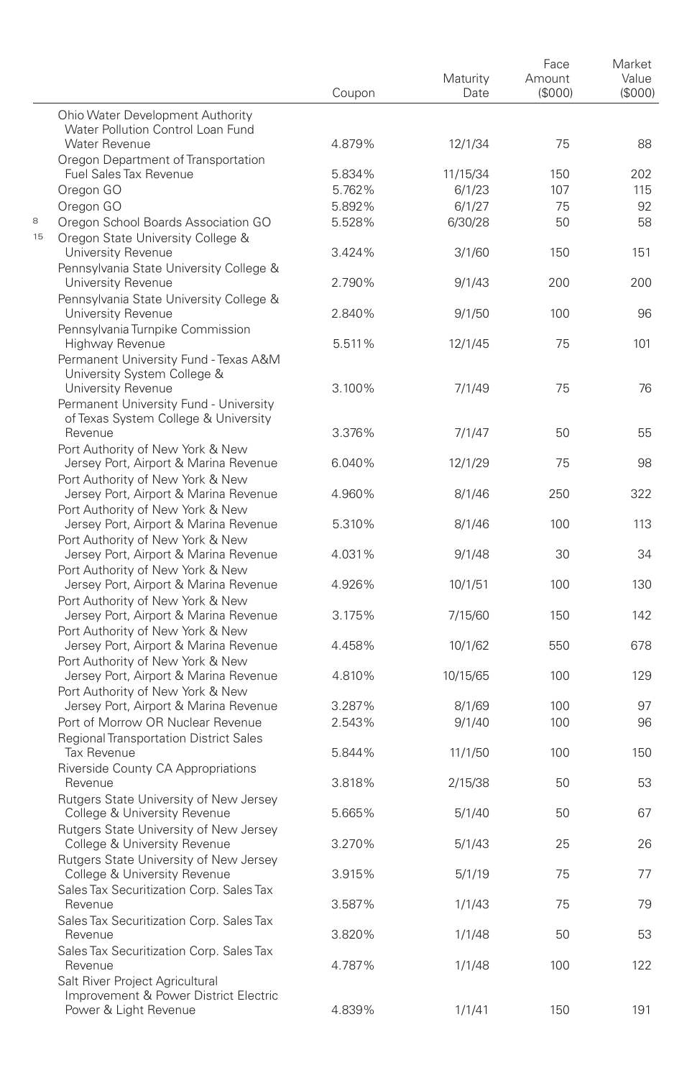|    |                                                                                                               | Coupon | Maturity<br>Date | Face<br>Amount<br>(\$000) | Market<br>Value<br>(\$000) |
|----|---------------------------------------------------------------------------------------------------------------|--------|------------------|---------------------------|----------------------------|
|    | Ohio Water Development Authority<br>Water Pollution Control Loan Fund                                         |        |                  |                           |                            |
|    | Water Revenue                                                                                                 | 4.879% | 12/1/34          | 75                        | 88                         |
|    | Oregon Department of Transportation<br>Fuel Sales Tax Revenue                                                 | 5.834% | 11/15/34         | 150                       | 202                        |
|    | Oregon GO                                                                                                     | 5.762% | 6/1/23           | 107                       | 115                        |
|    | Oregon GO                                                                                                     | 5.892% | 6/1/27           | 75                        | 92                         |
| 8  | Oregon School Boards Association GO                                                                           | 5.528% | 6/30/28          | 50                        | 58                         |
| 15 | Oregon State University College &<br>University Revenue                                                       | 3.424% | 3/1/60           | 150                       | 151                        |
|    | Pennsylvania State University College &<br>University Revenue                                                 | 2.790% | 9/1/43           | 200                       | 200                        |
|    | Pennsylvania State University College &<br>University Revenue                                                 | 2.840% | 9/1/50           | 100                       | 96                         |
|    | Pennsylvania Turnpike Commission<br>Highway Revenue                                                           | 5.511% | 12/1/45          | 75                        | 101                        |
|    | Permanent University Fund - Texas A&M<br>University System College &                                          |        |                  |                           |                            |
|    | University Revenue<br>Permanent University Fund - University                                                  | 3.100% | 7/1/49           | 75                        | 76                         |
|    | of Texas System College & University<br>Revenue                                                               | 3.376% | 7/1/47           | 50                        | 55                         |
|    | Port Authority of New York & New<br>Jersey Port, Airport & Marina Revenue                                     | 6.040% | 12/1/29          | 75                        | 98                         |
|    | Port Authority of New York & New<br>Jersey Port, Airport & Marina Revenue                                     | 4.960% | 8/1/46           | 250                       | 322                        |
|    | Port Authority of New York & New<br>Jersey Port, Airport & Marina Revenue<br>Port Authority of New York & New | 5.310% | 8/1/46           | 100                       | 113                        |
|    | Jersey Port, Airport & Marina Revenue<br>Port Authority of New York & New                                     | 4.031% | 9/1/48           | 30                        | 34                         |
|    | Jersey Port, Airport & Marina Revenue<br>Port Authority of New York & New                                     | 4.926% | 10/1/51          | 100                       | 130                        |
|    | Jersey Port, Airport & Marina Revenue<br>Port Authority of New York & New                                     | 3.175% | 7/15/60          | 150                       | 142                        |
|    | Jersey Port, Airport & Marina Revenue<br>Port Authority of New York & New                                     | 4.458% | 10/1/62          | 550                       | 678                        |
|    | Jersey Port, Airport & Marina Revenue<br>Port Authority of New York & New                                     | 4.810% | 10/15/65         | 100                       | 129                        |
|    | Jersey Port, Airport & Marina Revenue                                                                         | 3.287% | 8/1/69           | 100                       | 97                         |
|    | Port of Morrow OR Nuclear Revenue<br><b>Regional Transportation District Sales</b>                            | 2.543% | 9/1/40           | 100                       | 96                         |
|    | <b>Tax Revenue</b><br>Riverside County CA Appropriations                                                      | 5.844% | 11/1/50          | 100                       | 150                        |
|    | Revenue<br>Rutgers State University of New Jersey                                                             | 3.818% | 2/15/38          | 50                        | 53                         |
|    | College & University Revenue<br>Rutgers State University of New Jersey                                        | 5.665% | 5/1/40           | 50                        | 67                         |
|    | College & University Revenue<br>Rutgers State University of New Jersey                                        | 3.270% | 5/1/43           | 25                        | 26                         |
|    | College & University Revenue<br>Sales Tax Securitization Corp. Sales Tax                                      | 3.915% | 5/1/19           | 75                        | 77                         |
|    | Revenue<br>Sales Tax Securitization Corp. Sales Tax                                                           | 3.587% | 1/1/43           | 75                        | 79                         |
|    | Revenue<br>Sales Tax Securitization Corp. Sales Tax                                                           | 3.820% | 1/1/48           | 50                        | 53                         |
|    | Revenue<br>Salt River Project Agricultural                                                                    | 4.787% | 1/1/48           | 100                       | 122                        |
|    | Improvement & Power District Electric<br>Power & Light Revenue                                                | 4.839% | 1/1/41           | 150                       | 191                        |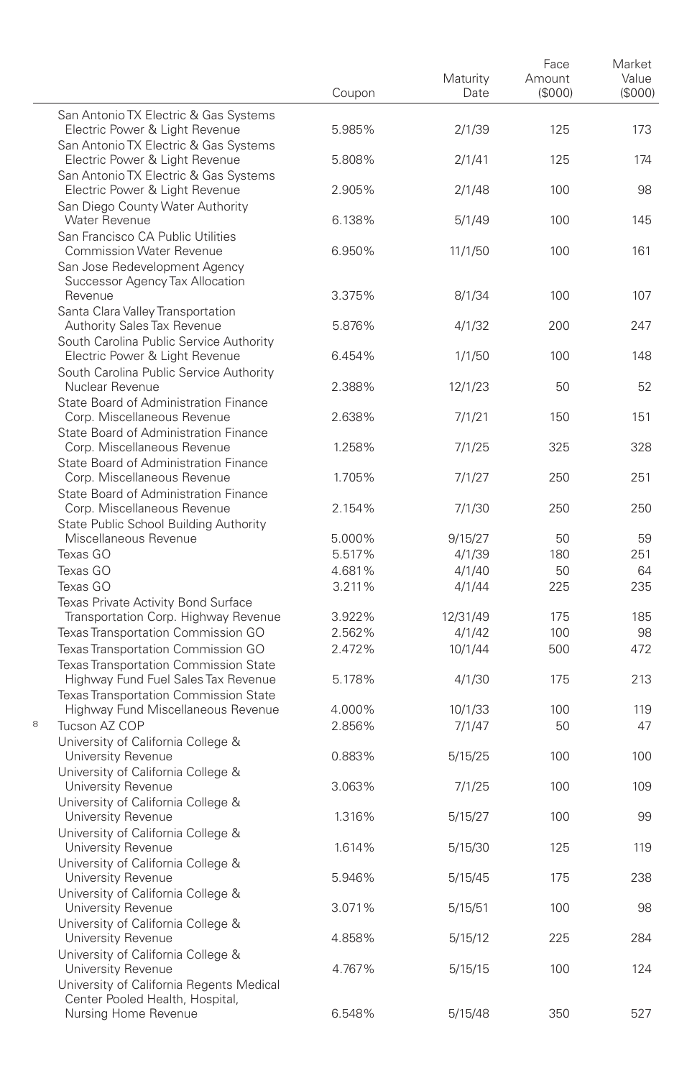|   |                                                                                                     | Coupon | Maturity<br>Date | Face<br>Amount<br>(\$000) | Market<br>Value<br>(\$000) |
|---|-----------------------------------------------------------------------------------------------------|--------|------------------|---------------------------|----------------------------|
|   | San Antonio TX Electric & Gas Systems<br>Electric Power & Light Revenue                             | 5.985% | 2/1/39           | 125                       | 173                        |
|   | San Antonio TX Electric & Gas Systems<br>Electric Power & Light Revenue                             | 5.808% | 2/1/41           | 125                       | 174                        |
|   | San Antonio TX Electric & Gas Systems<br>Electric Power & Light Revenue                             | 2.905% | 2/1/48           | 100                       | 98                         |
|   | San Diego County Water Authority<br>Water Revenue<br>San Francisco CA Public Utilities              | 6.138% | 5/1/49           | 100                       | 145                        |
|   | <b>Commission Water Revenue</b><br>San Jose Redevelopment Agency                                    | 6.950% | 11/1/50          | 100                       | 161                        |
|   | Successor Agency Tax Allocation<br>Revenue                                                          | 3.375% | 8/1/34           | 100                       | 107                        |
|   | Santa Clara Valley Transportation<br>Authority Sales Tax Revenue                                    | 5.876% | 4/1/32           | 200                       | 247                        |
|   | South Carolina Public Service Authority<br>Electric Power & Light Revenue                           | 6.454% | 1/1/50           | 100                       | 148                        |
|   | South Carolina Public Service Authority<br>Nuclear Revenue<br>State Board of Administration Finance | 2.388% | 12/1/23          | 50                        | 52                         |
|   | Corp. Miscellaneous Revenue<br>State Board of Administration Finance                                | 2.638% | 7/1/21           | 150                       | 151                        |
|   | Corp. Miscellaneous Revenue<br>State Board of Administration Finance                                | 1.258% | 7/1/25           | 325                       | 328                        |
|   | Corp. Miscellaneous Revenue<br>State Board of Administration Finance                                | 1.705% | 7/1/27           | 250                       | 251                        |
|   | Corp. Miscellaneous Revenue<br>State Public School Building Authority                               | 2.154% | 7/1/30           | 250                       | 250                        |
|   | Miscellaneous Revenue                                                                               | 5.000% | 9/15/27          | 50                        | 59                         |
|   | Texas GO                                                                                            | 5.517% | 4/1/39           | 180                       | 251                        |
|   | Texas GO                                                                                            | 4.681% | 4/1/40           | 50                        | 64                         |
|   | Texas GO                                                                                            | 3.211% | 4/1/44           | 225                       | 235                        |
|   | Texas Private Activity Bond Surface                                                                 |        |                  |                           |                            |
|   | Transportation Corp. Highway Revenue                                                                | 3.922% | 12/31/49         | 175                       | 185                        |
|   | Texas Transportation Commission GO                                                                  | 2.562% | 4/1/42           | 100                       | 98                         |
|   | Texas Transportation Commission GO                                                                  | 2.472% | 10/1/44          | 500                       | 472                        |
|   | Texas Transportation Commission State<br>Highway Fund Fuel Sales Tax Revenue                        | 5.178% | 4/1/30           | 175                       | 213                        |
|   | <b>Texas Transportation Commission State</b><br>Highway Fund Miscellaneous Revenue                  | 4.000% | 10/1/33          | 100                       | 119                        |
| 8 | Tucson AZ COP                                                                                       | 2.856% | 7/1/47           | 50                        | 47                         |
|   | University of California College &                                                                  |        |                  |                           |                            |
|   | University Revenue<br>University of California College &                                            | 0.883% | 5/15/25          | 100                       | 100                        |
|   | University Revenue<br>University of California College &                                            | 3.063% | 7/1/25           | 100                       | 109                        |
|   | University Revenue<br>University of California College &                                            | 1.316% | 5/15/27          | 100                       | 99                         |
|   | University Revenue<br>University of California College &                                            | 1.614% | 5/15/30          | 125                       | 119                        |
|   | University Revenue<br>University of California College &                                            | 5.946% | 5/15/45          | 175                       | 238                        |
|   | University Revenue<br>University of California College &                                            | 3.071% | 5/15/51          | 100                       | 98                         |
|   | University Revenue<br>University of California College &                                            | 4.858% | 5/15/12          | 225                       | 284                        |
|   | University Revenue<br>University of California Regents Medical<br>Center Pooled Health, Hospital,   | 4.767% | 5/15/15          | 100                       | 124                        |
|   | Nursing Home Revenue                                                                                | 6.548% | 5/15/48          | 350                       | 527                        |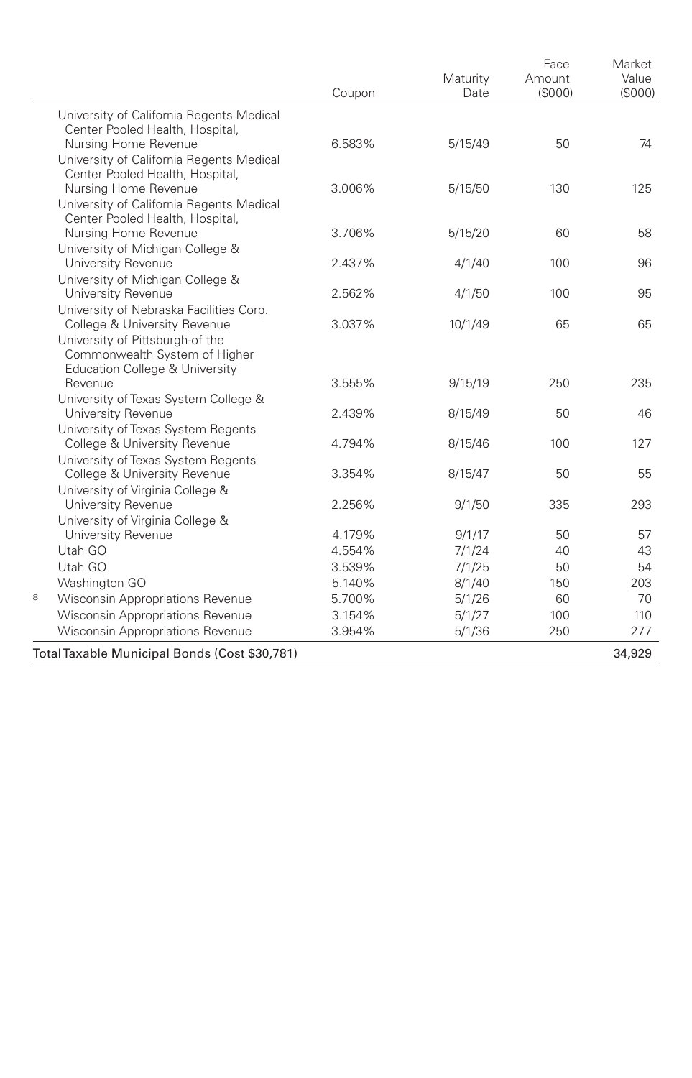|   |                                                                    | Coupon | Maturity<br>Date | Face<br>Amount<br>(\$000) | Market<br>Value<br>(\$000) |
|---|--------------------------------------------------------------------|--------|------------------|---------------------------|----------------------------|
|   | University of California Regents Medical                           |        |                  |                           |                            |
|   | Center Pooled Health, Hospital,                                    |        |                  |                           |                            |
|   | Nursing Home Revenue                                               | 6.583% | 5/15/49          | 50                        | 74                         |
|   | University of California Regents Medical                           |        |                  |                           |                            |
|   | Center Pooled Health, Hospital,                                    |        |                  |                           |                            |
|   | Nursing Home Revenue                                               | 3.006% | 5/15/50          | 130                       | 125                        |
|   | University of California Regents Medical                           |        |                  |                           |                            |
|   | Center Pooled Health, Hospital,<br>Nursing Home Revenue            | 3.706% | 5/15/20          | 60                        | 58                         |
|   | University of Michigan College &                                   |        |                  |                           |                            |
|   | University Revenue                                                 | 2.437% | 4/1/40           | 100                       | 96                         |
|   | University of Michigan College &                                   |        |                  |                           |                            |
|   | University Revenue                                                 | 2.562% | 4/1/50           | 100                       | 95                         |
|   | University of Nebraska Facilities Corp.                            |        |                  |                           |                            |
|   | College & University Revenue                                       | 3.037% | 10/1/49          | 65                        | 65                         |
|   | University of Pittsburgh-of the                                    |        |                  |                           |                            |
|   | Commonwealth System of Higher                                      |        |                  |                           |                            |
|   | Education College & University                                     |        |                  |                           |                            |
|   | Revenue                                                            | 3.555% | 9/15/19          | 250                       | 235                        |
|   | University of Texas System College &                               |        |                  |                           |                            |
|   | University Revenue                                                 | 2.439% | 8/15/49          | 50                        | 46                         |
|   | University of Texas System Regents                                 | 4.794% |                  | 100                       | 127                        |
|   | College & University Revenue<br>University of Texas System Regents |        | 8/15/46          |                           |                            |
|   | College & University Revenue                                       | 3.354% | 8/15/47          | 50                        | 55                         |
|   | University of Virginia College &                                   |        |                  |                           |                            |
|   | University Revenue                                                 | 2.256% | 9/1/50           | 335                       | 293                        |
|   | University of Virginia College &                                   |        |                  |                           |                            |
|   | University Revenue                                                 | 4.179% | 9/1/17           | 50                        | 57                         |
|   | Utah GO                                                            | 4.554% | 7/1/24           | 40                        | 43                         |
|   | Utah GO                                                            | 3.539% | 7/1/25           | 50                        | 54                         |
|   | Washington GO                                                      | 5.140% | 8/1/40           | 150                       | 203                        |
| 8 | Wisconsin Appropriations Revenue                                   | 5.700% | 5/1/26           | 60                        | 70                         |
|   | <b>Wisconsin Appropriations Revenue</b>                            | 3.154% | 5/1/27           | 100                       | 110                        |
|   | <b>Wisconsin Appropriations Revenue</b>                            | 3.954% | 5/1/36           | 250                       | 277                        |
|   | Total Taxable Municipal Bonds (Cost \$30,781)                      |        |                  |                           | 34,929                     |
|   |                                                                    |        |                  |                           |                            |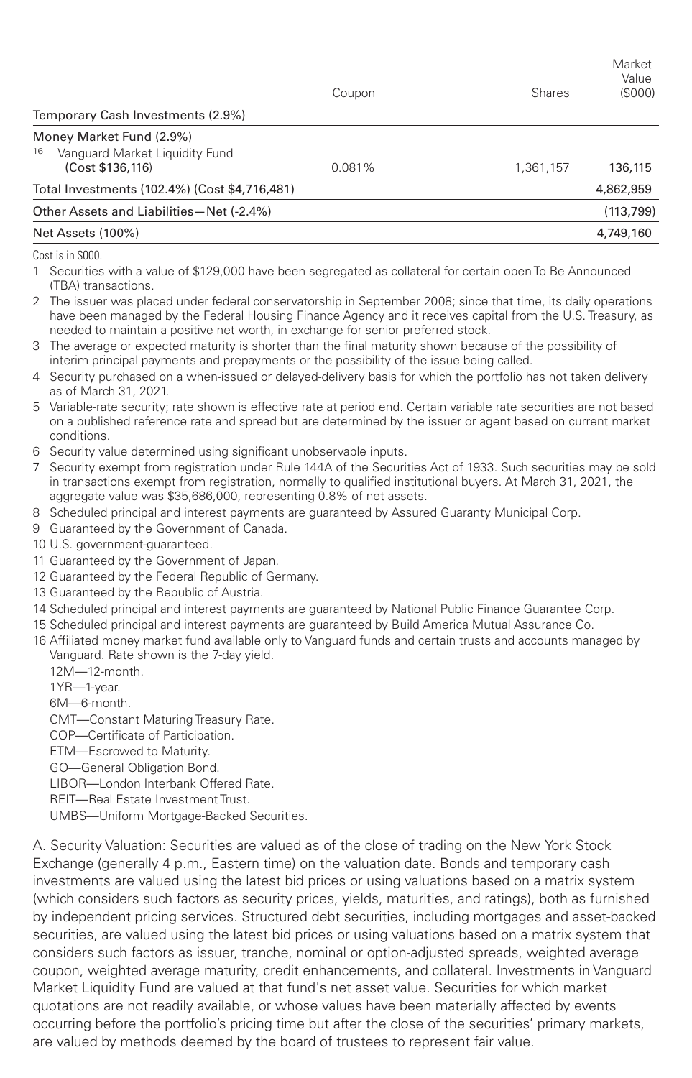|                                                                                      | Coupon | Shares    | Market<br>Value<br>(\$000) |
|--------------------------------------------------------------------------------------|--------|-----------|----------------------------|
| Temporary Cash Investments (2.9%)                                                    |        |           |                            |
| Money Market Fund (2.9%)<br>Vanguard Market Liguidity Fund<br>16<br>(Cost \$136,116) | 0.081% | 1,361,157 | 136,115                    |
| Total Investments (102.4%) (Cost \$4,716,481)                                        |        |           | 4,862,959                  |
| Other Assets and Liabilities-Net (-2.4%)                                             |        |           | (113, 799)                 |
| Net Assets (100%)                                                                    |        |           | 4,749,160                  |
| $\wedge$ $\cdots$ $\wedge$ $\wedge$                                                  |        |           |                            |

Cost is in \$000.

1 Securities with a value of \$129,000 have been segregated as collateral for certain open To Be Announced (TBA) transactions.

2 The issuer was placed under federal conservatorship in September 2008; since that time, its daily operations have been managed by the Federal Housing Finance Agency and it receives capital from the U.S. Treasury, as needed to maintain a positive net worth, in exchange for senior preferred stock.

- 3 The average or expected maturity is shorter than the final maturity shown because of the possibility of interim principal payments and prepayments or the possibility of the issue being called.
- 4 Security purchased on a when-issued or delayed-delivery basis for which the portfolio has not taken delivery as of March 31, 2021.
- 5 Variable-rate security; rate shown is effective rate at period end. Certain variable rate securities are not based on a published reference rate and spread but are determined by the issuer or agent based on current market conditions.
- 6 Security value determined using significant unobservable inputs.
- 7 Security exempt from registration under Rule 144A of the Securities Act of 1933. Such securities may be sold in transactions exempt from registration, normally to qualified institutional buyers. At March 31, 2021, the aggregate value was \$35,686,000, representing 0.8% of net assets.
- 8 Scheduled principal and interest payments are guaranteed by Assured Guaranty Municipal Corp.
- 9 Guaranteed by the Government of Canada.
- 10 U.S. government-guaranteed.
- 11 Guaranteed by the Government of Japan.
- 12 Guaranteed by the Federal Republic of Germany.
- 13 Guaranteed by the Republic of Austria.
- 14 Scheduled principal and interest payments are guaranteed by National Public Finance Guarantee Corp.
- 15 Scheduled principal and interest payments are guaranteed by Build America Mutual Assurance Co.
- 16 Affiliated money market fund available only to Vanguard funds and certain trusts and accounts managed by Vanguard. Rate shown is the 7-day yield.
	- 12M—12-month.

1YR—1-year.

6M—6-month.

- CMT—Constant Maturing Treasury Rate.
- COP—Certificate of Participation.

ETM—Escrowed to Maturity.

GO—General Obligation Bond.

LIBOR—London Interbank Offered Rate.

REIT—Real Estate Investment Trust.

UMBS—Uniform Mortgage-Backed Securities.

A. Security Valuation: Securities are valued as of the close of trading on the New York Stock Exchange (generally 4 p.m., Eastern time) on the valuation date. Bonds and temporary cash investments are valued using the latest bid prices or using valuations based on a matrix system (which considers such factors as security prices, yields, maturities, and ratings), both as furnished by independent pricing services. Structured debt securities, including mortgages and asset-backed securities, are valued using the latest bid prices or using valuations based on a matrix system that considers such factors as issuer, tranche, nominal or option-adjusted spreads, weighted average coupon, weighted average maturity, credit enhancements, and collateral. Investments in Vanguard Market Liquidity Fund are valued at that fund's net asset value. Securities for which market quotations are not readily available, or whose values have been materially affected by events occurring before the portfolio's pricing time but after the close of the securities' primary markets, are valued by methods deemed by the board of trustees to represent fair value.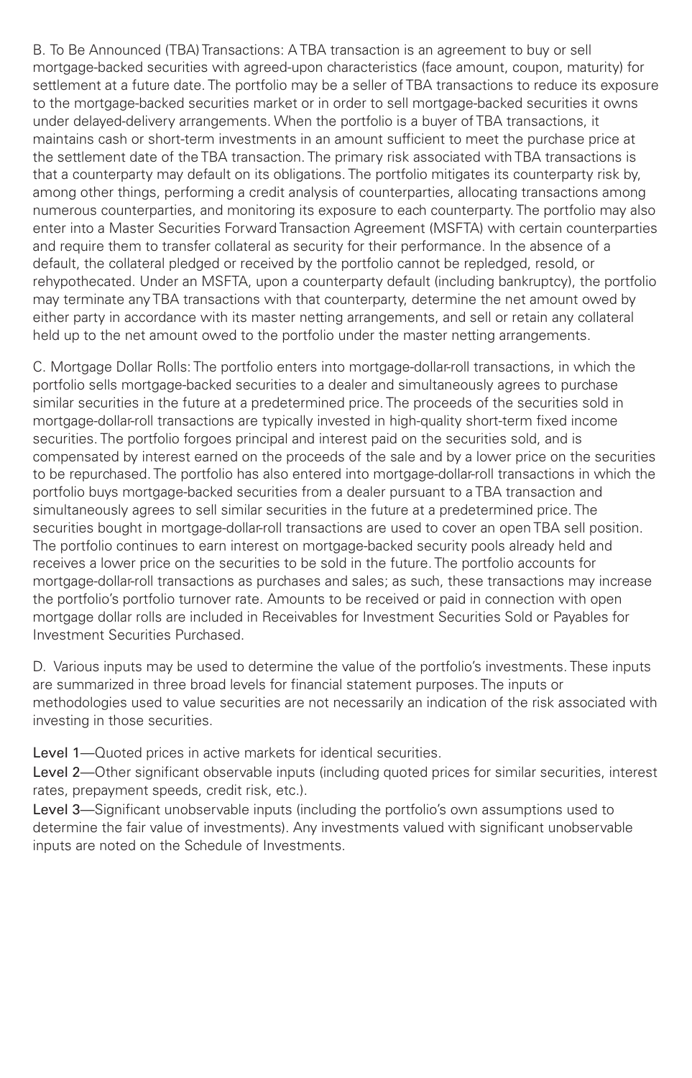B. To Be Announced (TBA) Transactions: A TBA transaction is an agreement to buy or sell mortgage-backed securities with agreed-upon characteristics (face amount, coupon, maturity) for settlement at a future date. The portfolio may be a seller of TBA transactions to reduce its exposure to the mortgage-backed securities market or in order to sell mortgage-backed securities it owns under delayed-delivery arrangements. When the portfolio is a buyer of TBA transactions, it maintains cash or short-term investments in an amount sufficient to meet the purchase price at the settlement date of the TBA transaction. The primary risk associated with TBA transactions is that a counterparty may default on its obligations. The portfolio mitigates its counterparty risk by, among other things, performing a credit analysis of counterparties, allocating transactions among numerous counterparties, and monitoring its exposure to each counterparty. The portfolio may also enter into a Master Securities Forward Transaction Agreement (MSFTA) with certain counterparties and require them to transfer collateral as security for their performance. In the absence of a default, the collateral pledged or received by the portfolio cannot be repledged, resold, or rehypothecated. Under an MSFTA, upon a counterparty default (including bankruptcy), the portfolio may terminate any TBA transactions with that counterparty, determine the net amount owed by either party in accordance with its master netting arrangements, and sell or retain any collateral held up to the net amount owed to the portfolio under the master netting arrangements.

C. Mortgage Dollar Rolls: The portfolio enters into mortgage-dollar-roll transactions, in which the portfolio sells mortgage-backed securities to a dealer and simultaneously agrees to purchase similar securities in the future at a predetermined price. The proceeds of the securities sold in mortgage-dollar-roll transactions are typically invested in high-quality short-term fixed income securities. The portfolio forgoes principal and interest paid on the securities sold, and is compensated by interest earned on the proceeds of the sale and by a lower price on the securities to be repurchased. The portfolio has also entered into mortgage-dollar-roll transactions in which the portfolio buys mortgage-backed securities from a dealer pursuant to a TBA transaction and simultaneously agrees to sell similar securities in the future at a predetermined price. The securities bought in mortgage-dollar-roll transactions are used to cover an open TBA sell position. The portfolio continues to earn interest on mortgage-backed security pools already held and receives a lower price on the securities to be sold in the future. The portfolio accounts for mortgage-dollar-roll transactions as purchases and sales; as such, these transactions may increase the portfolio's portfolio turnover rate. Amounts to be received or paid in connection with open mortgage dollar rolls are included in Receivables for Investment Securities Sold or Payables for Investment Securities Purchased.

D. Various inputs may be used to determine the value of the portfolio's investments. These inputs are summarized in three broad levels for financial statement purposes. The inputs or methodologies used to value securities are not necessarily an indication of the risk associated with investing in those securities.

Level 1—Quoted prices in active markets for identical securities.

Level 2—Other significant observable inputs (including quoted prices for similar securities, interest rates, prepayment speeds, credit risk, etc.).

Level 3—Significant unobservable inputs (including the portfolio's own assumptions used to determine the fair value of investments). Any investments valued with significant unobservable inputs are noted on the Schedule of Investments.